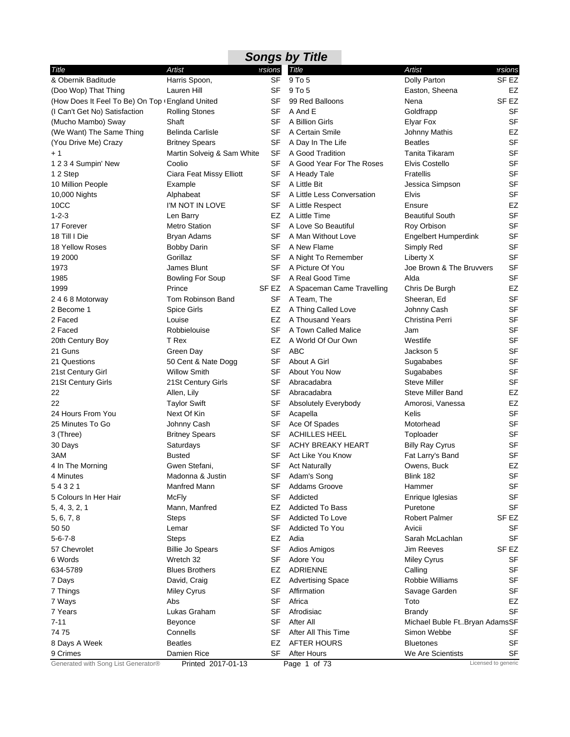|                                                 |                            |           | <b>Songs by Title</b>      |                               |                     |
|-------------------------------------------------|----------------------------|-----------|----------------------------|-------------------------------|---------------------|
| Title                                           | Artist                     | ersions   | <b>Title</b>               | Artist                        | ersions             |
| & Obernik Baditude                              | Harris Spoon,              | <b>SF</b> | 9 To 5                     | Dolly Parton                  | SF <sub>EZ</sub>    |
| (Doo Wop) That Thing                            | Lauren Hill                | SF        | 9 To 5                     | Easton, Sheena                | EZ                  |
| (How Does It Feel To Be) On Top (England United |                            | SF        | 99 Red Balloons            | Nena                          | SF <sub>EZ</sub>    |
| (I Can't Get No) Satisfaction                   | <b>Rolling Stones</b>      | SF        | A And E                    | Goldfrapp                     | SF                  |
| (Mucho Mambo) Sway                              | Shaft                      | SF        | A Billion Girls            | <b>Elyar Fox</b>              | <b>SF</b>           |
| (We Want) The Same Thing                        | <b>Belinda Carlisle</b>    | SF        | A Certain Smile            | <b>Johnny Mathis</b>          | EZ                  |
| (You Drive Me) Crazy                            | <b>Britney Spears</b>      | SF        | A Day In The Life          | <b>Beatles</b>                | <b>SF</b>           |
| $+1$                                            | Martin Solveig & Sam White | SF        | A Good Tradition           | <b>Tanita Tikaram</b>         | <b>SF</b>           |
| 1 2 3 4 Sumpin' New                             | Coolio                     | SF        | A Good Year For The Roses  | Elvis Costello                | <b>SF</b>           |
| 1 2 Step                                        | Ciara Feat Missy Elliott   | <b>SF</b> | A Heady Tale               | Fratellis                     | <b>SF</b>           |
| 10 Million People                               | Example                    | SF        | A Little Bit               | Jessica Simpson               | <b>SF</b>           |
| 10,000 Nights                                   | Alphabeat                  | <b>SF</b> | A Little Less Conversation | <b>Elvis</b>                  | <b>SF</b>           |
| 10CC                                            | I'M NOT IN LOVE            | <b>SF</b> | A Little Respect           | Ensure                        | EZ                  |
| $1 - 2 - 3$                                     | Len Barry                  | EZ        | A Little Time              | <b>Beautiful South</b>        | <b>SF</b>           |
| 17 Forever                                      | <b>Metro Station</b>       | SF        | A Love So Beautiful        | Roy Orbison                   | <b>SF</b>           |
| 18 Till I Die                                   | Bryan Adams                | SF        | A Man Without Love         | Engelbert Humperdink          | <b>SF</b>           |
| 18 Yellow Roses                                 | <b>Bobby Darin</b>         | SF        | A New Flame                | Simply Red                    | <b>SF</b>           |
| 19 2000                                         | Gorillaz                   | SF        | A Night To Remember        | Liberty X                     | <b>SF</b>           |
| 1973                                            | James Blunt                | SF        | A Picture Of You           | Joe Brown & The Bruvvers      | <b>SF</b>           |
| 1985                                            | <b>Bowling For Soup</b>    | SF        | A Real Good Time           | Alda                          | <b>SF</b>           |
| 1999                                            | Prince                     | SF EZ     | A Spaceman Came Travelling | Chris De Burgh                | EZ                  |
| 2468 Motorway                                   | Tom Robinson Band          | SF        | A Team, The                | Sheeran, Ed                   | <b>SF</b>           |
| 2 Become 1                                      | <b>Spice Girls</b>         | EZ        | A Thing Called Love        | Johnny Cash                   | <b>SF</b>           |
| 2 Faced                                         | Louise                     | EZ        | A Thousand Years           | Christina Perri               | <b>SF</b>           |
| 2 Faced                                         | Robbielouise               | <b>SF</b> | A Town Called Malice       | Jam                           | <b>SF</b>           |
| 20th Century Boy                                | T Rex                      | EZ        | A World Of Our Own         | Westlife                      | <b>SF</b>           |
| 21 Guns                                         | Green Day                  | <b>SF</b> | <b>ABC</b>                 | Jackson 5                     | <b>SF</b>           |
| 21 Questions                                    | 50 Cent & Nate Dogg        | SF        | About A Girl               | Sugababes                     | <b>SF</b>           |
| 21st Century Girl                               | <b>Willow Smith</b>        | <b>SF</b> | About You Now              | Sugababes                     | <b>SF</b>           |
| 21St Century Girls                              | 21St Century Girls         | SF        | Abracadabra                | <b>Steve Miller</b>           | <b>SF</b>           |
| 22                                              | Allen, Lily                | SF        | Abracadabra                | <b>Steve Miller Band</b>      | EZ                  |
| 22                                              | <b>Taylor Swift</b>        | SF        | Absolutely Everybody       | Amorosi, Vanessa              | EZ                  |
| 24 Hours From You                               | Next Of Kin                | SF        | Acapella                   | Kelis                         | <b>SF</b>           |
| 25 Minutes To Go                                | Johnny Cash                | SF        | Ace Of Spades              | Motorhead                     | <b>SF</b>           |
| 3 (Three)                                       | <b>Britney Spears</b>      | SF        | <b>ACHILLES HEEL</b>       | Toploader                     | <b>SF</b>           |
| 30 Days                                         | Saturdays                  | SF        | <b>ACHY BREAKY HEART</b>   | <b>Billy Ray Cyrus</b>        | <b>SF</b>           |
| 3AM                                             | <b>Busted</b>              | SF        | Act Like You Know          | Fat Larry's Band              | <b>SF</b>           |
| 4 In The Morning                                | Gwen Stefani,              |           | SF Act Naturally           | Owens, Buck                   | EZ                  |
| 4 Minutes                                       | Madonna & Justin           | SF        | Adam's Song                | Blink 182                     | SF                  |
| 54321                                           | Manfred Mann               | SF        | Addams Groove              | Hammer                        | <b>SF</b>           |
| 5 Colours In Her Hair                           | McFly                      | SF        | Addicted                   | Enrique Iglesias              | SF                  |
| 5, 4, 3, 2, 1                                   | Mann, Manfred              | EZ        | Addicted To Bass           | Puretone                      | <b>SF</b>           |
| 5, 6, 7, 8                                      | Steps                      | SF        | <b>Addicted To Love</b>    | <b>Robert Palmer</b>          | SF EZ               |
| 50 50                                           | Lemar                      | <b>SF</b> | <b>Addicted To You</b>     | Avicii                        | SF                  |
| $5 - 6 - 7 - 8$                                 | Steps                      | EZ        | Adia                       | Sarah McLachlan               | <b>SF</b>           |
| 57 Chevrolet                                    | <b>Billie Jo Spears</b>    | SF        | Adios Amigos               | Jim Reeves                    | SF <sub>EZ</sub>    |
| 6 Words                                         | Wretch 32                  | SF        | Adore You                  | <b>Miley Cyrus</b>            | SF                  |
| 634-5789                                        | <b>Blues Brothers</b>      | EZ        | <b>ADRIENNE</b>            | Calling                       | <b>SF</b>           |
| 7 Days                                          | David, Craig               | EZ        | <b>Advertising Space</b>   | Robbie Williams               | SF                  |
| 7 Things                                        | Miley Cyrus                | SF        | Affirmation                | Savage Garden                 | <b>SF</b>           |
| 7 Ways                                          | Abs                        | <b>SF</b> | Africa                     | Toto                          | EZ                  |
| 7 Years                                         | Lukas Graham               | <b>SF</b> | Afrodisiac                 | <b>Brandy</b>                 | <b>SF</b>           |
| $7 - 11$                                        | Beyonce                    | SF        | After All                  | Michael Buble FtBryan AdamsSF |                     |
| 7475                                            | Connells                   | SF        | After All This Time        | Simon Webbe                   | SF                  |
| 8 Days A Week                                   | <b>Beatles</b>             | EZ        | AFTER HOURS                | <b>Bluetones</b>              | SF                  |
| 9 Crimes                                        | Damien Rice                | SF        | <b>After Hours</b>         | We Are Scientists             | SF                  |
| Generated with Song List Generator®             | Printed 2017-01-13         |           | Page 1 of 73               |                               | Licensed to generic |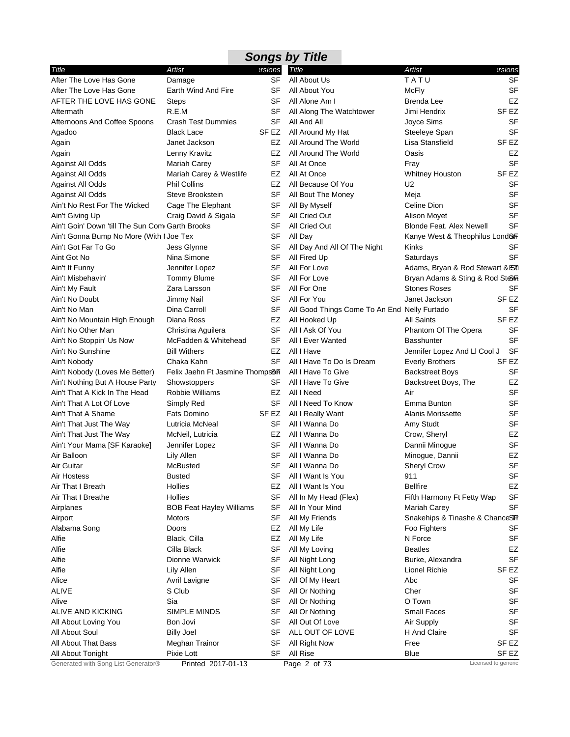|                                                 |                                             |           | <b>Songs by Title</b>                        |                                 |                  |
|-------------------------------------------------|---------------------------------------------|-----------|----------------------------------------------|---------------------------------|------------------|
| Title                                           | Artist                                      | ersions   | Title                                        | Artist                          | ersions          |
| After The Love Has Gone                         | Damage                                      | <b>SF</b> | All About Us                                 | TATU                            | SF               |
| After The Love Has Gone                         | Earth Wind And Fire                         | SF        | All About You                                | <b>McFly</b>                    | <b>SF</b>        |
| AFTER THE LOVE HAS GONE                         | Steps                                       | SF        | All Alone Am I                               | Brenda Lee                      | <b>EZ</b>        |
| Aftermath                                       | R.E.M                                       | SF        | All Along The Watchtower                     | Jimi Hendrix                    | SF EZ            |
| Afternoons And Coffee Spoons                    | <b>Crash Test Dummies</b>                   | SF        | All And All                                  | Joyce Sims                      | SF               |
| Agadoo                                          | Black Lace                                  | SF EZ     | All Around My Hat                            | Steeleye Span                   | <b>SF</b>        |
| Again                                           | Janet Jackson                               | EZ        | All Around The World                         | Lisa Stansfield                 | SF EZ            |
| Again                                           | Lenny Kravitz                               | EZ        | All Around The World                         | Oasis                           | EZ               |
| Against All Odds                                | <b>Mariah Carey</b>                         | SF        | All At Once                                  | Fray                            | <b>SF</b>        |
| Against All Odds                                | Mariah Carey & Westlife                     | EZ        | All At Once                                  | <b>Whitney Houston</b>          | SF EZ            |
| Against All Odds                                | Phil Collins                                | EZ        | All Because Of You                           | U2                              | SF               |
| Against All Odds                                | Steve Brookstein                            | SF        | All Bout The Money                           | Meja                            | <b>SF</b>        |
| Ain't No Rest For The Wicked                    | Cage The Elephant                           | SF        | All By Myself                                | Celine Dion                     | SF               |
| Ain't Giving Up                                 | Craig David & Sigala                        | SF        | All Cried Out                                | Alison Moyet                    | <b>SF</b>        |
| Ain't Goin' Down 'till The Sun Com Garth Brooks |                                             | SF        | All Cried Out                                | <b>Blonde Feat. Alex Newell</b> | <b>SF</b>        |
| Ain't Gonna Bump No More (With I Joe Tex        |                                             | <b>SF</b> | All Day                                      | Kanye West & Theophilus Lond&F  |                  |
| Ain't Got Far To Go                             | Jess Glynne                                 | SF        | All Day And All Of The Night                 | Kinks                           | SF               |
| Aint Got No                                     | Nina Simone                                 | <b>SF</b> | All Fired Up                                 | Saturdays                       | <b>SF</b>        |
| Ain't It Funny                                  | Jennifer Lopez                              | SF        | All For Love                                 | Adams, Bryan & Rod Stewart & EZ |                  |
| Ain't Misbehavin'                               | <b>Tommy Blume</b>                          | SF        | All For Love                                 | Bryan Adams & Sting & Rod Steer |                  |
| Ain't My Fault                                  | Zara Larsson                                | SF        | All For One                                  | <b>Stones Roses</b>             | SF               |
| Ain't No Doubt                                  | Jimmy Nail                                  | SF        | All For You                                  | Janet Jackson                   | SF EZ            |
| Ain't No Man                                    | Dina Carroll                                | SF        | All Good Things Come To An End Nelly Furtado |                                 | <b>SF</b>        |
| Ain't No Mountain High Enough                   | Diana Ross                                  | EZ        | All Hooked Up                                | All Saints                      | SF <sub>EZ</sub> |
| Ain't No Other Man                              | Christina Aguilera                          | SF        | All I Ask Of You                             | Phantom Of The Opera            | <b>SF</b>        |
| Ain't No Stoppin' Us Now                        | McFadden & Whitehead                        | SF        | All I Ever Wanted                            | <b>Basshunter</b>               | <b>SF</b>        |
| Ain't No Sunshine                               | <b>Bill Withers</b>                         | EZ        | All I Have                                   | Jennifer Lopez And LI Cool J    | <b>SF</b>        |
| Ain't Nobody                                    | Chaka Kahn                                  | SF        | All I Have To Do Is Dream                    | <b>Everly Brothers</b>          | SF EZ            |
| Ain't Nobody (Loves Me Better)                  | Felix Jaehn Ft Jasmine Thomps <sup>36</sup> |           | All I Have To Give                           | <b>Backstreet Boys</b>          | <b>SF</b>        |
| Ain't Nothing But A House Party                 | Showstoppers                                | SF        | All I Have To Give                           | Backstreet Boys, The            | EZ               |
| Ain't That A Kick In The Head                   | Robbie Williams                             | EZ        | All I Need                                   | Air                             | <b>SF</b>        |
| Ain't That A Lot Of Love                        | Simply Red                                  | SF        | All I Need To Know                           | Emma Bunton                     | <b>SF</b>        |
| Ain't That A Shame                              | Fats Domino                                 | SF EZ     | All I Really Want                            | Alanis Morissette               | <b>SF</b>        |
| Ain't That Just The Way                         | Lutricia McNeal                             | SF        | All I Wanna Do                               | Amy Studt                       | SF               |
| Ain't That Just The Way                         | McNeil, Lutricia                            | EZ.       | All I Wanna Do                               | Crow, Sheryl                    | EZ               |
| Ain't Your Mama [SF Karaoke]                    | Jennifer Lopez                              | SF        | All I Wanna Do                               | Dannii Minogue                  | <b>SF</b>        |
| Air Balloon                                     | Lily Allen                                  | SF        | All I Wanna Do                               | Minogue, Dannii                 | <b>EZ</b>        |
| Air Guitar                                      | McBusted                                    | SF        | All I Wanna Do                               | Sheryl Crow                     | SF               |
| Air Hostess                                     | <b>Busted</b>                               | SF        | All I Want Is You                            | 911                             | <b>SF</b>        |
| Air That I Breath                               | Hollies                                     | EZ        | All I Want Is You                            | <b>Bellfire</b>                 | EZ               |
| Air That I Breathe                              | Hollies                                     | SF        | All In My Head (Flex)                        | Fifth Harmony Ft Fetty Wap      | <b>SF</b>        |
| Airplanes                                       | <b>BOB Feat Hayley Williams</b>             | SF        | All In Your Mind                             | Mariah Carey                    | <b>SF</b>        |
| Airport                                         | Motors                                      | SF        | All My Friends                               | Snakehips & Tinashe & ChanceSTF |                  |
| Alabama Song                                    | Doors                                       | EZ        | All My Life                                  | Foo Fighters                    | SF               |
| Alfie                                           | Black, Cilla                                | EZ        | All My Life                                  | N Force                         | <b>SF</b>        |
| Alfie                                           | Cilla Black                                 | <b>SF</b> | All My Loving                                | <b>Beatles</b>                  | EZ               |
| Alfie                                           | Dionne Warwick                              | SF        | All Night Long                               | Burke, Alexandra                | <b>SF</b>        |
| Alfie                                           | Lily Allen                                  | <b>SF</b> | All Night Long                               | Lionel Richie                   | SF EZ            |
| Alice                                           | Avril Lavigne                               | SF        | All Of My Heart                              | Abc                             | SF               |
| <b>ALIVE</b>                                    | S Club                                      | SF        | All Or Nothing                               | Cher                            | <b>SF</b>        |
| Alive                                           | Sia                                         | SF        | All Or Nothing                               | O Town                          | <b>SF</b>        |
| ALIVE AND KICKING                               | SIMPLE MINDS                                | <b>SF</b> | All Or Nothing                               | <b>Small Faces</b>              | <b>SF</b>        |
|                                                 |                                             | SF        | All Out Of Love                              | Air Supply                      | <b>SF</b>        |
| All About Loving You                            | Bon Jovi                                    |           |                                              |                                 |                  |
| All About Soul                                  | <b>Billy Joel</b>                           | SF        | ALL OUT OF LOVE                              | H And Claire                    | <b>SF</b>        |
| All About That Bass<br>All About Tonight        | Meghan Trainor<br>Pixie Lott                | <b>SF</b> | All Right Now<br>All Rise                    | Free                            | SF EZ            |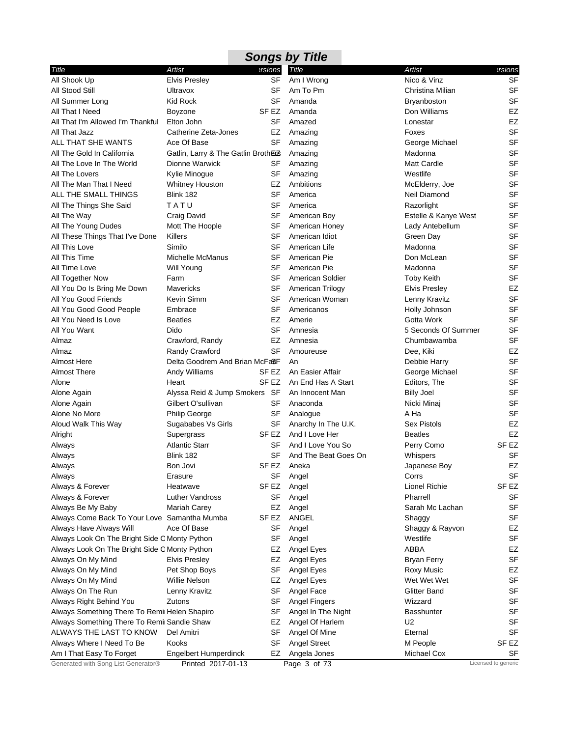|                                               |                                     |                  | <b>Songs by Title</b> |                      |                     |
|-----------------------------------------------|-------------------------------------|------------------|-----------------------|----------------------|---------------------|
| Title                                         | Artist                              | ersions          | Title                 | <b>Artist</b>        | ersions             |
| All Shook Up                                  | <b>Elvis Presley</b>                | SF               | Am I Wrong            | Nico & Vinz          | <b>SF</b>           |
| All Stood Still                               | Ultravox                            | SF               | Am To Pm              | Christina Milian     | <b>SF</b>           |
| All Summer Long                               | <b>Kid Rock</b>                     | SF               | Amanda                | <b>Bryanboston</b>   | <b>SF</b>           |
| All That I Need                               | Boyzone                             | SF EZ            | Amanda                | Don Williams         | EZ                  |
| All That I'm Allowed I'm Thankful             | Elton John                          | SF               | Amazed                | Lonestar             | EZ                  |
| All That Jazz                                 | Catherine Zeta-Jones                | EZ               | Amazing               | Foxes                | <b>SF</b>           |
| ALL THAT SHE WANTS                            | Ace Of Base                         | SF               | Amazing               | George Michael       | <b>SF</b>           |
| All The Gold In California                    | Gatlin, Larry & The Gatlin Brothers |                  | Amazing               | Madonna              | <b>SF</b>           |
| All The Love In The World                     | Dionne Warwick                      | SF               | Amazing               | Matt Cardle          | <b>SF</b>           |
| All The Lovers                                | Kylie Minogue                       | <b>SF</b>        | Amazing               | Westlife             | <b>SF</b>           |
| All The Man That I Need                       | Whitney Houston                     | EZ               | Ambitions             | McElderry, Joe       | <b>SF</b>           |
| ALL THE SMALL THINGS                          | Blink 182                           | <b>SF</b>        | America               | Neil Diamond         | <b>SF</b>           |
| All The Things She Said                       | TATU                                | SF               | America               | Razorlight           | <b>SF</b>           |
| All The Way                                   | Craig David                         | <b>SF</b>        | American Boy          | Estelle & Kanye West | <b>SF</b>           |
| All The Young Dudes                           | Mott The Hoople                     | SF               | American Honey        | Lady Antebellum      | <b>SF</b>           |
| All These Things That I've Done               | Killers                             | SF               | American Idiot        | Green Day            | <b>SF</b>           |
| All This Love                                 | Similo                              | <b>SF</b>        | American Life         | Madonna              | <b>SF</b>           |
| All This Time                                 | Michelle McManus                    | SF               | American Pie          | Don McLean           | <b>SF</b>           |
| All Time Love                                 | <b>Will Young</b>                   | SF               | American Pie          | Madonna              | <b>SF</b>           |
| All Together Now                              | Farm                                | SF               | American Soldier      | <b>Toby Keith</b>    | <b>SF</b>           |
| All You Do Is Bring Me Down                   | Mavericks                           | SF               | American Trilogy      | <b>Elvis Presley</b> | EZ                  |
| All You Good Friends                          | Kevin Simm                          | SF               | American Woman        | Lenny Kravitz        | <b>SF</b>           |
| All You Good Good People                      | Embrace                             | SF               | Americanos            | Holly Johnson        | <b>SF</b>           |
| All You Need Is Love                          | <b>Beatles</b>                      | EZ               | Amerie                | Gotta Work           | <b>SF</b>           |
| All You Want                                  | Dido                                | <b>SF</b>        | Amnesia               | 5 Seconds Of Summer  | <b>SF</b>           |
| Almaz                                         | Crawford, Randy                     | EZ               | Amnesia               | Chumbawamba          | <b>SF</b>           |
| Almaz                                         | Randy Crawford                      | <b>SF</b>        | Amoureuse             | Dee, Kiki            | EZ                  |
| <b>Almost Here</b>                            | Delta Goodrem And Brian McFa&F      |                  | An                    | Debbie Harry         | <b>SF</b>           |
| <b>Almost There</b>                           | Andy Williams                       | SF EZ            | An Easier Affair      | George Michael       | <b>SF</b>           |
| Alone                                         | Heart                               | SF EZ            | An End Has A Start    | Editors, The         | <b>SF</b>           |
| Alone Again                                   | Alyssa Reid & Jump Smokers SF       |                  | An Innocent Man       | <b>Billy Joel</b>    | <b>SF</b>           |
| Alone Again                                   | Gilbert O'sullivan                  | SF               | Anaconda              | Nicki Minaj          | <b>SF</b>           |
| Alone No More                                 | <b>Philip George</b>                | SF               | Analogue              | A Ha                 | <b>SF</b>           |
| Aloud Walk This Way                           | Sugababes Vs Girls                  | SF               | Anarchy In The U.K.   | <b>Sex Pistols</b>   | EZ                  |
| Alright                                       | Supergrass                          | SF EZ            | And I Love Her        | <b>Beatles</b>       | EZ                  |
| Always                                        | <b>Atlantic Starr</b>               | SF               | And I Love You So     | Perry Como           | SF <sub>EZ</sub>    |
| Always                                        | Blink 182                           | <b>SF</b>        | And The Beat Goes On  | Whispers             | <b>SF</b>           |
| Always                                        | Bon Jovi                            | SF EZ            | Aneka                 | Japanese Boy         | EZ                  |
| Always                                        | Erasure                             | SF               | Angel                 | Corrs                | <b>SF</b>           |
| Always & Forever                              | Heatwave                            | SF EZ            | Angel                 | Lionel Richie        | SF <sub>EZ</sub>    |
| Always & Forever                              | Luther Vandross                     | <b>SF</b>        | Angel                 | Pharrell             | <b>SF</b>           |
| Always Be My Baby                             | Mariah Carey                        | EZ               | Angel                 | Sarah Mc Lachan      | <b>SF</b>           |
| Always Come Back To Your Love Samantha Mumba  |                                     | SF <sub>EZ</sub> | ANGEL                 | Shaggy               | SF                  |
| Always Have Always Will                       | Ace Of Base                         | SF               | Angel                 | Shaggy & Rayvon      | EZ                  |
| Always Look On The Bright Side C Monty Python |                                     | SF               | Angel                 | Westlife             | <b>SF</b>           |
| Always Look On The Bright Side C Monty Python |                                     | EZ               | Angel Eyes            | <b>ABBA</b>          | EZ                  |
| Always On My Mind                             | <b>Elvis Presley</b>                | EZ               | Angel Eyes            | <b>Bryan Ferry</b>   | <b>SF</b>           |
| Always On My Mind                             | Pet Shop Boys                       | <b>SF</b>        | Angel Eyes            | <b>Roxy Music</b>    | EZ                  |
| Always On My Mind                             | Willie Nelson                       | EZ               | Angel Eyes            | Wet Wet Wet          | <b>SF</b>           |
| Always On The Run                             | Lenny Kravitz                       | <b>SF</b>        | Angel Face            | <b>Glitter Band</b>  | <b>SF</b>           |
| Always Right Behind You                       | Zutons                              | SF               | Angel Fingers         | Wizzard              | SF                  |
| Always Something There To Remi Helen Shapiro  |                                     | <b>SF</b>        | Angel In The Night    | Basshunter           | <b>SF</b>           |
| Always Something There To Remii Sandie Shaw   |                                     | EZ               | Angel Of Harlem       | U2                   | <b>SF</b>           |
| ALWAYS THE LAST TO KNOW                       | Del Amitri                          | SF               | Angel Of Mine         | Eternal              | <b>SF</b>           |
| Always Where I Need To Be                     | Kooks                               | <b>SF</b>        | <b>Angel Street</b>   | M People             | SF <sub>EZ</sub>    |
| Am I That Easy To Forget                      | Engelbert Humperdinck               | EZ               | Angela Jones          | Michael Cox          | <b>SF</b>           |
| Generated with Song List Generator®           | Printed 2017-01-13                  |                  | Page 3 of 73          |                      | Licensed to generic |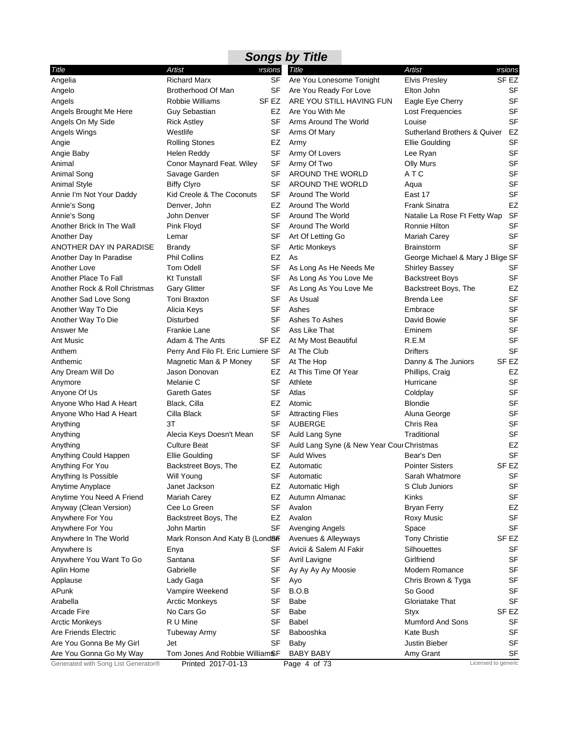|                                     |                                    |                  | <b>Songs by Title</b>                     |                                         |                     |
|-------------------------------------|------------------------------------|------------------|-------------------------------------------|-----------------------------------------|---------------------|
| Title                               | Artist                             | ersions          | <b>Title</b>                              | Artist                                  | ersions             |
| Angelia                             | <b>Richard Marx</b>                | SF               | Are You Lonesome Tonight                  | <b>Elvis Presley</b>                    | SF <sub>EZ</sub>    |
| Angelo                              | Brotherhood Of Man                 | <b>SF</b>        | Are You Ready For Love                    | Elton John                              | <b>SF</b>           |
| Angels                              | Robbie Williams                    | SF <sub>EZ</sub> | ARE YOU STILL HAVING FUN                  | Eagle Eye Cherry                        | <b>SF</b>           |
| Angels Brought Me Here              | Guy Sebastian                      | EZ               | Are You With Me                           | Lost Frequencies                        | <b>SF</b>           |
| Angels On My Side                   | <b>Rick Astley</b>                 | SF               | Arms Around The World                     | Louise                                  | <b>SF</b>           |
| Angels Wings                        | Westlife                           | SF               | Arms Of Mary                              | <b>Sutherland Brothers &amp; Quiver</b> | EZ                  |
| Angie                               | <b>Rolling Stones</b>              | EZ               | Army                                      | <b>Ellie Goulding</b>                   | <b>SF</b>           |
| Angie Baby                          | Helen Reddy                        | SF               | Army Of Lovers                            | Lee Ryan                                | <b>SF</b>           |
| Animal                              | Conor Maynard Feat. Wiley          | SF               | Army Of Two                               | <b>Olly Murs</b>                        | <b>SF</b>           |
| Animal Song                         | Savage Garden                      | <b>SF</b>        | AROUND THE WORLD                          | ATC                                     | <b>SF</b>           |
| <b>Animal Style</b>                 | <b>Biffy Clyro</b>                 | SF               | <b>AROUND THE WORLD</b>                   | Aqua                                    | <b>SF</b>           |
| Annie I'm Not Your Daddy            | Kid Creole & The Coconuts          | SF               | Around The World                          | East 17                                 | <b>SF</b>           |
| Annie's Song                        | Denver, John                       | EZ               | Around The World                          | <b>Frank Sinatra</b>                    | EZ                  |
| Annie's Song                        | John Denver                        | SF               | Around The World                          | Natalie La Rose Ft Fetty Wap            | <b>SF</b>           |
| Another Brick In The Wall           | Pink Floyd                         | <b>SF</b>        | Around The World                          | Ronnie Hilton                           | <b>SF</b>           |
| <b>Another Day</b>                  | Lemar                              | SF               | Art Of Letting Go                         | Mariah Carey                            | <b>SF</b>           |
| ANOTHER DAY IN PARADISE             | <b>Brandy</b>                      | SF               | <b>Artic Monkeys</b>                      | <b>Brainstorm</b>                       | <b>SF</b>           |
| Another Day In Paradise             | <b>Phil Collins</b>                | EZ               | As                                        | George Michael & Mary J Blige SF        |                     |
| Another Love                        | <b>Tom Odell</b>                   | SF               | As Long As He Needs Me                    | <b>Shirley Bassey</b>                   | SF                  |
| Another Place To Fall               | <b>Kt Tunstall</b>                 | SF               | As Long As You Love Me                    |                                         | <b>SF</b>           |
| Another Rock & Roll Christmas       | <b>Gary Glitter</b>                | SF               | As Long As You Love Me                    | <b>Backstreet Boys</b>                  | EZ                  |
|                                     |                                    | <b>SF</b>        | As Usual                                  | Backstreet Boys, The                    | <b>SF</b>           |
| Another Sad Love Song               | Toni Braxton                       |                  | Ashes                                     | <b>Brenda Lee</b>                       | <b>SF</b>           |
| Another Way To Die                  | Alicia Keys                        | SF               |                                           | Embrace                                 | <b>SF</b>           |
| Another Way To Die                  | Disturbed                          | SF               | Ashes To Ashes                            | David Bowie                             |                     |
| Answer Me                           | Frankie Lane                       | <b>SF</b>        | Ass Like That                             | Eminem                                  | <b>SF</b>           |
| Ant Music                           | Adam & The Ants                    | SF EZ            | At My Most Beautiful                      | R.E.M                                   | <b>SF</b>           |
| Anthem                              | Perry And Filo Ft. Eric Lumiere SF |                  | At The Club                               | <b>Drifters</b>                         | <b>SF</b>           |
| Anthemic                            | Magnetic Man & P Money             | SF               | At The Hop                                | Danny & The Juniors                     | SF <sub>EZ</sub>    |
| Any Dream Will Do                   | Jason Donovan                      | EZ               | At This Time Of Year                      | Phillips, Craig                         | EZ                  |
| Anymore                             | Melanie C                          | <b>SF</b>        | Athlete                                   | Hurricane                               | <b>SF</b>           |
| Anyone Of Us                        | <b>Gareth Gates</b>                | <b>SF</b>        | Atlas                                     | Coldplay                                | <b>SF</b>           |
| Anyone Who Had A Heart              | Black, Cilla                       | EZ               | Atomic                                    | <b>Blondie</b>                          | <b>SF</b>           |
| Anyone Who Had A Heart              | Cilla Black                        | <b>SF</b>        | <b>Attracting Flies</b>                   | Aluna George                            | <b>SF</b>           |
| Anything                            | 3T                                 | SF               | <b>AUBERGE</b>                            | Chris Rea                               | <b>SF</b>           |
| Anything                            | Alecia Keys Doesn't Mean           | SF               | Auld Lang Syne                            | Traditional                             | <b>SF</b>           |
| Anything                            | <b>Culture Beat</b>                | SF               | Auld Lang Syne (& New Year Cour Christmas |                                         | EZ                  |
| Anything Could Happen               | Ellie Goulding                     | <b>SF</b>        | <b>Auld Wives</b>                         | Bear's Den                              | <b>SF</b>           |
| Anything For You                    | Backstreet Boys, The               | EZ               | Automatic                                 | <b>Pointer Sisters</b>                  | SF <sub>EZ</sub>    |
| Anything Is Possible                | Will Young                         | SF               | Automatic                                 | Sarah Whatmore                          | SF                  |
| Anytime Anyplace                    | Janet Jackson                      | EZ               | Automatic High                            | S Club Juniors                          | <b>SF</b>           |
| Anytime You Need A Friend           | Mariah Carey                       | EZ               | Autumn Almanac                            | Kinks                                   | SF                  |
| Anyway (Clean Version)              | Cee Lo Green                       | SF               | Avalon                                    | <b>Bryan Ferry</b>                      | EZ                  |
| Anywhere For You                    | Backstreet Boys, The               | EZ               | Avalon                                    | <b>Roxy Music</b>                       | SF                  |
| Anywhere For You                    | John Martin                        | SF               | Avenging Angels                           | Space                                   | <b>SF</b>           |
| Anywhere In The World               | Mark Ronson And Katy B (Lond&F     |                  | Avenues & Alleyways                       | <b>Tony Christie</b>                    | SF EZ               |
| Anywhere Is                         | Enya                               | SF               | Avicii & Salem Al Fakir                   | Silhouettes                             | SF                  |
| Anywhere You Want To Go             | Santana                            | SF               | Avril Lavigne                             | Girlfriend                              | <b>SF</b>           |
| Aplin Home                          | Gabrielle                          | <b>SF</b>        | Ay Ay Ay Ay Moosie                        | Modern Romance                          | SF                  |
| Applause                            | Lady Gaga                          | SF               | Ayo                                       | Chris Brown & Tyga                      | SF                  |
| APunk                               | Vampire Weekend                    | SF               | B.O.B                                     | So Good                                 | SF                  |
| Arabella                            | <b>Arctic Monkeys</b>              | SF               | Babe                                      | Gloriatake That                         | SF                  |
| <b>Arcade Fire</b>                  | No Cars Go                         | <b>SF</b>        | <b>Babe</b>                               | Styx                                    | SF EZ               |
| <b>Arctic Monkeys</b>               | R U Mine                           | <b>SF</b>        | Babel                                     | Mumford And Sons                        | SF                  |
| Are Friends Electric                | <b>Tubeway Army</b>                | <b>SF</b>        | Babooshka                                 | Kate Bush                               | <b>SF</b>           |
| Are You Gonna Be My Girl            | Jet                                | SF               | Baby                                      | Justin Bieber                           | <b>SF</b>           |
| Are You Gonna Go My Way             | Tom Jones And Robbie WilliamSF     |                  | <b>BABY BABY</b>                          | Amy Grant                               | <b>SF</b>           |
| Generated with Song List Generator® | Printed 2017-01-13                 |                  | Page 4 of 73                              |                                         | Licensed to generic |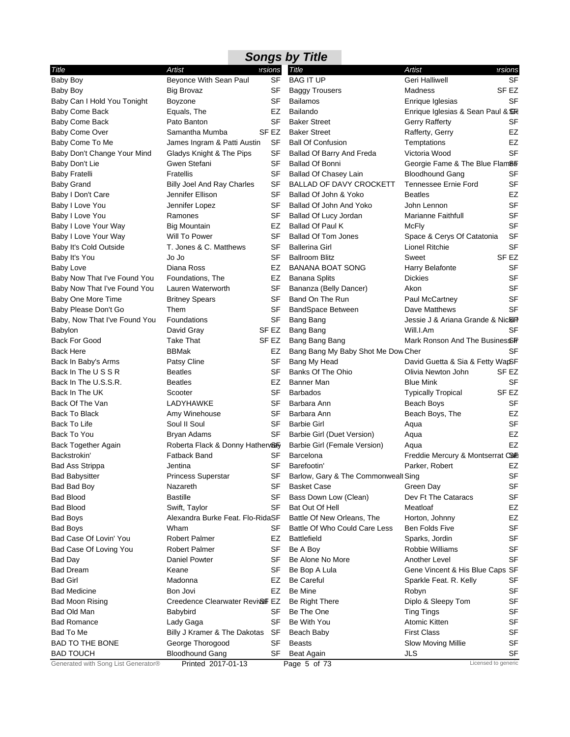|                                            |                                            |                | <b>Songs by Title</b>               |                                    |                  |
|--------------------------------------------|--------------------------------------------|----------------|-------------------------------------|------------------------------------|------------------|
| Title                                      | Artist                                     | <b>ersions</b> | Title                               | Artist                             | ersions          |
| <b>Baby Boy</b>                            | Beyonce With Sean Paul                     | <b>SF</b>      | <b>BAG IT UP</b>                    | Geri Halliwell                     | <b>SF</b>        |
| Baby Boy                                   | <b>Big Brovaz</b>                          | SF             | <b>Baggy Trousers</b>               | Madness                            | SF EZ            |
| Baby Can I Hold You Tonight                | Boyzone                                    | SF             | <b>Bailamos</b>                     | Enrique Iglesias                   | <b>SF</b>        |
| Baby Come Back                             | Equals, The                                | EZ             | Bailando                            | Enrique Iglesias & Sean Paul & SHE |                  |
| Baby Come Back                             | Pato Banton                                | SF             | <b>Baker Street</b>                 | Gerry Rafferty                     | SF               |
| Baby Come Over                             | Samantha Mumba                             | SF EZ          | <b>Baker Street</b>                 | Rafferty, Gerry                    | EZ               |
| Baby Come To Me                            | James Ingram & Patti Austin                | SF             | <b>Ball Of Confusion</b>            | Temptations                        | EZ               |
| Baby Don't Change Your Mind                | Gladys Knight & The Pips                   | SF             | Ballad Of Barry And Freda           | Victoria Wood                      | <b>SF</b>        |
| Baby Don't Lie                             | Gwen Stefani                               | SF             | <b>Ballad Of Bonni</b>              | Georgie Fame & The Blue Flam&F     |                  |
| <b>Baby Fratelli</b>                       | <b>Fratellis</b>                           | SF             | <b>Ballad Of Chasey Lain</b>        | <b>Bloodhound Gang</b>             | <b>SF</b>        |
| <b>Baby Grand</b>                          | <b>Billy Joel And Ray Charles</b>          | SF             | <b>BALLAD OF DAVY CROCKETT</b>      | Tennessee Ernie Ford               | <b>SF</b>        |
| Baby I Don't Care                          | Jennifer Ellison                           | SF             | Ballad Of John & Yoko               | <b>Beatles</b>                     | EZ               |
| Baby I Love You                            | Jennifer Lopez                             | SF             | Ballad Of John And Yoko             | John Lennon                        | <b>SF</b>        |
| Baby I Love You                            | Ramones                                    | SF             | Ballad Of Lucy Jordan               | Marianne Faithfull                 | <b>SF</b>        |
| Baby I Love Your Way                       | <b>Big Mountain</b>                        | EZ             | Ballad Of Paul K                    | <b>McFly</b>                       | <b>SF</b>        |
| Baby I Love Your Way                       | Will To Power                              | SF             | <b>Ballad Of Tom Jones</b>          | Space & Cerys Of Catatonia         | <b>SF</b>        |
| Baby It's Cold Outside                     | T. Jones & C. Matthews                     | SF             | <b>Ballerina Girl</b>               | Lionel Ritchie                     | <b>SF</b>        |
| Baby It's You                              | Jo Jo                                      | SF             | <b>Ballroom Blitz</b>               | Sweet                              | SF <sub>EZ</sub> |
| Baby Love                                  | Diana Ross                                 | EZ             | <b>BANANA BOAT SONG</b>             | Harry Belafonte                    | SF               |
| Baby Now That I've Found You               | Foundations, The                           | EZ             | <b>Banana Splits</b>                | <b>Dickies</b>                     | SF               |
| Baby Now That I've Found You               | Lauren Waterworth                          | SF             | Bananza (Belly Dancer)              | Akon                               | <b>SF</b>        |
| Baby One More Time                         | <b>Britney Spears</b>                      | SF             | Band On The Run                     | Paul McCartney                     | <b>SF</b>        |
| Baby Please Don't Go                       | Them                                       | SF             | <b>BandSpace Between</b>            | Dave Matthews                      | <b>SF</b>        |
| Baby, Now That I've Found You              | Foundations                                | SF             | Bang Bang                           | Jessie J & Ariana Grande & Nic&FI  |                  |
| <b>Babylon</b>                             | David Gray                                 | SF EZ          | Bang Bang                           | Will.I.Am                          | SF               |
| <b>Back For Good</b>                       | <b>Take That</b>                           | SF EZ          | Bang Bang Bang                      | Mark Ronson And The Busines SF     |                  |
| <b>Back Here</b>                           | <b>BBMak</b>                               | EZ             | Bang Bang My Baby Shot Me Dow Cher  |                                    | SF               |
| Back In Baby's Arms                        | Patsy Cline                                | SF             | Bang My Head                        | David Guetta & Sia & Fetty WapSF   |                  |
| Back In The USSR                           | <b>Beatles</b>                             | SF             | Banks Of The Ohio                   | Olivia Newton John                 | SF EZ            |
| Back In The U.S.S.R.                       | <b>Beatles</b>                             | EZ             | <b>Banner Man</b>                   | <b>Blue Mink</b>                   | SF               |
| Back In The UK                             | Scooter                                    | SF             | <b>Barbados</b>                     | <b>Typically Tropical</b>          | SF EZ            |
| Back Of The Van                            | LADYHAWKE                                  | SF             | Barbara Ann                         | Beach Boys                         | SF               |
| <b>Back To Black</b>                       | Amy Winehouse                              | SF             | Barbara Ann                         | Beach Boys, The                    | EZ               |
| Back To Life                               | Soul II Soul                               | SF             | <b>Barbie Girl</b>                  | Aqua                               | <b>SF</b>        |
| Back To You                                | Bryan Adams                                | SF             | Barbie Girl (Duet Version)          | Aqua                               | EZ               |
| Back Together Again                        | Roberta Flack & Donny Hatherw&Fy           |                | Barbie Girl (Female Version)        | Aqua                               | EZ               |
| Backstrokin'                               | Fatback Band                               | SF             | Barcelona                           | Freddie Mercury & Montserrat Carb  |                  |
| <b>Bad Ass Strippa</b>                     | Jentina                                    |                | SF Barefootin'                      | Parker, Robert                     | EZ               |
| <b>Bad Babysitter</b>                      | <b>Princess Superstar</b>                  | SF             | Barlow, Gary & The Commonwealt Sing |                                    | <b>SF</b>        |
| Bad Bad Boy                                | Nazareth                                   | SF             | <b>Basket Case</b>                  | Green Day                          | SF               |
| <b>Bad Blood</b>                           | <b>Bastille</b>                            | SF             | Bass Down Low (Clean)               | Dev Ft The Cataracs                | SF               |
| <b>Bad Blood</b>                           | Swift, Taylor                              | SF             | Bat Out Of Hell                     | Meatloaf                           | EZ               |
| <b>Bad Boys</b>                            | Alexandra Burke Feat. Flo-RidaSF           |                | Battle Of New Orleans, The          | Horton, Johnny                     | EZ               |
| Bad Boys                                   | Wham                                       | SF             | Battle Of Who Could Care Less       | Ben Folds Five                     | <b>SF</b>        |
| Bad Case Of Lovin' You                     | <b>Robert Palmer</b>                       | EZ             | Battlefield                         | Sparks, Jordin                     | <b>SF</b>        |
| Bad Case Of Loving You                     | <b>Robert Palmer</b>                       | SF             | Be A Boy                            | Robbie Williams                    | SF               |
| Bad Day                                    | Daniel Powter                              | SF             | Be Alone No More                    | Another Level                      | <b>SF</b>        |
| <b>Bad Dream</b>                           | Keane                                      | SF             | Be Bop A Lula                       | Gene Vincent & His Blue Caps SF    |                  |
| <b>Bad Girl</b>                            | Madonna                                    | EZ             | <b>Be Careful</b>                   | Sparkle Feat. R. Kelly             | SF               |
| <b>Bad Medicine</b>                        | Bon Jovi                                   |                | Be Mine                             |                                    | SF               |
|                                            |                                            | EZ             |                                     | Robyn                              | <b>SF</b>        |
| <b>Bad Moon Rising</b>                     | Creedence Clearwater Revi& FEZ             |                | Be Right There                      | Diplo & Sleepy Tom                 |                  |
| Bad Old Man                                | Babybird                                   | SF             | Be The One                          | <b>Ting Tings</b>                  | SF               |
| <b>Bad Romance</b>                         | Lady Gaga                                  | SF             | Be With You                         | Atomic Kitten                      | SF               |
| Bad To Me                                  | Billy J Kramer & The Dakotas               | SF             | Beach Baby                          | <b>First Class</b>                 | <b>SF</b>        |
| <b>BAD TO THE BONE</b><br><b>BAD TOUCH</b> | George Thorogood<br><b>Bloodhound Gang</b> | SF<br>SF       | <b>Beasts</b><br>Beat Again         | Slow Moving Millie<br><b>JLS</b>   | <b>SF</b><br>SF  |
|                                            |                                            |                |                                     |                                    |                  |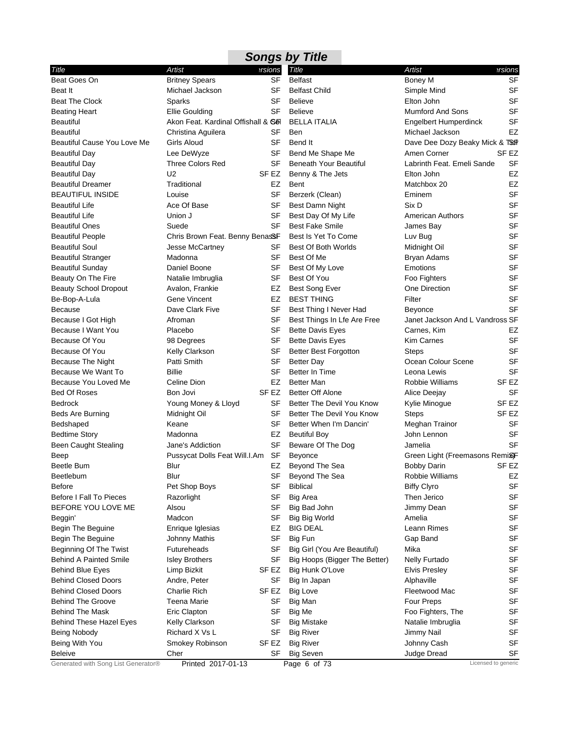|                                     |                                     |           | <b>Songs by Title</b>         |                                 |                     |
|-------------------------------------|-------------------------------------|-----------|-------------------------------|---------------------------------|---------------------|
| Title                               | Artist                              | ersions   | <b>Title</b>                  | Artist                          | ersions             |
| Beat Goes On                        | <b>Britney Spears</b>               | SF        | <b>Belfast</b>                | Boney M                         | SF                  |
| Beat It                             | Michael Jackson                     | SF        | <b>Belfast Child</b>          | Simple Mind                     | <b>SF</b>           |
| <b>Beat The Clock</b>               | Sparks                              | SF        | <b>Believe</b>                | Elton John                      | SF                  |
| <b>Beating Heart</b>                | Ellie Goulding                      | SF        | <b>Believe</b>                | <b>Mumford And Sons</b>         | <b>SF</b>           |
| <b>Beautiful</b>                    | Akon Feat. Kardinal Offishall & Sol |           | <b>BELLA ITALIA</b>           | Engelbert Humperdinck           | SF                  |
| <b>Beautiful</b>                    | Christina Aguilera                  | SF        | <b>Ben</b>                    | Michael Jackson                 | EZ                  |
| Beautiful Cause You Love Me         | Girls Aloud                         | <b>SF</b> | Bend It                       | Dave Dee Dozy Beaky Mick & TSGF |                     |
| <b>Beautiful Day</b>                | Lee DeWyze                          | SF        | Bend Me Shape Me              | Amen Corner                     | SF <sub>EZ</sub>    |
| <b>Beautiful Day</b>                | <b>Three Colors Red</b>             | SF        | <b>Beneath Your Beautiful</b> | Labrinth Feat. Emeli Sande      | SF                  |
| <b>Beautiful Day</b>                | U <sub>2</sub>                      | SF EZ     | Benny & The Jets              | Elton John                      | EZ                  |
| <b>Beautiful Dreamer</b>            | Traditional                         | EZ        | <b>Bent</b>                   | Matchbox 20                     | EZ                  |
| <b>BEAUTIFUL INSIDE</b>             | Louise                              | SF        | Berzerk (Clean)               | Eminem                          | <b>SF</b>           |
| <b>Beautiful Life</b>               | Ace Of Base                         | SF        | Best Damn Night               | Six D                           | SF                  |
| <b>Beautiful Life</b>               | Union J                             | SF        | Best Day Of My Life           | <b>American Authors</b>         | <b>SF</b>           |
| <b>Beautiful Ones</b>               | Suede                               | <b>SF</b> | <b>Best Fake Smile</b>        | James Bay                       | <b>SF</b>           |
| <b>Beautiful People</b>             | Chris Brown Feat. Benny BenasSF     |           | Best Is Yet To Come           | Luv Bug                         | <b>SF</b>           |
| <b>Beautiful Soul</b>               | Jesse McCartney                     | SF        | Best Of Both Worlds           | Midnight Oil                    | <b>SF</b>           |
| <b>Beautiful Stranger</b>           | Madonna                             | SF        | Best Of Me                    | Bryan Adams                     | <b>SF</b>           |
| <b>Beautiful Sunday</b>             | Daniel Boone                        | SF        | Best Of My Love               | Emotions                        | SF                  |
| Beauty On The Fire                  | Natalie Imbruglia                   | SF        | Best Of You                   | Foo Fighters                    | SF                  |
| <b>Beauty School Dropout</b>        | Avalon, Frankie                     | EZ        | <b>Best Song Ever</b>         | One Direction                   | <b>SF</b>           |
| Be-Bop-A-Lula                       | Gene Vincent                        | EZ        | <b>BEST THING</b>             | Filter                          | <b>SF</b>           |
| <b>Because</b>                      | Dave Clark Five                     | SF        | Best Thing I Never Had        | <b>Beyonce</b>                  | <b>SF</b>           |
| Because I Got High                  | Afroman                             | SF        | Best Things In Lfe Are Free   | Janet Jackson And L Vandross SF |                     |
| Because I Want You                  | Placebo                             | SF        | <b>Bette Davis Eyes</b>       | Carnes, Kim                     | EZ                  |
| Because Of You                      | 98 Degrees                          | <b>SF</b> | <b>Bette Davis Eyes</b>       | <b>Kim Carnes</b>               | SF                  |
| Because Of You                      | Kelly Clarkson                      | SF        | <b>Better Best Forgotton</b>  | <b>Steps</b>                    | <b>SF</b>           |
| Because The Night                   | Patti Smith                         | SF        | Better Day                    | Ocean Colour Scene              | <b>SF</b>           |
| Because We Want To                  | <b>Billie</b>                       | SF        | Better In Time                | Leona Lewis                     | <b>SF</b>           |
| Because You Loved Me                | Celine Dion                         | EZ        | <b>Better Man</b>             | Robbie Williams                 | SF <sub>EZ</sub>    |
| <b>Bed Of Roses</b>                 | Bon Jovi                            | SF EZ     | <b>Better Off Alone</b>       | Alice Deejay                    | SF                  |
| <b>Bedrock</b>                      | Young Money & Lloyd                 | SF        | Better The Devil You Know     | Kylie Minogue                   | SF EZ               |
| Beds Are Burning                    | Midnight Oil                        | SF        | Better The Devil You Know     | <b>Steps</b>                    | SF EZ               |
| Bedshaped                           | Keane                               | <b>SF</b> | Better When I'm Dancin'       | Meghan Trainor                  | <b>SF</b>           |
| <b>Bedtime Story</b>                | Madonna                             | EZ        | <b>Beutiful Boy</b>           | John Lennon                     | <b>SF</b>           |
| <b>Been Caught Stealing</b>         | Jane's Addiction                    | SF        | Beware Of The Dog             | Jamelia                         | SF                  |
| Beep                                | Pussycat Dolls Feat Will.I.Am SF    |           | <b>Beyonce</b>                | Green Light (Freemasons Remi&F  |                     |
| Beetle Bum                          | Blur                                |           | EZ Beyond The Sea             | <b>Bobby Darin</b>              | SF <sub>F7</sub>    |
| Beetlebum                           | Blur                                | SF        | Beyond The Sea                | Robbie Williams                 | EZ                  |
| Before                              | Pet Shop Boys                       | SF        | <b>Biblical</b>               | <b>Biffy Clyro</b>              | SF                  |
| <b>Before I Fall To Pieces</b>      | Razorlight                          | SF        | <b>Big Area</b>               | Then Jerico                     | SF                  |
| BEFORE YOU LOVE ME                  | Alsou                               | SF        | Big Bad John                  | Jimmy Dean                      | SF                  |
| Beggin'                             | Madcon                              | SF        | Big Big World                 | Amelia                          | <b>SF</b>           |
| Begin The Beguine                   | Enrique Iglesias                    | EZ        | <b>BIG DEAL</b>               | Leann Rimes                     | <b>SF</b>           |
| Begin The Beguine                   | <b>Johnny Mathis</b>                | SF        | Big Fun                       | Gap Band                        | SF                  |
| Beginning Of The Twist              | Futureheads                         | SF        | Big Girl (You Are Beautiful)  | Mika                            | <b>SF</b>           |
| <b>Behind A Painted Smile</b>       | <b>Isley Brothers</b>               | SF        | Big Hoops (Bigger The Better) | <b>Nelly Furtado</b>            | <b>SF</b>           |
| <b>Behind Blue Eyes</b>             | Limp Bizkit                         | SF EZ     | Big Hunk O'Love               | <b>Elvis Presley</b>            | SF                  |
| <b>Behind Closed Doors</b>          | Andre, Peter                        | SF        | Big In Japan                  | Alphaville                      | SF                  |
| <b>Behind Closed Doors</b>          | Charlie Rich                        | SF EZ     | <b>Big Love</b>               | Fleetwood Mac                   | <b>SF</b>           |
| <b>Behind The Groove</b>            | Teena Marie                         | SF        | Big Man                       | <b>Four Preps</b>               | <b>SF</b>           |
| <b>Behind The Mask</b>              | <b>Eric Clapton</b>                 | SF        | Big Me                        | Foo Fighters, The               | <b>SF</b>           |
| <b>Behind These Hazel Eyes</b>      | Kelly Clarkson                      | SF        | <b>Big Mistake</b>            | Natalie Imbruglia               | <b>SF</b>           |
| Being Nobody                        | Richard X Vs L                      | SF        | <b>Big River</b>              | Jimmy Nail                      | <b>SF</b>           |
| Being With You                      | Smokey Robinson                     | SF EZ     | <b>Big River</b>              | Johnny Cash                     | <b>SF</b>           |
| <b>Beleive</b>                      | Cher                                | SF        | <b>Big Seven</b>              | Judge Dread                     | SF                  |
| Generated with Song List Generator® | Printed 2017-01-13                  |           | Page 6 of 73                  |                                 | Licensed to generic |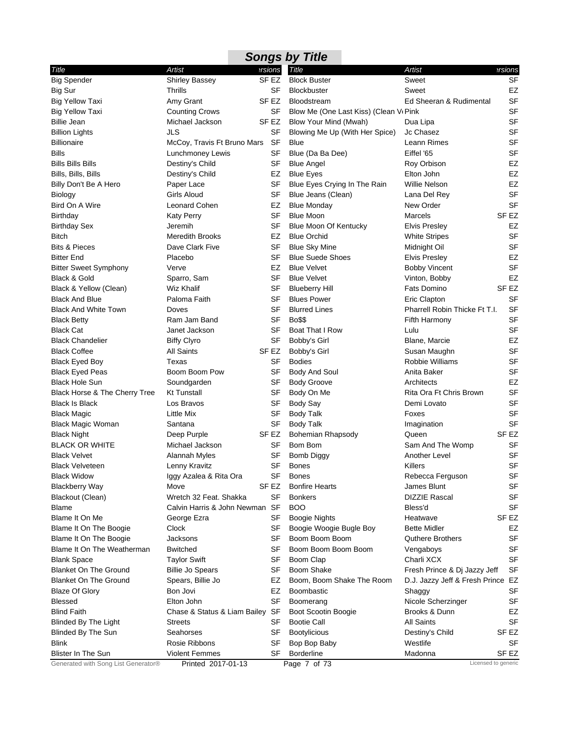## *Songs by Title*

t,

| Title                               | <b>Artist</b>                   | ersions          | Title                                              | Artist                            | ersions             |
|-------------------------------------|---------------------------------|------------------|----------------------------------------------------|-----------------------------------|---------------------|
| <b>Big Spender</b>                  | <b>Shirley Bassey</b>           | SF <sub>EZ</sub> | <b>Block Buster</b>                                | Sweet                             | SF                  |
| Big Sur                             | Thrills                         | SF               | <b>Blockbuster</b>                                 | Sweet                             | EZ                  |
| <b>Big Yellow Taxi</b>              | Amy Grant                       | SF EZ            | <b>Bloodstream</b>                                 | Ed Sheeran & Rudimental           | <b>SF</b>           |
| <b>Big Yellow Taxi</b>              | <b>Counting Crows</b>           | SF               | Blow Me (One Last Kiss) (Clean V <sub>'</sub> Pink |                                   | <b>SF</b>           |
| <b>Billie Jean</b>                  | Michael Jackson                 | SF <sub>EZ</sub> | Blow Your Mind (Mwah)                              | Dua Lipa                          | <b>SF</b>           |
| <b>Billion Lights</b>               | JLS                             | SF               | Blowing Me Up (With Her Spice)                     | Jc Chasez                         | <b>SF</b>           |
| <b>Billionaire</b>                  | McCoy, Travis Ft Bruno Mars     | <b>SF</b>        | Blue                                               | Leann Rimes                       | <b>SF</b>           |
| <b>Bills</b>                        | Lunchmoney Lewis                | SF               | Blue (Da Ba Dee)                                   | Eiffel '65                        | <b>SF</b>           |
| <b>Bills Bills Bills</b>            | Destiny's Child                 | <b>SF</b>        | <b>Blue Angel</b>                                  | Roy Orbison                       | EZ                  |
| Bills, Bills, Bills                 | Destiny's Child                 | EZ               | <b>Blue Eyes</b>                                   | Elton John                        | EZ                  |
| Billy Don't Be A Hero               | Paper Lace                      | SF               | Blue Eyes Crying In The Rain                       | Willie Nelson                     | EZ                  |
| Biology                             | <b>Girls Aloud</b>              | SF               | Blue Jeans (Clean)                                 | Lana Del Rey                      | <b>SF</b>           |
| Bird On A Wire                      | Leonard Cohen                   | EZ               | <b>Blue Monday</b>                                 | New Order                         | <b>SF</b>           |
| Birthday                            | <b>Katy Perry</b>               | SF               | <b>Blue Moon</b>                                   | Marcels                           | SF EZ               |
| <b>Birthday Sex</b>                 | Jeremih                         | SF               | Blue Moon Of Kentucky                              | <b>Elvis Presley</b>              | EZ                  |
| Bitch                               | <b>Meredith Brooks</b>          | EZ               | <b>Blue Orchid</b>                                 | <b>White Stripes</b>              | <b>SF</b>           |
| <b>Bits &amp; Pieces</b>            | Dave Clark Five                 | SF               | <b>Blue Sky Mine</b>                               | Midnight Oil                      | <b>SF</b>           |
| <b>Bitter End</b>                   | Placebo                         | SF               | <b>Blue Suede Shoes</b>                            | <b>Elvis Presley</b>              | EZ                  |
| <b>Bitter Sweet Symphony</b>        | Verve                           | EZ               | <b>Blue Velvet</b>                                 | <b>Bobby Vincent</b>              | <b>SF</b>           |
| Black & Gold                        | Sparro, Sam                     | <b>SF</b>        | <b>Blue Velvet</b>                                 | Vinton, Bobby                     | EZ                  |
| Black & Yellow (Clean)              | <b>Wiz Khalif</b>               | SF               | <b>Blueberry Hill</b>                              | <b>Fats Domino</b>                | SF <sub>EZ</sub>    |
| <b>Black And Blue</b>               | Paloma Faith                    | <b>SF</b>        | <b>Blues Power</b>                                 | Eric Clapton                      | <b>SF</b>           |
| <b>Black And White Town</b>         | Doves                           | SF               | <b>Blurred Lines</b>                               | Pharrell Robin Thicke Ft T.I.     | <b>SF</b>           |
| <b>Black Betty</b>                  | Ram Jam Band                    | <b>SF</b>        | <b>Bo\$\$</b>                                      | Fifth Harmony                     | <b>SF</b>           |
| <b>Black Cat</b>                    | Janet Jackson                   | SF               | Boat That I Row                                    | Lulu                              | <b>SF</b>           |
| <b>Black Chandelier</b>             | <b>Biffy Clyro</b>              | SF               | Bobby's Girl                                       | Blane, Marcie                     | EZ                  |
| <b>Black Coffee</b>                 | <b>All Saints</b>               | SF EZ            | Bobby's Girl                                       | Susan Maughn                      | <b>SF</b>           |
| <b>Black Eyed Boy</b>               | Texas                           | SF               | <b>Bodies</b>                                      | <b>Robbie Williams</b>            | <b>SF</b>           |
| <b>Black Eyed Peas</b>              | Boom Boom Pow                   | SF               | Body And Soul                                      | Anita Baker                       | <b>SF</b>           |
| <b>Black Hole Sun</b>               | Soundgarden                     | SF               | <b>Body Groove</b>                                 | Architects                        | EZ                  |
| Black Horse & The Cherry Tree       | <b>Kt Tunstall</b>              | SF               | Body On Me                                         | Rita Ora Ft Chris Brown           | <b>SF</b>           |
| <b>Black Is Black</b>               | Los Bravos                      | SF               | <b>Body Say</b>                                    | Demi Lovato                       | <b>SF</b>           |
| <b>Black Magic</b>                  | Little Mix                      | SF               | <b>Body Talk</b>                                   | Foxes                             | <b>SF</b>           |
| <b>Black Magic Woman</b>            | Santana                         | SF               | <b>Body Talk</b>                                   | Imagination                       | <b>SF</b>           |
| <b>Black Night</b>                  | Deep Purple                     | SF EZ            | Bohemian Rhapsody                                  | Queen                             | SF <sub>EZ</sub>    |
| <b>BLACK OR WHITE</b>               | Michael Jackson                 | SF               | Bom Bom                                            | Sam And The Womp                  | <b>SF</b>           |
| <b>Black Velvet</b>                 | <b>Alannah Myles</b>            | SF               | Bomb Diggy                                         | Another Level                     | <b>SF</b>           |
| <b>Black Velveteen</b>              | Lenny Kravitz                   | SF               | Bones                                              | Killers                           | <b>SF</b>           |
| <b>Black Widow</b>                  | Iggy Azalea & Rita Ora          | SF               | <b>Bones</b>                                       | Rebecca Ferguson                  | <b>SF</b>           |
| <b>Blackberry Way</b>               | Move                            | SF EZ            | <b>Bonfire Hearts</b>                              | James Blunt                       | <b>SF</b>           |
| Blackout (Clean)                    | Wretch 32 Feat. Shakka          | SF               | <b>Bonkers</b>                                     | <b>DIZZIE Rascal</b>              | SF                  |
| <b>Blame</b>                        | Calvin Harris & John Newman SF  |                  | BOO                                                | Bless'd                           | <b>SF</b>           |
| Blame It On Me                      | George Ezra                     | SF               | <b>Boogie Nights</b>                               | Heatwave                          | SF EZ               |
| Blame It On The Boogie              | Clock                           | SF               | Boogie Woogie Bugle Boy                            | <b>Bette Midler</b>               | EZ                  |
| Blame It On The Boogie              | Jacksons                        | SF               | Boom Boom Boom                                     | <b>Quthere Brothers</b>           | <b>SF</b>           |
| Blame It On The Weatherman          | <b>Bwitched</b>                 | <b>SF</b>        | Boom Boom Boom Boom                                | Vengaboys                         | <b>SF</b>           |
| <b>Blank Space</b>                  | <b>Taylor Swift</b>             | SF               | Boom Clap                                          | Charli XCX                        | <b>SF</b>           |
| <b>Blanket On The Ground</b>        | <b>Billie Jo Spears</b>         | SF               | <b>Boom Shake</b>                                  | Fresh Prince & Dj Jazzy Jeff      | <b>SF</b>           |
| <b>Blanket On The Ground</b>        | Spears, Billie Jo               | EZ               | Boom, Boom Shake The Room                          | D.J. Jazzy Jeff & Fresh Prince EZ |                     |
| <b>Blaze Of Glory</b>               | Bon Jovi                        | EZ               | <b>Boombastic</b>                                  | Shaggy                            | <b>SF</b>           |
| <b>Blessed</b>                      | Elton John                      | SF               | Boomerang                                          | Nicole Scherzinger                | <b>SF</b>           |
| <b>Blind Faith</b>                  | Chase & Status & Liam Bailey SF |                  | Boot Scootin Boogie                                | Brooks & Dunn                     | EZ                  |
| <b>Blinded By The Light</b>         | <b>Streets</b>                  | SF               | <b>Bootie Call</b>                                 | <b>All Saints</b>                 | <b>SF</b>           |
| Blinded By The Sun                  | Seahorses                       | SF               | <b>Bootylicious</b>                                | Destiny's Child                   | SF EZ               |
| Blink                               | Rosie Ribbons                   | SF               | Bop Bop Baby                                       | Westlife                          | SF                  |
| <b>Blister In The Sun</b>           | <b>Violent Femmes</b>           | SF               | <b>Borderline</b>                                  | Madonna                           | SF EZ               |
| Generated with Song List Generator® | Printed 2017-01-13              |                  | Page 7 of 73                                       |                                   | Licensed to generic |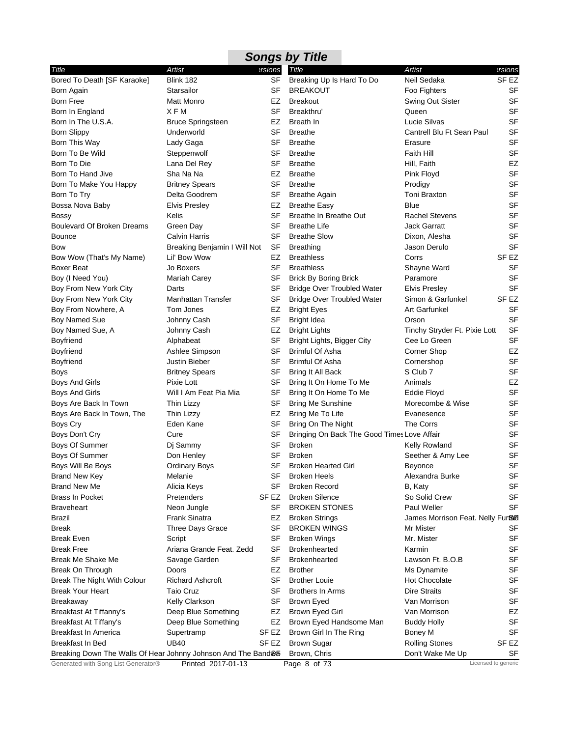|                                                               |                              |           | <b>Songs by Title</b>                       |                                   |                     |
|---------------------------------------------------------------|------------------------------|-----------|---------------------------------------------|-----------------------------------|---------------------|
| Title                                                         | Artist                       | ersions   | Title                                       | Artist                            | ersions?            |
| Bored To Death [SF Karaoke]                                   | Blink 182                    | <b>SF</b> | Breaking Up Is Hard To Do                   | Neil Sedaka                       | SF EZ               |
| Born Again                                                    | Starsailor                   | SF        | <b>BREAKOUT</b>                             | Foo Fighters                      | SF                  |
| Born Free                                                     | <b>Matt Monro</b>            | EZ        | <b>Breakout</b>                             | Swing Out Sister                  | <b>SF</b>           |
| Born In England                                               | XFM                          | SF        | Breakthru                                   | Queen                             | <b>SF</b>           |
| Born In The U.S.A.                                            | <b>Bruce Springsteen</b>     | EZ        | Breath In                                   | Lucie Silvas                      | <b>SF</b>           |
| <b>Born Slippy</b>                                            | Underworld                   | SF        | <b>Breathe</b>                              | Cantrell Blu Ft Sean Paul         | <b>SF</b>           |
| Born This Way                                                 | Lady Gaga                    | <b>SF</b> | <b>Breathe</b>                              | Erasure                           | <b>SF</b>           |
| Born To Be Wild                                               | Steppenwolf                  | SF        | <b>Breathe</b>                              | <b>Faith Hill</b>                 | <b>SF</b>           |
| Born To Die                                                   | Lana Del Rey                 | SF        | <b>Breathe</b>                              | Hill, Faith                       | EZ                  |
| Born To Hand Jive                                             | Sha Na Na                    | EZ        | <b>Breathe</b>                              | Pink Floyd                        | <b>SF</b>           |
| Born To Make You Happy                                        | <b>Britney Spears</b>        | SF        | <b>Breathe</b>                              | Prodigy                           | <b>SF</b>           |
| Born To Try                                                   | Delta Goodrem                | SF        | <b>Breathe Again</b>                        | Toni Braxton                      | <b>SF</b>           |
| Bossa Nova Baby                                               | <b>Elvis Presley</b>         | EZ        | <b>Breathe Easy</b>                         | Blue                              | <b>SF</b>           |
| Bossy                                                         | Kelis                        | SF        | Breathe In Breathe Out                      | <b>Rachel Stevens</b>             | <b>SF</b>           |
| <b>Boulevard Of Broken Dreams</b>                             | Green Day                    | SF        | <b>Breathe Life</b>                         | <b>Jack Garratt</b>               | <b>SF</b>           |
| <b>Bounce</b>                                                 | <b>Calvin Harris</b>         | SF        | <b>Breathe Slow</b>                         | Dixon, Alesha                     | <b>SF</b>           |
| Bow                                                           | Breaking Benjamin I Will Not | SF        | <b>Breathing</b>                            | Jason Derulo                      | <b>SF</b>           |
| Bow Wow (That's My Name)                                      | Lil' Bow Wow                 | EZ        | <b>Breathless</b>                           | Corrs                             | SF EZ               |
| Boxer Beat                                                    | Jo Boxers                    | SF        | <b>Breathless</b>                           | Shayne Ward                       | SF                  |
| Boy (I Need You)                                              | Mariah Carey                 | SF        | <b>Brick By Boring Brick</b>                | Paramore                          | <b>SF</b>           |
| Boy From New York City                                        | Darts                        | SF        | <b>Bridge Over Troubled Water</b>           | <b>Elvis Presley</b>              | <b>SF</b>           |
| Boy From New York City                                        | Manhattan Transfer           | <b>SF</b> | <b>Bridge Over Troubled Water</b>           | Simon & Garfunkel                 | SF EZ               |
| Boy From Nowhere, A                                           | Tom Jones                    | EZ        | <b>Bright Eyes</b>                          | Art Garfunkel                     | <b>SF</b>           |
| <b>Boy Named Sue</b>                                          | Johnny Cash                  | SF        | <b>Bright Idea</b>                          | Orson                             | SF                  |
| Boy Named Sue, A                                              | Johnny Cash                  | EZ        | <b>Bright Lights</b>                        | Tinchy Stryder Ft. Pixie Lott     | <b>SF</b>           |
| Boyfriend                                                     | Alphabeat                    | SF        | Bright Lights, Bigger City                  | Cee Lo Green                      | <b>SF</b>           |
| Boyfriend                                                     | Ashlee Simpson               | SF        | <b>Brimful Of Asha</b>                      | <b>Corner Shop</b>                | EZ                  |
| Boyfriend                                                     | Justin Bieber                | SF        | <b>Brimful Of Asha</b>                      | Cornershop                        | <b>SF</b>           |
| Boys                                                          | <b>Britney Spears</b>        | SF        | Bring It All Back                           | S Club 7                          | <b>SF</b>           |
| Boys And Girls                                                | Pixie Lott                   | SF        | Bring It On Home To Me                      | Animals                           | EZ                  |
| Boys And Girls                                                | Will I Am Feat Pia Mia       | SF        | Bring It On Home To Me                      | Eddie Floyd                       | <b>SF</b>           |
| Boys Are Back In Town                                         | Thin Lizzy                   | SF        | <b>Bring Me Sunshine</b>                    | Morecombe & Wise                  | <b>SF</b>           |
| Boys Are Back In Town, The                                    | Thin Lizzy                   | EZ        | Bring Me To Life                            | Evanesence                        | <b>SF</b>           |
| Boys Cry                                                      | Eden Kane                    | SF        | Bring On The Night                          | The Corrs                         | SF                  |
| Boys Don't Cry                                                | Cure                         | SF        | Bringing On Back The Good Times Love Affair |                                   | SF                  |
| Boys Of Summer                                                | Dj Sammy                     | SF        | <b>Broken</b>                               | <b>Kelly Rowland</b>              | <b>SF</b>           |
| Boys Of Summer                                                | Don Henley                   | SF        | <b>Broken</b>                               | Seether & Amy Lee                 | <b>SF</b>           |
| Boys Will Be Boys                                             | <b>Ordinary Boys</b>         | SF        | <b>Broken Hearted Girl</b>                  | Beyonce                           | SF                  |
| <b>Brand New Key</b>                                          | Melanie                      | SF        | <b>Broken Heels</b>                         | Alexandra Burke                   | SF                  |
| <b>Brand New Me</b>                                           | Alicia Keys                  | SF        | <b>Broken Record</b>                        | B, Katy                           | <b>SF</b>           |
| <b>Brass In Pocket</b>                                        | Pretenders                   | SF EZ     | <b>Broken Silence</b>                       | So Solid Crew                     | SF                  |
| Braveheart                                                    | Neon Jungle                  | SF        | <b>BROKEN STONES</b>                        | Paul Weller                       | SF                  |
| Brazil                                                        | <b>Frank Sinatra</b>         | EZ        | <b>Broken Strings</b>                       | James Morrison Feat. Nelly Furtal |                     |
| Break                                                         | <b>Three Days Grace</b>      | SF        | <b>BROKEN WINGS</b>                         | Mr Mister                         | SF                  |
| <b>Break Even</b>                                             | Script                       | SF        | <b>Broken Wings</b>                         | Mr. Mister                        | SF                  |
| <b>Break Free</b>                                             | Ariana Grande Feat. Zedd     | SF        | Brokenhearted                               | Karmin                            | SF                  |
| <b>Break Me Shake Me</b>                                      | Savage Garden                | SF        | <b>Brokenhearted</b>                        | Lawson Ft. B.O.B                  | SF                  |
| Break On Through                                              | Doors                        | EZ        | <b>Brother</b>                              | Ms Dynamite                       | <b>SF</b>           |
| Break The Night With Colour                                   | <b>Richard Ashcroft</b>      | SF        | <b>Brother Louie</b>                        | <b>Hot Chocolate</b>              | SF                  |
| <b>Break Your Heart</b>                                       | Taio Cruz                    | SF        | <b>Brothers In Arms</b>                     | <b>Dire Straits</b>               | SF                  |
| Breakaway                                                     | Kelly Clarkson               | SF        | <b>Brown Eyed</b>                           | Van Morrison                      | SF                  |
| Breakfast At Tiffanny's                                       | Deep Blue Something          | EZ        | Brown Eyed Girl                             | Van Morrison                      | EZ                  |
| <b>Breakfast At Tiffany's</b>                                 | Deep Blue Something          | EZ        | Brown Eyed Handsome Man                     | <b>Buddy Holly</b>                | SF                  |
| Breakfast In America                                          | Supertramp                   | SF EZ     | Brown Girl In The Ring                      | Boney M                           | SF                  |
| Breakfast In Bed                                              | <b>UB40</b>                  | SF EZ     | <b>Brown Sugar</b>                          | <b>Rolling Stones</b>             | SF EZ               |
| Breaking Down The Walls Of Hear Johnny Johnson And The Band®h |                              |           | Brown, Chris                                | Don't Wake Me Up                  | SF                  |
| Generated with Song List Generator®                           | Printed 2017-01-13           |           | Page 8 of 73                                |                                   | Licensed to generic |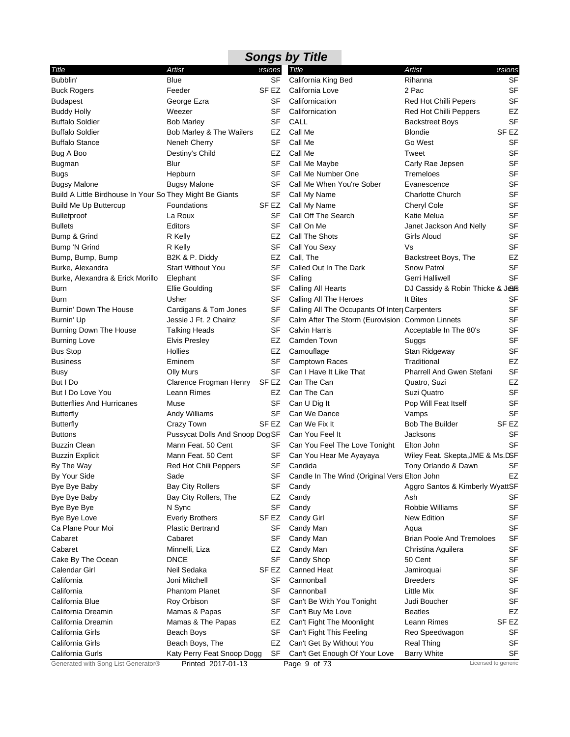|                                                          |                                 |           | <b>Songs by Title</b>                             |                                  |                     |
|----------------------------------------------------------|---------------------------------|-----------|---------------------------------------------------|----------------------------------|---------------------|
| Title                                                    | Artist                          | ersions   | Title                                             | Artist                           | ersions             |
| Bubblin'                                                 | Blue                            | <b>SF</b> | California King Bed                               | Rihanna                          | <b>SF</b>           |
| <b>Buck Rogers</b>                                       | Feeder                          | SF EZ     | California Love                                   | 2 Pac                            | <b>SF</b>           |
| <b>Budapest</b>                                          | George Ezra                     | SF        | Californication                                   | <b>Red Hot Chilli Pepers</b>     | <b>SF</b>           |
| <b>Buddy Holly</b>                                       | Weezer                          | SF        | Californication                                   | <b>Red Hot Chilli Peppers</b>    | EZ                  |
| <b>Buffalo Soldier</b>                                   | <b>Bob Marley</b>               | SF        | CALL                                              | <b>Backstreet Boys</b>           | <b>SF</b>           |
| <b>Buffalo Soldier</b>                                   | Bob Marley & The Wailers        | EZ        | Call Me                                           | <b>Blondie</b>                   | SF EZ               |
| <b>Buffalo Stance</b>                                    | Neneh Cherry                    | SF        | Call Me                                           | Go West                          | <b>SF</b>           |
| Bug A Boo                                                | Destiny's Child                 | EZ        | Call Me                                           | Tweet                            | <b>SF</b>           |
| <b>Bugman</b>                                            | Blur                            | SF        | Call Me Maybe                                     | Carly Rae Jepsen                 | <b>SF</b>           |
| <b>Bugs</b>                                              | Hepburn                         | SF        | Call Me Number One                                | Tremeloes                        | <b>SF</b>           |
| <b>Bugsy Malone</b>                                      | <b>Bugsy Malone</b>             | SF        | Call Me When You're Sober                         | Evanescence                      | <b>SF</b>           |
| Build A Little Birdhouse In Your So They Might Be Giants |                                 | SF        | Call My Name                                      | <b>Charlotte Church</b>          | <b>SF</b>           |
| <b>Build Me Up Buttercup</b>                             | Foundations                     | SF EZ     | Call My Name                                      | Cheryl Cole                      | SF                  |
| <b>Bulletproof</b>                                       | La Roux                         | SF        | Call Off The Search                               | Katie Melua                      | <b>SF</b>           |
| <b>Bullets</b>                                           | Editors                         | SF        | Call On Me                                        | Janet Jackson And Nelly          | <b>SF</b>           |
| Bump & Grind                                             | R Kelly                         | EZ        | Call The Shots                                    | Girls Aloud                      | <b>SF</b>           |
| Bump 'N Grind                                            | R Kelly                         | SF        | Call You Sexy                                     | Vs                               | <b>SF</b>           |
| Bump, Bump, Bump                                         | B2K & P. Diddy                  | EZ        | Call, The                                         | Backstreet Boys, The             | EZ                  |
| Burke, Alexandra                                         | <b>Start Without You</b>        | SF        | Called Out In The Dark                            | <b>Snow Patrol</b>               | <b>SF</b>           |
| Burke, Alexandra & Erick Morillo                         | Elephant                        | SF        | Calling                                           | Gerri Halliwell                  | SF                  |
| Burn                                                     | <b>Ellie Goulding</b>           | SF        | Calling All Hearts                                | DJ Cassidy & Robin Thicke & Jess |                     |
| Burn                                                     | Usher                           | SF        | Calling All The Heroes                            | It Bites                         | SF                  |
| Burnin' Down The House                                   | Cardigans & Tom Jones           | SF        | Calling All The Occupants Of Interr Carpenters    |                                  | <b>SF</b>           |
| Burnin' Up                                               | Jessie J Ft. 2 Chainz           | SF        | Calm After The Storm (Eurovision : Common Linnets |                                  | <b>SF</b>           |
| Burning Down The House                                   | <b>Talking Heads</b>            | SF        | <b>Calvin Harris</b>                              | Acceptable In The 80's           | <b>SF</b>           |
| <b>Burning Love</b>                                      | <b>Elvis Presley</b>            | EZ        | Camden Town                                       | Suggs                            | <b>SF</b>           |
| <b>Bus Stop</b>                                          | Hollies                         | EZ        | Camouflage                                        | Stan Ridgeway                    | <b>SF</b>           |
| <b>Business</b>                                          | Eminem                          | SF        | <b>Camptown Races</b>                             | Traditional                      | EZ                  |
| Busy                                                     | Olly Murs                       | SF        | Can I Have It Like That                           | <b>Pharrell And Gwen Stefani</b> | <b>SF</b>           |
| But I Do                                                 | Clarence Frogman Henry          | SF EZ     | Can The Can                                       | Quatro, Suzi                     | <b>EZ</b>           |
| But I Do Love You                                        | Leann Rimes                     | EZ.       | Can The Can                                       | Suzi Quatro                      | <b>SF</b>           |
| <b>Butterflies And Hurricanes</b>                        | Muse                            | SF        | Can U Dig It                                      | Pop Will Feat Itself             | <b>SF</b>           |
| <b>Butterfly</b>                                         | Andy Williams                   | SF        | Can We Dance                                      | Vamps                            | <b>SF</b>           |
| <b>Butterfly</b>                                         | Crazy Town                      | SF EZ     | Can We Fix It                                     | <b>Bob The Builder</b>           | SF EZ               |
| <b>Buttons</b>                                           | Pussycat Dolls And Snoop Dog SF |           | Can You Feel It                                   | Jacksons                         | SF                  |
| <b>Buzzin Clean</b>                                      | Mann Feat. 50 Cent              | SF        | Can You Feel The Love Tonight                     | Elton John                       | SF                  |
| <b>Buzzin Explicit</b>                                   | Mann Feat. 50 Cent              | SF        | Can You Hear Me Ayayaya                           | Wiley Feat. Skepta, JME & Ms.DSF |                     |
| By The Way                                               | Red Hot Chili Peppers           |           | SF Candida                                        | Tony Orlando & Dawn              | <b>SF</b>           |
| By Your Side                                             | Sade                            | SF        | Candle In The Wind (Original Versi Elton John     |                                  | EZ                  |
| Bye Bye Baby                                             | <b>Bay City Rollers</b>         | SF        | Candy                                             | Aggro Santos & Kimberly WyattSF  |                     |
| Bye Bye Baby                                             | Bay City Rollers, The           | EZ        | Candy                                             | Ash                              | SF                  |
| Bye Bye Bye                                              | N Sync                          | SF        | Candy                                             | Robbie Williams                  | <b>SF</b>           |
| Bye Bye Love                                             | <b>Everly Brothers</b>          | SF EZ     | Candy Girl                                        | <b>New Edition</b>               | SF                  |
| Ca Plane Pour Moi                                        | <b>Plastic Bertrand</b>         | SF        | Candy Man                                         | Aqua                             | SF                  |
| Cabaret                                                  | Cabaret                         | SF        | Candy Man                                         | <b>Brian Poole And Tremoloes</b> | <b>SF</b>           |
| Cabaret                                                  | Minnelli, Liza                  | EZ        | Candy Man                                         | Christina Aguilera               | <b>SF</b>           |
| Cake By The Ocean                                        | DNCE                            | SF        | Candy Shop                                        | 50 Cent                          | <b>SF</b>           |
| Calendar Girl                                            | Neil Sedaka                     | SF EZ     | Canned Heat                                       | Jamiroquai                       | <b>SF</b>           |
| California                                               | Joni Mitchell                   | SF        | Cannonball                                        | <b>Breeders</b>                  | SF                  |
| California                                               | <b>Phantom Planet</b>           | SF        | Cannonball                                        | Little Mix                       | <b>SF</b>           |
| California Blue                                          | Roy Orbison                     | SF        | Can't Be With You Tonight                         | Judi Boucher                     | SF                  |
| California Dreamin                                       | Mamas & Papas                   | SF        | Can't Buy Me Love                                 | <b>Beatles</b>                   | EZ                  |
| California Dreamin                                       | Mamas & The Papas               | EZ        | Can't Fight The Moonlight                         | Leann Rimes                      | SF EZ               |
| California Girls                                         | Beach Boys                      | SF        | Can't Fight This Feeling                          | Reo Speedwagon                   | SF                  |
| California Girls                                         | Beach Boys, The                 | EZ        | Can't Get By Without You                          | Real Thing                       | SF                  |
| California Gurls                                         | Katy Perry Feat Snoop Dogg      | SF        | Can't Get Enough Of Your Love                     | <b>Barry White</b>               | SF                  |
| Generated with Song List Generator®                      | Printed 2017-01-13              |           | Page 9 of 73                                      |                                  | Licensed to generic |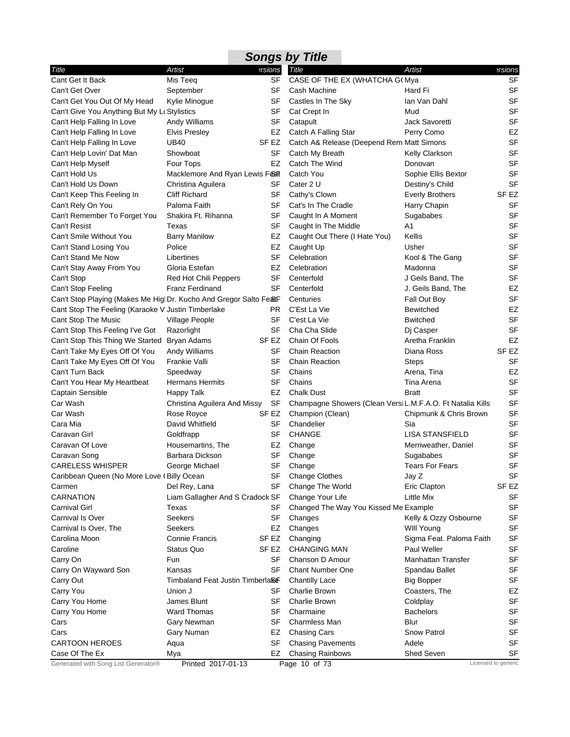|                                                                    |                                  |                  | <b>Songs by Title</b>                                      |                          |                     |
|--------------------------------------------------------------------|----------------------------------|------------------|------------------------------------------------------------|--------------------------|---------------------|
| Title                                                              | Artist                           | ersions          | Title                                                      | Artist                   | ersions             |
| Cant Get It Back                                                   | Mis Teeq                         | <b>SF</b>        | CASE OF THE EX (WHATCHA G(Mya                              |                          | <b>SF</b>           |
| Can't Get Over                                                     | September                        | SF               | Cash Machine                                               | Hard Fi                  | <b>SF</b>           |
| Can't Get You Out Of My Head                                       | Kylie Minogue                    | SF               | Castles In The Sky                                         | lan Van Dahl             | <b>SF</b>           |
| Can't Give You Anything But My Le Stylistics                       |                                  | SF               | Cat Crept In                                               | Mud                      | <b>SF</b>           |
| Can't Help Falling In Love                                         | Andy Williams                    | SF               | Catapult                                                   | Jack Savoretti           | <b>SF</b>           |
| Can't Help Falling In Love                                         | <b>Elvis Presley</b>             | EZ               | Catch A Falling Star                                       | Perry Como               | EZ                  |
| Can't Help Falling In Love                                         | <b>UB40</b>                      | SF EZ            | Catch A& Release (Deepend Remi Matt Simons                 |                          | <b>SF</b>           |
| Can't Help Lovin' Dat Man                                          | Showboat                         | SF               | Catch My Breath                                            | <b>Kelly Clarkson</b>    | <b>SF</b>           |
| Can't Help Myself                                                  | Four Tops                        | EZ               | Catch The Wind                                             | Donovan                  | <b>SF</b>           |
| Can't Hold Us                                                      | Macklemore And Ryan Lewis Fear   |                  | Catch You                                                  | Sophie Ellis Bextor      | <b>SF</b>           |
| Can't Hold Us Down                                                 | Christina Aguilera               | SF               | Cater 2 U                                                  | Destiny's Child          | <b>SF</b>           |
| Can't Keep This Feeling In                                         | <b>Cliff Richard</b>             | SF               | Cathy's Clown                                              | <b>Everly Brothers</b>   | SF <sub>EZ</sub>    |
| Can't Rely On You                                                  | Paloma Faith                     | SF               | Cat's In The Cradle                                        | Harry Chapin             | SF                  |
| Can't Remember To Forget You                                       | Shakira Ft. Rihanna              | SF               | Caught In A Moment                                         | Sugababes                | <b>SF</b>           |
| Can't Resist                                                       | Texas                            | SF               | Caught In The Middle                                       | A1                       | <b>SF</b>           |
| Can't Smile Without You                                            | <b>Barry Manilow</b>             | EZ               | Caught Out There (I Hate You)                              | Kellis                   | <b>SF</b>           |
| Can't Stand Losing You                                             | Police                           | EZ               | Caught Up                                                  | Usher                    | <b>SF</b>           |
| Can't Stand Me Now                                                 | Libertines                       | SF               | Celebration                                                | Kool & The Gang          | <b>SF</b>           |
| Can't Stay Away From You                                           | Gloria Estefan                   | EZ               | Celebration                                                | Madonna                  | <b>SF</b>           |
| Can't Stop                                                         | Red Hot Chili Peppers            | SF               | Centerfold                                                 | J Geils Band, The        | <b>SF</b>           |
| Can't Stop Feeling                                                 | <b>Franz Ferdinand</b>           | SF               | Centerfold                                                 | J. Geils Band, The       | EZ                  |
| Can't Stop Playing (Makes Me Higl Dr. Kucho And Gregor Salto Fe&F. |                                  |                  | Centuries                                                  | Fall Out Boy             | <b>SF</b>           |
| Cant Stop The Feeling (Karaoke V Justin Timberlake                 |                                  | PR.              | C'Est La Vie                                               | <b>Bewitched</b>         | EZ                  |
| Cant Stop The Music                                                | Village People                   | SF               | C'est La Vie                                               | <b>Bwitched</b>          | <b>SF</b>           |
| Can't Stop This Feeling I've Got                                   | Razorlight                       | SF               | Cha Cha Slide                                              | Dj Casper                | <b>SF</b>           |
| Can't Stop This Thing We Started                                   | Bryan Adams                      | SF EZ            | Chain Of Fools                                             | Aretha Franklin          | EZ                  |
| Can't Take My Eyes Off Of You                                      | Andy Williams                    | SF               | <b>Chain Reaction</b>                                      | Diana Ross               | SF <sub>EZ</sub>    |
| Can't Take My Eyes Off Of You                                      | Frankie Valli                    | SF               | <b>Chain Reaction</b>                                      | <b>Steps</b>             | SF                  |
| Can't Turn Back                                                    | Speedway                         | SF               | Chains                                                     | Arena, Tina              | EZ                  |
| Can't You Hear My Heartbeat                                        | <b>Hermans Hermits</b>           | SF               | Chains                                                     | Tina Arena               | <b>SF</b>           |
| Captain Sensible                                                   | Happy Talk                       | EZ               | <b>Chalk Dust</b>                                          | <b>Bratt</b>             | <b>SF</b>           |
| Car Wash                                                           | Christina Aguilera And Missy     | <b>SF</b>        | Champagne Showers (Clean Versi L.M.F.A.O. Ft Natalia Kills |                          | <b>SF</b>           |
| Car Wash                                                           | Rose Royce                       | SF EZ            | Champion (Clean)                                           | Chipmunk & Chris Brown   | <b>SF</b>           |
| Cara Mia                                                           | David Whitfield                  | SF               | Chandelier                                                 | Sia                      | <b>SF</b>           |
| Caravan Girl                                                       | Goldfrapp                        | SF               | <b>CHANGE</b>                                              | <b>LISA STANSFIELD</b>   | <b>SF</b>           |
| Caravan Of Love                                                    | Housemartins, The                | EZ               | Change                                                     | Merriweather, Daniel     | <b>SF</b>           |
| Caravan Song                                                       | Barbara Dickson                  | SF               | Change                                                     | Sugababes                | <b>SF</b>           |
| <b>CARELESS WHISPER</b>                                            | George Michael                   |                  | SF Change                                                  | <b>Tears For Fears</b>   | SF                  |
| Caribbean Queen (No More Love (Billy Ocean                         |                                  | SF               | <b>Change Clothes</b>                                      | Jay Z                    | SF                  |
| Carmen                                                             | Del Rey, Lana                    | SF               | Change The World                                           | Eric Clapton             | SF <sub>EZ</sub>    |
| <b>CARNATION</b>                                                   | Liam Gallagher And S Cradock SF  |                  | Change Your Life                                           | Little Mix               | SF                  |
| <b>Carnival Girl</b>                                               | Texas                            | SF               | Changed The Way You Kissed Me Example                      |                          | <b>SF</b>           |
| Carnival Is Over                                                   | <b>Seekers</b>                   | SF               | Changes                                                    | Kelly & Ozzy Osbourne    | <b>SF</b>           |
| Carnival Is Over, The                                              | <b>Seekers</b>                   | EZ               | Changes                                                    | WIII Young               | <b>SF</b>           |
| Carolina Moon                                                      | <b>Connie Francis</b>            | SF EZ            | Changing                                                   | Sigma Feat. Paloma Faith | <b>SF</b>           |
| Caroline                                                           | Status Quo                       | SF <sub>EZ</sub> | <b>CHANGING MAN</b>                                        | Paul Weller              | <b>SF</b>           |
| Carry On                                                           | Fun                              | SF               | Chanson D Amour                                            | Manhattan Transfer       | <b>SF</b>           |
| Carry On Wayward Son                                               | Kansas                           | SF               | <b>Chant Number One</b>                                    | Spandau Ballet           | <b>SF</b>           |
| Carry Out                                                          | Timbaland Feat Justin Timberla&F |                  | <b>Chantilly Lace</b>                                      | <b>Big Bopper</b>        | SF                  |
| Carry You                                                          | Union J                          | SF               | Charlie Brown                                              | Coasters, The            | EZ                  |
| Carry You Home                                                     | James Blunt                      | SF               | Charlie Brown                                              | Coldplay                 | <b>SF</b>           |
| Carry You Home                                                     | <b>Ward Thomas</b>               | SF               | Charmaine                                                  | <b>Bachelors</b>         | <b>SF</b>           |
| Cars                                                               | Gary Newman                      | SF               | Charmless Man                                              | Blur                     | <b>SF</b>           |
| Cars                                                               | Gary Numan                       | EZ               | <b>Chasing Cars</b>                                        | Snow Patrol              | SF                  |
| <b>CARTOON HEROES</b>                                              | Aqua                             | SF               | <b>Chasing Pavements</b>                                   | Adele                    | <b>SF</b>           |
| Case Of The Ex                                                     | Mya                              | EZ               | Chasing Rainbows                                           | Shed Seven               | SF                  |
| Generated with Song List Generator®                                | Printed 2017-01-13               |                  | Page 10 of 73                                              |                          | Licensed to generic |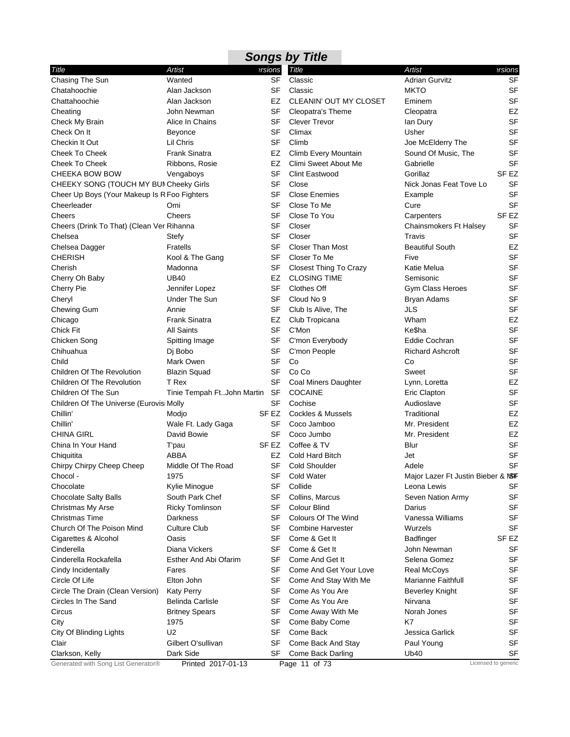| ersions<br><b>Title</b><br>Artist<br>Title<br>Artist<br>ersions<br>Chasing The Sun<br><b>SF</b><br><b>Adrian Gurvitz</b><br><b>SF</b><br>Wanted<br>Classic<br><b>SF</b><br><b>SF</b><br>Chatahoochie<br>Alan Jackson<br>Classic<br><b>MKTO</b><br><b>SF</b><br>Alan Jackson<br>EZ<br>CLEANIN' OUT MY CLOSET<br>Eminem<br>Chattahoochie<br>SF<br>Cleopatra's Theme<br>EZ<br>Cheating<br>John Newman<br>Cleopatra<br><b>SF</b><br>Alice In Chains<br>SF<br><b>Clever Trevor</b><br>Check My Brain<br>lan Dury<br>SF<br>Check On It<br>SF<br>Climax<br>Usher<br><b>Beyonce</b><br>SF<br><b>SF</b><br>Climb<br>Checkin It Out<br>Lil Chris<br>Joe McElderry The<br><b>SF</b><br><b>Cheek To Cheek</b><br><b>Frank Sinatra</b><br>EZ<br>Climb Every Mountain<br>Sound Of Music, The<br><b>SF</b><br><b>Cheek To Cheek</b><br>Ribbons, Rosie<br>EZ<br>Climi Sweet About Me<br>Gabrielle<br><b>SF</b><br>Gorillaz<br>SF <sub>EZ</sub><br><b>CHEEKA BOW BOW</b><br><b>Clint Eastwood</b><br>Vengaboys<br><b>SF</b><br>CHEEKY SONG (TOUCH MY BUI Cheeky Girls<br>SF<br>Close<br>Nick Jonas Feat Tove Lo<br><b>SF</b><br>Cheer Up Boys (Your Makeup Is R Foo Fighters<br>SF<br><b>Close Enemies</b><br>Example<br><b>SF</b><br>Cheerleader<br>SF<br>Close To Me<br>Cure<br>Omi<br>SF<br>SF <sub>EZ</sub><br>Close To You<br>Cheers<br>Cheers<br>Carpenters<br><b>SF</b><br>Cheers (Drink To That) (Clean Ver Rihanna<br>SF<br>Closer<br>Chainsmokers Ft Halsey<br><b>SF</b><br>SF<br>Closer<br>Chelsea<br>Stefy<br>Travis<br><b>SF</b><br>EZ<br><b>Fratells</b><br><b>Closer Than Most</b><br>Chelsea Dagger<br><b>Beautiful South</b><br><b>SF</b><br><b>CHERISH</b><br>Kool & The Gang<br>SF<br>Closer To Me<br>Five<br><b>SF</b><br>Cherish<br>SF<br>Closest Thing To Crazy<br>Madonna<br>Katie Melua<br><b>CLOSING TIME</b><br><b>SF</b><br><b>UB40</b><br>EZ<br>Cherry Oh Baby<br>Semisonic<br><b>SF</b><br>Cherry Pie<br>SF<br><b>Clothes Off</b><br>Gym Class Heroes<br>Jennifer Lopez<br>SF<br><b>SF</b><br>Under The Sun<br>Cloud No 9<br><b>Bryan Adams</b><br>Cheryl<br>SF<br><b>JLS</b><br>Chewing Gum<br>Annie<br>SF<br>Club Is Alive, The<br>EZ<br><b>Frank Sinatra</b><br>EZ<br>Club Tropicana<br>Wham<br>Chicago<br>SF<br><b>SF</b><br>C'Mon<br>Ke\$ha<br><b>Chick Fit</b><br><b>All Saints</b><br><b>SF</b><br>Chicken Song<br>Spitting Image<br>SF<br>C'mon Everybody<br><b>Eddie Cochran</b><br><b>SF</b><br>Chihuahua<br>Dj Bobo<br>SF<br>C'mon People<br><b>Richard Ashcroft</b><br><b>SF</b><br>Mark Owen<br>SF<br>Child<br>Co<br>Co<br>SF<br><b>SF</b><br><b>Children Of The Revolution</b><br><b>Blazin Squad</b><br>Co Co<br>Sweet<br><b>SF</b><br>EZ<br>Children Of The Revolution<br>T Rex<br>Coal Miners Daughter<br>Lynn, Loretta<br><b>SF</b><br>Children Of The Sun<br>Tinie Tempah FtJohn Martin<br>SF<br><b>COCAINE</b><br>Eric Clapton<br><b>SF</b><br><b>SF</b><br>Cochise<br>Audioslave<br>Children Of The Universe (Eurovisi Molly<br>SF <sub>EZ</sub><br>EZ<br>Chillin'<br><b>Cockles &amp; Mussels</b><br>Traditional<br>Modjo<br>Chillin'<br>Wale Ft. Lady Gaga<br>SF<br>Mr. President<br>EZ<br>Coco Jamboo<br>EZ<br><b>CHINA GIRL</b><br>David Bowie<br>SF<br>Mr. President<br>Coco Jumbo<br><b>SF</b><br>China In Your Hand<br>SF EZ<br>Coffee & TV<br>Blur<br>T'pau<br>SF<br>ABBA<br>EZ<br>Cold Hard Bitch<br>Chiquitita<br>Jet<br>SF Cold Shoulder<br><b>SF</b><br>Chirpy Chirpy Cheep Cheep<br>Middle Of The Road<br>Adele<br>1975<br>SF<br>Chocol -<br><b>Cold Water</b><br>Major Lazer Ft Justin Bieber & MSF<br>Chocolate<br>SF<br>Collide<br>SF<br>Kylie Minogue<br>Leona Lewis<br>South Park Chef<br>SF<br>Collins, Marcus<br><b>SF</b><br><b>Chocolate Salty Balls</b><br>Seven Nation Army<br>SF<br>Colour Blind<br><b>SF</b><br>Christmas My Arse<br><b>Ricky Tomlinson</b><br>Darius<br><b>SF</b><br><b>Christmas Time</b><br><b>Darkness</b><br>SF<br>Colours Of The Wind<br>Vanessa Williams<br><b>SF</b><br><b>SF</b><br>Church Of The Poison Mind<br><b>Culture Club</b><br><b>Combine Harvester</b><br>Wurzels<br>Oasis<br>SF<br>Come & Get It<br><b>Badfinger</b><br>SF EZ<br>Cigarettes & Alcohol<br>Cinderella<br>Diana Vickers<br>SF<br>Come & Get It<br>SF<br>John Newman<br>SF<br>Come And Get It<br>SF<br>Cinderella Rockafella<br>Esther And Abi Ofarim<br>Selena Gomez<br>SF<br>SF<br>Come And Get Your Love<br>Cindy Incidentally<br>Fares<br><b>Real McCoys</b><br>SF<br><b>Marianne Faithfull</b><br><b>SF</b><br>Circle Of Life<br>Elton John<br>Come And Stay With Me<br>SF<br>SF<br>Come As You Are<br>Circle The Drain (Clean Version)<br><b>Katy Perry</b><br><b>Beverley Knight</b><br>SF<br>Come As You Are<br>SF<br>Circles In The Sand<br>Belinda Carlisle<br>Nirvana<br><b>SF</b><br>SF<br>Come Away With Me<br>Norah Jones<br>Circus<br><b>Britney Spears</b><br><b>SF</b><br>SF<br>K7<br>City<br>1975<br>Come Baby Come<br>U2<br>SF<br>Come Back<br>SF<br>City Of Blinding Lights<br>Jessica Garlick<br>Gilbert O'sullivan<br>SF<br>Paul Young<br>SF<br>Clair<br>Come Back And Stay<br>Dark Side<br>Ub40<br>SF<br>Clarkson, Kelly<br>SF<br>Come Back Darling<br>Generated with Song List Generator®<br>Licensed to generic<br>Printed 2017-01-13<br>Page 11 of 73 |  | <b>Songs by Title</b> |  |
|--------------------------------------------------------------------------------------------------------------------------------------------------------------------------------------------------------------------------------------------------------------------------------------------------------------------------------------------------------------------------------------------------------------------------------------------------------------------------------------------------------------------------------------------------------------------------------------------------------------------------------------------------------------------------------------------------------------------------------------------------------------------------------------------------------------------------------------------------------------------------------------------------------------------------------------------------------------------------------------------------------------------------------------------------------------------------------------------------------------------------------------------------------------------------------------------------------------------------------------------------------------------------------------------------------------------------------------------------------------------------------------------------------------------------------------------------------------------------------------------------------------------------------------------------------------------------------------------------------------------------------------------------------------------------------------------------------------------------------------------------------------------------------------------------------------------------------------------------------------------------------------------------------------------------------------------------------------------------------------------------------------------------------------------------------------------------------------------------------------------------------------------------------------------------------------------------------------------------------------------------------------------------------------------------------------------------------------------------------------------------------------------------------------------------------------------------------------------------------------------------------------------------------------------------------------------------------------------------------------------------------------------------------------------------------------------------------------------------------------------------------------------------------------------------------------------------------------------------------------------------------------------------------------------------------------------------------------------------------------------------------------------------------------------------------------------------------------------------------------------------------------------------------------------------------------------------------------------------------------------------------------------------------------------------------------------------------------------------------------------------------------------------------------------------------------------------------------------------------------------------------------------------------------------------------------------------------------------------------------------------------------------------------------------------------------------------------------------------------------------------------------------------------------------------------------------------------------------------------------------------------------------------------------------------------------------------------------------------------------------------------------------------------------------------------------------------------------------------------------------------------------------------------------------------------------------------------------------------------------------------------------------------------------------------------------------------------------------------------------------------------------------------------------------------------------------------------------------------------------------------------------------------------------------------------------------------------------------------------------------------------------------------------------------------------------------------------------------------------------------------------------------------------------------------------------------------------------------------------------------------------------------------------------------------------------------------------------------------------------------------------------------------------------------------------------------------------------------------------------------------------------------------------------------------------------------------------------------------------------------|--|-----------------------|--|
|                                                                                                                                                                                                                                                                                                                                                                                                                                                                                                                                                                                                                                                                                                                                                                                                                                                                                                                                                                                                                                                                                                                                                                                                                                                                                                                                                                                                                                                                                                                                                                                                                                                                                                                                                                                                                                                                                                                                                                                                                                                                                                                                                                                                                                                                                                                                                                                                                                                                                                                                                                                                                                                                                                                                                                                                                                                                                                                                                                                                                                                                                                                                                                                                                                                                                                                                                                                                                                                                                                                                                                                                                                                                                                                                                                                                                                                                                                                                                                                                                                                                                                                                                                                                                                                                                                                                                                                                                                                                                                                                                                                                                                                                                                                                                                                                                                                                                                                                                                                                                                                                                                                                                                                                                                            |  |                       |  |
|                                                                                                                                                                                                                                                                                                                                                                                                                                                                                                                                                                                                                                                                                                                                                                                                                                                                                                                                                                                                                                                                                                                                                                                                                                                                                                                                                                                                                                                                                                                                                                                                                                                                                                                                                                                                                                                                                                                                                                                                                                                                                                                                                                                                                                                                                                                                                                                                                                                                                                                                                                                                                                                                                                                                                                                                                                                                                                                                                                                                                                                                                                                                                                                                                                                                                                                                                                                                                                                                                                                                                                                                                                                                                                                                                                                                                                                                                                                                                                                                                                                                                                                                                                                                                                                                                                                                                                                                                                                                                                                                                                                                                                                                                                                                                                                                                                                                                                                                                                                                                                                                                                                                                                                                                                            |  |                       |  |
|                                                                                                                                                                                                                                                                                                                                                                                                                                                                                                                                                                                                                                                                                                                                                                                                                                                                                                                                                                                                                                                                                                                                                                                                                                                                                                                                                                                                                                                                                                                                                                                                                                                                                                                                                                                                                                                                                                                                                                                                                                                                                                                                                                                                                                                                                                                                                                                                                                                                                                                                                                                                                                                                                                                                                                                                                                                                                                                                                                                                                                                                                                                                                                                                                                                                                                                                                                                                                                                                                                                                                                                                                                                                                                                                                                                                                                                                                                                                                                                                                                                                                                                                                                                                                                                                                                                                                                                                                                                                                                                                                                                                                                                                                                                                                                                                                                                                                                                                                                                                                                                                                                                                                                                                                                            |  |                       |  |
|                                                                                                                                                                                                                                                                                                                                                                                                                                                                                                                                                                                                                                                                                                                                                                                                                                                                                                                                                                                                                                                                                                                                                                                                                                                                                                                                                                                                                                                                                                                                                                                                                                                                                                                                                                                                                                                                                                                                                                                                                                                                                                                                                                                                                                                                                                                                                                                                                                                                                                                                                                                                                                                                                                                                                                                                                                                                                                                                                                                                                                                                                                                                                                                                                                                                                                                                                                                                                                                                                                                                                                                                                                                                                                                                                                                                                                                                                                                                                                                                                                                                                                                                                                                                                                                                                                                                                                                                                                                                                                                                                                                                                                                                                                                                                                                                                                                                                                                                                                                                                                                                                                                                                                                                                                            |  |                       |  |
|                                                                                                                                                                                                                                                                                                                                                                                                                                                                                                                                                                                                                                                                                                                                                                                                                                                                                                                                                                                                                                                                                                                                                                                                                                                                                                                                                                                                                                                                                                                                                                                                                                                                                                                                                                                                                                                                                                                                                                                                                                                                                                                                                                                                                                                                                                                                                                                                                                                                                                                                                                                                                                                                                                                                                                                                                                                                                                                                                                                                                                                                                                                                                                                                                                                                                                                                                                                                                                                                                                                                                                                                                                                                                                                                                                                                                                                                                                                                                                                                                                                                                                                                                                                                                                                                                                                                                                                                                                                                                                                                                                                                                                                                                                                                                                                                                                                                                                                                                                                                                                                                                                                                                                                                                                            |  |                       |  |
|                                                                                                                                                                                                                                                                                                                                                                                                                                                                                                                                                                                                                                                                                                                                                                                                                                                                                                                                                                                                                                                                                                                                                                                                                                                                                                                                                                                                                                                                                                                                                                                                                                                                                                                                                                                                                                                                                                                                                                                                                                                                                                                                                                                                                                                                                                                                                                                                                                                                                                                                                                                                                                                                                                                                                                                                                                                                                                                                                                                                                                                                                                                                                                                                                                                                                                                                                                                                                                                                                                                                                                                                                                                                                                                                                                                                                                                                                                                                                                                                                                                                                                                                                                                                                                                                                                                                                                                                                                                                                                                                                                                                                                                                                                                                                                                                                                                                                                                                                                                                                                                                                                                                                                                                                                            |  |                       |  |
|                                                                                                                                                                                                                                                                                                                                                                                                                                                                                                                                                                                                                                                                                                                                                                                                                                                                                                                                                                                                                                                                                                                                                                                                                                                                                                                                                                                                                                                                                                                                                                                                                                                                                                                                                                                                                                                                                                                                                                                                                                                                                                                                                                                                                                                                                                                                                                                                                                                                                                                                                                                                                                                                                                                                                                                                                                                                                                                                                                                                                                                                                                                                                                                                                                                                                                                                                                                                                                                                                                                                                                                                                                                                                                                                                                                                                                                                                                                                                                                                                                                                                                                                                                                                                                                                                                                                                                                                                                                                                                                                                                                                                                                                                                                                                                                                                                                                                                                                                                                                                                                                                                                                                                                                                                            |  |                       |  |
|                                                                                                                                                                                                                                                                                                                                                                                                                                                                                                                                                                                                                                                                                                                                                                                                                                                                                                                                                                                                                                                                                                                                                                                                                                                                                                                                                                                                                                                                                                                                                                                                                                                                                                                                                                                                                                                                                                                                                                                                                                                                                                                                                                                                                                                                                                                                                                                                                                                                                                                                                                                                                                                                                                                                                                                                                                                                                                                                                                                                                                                                                                                                                                                                                                                                                                                                                                                                                                                                                                                                                                                                                                                                                                                                                                                                                                                                                                                                                                                                                                                                                                                                                                                                                                                                                                                                                                                                                                                                                                                                                                                                                                                                                                                                                                                                                                                                                                                                                                                                                                                                                                                                                                                                                                            |  |                       |  |
|                                                                                                                                                                                                                                                                                                                                                                                                                                                                                                                                                                                                                                                                                                                                                                                                                                                                                                                                                                                                                                                                                                                                                                                                                                                                                                                                                                                                                                                                                                                                                                                                                                                                                                                                                                                                                                                                                                                                                                                                                                                                                                                                                                                                                                                                                                                                                                                                                                                                                                                                                                                                                                                                                                                                                                                                                                                                                                                                                                                                                                                                                                                                                                                                                                                                                                                                                                                                                                                                                                                                                                                                                                                                                                                                                                                                                                                                                                                                                                                                                                                                                                                                                                                                                                                                                                                                                                                                                                                                                                                                                                                                                                                                                                                                                                                                                                                                                                                                                                                                                                                                                                                                                                                                                                            |  |                       |  |
|                                                                                                                                                                                                                                                                                                                                                                                                                                                                                                                                                                                                                                                                                                                                                                                                                                                                                                                                                                                                                                                                                                                                                                                                                                                                                                                                                                                                                                                                                                                                                                                                                                                                                                                                                                                                                                                                                                                                                                                                                                                                                                                                                                                                                                                                                                                                                                                                                                                                                                                                                                                                                                                                                                                                                                                                                                                                                                                                                                                                                                                                                                                                                                                                                                                                                                                                                                                                                                                                                                                                                                                                                                                                                                                                                                                                                                                                                                                                                                                                                                                                                                                                                                                                                                                                                                                                                                                                                                                                                                                                                                                                                                                                                                                                                                                                                                                                                                                                                                                                                                                                                                                                                                                                                                            |  |                       |  |
|                                                                                                                                                                                                                                                                                                                                                                                                                                                                                                                                                                                                                                                                                                                                                                                                                                                                                                                                                                                                                                                                                                                                                                                                                                                                                                                                                                                                                                                                                                                                                                                                                                                                                                                                                                                                                                                                                                                                                                                                                                                                                                                                                                                                                                                                                                                                                                                                                                                                                                                                                                                                                                                                                                                                                                                                                                                                                                                                                                                                                                                                                                                                                                                                                                                                                                                                                                                                                                                                                                                                                                                                                                                                                                                                                                                                                                                                                                                                                                                                                                                                                                                                                                                                                                                                                                                                                                                                                                                                                                                                                                                                                                                                                                                                                                                                                                                                                                                                                                                                                                                                                                                                                                                                                                            |  |                       |  |
|                                                                                                                                                                                                                                                                                                                                                                                                                                                                                                                                                                                                                                                                                                                                                                                                                                                                                                                                                                                                                                                                                                                                                                                                                                                                                                                                                                                                                                                                                                                                                                                                                                                                                                                                                                                                                                                                                                                                                                                                                                                                                                                                                                                                                                                                                                                                                                                                                                                                                                                                                                                                                                                                                                                                                                                                                                                                                                                                                                                                                                                                                                                                                                                                                                                                                                                                                                                                                                                                                                                                                                                                                                                                                                                                                                                                                                                                                                                                                                                                                                                                                                                                                                                                                                                                                                                                                                                                                                                                                                                                                                                                                                                                                                                                                                                                                                                                                                                                                                                                                                                                                                                                                                                                                                            |  |                       |  |
|                                                                                                                                                                                                                                                                                                                                                                                                                                                                                                                                                                                                                                                                                                                                                                                                                                                                                                                                                                                                                                                                                                                                                                                                                                                                                                                                                                                                                                                                                                                                                                                                                                                                                                                                                                                                                                                                                                                                                                                                                                                                                                                                                                                                                                                                                                                                                                                                                                                                                                                                                                                                                                                                                                                                                                                                                                                                                                                                                                                                                                                                                                                                                                                                                                                                                                                                                                                                                                                                                                                                                                                                                                                                                                                                                                                                                                                                                                                                                                                                                                                                                                                                                                                                                                                                                                                                                                                                                                                                                                                                                                                                                                                                                                                                                                                                                                                                                                                                                                                                                                                                                                                                                                                                                                            |  |                       |  |
|                                                                                                                                                                                                                                                                                                                                                                                                                                                                                                                                                                                                                                                                                                                                                                                                                                                                                                                                                                                                                                                                                                                                                                                                                                                                                                                                                                                                                                                                                                                                                                                                                                                                                                                                                                                                                                                                                                                                                                                                                                                                                                                                                                                                                                                                                                                                                                                                                                                                                                                                                                                                                                                                                                                                                                                                                                                                                                                                                                                                                                                                                                                                                                                                                                                                                                                                                                                                                                                                                                                                                                                                                                                                                                                                                                                                                                                                                                                                                                                                                                                                                                                                                                                                                                                                                                                                                                                                                                                                                                                                                                                                                                                                                                                                                                                                                                                                                                                                                                                                                                                                                                                                                                                                                                            |  |                       |  |
|                                                                                                                                                                                                                                                                                                                                                                                                                                                                                                                                                                                                                                                                                                                                                                                                                                                                                                                                                                                                                                                                                                                                                                                                                                                                                                                                                                                                                                                                                                                                                                                                                                                                                                                                                                                                                                                                                                                                                                                                                                                                                                                                                                                                                                                                                                                                                                                                                                                                                                                                                                                                                                                                                                                                                                                                                                                                                                                                                                                                                                                                                                                                                                                                                                                                                                                                                                                                                                                                                                                                                                                                                                                                                                                                                                                                                                                                                                                                                                                                                                                                                                                                                                                                                                                                                                                                                                                                                                                                                                                                                                                                                                                                                                                                                                                                                                                                                                                                                                                                                                                                                                                                                                                                                                            |  |                       |  |
|                                                                                                                                                                                                                                                                                                                                                                                                                                                                                                                                                                                                                                                                                                                                                                                                                                                                                                                                                                                                                                                                                                                                                                                                                                                                                                                                                                                                                                                                                                                                                                                                                                                                                                                                                                                                                                                                                                                                                                                                                                                                                                                                                                                                                                                                                                                                                                                                                                                                                                                                                                                                                                                                                                                                                                                                                                                                                                                                                                                                                                                                                                                                                                                                                                                                                                                                                                                                                                                                                                                                                                                                                                                                                                                                                                                                                                                                                                                                                                                                                                                                                                                                                                                                                                                                                                                                                                                                                                                                                                                                                                                                                                                                                                                                                                                                                                                                                                                                                                                                                                                                                                                                                                                                                                            |  |                       |  |
|                                                                                                                                                                                                                                                                                                                                                                                                                                                                                                                                                                                                                                                                                                                                                                                                                                                                                                                                                                                                                                                                                                                                                                                                                                                                                                                                                                                                                                                                                                                                                                                                                                                                                                                                                                                                                                                                                                                                                                                                                                                                                                                                                                                                                                                                                                                                                                                                                                                                                                                                                                                                                                                                                                                                                                                                                                                                                                                                                                                                                                                                                                                                                                                                                                                                                                                                                                                                                                                                                                                                                                                                                                                                                                                                                                                                                                                                                                                                                                                                                                                                                                                                                                                                                                                                                                                                                                                                                                                                                                                                                                                                                                                                                                                                                                                                                                                                                                                                                                                                                                                                                                                                                                                                                                            |  |                       |  |
|                                                                                                                                                                                                                                                                                                                                                                                                                                                                                                                                                                                                                                                                                                                                                                                                                                                                                                                                                                                                                                                                                                                                                                                                                                                                                                                                                                                                                                                                                                                                                                                                                                                                                                                                                                                                                                                                                                                                                                                                                                                                                                                                                                                                                                                                                                                                                                                                                                                                                                                                                                                                                                                                                                                                                                                                                                                                                                                                                                                                                                                                                                                                                                                                                                                                                                                                                                                                                                                                                                                                                                                                                                                                                                                                                                                                                                                                                                                                                                                                                                                                                                                                                                                                                                                                                                                                                                                                                                                                                                                                                                                                                                                                                                                                                                                                                                                                                                                                                                                                                                                                                                                                                                                                                                            |  |                       |  |
|                                                                                                                                                                                                                                                                                                                                                                                                                                                                                                                                                                                                                                                                                                                                                                                                                                                                                                                                                                                                                                                                                                                                                                                                                                                                                                                                                                                                                                                                                                                                                                                                                                                                                                                                                                                                                                                                                                                                                                                                                                                                                                                                                                                                                                                                                                                                                                                                                                                                                                                                                                                                                                                                                                                                                                                                                                                                                                                                                                                                                                                                                                                                                                                                                                                                                                                                                                                                                                                                                                                                                                                                                                                                                                                                                                                                                                                                                                                                                                                                                                                                                                                                                                                                                                                                                                                                                                                                                                                                                                                                                                                                                                                                                                                                                                                                                                                                                                                                                                                                                                                                                                                                                                                                                                            |  |                       |  |
|                                                                                                                                                                                                                                                                                                                                                                                                                                                                                                                                                                                                                                                                                                                                                                                                                                                                                                                                                                                                                                                                                                                                                                                                                                                                                                                                                                                                                                                                                                                                                                                                                                                                                                                                                                                                                                                                                                                                                                                                                                                                                                                                                                                                                                                                                                                                                                                                                                                                                                                                                                                                                                                                                                                                                                                                                                                                                                                                                                                                                                                                                                                                                                                                                                                                                                                                                                                                                                                                                                                                                                                                                                                                                                                                                                                                                                                                                                                                                                                                                                                                                                                                                                                                                                                                                                                                                                                                                                                                                                                                                                                                                                                                                                                                                                                                                                                                                                                                                                                                                                                                                                                                                                                                                                            |  |                       |  |
|                                                                                                                                                                                                                                                                                                                                                                                                                                                                                                                                                                                                                                                                                                                                                                                                                                                                                                                                                                                                                                                                                                                                                                                                                                                                                                                                                                                                                                                                                                                                                                                                                                                                                                                                                                                                                                                                                                                                                                                                                                                                                                                                                                                                                                                                                                                                                                                                                                                                                                                                                                                                                                                                                                                                                                                                                                                                                                                                                                                                                                                                                                                                                                                                                                                                                                                                                                                                                                                                                                                                                                                                                                                                                                                                                                                                                                                                                                                                                                                                                                                                                                                                                                                                                                                                                                                                                                                                                                                                                                                                                                                                                                                                                                                                                                                                                                                                                                                                                                                                                                                                                                                                                                                                                                            |  |                       |  |
|                                                                                                                                                                                                                                                                                                                                                                                                                                                                                                                                                                                                                                                                                                                                                                                                                                                                                                                                                                                                                                                                                                                                                                                                                                                                                                                                                                                                                                                                                                                                                                                                                                                                                                                                                                                                                                                                                                                                                                                                                                                                                                                                                                                                                                                                                                                                                                                                                                                                                                                                                                                                                                                                                                                                                                                                                                                                                                                                                                                                                                                                                                                                                                                                                                                                                                                                                                                                                                                                                                                                                                                                                                                                                                                                                                                                                                                                                                                                                                                                                                                                                                                                                                                                                                                                                                                                                                                                                                                                                                                                                                                                                                                                                                                                                                                                                                                                                                                                                                                                                                                                                                                                                                                                                                            |  |                       |  |
|                                                                                                                                                                                                                                                                                                                                                                                                                                                                                                                                                                                                                                                                                                                                                                                                                                                                                                                                                                                                                                                                                                                                                                                                                                                                                                                                                                                                                                                                                                                                                                                                                                                                                                                                                                                                                                                                                                                                                                                                                                                                                                                                                                                                                                                                                                                                                                                                                                                                                                                                                                                                                                                                                                                                                                                                                                                                                                                                                                                                                                                                                                                                                                                                                                                                                                                                                                                                                                                                                                                                                                                                                                                                                                                                                                                                                                                                                                                                                                                                                                                                                                                                                                                                                                                                                                                                                                                                                                                                                                                                                                                                                                                                                                                                                                                                                                                                                                                                                                                                                                                                                                                                                                                                                                            |  |                       |  |
|                                                                                                                                                                                                                                                                                                                                                                                                                                                                                                                                                                                                                                                                                                                                                                                                                                                                                                                                                                                                                                                                                                                                                                                                                                                                                                                                                                                                                                                                                                                                                                                                                                                                                                                                                                                                                                                                                                                                                                                                                                                                                                                                                                                                                                                                                                                                                                                                                                                                                                                                                                                                                                                                                                                                                                                                                                                                                                                                                                                                                                                                                                                                                                                                                                                                                                                                                                                                                                                                                                                                                                                                                                                                                                                                                                                                                                                                                                                                                                                                                                                                                                                                                                                                                                                                                                                                                                                                                                                                                                                                                                                                                                                                                                                                                                                                                                                                                                                                                                                                                                                                                                                                                                                                                                            |  |                       |  |
|                                                                                                                                                                                                                                                                                                                                                                                                                                                                                                                                                                                                                                                                                                                                                                                                                                                                                                                                                                                                                                                                                                                                                                                                                                                                                                                                                                                                                                                                                                                                                                                                                                                                                                                                                                                                                                                                                                                                                                                                                                                                                                                                                                                                                                                                                                                                                                                                                                                                                                                                                                                                                                                                                                                                                                                                                                                                                                                                                                                                                                                                                                                                                                                                                                                                                                                                                                                                                                                                                                                                                                                                                                                                                                                                                                                                                                                                                                                                                                                                                                                                                                                                                                                                                                                                                                                                                                                                                                                                                                                                                                                                                                                                                                                                                                                                                                                                                                                                                                                                                                                                                                                                                                                                                                            |  |                       |  |
|                                                                                                                                                                                                                                                                                                                                                                                                                                                                                                                                                                                                                                                                                                                                                                                                                                                                                                                                                                                                                                                                                                                                                                                                                                                                                                                                                                                                                                                                                                                                                                                                                                                                                                                                                                                                                                                                                                                                                                                                                                                                                                                                                                                                                                                                                                                                                                                                                                                                                                                                                                                                                                                                                                                                                                                                                                                                                                                                                                                                                                                                                                                                                                                                                                                                                                                                                                                                                                                                                                                                                                                                                                                                                                                                                                                                                                                                                                                                                                                                                                                                                                                                                                                                                                                                                                                                                                                                                                                                                                                                                                                                                                                                                                                                                                                                                                                                                                                                                                                                                                                                                                                                                                                                                                            |  |                       |  |
|                                                                                                                                                                                                                                                                                                                                                                                                                                                                                                                                                                                                                                                                                                                                                                                                                                                                                                                                                                                                                                                                                                                                                                                                                                                                                                                                                                                                                                                                                                                                                                                                                                                                                                                                                                                                                                                                                                                                                                                                                                                                                                                                                                                                                                                                                                                                                                                                                                                                                                                                                                                                                                                                                                                                                                                                                                                                                                                                                                                                                                                                                                                                                                                                                                                                                                                                                                                                                                                                                                                                                                                                                                                                                                                                                                                                                                                                                                                                                                                                                                                                                                                                                                                                                                                                                                                                                                                                                                                                                                                                                                                                                                                                                                                                                                                                                                                                                                                                                                                                                                                                                                                                                                                                                                            |  |                       |  |
|                                                                                                                                                                                                                                                                                                                                                                                                                                                                                                                                                                                                                                                                                                                                                                                                                                                                                                                                                                                                                                                                                                                                                                                                                                                                                                                                                                                                                                                                                                                                                                                                                                                                                                                                                                                                                                                                                                                                                                                                                                                                                                                                                                                                                                                                                                                                                                                                                                                                                                                                                                                                                                                                                                                                                                                                                                                                                                                                                                                                                                                                                                                                                                                                                                                                                                                                                                                                                                                                                                                                                                                                                                                                                                                                                                                                                                                                                                                                                                                                                                                                                                                                                                                                                                                                                                                                                                                                                                                                                                                                                                                                                                                                                                                                                                                                                                                                                                                                                                                                                                                                                                                                                                                                                                            |  |                       |  |
|                                                                                                                                                                                                                                                                                                                                                                                                                                                                                                                                                                                                                                                                                                                                                                                                                                                                                                                                                                                                                                                                                                                                                                                                                                                                                                                                                                                                                                                                                                                                                                                                                                                                                                                                                                                                                                                                                                                                                                                                                                                                                                                                                                                                                                                                                                                                                                                                                                                                                                                                                                                                                                                                                                                                                                                                                                                                                                                                                                                                                                                                                                                                                                                                                                                                                                                                                                                                                                                                                                                                                                                                                                                                                                                                                                                                                                                                                                                                                                                                                                                                                                                                                                                                                                                                                                                                                                                                                                                                                                                                                                                                                                                                                                                                                                                                                                                                                                                                                                                                                                                                                                                                                                                                                                            |  |                       |  |
|                                                                                                                                                                                                                                                                                                                                                                                                                                                                                                                                                                                                                                                                                                                                                                                                                                                                                                                                                                                                                                                                                                                                                                                                                                                                                                                                                                                                                                                                                                                                                                                                                                                                                                                                                                                                                                                                                                                                                                                                                                                                                                                                                                                                                                                                                                                                                                                                                                                                                                                                                                                                                                                                                                                                                                                                                                                                                                                                                                                                                                                                                                                                                                                                                                                                                                                                                                                                                                                                                                                                                                                                                                                                                                                                                                                                                                                                                                                                                                                                                                                                                                                                                                                                                                                                                                                                                                                                                                                                                                                                                                                                                                                                                                                                                                                                                                                                                                                                                                                                                                                                                                                                                                                                                                            |  |                       |  |
|                                                                                                                                                                                                                                                                                                                                                                                                                                                                                                                                                                                                                                                                                                                                                                                                                                                                                                                                                                                                                                                                                                                                                                                                                                                                                                                                                                                                                                                                                                                                                                                                                                                                                                                                                                                                                                                                                                                                                                                                                                                                                                                                                                                                                                                                                                                                                                                                                                                                                                                                                                                                                                                                                                                                                                                                                                                                                                                                                                                                                                                                                                                                                                                                                                                                                                                                                                                                                                                                                                                                                                                                                                                                                                                                                                                                                                                                                                                                                                                                                                                                                                                                                                                                                                                                                                                                                                                                                                                                                                                                                                                                                                                                                                                                                                                                                                                                                                                                                                                                                                                                                                                                                                                                                                            |  |                       |  |
|                                                                                                                                                                                                                                                                                                                                                                                                                                                                                                                                                                                                                                                                                                                                                                                                                                                                                                                                                                                                                                                                                                                                                                                                                                                                                                                                                                                                                                                                                                                                                                                                                                                                                                                                                                                                                                                                                                                                                                                                                                                                                                                                                                                                                                                                                                                                                                                                                                                                                                                                                                                                                                                                                                                                                                                                                                                                                                                                                                                                                                                                                                                                                                                                                                                                                                                                                                                                                                                                                                                                                                                                                                                                                                                                                                                                                                                                                                                                                                                                                                                                                                                                                                                                                                                                                                                                                                                                                                                                                                                                                                                                                                                                                                                                                                                                                                                                                                                                                                                                                                                                                                                                                                                                                                            |  |                       |  |
|                                                                                                                                                                                                                                                                                                                                                                                                                                                                                                                                                                                                                                                                                                                                                                                                                                                                                                                                                                                                                                                                                                                                                                                                                                                                                                                                                                                                                                                                                                                                                                                                                                                                                                                                                                                                                                                                                                                                                                                                                                                                                                                                                                                                                                                                                                                                                                                                                                                                                                                                                                                                                                                                                                                                                                                                                                                                                                                                                                                                                                                                                                                                                                                                                                                                                                                                                                                                                                                                                                                                                                                                                                                                                                                                                                                                                                                                                                                                                                                                                                                                                                                                                                                                                                                                                                                                                                                                                                                                                                                                                                                                                                                                                                                                                                                                                                                                                                                                                                                                                                                                                                                                                                                                                                            |  |                       |  |
|                                                                                                                                                                                                                                                                                                                                                                                                                                                                                                                                                                                                                                                                                                                                                                                                                                                                                                                                                                                                                                                                                                                                                                                                                                                                                                                                                                                                                                                                                                                                                                                                                                                                                                                                                                                                                                                                                                                                                                                                                                                                                                                                                                                                                                                                                                                                                                                                                                                                                                                                                                                                                                                                                                                                                                                                                                                                                                                                                                                                                                                                                                                                                                                                                                                                                                                                                                                                                                                                                                                                                                                                                                                                                                                                                                                                                                                                                                                                                                                                                                                                                                                                                                                                                                                                                                                                                                                                                                                                                                                                                                                                                                                                                                                                                                                                                                                                                                                                                                                                                                                                                                                                                                                                                                            |  |                       |  |
|                                                                                                                                                                                                                                                                                                                                                                                                                                                                                                                                                                                                                                                                                                                                                                                                                                                                                                                                                                                                                                                                                                                                                                                                                                                                                                                                                                                                                                                                                                                                                                                                                                                                                                                                                                                                                                                                                                                                                                                                                                                                                                                                                                                                                                                                                                                                                                                                                                                                                                                                                                                                                                                                                                                                                                                                                                                                                                                                                                                                                                                                                                                                                                                                                                                                                                                                                                                                                                                                                                                                                                                                                                                                                                                                                                                                                                                                                                                                                                                                                                                                                                                                                                                                                                                                                                                                                                                                                                                                                                                                                                                                                                                                                                                                                                                                                                                                                                                                                                                                                                                                                                                                                                                                                                            |  |                       |  |
|                                                                                                                                                                                                                                                                                                                                                                                                                                                                                                                                                                                                                                                                                                                                                                                                                                                                                                                                                                                                                                                                                                                                                                                                                                                                                                                                                                                                                                                                                                                                                                                                                                                                                                                                                                                                                                                                                                                                                                                                                                                                                                                                                                                                                                                                                                                                                                                                                                                                                                                                                                                                                                                                                                                                                                                                                                                                                                                                                                                                                                                                                                                                                                                                                                                                                                                                                                                                                                                                                                                                                                                                                                                                                                                                                                                                                                                                                                                                                                                                                                                                                                                                                                                                                                                                                                                                                                                                                                                                                                                                                                                                                                                                                                                                                                                                                                                                                                                                                                                                                                                                                                                                                                                                                                            |  |                       |  |
|                                                                                                                                                                                                                                                                                                                                                                                                                                                                                                                                                                                                                                                                                                                                                                                                                                                                                                                                                                                                                                                                                                                                                                                                                                                                                                                                                                                                                                                                                                                                                                                                                                                                                                                                                                                                                                                                                                                                                                                                                                                                                                                                                                                                                                                                                                                                                                                                                                                                                                                                                                                                                                                                                                                                                                                                                                                                                                                                                                                                                                                                                                                                                                                                                                                                                                                                                                                                                                                                                                                                                                                                                                                                                                                                                                                                                                                                                                                                                                                                                                                                                                                                                                                                                                                                                                                                                                                                                                                                                                                                                                                                                                                                                                                                                                                                                                                                                                                                                                                                                                                                                                                                                                                                                                            |  |                       |  |
|                                                                                                                                                                                                                                                                                                                                                                                                                                                                                                                                                                                                                                                                                                                                                                                                                                                                                                                                                                                                                                                                                                                                                                                                                                                                                                                                                                                                                                                                                                                                                                                                                                                                                                                                                                                                                                                                                                                                                                                                                                                                                                                                                                                                                                                                                                                                                                                                                                                                                                                                                                                                                                                                                                                                                                                                                                                                                                                                                                                                                                                                                                                                                                                                                                                                                                                                                                                                                                                                                                                                                                                                                                                                                                                                                                                                                                                                                                                                                                                                                                                                                                                                                                                                                                                                                                                                                                                                                                                                                                                                                                                                                                                                                                                                                                                                                                                                                                                                                                                                                                                                                                                                                                                                                                            |  |                       |  |
|                                                                                                                                                                                                                                                                                                                                                                                                                                                                                                                                                                                                                                                                                                                                                                                                                                                                                                                                                                                                                                                                                                                                                                                                                                                                                                                                                                                                                                                                                                                                                                                                                                                                                                                                                                                                                                                                                                                                                                                                                                                                                                                                                                                                                                                                                                                                                                                                                                                                                                                                                                                                                                                                                                                                                                                                                                                                                                                                                                                                                                                                                                                                                                                                                                                                                                                                                                                                                                                                                                                                                                                                                                                                                                                                                                                                                                                                                                                                                                                                                                                                                                                                                                                                                                                                                                                                                                                                                                                                                                                                                                                                                                                                                                                                                                                                                                                                                                                                                                                                                                                                                                                                                                                                                                            |  |                       |  |
|                                                                                                                                                                                                                                                                                                                                                                                                                                                                                                                                                                                                                                                                                                                                                                                                                                                                                                                                                                                                                                                                                                                                                                                                                                                                                                                                                                                                                                                                                                                                                                                                                                                                                                                                                                                                                                                                                                                                                                                                                                                                                                                                                                                                                                                                                                                                                                                                                                                                                                                                                                                                                                                                                                                                                                                                                                                                                                                                                                                                                                                                                                                                                                                                                                                                                                                                                                                                                                                                                                                                                                                                                                                                                                                                                                                                                                                                                                                                                                                                                                                                                                                                                                                                                                                                                                                                                                                                                                                                                                                                                                                                                                                                                                                                                                                                                                                                                                                                                                                                                                                                                                                                                                                                                                            |  |                       |  |
|                                                                                                                                                                                                                                                                                                                                                                                                                                                                                                                                                                                                                                                                                                                                                                                                                                                                                                                                                                                                                                                                                                                                                                                                                                                                                                                                                                                                                                                                                                                                                                                                                                                                                                                                                                                                                                                                                                                                                                                                                                                                                                                                                                                                                                                                                                                                                                                                                                                                                                                                                                                                                                                                                                                                                                                                                                                                                                                                                                                                                                                                                                                                                                                                                                                                                                                                                                                                                                                                                                                                                                                                                                                                                                                                                                                                                                                                                                                                                                                                                                                                                                                                                                                                                                                                                                                                                                                                                                                                                                                                                                                                                                                                                                                                                                                                                                                                                                                                                                                                                                                                                                                                                                                                                                            |  |                       |  |
|                                                                                                                                                                                                                                                                                                                                                                                                                                                                                                                                                                                                                                                                                                                                                                                                                                                                                                                                                                                                                                                                                                                                                                                                                                                                                                                                                                                                                                                                                                                                                                                                                                                                                                                                                                                                                                                                                                                                                                                                                                                                                                                                                                                                                                                                                                                                                                                                                                                                                                                                                                                                                                                                                                                                                                                                                                                                                                                                                                                                                                                                                                                                                                                                                                                                                                                                                                                                                                                                                                                                                                                                                                                                                                                                                                                                                                                                                                                                                                                                                                                                                                                                                                                                                                                                                                                                                                                                                                                                                                                                                                                                                                                                                                                                                                                                                                                                                                                                                                                                                                                                                                                                                                                                                                            |  |                       |  |
|                                                                                                                                                                                                                                                                                                                                                                                                                                                                                                                                                                                                                                                                                                                                                                                                                                                                                                                                                                                                                                                                                                                                                                                                                                                                                                                                                                                                                                                                                                                                                                                                                                                                                                                                                                                                                                                                                                                                                                                                                                                                                                                                                                                                                                                                                                                                                                                                                                                                                                                                                                                                                                                                                                                                                                                                                                                                                                                                                                                                                                                                                                                                                                                                                                                                                                                                                                                                                                                                                                                                                                                                                                                                                                                                                                                                                                                                                                                                                                                                                                                                                                                                                                                                                                                                                                                                                                                                                                                                                                                                                                                                                                                                                                                                                                                                                                                                                                                                                                                                                                                                                                                                                                                                                                            |  |                       |  |
|                                                                                                                                                                                                                                                                                                                                                                                                                                                                                                                                                                                                                                                                                                                                                                                                                                                                                                                                                                                                                                                                                                                                                                                                                                                                                                                                                                                                                                                                                                                                                                                                                                                                                                                                                                                                                                                                                                                                                                                                                                                                                                                                                                                                                                                                                                                                                                                                                                                                                                                                                                                                                                                                                                                                                                                                                                                                                                                                                                                                                                                                                                                                                                                                                                                                                                                                                                                                                                                                                                                                                                                                                                                                                                                                                                                                                                                                                                                                                                                                                                                                                                                                                                                                                                                                                                                                                                                                                                                                                                                                                                                                                                                                                                                                                                                                                                                                                                                                                                                                                                                                                                                                                                                                                                            |  |                       |  |
|                                                                                                                                                                                                                                                                                                                                                                                                                                                                                                                                                                                                                                                                                                                                                                                                                                                                                                                                                                                                                                                                                                                                                                                                                                                                                                                                                                                                                                                                                                                                                                                                                                                                                                                                                                                                                                                                                                                                                                                                                                                                                                                                                                                                                                                                                                                                                                                                                                                                                                                                                                                                                                                                                                                                                                                                                                                                                                                                                                                                                                                                                                                                                                                                                                                                                                                                                                                                                                                                                                                                                                                                                                                                                                                                                                                                                                                                                                                                                                                                                                                                                                                                                                                                                                                                                                                                                                                                                                                                                                                                                                                                                                                                                                                                                                                                                                                                                                                                                                                                                                                                                                                                                                                                                                            |  |                       |  |
|                                                                                                                                                                                                                                                                                                                                                                                                                                                                                                                                                                                                                                                                                                                                                                                                                                                                                                                                                                                                                                                                                                                                                                                                                                                                                                                                                                                                                                                                                                                                                                                                                                                                                                                                                                                                                                                                                                                                                                                                                                                                                                                                                                                                                                                                                                                                                                                                                                                                                                                                                                                                                                                                                                                                                                                                                                                                                                                                                                                                                                                                                                                                                                                                                                                                                                                                                                                                                                                                                                                                                                                                                                                                                                                                                                                                                                                                                                                                                                                                                                                                                                                                                                                                                                                                                                                                                                                                                                                                                                                                                                                                                                                                                                                                                                                                                                                                                                                                                                                                                                                                                                                                                                                                                                            |  |                       |  |
|                                                                                                                                                                                                                                                                                                                                                                                                                                                                                                                                                                                                                                                                                                                                                                                                                                                                                                                                                                                                                                                                                                                                                                                                                                                                                                                                                                                                                                                                                                                                                                                                                                                                                                                                                                                                                                                                                                                                                                                                                                                                                                                                                                                                                                                                                                                                                                                                                                                                                                                                                                                                                                                                                                                                                                                                                                                                                                                                                                                                                                                                                                                                                                                                                                                                                                                                                                                                                                                                                                                                                                                                                                                                                                                                                                                                                                                                                                                                                                                                                                                                                                                                                                                                                                                                                                                                                                                                                                                                                                                                                                                                                                                                                                                                                                                                                                                                                                                                                                                                                                                                                                                                                                                                                                            |  |                       |  |
|                                                                                                                                                                                                                                                                                                                                                                                                                                                                                                                                                                                                                                                                                                                                                                                                                                                                                                                                                                                                                                                                                                                                                                                                                                                                                                                                                                                                                                                                                                                                                                                                                                                                                                                                                                                                                                                                                                                                                                                                                                                                                                                                                                                                                                                                                                                                                                                                                                                                                                                                                                                                                                                                                                                                                                                                                                                                                                                                                                                                                                                                                                                                                                                                                                                                                                                                                                                                                                                                                                                                                                                                                                                                                                                                                                                                                                                                                                                                                                                                                                                                                                                                                                                                                                                                                                                                                                                                                                                                                                                                                                                                                                                                                                                                                                                                                                                                                                                                                                                                                                                                                                                                                                                                                                            |  |                       |  |
|                                                                                                                                                                                                                                                                                                                                                                                                                                                                                                                                                                                                                                                                                                                                                                                                                                                                                                                                                                                                                                                                                                                                                                                                                                                                                                                                                                                                                                                                                                                                                                                                                                                                                                                                                                                                                                                                                                                                                                                                                                                                                                                                                                                                                                                                                                                                                                                                                                                                                                                                                                                                                                                                                                                                                                                                                                                                                                                                                                                                                                                                                                                                                                                                                                                                                                                                                                                                                                                                                                                                                                                                                                                                                                                                                                                                                                                                                                                                                                                                                                                                                                                                                                                                                                                                                                                                                                                                                                                                                                                                                                                                                                                                                                                                                                                                                                                                                                                                                                                                                                                                                                                                                                                                                                            |  |                       |  |
|                                                                                                                                                                                                                                                                                                                                                                                                                                                                                                                                                                                                                                                                                                                                                                                                                                                                                                                                                                                                                                                                                                                                                                                                                                                                                                                                                                                                                                                                                                                                                                                                                                                                                                                                                                                                                                                                                                                                                                                                                                                                                                                                                                                                                                                                                                                                                                                                                                                                                                                                                                                                                                                                                                                                                                                                                                                                                                                                                                                                                                                                                                                                                                                                                                                                                                                                                                                                                                                                                                                                                                                                                                                                                                                                                                                                                                                                                                                                                                                                                                                                                                                                                                                                                                                                                                                                                                                                                                                                                                                                                                                                                                                                                                                                                                                                                                                                                                                                                                                                                                                                                                                                                                                                                                            |  |                       |  |
|                                                                                                                                                                                                                                                                                                                                                                                                                                                                                                                                                                                                                                                                                                                                                                                                                                                                                                                                                                                                                                                                                                                                                                                                                                                                                                                                                                                                                                                                                                                                                                                                                                                                                                                                                                                                                                                                                                                                                                                                                                                                                                                                                                                                                                                                                                                                                                                                                                                                                                                                                                                                                                                                                                                                                                                                                                                                                                                                                                                                                                                                                                                                                                                                                                                                                                                                                                                                                                                                                                                                                                                                                                                                                                                                                                                                                                                                                                                                                                                                                                                                                                                                                                                                                                                                                                                                                                                                                                                                                                                                                                                                                                                                                                                                                                                                                                                                                                                                                                                                                                                                                                                                                                                                                                            |  |                       |  |
|                                                                                                                                                                                                                                                                                                                                                                                                                                                                                                                                                                                                                                                                                                                                                                                                                                                                                                                                                                                                                                                                                                                                                                                                                                                                                                                                                                                                                                                                                                                                                                                                                                                                                                                                                                                                                                                                                                                                                                                                                                                                                                                                                                                                                                                                                                                                                                                                                                                                                                                                                                                                                                                                                                                                                                                                                                                                                                                                                                                                                                                                                                                                                                                                                                                                                                                                                                                                                                                                                                                                                                                                                                                                                                                                                                                                                                                                                                                                                                                                                                                                                                                                                                                                                                                                                                                                                                                                                                                                                                                                                                                                                                                                                                                                                                                                                                                                                                                                                                                                                                                                                                                                                                                                                                            |  |                       |  |
|                                                                                                                                                                                                                                                                                                                                                                                                                                                                                                                                                                                                                                                                                                                                                                                                                                                                                                                                                                                                                                                                                                                                                                                                                                                                                                                                                                                                                                                                                                                                                                                                                                                                                                                                                                                                                                                                                                                                                                                                                                                                                                                                                                                                                                                                                                                                                                                                                                                                                                                                                                                                                                                                                                                                                                                                                                                                                                                                                                                                                                                                                                                                                                                                                                                                                                                                                                                                                                                                                                                                                                                                                                                                                                                                                                                                                                                                                                                                                                                                                                                                                                                                                                                                                                                                                                                                                                                                                                                                                                                                                                                                                                                                                                                                                                                                                                                                                                                                                                                                                                                                                                                                                                                                                                            |  |                       |  |
|                                                                                                                                                                                                                                                                                                                                                                                                                                                                                                                                                                                                                                                                                                                                                                                                                                                                                                                                                                                                                                                                                                                                                                                                                                                                                                                                                                                                                                                                                                                                                                                                                                                                                                                                                                                                                                                                                                                                                                                                                                                                                                                                                                                                                                                                                                                                                                                                                                                                                                                                                                                                                                                                                                                                                                                                                                                                                                                                                                                                                                                                                                                                                                                                                                                                                                                                                                                                                                                                                                                                                                                                                                                                                                                                                                                                                                                                                                                                                                                                                                                                                                                                                                                                                                                                                                                                                                                                                                                                                                                                                                                                                                                                                                                                                                                                                                                                                                                                                                                                                                                                                                                                                                                                                                            |  |                       |  |
|                                                                                                                                                                                                                                                                                                                                                                                                                                                                                                                                                                                                                                                                                                                                                                                                                                                                                                                                                                                                                                                                                                                                                                                                                                                                                                                                                                                                                                                                                                                                                                                                                                                                                                                                                                                                                                                                                                                                                                                                                                                                                                                                                                                                                                                                                                                                                                                                                                                                                                                                                                                                                                                                                                                                                                                                                                                                                                                                                                                                                                                                                                                                                                                                                                                                                                                                                                                                                                                                                                                                                                                                                                                                                                                                                                                                                                                                                                                                                                                                                                                                                                                                                                                                                                                                                                                                                                                                                                                                                                                                                                                                                                                                                                                                                                                                                                                                                                                                                                                                                                                                                                                                                                                                                                            |  |                       |  |
|                                                                                                                                                                                                                                                                                                                                                                                                                                                                                                                                                                                                                                                                                                                                                                                                                                                                                                                                                                                                                                                                                                                                                                                                                                                                                                                                                                                                                                                                                                                                                                                                                                                                                                                                                                                                                                                                                                                                                                                                                                                                                                                                                                                                                                                                                                                                                                                                                                                                                                                                                                                                                                                                                                                                                                                                                                                                                                                                                                                                                                                                                                                                                                                                                                                                                                                                                                                                                                                                                                                                                                                                                                                                                                                                                                                                                                                                                                                                                                                                                                                                                                                                                                                                                                                                                                                                                                                                                                                                                                                                                                                                                                                                                                                                                                                                                                                                                                                                                                                                                                                                                                                                                                                                                                            |  |                       |  |
|                                                                                                                                                                                                                                                                                                                                                                                                                                                                                                                                                                                                                                                                                                                                                                                                                                                                                                                                                                                                                                                                                                                                                                                                                                                                                                                                                                                                                                                                                                                                                                                                                                                                                                                                                                                                                                                                                                                                                                                                                                                                                                                                                                                                                                                                                                                                                                                                                                                                                                                                                                                                                                                                                                                                                                                                                                                                                                                                                                                                                                                                                                                                                                                                                                                                                                                                                                                                                                                                                                                                                                                                                                                                                                                                                                                                                                                                                                                                                                                                                                                                                                                                                                                                                                                                                                                                                                                                                                                                                                                                                                                                                                                                                                                                                                                                                                                                                                                                                                                                                                                                                                                                                                                                                                            |  |                       |  |
|                                                                                                                                                                                                                                                                                                                                                                                                                                                                                                                                                                                                                                                                                                                                                                                                                                                                                                                                                                                                                                                                                                                                                                                                                                                                                                                                                                                                                                                                                                                                                                                                                                                                                                                                                                                                                                                                                                                                                                                                                                                                                                                                                                                                                                                                                                                                                                                                                                                                                                                                                                                                                                                                                                                                                                                                                                                                                                                                                                                                                                                                                                                                                                                                                                                                                                                                                                                                                                                                                                                                                                                                                                                                                                                                                                                                                                                                                                                                                                                                                                                                                                                                                                                                                                                                                                                                                                                                                                                                                                                                                                                                                                                                                                                                                                                                                                                                                                                                                                                                                                                                                                                                                                                                                                            |  |                       |  |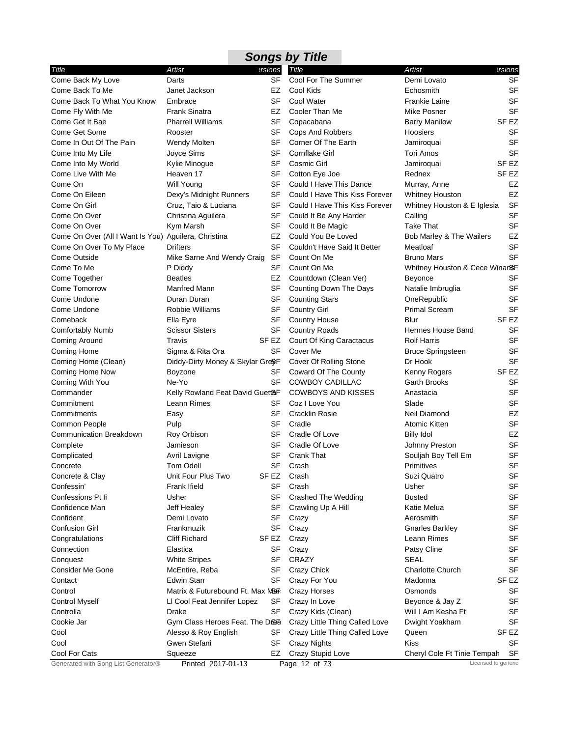|                                                      |                                  |           | <b>Songs by Title</b>          |                                |                     |
|------------------------------------------------------|----------------------------------|-----------|--------------------------------|--------------------------------|---------------------|
| Title                                                | Artist                           | ersions   | Title                          | <b>Artist</b>                  | ersions             |
| Come Back My Love                                    | Darts                            | <b>SF</b> | Cool For The Summer            | Demi Lovato                    | <b>SF</b>           |
| Come Back To Me                                      | Janet Jackson                    | EZ        | Cool Kids                      | Echosmith                      | <b>SF</b>           |
| Come Back To What You Know                           | Embrace                          | SF        | Cool Water                     | <b>Frankie Laine</b>           | <b>SF</b>           |
| Come Fly With Me                                     | Frank Sinatra                    | EZ        | Cooler Than Me                 | Mike Posner                    | <b>SF</b>           |
| Come Get It Bae                                      | <b>Pharrell Williams</b>         | SF        | Copacabana                     | <b>Barry Manilow</b>           | SF EZ               |
| Come Get Some                                        | Rooster                          | SF        | Cops And Robbers               | Hoosiers                       | SF                  |
| Come In Out Of The Pain                              | Wendy Molten                     | SF        | Corner Of The Earth            | Jamiroquai                     | <b>SF</b>           |
| Come Into My Life                                    | Joyce Sims                       | SF        | Cornflake Girl                 | Tori Amos                      | <b>SF</b>           |
| Come Into My World                                   | Kylie Minogue                    | SF        | Cosmic Girl                    | Jamiroquai                     | SF <sub>EZ</sub>    |
| Come Live With Me                                    | Heaven 17                        | <b>SF</b> | Cotton Eye Joe                 | Rednex                         | SF <sub>EZ</sub>    |
| Come On                                              | Will Young                       | SF        | Could I Have This Dance        | Murray, Anne                   | EZ                  |
| Come On Eileen                                       | Dexy's Midnight Runners          | <b>SF</b> | Could I Have This Kiss Forever | <b>Whitney Houston</b>         | EZ                  |
| Come On Girl                                         | Cruz, Taio & Luciana             | SF        | Could I Have This Kiss Forever | Whitney Houston & E Iglesia    | <b>SF</b>           |
| Come On Over                                         | Christina Aguilera               | <b>SF</b> | Could It Be Any Harder         | Calling                        | <b>SF</b>           |
| Come On Over                                         | Kym Marsh                        | SF        | Could It Be Magic              | Take That                      | <b>SF</b>           |
| Come On Over (All I Want Is You) Aguilera, Christina |                                  | EZ        | Could You Be Loved             | Bob Marley & The Wailers       | EZ                  |
| Come On Over To My Place                             | <b>Drifters</b>                  | <b>SF</b> | Couldn't Have Said It Better   | Meatloaf                       | <b>SF</b>           |
| Come Outside                                         | Mike Sarne And Wendy Craig       | SF        | Count On Me                    | <b>Bruno Mars</b>              | <b>SF</b>           |
| Come To Me                                           | P Diddy                          | SF        | Count On Me                    | Whitney Houston & Cece Winar&F |                     |
| Come Together                                        | <b>Beatles</b>                   | EZ        | Countdown (Clean Ver)          | <b>Beyonce</b>                 | SF                  |
| Come Tomorrow                                        | Manfred Mann                     | SF        | Counting Down The Days         | Natalie Imbruglia              | <b>SF</b>           |
| Come Undone                                          | Duran Duran                      | SF        | <b>Counting Stars</b>          | OneRepublic                    | <b>SF</b>           |
| Come Undone                                          | Robbie Williams                  | SF        | <b>Country Girl</b>            | <b>Primal Scream</b>           | <b>SF</b>           |
| Comeback                                             | Ella Eyre                        | SF        | <b>Country House</b>           | Blur                           | SF <sub>EZ</sub>    |
| <b>Comfortably Numb</b>                              | <b>Scissor Sisters</b>           | <b>SF</b> | <b>Country Roads</b>           | Hermes House Band              | <b>SF</b>           |
| Coming Around                                        | Travis                           | SF EZ     | Court Of King Caractacus       | <b>Rolf Harris</b>             | <b>SF</b>           |
| Coming Home                                          | Sigma & Rita Ora                 | SF        | Cover Me                       | <b>Bruce Springsteen</b>       | <b>SF</b>           |
| Coming Home (Clean)                                  | Diddy-Dirty Money & Skylar Gre&F |           | Cover Of Rolling Stone         | Dr Hook                        | SF                  |
| Coming Home Now                                      | Boyzone                          | SF        | Coward Of The County           | Kenny Rogers                   | SF <sub>EZ</sub>    |
| Coming With You                                      | Ne-Yo                            | SF        | COWBOY CADILLAC                | Garth Brooks                   | <b>SF</b>           |
| Commander                                            | Kelly Rowland Feat David Guet&F  |           | <b>COWBOYS AND KISSES</b>      | Anastacia                      | <b>SF</b>           |
| Commitment                                           | Leann Rimes                      | SF        | Coz I Love You                 | Slade                          | <b>SF</b>           |
| Commitments                                          | Easy                             | SF        | <b>Cracklin Rosie</b>          | Neil Diamond                   | EZ                  |
| Common People                                        | Pulp                             | SF        | Cradle                         | Atomic Kitten                  | <b>SF</b>           |
| <b>Communication Breakdown</b>                       | Roy Orbison                      | SF        | Cradle Of Love                 | <b>Billy Idol</b>              | EZ                  |
| Complete                                             | Jamieson                         | SF        | Cradle Of Love                 | Johnny Preston                 | <b>SF</b>           |
| Complicated                                          | Avril Lavigne                    | SF        | <b>Crank That</b>              | Souljah Boy Tell Em            | <b>SF</b>           |
| Concrete                                             | Tom Odell                        | <b>SF</b> | Crash                          | Primitives                     | SF                  |
| Concrete & Clay                                      | Unit Four Plus Two               | SF EZ     | Crash                          | Suzi Quatro                    | <b>SF</b>           |
| Confessin'                                           | Frank Ifield                     | <b>SF</b> | Crash                          | Usher                          | <b>SF</b>           |
| Confessions Pt li                                    | Usher                            | SF        | Crashed The Wedding            | <b>Busted</b>                  | <b>SF</b>           |
| Confidence Man                                       | Jeff Healey                      | SF        | Crawling Up A Hill             | Katie Melua                    | <b>SF</b>           |
| Confident                                            | Demi Lovato                      | SF        | Crazy                          | Aerosmith                      | <b>SF</b>           |
| <b>Confusion Girl</b>                                | Frankmuzik                       | <b>SF</b> | Crazy                          | <b>Gnarles Barkley</b>         | <b>SF</b>           |
| Congratulations                                      | <b>Cliff Richard</b>             | SF EZ     | Crazy                          | Leann Rimes                    | <b>SF</b>           |
| Connection                                           | Elastica                         | SF        | Crazy                          | Patsy Cline                    | <b>SF</b>           |
| Conquest                                             | <b>White Stripes</b>             | SF        | CRAZY                          | <b>SEAL</b>                    | <b>SF</b>           |
| <b>Consider Me Gone</b>                              | McEntire, Reba                   | SF        | Crazy Chick                    | <b>Charlotte Church</b>        | <b>SF</b>           |
| Contact                                              | <b>Edwin Starr</b>               | SF        | Crazy For You                  | Madonna                        | SF EZ               |
| Control                                              | Matrix & Futurebound Ft. Max M&F |           | Crazy Horses                   | Osmonds                        | SF                  |
| <b>Control Myself</b>                                | LI Cool Feat Jennifer Lopez      | SF        | Crazy In Love                  | Beyonce & Jay Z                | SF                  |
| Controlla                                            | Drake                            | SF        | Crazy Kids (Clean)             | Will I Am Kesha Ft             | <b>SF</b>           |
| Cookie Jar                                           | Gym Class Heroes Feat. The Drea  |           | Crazy Little Thing Called Love | Dwight Yoakham                 | <b>SF</b>           |
| Cool                                                 | Alesso & Roy English             | SF        | Crazy Little Thing Called Love | Queen                          | SF EZ               |
| Cool                                                 | Gwen Stefani                     | SF        | <b>Crazy Nights</b>            | Kiss                           | SF                  |
| Cool For Cats                                        | Squeeze                          | EZ        | Crazy Stupid Love              | Cheryl Cole Ft Tinie Tempah    | SF                  |
| Generated with Song List Generator®                  | Printed 2017-01-13               |           | Page 12 of 73                  |                                | Licensed to generic |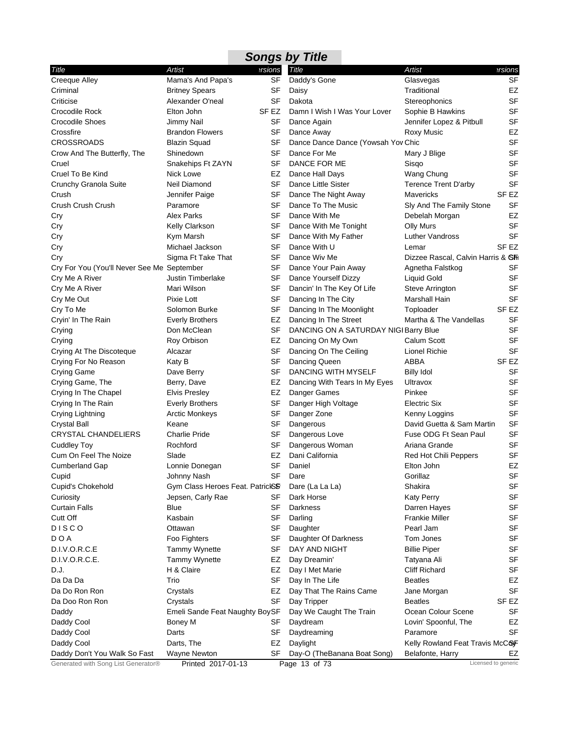|                                            |                                  |         | <b>Songs by Title</b>                 |                                    |                  |
|--------------------------------------------|----------------------------------|---------|---------------------------------------|------------------------------------|------------------|
| Title                                      | Artist                           | ersions | Title                                 | <b>Artist</b>                      | ersions          |
| <b>Creeque Alley</b>                       | Mama's And Papa's                | SF      | Daddy's Gone                          | Glasvegas                          | <b>SF</b>        |
| Criminal                                   | <b>Britney Spears</b>            | SF      | Daisy                                 | Traditional                        | EZ               |
| Criticise                                  | Alexander O'neal                 | SF      | Dakota                                | Stereophonics                      | <b>SF</b>        |
| Crocodile Rock                             | Elton John                       | SF EZ   | Damn I Wish I Was Your Lover          | Sophie B Hawkins                   | <b>SF</b>        |
| <b>Crocodile Shoes</b>                     | Jimmy Nail                       | SF      | Dance Again                           | Jennifer Lopez & Pitbull           | <b>SF</b>        |
| Crossfire                                  | <b>Brandon Flowers</b>           | SF      | Dance Away                            | Roxy Music                         | EZ               |
| <b>CROSSROADS</b>                          | <b>Blazin Squad</b>              | SF      | Dance Dance Dance (Yowsah Yov Chic    |                                    | <b>SF</b>        |
| Crow And The Butterfly, The                | Shinedown                        | SF      | Dance For Me                          | Mary J Blige                       | <b>SF</b>        |
| Cruel                                      | Snakehips Ft ZAYN                | SF      | DANCE FOR ME                          | Sisgo                              | <b>SF</b>        |
| Cruel To Be Kind                           | Nick Lowe                        | EZ      | Dance Hall Days                       | Wang Chung                         | <b>SF</b>        |
| Crunchy Granola Suite                      | Neil Diamond                     | SF      | Dance Little Sister                   | <b>Terence Trent D'arby</b>        | <b>SF</b>        |
| Crush                                      | Jennifer Paige                   | SF      | Dance The Night Away                  | Mavericks                          | SF <sub>EZ</sub> |
| Crush Crush Crush                          | Paramore                         | SF      | Dance To The Music                    | Sly And The Family Stone           | SF               |
| Cry                                        | Alex Parks                       | SF      | Dance With Me                         | Debelah Morgan                     | EZ               |
| Cry                                        | Kelly Clarkson                   | SF      | Dance With Me Tonight                 | <b>Olly Murs</b>                   | <b>SF</b>        |
| Cry                                        | Kym Marsh                        | SF      | Dance With My Father                  | Luther Vandross                    | <b>SF</b>        |
| Cry                                        | Michael Jackson                  | SF      | Dance With U                          | Lemar                              | SF <sub>EZ</sub> |
| Cry                                        | Sigma Ft Take That               | SF      | Dance Wiv Me                          | Dizzee Rascal, Calvin Harris & Shi |                  |
| Cry For You (You'll Never See Me September |                                  | SF      | Dance Your Pain Away                  | Agnetha Falstkog                   | SF               |
| Cry Me A River                             | Justin Timberlake                | SF      | Dance Yourself Dizzy                  | <b>Liquid Gold</b>                 | SF               |
| Cry Me A River                             | Mari Wilson                      | SF      | Dancin' In The Key Of Life            | Steve Arrington                    | SF               |
| Cry Me Out                                 | Pixie Lott                       | SF      | Dancing In The City                   | Marshall Hain                      | <b>SF</b>        |
| Cry To Me                                  | Solomon Burke                    | SF      | Dancing In The Moonlight              | Toploader                          | SF <sub>EZ</sub> |
| Cryin' In The Rain                         | <b>Everly Brothers</b>           | EZ      | Dancing In The Street                 | Martha & The Vandellas             | <b>SF</b>        |
| Crying                                     | Don McClean                      | SF      | DANCING ON A SATURDAY NIGI Barry Blue |                                    | <b>SF</b>        |
| Crying                                     | Roy Orbison                      | EZ      | Dancing On My Own                     | Calum Scott                        | SF               |
| Crying At The Discoteque                   | Alcazar                          | SF      | Dancing On The Ceiling                | Lionel Richie                      | <b>SF</b>        |
| Crying For No Reason                       | Katy B                           | SF      | Dancing Queen                         | ABBA                               | SF EZ            |
| Crying Game                                | Dave Berry                       | SF      | DANCING WITH MYSELF                   | <b>Billy Idol</b>                  | <b>SF</b>        |
| Crying Game, The                           | Berry, Dave                      | EZ      | Dancing With Tears In My Eyes         | Ultravox                           | <b>SF</b>        |
| Crying In The Chapel                       | <b>Elvis Presley</b>             | EZ      | Danger Games                          | Pinkee                             | <b>SF</b>        |
| Crying In The Rain                         | <b>Everly Brothers</b>           | SF      | Danger High Voltage                   | Electric Six                       | <b>SF</b>        |
| Crying Lightning                           | <b>Arctic Monkeys</b>            | SF      | Danger Zone                           | Kenny Loggins                      | <b>SF</b>        |
| <b>Crystal Ball</b>                        | Keane                            | SF      | Dangerous                             | David Guetta & Sam Martin          | <b>SF</b>        |
| <b>CRYSTAL CHANDELIERS</b>                 | <b>Charlie Pride</b>             | SF      | Dangerous Love                        | Fuse ODG Ft Sean Paul              | SF               |
| <b>Cuddley Toy</b>                         | Rochford                         | SF      | Dangerous Woman                       | Ariana Grande                      | <b>SF</b>        |
| Cum On Feel The Noize                      | Slade                            | EZ      | Dani California                       | Red Hot Chili Peppers              | <b>SF</b>        |
| Cumberland Gap                             | Lonnie Donegan                   |         | SF Daniel                             | Elton John                         | EZ               |
| Cupid                                      | Johnny Nash                      | SF      | Dare                                  | Gorillaz                           | <b>SF</b>        |
| Cupid's Chokehold                          | Gym Class Heroes Feat. PatrickSF |         | Dare (La La La)                       | Shakira                            | <b>SF</b>        |
| Curiosity                                  | Jepsen, Carly Rae                | SF      | Dark Horse                            | <b>Katy Perry</b>                  | SF               |
| Curtain Falls                              | Blue                             | SF      | Darkness                              | Darren Hayes                       | <b>SF</b>        |
| Cutt Off                                   | Kasbain                          | SF      | Darling                               | <b>Frankie Miller</b>              | <b>SF</b>        |
| <b>DISCO</b>                               | Ottawan                          | SF      | Daughter                              | Pearl Jam                          | <b>SF</b>        |
| DOA                                        | Foo Fighters                     | SF      | Daughter Of Darkness                  | Tom Jones                          | <b>SF</b>        |
| D.I.V.O.R.C.E                              | <b>Tammy Wynette</b>             | SF      | DAY AND NIGHT                         | <b>Billie Piper</b>                | <b>SF</b>        |
| D.I.V.O.R.C.E.                             | <b>Tammy Wynette</b>             | EZ      | Day Dreamin'                          | Tatyana Ali                        | <b>SF</b>        |
| D.J.                                       | H & Claire                       | EZ      | Day I Met Marie                       | <b>Cliff Richard</b>               | <b>SF</b>        |
| Da Da Da                                   | Trio                             | SF      | Day In The Life                       | <b>Beatles</b>                     | EZ               |
| Da Do Ron Ron                              | Crystals                         | EZ      | Day That The Rains Came               | Jane Morgan                        | <b>SF</b>        |
| Da Doo Ron Ron                             | Crystals                         | SF      | Day Tripper                           | <b>Beatles</b>                     | SF EZ            |
| Daddy                                      | Emeli Sande Feat Naughty BoySF   |         | Day We Caught The Train               | Ocean Colour Scene                 | <b>SF</b>        |
| Daddy Cool                                 | Boney M                          | SF      | Daydream                              | Lovin' Spoonful, The               | EZ               |
| Daddy Cool                                 | Darts                            | SF      | Daydreaming                           | Paramore                           | <b>SF</b>        |
| Daddy Cool                                 | Darts, The                       | EZ      | Daylight                              | Kelly Rowland Feat Travis McCOF    |                  |
| Daddy Don't You Walk So Fast               | Wayne Newton                     | SF      | Day-O (TheBanana Boat Song)           | Belafonte, Harry                   | EZ               |
| Generated with Song List Generator®        | Printed 2017-01-13               |         | Page 13 of 73                         | Licensed to generic                |                  |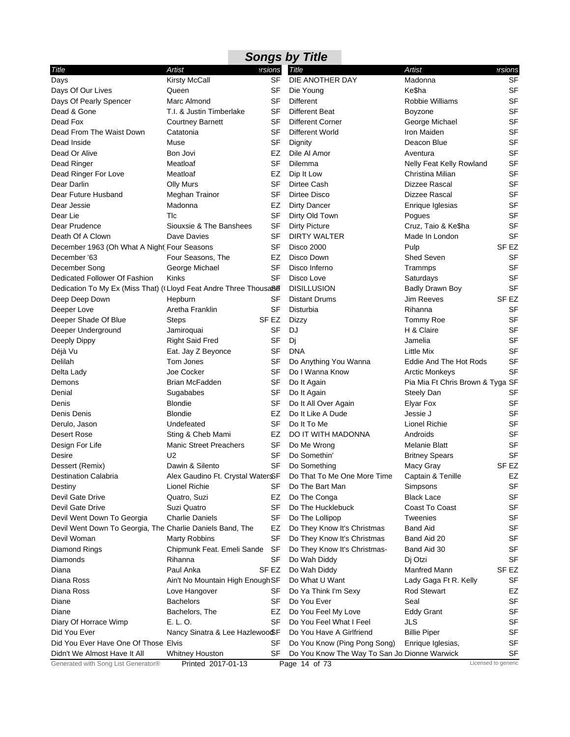| ersions<br><b>Artist</b><br>Artist<br><b>Title</b><br>ersions<br>Kirsty McCall<br><b>SF</b><br>DIE ANOTHER DAY<br><b>SF</b><br>Madonna<br>Ke\$ha<br><b>SF</b><br>SF<br>Queen<br>Die Young<br><b>SF</b><br>Marc Almond<br>SF<br>Different<br>Robbie Williams<br><b>SF</b><br>T.I. & Justin Timberlake<br>SF<br>Different Beat<br>Boyzone<br><b>SF</b><br>SF<br><b>Different Corner</b><br><b>Courtney Barnett</b><br>George Michael<br><b>SF</b><br>Catatonia<br>SF<br>Different World<br>Iron Maiden<br>SF<br>Muse<br>SF<br>Deacon Blue<br>Dignity<br>SF<br>Bon Jovi<br>Dile Al Amor<br>EZ<br>Aventura<br>SF<br>Dead Ringer<br>Meatloaf<br>SF<br>Dilemma<br>Nelly Feat Kelly Rowland<br>SF<br>Meatloaf<br>EZ<br>Dip It Low<br>Christina Milian<br>SF<br><b>Olly Murs</b><br>SF<br>Dirtee Cash<br>Dizzee Rascal<br>SF<br><b>SF</b><br>Meghan Trainor<br>Dirtee Disco<br>Dizzee Rascal<br>SF<br>Madonna<br>EZ<br>Dirty Dancer<br>Enrique Iglesias<br>SF<br><b>SF</b><br>Tlc<br>Dirty Old Town<br>Pogues<br>SF<br>Siouxsie & The Banshees<br>SF<br><b>Dirty Picture</b><br>Cruz, Taio & Ke\$ha<br><b>SF</b><br>Dave Davies<br>SF<br><b>DIRTY WALTER</b><br>Made In London<br><b>SF</b><br>SF <sub>EZ</sub><br>December 1963 (Oh What A Night Four Seasons<br>Pulp<br><b>Disco 2000</b><br><b>SF</b><br>Four Seasons, The<br>EZ<br>Disco Down<br>Shed Seven<br><b>SF</b><br>George Michael<br>SF<br>Disco Inferno<br>Trammps<br><b>SF</b><br><b>Kinks</b><br>SF<br>Disco Love<br>Saturdays<br><b>SF</b><br>Dedication To My Ex (Miss That) ((Lloyd Feat Andre Three Thousa88<br><b>DISILLUSION</b><br><b>Badly Drawn Boy</b><br>SF <sub>EZ</sub><br>SF<br><b>Distant Drums</b><br><b>Jim Reeves</b><br>Hepburn<br><b>SF</b><br>Aretha Franklin<br>SF<br>Disturbia<br>Rihanna<br><b>SF</b><br>Deeper Shade Of Blue<br>SF EZ<br><b>Steps</b><br>Dizzy<br>Tommy Roe<br><b>SF</b><br><b>SF</b><br>DJ<br>H & Claire<br>Jamiroquai<br><b>SF</b><br>Deeply Dippy<br>Right Said Fred<br>SF<br>Dj<br>Jamelia<br>SF<br>Déjà Vu<br>Eat. Jay Z Beyonce<br>SF<br><b>DNA</b><br>Little Mix<br>SF<br>Delilah<br>Tom Jones<br>SF<br>Do Anything You Wanna<br>Eddie And The Hot Rods<br>SF<br><b>SF</b><br>Joe Cocker<br>Do I Wanna Know<br><b>Arctic Monkeys</b><br>Brian McFadden<br>SF<br>Do It Again<br>Pia Mia Ft Chris Brown & Tyga SF<br><b>SF</b><br>Denial<br>SF<br>Sugababes<br>Do It Again<br>Steely Dan<br><b>SF</b><br><b>Blondie</b><br>SF<br>Denis<br>Do It All Over Again<br>Elyar Fox<br><b>SF</b><br>Denis Denis<br><b>Blondie</b><br>EZ<br>Do It Like A Dude<br>Jessie J<br><b>SF</b><br>SF<br>Do It To Me<br>Lionel Richie<br>Derulo, Jason<br>Undefeated<br><b>SF</b><br>Sting & Cheb Mami<br>EZ<br>DO IT WITH MADONNA<br>Desert Rose<br>Androids<br><b>SF</b><br><b>Manic Street Preachers</b><br>SF<br>Design For Life<br>Do Me Wrong<br><b>Melanie Blatt</b><br>SF<br><b>SF</b><br>U <sub>2</sub><br>Do Somethin'<br><b>Britney Spears</b><br>Desire<br>Dawin & Silento<br><b>SF</b><br>SF <sub>EZ</sub><br>Dessert (Remix)<br>Do Something<br>Macy Gray<br>EZ<br><b>Destination Calabria</b><br>Alex Gaudino Ft. Crystal WaterSF<br>Do That To Me One More Time<br>Captain & Tenille | <b>Songs by Title</b>                                               |  |  |  |  |  |  |  |  |
|------------------------------------------------------------------------------------------------------------------------------------------------------------------------------------------------------------------------------------------------------------------------------------------------------------------------------------------------------------------------------------------------------------------------------------------------------------------------------------------------------------------------------------------------------------------------------------------------------------------------------------------------------------------------------------------------------------------------------------------------------------------------------------------------------------------------------------------------------------------------------------------------------------------------------------------------------------------------------------------------------------------------------------------------------------------------------------------------------------------------------------------------------------------------------------------------------------------------------------------------------------------------------------------------------------------------------------------------------------------------------------------------------------------------------------------------------------------------------------------------------------------------------------------------------------------------------------------------------------------------------------------------------------------------------------------------------------------------------------------------------------------------------------------------------------------------------------------------------------------------------------------------------------------------------------------------------------------------------------------------------------------------------------------------------------------------------------------------------------------------------------------------------------------------------------------------------------------------------------------------------------------------------------------------------------------------------------------------------------------------------------------------------------------------------------------------------------------------------------------------------------------------------------------------------------------------------------------------------------------------------------------------------------------------------------------------------------------------------------------------------------------------------------------------------------------------------------------------------------------------------------------------------------------------------------------------------------------------------------------------------------------------------------------------------------------------------------------------------------------------------------------------------------------------------------------|---------------------------------------------------------------------|--|--|--|--|--|--|--|--|
|                                                                                                                                                                                                                                                                                                                                                                                                                                                                                                                                                                                                                                                                                                                                                                                                                                                                                                                                                                                                                                                                                                                                                                                                                                                                                                                                                                                                                                                                                                                                                                                                                                                                                                                                                                                                                                                                                                                                                                                                                                                                                                                                                                                                                                                                                                                                                                                                                                                                                                                                                                                                                                                                                                                                                                                                                                                                                                                                                                                                                                                                                                                                                                                          | Title                                                               |  |  |  |  |  |  |  |  |
|                                                                                                                                                                                                                                                                                                                                                                                                                                                                                                                                                                                                                                                                                                                                                                                                                                                                                                                                                                                                                                                                                                                                                                                                                                                                                                                                                                                                                                                                                                                                                                                                                                                                                                                                                                                                                                                                                                                                                                                                                                                                                                                                                                                                                                                                                                                                                                                                                                                                                                                                                                                                                                                                                                                                                                                                                                                                                                                                                                                                                                                                                                                                                                                          | Days                                                                |  |  |  |  |  |  |  |  |
|                                                                                                                                                                                                                                                                                                                                                                                                                                                                                                                                                                                                                                                                                                                                                                                                                                                                                                                                                                                                                                                                                                                                                                                                                                                                                                                                                                                                                                                                                                                                                                                                                                                                                                                                                                                                                                                                                                                                                                                                                                                                                                                                                                                                                                                                                                                                                                                                                                                                                                                                                                                                                                                                                                                                                                                                                                                                                                                                                                                                                                                                                                                                                                                          | Days Of Our Lives                                                   |  |  |  |  |  |  |  |  |
|                                                                                                                                                                                                                                                                                                                                                                                                                                                                                                                                                                                                                                                                                                                                                                                                                                                                                                                                                                                                                                                                                                                                                                                                                                                                                                                                                                                                                                                                                                                                                                                                                                                                                                                                                                                                                                                                                                                                                                                                                                                                                                                                                                                                                                                                                                                                                                                                                                                                                                                                                                                                                                                                                                                                                                                                                                                                                                                                                                                                                                                                                                                                                                                          | Days Of Pearly Spencer                                              |  |  |  |  |  |  |  |  |
|                                                                                                                                                                                                                                                                                                                                                                                                                                                                                                                                                                                                                                                                                                                                                                                                                                                                                                                                                                                                                                                                                                                                                                                                                                                                                                                                                                                                                                                                                                                                                                                                                                                                                                                                                                                                                                                                                                                                                                                                                                                                                                                                                                                                                                                                                                                                                                                                                                                                                                                                                                                                                                                                                                                                                                                                                                                                                                                                                                                                                                                                                                                                                                                          | Dead & Gone                                                         |  |  |  |  |  |  |  |  |
|                                                                                                                                                                                                                                                                                                                                                                                                                                                                                                                                                                                                                                                                                                                                                                                                                                                                                                                                                                                                                                                                                                                                                                                                                                                                                                                                                                                                                                                                                                                                                                                                                                                                                                                                                                                                                                                                                                                                                                                                                                                                                                                                                                                                                                                                                                                                                                                                                                                                                                                                                                                                                                                                                                                                                                                                                                                                                                                                                                                                                                                                                                                                                                                          | Dead Fox                                                            |  |  |  |  |  |  |  |  |
|                                                                                                                                                                                                                                                                                                                                                                                                                                                                                                                                                                                                                                                                                                                                                                                                                                                                                                                                                                                                                                                                                                                                                                                                                                                                                                                                                                                                                                                                                                                                                                                                                                                                                                                                                                                                                                                                                                                                                                                                                                                                                                                                                                                                                                                                                                                                                                                                                                                                                                                                                                                                                                                                                                                                                                                                                                                                                                                                                                                                                                                                                                                                                                                          | Dead From The Waist Down                                            |  |  |  |  |  |  |  |  |
|                                                                                                                                                                                                                                                                                                                                                                                                                                                                                                                                                                                                                                                                                                                                                                                                                                                                                                                                                                                                                                                                                                                                                                                                                                                                                                                                                                                                                                                                                                                                                                                                                                                                                                                                                                                                                                                                                                                                                                                                                                                                                                                                                                                                                                                                                                                                                                                                                                                                                                                                                                                                                                                                                                                                                                                                                                                                                                                                                                                                                                                                                                                                                                                          | Dead Inside                                                         |  |  |  |  |  |  |  |  |
|                                                                                                                                                                                                                                                                                                                                                                                                                                                                                                                                                                                                                                                                                                                                                                                                                                                                                                                                                                                                                                                                                                                                                                                                                                                                                                                                                                                                                                                                                                                                                                                                                                                                                                                                                                                                                                                                                                                                                                                                                                                                                                                                                                                                                                                                                                                                                                                                                                                                                                                                                                                                                                                                                                                                                                                                                                                                                                                                                                                                                                                                                                                                                                                          | Dead Or Alive                                                       |  |  |  |  |  |  |  |  |
|                                                                                                                                                                                                                                                                                                                                                                                                                                                                                                                                                                                                                                                                                                                                                                                                                                                                                                                                                                                                                                                                                                                                                                                                                                                                                                                                                                                                                                                                                                                                                                                                                                                                                                                                                                                                                                                                                                                                                                                                                                                                                                                                                                                                                                                                                                                                                                                                                                                                                                                                                                                                                                                                                                                                                                                                                                                                                                                                                                                                                                                                                                                                                                                          |                                                                     |  |  |  |  |  |  |  |  |
|                                                                                                                                                                                                                                                                                                                                                                                                                                                                                                                                                                                                                                                                                                                                                                                                                                                                                                                                                                                                                                                                                                                                                                                                                                                                                                                                                                                                                                                                                                                                                                                                                                                                                                                                                                                                                                                                                                                                                                                                                                                                                                                                                                                                                                                                                                                                                                                                                                                                                                                                                                                                                                                                                                                                                                                                                                                                                                                                                                                                                                                                                                                                                                                          | Dead Ringer For Love                                                |  |  |  |  |  |  |  |  |
|                                                                                                                                                                                                                                                                                                                                                                                                                                                                                                                                                                                                                                                                                                                                                                                                                                                                                                                                                                                                                                                                                                                                                                                                                                                                                                                                                                                                                                                                                                                                                                                                                                                                                                                                                                                                                                                                                                                                                                                                                                                                                                                                                                                                                                                                                                                                                                                                                                                                                                                                                                                                                                                                                                                                                                                                                                                                                                                                                                                                                                                                                                                                                                                          | Dear Darlin                                                         |  |  |  |  |  |  |  |  |
|                                                                                                                                                                                                                                                                                                                                                                                                                                                                                                                                                                                                                                                                                                                                                                                                                                                                                                                                                                                                                                                                                                                                                                                                                                                                                                                                                                                                                                                                                                                                                                                                                                                                                                                                                                                                                                                                                                                                                                                                                                                                                                                                                                                                                                                                                                                                                                                                                                                                                                                                                                                                                                                                                                                                                                                                                                                                                                                                                                                                                                                                                                                                                                                          | Dear Future Husband                                                 |  |  |  |  |  |  |  |  |
|                                                                                                                                                                                                                                                                                                                                                                                                                                                                                                                                                                                                                                                                                                                                                                                                                                                                                                                                                                                                                                                                                                                                                                                                                                                                                                                                                                                                                                                                                                                                                                                                                                                                                                                                                                                                                                                                                                                                                                                                                                                                                                                                                                                                                                                                                                                                                                                                                                                                                                                                                                                                                                                                                                                                                                                                                                                                                                                                                                                                                                                                                                                                                                                          | Dear Jessie                                                         |  |  |  |  |  |  |  |  |
|                                                                                                                                                                                                                                                                                                                                                                                                                                                                                                                                                                                                                                                                                                                                                                                                                                                                                                                                                                                                                                                                                                                                                                                                                                                                                                                                                                                                                                                                                                                                                                                                                                                                                                                                                                                                                                                                                                                                                                                                                                                                                                                                                                                                                                                                                                                                                                                                                                                                                                                                                                                                                                                                                                                                                                                                                                                                                                                                                                                                                                                                                                                                                                                          | Dear Lie                                                            |  |  |  |  |  |  |  |  |
|                                                                                                                                                                                                                                                                                                                                                                                                                                                                                                                                                                                                                                                                                                                                                                                                                                                                                                                                                                                                                                                                                                                                                                                                                                                                                                                                                                                                                                                                                                                                                                                                                                                                                                                                                                                                                                                                                                                                                                                                                                                                                                                                                                                                                                                                                                                                                                                                                                                                                                                                                                                                                                                                                                                                                                                                                                                                                                                                                                                                                                                                                                                                                                                          | Dear Prudence                                                       |  |  |  |  |  |  |  |  |
|                                                                                                                                                                                                                                                                                                                                                                                                                                                                                                                                                                                                                                                                                                                                                                                                                                                                                                                                                                                                                                                                                                                                                                                                                                                                                                                                                                                                                                                                                                                                                                                                                                                                                                                                                                                                                                                                                                                                                                                                                                                                                                                                                                                                                                                                                                                                                                                                                                                                                                                                                                                                                                                                                                                                                                                                                                                                                                                                                                                                                                                                                                                                                                                          | Death Of A Clown                                                    |  |  |  |  |  |  |  |  |
|                                                                                                                                                                                                                                                                                                                                                                                                                                                                                                                                                                                                                                                                                                                                                                                                                                                                                                                                                                                                                                                                                                                                                                                                                                                                                                                                                                                                                                                                                                                                                                                                                                                                                                                                                                                                                                                                                                                                                                                                                                                                                                                                                                                                                                                                                                                                                                                                                                                                                                                                                                                                                                                                                                                                                                                                                                                                                                                                                                                                                                                                                                                                                                                          |                                                                     |  |  |  |  |  |  |  |  |
|                                                                                                                                                                                                                                                                                                                                                                                                                                                                                                                                                                                                                                                                                                                                                                                                                                                                                                                                                                                                                                                                                                                                                                                                                                                                                                                                                                                                                                                                                                                                                                                                                                                                                                                                                                                                                                                                                                                                                                                                                                                                                                                                                                                                                                                                                                                                                                                                                                                                                                                                                                                                                                                                                                                                                                                                                                                                                                                                                                                                                                                                                                                                                                                          | December '63                                                        |  |  |  |  |  |  |  |  |
|                                                                                                                                                                                                                                                                                                                                                                                                                                                                                                                                                                                                                                                                                                                                                                                                                                                                                                                                                                                                                                                                                                                                                                                                                                                                                                                                                                                                                                                                                                                                                                                                                                                                                                                                                                                                                                                                                                                                                                                                                                                                                                                                                                                                                                                                                                                                                                                                                                                                                                                                                                                                                                                                                                                                                                                                                                                                                                                                                                                                                                                                                                                                                                                          | December Song                                                       |  |  |  |  |  |  |  |  |
|                                                                                                                                                                                                                                                                                                                                                                                                                                                                                                                                                                                                                                                                                                                                                                                                                                                                                                                                                                                                                                                                                                                                                                                                                                                                                                                                                                                                                                                                                                                                                                                                                                                                                                                                                                                                                                                                                                                                                                                                                                                                                                                                                                                                                                                                                                                                                                                                                                                                                                                                                                                                                                                                                                                                                                                                                                                                                                                                                                                                                                                                                                                                                                                          | Dedicated Follower Of Fashion                                       |  |  |  |  |  |  |  |  |
|                                                                                                                                                                                                                                                                                                                                                                                                                                                                                                                                                                                                                                                                                                                                                                                                                                                                                                                                                                                                                                                                                                                                                                                                                                                                                                                                                                                                                                                                                                                                                                                                                                                                                                                                                                                                                                                                                                                                                                                                                                                                                                                                                                                                                                                                                                                                                                                                                                                                                                                                                                                                                                                                                                                                                                                                                                                                                                                                                                                                                                                                                                                                                                                          |                                                                     |  |  |  |  |  |  |  |  |
|                                                                                                                                                                                                                                                                                                                                                                                                                                                                                                                                                                                                                                                                                                                                                                                                                                                                                                                                                                                                                                                                                                                                                                                                                                                                                                                                                                                                                                                                                                                                                                                                                                                                                                                                                                                                                                                                                                                                                                                                                                                                                                                                                                                                                                                                                                                                                                                                                                                                                                                                                                                                                                                                                                                                                                                                                                                                                                                                                                                                                                                                                                                                                                                          | Deep Deep Down                                                      |  |  |  |  |  |  |  |  |
|                                                                                                                                                                                                                                                                                                                                                                                                                                                                                                                                                                                                                                                                                                                                                                                                                                                                                                                                                                                                                                                                                                                                                                                                                                                                                                                                                                                                                                                                                                                                                                                                                                                                                                                                                                                                                                                                                                                                                                                                                                                                                                                                                                                                                                                                                                                                                                                                                                                                                                                                                                                                                                                                                                                                                                                                                                                                                                                                                                                                                                                                                                                                                                                          | Deeper Love                                                         |  |  |  |  |  |  |  |  |
|                                                                                                                                                                                                                                                                                                                                                                                                                                                                                                                                                                                                                                                                                                                                                                                                                                                                                                                                                                                                                                                                                                                                                                                                                                                                                                                                                                                                                                                                                                                                                                                                                                                                                                                                                                                                                                                                                                                                                                                                                                                                                                                                                                                                                                                                                                                                                                                                                                                                                                                                                                                                                                                                                                                                                                                                                                                                                                                                                                                                                                                                                                                                                                                          |                                                                     |  |  |  |  |  |  |  |  |
|                                                                                                                                                                                                                                                                                                                                                                                                                                                                                                                                                                                                                                                                                                                                                                                                                                                                                                                                                                                                                                                                                                                                                                                                                                                                                                                                                                                                                                                                                                                                                                                                                                                                                                                                                                                                                                                                                                                                                                                                                                                                                                                                                                                                                                                                                                                                                                                                                                                                                                                                                                                                                                                                                                                                                                                                                                                                                                                                                                                                                                                                                                                                                                                          | Deeper Underground                                                  |  |  |  |  |  |  |  |  |
|                                                                                                                                                                                                                                                                                                                                                                                                                                                                                                                                                                                                                                                                                                                                                                                                                                                                                                                                                                                                                                                                                                                                                                                                                                                                                                                                                                                                                                                                                                                                                                                                                                                                                                                                                                                                                                                                                                                                                                                                                                                                                                                                                                                                                                                                                                                                                                                                                                                                                                                                                                                                                                                                                                                                                                                                                                                                                                                                                                                                                                                                                                                                                                                          |                                                                     |  |  |  |  |  |  |  |  |
|                                                                                                                                                                                                                                                                                                                                                                                                                                                                                                                                                                                                                                                                                                                                                                                                                                                                                                                                                                                                                                                                                                                                                                                                                                                                                                                                                                                                                                                                                                                                                                                                                                                                                                                                                                                                                                                                                                                                                                                                                                                                                                                                                                                                                                                                                                                                                                                                                                                                                                                                                                                                                                                                                                                                                                                                                                                                                                                                                                                                                                                                                                                                                                                          |                                                                     |  |  |  |  |  |  |  |  |
|                                                                                                                                                                                                                                                                                                                                                                                                                                                                                                                                                                                                                                                                                                                                                                                                                                                                                                                                                                                                                                                                                                                                                                                                                                                                                                                                                                                                                                                                                                                                                                                                                                                                                                                                                                                                                                                                                                                                                                                                                                                                                                                                                                                                                                                                                                                                                                                                                                                                                                                                                                                                                                                                                                                                                                                                                                                                                                                                                                                                                                                                                                                                                                                          |                                                                     |  |  |  |  |  |  |  |  |
|                                                                                                                                                                                                                                                                                                                                                                                                                                                                                                                                                                                                                                                                                                                                                                                                                                                                                                                                                                                                                                                                                                                                                                                                                                                                                                                                                                                                                                                                                                                                                                                                                                                                                                                                                                                                                                                                                                                                                                                                                                                                                                                                                                                                                                                                                                                                                                                                                                                                                                                                                                                                                                                                                                                                                                                                                                                                                                                                                                                                                                                                                                                                                                                          | Delta Lady                                                          |  |  |  |  |  |  |  |  |
|                                                                                                                                                                                                                                                                                                                                                                                                                                                                                                                                                                                                                                                                                                                                                                                                                                                                                                                                                                                                                                                                                                                                                                                                                                                                                                                                                                                                                                                                                                                                                                                                                                                                                                                                                                                                                                                                                                                                                                                                                                                                                                                                                                                                                                                                                                                                                                                                                                                                                                                                                                                                                                                                                                                                                                                                                                                                                                                                                                                                                                                                                                                                                                                          | Demons                                                              |  |  |  |  |  |  |  |  |
|                                                                                                                                                                                                                                                                                                                                                                                                                                                                                                                                                                                                                                                                                                                                                                                                                                                                                                                                                                                                                                                                                                                                                                                                                                                                                                                                                                                                                                                                                                                                                                                                                                                                                                                                                                                                                                                                                                                                                                                                                                                                                                                                                                                                                                                                                                                                                                                                                                                                                                                                                                                                                                                                                                                                                                                                                                                                                                                                                                                                                                                                                                                                                                                          |                                                                     |  |  |  |  |  |  |  |  |
|                                                                                                                                                                                                                                                                                                                                                                                                                                                                                                                                                                                                                                                                                                                                                                                                                                                                                                                                                                                                                                                                                                                                                                                                                                                                                                                                                                                                                                                                                                                                                                                                                                                                                                                                                                                                                                                                                                                                                                                                                                                                                                                                                                                                                                                                                                                                                                                                                                                                                                                                                                                                                                                                                                                                                                                                                                                                                                                                                                                                                                                                                                                                                                                          |                                                                     |  |  |  |  |  |  |  |  |
|                                                                                                                                                                                                                                                                                                                                                                                                                                                                                                                                                                                                                                                                                                                                                                                                                                                                                                                                                                                                                                                                                                                                                                                                                                                                                                                                                                                                                                                                                                                                                                                                                                                                                                                                                                                                                                                                                                                                                                                                                                                                                                                                                                                                                                                                                                                                                                                                                                                                                                                                                                                                                                                                                                                                                                                                                                                                                                                                                                                                                                                                                                                                                                                          |                                                                     |  |  |  |  |  |  |  |  |
|                                                                                                                                                                                                                                                                                                                                                                                                                                                                                                                                                                                                                                                                                                                                                                                                                                                                                                                                                                                                                                                                                                                                                                                                                                                                                                                                                                                                                                                                                                                                                                                                                                                                                                                                                                                                                                                                                                                                                                                                                                                                                                                                                                                                                                                                                                                                                                                                                                                                                                                                                                                                                                                                                                                                                                                                                                                                                                                                                                                                                                                                                                                                                                                          |                                                                     |  |  |  |  |  |  |  |  |
|                                                                                                                                                                                                                                                                                                                                                                                                                                                                                                                                                                                                                                                                                                                                                                                                                                                                                                                                                                                                                                                                                                                                                                                                                                                                                                                                                                                                                                                                                                                                                                                                                                                                                                                                                                                                                                                                                                                                                                                                                                                                                                                                                                                                                                                                                                                                                                                                                                                                                                                                                                                                                                                                                                                                                                                                                                                                                                                                                                                                                                                                                                                                                                                          |                                                                     |  |  |  |  |  |  |  |  |
|                                                                                                                                                                                                                                                                                                                                                                                                                                                                                                                                                                                                                                                                                                                                                                                                                                                                                                                                                                                                                                                                                                                                                                                                                                                                                                                                                                                                                                                                                                                                                                                                                                                                                                                                                                                                                                                                                                                                                                                                                                                                                                                                                                                                                                                                                                                                                                                                                                                                                                                                                                                                                                                                                                                                                                                                                                                                                                                                                                                                                                                                                                                                                                                          |                                                                     |  |  |  |  |  |  |  |  |
|                                                                                                                                                                                                                                                                                                                                                                                                                                                                                                                                                                                                                                                                                                                                                                                                                                                                                                                                                                                                                                                                                                                                                                                                                                                                                                                                                                                                                                                                                                                                                                                                                                                                                                                                                                                                                                                                                                                                                                                                                                                                                                                                                                                                                                                                                                                                                                                                                                                                                                                                                                                                                                                                                                                                                                                                                                                                                                                                                                                                                                                                                                                                                                                          |                                                                     |  |  |  |  |  |  |  |  |
|                                                                                                                                                                                                                                                                                                                                                                                                                                                                                                                                                                                                                                                                                                                                                                                                                                                                                                                                                                                                                                                                                                                                                                                                                                                                                                                                                                                                                                                                                                                                                                                                                                                                                                                                                                                                                                                                                                                                                                                                                                                                                                                                                                                                                                                                                                                                                                                                                                                                                                                                                                                                                                                                                                                                                                                                                                                                                                                                                                                                                                                                                                                                                                                          |                                                                     |  |  |  |  |  |  |  |  |
|                                                                                                                                                                                                                                                                                                                                                                                                                                                                                                                                                                                                                                                                                                                                                                                                                                                                                                                                                                                                                                                                                                                                                                                                                                                                                                                                                                                                                                                                                                                                                                                                                                                                                                                                                                                                                                                                                                                                                                                                                                                                                                                                                                                                                                                                                                                                                                                                                                                                                                                                                                                                                                                                                                                                                                                                                                                                                                                                                                                                                                                                                                                                                                                          |                                                                     |  |  |  |  |  |  |  |  |
| SF<br>Lionel Richie<br>SF<br>Do The Bart Man<br>Simpsons                                                                                                                                                                                                                                                                                                                                                                                                                                                                                                                                                                                                                                                                                                                                                                                                                                                                                                                                                                                                                                                                                                                                                                                                                                                                                                                                                                                                                                                                                                                                                                                                                                                                                                                                                                                                                                                                                                                                                                                                                                                                                                                                                                                                                                                                                                                                                                                                                                                                                                                                                                                                                                                                                                                                                                                                                                                                                                                                                                                                                                                                                                                                 | Destiny                                                             |  |  |  |  |  |  |  |  |
| <b>SF</b><br>Quatro, Suzi<br>EZ<br>Do The Conga<br><b>Black Lace</b>                                                                                                                                                                                                                                                                                                                                                                                                                                                                                                                                                                                                                                                                                                                                                                                                                                                                                                                                                                                                                                                                                                                                                                                                                                                                                                                                                                                                                                                                                                                                                                                                                                                                                                                                                                                                                                                                                                                                                                                                                                                                                                                                                                                                                                                                                                                                                                                                                                                                                                                                                                                                                                                                                                                                                                                                                                                                                                                                                                                                                                                                                                                     | Devil Gate Drive                                                    |  |  |  |  |  |  |  |  |
| SF<br><b>SF</b><br>Suzi Quatro<br>Do The Hucklebuck<br>Coast To Coast                                                                                                                                                                                                                                                                                                                                                                                                                                                                                                                                                                                                                                                                                                                                                                                                                                                                                                                                                                                                                                                                                                                                                                                                                                                                                                                                                                                                                                                                                                                                                                                                                                                                                                                                                                                                                                                                                                                                                                                                                                                                                                                                                                                                                                                                                                                                                                                                                                                                                                                                                                                                                                                                                                                                                                                                                                                                                                                                                                                                                                                                                                                    | Devil Gate Drive                                                    |  |  |  |  |  |  |  |  |
| <b>Charlie Daniels</b><br>SF<br>SF<br>Do The Lollipop<br>Tweenies                                                                                                                                                                                                                                                                                                                                                                                                                                                                                                                                                                                                                                                                                                                                                                                                                                                                                                                                                                                                                                                                                                                                                                                                                                                                                                                                                                                                                                                                                                                                                                                                                                                                                                                                                                                                                                                                                                                                                                                                                                                                                                                                                                                                                                                                                                                                                                                                                                                                                                                                                                                                                                                                                                                                                                                                                                                                                                                                                                                                                                                                                                                        | Devil Went Down To Georgia                                          |  |  |  |  |  |  |  |  |
| SF<br>Devil Went Down To Georgia, The Charlie Daniels Band, The<br>EZ<br>Do They Know It's Christmas<br><b>Band Aid</b>                                                                                                                                                                                                                                                                                                                                                                                                                                                                                                                                                                                                                                                                                                                                                                                                                                                                                                                                                                                                                                                                                                                                                                                                                                                                                                                                                                                                                                                                                                                                                                                                                                                                                                                                                                                                                                                                                                                                                                                                                                                                                                                                                                                                                                                                                                                                                                                                                                                                                                                                                                                                                                                                                                                                                                                                                                                                                                                                                                                                                                                                  |                                                                     |  |  |  |  |  |  |  |  |
| SF<br>Marty Robbins<br>SF<br>Do They Know It's Christmas<br>Band Aid 20                                                                                                                                                                                                                                                                                                                                                                                                                                                                                                                                                                                                                                                                                                                                                                                                                                                                                                                                                                                                                                                                                                                                                                                                                                                                                                                                                                                                                                                                                                                                                                                                                                                                                                                                                                                                                                                                                                                                                                                                                                                                                                                                                                                                                                                                                                                                                                                                                                                                                                                                                                                                                                                                                                                                                                                                                                                                                                                                                                                                                                                                                                                  | Devil Woman                                                         |  |  |  |  |  |  |  |  |
| <b>SF</b><br>Chipmunk Feat. Emeli Sande SF<br>Do They Know It's Christmas-<br>Band Aid 30                                                                                                                                                                                                                                                                                                                                                                                                                                                                                                                                                                                                                                                                                                                                                                                                                                                                                                                                                                                                                                                                                                                                                                                                                                                                                                                                                                                                                                                                                                                                                                                                                                                                                                                                                                                                                                                                                                                                                                                                                                                                                                                                                                                                                                                                                                                                                                                                                                                                                                                                                                                                                                                                                                                                                                                                                                                                                                                                                                                                                                                                                                | Diamond Rings                                                       |  |  |  |  |  |  |  |  |
| <b>SF</b><br>SF<br>Rihanna<br>Do Wah Diddy<br>Dj Otzi                                                                                                                                                                                                                                                                                                                                                                                                                                                                                                                                                                                                                                                                                                                                                                                                                                                                                                                                                                                                                                                                                                                                                                                                                                                                                                                                                                                                                                                                                                                                                                                                                                                                                                                                                                                                                                                                                                                                                                                                                                                                                                                                                                                                                                                                                                                                                                                                                                                                                                                                                                                                                                                                                                                                                                                                                                                                                                                                                                                                                                                                                                                                    | Diamonds                                                            |  |  |  |  |  |  |  |  |
| Paul Anka<br>SF <sub>EZ</sub><br>SF <sub>EZ</sub><br>Do Wah Diddy<br>Manfred Mann                                                                                                                                                                                                                                                                                                                                                                                                                                                                                                                                                                                                                                                                                                                                                                                                                                                                                                                                                                                                                                                                                                                                                                                                                                                                                                                                                                                                                                                                                                                                                                                                                                                                                                                                                                                                                                                                                                                                                                                                                                                                                                                                                                                                                                                                                                                                                                                                                                                                                                                                                                                                                                                                                                                                                                                                                                                                                                                                                                                                                                                                                                        | Diana                                                               |  |  |  |  |  |  |  |  |
| SF<br>Ain't No Mountain High Enough SF<br>Do What U Want<br>Lady Gaga Ft R. Kelly                                                                                                                                                                                                                                                                                                                                                                                                                                                                                                                                                                                                                                                                                                                                                                                                                                                                                                                                                                                                                                                                                                                                                                                                                                                                                                                                                                                                                                                                                                                                                                                                                                                                                                                                                                                                                                                                                                                                                                                                                                                                                                                                                                                                                                                                                                                                                                                                                                                                                                                                                                                                                                                                                                                                                                                                                                                                                                                                                                                                                                                                                                        | Diana Ross                                                          |  |  |  |  |  |  |  |  |
| <b>Rod Stewart</b><br>EZ<br>Love Hangover<br>Do Ya Think I'm Sexy<br>SF                                                                                                                                                                                                                                                                                                                                                                                                                                                                                                                                                                                                                                                                                                                                                                                                                                                                                                                                                                                                                                                                                                                                                                                                                                                                                                                                                                                                                                                                                                                                                                                                                                                                                                                                                                                                                                                                                                                                                                                                                                                                                                                                                                                                                                                                                                                                                                                                                                                                                                                                                                                                                                                                                                                                                                                                                                                                                                                                                                                                                                                                                                                  | Diana Ross                                                          |  |  |  |  |  |  |  |  |
| SF<br>SF<br><b>Bachelors</b><br>Do You Ever<br>Seal                                                                                                                                                                                                                                                                                                                                                                                                                                                                                                                                                                                                                                                                                                                                                                                                                                                                                                                                                                                                                                                                                                                                                                                                                                                                                                                                                                                                                                                                                                                                                                                                                                                                                                                                                                                                                                                                                                                                                                                                                                                                                                                                                                                                                                                                                                                                                                                                                                                                                                                                                                                                                                                                                                                                                                                                                                                                                                                                                                                                                                                                                                                                      | Diane                                                               |  |  |  |  |  |  |  |  |
| SF<br>Do You Feel My Love<br>Bachelors, The<br>EZ<br><b>Eddy Grant</b>                                                                                                                                                                                                                                                                                                                                                                                                                                                                                                                                                                                                                                                                                                                                                                                                                                                                                                                                                                                                                                                                                                                                                                                                                                                                                                                                                                                                                                                                                                                                                                                                                                                                                                                                                                                                                                                                                                                                                                                                                                                                                                                                                                                                                                                                                                                                                                                                                                                                                                                                                                                                                                                                                                                                                                                                                                                                                                                                                                                                                                                                                                                   | Diane                                                               |  |  |  |  |  |  |  |  |
| SF<br>E. L. O.<br>JLS<br>SF<br>Do You Feel What I Feel                                                                                                                                                                                                                                                                                                                                                                                                                                                                                                                                                                                                                                                                                                                                                                                                                                                                                                                                                                                                                                                                                                                                                                                                                                                                                                                                                                                                                                                                                                                                                                                                                                                                                                                                                                                                                                                                                                                                                                                                                                                                                                                                                                                                                                                                                                                                                                                                                                                                                                                                                                                                                                                                                                                                                                                                                                                                                                                                                                                                                                                                                                                                   | Diary Of Horrace Wimp                                               |  |  |  |  |  |  |  |  |
| <b>SF</b><br>Nancy Sinatra & Lee Hazlewoo SF<br>Do You Have A Girlfriend<br><b>Billie Piper</b>                                                                                                                                                                                                                                                                                                                                                                                                                                                                                                                                                                                                                                                                                                                                                                                                                                                                                                                                                                                                                                                                                                                                                                                                                                                                                                                                                                                                                                                                                                                                                                                                                                                                                                                                                                                                                                                                                                                                                                                                                                                                                                                                                                                                                                                                                                                                                                                                                                                                                                                                                                                                                                                                                                                                                                                                                                                                                                                                                                                                                                                                                          | Did You Ever                                                        |  |  |  |  |  |  |  |  |
| SF<br>Did You Ever Have One Of Those Elvis<br>SF<br>Do You Know (Ping Pong Song)<br>Enrique Iglesias,                                                                                                                                                                                                                                                                                                                                                                                                                                                                                                                                                                                                                                                                                                                                                                                                                                                                                                                                                                                                                                                                                                                                                                                                                                                                                                                                                                                                                                                                                                                                                                                                                                                                                                                                                                                                                                                                                                                                                                                                                                                                                                                                                                                                                                                                                                                                                                                                                                                                                                                                                                                                                                                                                                                                                                                                                                                                                                                                                                                                                                                                                    |                                                                     |  |  |  |  |  |  |  |  |
| Do You Know The Way To San Jo Dionne Warwick<br>SF<br>Whitney Houston<br>SF<br>Licensed to generic<br>Printed 2017-01-13<br>Page 14 of 73                                                                                                                                                                                                                                                                                                                                                                                                                                                                                                                                                                                                                                                                                                                                                                                                                                                                                                                                                                                                                                                                                                                                                                                                                                                                                                                                                                                                                                                                                                                                                                                                                                                                                                                                                                                                                                                                                                                                                                                                                                                                                                                                                                                                                                                                                                                                                                                                                                                                                                                                                                                                                                                                                                                                                                                                                                                                                                                                                                                                                                                | Didn't We Almost Have It All<br>Generated with Song List Generator® |  |  |  |  |  |  |  |  |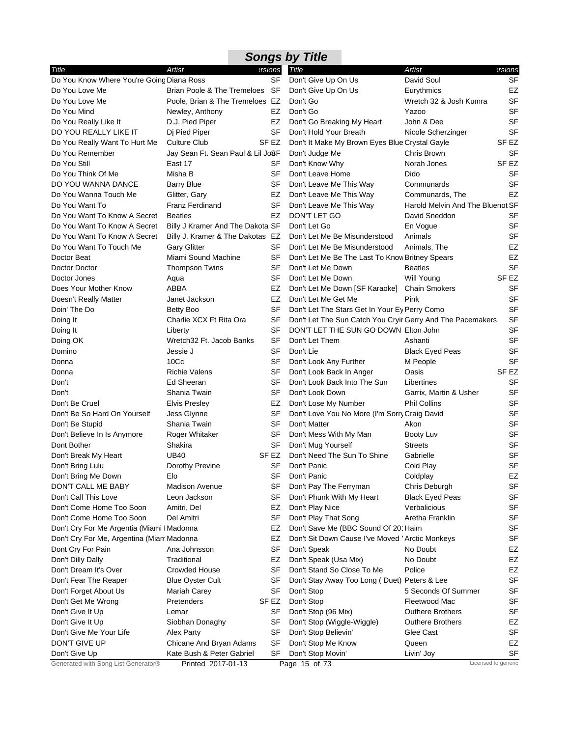| <b>Songs by Title</b>                      |                                   |                  |                                                            |                                  |           |  |  |  |
|--------------------------------------------|-----------------------------------|------------------|------------------------------------------------------------|----------------------------------|-----------|--|--|--|
| Title                                      | Artist                            | ersions          | Title                                                      | <b>Artist</b>                    | ersions   |  |  |  |
| Do You Know Where You're Going Diana Ross  |                                   | <b>SF</b>        | Don't Give Up On Us                                        | David Soul                       | SF        |  |  |  |
| Do You Love Me                             | Brian Poole & The Tremeloes SF    |                  | Don't Give Up On Us                                        | Eurythmics                       | EZ        |  |  |  |
| Do You Love Me                             | Poole, Brian & The Tremeloes EZ   |                  | Don't Go                                                   | Wretch 32 & Josh Kumra           | <b>SF</b> |  |  |  |
| Do You Mind                                | Newley, Anthony                   | EZ               | Don't Go                                                   | Yazoo                            | SF        |  |  |  |
| Do You Really Like It                      | D.J. Pied Piper                   | EZ               | Don't Go Breaking My Heart                                 | John & Dee                       | <b>SF</b> |  |  |  |
| DO YOU REALLY LIKE IT                      | Dj Pied Piper                     | SF               | Don't Hold Your Breath                                     | Nicole Scherzinger               | <b>SF</b> |  |  |  |
| Do You Really Want To Hurt Me              | Culture Club                      | SF EZ            | Don't It Make My Brown Eyes Blue Crystal Gayle             |                                  | SF EZ     |  |  |  |
| Do You Remember                            | Jay Sean Ft. Sean Paul & Lil JoSF |                  | Don't Judge Me                                             | Chris Brown                      | <b>SF</b> |  |  |  |
| Do You Still                               | East 17                           | SF               | Don't Know Why                                             | Norah Jones                      | SF EZ     |  |  |  |
| Do You Think Of Me                         | Misha B                           | SF               | Don't Leave Home                                           | Dido                             | SF        |  |  |  |
| DO YOU WANNA DANCE                         | <b>Barry Blue</b>                 | SF               | Don't Leave Me This Way                                    | Communards                       | SF        |  |  |  |
| Do You Wanna Touch Me                      | Glitter, Gary                     | EZ               | Don't Leave Me This Way                                    | Communards, The                  | EZ        |  |  |  |
| Do You Want To                             | <b>Franz Ferdinand</b>            | SF               | Don't Leave Me This Way                                    | Harold Melvin And The Bluenot SF |           |  |  |  |
| Do You Want To Know A Secret               | <b>Beatles</b>                    | EZ               | DON'T LET GO                                               | David Sneddon                    | SF        |  |  |  |
| Do You Want To Know A Secret               | Billy J Kramer And The Dakota SF  |                  | Don't Let Go                                               | En Vogue                         | <b>SF</b> |  |  |  |
| Do You Want To Know A Secret               | Billy J. Kramer & The Dakotas EZ  |                  | Don't Let Me Be Misunderstood                              | Animals                          | <b>SF</b> |  |  |  |
| Do You Want To Touch Me                    | <b>Gary Glitter</b>               | SF               | Don't Let Me Be Misunderstood                              | Animals, The                     | EZ        |  |  |  |
| Doctor Beat                                | Miami Sound Machine               | SF               | Don't Let Me Be The Last To Know Britney Spears            |                                  | EZ        |  |  |  |
| Doctor Doctor                              | <b>Thompson Twins</b>             | <b>SF</b>        | Don't Let Me Down                                          | <b>Beatles</b>                   | SF        |  |  |  |
| Doctor Jones                               | Aqua                              | SF               | Don't Let Me Down                                          | <b>Will Young</b>                | SF EZ     |  |  |  |
| Does Your Mother Know                      | ABBA                              | EZ               | Don't Let Me Down [SF Karaoke]                             | <b>Chain Smokers</b>             | <b>SF</b> |  |  |  |
| Doesn't Really Matter                      | Janet Jackson                     | EZ               | Don't Let Me Get Me                                        | Pink                             | <b>SF</b> |  |  |  |
| Doin' The Do                               | Betty Boo                         | <b>SF</b>        | Don't Let The Stars Get In Your Ey Perry Como              |                                  | <b>SF</b> |  |  |  |
| Doing It                                   | Charlie XCX Ft Rita Ora           | SF               | Don't Let The Sun Catch You Cryir Gerry And The Pacemakers |                                  | SF        |  |  |  |
| Doing It                                   | Liberty                           | SF               | DON'T LET THE SUN GO DOWN Elton John                       |                                  | SF        |  |  |  |
| Doing OK                                   | Wretch32 Ft. Jacob Banks          | SF               | Don't Let Them                                             | Ashanti                          | SF        |  |  |  |
| Domino                                     | Jessie J                          | SF               | Don't Lie                                                  | <b>Black Eyed Peas</b>           | SF        |  |  |  |
| Donna                                      | 10 <sub>CC</sub>                  | SF               | Don't Look Any Further                                     | M People                         | SF        |  |  |  |
| Donna                                      | <b>Richie Valens</b>              | SF               | Don't Look Back In Anger                                   | Oasis                            | SF EZ     |  |  |  |
| Don't                                      | Ed Sheeran                        | SF               | Don't Look Back Into The Sun                               | Libertines                       | SF        |  |  |  |
| Don't                                      | Shania Twain                      | SF               | Don't Look Down                                            | Garrix, Martin & Usher           | <b>SF</b> |  |  |  |
| Don't Be Cruel                             | <b>Elvis Presley</b>              | EZ               | Don't Lose My Number                                       | <b>Phil Collins</b>              | SF        |  |  |  |
| Don't Be So Hard On Yourself               | Jess Glynne                       | SF               | Don't Love You No More (I'm Sorry Craig David              |                                  | SF        |  |  |  |
| Don't Be Stupid                            | Shania Twain                      | <b>SF</b>        | Don't Matter                                               | Akon                             | SF        |  |  |  |
| Don't Believe In Is Anymore                | Roger Whitaker                    | SF               | Don't Mess With My Man                                     | Booty Luv                        | SF        |  |  |  |
| Dont Bother                                | Shakira                           | SF               | Don't Mug Yourself                                         | <b>Streets</b>                   | SF        |  |  |  |
| Don't Break My Heart                       | <b>UB40</b>                       | SF EZ            | Don't Need The Sun To Shine                                | Gabrielle                        | SF        |  |  |  |
| Don't Bring Lulu                           | Dorothy Previne                   | SF               | Don't Panic                                                | Cold Play                        | <b>SF</b> |  |  |  |
| Don't Bring Me Down                        | Elo                               | SF               | Don't Panic                                                | Coldplay                         | EZ        |  |  |  |
| DON'T CALL ME BABY                         | Madison Avenue                    | SF               | Don't Pay The Ferryman                                     | Chris Deburgh                    | SF        |  |  |  |
| Don't Call This Love                       | Leon Jackson                      | SF               | Don't Phunk With My Heart                                  | <b>Black Eyed Peas</b>           | SF        |  |  |  |
| Don't Come Home Too Soon                   | Amitri, Del                       | EZ               | Don't Play Nice                                            | Verbalicious                     | SF        |  |  |  |
| Don't Come Home Too Soon                   | Del Amitri                        | SF               | Don't Play That Song                                       | Aretha Franklin                  | SF        |  |  |  |
| Don't Cry For Me Argentia (Miami I Madonna |                                   | EZ               | Don't Save Me (BBC Sound Of 20' Haim                       |                                  | SF        |  |  |  |
| Don't Cry For Me, Argentina (Miam Madonna  |                                   | EZ               | Don't Sit Down Cause I've Moved 'Arctic Monkeys            |                                  | SF        |  |  |  |
| Dont Cry For Pain                          | Ana Johnsson                      | SF               | Don't Speak                                                | No Doubt                         | EZ        |  |  |  |
| Don't Dilly Dally                          | Traditional                       | EZ               | Don't Speak (Usa Mix)                                      | No Doubt                         | EZ        |  |  |  |
| Don't Dream It's Over                      | <b>Crowded House</b>              | SF               | Don't Stand So Close To Me                                 | Police                           | EZ        |  |  |  |
| Don't Fear The Reaper                      | <b>Blue Oyster Cult</b>           | SF               | Don't Stay Away Too Long (Duet) Peters & Lee               |                                  | <b>SF</b> |  |  |  |
| Don't Forget About Us                      | <b>Mariah Carey</b>               | SF               | Don't Stop                                                 | 5 Seconds Of Summer              | SF        |  |  |  |
| Don't Get Me Wrong                         | Pretenders                        | SF <sub>EZ</sub> | Don't Stop                                                 | Fleetwood Mac                    | SF        |  |  |  |
| Don't Give It Up                           | Lemar                             | SF               | Don't Stop (96 Mix)                                        | <b>Outhere Brothers</b>          | SF        |  |  |  |
| Don't Give It Up                           | Siobhan Donaghy                   | <b>SF</b>        | Don't Stop (Wiggle-Wiggle)                                 | <b>Outhere Brothers</b>          | EZ        |  |  |  |
| Don't Give Me Your Life                    | Alex Party                        | SF               | Don't Stop Believin'                                       | Glee Cast                        | SF        |  |  |  |
| DON'T GIVE UP                              | Chicane And Bryan Adams           | <b>SF</b>        | Don't Stop Me Know                                         | Queen                            | EZ        |  |  |  |
| Don't Give Up                              | Kate Bush & Peter Gabriel         | SF               | Don't Stop Movin'                                          | Livin' Joy                       | SF        |  |  |  |

Generated with Song List Generator® Printed 2017-01-13 Page 15 of 73 Licensed to generic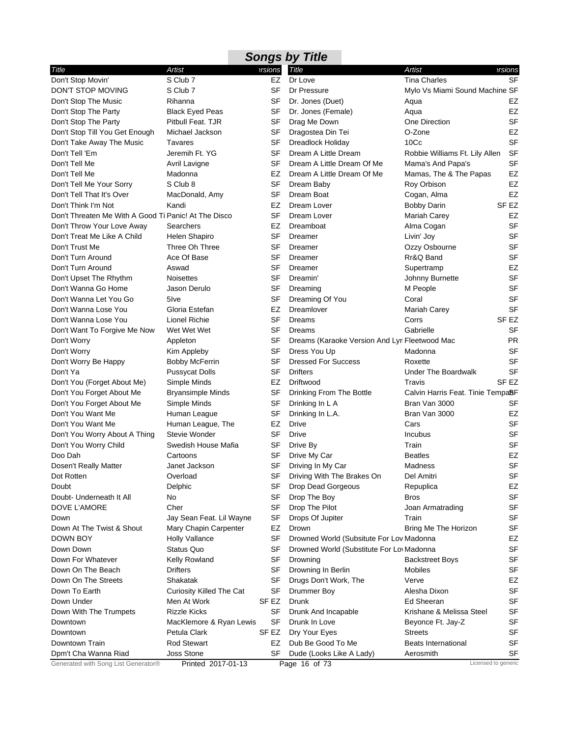|                                                      |                          |           | <b>Songs by Title</b>                          |                                                |                  |
|------------------------------------------------------|--------------------------|-----------|------------------------------------------------|------------------------------------------------|------------------|
| Title                                                | Artist                   | ersions   | Title                                          | <b>Artist</b>                                  | ersions          |
| Don't Stop Movin'                                    | S Club 7                 | EZ        | Dr Love                                        | <b>Tina Charles</b>                            | <b>SF</b>        |
| DON'T STOP MOVING                                    | S Club 7                 | SF        | Dr Pressure                                    | Mylo Vs Miami Sound Machine SF                 |                  |
| Don't Stop The Music                                 | Rihanna                  | SF        | Dr. Jones (Duet)                               | Aqua                                           | EZ               |
| Don't Stop The Party                                 | <b>Black Eyed Peas</b>   | SF        | Dr. Jones (Female)                             | Aqua                                           | <b>EZ</b>        |
| Don't Stop The Party                                 | Pitbull Feat. TJR        | SF        | Drag Me Down                                   | One Direction                                  | <b>SF</b>        |
| Don't Stop Till You Get Enough                       | Michael Jackson          | SF        | Dragostea Din Tei                              | O-Zone                                         | EZ               |
| Don't Take Away The Music                            | Tavares                  | SF        | Dreadlock Holiday                              | 10Cc                                           | <b>SF</b>        |
| Don't Tell 'Em                                       | Jeremih Ft. YG           | SF        | Dream A Little Dream                           | Robbie Williams Ft. Lily Allen                 | <b>SF</b>        |
| Don't Tell Me                                        | Avril Lavigne            | SF        | Dream A Little Dream Of Me                     | Mama's And Papa's                              | <b>SF</b>        |
| Don't Tell Me                                        | Madonna                  | EZ        | Dream A Little Dream Of Me                     | Mamas, The & The Papas                         | EZ               |
| Don't Tell Me Your Sorry                             | S Club 8                 | SF        | Dream Baby                                     | Roy Orbison                                    | <b>EZ</b>        |
| Don't Tell That It's Over                            | MacDonald, Amy           | <b>SF</b> | Dream Boat                                     | Cogan, Alma                                    | EZ               |
| Don't Think I'm Not                                  | Kandi                    | EZ        | Dream Lover                                    | <b>Bobby Darin</b>                             | SF <sub>EZ</sub> |
| Don't Threaten Me With A Good Ti Panic! At The Disco |                          | SF        | Dream Lover                                    | Mariah Carey                                   | EZ               |
| Don't Throw Your Love Away                           | Searchers                | EZ        | Dreamboat                                      | Alma Cogan                                     | <b>SF</b>        |
| Don't Treat Me Like A Child                          | Helen Shapiro            | SF        | Dreamer                                        | Livin' Joy                                     | <b>SF</b>        |
| Don't Trust Me                                       | Three Oh Three           | SF        | Dreamer                                        | Ozzy Osbourne                                  | <b>SF</b>        |
| Don't Turn Around                                    | Ace Of Base              | SF        | Dreamer                                        | Rr&Q Band                                      | <b>SF</b>        |
| Don't Turn Around                                    | Aswad                    | SF        | Dreamer                                        | Supertramp                                     | EZ               |
| Don't Upset The Rhythm                               | <b>Noisettes</b>         | SF        | Dreamin'                                       | Johnny Burnette                                | <b>SF</b>        |
| Don't Wanna Go Home                                  | Jason Derulo             | SF        | Dreaming                                       | M People                                       | <b>SF</b>        |
| Don't Wanna Let You Go                               | 5 Ive                    | <b>SF</b> | Dreaming Of You                                | Coral                                          | <b>SF</b>        |
| Don't Wanna Lose You                                 | Gloria Estefan           | EZ        | Dreamlover                                     | <b>Mariah Carey</b>                            | <b>SF</b>        |
| Don't Wanna Lose You                                 | Lionel Richie            | SF        | Dreams                                         | Corrs                                          | SF <sub>EZ</sub> |
| Don't Want To Forgive Me Now                         | Wet Wet Wet              | <b>SF</b> | Dreams                                         | Gabrielle                                      | <b>SF</b>        |
| Don't Worry                                          | Appleton                 | SF        | Dreams (Karaoke Version And Lyri Fleetwood Mac |                                                | <b>PR</b>        |
| Don't Worry                                          | Kim Appleby              | SF        | Dress You Up                                   | Madonna                                        | <b>SF</b>        |
| Don't Worry Be Happy                                 | <b>Bobby McFerrin</b>    | SF        | <b>Dressed For Success</b>                     | Roxette                                        | <b>SF</b>        |
| Don't Ya                                             | <b>Pussycat Dolls</b>    | <b>SF</b> | <b>Drifters</b>                                | <b>Under The Boardwalk</b>                     | SF               |
| Don't You (Forget About Me)                          | Simple Minds             | EZ        | Driftwood                                      | Travis                                         | SF <sub>EZ</sub> |
| Don't You Forget About Me                            | <b>Bryansimple Minds</b> | SF        | Drinking From The Bottle                       | Calvin Harris Feat. Tinie Tempa <sup>8</sup> F |                  |
| Don't You Forget About Me                            | Simple Minds             | SF        | Drinking In L A                                | Bran Van 3000                                  | SF               |
| Don't You Want Me                                    | Human League             | SF        | Drinking In L.A.                               | Bran Van 3000                                  | EZ               |
| Don't You Want Me                                    | Human League, The        | EZ        | Drive                                          | Cars                                           | <b>SF</b>        |
| Don't You Worry About A Thing                        | Stevie Wonder            | SF        | Drive                                          | <b>Incubus</b>                                 | <b>SF</b>        |
| Don't You Worry Child                                | Swedish House Mafia      | SF        | Drive By                                       | Train                                          | <b>SF</b>        |
| Doo Dah                                              | Cartoons                 | SF        | Drive My Car                                   | <b>Beatles</b>                                 | EZ               |
| Dosen't Really Matter                                | Janet Jackson            | SF        | Driving In My Car                              | Madness                                        | SF               |
| Dot Rotten                                           | Overload                 | SF        | Driving With The Brakes On                     | Del Amitri                                     | <b>SF</b>        |
| Doubt                                                | Delphic                  | SF        | Drop Dead Gorgeous                             | Repuplica                                      | EZ               |
| Doubt- Underneath It All                             | No                       | SF        | Drop The Boy                                   | <b>Bros</b>                                    | <b>SF</b>        |
| DOVE L'AMORE                                         | Cher                     | SF        | Drop The Pilot                                 | Joan Armatrading                               | SF               |
| Down                                                 | Jay Sean Feat. Lil Wayne | SF        | Drops Of Jupiter                               | Train                                          | <b>SF</b>        |
| Down At The Twist & Shout                            | Mary Chapin Carpenter    | EZ        | Drown                                          | Bring Me The Horizon                           | SF               |
| DOWN BOY                                             | Holly Vallance           | SF        | Drowned World (Subsitute For Lov Madonna       |                                                | EZ               |
| Down Down                                            | Status Quo               | SF        | Drowned World (Substitute For Lov Madonna      |                                                | <b>SF</b>        |
| Down For Whatever                                    | Kelly Rowland            | SF        | Drowning                                       | <b>Backstreet Boys</b>                         | SF               |
| Down On The Beach                                    | Drifters                 | SF        | Drowning In Berlin                             | Mobiles                                        | <b>SF</b>        |
| Down On The Streets                                  | Shakatak                 | SF        | Drugs Don't Work, The                          | Verve                                          | EZ               |
| Down To Earth                                        | Curiosity Killed The Cat | SF        | Drummer Boy                                    | Alesha Dixon                                   | <b>SF</b>        |
| Down Under                                           | Men At Work              | SF EZ     | Drunk                                          | Ed Sheeran                                     | <b>SF</b>        |
| Down With The Trumpets                               | <b>Rizzle Kicks</b>      | SF        | Drunk And Incapable                            | Krishane & Melissa Steel                       | <b>SF</b>        |
| Downtown                                             | MacKlemore & Ryan Lewis  | SF        | Drunk In Love                                  | Beyonce Ft. Jay-Z                              | SF               |
| Downtown                                             | Petula Clark             | SF EZ     | Dry Your Eyes                                  | Streets                                        | <b>SF</b>        |
| Downtown Train                                       | <b>Rod Stewart</b>       | EZ        | Dub Be Good To Me                              | <b>Beats International</b>                     | <b>SF</b>        |
| Dpm't Cha Wanna Riad                                 | Joss Stone               | SF        | Dude (Looks Like A Lady)                       | Aerosmith                                      | SF               |
| Generated with Song List Generator®                  | Printed 2017-01-13       |           | Page 16 of 73                                  | Licensed to generic                            |                  |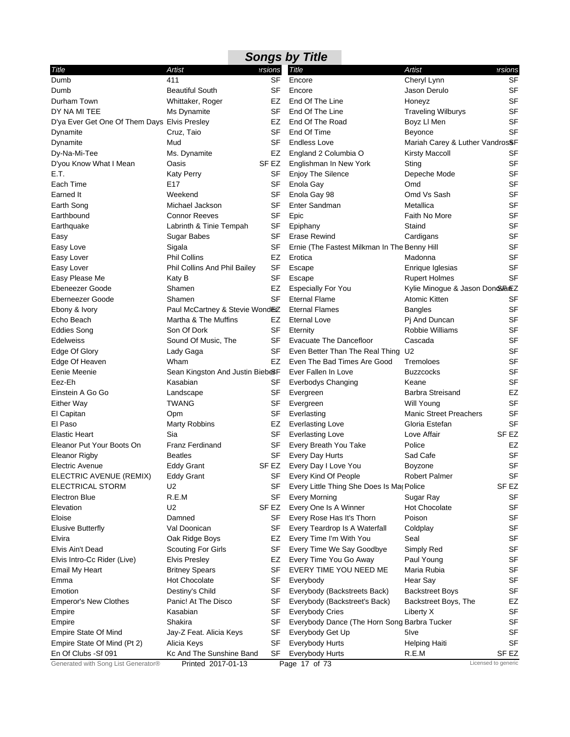|                                              |                                 |                  | <b>Songs by Title</b>                        |                                 |                     |
|----------------------------------------------|---------------------------------|------------------|----------------------------------------------|---------------------------------|---------------------|
| Title                                        | Artist                          | ersions          | Title                                        | <b>Artist</b>                   | ersions             |
| Dumb                                         | 411                             | <b>SF</b>        | Encore                                       | Cheryl Lynn                     | <b>SF</b>           |
| Dumb                                         | <b>Beautiful South</b>          | <b>SF</b>        | Encore                                       | Jason Derulo                    | <b>SF</b>           |
| Durham Town                                  | Whittaker, Roger                | EZ               | End Of The Line                              | Honeyz                          | <b>SF</b>           |
| DY NA MI TEE                                 | Ms Dynamite                     | SF               | End Of The Line                              | <b>Traveling Wilburys</b>       | <b>SF</b>           |
| D'ya Ever Get One Of Them Days Elvis Presley |                                 | EZ               | End Of The Road                              | Boyz LI Men                     | <b>SF</b>           |
| Dynamite                                     | Cruz, Taio                      | SF               | End Of Time                                  | Beyonce                         | <b>SF</b>           |
| Dynamite                                     | Mud                             | SF               | <b>Endless Love</b>                          | Mariah Carey & Luther VandrosSF |                     |
| Dy-Na-Mi-Tee                                 | Ms. Dynamite                    | EZ               | England 2 Columbia O                         | <b>Kirsty Maccoll</b>           | SF                  |
| D'you Know What I Mean                       | Oasis                           | SF EZ            | Englishman In New York                       | Sting                           | <b>SF</b>           |
| E.T.                                         | <b>Katy Perry</b>               | <b>SF</b>        | <b>Enjoy The Silence</b>                     | Depeche Mode                    | <b>SF</b>           |
| Each Time                                    | E <sub>17</sub>                 | SF               | Enola Gay                                    | Omd                             | <b>SF</b>           |
| Earned It                                    | Weekend                         | SF               | Enola Gay 98                                 | Omd Vs Sash                     | <b>SF</b>           |
| Earth Song                                   | Michael Jackson                 | SF               | Enter Sandman                                | Metallica                       | <b>SF</b>           |
| Earthbound                                   | <b>Connor Reeves</b>            | <b>SF</b>        | Epic                                         | Faith No More                   | <b>SF</b>           |
| Earthquake                                   | Labrinth & Tinie Tempah         | SF               | Epiphany                                     | Staind                          | <b>SF</b>           |
| Easy                                         | Sugar Babes                     | SF               | Erase Rewind                                 | Cardigans                       | <b>SF</b>           |
| Easy Love                                    | Sigala                          | <b>SF</b>        | Ernie (The Fastest Milkman In The Benny Hill |                                 | <b>SF</b>           |
| Easy Lover                                   | <b>Phil Collins</b>             | EZ               | Erotica                                      | Madonna                         | <b>SF</b>           |
| Easy Lover                                   | Phil Collins And Phil Bailey    | SF               | Escape                                       | Enrique Iglesias                | <b>SF</b>           |
| Easy Please Me                               | Katy B                          | SF               | Escape                                       | <b>Rupert Holmes</b>            | <b>SF</b>           |
| Ebeneezer Goode                              | Shamen                          | EZ               | <b>Especially For You</b>                    | Kylie Minogue & Jason Don&FanEZ |                     |
| Eberneezer Goode                             | Shamen                          | <b>SF</b>        | <b>Eternal Flame</b>                         | Atomic Kitten                   | SF                  |
| Ebony & Ivory                                | Paul McCartney & Stevie WondEZ  |                  | <b>Eternal Flames</b>                        | <b>Bangles</b>                  | <b>SF</b>           |
| Echo Beach                                   | Martha & The Muffins            | EZ               | <b>Eternal Love</b>                          | Pj And Duncan                   | <b>SF</b>           |
| Eddies Song                                  | Son Of Dork                     | <b>SF</b>        | Eternity                                     | Robbie Williams                 | <b>SF</b>           |
| <b>Edelweiss</b>                             | Sound Of Music, The             | SF               | Evacuate The Dancefloor                      | Cascada                         | <b>SF</b>           |
| Edge Of Glory                                | Lady Gaga                       | SF               | Even Better Than The Real Thing              | U <sub>2</sub>                  | <b>SF</b>           |
| Edge Of Heaven                               | Wham                            | EZ               | Even The Bad Times Are Good                  | Tremoloes                       | <b>SF</b>           |
| Eenie Meenie                                 | Sean Kingston And Justin Bieb&F |                  | Ever Fallen In Love                          | <b>Buzzcocks</b>                | <b>SF</b>           |
| Eez-Eh                                       | Kasabian                        | SF               | <b>Everbodys Changing</b>                    | Keane                           | <b>SF</b>           |
| Einstein A Go Go                             | Landscape                       | SF               | Evergreen                                    | <b>Barbra Streisand</b>         | EZ                  |
| <b>Either Way</b>                            | <b>TWANG</b>                    | SF               | Evergreen                                    | Will Young                      | <b>SF</b>           |
| El Capitan                                   | Opm                             | SF               | Everlasting                                  | <b>Manic Street Preachers</b>   | <b>SF</b>           |
| El Paso                                      | <b>Marty Robbins</b>            | EZ               | <b>Everlasting Love</b>                      | Gloria Estefan                  | <b>SF</b>           |
| <b>Elastic Heart</b>                         | Sia                             | SF               | <b>Everlasting Love</b>                      | Love Affair                     | SF EZ               |
| Eleanor Put Your Boots On                    | <b>Franz Ferdinand</b>          | SF               | Every Breath You Take                        | Police                          | EZ                  |
| Eleanor Rigby                                | <b>Beatles</b>                  | SF               | Every Day Hurts                              | Sad Cafe                        | <b>SF</b>           |
| <b>Electric Avenue</b>                       | Eddy Grant                      |                  | SF EZ Every Day I Love You                   | Boyzone                         | SF                  |
| ELECTRIC AVENUE (REMIX)                      | <b>Eddy Grant</b>               | SF               | Every Kind Of People                         | <b>Robert Palmer</b>            | SF                  |
| ELECTRICAL STORM                             | U2                              | SF               | Every Little Thing She Does Is Ma Police     |                                 | SF <sub>EZ</sub>    |
| Electron Blue                                | R.E.M                           | SF               | Every Morning                                | Sugar Ray                       | SF                  |
| Elevation                                    | U2                              | SF <sub>EZ</sub> | Every One Is A Winner                        | <b>Hot Chocolate</b>            | <b>SF</b>           |
| Eloise                                       | Damned                          | SF               | Every Rose Has It's Thorn                    | Poison                          | <b>SF</b>           |
| <b>Elusive Butterfly</b>                     | Val Doonican                    | SF               | Every Teardrop Is A Waterfall                | Coldplay                        | SF                  |
| Elvira                                       | Oak Ridge Boys                  | EZ               | Every Time I'm With You                      | Seal                            | <b>SF</b>           |
| Elvis Ain't Dead                             | <b>Scouting For Girls</b>       | SF               | Every Time We Say Goodbye                    | Simply Red                      | <b>SF</b>           |
| Elvis Intro-Cc Rider (Live)                  | <b>Elvis Presley</b>            | EZ               | Every Time You Go Away                       | Paul Young                      | <b>SF</b>           |
| <b>Email My Heart</b>                        | <b>Britney Spears</b>           | SF               | EVERY TIME YOU NEED ME                       | Maria Rubia                     | <b>SF</b>           |
| Emma                                         | <b>Hot Chocolate</b>            | SF               | Everybody                                    | Hear Say                        | <b>SF</b>           |
| Emotion                                      | Destiny's Child                 | SF               | Everybody (Backstreets Back)                 | <b>Backstreet Boys</b>          | <b>SF</b>           |
| <b>Emperor's New Clothes</b>                 | Panic! At The Disco             | SF               | Everybody (Backstreet's Back)                | Backstreet Boys, The            | EZ                  |
| Empire                                       | Kasabian                        | SF               | <b>Everybody Cries</b>                       | Liberty X                       | <b>SF</b>           |
| Empire                                       | Shakira                         | SF               | Everybody Dance (The Horn Song Barbra Tucker |                                 | <b>SF</b>           |
| <b>Empire State Of Mind</b>                  | Jay-Z Feat. Alicia Keys         | SF               | Everybody Get Up                             | 5 Ive                           | SF                  |
| Empire State Of Mind (Pt 2)                  | Alicia Keys                     | SF               | Everybody Hurts                              | <b>Helping Haiti</b>            | <b>SF</b>           |
| En Of Clubs - Sf 091                         | Kc And The Sunshine Band        | SF               | Everybody Hurts                              | R.E.M                           | SF EZ               |
| Generated with Song List Generator®          | Printed 2017-01-13              |                  | Page 17 of 73                                |                                 | Licensed to generic |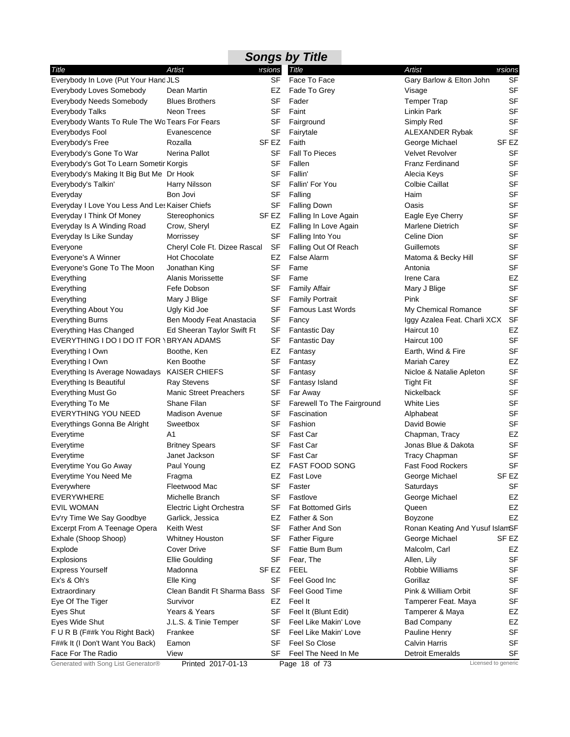|                                                |                               |                  | <b>Songs by Title</b>      |                                 |                     |
|------------------------------------------------|-------------------------------|------------------|----------------------------|---------------------------------|---------------------|
| Title                                          | Artist                        | ersions          | Title                      | <b>Artist</b>                   | ersions?            |
| Everybody In Love (Put Your Hand JLS           |                               | SF               | Face To Face               | Gary Barlow & Elton John        | SF                  |
| Everybody Loves Somebody                       | Dean Martin                   | EZ               | Fade To Grey               | Visage                          | <b>SF</b>           |
| Everybody Needs Somebody                       | <b>Blues Brothers</b>         | SF               | Fader                      | <b>Temper Trap</b>              | SF                  |
| <b>Everybody Talks</b>                         | Neon Trees                    | SF               | Faint                      | Linkin Park                     | <b>SF</b>           |
| Everybody Wants To Rule The Wo Tears For Fears |                               | SF               | Fairground                 | Simply Red                      | <b>SF</b>           |
| Everybodys Fool                                | Evanescence                   | SF               | Fairytale                  | ALEXANDER Rybak                 | <b>SF</b>           |
| Everybody's Free                               | Rozalla                       | SF EZ            | Faith                      | George Michael                  | SF EZ               |
| Everybody's Gone To War                        | Nerina Pallot                 | SF               | <b>Fall To Pieces</b>      | <b>Velvet Revolver</b>          | <b>SF</b>           |
| Everybody's Got To Learn Sometir Korgis        |                               | <b>SF</b>        | Fallen                     | <b>Franz Ferdinand</b>          | <b>SF</b>           |
| Everybody's Making It Big But Me Dr Hook       |                               | SF               | Fallin'                    | Alecia Keys                     | <b>SF</b>           |
| Everybody's Talkin'                            | Harry Nilsson                 | <b>SF</b>        | Fallin' For You            | <b>Colbie Caillat</b>           | <b>SF</b>           |
| Everyday                                       | Bon Jovi                      | SF               | Falling                    | Haim                            | <b>SF</b>           |
| Everyday I Love You Less And Les Kaiser Chiefs |                               | <b>SF</b>        | <b>Falling Down</b>        | Oasis                           | <b>SF</b>           |
| Everyday I Think Of Money                      | Stereophonics                 | SF EZ            | Falling In Love Again      | Eagle Eye Cherry                | <b>SF</b>           |
| Everyday Is A Winding Road                     | Crow, Sheryl                  | EZ               | Falling In Love Again      | Marlene Dietrich                | SF                  |
| Everyday Is Like Sunday                        | Morrissey                     | SF               | Falling Into You           | Celine Dion                     | SF                  |
| Everyone                                       | Cheryl Cole Ft. Dizee Rascal  | SF               | Falling Out Of Reach       | Guillemots                      | <b>SF</b>           |
| Everyone's A Winner                            | <b>Hot Chocolate</b>          | EZ               | False Alarm                | Matoma & Becky Hill             | <b>SF</b>           |
| Everyone's Gone To The Moon                    | Jonathan King                 | SF               | Fame                       | Antonia                         | <b>SF</b>           |
| Everything                                     | Alanis Morissette             | SF               | Fame                       | Irene Cara                      | EZ                  |
| Everything                                     | Fefe Dobson                   | SF               | <b>Family Affair</b>       | Mary J Blige                    | <b>SF</b>           |
| Everything                                     | Mary J Blige                  | SF               | <b>Family Portrait</b>     | Pink                            | SF                  |
| Everything About You                           | Ugly Kid Joe                  | <b>SF</b>        | <b>Famous Last Words</b>   | My Chemical Romance             | SF                  |
| <b>Everything Burns</b>                        | Ben Moody Feat Anastacia      | <b>SF</b>        | Fancy                      | Iggy Azalea Feat. Charli XCX    | <b>SF</b>           |
| Everything Has Changed                         | Ed Sheeran Taylor Swift Ft    | SF               | <b>Fantastic Day</b>       | Haircut 10                      | EZ                  |
| EVERYTHING I DO I DO IT FOR \BRYAN ADAMS       |                               | <b>SF</b>        | <b>Fantastic Day</b>       | Haircut 100                     | SF                  |
| Everything I Own                               | Boothe, Ken                   | EZ               | Fantasy                    | Earth, Wind & Fire              | <b>SF</b>           |
| Everything I Own                               | Ken Boothe                    | SF               | Fantasy                    | <b>Mariah Carey</b>             | EZ                  |
| Everything Is Average Nowadays                 | <b>KAISER CHIEFS</b>          | SF               | Fantasy                    | Nicloe & Natalie Apleton        | SF                  |
| Everything Is Beautiful                        | <b>Ray Stevens</b>            | <b>SF</b>        | Fantasy Island             | <b>Tight Fit</b>                | SF                  |
| <b>Everything Must Go</b>                      | <b>Manic Street Preachers</b> | SF               | Far Away                   | Nickelback                      | SF                  |
| Everything To Me                               | Shane Filan                   | SF               | Farewell To The Fairground | <b>White Lies</b>               | <b>SF</b>           |
| EVERYTHING YOU NEED                            | <b>Madison Avenue</b>         | SF               | Fascination                | Alphabeat                       | <b>SF</b>           |
| Everythings Gonna Be Alright                   | Sweetbox                      | SF               | Fashion                    | David Bowie                     | <b>SF</b>           |
| Everytime                                      | A1                            | SF               | Fast Car                   | Chapman, Tracy                  | EZ                  |
| Everytime                                      | <b>Britney Spears</b>         | SF               | Fast Car                   | Jonas Blue & Dakota             | <b>SF</b>           |
| Everytime                                      | Janet Jackson                 | SF               | Fast Car                   | <b>Tracy Chapman</b>            | <b>SF</b>           |
| Everytime You Go Away                          | Paul Young                    | EZ               | FAST FOOD SONG             | Fast Food Rockers               | SF                  |
| Everytime You Need Me                          | Fragma                        | EZ               | Fast Love                  | George Michael                  | SF EZ               |
| Everywhere                                     | Fleetwood Mac                 | SF               | Faster                     | Saturdays                       | SF                  |
| EVERYWHERE                                     | Michelle Branch               | SF               | Fastlove                   | George Michael                  | EZ                  |
| <b>EVIL WOMAN</b>                              | Electric Light Orchestra      | SF               | <b>Fat Bottomed Girls</b>  | Queen                           | EZ                  |
| Ev'ry Time We Say Goodbye                      | Garlick, Jessica              | EZ               | Father & Son               | Boyzone                         | EZ                  |
| Excerpt From A Teenage Opera                   | Keith West                    | SF               | Father And Son             | Ronan Keating And Yusuf IslamSF |                     |
| Exhale (Shoop Shoop)                           | <b>Whitney Houston</b>        | <b>SF</b>        | <b>Father Figure</b>       | George Michael                  | SF EZ               |
| Explode                                        | Cover Drive                   | SF               | Fattie Bum Bum             | Malcolm, Carl                   | EZ                  |
| Explosions                                     | Ellie Goulding                | SF               | Fear, The                  | Allen, Lily                     | <b>SF</b>           |
| <b>Express Yourself</b>                        | Madonna                       | SF <sub>EZ</sub> | <b>FEEL</b>                | Robbie Williams                 | <b>SF</b>           |
| Ex's & Oh's                                    | Elle King                     | SF               | Feel Good Inc              | Gorillaz                        | SF                  |
| Extraordinary                                  | Clean Bandit Ft Sharma Bass   | SF               | Feel Good Time             | Pink & William Orbit            | <b>SF</b>           |
| Eye Of The Tiger                               | Survivor                      | EZ               | Feel It                    | Tamperer Feat. Maya             | SF                  |
| Eyes Shut                                      | Years & Years                 | SF               | Feel It (Blunt Edit)       | Tamperer & Maya                 | EZ                  |
| Eyes Wide Shut                                 | J.L.S. & Tinie Temper         | SF               | Feel Like Makin' Love      | <b>Bad Company</b>              | EZ                  |
| F U R B (F##k You Right Back)                  | Frankee                       | SF               | Feel Like Makin' Love      | Pauline Henry                   | <b>SF</b>           |
| F##k It (I Don't Want You Back)                | Eamon                         | SF               | Feel So Close              | <b>Calvin Harris</b>            | SF                  |
| Face For The Radio                             | View                          | SF               | Feel The Need In Me        | <b>Detroit Emeralds</b>         | SF                  |
| Generated with Song List Generator®            | Printed 2017-01-13            |                  | Page 18 of 73              |                                 | Licensed to generic |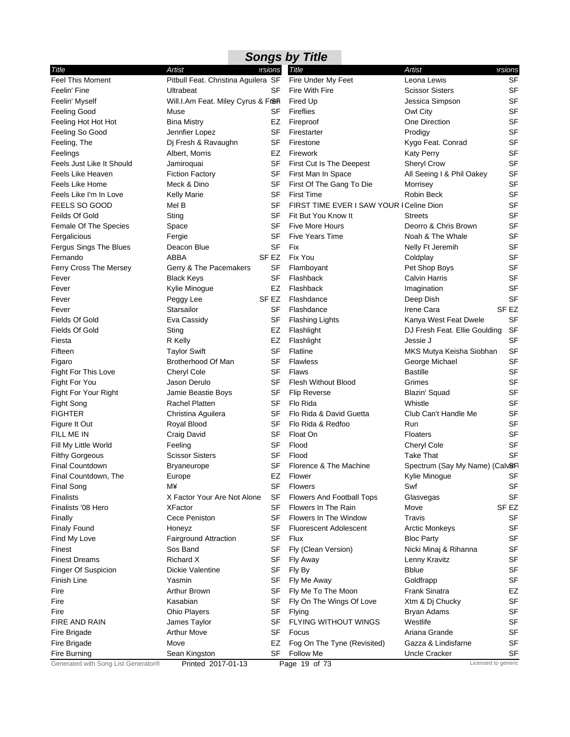|                              |                                     |                  | <b>Songs by Title</b>                    |                                             |                  |
|------------------------------|-------------------------------------|------------------|------------------------------------------|---------------------------------------------|------------------|
| Title                        | Artist                              | ersions          | <b>Title</b>                             | <b>Artist</b>                               | ersions          |
| <b>Feel This Moment</b>      | Pitbull Feat. Christina Aguilera SF |                  | Fire Under My Feet                       | Leona Lewis                                 | <b>SF</b>        |
| Feelin' Fine                 | Ultrabeat                           | SF               | Fire With Fire                           | <b>Scissor Sisters</b>                      | <b>SF</b>        |
| Feelin' Myself               | Will.I.Am Feat. Miley Cyrus & Fr&Fi |                  | Fired Up                                 | Jessica Simpson                             | <b>SF</b>        |
| Feeling Good                 | Muse                                | SF               | <b>Fireflies</b>                         | Owl City                                    | SF               |
| Feeling Hot Hot Hot          | <b>Bina Mistry</b>                  | EZ               | Fireproof                                | One Direction                               | SF               |
| Feeling So Good              | Jennfier Lopez                      | SF               | Firestarter                              | Prodigy                                     | <b>SF</b>        |
| Feeling, The                 | Dj Fresh & Ravaughn                 | SF               | Firestone                                | Kygo Feat. Conrad                           | <b>SF</b>        |
| Feelings                     | Albert, Morris                      | EZ               | Firework                                 | <b>Katy Perry</b>                           | SF               |
| Feels Just Like It Should    | Jamiroquai                          | SF               | First Cut Is The Deepest                 | Sheryl Crow                                 | SF               |
| Feels Like Heaven            | <b>Fiction Factory</b>              | SF               | First Man In Space                       | All Seeing I & Phil Oakey                   | <b>SF</b>        |
| Feels Like Home              | Meck & Dino                         | SF               | First Of The Gang To Die                 | Morrisey                                    | SF               |
| Feels Like I'm In Love       | <b>Kelly Marie</b>                  | SF               | <b>First Time</b>                        | Robin Beck                                  | <b>SF</b>        |
| FEELS SO GOOD                | Mel B                               | SF               | FIRST TIME EVER I SAW YOUR I Celine Dion |                                             | SF               |
| Feilds Of Gold               | Sting                               | SF               | Fit But You Know It                      | <b>Streets</b>                              | <b>SF</b>        |
| Female Of The Species        | Space                               | SF               | <b>Five More Hours</b>                   | Deorro & Chris Brown                        | <b>SF</b>        |
| Fergalicious                 | Fergie                              | SF               | <b>Five Years Time</b>                   | Noah & The Whale                            | SF               |
| Fergus Sings The Blues       | Deacon Blue                         | <b>SF</b>        | <b>Fix</b>                               | Nelly Ft Jeremih                            | <b>SF</b>        |
| Fernando                     | <b>ABBA</b>                         | SF <sub>EZ</sub> | Fix You                                  | Coldplay                                    | <b>SF</b>        |
| Ferry Cross The Mersey       | Gerry & The Pacemakers              | SF               | Flamboyant                               | Pet Shop Boys                               | SF               |
| Fever                        | <b>Black Keys</b>                   | SF               | Flashback                                | <b>Calvin Harris</b>                        | SF               |
| Fever                        | Kylie Minogue                       | EZ               | Flashback                                | Imagination                                 | <b>SF</b>        |
| Fever                        | Peggy Lee                           | SF EZ            | Flashdance                               | Deep Dish                                   | <b>SF</b>        |
| Fever                        | Starsailor                          | SF               | Flashdance                               | Irene Cara                                  | SF <sub>EZ</sub> |
| Fields Of Gold               | Eva Cassidy                         | SF               | <b>Flashing Lights</b>                   | Kanya West Feat Dwele                       | <b>SF</b>        |
| Fields Of Gold               | Sting                               | EZ               | Flashlight                               | DJ Fresh Feat. Ellie Goulding               | <b>SF</b>        |
| Fiesta                       | R Kelly                             | EZ               | Flashlight                               | Jessie J                                    | <b>SF</b>        |
| Fifteen                      | <b>Taylor Swift</b>                 | SF               | Flatline                                 | MKS Mutya Keisha Siobhan                    | <b>SF</b>        |
| Figaro                       | Brotherhood Of Man                  | SF               | <b>Flawless</b>                          | George Michael                              | <b>SF</b>        |
| Fight For This Love          | Cheryl Cole                         | SF               | Flaws                                    | <b>Bastille</b>                             | <b>SF</b>        |
| Fight For You                | Jason Derulo                        | <b>SF</b>        | <b>Flesh Without Blood</b>               | Grimes                                      | <b>SF</b>        |
| Fight For Your Right         | Jamie Beastie Boys                  | SF               | <b>Flip Reverse</b>                      | Blazin' Squad                               | <b>SF</b>        |
| Fight Song                   | <b>Rachel Platten</b>               | SF               | Flo Rida                                 | Whistle                                     | <b>SF</b>        |
| <b>FIGHTER</b>               | Christina Aguilera                  | SF               | Flo Rida & David Guetta                  | Club Can't Handle Me                        | <b>SF</b>        |
| Figure It Out                | Royal Blood                         | SF               | Flo Rida & Redfoo                        | Run                                         | SF               |
| FILL ME IN                   | Craig David                         | SF               | Float On                                 | <b>Floaters</b>                             | SF               |
| Fill My Little World         | Feeling                             | SF               | Flood                                    | Cheryl Cole                                 | <b>SF</b>        |
| <b>Filthy Gorgeous</b>       | <b>Scissor Sisters</b>              | <b>SF</b>        | Flood                                    | Take That                                   | <b>SF</b>        |
| Final Countdown              | Bryaneurope                         | <b>SF</b>        | Florence & The Machine                   | Spectrum (Say My Name) (Calv&FI             |                  |
| Final Countdown, The         | Europe                              | EZ               | Flower                                   | Kylie Minogue                               | SF               |
| Final Song                   | M¥                                  | <b>SF</b>        | <b>Flowers</b>                           | Swf                                         | <b>SF</b>        |
| <b>Finalists</b>             | X Factor Your Are Not Alone         | SF               | <b>Flowers And Football Tops</b>         | Glasvegas                                   | SF               |
| Finalists '08 Hero           | <b>XFactor</b>                      | SF               | Flowers In The Rain                      | Move                                        | SF EZ            |
|                              | Cece Peniston                       | SF               | Flowers In The Window                    | Travis                                      | SF               |
| Finally                      |                                     | SF               | <b>Fluorescent Adolescent</b>            |                                             | <b>SF</b>        |
| <b>Finaly Found</b>          | Honeyz<br>Fairground Attraction     | <b>SF</b>        | Flux                                     | <b>Arctic Monkeys</b>                       | <b>SF</b>        |
| Find My Love<br>Finest       | Sos Band                            | SF               |                                          | <b>Bloc Party</b><br>Nicki Minaj & Rihanna  | SF               |
| <b>Finest Dreams</b>         | Richard X                           | SF               | Fly (Clean Version)                      |                                             | <b>SF</b>        |
|                              | Dickie Valentine                    | SF               | Fly Away                                 | Lenny Kravitz<br><b>Bblue</b>               | SF               |
| Finger Of Suspicion          |                                     |                  | Fly By                                   |                                             |                  |
| Finish Line                  | Yasmin                              | SF               | Fly Me Away                              | Goldfrapp                                   | SF               |
| Fire                         | Arthur Brown                        | SF               | Fly Me To The Moon                       | Frank Sinatra                               | EZ               |
| Fire                         | Kasabian                            | SF               | Fly On The Wings Of Love                 | Xtm & Dj Chucky                             | <b>SF</b>        |
| Fire                         | <b>Ohio Players</b>                 | SF               | Flying                                   | Bryan Adams                                 | SF               |
| FIRE AND RAIN                | James Taylor                        | SF               | FLYING WITHOUT WINGS                     | Westlife                                    | <b>SF</b>        |
| Fire Brigade                 | <b>Arthur Move</b>                  | SF               | Focus                                    | Ariana Grande                               | <b>SF</b>        |
| Fire Brigade<br>Fire Burning | Move<br>Sean Kingston               | EZ<br>SF         | Fog On The Tyne (Revisited)<br>Follow Me | Gazza & Lindisfarne<br><b>Uncle Cracker</b> | <b>SF</b>        |
|                              |                                     |                  |                                          |                                             | SF               |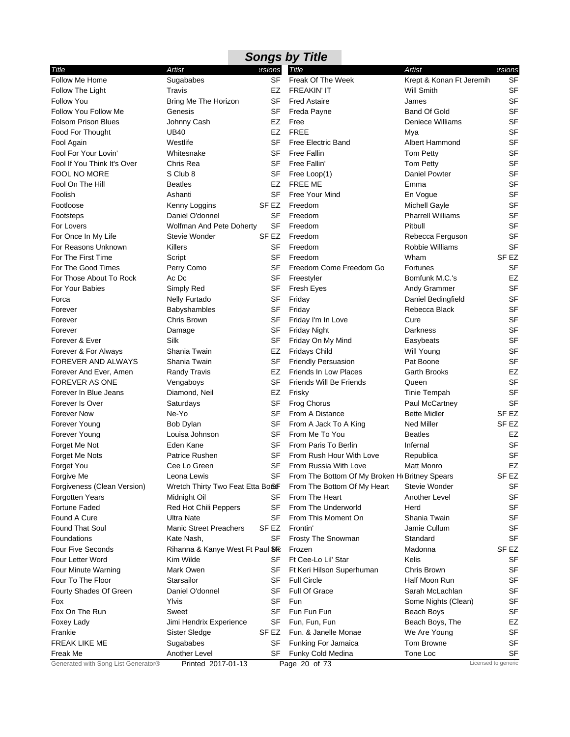| <b>Songs by Title</b>               |                                   |           |                                                            |                          |                     |  |  |  |
|-------------------------------------|-----------------------------------|-----------|------------------------------------------------------------|--------------------------|---------------------|--|--|--|
| Title                               | Artist                            | ersions   | Title                                                      | <b>Artist</b>            | ersions?            |  |  |  |
| Follow Me Home                      | Sugababes                         | <b>SF</b> | Freak Of The Week                                          | Krept & Konan Ft Jeremih | <b>SF</b>           |  |  |  |
| Follow The Light                    | Travis                            | EZ        | <b>FREAKIN' IT</b>                                         | <b>Will Smith</b>        | <b>SF</b>           |  |  |  |
| <b>Follow You</b>                   | Bring Me The Horizon              | SF        | <b>Fred Astaire</b>                                        | James                    | <b>SF</b>           |  |  |  |
| Follow You Follow Me                | Genesis                           | SF        | Freda Payne                                                | <b>Band Of Gold</b>      | <b>SF</b>           |  |  |  |
| <b>Folsom Prison Blues</b>          | Johnny Cash                       | EZ        | Free                                                       | Deniece Williams         | <b>SF</b>           |  |  |  |
| Food For Thought                    | UB40                              | EZ        | <b>FREE</b>                                                | Mya                      | SF                  |  |  |  |
| Fool Again                          | Westlife                          | SF        | <b>Free Electric Band</b>                                  | Albert Hammond           | <b>SF</b>           |  |  |  |
| Fool For Your Lovin'                | Whitesnake                        | SF        | <b>Free Fallin</b>                                         | Tom Petty                | SF                  |  |  |  |
| Fool If You Think It's Over         | Chris Rea                         | SF        | Free Fallin'                                               | <b>Tom Petty</b>         | <b>SF</b>           |  |  |  |
| FOOL NO MORE                        | S Club 8                          | <b>SF</b> | Free Loop(1)                                               | Daniel Powter            | SF                  |  |  |  |
| Fool On The Hill                    | <b>Beatles</b>                    | EZ        | FREE ME                                                    | Emma                     | SF                  |  |  |  |
| Foolish                             | Ashanti                           | <b>SF</b> | Free Your Mind                                             | En Vogue                 | SF                  |  |  |  |
| Footloose                           | Kenny Loggins                     | SF EZ     | Freedom                                                    | <b>Michell Gayle</b>     | SF                  |  |  |  |
| Footsteps                           | Daniel O'donnel                   | <b>SF</b> | Freedom                                                    | <b>Pharrell Williams</b> | SF                  |  |  |  |
| For Lovers                          | Wolfman And Pete Doherty          | <b>SF</b> | Freedom                                                    | Pitbull                  | SF                  |  |  |  |
| For Once In My Life                 | Stevie Wonder                     | SF EZ     | Freedom                                                    | Rebecca Ferguson         | <b>SF</b>           |  |  |  |
| For Reasons Unknown                 | Killers                           | SF        | Freedom                                                    | Robbie Williams          | <b>SF</b>           |  |  |  |
| For The First Time                  | Script                            | SF        | Freedom                                                    | Wham                     | SF <sub>EZ</sub>    |  |  |  |
| For The Good Times                  | Perry Como                        | SF        | Freedom Come Freedom Go                                    | Fortunes                 | <b>SF</b>           |  |  |  |
| For Those About To Rock             | Ac Dc                             | SF        | Freestyler                                                 | Bomfunk M.C.'s           | EZ                  |  |  |  |
| For Your Babies                     | Simply Red                        | SF        | <b>Fresh Eyes</b>                                          | Andy Grammer             | <b>SF</b>           |  |  |  |
| Forca                               | Nelly Furtado                     | SF        | Friday                                                     | Daniel Bedingfield       | SF                  |  |  |  |
| Forever                             | Babyshambles                      | SF        | Friday                                                     | Rebecca Black            | SF                  |  |  |  |
| Forever                             | Chris Brown                       | SF        | Friday I'm In Love                                         | Cure                     | <b>SF</b>           |  |  |  |
| Forever                             | Damage                            | <b>SF</b> | <b>Friday Night</b>                                        | Darkness                 | SF                  |  |  |  |
| Forever & Ever                      | Silk                              | SF        | Friday On My Mind                                          | Easybeats                | <b>SF</b>           |  |  |  |
| Forever & For Always                | Shania Twain                      | EZ        | <b>Fridays Child</b>                                       | <b>Will Young</b>        | <b>SF</b>           |  |  |  |
| <b>FOREVER AND ALWAYS</b>           | Shania Twain                      | SF        | <b>Friendly Persuasion</b>                                 | Pat Boone                | <b>SF</b>           |  |  |  |
| Forever And Ever, Amen              | <b>Randy Travis</b>               | EZ        | <b>Friends In Low Places</b>                               | Garth Brooks             | EZ                  |  |  |  |
| <b>FOREVER AS ONE</b>               | Vengaboys                         | SF        | Friends Will Be Friends                                    | Queen                    | SF                  |  |  |  |
| Forever In Blue Jeans               | Diamond, Neil                     | EZ        | Frisky                                                     | <b>Tinie Tempah</b>      | <b>SF</b>           |  |  |  |
| Forever Is Over                     | Saturdays                         | <b>SF</b> | <b>Frog Chorus</b>                                         | Paul McCartney           | <b>SF</b>           |  |  |  |
| <b>Forever Now</b>                  | Ne-Yo                             | SF        | From A Distance                                            | <b>Bette Midler</b>      | SF <sub>EZ</sub>    |  |  |  |
| Forever Young                       | Bob Dylan                         | SF        | From A Jack To A King                                      | <b>Ned Miller</b>        | SF EZ               |  |  |  |
| Forever Young                       | Louisa Johnson                    | SF        | From Me To You                                             | <b>Beatles</b>           | EZ                  |  |  |  |
| Forget Me Not                       | Eden Kane                         | SF        | From Paris To Berlin                                       | Infernal                 | <b>SF</b>           |  |  |  |
| Forget Me Nots                      | Patrice Rushen                    | SF        | From Rush Hour With Love                                   | Republica                | SF                  |  |  |  |
| Forget You                          | Cee Lo Green                      | <b>SF</b> | From Russia With Love                                      | Matt Monro               | EZ                  |  |  |  |
| Forgive Me                          | Leona Lewis                       | SF        | From The Bottom Of My Broken H <sub>k</sub> Britney Spears |                          | SF <sub>EZ</sub>    |  |  |  |
| Forgiveness (Clean Version)         | Wretch Thirty Two Feat Etta BoStF |           | From The Bottom Of My Heart                                | Stevie Wonder            | SF                  |  |  |  |
| Forgotten Years                     | Midnight Oil                      | SF        | From The Heart                                             | Another Level            | SF                  |  |  |  |
| <b>Fortune Faded</b>                | Red Hot Chili Peppers             | SF        | From The Underworld                                        | Herd                     | SF                  |  |  |  |
| Found A Cure                        | Ultra Nate                        | SF        | From This Moment On                                        | Shania Twain             | <b>SF</b>           |  |  |  |
| <b>Found That Soul</b>              | <b>Manic Street Preachers</b>     | SF EZ     | Frontin'                                                   | Jamie Cullum             | <b>SF</b>           |  |  |  |
| Foundations                         | Kate Nash,                        | SF        | Frosty The Snowman                                         | Standard                 | <b>SF</b>           |  |  |  |
| <b>Four Five Seconds</b>            | Rihanna & Kanye West Ft Paul STE  |           | Frozen                                                     | Madonna                  | SF EZ               |  |  |  |
| Four Letter Word                    | Kim Wilde                         | SF        | Ft Cee-Lo Lil' Star                                        | Kelis                    | SF                  |  |  |  |
| Four Minute Warning                 | Mark Owen                         | SF        | Ft Keri Hilson Superhuman                                  | Chris Brown              | <b>SF</b>           |  |  |  |
| Four To The Floor                   | Starsailor                        | SF        | <b>Full Circle</b>                                         | Half Moon Run            | SF                  |  |  |  |
| Fourty Shades Of Green              | Daniel O'donnel                   | SF        | <b>Full Of Grace</b>                                       | Sarah McLachlan          | SF                  |  |  |  |
| Fox                                 | Ylvis                             | SF        | Fun                                                        | Some Nights (Clean)      | <b>SF</b>           |  |  |  |
| Fox On The Run                      | Sweet                             | SF        | Fun Fun Fun                                                | Beach Boys               | <b>SF</b>           |  |  |  |
| Foxey Lady                          | Jimi Hendrix Experience           | SF        | Fun, Fun, Fun                                              | Beach Boys, The          | EZ                  |  |  |  |
| Frankie                             | Sister Sledge                     | SF EZ     | Fun. & Janelle Monae                                       | We Are Young             | <b>SF</b>           |  |  |  |
| FREAK LIKE ME                       | Sugababes                         | SF        | Funking For Jamaica                                        | Tom Browne               | <b>SF</b>           |  |  |  |
| Freak Me                            | Another Level                     | SF        | Funky Cold Medina                                          | Tone Loc                 | SF                  |  |  |  |
| Generated with Song List Generator® | Printed 2017-01-13                |           | Page 20 of 73                                              |                          | Licensed to generic |  |  |  |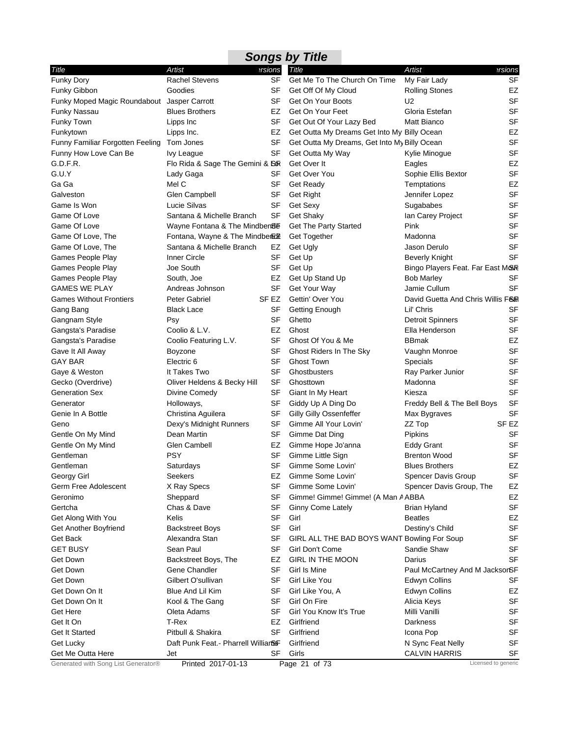| <b>Songs by Title</b>                       |                                     |                |                                              |                                   |           |  |  |  |  |
|---------------------------------------------|-------------------------------------|----------------|----------------------------------------------|-----------------------------------|-----------|--|--|--|--|
| Title                                       | Artist                              | <b>ersions</b> | Title                                        | Artist                            | ersions   |  |  |  |  |
| Funky Dory                                  | <b>Rachel Stevens</b>               | SF             | Get Me To The Church On Time                 | My Fair Lady                      | SF        |  |  |  |  |
| Funky Gibbon                                | Goodies                             | SF             | Get Off Of My Cloud                          | <b>Rolling Stones</b>             | EZ        |  |  |  |  |
| Funky Moped Magic Roundabout Jasper Carrott |                                     | SF             | Get On Your Boots                            | U <sub>2</sub>                    | <b>SF</b> |  |  |  |  |
| <b>Funky Nassau</b>                         | <b>Blues Brothers</b>               | EZ             | Get On Your Feet                             | Gloria Estefan                    | <b>SF</b> |  |  |  |  |
| Funky Town                                  | Lipps Inc                           | SF             | Get Out Of Your Lazy Bed                     | Matt Bianco                       | <b>SF</b> |  |  |  |  |
| Funkytown                                   | Lipps Inc.                          | EZ             | Get Outta My Dreams Get Into My Billy Ocean  |                                   | EZ        |  |  |  |  |
| Funny Familiar Forgotten Feeling            | Tom Jones                           | SF             | Get Outta My Dreams, Get Into My Billy Ocean |                                   | <b>SF</b> |  |  |  |  |
| Funny How Love Can Be                       | Ivy League                          | SF             | Get Outta My Way                             | Kylie Minogue                     | <b>SF</b> |  |  |  |  |
| G.D.F.R.                                    | Flo Rida & Sage The Gemini & Sor    |                | Get Over It                                  | Eagles                            | EZ        |  |  |  |  |
| G.U.Y                                       | Lady Gaga                           | SF             | Get Over You                                 | Sophie Ellis Bextor               | <b>SF</b> |  |  |  |  |
| Ga Ga                                       | Mel C                               | <b>SF</b>      | Get Ready                                    | Temptations                       | EZ        |  |  |  |  |
| Galveston                                   | Glen Campbell                       | SF             | Get Right                                    | Jennifer Lopez                    | <b>SF</b> |  |  |  |  |
| Game Is Won                                 | Lucie Silvas                        | SF             | Get Sexy                                     | Sugababes                         | <b>SF</b> |  |  |  |  |
| Game Of Love                                | Santana & Michelle Branch           | SF             | <b>Get Shaky</b>                             | Ian Carey Project                 | <b>SF</b> |  |  |  |  |
| Game Of Love                                | Wayne Fontana & The Mindben8E       |                | <b>Get The Party Started</b>                 | Pink                              | <b>SF</b> |  |  |  |  |
| Game Of Love, The                           | Fontana, Wayne & The Mindber Ext    |                | Get Together                                 | Madonna                           | <b>SF</b> |  |  |  |  |
| Game Of Love, The                           | Santana & Michelle Branch           | EZ             | Get Ugly                                     | Jason Derulo                      | <b>SF</b> |  |  |  |  |
| Games People Play                           | Inner Circle                        | <b>SF</b>      | Get Up                                       | <b>Beverly Knight</b>             | <b>SF</b> |  |  |  |  |
| Games People Play                           | Joe South                           | <b>SF</b>      | Get Up                                       | Bingo Players Feat. Far East M&R  |           |  |  |  |  |
| Games People Play                           | South, Joe                          | EZ             | Get Up Stand Up                              | <b>Bob Marley</b>                 | SF        |  |  |  |  |
| <b>GAMES WE PLAY</b>                        | Andreas Johnson                     | SF             | Get Your Way                                 | Jamie Cullum                      | <b>SF</b> |  |  |  |  |
| <b>Games Without Frontiers</b>              | <b>Peter Gabriel</b>                | SF EZ          | Gettin' Over You                             | David Guetta And Chris Willis F&R |           |  |  |  |  |
| Gang Bang                                   | <b>Black Lace</b>                   | SF             | <b>Getting Enough</b>                        | Lil' Chris                        | SF        |  |  |  |  |
| Gangnam Style                               | Psy                                 | <b>SF</b>      | Ghetto                                       | <b>Detroit Spinners</b>           | <b>SF</b> |  |  |  |  |
| Gangsta's Paradise                          | Coolio & L.V.                       | EZ             | Ghost                                        | Ella Henderson                    | <b>SF</b> |  |  |  |  |
| Gangsta's Paradise                          | Coolio Featuring L.V.               | <b>SF</b>      | Ghost Of You & Me                            | <b>BBmak</b>                      | EZ        |  |  |  |  |
| Gave It All Away                            | Boyzone                             | SF             | Ghost Riders In The Sky                      | Vaughn Monroe                     | <b>SF</b> |  |  |  |  |
| <b>GAY BAR</b>                              | Electric 6                          | SF             | <b>Ghost Town</b>                            | <b>Specials</b>                   | <b>SF</b> |  |  |  |  |
| Gaye & Weston                               | It Takes Two                        | SF             | Ghostbusters                                 | Ray Parker Junior                 | <b>SF</b> |  |  |  |  |
| Gecko (Overdrive)                           | Oliver Heldens & Becky Hill         | <b>SF</b>      | Ghosttown                                    | Madonna                           | <b>SF</b> |  |  |  |  |
| <b>Generation Sex</b>                       | Divine Comedy                       | SF             | Giant In My Heart                            | Kiesza                            | <b>SF</b> |  |  |  |  |
| Generator                                   | Holloways,                          | SF             | Giddy Up A Ding Do                           | Freddy Bell & The Bell Boys       | <b>SF</b> |  |  |  |  |
| Genie In A Bottle                           | Christina Aguilera                  | SF             | Gilly Gilly Ossenfeffer                      | Max Bygraves                      | <b>SF</b> |  |  |  |  |
| Geno                                        | Dexy's Midnight Runners             | SF             | Gimme All Your Lovin'                        | ZZ Top                            | SF EZ     |  |  |  |  |
|                                             | Dean Martin                         | SF             | Gimme Dat Ding                               |                                   | SF        |  |  |  |  |
| Gentle On My Mind                           |                                     |                |                                              | Pipkins                           |           |  |  |  |  |
| Gentle On My Mind                           | <b>Glen Cambell</b>                 | EZ             | Gimme Hope Jo'anna                           | <b>Eddy Grant</b>                 | SF        |  |  |  |  |
| Gentleman                                   | <b>PSY</b>                          | SF             | Gimme Little Sign<br>Gimme Some Lovin'       | <b>Brenton Wood</b>               | <b>SF</b> |  |  |  |  |
| Gentleman                                   | Saturdays                           | <b>SF</b>      |                                              | <b>Blues Brothers</b>             | <b>EZ</b> |  |  |  |  |
| Georgy Girl                                 | Seekers                             | EZ             | Gimme Some Lovin'                            | Spencer Davis Group               | SF        |  |  |  |  |
| Germ Free Adolescent                        | X Ray Specs                         | <b>SF</b>      | Gimme Some Lovin'                            | Spencer Davis Group, The          | EZ        |  |  |  |  |
| Geronimo                                    | Sheppard                            | <b>SF</b>      | Gimme! Gimme! Gimme! (A Man A ABBA           |                                   | EZ        |  |  |  |  |
| Gertcha                                     | Chas & Dave                         | <b>SF</b>      | Ginny Come Lately                            | <b>Brian Hyland</b>               | SF        |  |  |  |  |
| Get Along With You                          | Kelis                               | SF             | Girl                                         | <b>Beatles</b>                    | EZ        |  |  |  |  |
| Get Another Boyfriend                       | <b>Backstreet Boys</b>              | <b>SF</b>      | Girl                                         | Destiny's Child                   | <b>SF</b> |  |  |  |  |
| Get Back                                    | Alexandra Stan                      | <b>SF</b>      | GIRL ALL THE BAD BOYS WANT Bowling For Soup  |                                   | <b>SF</b> |  |  |  |  |
| <b>GET BUSY</b>                             | Sean Paul                           | SF             | Girl Don't Come                              | Sandie Shaw                       | SF        |  |  |  |  |
| Get Down                                    | Backstreet Boys, The                | EZ             | <b>GIRL IN THE MOON</b>                      | Darius                            | <b>SF</b> |  |  |  |  |
| Get Down                                    | Gene Chandler                       | SF             | Girl Is Mine                                 | Paul McCartney And M JacksorSF    |           |  |  |  |  |
| <b>Get Down</b>                             | Gilbert O'sullivan                  | <b>SF</b>      | Girl Like You                                | <b>Edwyn Collins</b>              | SF        |  |  |  |  |
| Get Down On It                              | Blue And Lil Kim                    | SF             | Girl Like You, A                             | <b>Edwyn Collins</b>              | EZ        |  |  |  |  |
| Get Down On It                              | Kool & The Gang                     | SF             | Girl On Fire                                 | Alicia Keys                       | SF        |  |  |  |  |
| Get Here                                    | Oleta Adams                         | SF             | Girl You Know It's True                      | Milli Vanilli                     | <b>SF</b> |  |  |  |  |
| Get It On                                   | T-Rex                               | EZ             | Girlfriend                                   | Darkness                          | <b>SF</b> |  |  |  |  |
| Get It Started                              | Pitbull & Shakira                   | <b>SF</b>      | Girlfriend                                   | Icona Pop                         | SF        |  |  |  |  |
| Get Lucky                                   | Daft Punk Feat.- Pharrell WillianSF |                | Girlfriend                                   | N Sync Feat Nelly                 | <b>SF</b> |  |  |  |  |
| Get Me Outta Here                           | Jet                                 | <b>SF</b>      | Girls                                        | <b>CALVIN HARRIS</b>              | <b>SF</b> |  |  |  |  |
| Generated with Song List Generator®         | Printed 2017-01-13                  |                | Page 21 of 73                                | Licensed to generic               |           |  |  |  |  |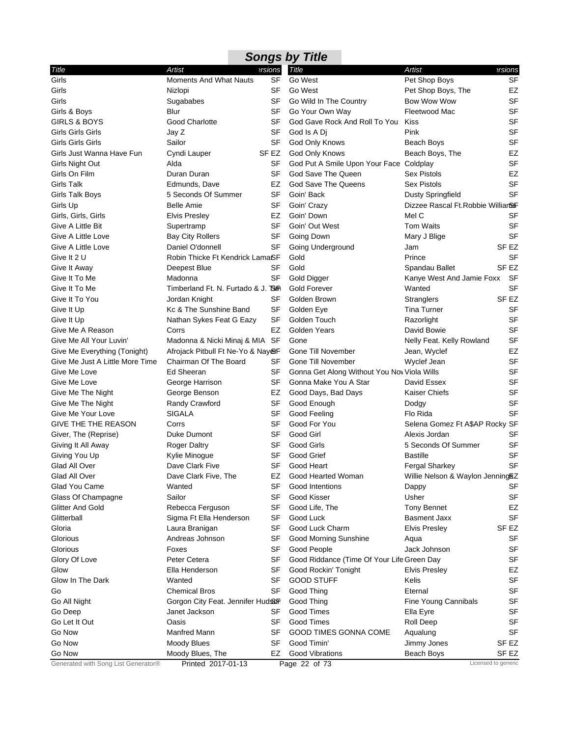|                                     |                                     |           | <b>Songs by Title</b>                       |                                    |                     |
|-------------------------------------|-------------------------------------|-----------|---------------------------------------------|------------------------------------|---------------------|
| Title                               | Artist                              | ersions   | Title                                       | <b>Artist</b>                      | ersions             |
| Girls                               | <b>Moments And What Nauts</b>       | <b>SF</b> | Go West                                     | Pet Shop Boys                      | <b>SF</b>           |
| Girls                               | Nizlopi                             | SF        | Go West                                     | Pet Shop Boys, The                 | EZ                  |
| Girls                               | Sugababes                           | SF        | Go Wild In The Country                      | Bow Wow Wow                        | <b>SF</b>           |
| Girls & Boys                        | Blur                                | SF        | Go Your Own Way                             | Fleetwood Mac                      | <b>SF</b>           |
| <b>GIRLS &amp; BOYS</b>             | <b>Good Charlotte</b>               | SF        | God Gave Rock And Roll To You               | <b>Kiss</b>                        | <b>SF</b>           |
| Girls Girls Girls                   | Jay Z                               | SF        | God Is A Di                                 | Pink                               | SF                  |
| Girls Girls Girls                   | Sailor                              | SF        | God Only Knows                              | Beach Boys                         | <b>SF</b>           |
| Girls Just Wanna Have Fun           | Cyndi Lauper                        | SF EZ     | God Only Knows                              | Beach Boys, The                    | EZ                  |
| Girls Night Out                     | Alda                                | SF        | God Put A Smile Upon Your Face Coldplay     |                                    | SF                  |
| Girls On Film                       | Duran Duran                         | <b>SF</b> | God Save The Queen                          | <b>Sex Pistols</b>                 | EZ                  |
| <b>Girls Talk</b>                   | Edmunds, Dave                       | EZ        | God Save The Queens                         | <b>Sex Pistols</b>                 | <b>SF</b>           |
| Girls Talk Boys                     | 5 Seconds Of Summer                 | <b>SF</b> | Goin' Back                                  | <b>Dusty Springfield</b>           | SF                  |
| Girls Up                            | Belle Amie                          | SF        | Goin' Crazy                                 | Dizzee Rascal Ft. Robbie Willian&F |                     |
| Girls, Girls, Girls                 | <b>Elvis Presley</b>                | EZ        | Goin' Down                                  | Mel C                              | <b>SF</b>           |
| Give A Little Bit                   | Supertramp                          | SF        | Goin' Out West                              | Tom Waits                          | <b>SF</b>           |
| Give A Little Love                  | <b>Bay City Rollers</b>             | SF        | Going Down                                  | Mary J Blige                       | <b>SF</b>           |
| Give A Little Love                  | Daniel O'donnell                    | SF        | Going Underground                           | Jam                                | SF <sub>EZ</sub>    |
| Give It 2 U                         | Robin Thicke Ft Kendrick LamaSF     |           | Gold                                        | Prince                             | <b>SF</b>           |
| Give It Away                        | Deepest Blue                        | SF        | Gold                                        | Spandau Ballet                     | SF <sub>EZ</sub>    |
| Give It To Me                       | Madonna                             | SF        | Gold Digger                                 | Kanye West And Jamie Foxx          | - SF                |
| Give It To Me                       | Timberland Ft. N. Furtado & J. TSim |           | <b>Gold Forever</b>                         | Wanted                             | SF                  |
| Give It To You                      | Jordan Knight                       | SF        | Golden Brown                                | Stranglers                         | SF <sub>EZ</sub>    |
| Give It Up                          | Kc & The Sunshine Band              | SF        | Golden Eye                                  | <b>Tina Turner</b>                 | <b>SF</b>           |
| Give It Up                          | Nathan Sykes Feat G Eazy            | SF        | Golden Touch                                | Razorlight                         | <b>SF</b>           |
| Give Me A Reason                    | Corrs                               | EZ        | Golden Years                                | David Bowie                        | <b>SF</b>           |
| Give Me All Your Luvin'             | Madonna & Nicki Minaj & MIA SF      |           | Gone                                        | Nelly Feat. Kelly Rowland          | <b>SF</b>           |
| Give Me Everything (Tonight)        | Afrojack Pitbull Ft Ne-Yo & NayerF  |           | Gone Till November                          | Jean, Wyclef                       | EZ                  |
| Give Me Just A Little More Time     | Chairman Of The Board               | SF        | Gone Till November                          | Wyclef Jean                        | SF                  |
| Give Me Love                        | Ed Sheeran                          | <b>SF</b> | Gonna Get Along Without You Nov Viola Wills |                                    | SF                  |
| Give Me Love                        | George Harrison                     | SF        | Gonna Make You A Star                       | David Essex                        | <b>SF</b>           |
| Give Me The Night                   | George Benson                       | EZ        | Good Days, Bad Days                         | <b>Kaiser Chiefs</b>               | <b>SF</b>           |
| Give Me The Night                   | Randy Crawford                      | SF        | Good Enough                                 | Dodgy                              | <b>SF</b>           |
| Give Me Your Love                   | SIGALA                              | SF        | Good Feeling                                | Flo Rida                           | <b>SF</b>           |
| <b>GIVE THE THE REASON</b>          | Corrs                               | SF        | Good For You                                | Selena Gomez Ft A\$AP Rocky SF     |                     |
| Giver, The (Reprise)                | Duke Dumont                         | SF        | Good Girl                                   | Alexis Jordan                      | SF                  |
| Giving It All Away                  | <b>Roger Daltry</b>                 | SF        | Good Girls                                  | 5 Seconds Of Summer                | <b>SF</b>           |
| Giving You Up                       | Kylie Minoque                       | SF        | Good Grief                                  | <b>Bastille</b>                    | <b>SF</b>           |
| Glad All Over                       | Dave Clark Five                     | <b>SF</b> | Good Heart                                  | Fergal Sharkey                     | SF                  |
| Glad All Over                       | Dave Clark Five, The                | EZ        | Good Hearted Woman                          | Willie Nelson & Waylon Jenning EZ  |                     |
| Glad You Came                       | Wanted                              | <b>SF</b> | Good Intentions                             | Dappy                              | SF                  |
| Glass Of Champagne                  | Sailor                              | SF        | Good Kisser                                 | Usher                              | <b>SF</b>           |
| Glitter And Gold                    | Rebecca Ferguson                    | SF        | Good Life, The                              | <b>Tony Bennet</b>                 | EZ                  |
| Glitterball                         | Sigma Ft Ella Henderson             | SF        | Good Luck                                   | <b>Basment Jaxx</b>                | <b>SF</b>           |
| Gloria                              | Laura Branigan                      | <b>SF</b> | Good Luck Charm                             | Elvis Presley                      | SF <sub>EZ</sub>    |
| Glorious                            | Andreas Johnson                     | SF        | Good Morning Sunshine                       | Aqua                               | <b>SF</b>           |
| Glorious                            | Foxes                               | SF        | Good People                                 | Jack Johnson                       | <b>SF</b>           |
| Glory Of Love                       | Peter Cetera                        | SF        | Good Riddance (Time Of Your Life Green Day  |                                    | SF                  |
| Glow                                | Ella Henderson                      | SF        | Good Rockin' Tonight                        | <b>Elvis Presley</b>               | EZ                  |
| Glow In The Dark                    | Wanted                              | SF        | <b>GOOD STUFF</b>                           | Kelis                              | <b>SF</b>           |
| Go                                  | Chemical Bros                       | SF        | Good Thing                                  | Eternal                            | <b>SF</b>           |
| Go All Night                        | Gorgon City Feat. Jennifer Hudsoff  |           | Good Thing                                  | Fine Young Cannibals               | <b>SF</b>           |
| Go Deep                             | Janet Jackson                       | SF        | Good Times                                  | Ella Eyre                          | <b>SF</b>           |
| Go Let It Out                       | Oasis                               | SF        | Good Times                                  | Roll Deep                          | <b>SF</b>           |
| Go Now                              | Manfred Mann                        | SF        | GOOD TIMES GONNA COME                       | Aqualung                           | SF                  |
| Go Now                              | Moody Blues                         | SF        | Good Timin'                                 | Jimmy Jones                        | SF <sub>EZ</sub>    |
| Go Now                              | Moody Blues, The                    | EZ        | Good Vibrations                             | Beach Boys                         | SF <sub>EZ</sub>    |
| Generated with Song List Generator® | Printed 2017-01-13                  |           | Page 22 of 73                               |                                    | Licensed to generic |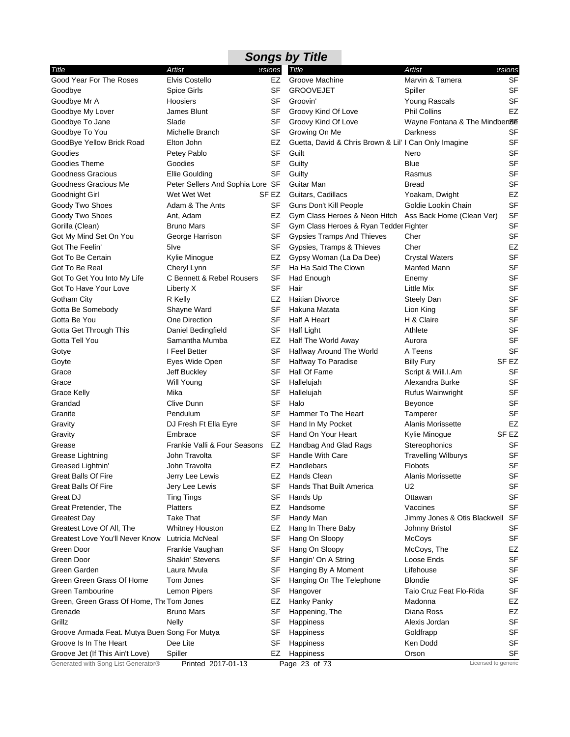|                                                |                                  |           | <b>Songs by Title</b>                                   |                               |           |
|------------------------------------------------|----------------------------------|-----------|---------------------------------------------------------|-------------------------------|-----------|
| Title                                          | Artist                           | ersions   | Title                                                   | Artist                        | ersions   |
| Good Year For The Roses                        | <b>Elvis Costello</b>            | EZ        | Groove Machine                                          | Marvin & Tamera               | SF        |
| Goodbye                                        | <b>Spice Girls</b>               | SF        | <b>GROOVEJET</b>                                        | Spiller                       | <b>SF</b> |
| Goodbye Mr A                                   | Hoosiers                         | SF        | Groovin'                                                | Young Rascals                 | <b>SF</b> |
| Goodbye My Lover                               | James Blunt                      | SF        | Groovy Kind Of Love                                     | <b>Phil Collins</b>           | EZ        |
| Goodbye To Jane                                | Slade                            | SF        | Groovy Kind Of Love                                     | Wayne Fontana & The Mindben8E |           |
| Goodbye To You                                 | Michelle Branch                  | SF        | Growing On Me                                           | Darkness                      | SF        |
| GoodBye Yellow Brick Road                      | Elton John                       | EZ        | Guetta, David & Chris Brown & Lil' I Can Only Imagine   |                               | SF        |
| Goodies                                        | Petey Pablo                      | SF        | Guilt                                                   | Nero                          | SF        |
| Goodies Theme                                  | Goodies                          | SF        | Guilty                                                  | Blue                          | <b>SF</b> |
| <b>Goodness Gracious</b>                       | Ellie Goulding                   | <b>SF</b> | Guilty                                                  | Rasmus                        | <b>SF</b> |
| Goodness Gracious Me                           | Peter Sellers And Sophia Lore SF |           | Guitar Man                                              | <b>Bread</b>                  | SF        |
| Goodnight Girl                                 | Wet Wet Wet                      | SF EZ     | Guitars, Cadillacs                                      | Yoakam, Dwight                | EZ        |
| Goody Two Shoes                                | Adam & The Ants                  | SF        | Guns Don't Kill People                                  | Goldie Lookin Chain           | <b>SF</b> |
| Goody Two Shoes                                | Ant, Adam                        | EZ        | Gym Class Heroes & Neon Hitch Ass Back Home (Clean Ver) |                               | <b>SF</b> |
| Gorilla (Clean)                                | <b>Bruno Mars</b>                | SF        | Gym Class Heroes & Ryan Tedder Fighter                  |                               | SF        |
| Got My Mind Set On You                         | George Harrison                  | SF        | Gypsies Tramps And Thieves                              | Cher                          | SF        |
| Got The Feelin'                                | 5 <sub>lve</sub>                 | SF        | Gypsies, Tramps & Thieves                               | Cher                          | EZ        |
| Got To Be Certain                              | Kylie Minogue                    | EZ        | Gypsy Woman (La Da Dee)                                 | <b>Crystal Waters</b>         | <b>SF</b> |
| Got To Be Real                                 | Cheryl Lynn                      | SF        | Ha Ha Said The Clown                                    | Manfed Mann                   | SF        |
| Got To Get You Into My Life                    | C Bennett & Rebel Rousers        | SF        | Had Enough                                              | Enemy                         | SF        |
| Got To Have Your Love                          | Liberty X                        | SF        | Hair                                                    | Little Mix                    | SF        |
| Gotham City                                    | R Kelly                          | <b>EZ</b> | <b>Haitian Divorce</b>                                  | Steely Dan                    | <b>SF</b> |
| Gotta Be Somebody                              | Shayne Ward                      | SF        | Hakuna Matata                                           | Lion King                     | <b>SF</b> |
| Gotta Be You                                   | One Direction                    | SF        | Half A Heart                                            | H & Claire                    | <b>SF</b> |
| Gotta Get Through This                         | Daniel Bedingfield               | SF        | <b>Half Light</b>                                       | Athlete                       | <b>SF</b> |
| Gotta Tell You                                 | Samantha Mumba                   | EZ        | Half The World Away                                     | Aurora                        | SF        |
| Gotye                                          | I Feel Better                    | SF        | Halfway Around The World                                | A Teens                       | <b>SF</b> |
| Goyte                                          | Eyes Wide Open                   | SF        | <b>Halfway To Paradise</b>                              | <b>Billy Fury</b>             | SF EZ     |
| Grace                                          | Jeff Buckley                     | <b>SF</b> | Hall Of Fame                                            | Script & Will.I.Am            | SF        |
| Grace                                          | Will Young                       | SF        | Hallelujah                                              | Alexandra Burke               | SF        |
| <b>Grace Kelly</b>                             | Mika                             | SF        | Hallelujah                                              | Rufus Wainwright              | SF        |
| Grandad                                        | Clive Dunn                       | SF        | Halo                                                    | Beyonce                       | <b>SF</b> |
| Granite                                        | Pendulum                         | SF        | Hammer To The Heart                                     | Tamperer                      | <b>SF</b> |
| Gravity                                        | DJ Fresh Ft Ella Eyre            | SF        | Hand In My Pocket                                       | Alanis Morissette             | EZ        |
| Gravity                                        | Embrace                          | SF        | Hand On Your Heart                                      | Kylie Minogue                 | SF EZ     |
| Grease                                         | Frankie Valli & Four Seasons     | EZ        | Handbag And Glad Rags                                   | Stereophonics                 | SF        |
| Grease Lightning                               | John Travolta                    | SF        | Handle With Care                                        | <b>Travelling Wilburys</b>    | <b>SF</b> |
| Greased Lightnin'                              | John Travolta                    | EZ        | Handlebars                                              | Flobots                       | SF        |
| <b>Great Balls Of Fire</b>                     | Jerry Lee Lewis                  | EZ        | Hands Clean                                             | Alanis Morissette             | SF        |
| Great Balls Of Fire                            | Jery Lee Lewis                   | SF        | <b>Hands That Built America</b>                         | U2                            | <b>SF</b> |
| Great DJ                                       | <b>Ting Tings</b>                | SF        | Hands Up                                                | Ottawan                       | SF        |
| Great Pretender, The                           | <b>Platters</b>                  | EZ        | Handsome                                                | Vaccines                      | SF        |
| <b>Greatest Day</b>                            | <b>Take That</b>                 | SF        | Handy Man                                               | Jimmy Jones & Otis Blackwell  | SF        |
| Greatest Love Of All, The                      | <b>Whitney Houston</b>           | EZ        | Hang In There Baby                                      | Johnny Bristol                | SF        |
| <b>Greatest Love You'll Never Know</b>         | Lutricia McNeal                  | SF        | Hang On Sloopy                                          | McCoys                        | SF        |
| Green Door                                     | Frankie Vaughan                  | SF        | Hang On Sloopy                                          | McCoys, The                   | EZ        |
| Green Door                                     | Shakin' Stevens                  | SF        | Hangin' On A String                                     | Loose Ends                    | SF        |
| Green Garden                                   | Laura Mvula                      | SF        | Hanging By A Moment                                     | Lifehouse                     | SF        |
| Green Green Grass Of Home                      | Tom Jones                        | SF        | Hanging On The Telephone                                | <b>Blondie</b>                | SF        |
| <b>Green Tambourine</b>                        | Lemon Pipers                     | SF        | Hangover                                                | Taio Cruz Feat Flo-Rida       | SF        |
| Green, Green Grass Of Home, The Tom Jones      |                                  | EZ        | Hanky Panky                                             | Madonna                       | EZ        |
| Grenade                                        | <b>Bruno Mars</b>                | SF        | Happening, The                                          | Diana Ross                    | EZ        |
| Grillz                                         | <b>Nelly</b>                     | SF        | Happiness                                               | Alexis Jordan                 | SF        |
| Groove Armada Feat. Mutya Buen: Song For Mutya |                                  | SF        | Happiness                                               | Goldfrapp                     | SF        |
| Groove Is In The Heart                         | Dee Lite                         | SF        | Happiness                                               | Ken Dodd                      | SF        |
| Groove Jet (If This Ain't Love)                | Spiller                          | EZ        | Happiness                                               | Orson                         | SF        |
| Generated with Song List Generator®            | Printed 2017-01-13               |           | Page 23 of 73                                           | Licensed to generic           |           |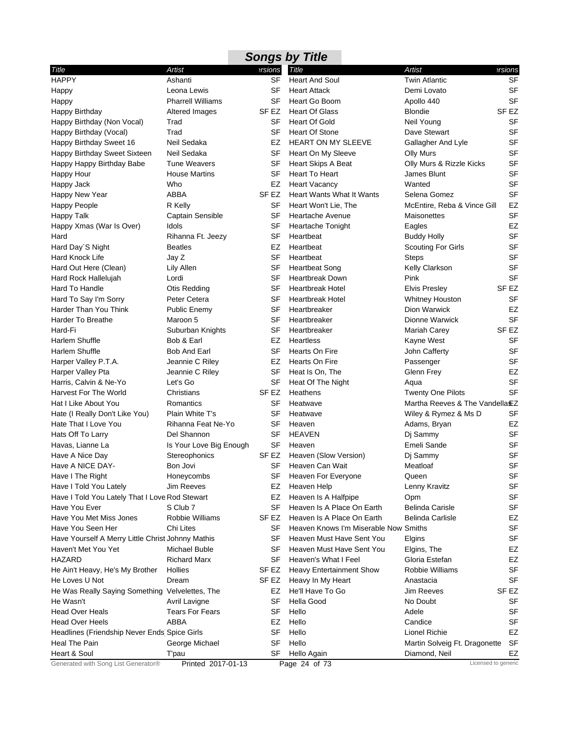|                                                   |                          |                  | <b>Songs by Title</b>                 |                                 |                     |
|---------------------------------------------------|--------------------------|------------------|---------------------------------------|---------------------------------|---------------------|
| Title                                             | Artist                   | ersions          | Title                                 | <b>Artist</b>                   | ersions             |
| <b>HAPPY</b>                                      | Ashanti                  | <b>SF</b>        | <b>Heart And Soul</b>                 | <b>Twin Atlantic</b>            | <b>SF</b>           |
| Happy                                             | Leona Lewis              | SF               | <b>Heart Attack</b>                   | Demi Lovato                     | <b>SF</b>           |
| Happy                                             | <b>Pharrell Williams</b> | SF               | Heart Go Boom                         | Apollo 440                      | <b>SF</b>           |
| Happy Birthday                                    | Altered Images           | SF EZ            | <b>Heart Of Glass</b>                 | <b>Blondie</b>                  | SF EZ               |
| Happy Birthday (Non Vocal)                        | Trad                     | SF               | <b>Heart Of Gold</b>                  | Neil Young                      | SF                  |
| Happy Birthday (Vocal)                            | Trad                     | <b>SF</b>        | <b>Heart Of Stone</b>                 | Dave Stewart                    | <b>SF</b>           |
| Happy Birthday Sweet 16                           | Neil Sedaka              | EZ               | <b>HEART ON MY SLEEVE</b>             | Gallagher And Lyle              | <b>SF</b>           |
| Happy Birthday Sweet Sixteen                      | Neil Sedaka              | SF               | Heart On My Sleeve                    | Olly Murs                       | <b>SF</b>           |
| Happy Happy Birthday Babe                         | <b>Tune Weavers</b>      | SF               | Heart Skips A Beat                    | Olly Murs & Rizzle Kicks        | <b>SF</b>           |
| Happy Hour                                        | <b>House Martins</b>     | <b>SF</b>        | Heart To Heart                        | James Blunt                     | <b>SF</b>           |
| Happy Jack                                        | Who                      | EZ               | <b>Heart Vacancy</b>                  | Wanted                          | <b>SF</b>           |
| Happy New Year                                    | ABBA                     | SF <sub>EZ</sub> | <b>Heart Wants What It Wants</b>      | Selena Gomez                    | <b>SF</b>           |
| Happy People                                      | R Kelly                  | SF               | Heart Won't Lie, The                  | McEntire, Reba & Vince Gill     | EZ                  |
| <b>Happy Talk</b>                                 | Captain Sensible         | <b>SF</b>        | Heartache Avenue                      | Maisonettes                     | <b>SF</b>           |
| Happy Xmas (War Is Over)                          | Idols                    | SF               | Heartache Tonight                     | Eagles                          | <b>EZ</b>           |
| Hard                                              | Rihanna Ft. Jeezy        | SF               | Heartbeat                             | <b>Buddy Holly</b>              | <b>SF</b>           |
| Hard Day'S Night                                  | <b>Beatles</b>           | EZ               | Heartbeat                             | <b>Scouting For Girls</b>       | <b>SF</b>           |
| Hard Knock Life                                   | Jay Z                    | <b>SF</b>        | Heartbeat                             | <b>Steps</b>                    | <b>SF</b>           |
| Hard Out Here (Clean)                             | Lily Allen               | SF               | <b>Heartbeat Song</b>                 | <b>Kelly Clarkson</b>           | <b>SF</b>           |
| Hard Rock Hallelujah                              | Lordi                    | SF               | Heartbreak Down                       | Pink                            | <b>SF</b>           |
| Hard To Handle                                    | Otis Redding             | SF               | <b>Heartbreak Hotel</b>               | <b>Elvis Presley</b>            | SF EZ               |
| Hard To Say I'm Sorry                             | Peter Cetera             | SF               | <b>Heartbreak Hotel</b>               | <b>Whitney Houston</b>          | <b>SF</b>           |
| Harder Than You Think                             | Public Enemy             | SF               | Heartbreaker                          | Dion Warwick                    | EZ                  |
| Harder To Breathe                                 | Maroon 5                 | SF               | Heartbreaker                          | Dionne Warwick                  | <b>SF</b>           |
| Hard-Fi                                           | Suburban Knights         | <b>SF</b>        | Heartbreaker                          | Mariah Carey                    | SF <sub>EZ</sub>    |
| Harlem Shuffle                                    | Bob & Earl               | EZ               | Heartless                             | Kayne West                      | SF                  |
| Harlem Shuffle                                    | <b>Bob And Earl</b>      | <b>SF</b>        | Hearts On Fire                        | John Cafferty                   | <b>SF</b>           |
| Harper Valley P.T.A.                              | Jeannie C Riley          | EZ               | Hearts On Fire                        | Passenger                       | <b>SF</b>           |
| Harper Valley Pta                                 | Jeannie C Riley          | <b>SF</b>        | Heat Is On, The                       | Glenn Frey                      | EZ                  |
| Harris, Calvin & Ne-Yo                            | Let's Go                 | SF               | Heat Of The Night                     | Aqua                            | <b>SF</b>           |
| <b>Harvest For The World</b>                      | Christians               | SF EZ            | Heathens                              | <b>Twenty One Pilots</b>        | <b>SF</b>           |
| Hat I Like About You                              | Romantics                | SF               | Heatwave                              | Martha Reeves & The Vandella EZ |                     |
| Hate (I Really Don't Like You)                    | Plain White T's          | SF               | Heatwave                              | Wiley & Rymez & Ms D            | SF                  |
| Hate That I Love You                              | Rihanna Feat Ne-Yo       | SF               | Heaven                                | Adams, Bryan                    | EZ                  |
| Hats Off To Larry                                 | Del Shannon              | SF               | <b>HEAVEN</b>                         | Dj Sammy                        | SF                  |
| Havas, Lianne La                                  | Is Your Love Big Enough  | SF               | Heaven                                | Emeli Sande                     | <b>SF</b>           |
| Have A Nice Day                                   | Stereophonics            | SF EZ            | Heaven (Slow Version)                 | Dj Sammy                        | <b>SF</b>           |
| Have A NICE DAY-                                  | Bon Jovi                 |                  | SF Heaven Can Wait                    | Meatloaf                        | SF                  |
| Have I The Right                                  | Honeycombs               | SF               | Heaven For Everyone                   | Queen                           | SF                  |
| Have I Told You Lately                            | <b>Jim Reeves</b>        | EZ               | Heaven Help                           | Lenny Kravitz                   | <b>SF</b>           |
| Have I Told You Lately That I Love Rod Stewart    |                          | EZ               | Heaven Is A Halfpipe                  | Opm                             | SF                  |
| Have You Ever                                     | S Club 7                 | SF               | Heaven Is A Place On Earth            | <b>Belinda Carisle</b>          | <b>SF</b>           |
| Have You Met Miss Jones                           | Robbie Williams          | SF <sub>EZ</sub> | Heaven Is A Place On Earth            | <b>Belinda Carlisle</b>         | EZ                  |
| Have You Seen Her                                 | Chi Lites                | SF               | Heaven Knows I'm Miserable Now Smiths |                                 | <b>SF</b>           |
| Have Yourself A Merry Little Christ Johnny Mathis |                          | SF               | Heaven Must Have Sent You             | Elgins                          | <b>SF</b>           |
| Haven't Met You Yet                               | <b>Michael Buble</b>     | SF               | Heaven Must Have Sent You             | Elgins, The                     | EZ                  |
| <b>HAZARD</b>                                     | <b>Richard Marx</b>      | SF               | Heaven's What I Feel                  | Gloria Estefan                  | EZ                  |
| He Ain't Heavy, He's My Brother                   | Hollies                  | SF EZ            | <b>Heavy Entertainment Show</b>       | Robbie Williams                 | <b>SF</b>           |
| He Loves U Not                                    | Dream                    | SF EZ            | Heavy In My Heart                     | Anastacia                       | SF                  |
| He Was Really Saying Something Velvelettes, The   |                          | EZ               | He'll Have To Go                      | <b>Jim Reeves</b>               | SF EZ               |
| He Wasn't                                         | Avril Lavigne            | SF               | Hella Good                            | No Doubt                        | SF                  |
| <b>Head Over Heals</b>                            | <b>Tears For Fears</b>   | SF               | Hello                                 | Adele                           | SF                  |
| <b>Head Over Heels</b>                            | ABBA                     | EZ               | Hello                                 | Candice                         | SF                  |
| Headlines (Friendship Never Ends Spice Girls      |                          | SF               | Hello                                 | Lionel Richie                   | EZ                  |
| Heal The Pain                                     | George Michael           | SF               | Hello                                 | Martin Solveig Ft. Dragonette   | SF                  |
| Heart & Soul                                      | T'pau                    | SF               | Hello Again                           | Diamond, Neil                   | EZ                  |
| Generated with Song List Generator®               | Printed 2017-01-13       |                  | Page 24 of 73                         |                                 | Licensed to generic |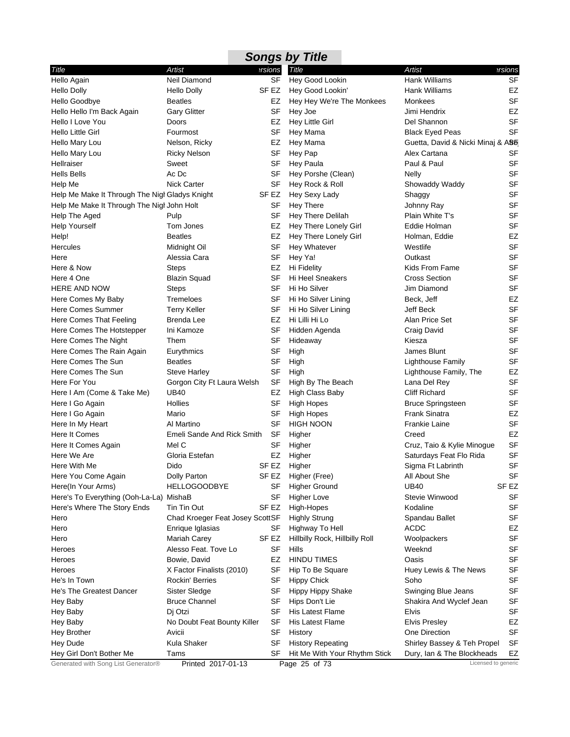|                                                |                                 |           | <b>Songs by Title</b>          |                                   |                  |
|------------------------------------------------|---------------------------------|-----------|--------------------------------|-----------------------------------|------------------|
| Title                                          | Artist                          | ersions   | Title                          | Artist                            | ersions          |
| Hello Again                                    | Neil Diamond                    | <b>SF</b> | Hey Good Lookin                | <b>Hank Williams</b>              | <b>SF</b>        |
| <b>Hello Dolly</b>                             | <b>Hello Dolly</b>              | SF EZ     | Hey Good Lookin'               | Hank Williams                     | EZ               |
| Hello Goodbye                                  | <b>Beatles</b>                  | EZ        | Hey Hey We're The Monkees      | Monkees                           | <b>SF</b>        |
| Hello Hello I'm Back Again                     | <b>Gary Glitter</b>             | SF        | Hey Joe                        | Jimi Hendrix                      | EZ               |
| Hello I Love You                               | Doors                           | EZ        | <b>Hey Little Girl</b>         | Del Shannon                       | <b>SF</b>        |
| Hello Little Girl                              | Fourmost                        | SF        | Hey Mama                       | <b>Black Eyed Peas</b>            | <b>SF</b>        |
| Hello Mary Lou                                 | Nelson, Ricky                   | EZ        | Hey Mama                       | Guetta, David & Nicki Minaj & A86 |                  |
| Hello Mary Lou                                 | <b>Ricky Nelson</b>             | SF        | Hey Pap                        | Alex Cartana                      | SF               |
| Hellraiser                                     | Sweet                           | SF        | Hey Paula                      | Paul & Paul                       | SF               |
| <b>Hells Bells</b>                             | Ac Dc                           | SF        | Hey Porshe (Clean)             | <b>Nelly</b>                      | <b>SF</b>        |
| Help Me                                        | <b>Nick Carter</b>              | SF        | Hey Rock & Roll                | Showaddy Waddy                    | SF               |
| Help Me Make It Through The Nigl Gladys Knight |                                 | SF EZ     | Hey Sexy Lady                  | Shaggy                            | SF               |
| Help Me Make It Through The Nigl John Holt     |                                 | SF        | <b>Hey There</b>               | Johnny Ray                        | SF               |
| Help The Aged                                  | Pulp                            | SF        | Hey There Delilah              | Plain White T's                   | <b>SF</b>        |
| <b>Help Yourself</b>                           | Tom Jones                       | EZ        | Hey There Lonely Girl          | Eddie Holman                      | SF               |
| Help!                                          | <b>Beatles</b>                  | EZ        | Hey There Lonely Girl          | Holman, Eddie                     | EZ               |
| <b>Hercules</b>                                | Midnight Oil                    | SF        | Hey Whatever                   | Westlife                          | <b>SF</b>        |
| Here                                           | Alessia Cara                    | SF        | Hey Ya!                        | Outkast                           | <b>SF</b>        |
| Here & Now                                     | <b>Steps</b>                    | EZ        | Hi Fidelity                    | Kids From Fame                    | SF               |
| Here 4 One                                     | <b>Blazin Squad</b>             | SF        | <b>Hi Heel Sneakers</b>        | <b>Cross Section</b>              | SF               |
| <b>HERE AND NOW</b>                            | <b>Steps</b>                    | SF        | Hi Ho Silver                   | Jim Diamond                       | <b>SF</b>        |
| Here Comes My Baby                             | Tremeloes                       | SF        | Hi Ho Silver Lining            | Beck, Jeff                        | EZ               |
| <b>Here Comes Summer</b>                       | <b>Terry Keller</b>             | SF        | Hi Ho Silver Lining            | Jeff Beck                         | <b>SF</b>        |
| Here Comes That Feeling                        | Brenda Lee                      | EZ        | Hi Lilli Hi Lo                 | Alan Price Set                    | SF               |
| Here Comes The Hotstepper                      | Ini Kamoze                      | SF        | Hidden Agenda                  | Craig David                       | <b>SF</b>        |
| Here Comes The Night                           | Them                            | SF        | Hideaway                       | Kiesza                            | SF               |
| Here Comes The Rain Again                      | Eurythmics                      | SF        | High                           | James Blunt                       | <b>SF</b>        |
| Here Comes The Sun                             | <b>Beatles</b>                  | SF        | High                           | Lighthouse Family                 | SF               |
| Here Comes The Sun                             | <b>Steve Harley</b>             | SF        | High                           | Lighthouse Family, The            | EZ               |
| Here For You                                   | Gorgon City Ft Laura Welsh      | SF        | High By The Beach              | Lana Del Rey                      | <b>SF</b>        |
| Here I Am (Come & Take Me)                     | <b>UB40</b>                     | EZ        | High Class Baby                | <b>Cliff Richard</b>              | <b>SF</b>        |
| Here I Go Again                                | Hollies                         | SF        | <b>High Hopes</b>              | <b>Bruce Springsteen</b>          | <b>SF</b>        |
| Here I Go Again                                | Mario                           | SF        | <b>High Hopes</b>              | <b>Frank Sinatra</b>              | EZ               |
| Here In My Heart                               | Al Martino                      | SF        | <b>HIGH NOON</b>               | <b>Frankie Laine</b>              | <b>SF</b>        |
| Here It Comes                                  | Emeli Sande And Rick Smith      | SF        | Higher                         | Creed                             | EZ               |
| Here It Comes Again                            | Mel C                           | SF        | Higher                         | Cruz, Taio & Kylie Minogue        | <b>SF</b>        |
| Here We Are                                    | Gloria Estefan                  | EZ        | Higher                         | Saturdays Feat Flo Rida           | <b>SF</b>        |
| Here With Me                                   | Dido                            |           | SF EZ Higher                   | Sigma Ft Labrinth                 | SF               |
| Here You Come Again                            | Dolly Parton                    | SF EZ     | Higher (Free)                  | All About She                     | SF               |
| Here(In Your Arms)                             | <b>HELLOGOODBYE</b>             | SF        | <b>Higher Ground</b>           | <b>UB40</b>                       | SF <sub>EZ</sub> |
| Here's To Everything (Ooh-La-La) MishaB        |                                 | SF        | <b>Higher Love</b>             | Stevie Winwood                    | SF               |
| Here's Where The Story Ends                    | Tin Tin Out                     | SF EZ     | High-Hopes                     | Kodaline                          | <b>SF</b>        |
| Hero                                           | Chad Kroeger Feat Josey ScottSF |           | <b>Highly Strung</b>           | Spandau Ballet                    | <b>SF</b>        |
| Hero                                           | Enrique Iglasias                | SF        | Highway To Hell                | <b>ACDC</b>                       | EZ               |
| Hero                                           | Mariah Carey                    | SF EZ     | Hillbilly Rock, Hillbilly Roll | Woolpackers                       | <b>SF</b>        |
| Heroes                                         | Alesso Feat. Tove Lo            | SF        | Hills                          | Weeknd                            | SF               |
| Heroes                                         | Bowie, David                    | EZ        | <b>HINDU TIMES</b>             | Oasis                             | <b>SF</b>        |
| Heroes                                         | X Factor Finalists (2010)       | SF        | Hip To Be Square               | Huey Lewis & The News             | SF               |
| He's In Town                                   | Rockin' Berries                 | SF        | <b>Hippy Chick</b>             | Soho                              | <b>SF</b>        |
| He's The Greatest Dancer                       | Sister Sledge                   | SF        | <b>Hippy Hippy Shake</b>       | Swinging Blue Jeans               | <b>SF</b>        |
| Hey Baby                                       | <b>Bruce Channel</b>            | SF        | Hips Don't Lie                 | Shakira And Wyclef Jean           | <b>SF</b>        |
| Hey Baby                                       | Dj Otzi                         | SF        | <b>His Latest Flame</b>        | <b>Elvis</b>                      | SF               |
| Hey Baby                                       | No Doubt Feat Bounty Killer     | SF        | His Latest Flame               | <b>Elvis Presley</b>              | EZ               |
| <b>Hey Brother</b>                             | Avicii                          | SF        | History                        | One Direction                     | SF               |
| Hey Dude                                       | Kula Shaker                     | SF        | <b>History Repeating</b>       | Shirley Bassey & Teh Propel       | SF               |
| Hey Girl Don't Bother Me                       | Tams                            | SF        | Hit Me With Your Rhythm Stick  | Dury, Ian & The Blockheads        | EZ               |
| Generated with Song List Generator®            | Printed 2017-01-13              |           | Page 25 of 73                  | Licensed to generic               |                  |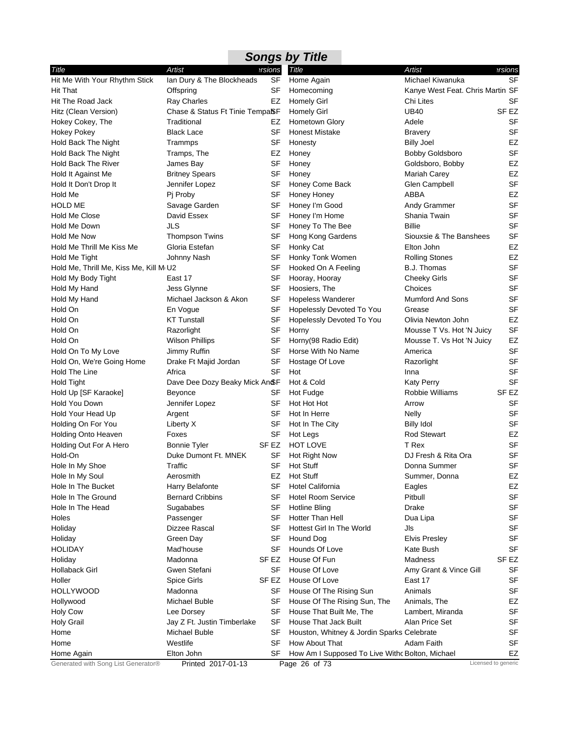|                                        |                                 |                  | <b>Songs by Title</b>                           |                                  |                     |
|----------------------------------------|---------------------------------|------------------|-------------------------------------------------|----------------------------------|---------------------|
| Title                                  | Artist                          | ersions          | Title                                           | <b>Artist</b>                    | ersions             |
| Hit Me With Your Rhythm Stick          | Ian Dury & The Blockheads       | <b>SF</b>        | Home Again                                      | Michael Kiwanuka                 | <b>SF</b>           |
| <b>Hit That</b>                        | Offspring                       | SF               | Homecoming                                      | Kanye West Feat. Chris Martin SF |                     |
| Hit The Road Jack                      | Ray Charles                     | EZ               | <b>Homely Girl</b>                              | Chi Lites                        | SF                  |
| Hitz (Clean Version)                   | Chase & Status Ft Tinie TempaSF |                  | <b>Homely Girl</b>                              | <b>UB40</b>                      | SF EZ               |
| Hokey Cokey, The                       | Traditional                     | EZ               | Hometown Glory                                  | Adele                            | SF                  |
| <b>Hokey Pokey</b>                     | Black Lace                      | SF               | <b>Honest Mistake</b>                           | <b>Bravery</b>                   | <b>SF</b>           |
| Hold Back The Night                    | Trammps                         | SF               | Honesty                                         | <b>Billy Joel</b>                | EZ                  |
| Hold Back The Night                    | Tramps, The                     | EZ               | Honey                                           | <b>Bobby Goldsboro</b>           | <b>SF</b>           |
| Hold Back The River                    | James Bay                       | SF               | Honey                                           | Goldsboro, Bobby                 | EZ                  |
| Hold It Against Me                     | <b>Britney Spears</b>           | <b>SF</b>        | Honey                                           | Mariah Carey                     | EZ                  |
| Hold It Don't Drop It                  | Jennifer Lopez                  | SF               | Honey Come Back                                 | Glen Campbell                    | <b>SF</b>           |
| Hold Me                                | Pj Proby                        | SF               | Honey Honey                                     | ABBA                             | EZ                  |
| <b>HOLD ME</b>                         | Savage Garden                   | SF               | Honey I'm Good                                  | Andy Grammer                     | <b>SF</b>           |
| <b>Hold Me Close</b>                   | David Essex                     | <b>SF</b>        | Honey I'm Home                                  | Shania Twain                     | <b>SF</b>           |
| Hold Me Down                           | JLS                             | SF               | Honey To The Bee                                | <b>Billie</b>                    | <b>SF</b>           |
| Hold Me Now                            | <b>Thompson Twins</b>           | <b>SF</b>        | Hong Kong Gardens                               | Siouxsie & The Banshees          | <b>SF</b>           |
| Hold Me Thrill Me Kiss Me              | Gloria Estefan                  | SF               | Honky Cat                                       | Elton John                       | EZ                  |
| Hold Me Tight                          | Johnny Nash                     | SF               | Honky Tonk Women                                | <b>Rolling Stones</b>            | EZ                  |
| Hold Me, Thrill Me, Kiss Me, Kill M U2 |                                 | SF               | Hooked On A Feeling                             | B.J. Thomas                      | <b>SF</b>           |
| Hold My Body Tight                     | East 17                         | SF               | Hooray, Hooray                                  | <b>Cheeky Girls</b>              | <b>SF</b>           |
| Hold My Hand                           | Jess Glynne                     | SF               | Hoosiers, The                                   | Choices                          | <b>SF</b>           |
| Hold My Hand                           | Michael Jackson & Akon          | SF               | <b>Hopeless Wanderer</b>                        | <b>Mumford And Sons</b>          | <b>SF</b>           |
| Hold On                                | En Vogue                        | SF               | Hopelessly Devoted To You                       | Grease                           | <b>SF</b>           |
| Hold On                                | <b>KT Tunstall</b>              | SF               | Hopelessly Devoted To You                       | Olivia Newton John               | EZ                  |
| Hold On                                | Razorlight                      | <b>SF</b>        | Horny                                           | Mousse T Vs. Hot 'N Juicy        | <b>SF</b>           |
| Hold On                                | <b>Wilson Phillips</b>          | SF               | Horny(98 Radio Edit)                            | Mousse T. Vs Hot 'N Juicy        | EZ                  |
| Hold On To My Love                     | Jimmy Ruffin                    | SF               | Horse With No Name                              | America                          | <b>SF</b>           |
| Hold On, We're Going Home              | Drake Ft Majid Jordan           | SF               | Hostage Of Love                                 | Razorlight                       | <b>SF</b>           |
| Hold The Line                          | Africa                          | <b>SF</b>        | Hot                                             | Inna                             | <b>SF</b>           |
| Hold Tight                             | Dave Dee Dozy Beaky Mick An SF  |                  | Hot & Cold                                      | <b>Katy Perry</b>                | <b>SF</b>           |
| Hold Up [SF Karaoke]                   | Beyonce                         | SF               | Hot Fudge                                       | Robbie Williams                  | SF <sub>EZ</sub>    |
| Hold You Down                          | Jennifer Lopez                  | SF               | Hot Hot Hot                                     | Arrow                            | SF                  |
| Hold Your Head Up                      | Argent                          | SF               | Hot In Herre                                    | Nelly                            | <b>SF</b>           |
| Holding On For You                     | Liberty X                       | SF               | Hot In The City                                 | <b>Billy Idol</b>                | SF                  |
| <b>Holding Onto Heaven</b>             | Foxes                           | SF               | Hot Legs                                        | <b>Rod Stewart</b>               | EZ                  |
| Holding Out For A Hero                 | Bonnie Tyler                    | SF EZ            | <b>HOT LOVE</b>                                 | T Rex                            | <b>SF</b>           |
| Hold-On                                | Duke Dumont Ft. MNEK            | SF               | Hot Right Now                                   | DJ Fresh & Rita Ora              | <b>SF</b>           |
| Hole In My Shoe                        | Traffic                         |                  | SF Hot Stuff                                    | Donna Summer                     | SF                  |
| Hole In My Soul                        | Aerosmith                       | EZ               | <b>Hot Stuff</b>                                | Summer, Donna                    | EZ                  |
| Hole In The Bucket                     | Harry Belafonte                 | <b>SF</b>        | <b>Hotel California</b>                         | Eagles                           | EZ                  |
| Hole In The Ground                     | <b>Bernard Cribbins</b>         | SF               | <b>Hotel Room Service</b>                       | Pitbull                          | <b>SF</b>           |
| Hole In The Head                       | Sugababes                       | SF               | Hotline Bling                                   | Drake                            | <b>SF</b>           |
| Holes                                  | Passenger                       | SF               | Hotter Than Hell                                | Dua Lipa                         | SF                  |
| Holiday                                | Dizzee Rascal                   | <b>SF</b>        | Hottest Girl In The World                       | Jls                              | <b>SF</b>           |
| Holiday                                | Green Day                       | SF               | Hound Dog                                       | <b>Elvis Presley</b>             | <b>SF</b>           |
| <b>HOLIDAY</b>                         | Mad'house                       | SF               | Hounds Of Love                                  | Kate Bush                        | <b>SF</b>           |
| Holiday                                | Madonna                         | SF <sub>EZ</sub> | House Of Fun                                    | <b>Madness</b>                   | SF EZ               |
| Hollaback Girl                         | Gwen Stefani                    | SF               | House Of Love                                   | Amy Grant & Vince Gill           | <b>SF</b>           |
| Holler                                 | Spice Girls                     | SF EZ            | House Of Love                                   | East 17                          | <b>SF</b>           |
| <b>HOLLYWOOD</b>                       | Madonna                         | SF               | House Of The Rising Sun                         | Animals                          | <b>SF</b>           |
| Hollywood                              | Michael Buble                   | SF               | House Of The Rising Sun, The                    | Animals, The                     | EZ                  |
| <b>Holy Cow</b>                        | Lee Dorsey                      | SF               | House That Built Me, The                        | Lambert, Miranda                 | <b>SF</b>           |
| <b>Holy Grail</b>                      | Jay Z Ft. Justin Timberlake     | SF               | House That Jack Built                           | Alan Price Set                   | <b>SF</b>           |
| Home                                   | Michael Buble                   | SF               | Houston, Whitney & Jordin Sparks Celebrate      |                                  | SF                  |
| Home                                   | Westlife                        | SF               | How About That                                  | Adam Faith                       | SF                  |
| Home Again                             | Elton John                      | SF               | How Am I Supposed To Live Withc Bolton, Michael |                                  | EZ                  |
| Generated with Song List Generator®    | Printed 2017-01-13              |                  | Page 26 of 73                                   |                                  | Licensed to generic |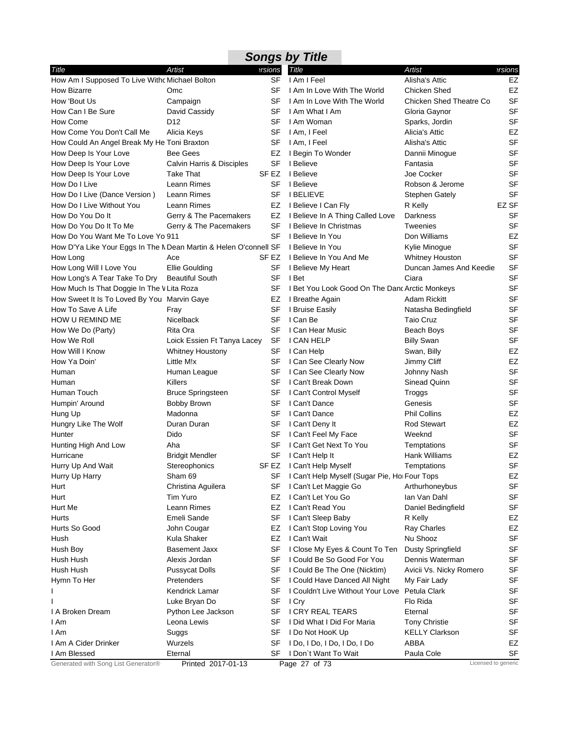| Artist<br>ersions<br>Title<br>Artist<br>Title<br>ersions<br>SF<br>EZ<br>How Am I Supposed To Live Withc Michael Bolton<br>I Am I Feel<br>Alisha's Attic<br>SF<br>I Am In Love With The World<br>EZ<br>Omc<br><b>Chicken Shed</b><br><b>SF</b><br>Campaign<br>SF<br>I Am In Love With The World<br><b>Chicken Shed Theatre Co</b><br><b>SF</b><br>David Cassidy<br>SF<br>I Am What I Am<br>Gloria Gaynor<br><b>SF</b><br>D <sub>12</sub><br>I Am Woman<br>SF<br>Sparks, Jordin<br>EZ<br>I Am, I Feel<br>Alicia Keys<br>SF<br>Alicia's Attic<br>SF<br>SF<br>How Could An Angel Break My He Toni Braxton<br>I Am, I Feel<br>Alisha's Attic<br><b>SF</b><br><b>Bee Gees</b><br>EZ<br>I Begin To Wonder<br>Dannii Minoque<br><b>SF</b><br>SF<br>I Believe<br>Calvin Harris & Disciples<br>Fantasia<br>SF <sub>EZ</sub><br><b>SF</b><br><b>Take That</b><br>I Believe<br>Joe Cocker<br><b>SF</b><br>Leann Rimes<br>SF<br>I Believe<br>Robson & Jerome<br><b>SF</b><br>Leann Rimes<br>SF<br><b>I BELIEVE</b><br><b>Stephen Gately</b><br>EZ SF<br>Leann Rimes<br>EZ<br>I Believe I Can Fly<br>R Kelly<br><b>SF</b><br>Gerry & The Pacemakers<br>EZ<br>I Believe In A Thing Called Love<br>Darkness<br><b>SF</b><br>Gerry & The Pacemakers<br>SF<br>Tweenies<br>I Believe In Christmas<br>EZ<br>SF<br>Don Williams<br>How Do You Want Me To Love Yo 911<br>I Believe In You<br><b>SF</b><br>How D'Ya Like Your Eggs In The N Dean Martin & Helen O'connell SF<br>I Believe In You<br>Kylie Minogue<br><b>SF</b><br>SF EZ<br>I Believe In You And Me<br>Whitney Houston<br>Ace<br><b>SF</b><br>Duncan James And Keedie<br>Ellie Goulding<br>SF<br>I Believe My Heart<br><b>SF</b><br><b>Beautiful South</b><br>SF<br>I Bet<br>Ciara<br><b>SF</b><br>SF<br>How Much Is That Doggie In The V Lita Roza<br>I Bet You Look Good On The Danc Arctic Monkeys<br><b>SF</b><br>How Sweet It Is To Loved By You Marvin Gaye<br>EZ<br>I Breathe Again<br>Adam Rickitt<br><b>SF</b><br>SF<br>I Bruise Easily<br>Natasha Bedingfield<br>Fray<br><b>SF</b><br>Nicelback<br>SF<br>I Can Be<br><b>Taio Cruz</b><br><b>SF</b><br>Rita Ora<br>SF<br>I Can Hear Music<br>Beach Boys<br><b>SF</b><br>SF<br>I CAN HELP<br>Loick Essien Ft Tanya Lacey<br><b>Billy Swan</b><br>EZ<br>SF<br><b>Whitney Houstony</b><br>I Can Help<br>Swan, Billy<br>EZ<br>Little M!x<br>SF<br>I Can See Clearly Now<br>Jimmy Cliff<br><b>SF</b><br>Human League<br>SF<br>I Can See Clearly Now<br>Johnny Nash<br><b>SF</b><br>SF<br>I Can't Break Down<br>Sinead Quinn<br>Killers<br><b>SF</b><br><b>Bruce Springsteen</b><br>SF<br>I Can't Control Myself<br>Troggs<br><b>SF</b><br>Bobby Brown<br>SF<br>I Can't Dance<br>Genesis<br>Madonna<br>SF<br>I Can't Dance<br><b>Phil Collins</b><br>EZ<br>EZ<br>Hungry Like The Wolf<br>Duran Duran<br>SF<br>I Can't Deny It<br><b>Rod Stewart</b><br><b>SF</b><br>Dido<br>SF<br>I Can't Feel My Face<br>Weeknd<br><b>SF</b><br>Hunting High And Low<br>Aha<br>SF<br>I Can't Get Next To You<br>Temptations<br>EZ<br>SF I Can't Help It<br><b>Bridgit Mendler</b><br>Hank Williams<br>SF<br>Hurry Up And Wait<br>Stereophonics<br>SF EZ I Can't Help Myself<br>Temptations<br>EZ<br>Hurry Up Harry<br>Sham 69<br>SF I Can't Help Myself (Sugar Pie, Hol Four Tops<br>SF<br>Hurt<br>Christina Aguilera<br>SF<br>I Can't Let Maggie Go<br>Arthurhoneybus<br>Tim Yuro<br>I Can't Let You Go<br>Ian Van Dahl<br><b>SF</b><br>Hurt<br>EZ<br>SF<br>Hurt Me<br>Leann Rimes<br>EZ<br>I Can't Read You<br>Daniel Bedingfield<br>Emeli Sande<br>SF<br>I Can't Sleep Baby<br>EZ<br>Hurts<br>R Kelly<br>EZ<br>Hurts So Good<br>John Cougar<br>EZ<br>I Can't Stop Loving You<br><b>Ray Charles</b><br><b>SF</b><br>Kula Shaker<br>EZ<br>I Can't Wait<br>Nu Shooz<br>Hush<br>SF<br><b>Basement Jaxx</b><br>SF<br>Hush Boy<br>I Close My Eyes & Count To Ten<br><b>Dusty Springfield</b><br>SF<br>Hush Hush<br>Alexis Jordan<br>SF<br>I Could Be So Good For You<br>Dennis Waterman<br>SF<br>Hush Hush<br><b>Pussycat Dolls</b><br>SF<br>I Could Be The One (Nicktim)<br>Avicii Vs. Nicky Romero<br>SF<br>Pretenders<br>Hymn To Her<br>SF<br>I Could Have Danced All Night<br>My Fair Lady<br>SF<br>I Couldn't Live Without Your Love<br>Petula Clark<br>Kendrick Lamar<br>SF<br>SF<br>Flo Rida<br>SF<br>Luke Bryan Do<br>I Cry<br><b>SF</b><br>Python Lee Jackson<br>SF<br>I CRY REAL TEARS<br>Eternal<br>I A Broken Dream<br><b>SF</b><br>I Am<br>Leona Lewis<br>SF<br>I Did What I Did For Maria<br><b>Tony Christie</b><br><b>KELLY Clarkson</b><br><b>SF</b><br>I Am<br>Suggs<br>SF<br>I Do Not HooK Up |                               |  | <b>Songs by Title</b> |  |
|-------------------------------------------------------------------------------------------------------------------------------------------------------------------------------------------------------------------------------------------------------------------------------------------------------------------------------------------------------------------------------------------------------------------------------------------------------------------------------------------------------------------------------------------------------------------------------------------------------------------------------------------------------------------------------------------------------------------------------------------------------------------------------------------------------------------------------------------------------------------------------------------------------------------------------------------------------------------------------------------------------------------------------------------------------------------------------------------------------------------------------------------------------------------------------------------------------------------------------------------------------------------------------------------------------------------------------------------------------------------------------------------------------------------------------------------------------------------------------------------------------------------------------------------------------------------------------------------------------------------------------------------------------------------------------------------------------------------------------------------------------------------------------------------------------------------------------------------------------------------------------------------------------------------------------------------------------------------------------------------------------------------------------------------------------------------------------------------------------------------------------------------------------------------------------------------------------------------------------------------------------------------------------------------------------------------------------------------------------------------------------------------------------------------------------------------------------------------------------------------------------------------------------------------------------------------------------------------------------------------------------------------------------------------------------------------------------------------------------------------------------------------------------------------------------------------------------------------------------------------------------------------------------------------------------------------------------------------------------------------------------------------------------------------------------------------------------------------------------------------------------------------------------------------------------------------------------------------------------------------------------------------------------------------------------------------------------------------------------------------------------------------------------------------------------------------------------------------------------------------------------------------------------------------------------------------------------------------------------------------------------------------------------------------------------------------------------------------------------------------------------------------------------------------------------------------------------------------------------------------------------------------------------------------------------------------------------------------------------------------------------------------------------------------------------------------------------------------------------------------------------------------------------------------------------------------------------------------------------------------------------------------------------------------------------------------------------------------------------------------------------------------------------------------------------------------------------------------------------------------------------------------------------------------------------------------------------------------|-------------------------------|--|-----------------------|--|
|                                                                                                                                                                                                                                                                                                                                                                                                                                                                                                                                                                                                                                                                                                                                                                                                                                                                                                                                                                                                                                                                                                                                                                                                                                                                                                                                                                                                                                                                                                                                                                                                                                                                                                                                                                                                                                                                                                                                                                                                                                                                                                                                                                                                                                                                                                                                                                                                                                                                                                                                                                                                                                                                                                                                                                                                                                                                                                                                                                                                                                                                                                                                                                                                                                                                                                                                                                                                                                                                                                                                                                                                                                                                                                                                                                                                                                                                                                                                                                                                                                                                                                                                                                                                                                                                                                                                                                                                                                                                                                                                                                                           |                               |  |                       |  |
|                                                                                                                                                                                                                                                                                                                                                                                                                                                                                                                                                                                                                                                                                                                                                                                                                                                                                                                                                                                                                                                                                                                                                                                                                                                                                                                                                                                                                                                                                                                                                                                                                                                                                                                                                                                                                                                                                                                                                                                                                                                                                                                                                                                                                                                                                                                                                                                                                                                                                                                                                                                                                                                                                                                                                                                                                                                                                                                                                                                                                                                                                                                                                                                                                                                                                                                                                                                                                                                                                                                                                                                                                                                                                                                                                                                                                                                                                                                                                                                                                                                                                                                                                                                                                                                                                                                                                                                                                                                                                                                                                                                           |                               |  |                       |  |
|                                                                                                                                                                                                                                                                                                                                                                                                                                                                                                                                                                                                                                                                                                                                                                                                                                                                                                                                                                                                                                                                                                                                                                                                                                                                                                                                                                                                                                                                                                                                                                                                                                                                                                                                                                                                                                                                                                                                                                                                                                                                                                                                                                                                                                                                                                                                                                                                                                                                                                                                                                                                                                                                                                                                                                                                                                                                                                                                                                                                                                                                                                                                                                                                                                                                                                                                                                                                                                                                                                                                                                                                                                                                                                                                                                                                                                                                                                                                                                                                                                                                                                                                                                                                                                                                                                                                                                                                                                                                                                                                                                                           | How Bizarre                   |  |                       |  |
|                                                                                                                                                                                                                                                                                                                                                                                                                                                                                                                                                                                                                                                                                                                                                                                                                                                                                                                                                                                                                                                                                                                                                                                                                                                                                                                                                                                                                                                                                                                                                                                                                                                                                                                                                                                                                                                                                                                                                                                                                                                                                                                                                                                                                                                                                                                                                                                                                                                                                                                                                                                                                                                                                                                                                                                                                                                                                                                                                                                                                                                                                                                                                                                                                                                                                                                                                                                                                                                                                                                                                                                                                                                                                                                                                                                                                                                                                                                                                                                                                                                                                                                                                                                                                                                                                                                                                                                                                                                                                                                                                                                           | How 'Bout Us                  |  |                       |  |
|                                                                                                                                                                                                                                                                                                                                                                                                                                                                                                                                                                                                                                                                                                                                                                                                                                                                                                                                                                                                                                                                                                                                                                                                                                                                                                                                                                                                                                                                                                                                                                                                                                                                                                                                                                                                                                                                                                                                                                                                                                                                                                                                                                                                                                                                                                                                                                                                                                                                                                                                                                                                                                                                                                                                                                                                                                                                                                                                                                                                                                                                                                                                                                                                                                                                                                                                                                                                                                                                                                                                                                                                                                                                                                                                                                                                                                                                                                                                                                                                                                                                                                                                                                                                                                                                                                                                                                                                                                                                                                                                                                                           | How Can I Be Sure             |  |                       |  |
|                                                                                                                                                                                                                                                                                                                                                                                                                                                                                                                                                                                                                                                                                                                                                                                                                                                                                                                                                                                                                                                                                                                                                                                                                                                                                                                                                                                                                                                                                                                                                                                                                                                                                                                                                                                                                                                                                                                                                                                                                                                                                                                                                                                                                                                                                                                                                                                                                                                                                                                                                                                                                                                                                                                                                                                                                                                                                                                                                                                                                                                                                                                                                                                                                                                                                                                                                                                                                                                                                                                                                                                                                                                                                                                                                                                                                                                                                                                                                                                                                                                                                                                                                                                                                                                                                                                                                                                                                                                                                                                                                                                           | How Come                      |  |                       |  |
|                                                                                                                                                                                                                                                                                                                                                                                                                                                                                                                                                                                                                                                                                                                                                                                                                                                                                                                                                                                                                                                                                                                                                                                                                                                                                                                                                                                                                                                                                                                                                                                                                                                                                                                                                                                                                                                                                                                                                                                                                                                                                                                                                                                                                                                                                                                                                                                                                                                                                                                                                                                                                                                                                                                                                                                                                                                                                                                                                                                                                                                                                                                                                                                                                                                                                                                                                                                                                                                                                                                                                                                                                                                                                                                                                                                                                                                                                                                                                                                                                                                                                                                                                                                                                                                                                                                                                                                                                                                                                                                                                                                           | How Come You Don't Call Me    |  |                       |  |
|                                                                                                                                                                                                                                                                                                                                                                                                                                                                                                                                                                                                                                                                                                                                                                                                                                                                                                                                                                                                                                                                                                                                                                                                                                                                                                                                                                                                                                                                                                                                                                                                                                                                                                                                                                                                                                                                                                                                                                                                                                                                                                                                                                                                                                                                                                                                                                                                                                                                                                                                                                                                                                                                                                                                                                                                                                                                                                                                                                                                                                                                                                                                                                                                                                                                                                                                                                                                                                                                                                                                                                                                                                                                                                                                                                                                                                                                                                                                                                                                                                                                                                                                                                                                                                                                                                                                                                                                                                                                                                                                                                                           |                               |  |                       |  |
|                                                                                                                                                                                                                                                                                                                                                                                                                                                                                                                                                                                                                                                                                                                                                                                                                                                                                                                                                                                                                                                                                                                                                                                                                                                                                                                                                                                                                                                                                                                                                                                                                                                                                                                                                                                                                                                                                                                                                                                                                                                                                                                                                                                                                                                                                                                                                                                                                                                                                                                                                                                                                                                                                                                                                                                                                                                                                                                                                                                                                                                                                                                                                                                                                                                                                                                                                                                                                                                                                                                                                                                                                                                                                                                                                                                                                                                                                                                                                                                                                                                                                                                                                                                                                                                                                                                                                                                                                                                                                                                                                                                           | How Deep Is Your Love         |  |                       |  |
|                                                                                                                                                                                                                                                                                                                                                                                                                                                                                                                                                                                                                                                                                                                                                                                                                                                                                                                                                                                                                                                                                                                                                                                                                                                                                                                                                                                                                                                                                                                                                                                                                                                                                                                                                                                                                                                                                                                                                                                                                                                                                                                                                                                                                                                                                                                                                                                                                                                                                                                                                                                                                                                                                                                                                                                                                                                                                                                                                                                                                                                                                                                                                                                                                                                                                                                                                                                                                                                                                                                                                                                                                                                                                                                                                                                                                                                                                                                                                                                                                                                                                                                                                                                                                                                                                                                                                                                                                                                                                                                                                                                           | How Deep Is Your Love         |  |                       |  |
|                                                                                                                                                                                                                                                                                                                                                                                                                                                                                                                                                                                                                                                                                                                                                                                                                                                                                                                                                                                                                                                                                                                                                                                                                                                                                                                                                                                                                                                                                                                                                                                                                                                                                                                                                                                                                                                                                                                                                                                                                                                                                                                                                                                                                                                                                                                                                                                                                                                                                                                                                                                                                                                                                                                                                                                                                                                                                                                                                                                                                                                                                                                                                                                                                                                                                                                                                                                                                                                                                                                                                                                                                                                                                                                                                                                                                                                                                                                                                                                                                                                                                                                                                                                                                                                                                                                                                                                                                                                                                                                                                                                           | How Deep Is Your Love         |  |                       |  |
|                                                                                                                                                                                                                                                                                                                                                                                                                                                                                                                                                                                                                                                                                                                                                                                                                                                                                                                                                                                                                                                                                                                                                                                                                                                                                                                                                                                                                                                                                                                                                                                                                                                                                                                                                                                                                                                                                                                                                                                                                                                                                                                                                                                                                                                                                                                                                                                                                                                                                                                                                                                                                                                                                                                                                                                                                                                                                                                                                                                                                                                                                                                                                                                                                                                                                                                                                                                                                                                                                                                                                                                                                                                                                                                                                                                                                                                                                                                                                                                                                                                                                                                                                                                                                                                                                                                                                                                                                                                                                                                                                                                           | How Do I Live                 |  |                       |  |
|                                                                                                                                                                                                                                                                                                                                                                                                                                                                                                                                                                                                                                                                                                                                                                                                                                                                                                                                                                                                                                                                                                                                                                                                                                                                                                                                                                                                                                                                                                                                                                                                                                                                                                                                                                                                                                                                                                                                                                                                                                                                                                                                                                                                                                                                                                                                                                                                                                                                                                                                                                                                                                                                                                                                                                                                                                                                                                                                                                                                                                                                                                                                                                                                                                                                                                                                                                                                                                                                                                                                                                                                                                                                                                                                                                                                                                                                                                                                                                                                                                                                                                                                                                                                                                                                                                                                                                                                                                                                                                                                                                                           | How Do I Live (Dance Version) |  |                       |  |
|                                                                                                                                                                                                                                                                                                                                                                                                                                                                                                                                                                                                                                                                                                                                                                                                                                                                                                                                                                                                                                                                                                                                                                                                                                                                                                                                                                                                                                                                                                                                                                                                                                                                                                                                                                                                                                                                                                                                                                                                                                                                                                                                                                                                                                                                                                                                                                                                                                                                                                                                                                                                                                                                                                                                                                                                                                                                                                                                                                                                                                                                                                                                                                                                                                                                                                                                                                                                                                                                                                                                                                                                                                                                                                                                                                                                                                                                                                                                                                                                                                                                                                                                                                                                                                                                                                                                                                                                                                                                                                                                                                                           | How Do I Live Without You     |  |                       |  |
|                                                                                                                                                                                                                                                                                                                                                                                                                                                                                                                                                                                                                                                                                                                                                                                                                                                                                                                                                                                                                                                                                                                                                                                                                                                                                                                                                                                                                                                                                                                                                                                                                                                                                                                                                                                                                                                                                                                                                                                                                                                                                                                                                                                                                                                                                                                                                                                                                                                                                                                                                                                                                                                                                                                                                                                                                                                                                                                                                                                                                                                                                                                                                                                                                                                                                                                                                                                                                                                                                                                                                                                                                                                                                                                                                                                                                                                                                                                                                                                                                                                                                                                                                                                                                                                                                                                                                                                                                                                                                                                                                                                           | How Do You Do It              |  |                       |  |
|                                                                                                                                                                                                                                                                                                                                                                                                                                                                                                                                                                                                                                                                                                                                                                                                                                                                                                                                                                                                                                                                                                                                                                                                                                                                                                                                                                                                                                                                                                                                                                                                                                                                                                                                                                                                                                                                                                                                                                                                                                                                                                                                                                                                                                                                                                                                                                                                                                                                                                                                                                                                                                                                                                                                                                                                                                                                                                                                                                                                                                                                                                                                                                                                                                                                                                                                                                                                                                                                                                                                                                                                                                                                                                                                                                                                                                                                                                                                                                                                                                                                                                                                                                                                                                                                                                                                                                                                                                                                                                                                                                                           | How Do You Do It To Me        |  |                       |  |
|                                                                                                                                                                                                                                                                                                                                                                                                                                                                                                                                                                                                                                                                                                                                                                                                                                                                                                                                                                                                                                                                                                                                                                                                                                                                                                                                                                                                                                                                                                                                                                                                                                                                                                                                                                                                                                                                                                                                                                                                                                                                                                                                                                                                                                                                                                                                                                                                                                                                                                                                                                                                                                                                                                                                                                                                                                                                                                                                                                                                                                                                                                                                                                                                                                                                                                                                                                                                                                                                                                                                                                                                                                                                                                                                                                                                                                                                                                                                                                                                                                                                                                                                                                                                                                                                                                                                                                                                                                                                                                                                                                                           |                               |  |                       |  |
|                                                                                                                                                                                                                                                                                                                                                                                                                                                                                                                                                                                                                                                                                                                                                                                                                                                                                                                                                                                                                                                                                                                                                                                                                                                                                                                                                                                                                                                                                                                                                                                                                                                                                                                                                                                                                                                                                                                                                                                                                                                                                                                                                                                                                                                                                                                                                                                                                                                                                                                                                                                                                                                                                                                                                                                                                                                                                                                                                                                                                                                                                                                                                                                                                                                                                                                                                                                                                                                                                                                                                                                                                                                                                                                                                                                                                                                                                                                                                                                                                                                                                                                                                                                                                                                                                                                                                                                                                                                                                                                                                                                           |                               |  |                       |  |
|                                                                                                                                                                                                                                                                                                                                                                                                                                                                                                                                                                                                                                                                                                                                                                                                                                                                                                                                                                                                                                                                                                                                                                                                                                                                                                                                                                                                                                                                                                                                                                                                                                                                                                                                                                                                                                                                                                                                                                                                                                                                                                                                                                                                                                                                                                                                                                                                                                                                                                                                                                                                                                                                                                                                                                                                                                                                                                                                                                                                                                                                                                                                                                                                                                                                                                                                                                                                                                                                                                                                                                                                                                                                                                                                                                                                                                                                                                                                                                                                                                                                                                                                                                                                                                                                                                                                                                                                                                                                                                                                                                                           | How Long                      |  |                       |  |
|                                                                                                                                                                                                                                                                                                                                                                                                                                                                                                                                                                                                                                                                                                                                                                                                                                                                                                                                                                                                                                                                                                                                                                                                                                                                                                                                                                                                                                                                                                                                                                                                                                                                                                                                                                                                                                                                                                                                                                                                                                                                                                                                                                                                                                                                                                                                                                                                                                                                                                                                                                                                                                                                                                                                                                                                                                                                                                                                                                                                                                                                                                                                                                                                                                                                                                                                                                                                                                                                                                                                                                                                                                                                                                                                                                                                                                                                                                                                                                                                                                                                                                                                                                                                                                                                                                                                                                                                                                                                                                                                                                                           | How Long Will I Love You      |  |                       |  |
|                                                                                                                                                                                                                                                                                                                                                                                                                                                                                                                                                                                                                                                                                                                                                                                                                                                                                                                                                                                                                                                                                                                                                                                                                                                                                                                                                                                                                                                                                                                                                                                                                                                                                                                                                                                                                                                                                                                                                                                                                                                                                                                                                                                                                                                                                                                                                                                                                                                                                                                                                                                                                                                                                                                                                                                                                                                                                                                                                                                                                                                                                                                                                                                                                                                                                                                                                                                                                                                                                                                                                                                                                                                                                                                                                                                                                                                                                                                                                                                                                                                                                                                                                                                                                                                                                                                                                                                                                                                                                                                                                                                           | How Long's A Tear Take To Dry |  |                       |  |
|                                                                                                                                                                                                                                                                                                                                                                                                                                                                                                                                                                                                                                                                                                                                                                                                                                                                                                                                                                                                                                                                                                                                                                                                                                                                                                                                                                                                                                                                                                                                                                                                                                                                                                                                                                                                                                                                                                                                                                                                                                                                                                                                                                                                                                                                                                                                                                                                                                                                                                                                                                                                                                                                                                                                                                                                                                                                                                                                                                                                                                                                                                                                                                                                                                                                                                                                                                                                                                                                                                                                                                                                                                                                                                                                                                                                                                                                                                                                                                                                                                                                                                                                                                                                                                                                                                                                                                                                                                                                                                                                                                                           |                               |  |                       |  |
|                                                                                                                                                                                                                                                                                                                                                                                                                                                                                                                                                                                                                                                                                                                                                                                                                                                                                                                                                                                                                                                                                                                                                                                                                                                                                                                                                                                                                                                                                                                                                                                                                                                                                                                                                                                                                                                                                                                                                                                                                                                                                                                                                                                                                                                                                                                                                                                                                                                                                                                                                                                                                                                                                                                                                                                                                                                                                                                                                                                                                                                                                                                                                                                                                                                                                                                                                                                                                                                                                                                                                                                                                                                                                                                                                                                                                                                                                                                                                                                                                                                                                                                                                                                                                                                                                                                                                                                                                                                                                                                                                                                           |                               |  |                       |  |
|                                                                                                                                                                                                                                                                                                                                                                                                                                                                                                                                                                                                                                                                                                                                                                                                                                                                                                                                                                                                                                                                                                                                                                                                                                                                                                                                                                                                                                                                                                                                                                                                                                                                                                                                                                                                                                                                                                                                                                                                                                                                                                                                                                                                                                                                                                                                                                                                                                                                                                                                                                                                                                                                                                                                                                                                                                                                                                                                                                                                                                                                                                                                                                                                                                                                                                                                                                                                                                                                                                                                                                                                                                                                                                                                                                                                                                                                                                                                                                                                                                                                                                                                                                                                                                                                                                                                                                                                                                                                                                                                                                                           | How To Save A Life            |  |                       |  |
|                                                                                                                                                                                                                                                                                                                                                                                                                                                                                                                                                                                                                                                                                                                                                                                                                                                                                                                                                                                                                                                                                                                                                                                                                                                                                                                                                                                                                                                                                                                                                                                                                                                                                                                                                                                                                                                                                                                                                                                                                                                                                                                                                                                                                                                                                                                                                                                                                                                                                                                                                                                                                                                                                                                                                                                                                                                                                                                                                                                                                                                                                                                                                                                                                                                                                                                                                                                                                                                                                                                                                                                                                                                                                                                                                                                                                                                                                                                                                                                                                                                                                                                                                                                                                                                                                                                                                                                                                                                                                                                                                                                           | HOW U REMIND ME               |  |                       |  |
|                                                                                                                                                                                                                                                                                                                                                                                                                                                                                                                                                                                                                                                                                                                                                                                                                                                                                                                                                                                                                                                                                                                                                                                                                                                                                                                                                                                                                                                                                                                                                                                                                                                                                                                                                                                                                                                                                                                                                                                                                                                                                                                                                                                                                                                                                                                                                                                                                                                                                                                                                                                                                                                                                                                                                                                                                                                                                                                                                                                                                                                                                                                                                                                                                                                                                                                                                                                                                                                                                                                                                                                                                                                                                                                                                                                                                                                                                                                                                                                                                                                                                                                                                                                                                                                                                                                                                                                                                                                                                                                                                                                           | How We Do (Party)             |  |                       |  |
|                                                                                                                                                                                                                                                                                                                                                                                                                                                                                                                                                                                                                                                                                                                                                                                                                                                                                                                                                                                                                                                                                                                                                                                                                                                                                                                                                                                                                                                                                                                                                                                                                                                                                                                                                                                                                                                                                                                                                                                                                                                                                                                                                                                                                                                                                                                                                                                                                                                                                                                                                                                                                                                                                                                                                                                                                                                                                                                                                                                                                                                                                                                                                                                                                                                                                                                                                                                                                                                                                                                                                                                                                                                                                                                                                                                                                                                                                                                                                                                                                                                                                                                                                                                                                                                                                                                                                                                                                                                                                                                                                                                           | How We Roll                   |  |                       |  |
|                                                                                                                                                                                                                                                                                                                                                                                                                                                                                                                                                                                                                                                                                                                                                                                                                                                                                                                                                                                                                                                                                                                                                                                                                                                                                                                                                                                                                                                                                                                                                                                                                                                                                                                                                                                                                                                                                                                                                                                                                                                                                                                                                                                                                                                                                                                                                                                                                                                                                                                                                                                                                                                                                                                                                                                                                                                                                                                                                                                                                                                                                                                                                                                                                                                                                                                                                                                                                                                                                                                                                                                                                                                                                                                                                                                                                                                                                                                                                                                                                                                                                                                                                                                                                                                                                                                                                                                                                                                                                                                                                                                           | How Will I Know               |  |                       |  |
|                                                                                                                                                                                                                                                                                                                                                                                                                                                                                                                                                                                                                                                                                                                                                                                                                                                                                                                                                                                                                                                                                                                                                                                                                                                                                                                                                                                                                                                                                                                                                                                                                                                                                                                                                                                                                                                                                                                                                                                                                                                                                                                                                                                                                                                                                                                                                                                                                                                                                                                                                                                                                                                                                                                                                                                                                                                                                                                                                                                                                                                                                                                                                                                                                                                                                                                                                                                                                                                                                                                                                                                                                                                                                                                                                                                                                                                                                                                                                                                                                                                                                                                                                                                                                                                                                                                                                                                                                                                                                                                                                                                           | How Ya Doin'                  |  |                       |  |
|                                                                                                                                                                                                                                                                                                                                                                                                                                                                                                                                                                                                                                                                                                                                                                                                                                                                                                                                                                                                                                                                                                                                                                                                                                                                                                                                                                                                                                                                                                                                                                                                                                                                                                                                                                                                                                                                                                                                                                                                                                                                                                                                                                                                                                                                                                                                                                                                                                                                                                                                                                                                                                                                                                                                                                                                                                                                                                                                                                                                                                                                                                                                                                                                                                                                                                                                                                                                                                                                                                                                                                                                                                                                                                                                                                                                                                                                                                                                                                                                                                                                                                                                                                                                                                                                                                                                                                                                                                                                                                                                                                                           | Human                         |  |                       |  |
|                                                                                                                                                                                                                                                                                                                                                                                                                                                                                                                                                                                                                                                                                                                                                                                                                                                                                                                                                                                                                                                                                                                                                                                                                                                                                                                                                                                                                                                                                                                                                                                                                                                                                                                                                                                                                                                                                                                                                                                                                                                                                                                                                                                                                                                                                                                                                                                                                                                                                                                                                                                                                                                                                                                                                                                                                                                                                                                                                                                                                                                                                                                                                                                                                                                                                                                                                                                                                                                                                                                                                                                                                                                                                                                                                                                                                                                                                                                                                                                                                                                                                                                                                                                                                                                                                                                                                                                                                                                                                                                                                                                           | Human                         |  |                       |  |
|                                                                                                                                                                                                                                                                                                                                                                                                                                                                                                                                                                                                                                                                                                                                                                                                                                                                                                                                                                                                                                                                                                                                                                                                                                                                                                                                                                                                                                                                                                                                                                                                                                                                                                                                                                                                                                                                                                                                                                                                                                                                                                                                                                                                                                                                                                                                                                                                                                                                                                                                                                                                                                                                                                                                                                                                                                                                                                                                                                                                                                                                                                                                                                                                                                                                                                                                                                                                                                                                                                                                                                                                                                                                                                                                                                                                                                                                                                                                                                                                                                                                                                                                                                                                                                                                                                                                                                                                                                                                                                                                                                                           | Human Touch                   |  |                       |  |
|                                                                                                                                                                                                                                                                                                                                                                                                                                                                                                                                                                                                                                                                                                                                                                                                                                                                                                                                                                                                                                                                                                                                                                                                                                                                                                                                                                                                                                                                                                                                                                                                                                                                                                                                                                                                                                                                                                                                                                                                                                                                                                                                                                                                                                                                                                                                                                                                                                                                                                                                                                                                                                                                                                                                                                                                                                                                                                                                                                                                                                                                                                                                                                                                                                                                                                                                                                                                                                                                                                                                                                                                                                                                                                                                                                                                                                                                                                                                                                                                                                                                                                                                                                                                                                                                                                                                                                                                                                                                                                                                                                                           | Humpin' Around                |  |                       |  |
|                                                                                                                                                                                                                                                                                                                                                                                                                                                                                                                                                                                                                                                                                                                                                                                                                                                                                                                                                                                                                                                                                                                                                                                                                                                                                                                                                                                                                                                                                                                                                                                                                                                                                                                                                                                                                                                                                                                                                                                                                                                                                                                                                                                                                                                                                                                                                                                                                                                                                                                                                                                                                                                                                                                                                                                                                                                                                                                                                                                                                                                                                                                                                                                                                                                                                                                                                                                                                                                                                                                                                                                                                                                                                                                                                                                                                                                                                                                                                                                                                                                                                                                                                                                                                                                                                                                                                                                                                                                                                                                                                                                           | Hung Up                       |  |                       |  |
|                                                                                                                                                                                                                                                                                                                                                                                                                                                                                                                                                                                                                                                                                                                                                                                                                                                                                                                                                                                                                                                                                                                                                                                                                                                                                                                                                                                                                                                                                                                                                                                                                                                                                                                                                                                                                                                                                                                                                                                                                                                                                                                                                                                                                                                                                                                                                                                                                                                                                                                                                                                                                                                                                                                                                                                                                                                                                                                                                                                                                                                                                                                                                                                                                                                                                                                                                                                                                                                                                                                                                                                                                                                                                                                                                                                                                                                                                                                                                                                                                                                                                                                                                                                                                                                                                                                                                                                                                                                                                                                                                                                           |                               |  |                       |  |
|                                                                                                                                                                                                                                                                                                                                                                                                                                                                                                                                                                                                                                                                                                                                                                                                                                                                                                                                                                                                                                                                                                                                                                                                                                                                                                                                                                                                                                                                                                                                                                                                                                                                                                                                                                                                                                                                                                                                                                                                                                                                                                                                                                                                                                                                                                                                                                                                                                                                                                                                                                                                                                                                                                                                                                                                                                                                                                                                                                                                                                                                                                                                                                                                                                                                                                                                                                                                                                                                                                                                                                                                                                                                                                                                                                                                                                                                                                                                                                                                                                                                                                                                                                                                                                                                                                                                                                                                                                                                                                                                                                                           | Hunter                        |  |                       |  |
|                                                                                                                                                                                                                                                                                                                                                                                                                                                                                                                                                                                                                                                                                                                                                                                                                                                                                                                                                                                                                                                                                                                                                                                                                                                                                                                                                                                                                                                                                                                                                                                                                                                                                                                                                                                                                                                                                                                                                                                                                                                                                                                                                                                                                                                                                                                                                                                                                                                                                                                                                                                                                                                                                                                                                                                                                                                                                                                                                                                                                                                                                                                                                                                                                                                                                                                                                                                                                                                                                                                                                                                                                                                                                                                                                                                                                                                                                                                                                                                                                                                                                                                                                                                                                                                                                                                                                                                                                                                                                                                                                                                           |                               |  |                       |  |
|                                                                                                                                                                                                                                                                                                                                                                                                                                                                                                                                                                                                                                                                                                                                                                                                                                                                                                                                                                                                                                                                                                                                                                                                                                                                                                                                                                                                                                                                                                                                                                                                                                                                                                                                                                                                                                                                                                                                                                                                                                                                                                                                                                                                                                                                                                                                                                                                                                                                                                                                                                                                                                                                                                                                                                                                                                                                                                                                                                                                                                                                                                                                                                                                                                                                                                                                                                                                                                                                                                                                                                                                                                                                                                                                                                                                                                                                                                                                                                                                                                                                                                                                                                                                                                                                                                                                                                                                                                                                                                                                                                                           | Hurricane                     |  |                       |  |
|                                                                                                                                                                                                                                                                                                                                                                                                                                                                                                                                                                                                                                                                                                                                                                                                                                                                                                                                                                                                                                                                                                                                                                                                                                                                                                                                                                                                                                                                                                                                                                                                                                                                                                                                                                                                                                                                                                                                                                                                                                                                                                                                                                                                                                                                                                                                                                                                                                                                                                                                                                                                                                                                                                                                                                                                                                                                                                                                                                                                                                                                                                                                                                                                                                                                                                                                                                                                                                                                                                                                                                                                                                                                                                                                                                                                                                                                                                                                                                                                                                                                                                                                                                                                                                                                                                                                                                                                                                                                                                                                                                                           |                               |  |                       |  |
|                                                                                                                                                                                                                                                                                                                                                                                                                                                                                                                                                                                                                                                                                                                                                                                                                                                                                                                                                                                                                                                                                                                                                                                                                                                                                                                                                                                                                                                                                                                                                                                                                                                                                                                                                                                                                                                                                                                                                                                                                                                                                                                                                                                                                                                                                                                                                                                                                                                                                                                                                                                                                                                                                                                                                                                                                                                                                                                                                                                                                                                                                                                                                                                                                                                                                                                                                                                                                                                                                                                                                                                                                                                                                                                                                                                                                                                                                                                                                                                                                                                                                                                                                                                                                                                                                                                                                                                                                                                                                                                                                                                           |                               |  |                       |  |
|                                                                                                                                                                                                                                                                                                                                                                                                                                                                                                                                                                                                                                                                                                                                                                                                                                                                                                                                                                                                                                                                                                                                                                                                                                                                                                                                                                                                                                                                                                                                                                                                                                                                                                                                                                                                                                                                                                                                                                                                                                                                                                                                                                                                                                                                                                                                                                                                                                                                                                                                                                                                                                                                                                                                                                                                                                                                                                                                                                                                                                                                                                                                                                                                                                                                                                                                                                                                                                                                                                                                                                                                                                                                                                                                                                                                                                                                                                                                                                                                                                                                                                                                                                                                                                                                                                                                                                                                                                                                                                                                                                                           |                               |  |                       |  |
|                                                                                                                                                                                                                                                                                                                                                                                                                                                                                                                                                                                                                                                                                                                                                                                                                                                                                                                                                                                                                                                                                                                                                                                                                                                                                                                                                                                                                                                                                                                                                                                                                                                                                                                                                                                                                                                                                                                                                                                                                                                                                                                                                                                                                                                                                                                                                                                                                                                                                                                                                                                                                                                                                                                                                                                                                                                                                                                                                                                                                                                                                                                                                                                                                                                                                                                                                                                                                                                                                                                                                                                                                                                                                                                                                                                                                                                                                                                                                                                                                                                                                                                                                                                                                                                                                                                                                                                                                                                                                                                                                                                           |                               |  |                       |  |
|                                                                                                                                                                                                                                                                                                                                                                                                                                                                                                                                                                                                                                                                                                                                                                                                                                                                                                                                                                                                                                                                                                                                                                                                                                                                                                                                                                                                                                                                                                                                                                                                                                                                                                                                                                                                                                                                                                                                                                                                                                                                                                                                                                                                                                                                                                                                                                                                                                                                                                                                                                                                                                                                                                                                                                                                                                                                                                                                                                                                                                                                                                                                                                                                                                                                                                                                                                                                                                                                                                                                                                                                                                                                                                                                                                                                                                                                                                                                                                                                                                                                                                                                                                                                                                                                                                                                                                                                                                                                                                                                                                                           |                               |  |                       |  |
|                                                                                                                                                                                                                                                                                                                                                                                                                                                                                                                                                                                                                                                                                                                                                                                                                                                                                                                                                                                                                                                                                                                                                                                                                                                                                                                                                                                                                                                                                                                                                                                                                                                                                                                                                                                                                                                                                                                                                                                                                                                                                                                                                                                                                                                                                                                                                                                                                                                                                                                                                                                                                                                                                                                                                                                                                                                                                                                                                                                                                                                                                                                                                                                                                                                                                                                                                                                                                                                                                                                                                                                                                                                                                                                                                                                                                                                                                                                                                                                                                                                                                                                                                                                                                                                                                                                                                                                                                                                                                                                                                                                           |                               |  |                       |  |
|                                                                                                                                                                                                                                                                                                                                                                                                                                                                                                                                                                                                                                                                                                                                                                                                                                                                                                                                                                                                                                                                                                                                                                                                                                                                                                                                                                                                                                                                                                                                                                                                                                                                                                                                                                                                                                                                                                                                                                                                                                                                                                                                                                                                                                                                                                                                                                                                                                                                                                                                                                                                                                                                                                                                                                                                                                                                                                                                                                                                                                                                                                                                                                                                                                                                                                                                                                                                                                                                                                                                                                                                                                                                                                                                                                                                                                                                                                                                                                                                                                                                                                                                                                                                                                                                                                                                                                                                                                                                                                                                                                                           |                               |  |                       |  |
|                                                                                                                                                                                                                                                                                                                                                                                                                                                                                                                                                                                                                                                                                                                                                                                                                                                                                                                                                                                                                                                                                                                                                                                                                                                                                                                                                                                                                                                                                                                                                                                                                                                                                                                                                                                                                                                                                                                                                                                                                                                                                                                                                                                                                                                                                                                                                                                                                                                                                                                                                                                                                                                                                                                                                                                                                                                                                                                                                                                                                                                                                                                                                                                                                                                                                                                                                                                                                                                                                                                                                                                                                                                                                                                                                                                                                                                                                                                                                                                                                                                                                                                                                                                                                                                                                                                                                                                                                                                                                                                                                                                           |                               |  |                       |  |
|                                                                                                                                                                                                                                                                                                                                                                                                                                                                                                                                                                                                                                                                                                                                                                                                                                                                                                                                                                                                                                                                                                                                                                                                                                                                                                                                                                                                                                                                                                                                                                                                                                                                                                                                                                                                                                                                                                                                                                                                                                                                                                                                                                                                                                                                                                                                                                                                                                                                                                                                                                                                                                                                                                                                                                                                                                                                                                                                                                                                                                                                                                                                                                                                                                                                                                                                                                                                                                                                                                                                                                                                                                                                                                                                                                                                                                                                                                                                                                                                                                                                                                                                                                                                                                                                                                                                                                                                                                                                                                                                                                                           |                               |  |                       |  |
|                                                                                                                                                                                                                                                                                                                                                                                                                                                                                                                                                                                                                                                                                                                                                                                                                                                                                                                                                                                                                                                                                                                                                                                                                                                                                                                                                                                                                                                                                                                                                                                                                                                                                                                                                                                                                                                                                                                                                                                                                                                                                                                                                                                                                                                                                                                                                                                                                                                                                                                                                                                                                                                                                                                                                                                                                                                                                                                                                                                                                                                                                                                                                                                                                                                                                                                                                                                                                                                                                                                                                                                                                                                                                                                                                                                                                                                                                                                                                                                                                                                                                                                                                                                                                                                                                                                                                                                                                                                                                                                                                                                           |                               |  |                       |  |
|                                                                                                                                                                                                                                                                                                                                                                                                                                                                                                                                                                                                                                                                                                                                                                                                                                                                                                                                                                                                                                                                                                                                                                                                                                                                                                                                                                                                                                                                                                                                                                                                                                                                                                                                                                                                                                                                                                                                                                                                                                                                                                                                                                                                                                                                                                                                                                                                                                                                                                                                                                                                                                                                                                                                                                                                                                                                                                                                                                                                                                                                                                                                                                                                                                                                                                                                                                                                                                                                                                                                                                                                                                                                                                                                                                                                                                                                                                                                                                                                                                                                                                                                                                                                                                                                                                                                                                                                                                                                                                                                                                                           |                               |  |                       |  |
|                                                                                                                                                                                                                                                                                                                                                                                                                                                                                                                                                                                                                                                                                                                                                                                                                                                                                                                                                                                                                                                                                                                                                                                                                                                                                                                                                                                                                                                                                                                                                                                                                                                                                                                                                                                                                                                                                                                                                                                                                                                                                                                                                                                                                                                                                                                                                                                                                                                                                                                                                                                                                                                                                                                                                                                                                                                                                                                                                                                                                                                                                                                                                                                                                                                                                                                                                                                                                                                                                                                                                                                                                                                                                                                                                                                                                                                                                                                                                                                                                                                                                                                                                                                                                                                                                                                                                                                                                                                                                                                                                                                           |                               |  |                       |  |
|                                                                                                                                                                                                                                                                                                                                                                                                                                                                                                                                                                                                                                                                                                                                                                                                                                                                                                                                                                                                                                                                                                                                                                                                                                                                                                                                                                                                                                                                                                                                                                                                                                                                                                                                                                                                                                                                                                                                                                                                                                                                                                                                                                                                                                                                                                                                                                                                                                                                                                                                                                                                                                                                                                                                                                                                                                                                                                                                                                                                                                                                                                                                                                                                                                                                                                                                                                                                                                                                                                                                                                                                                                                                                                                                                                                                                                                                                                                                                                                                                                                                                                                                                                                                                                                                                                                                                                                                                                                                                                                                                                                           |                               |  |                       |  |
|                                                                                                                                                                                                                                                                                                                                                                                                                                                                                                                                                                                                                                                                                                                                                                                                                                                                                                                                                                                                                                                                                                                                                                                                                                                                                                                                                                                                                                                                                                                                                                                                                                                                                                                                                                                                                                                                                                                                                                                                                                                                                                                                                                                                                                                                                                                                                                                                                                                                                                                                                                                                                                                                                                                                                                                                                                                                                                                                                                                                                                                                                                                                                                                                                                                                                                                                                                                                                                                                                                                                                                                                                                                                                                                                                                                                                                                                                                                                                                                                                                                                                                                                                                                                                                                                                                                                                                                                                                                                                                                                                                                           |                               |  |                       |  |
|                                                                                                                                                                                                                                                                                                                                                                                                                                                                                                                                                                                                                                                                                                                                                                                                                                                                                                                                                                                                                                                                                                                                                                                                                                                                                                                                                                                                                                                                                                                                                                                                                                                                                                                                                                                                                                                                                                                                                                                                                                                                                                                                                                                                                                                                                                                                                                                                                                                                                                                                                                                                                                                                                                                                                                                                                                                                                                                                                                                                                                                                                                                                                                                                                                                                                                                                                                                                                                                                                                                                                                                                                                                                                                                                                                                                                                                                                                                                                                                                                                                                                                                                                                                                                                                                                                                                                                                                                                                                                                                                                                                           |                               |  |                       |  |
|                                                                                                                                                                                                                                                                                                                                                                                                                                                                                                                                                                                                                                                                                                                                                                                                                                                                                                                                                                                                                                                                                                                                                                                                                                                                                                                                                                                                                                                                                                                                                                                                                                                                                                                                                                                                                                                                                                                                                                                                                                                                                                                                                                                                                                                                                                                                                                                                                                                                                                                                                                                                                                                                                                                                                                                                                                                                                                                                                                                                                                                                                                                                                                                                                                                                                                                                                                                                                                                                                                                                                                                                                                                                                                                                                                                                                                                                                                                                                                                                                                                                                                                                                                                                                                                                                                                                                                                                                                                                                                                                                                                           |                               |  |                       |  |
|                                                                                                                                                                                                                                                                                                                                                                                                                                                                                                                                                                                                                                                                                                                                                                                                                                                                                                                                                                                                                                                                                                                                                                                                                                                                                                                                                                                                                                                                                                                                                                                                                                                                                                                                                                                                                                                                                                                                                                                                                                                                                                                                                                                                                                                                                                                                                                                                                                                                                                                                                                                                                                                                                                                                                                                                                                                                                                                                                                                                                                                                                                                                                                                                                                                                                                                                                                                                                                                                                                                                                                                                                                                                                                                                                                                                                                                                                                                                                                                                                                                                                                                                                                                                                                                                                                                                                                                                                                                                                                                                                                                           |                               |  |                       |  |
| ABBA<br>EZ<br>Wurzels<br>SF<br>I Do, I Do, I Do, I Do, I Do                                                                                                                                                                                                                                                                                                                                                                                                                                                                                                                                                                                                                                                                                                                                                                                                                                                                                                                                                                                                                                                                                                                                                                                                                                                                                                                                                                                                                                                                                                                                                                                                                                                                                                                                                                                                                                                                                                                                                                                                                                                                                                                                                                                                                                                                                                                                                                                                                                                                                                                                                                                                                                                                                                                                                                                                                                                                                                                                                                                                                                                                                                                                                                                                                                                                                                                                                                                                                                                                                                                                                                                                                                                                                                                                                                                                                                                                                                                                                                                                                                                                                                                                                                                                                                                                                                                                                                                                                                                                                                                               | I Am A Cider Drinker          |  |                       |  |
| Eternal<br>I Don't Want To Wait<br>SF<br>SF<br>Paula Cole                                                                                                                                                                                                                                                                                                                                                                                                                                                                                                                                                                                                                                                                                                                                                                                                                                                                                                                                                                                                                                                                                                                                                                                                                                                                                                                                                                                                                                                                                                                                                                                                                                                                                                                                                                                                                                                                                                                                                                                                                                                                                                                                                                                                                                                                                                                                                                                                                                                                                                                                                                                                                                                                                                                                                                                                                                                                                                                                                                                                                                                                                                                                                                                                                                                                                                                                                                                                                                                                                                                                                                                                                                                                                                                                                                                                                                                                                                                                                                                                                                                                                                                                                                                                                                                                                                                                                                                                                                                                                                                                 | I Am Blessed                  |  |                       |  |
| Generated with Song List Generator®<br>Licensed to generic<br>Printed 2017-01-13<br>Page 27 of 73                                                                                                                                                                                                                                                                                                                                                                                                                                                                                                                                                                                                                                                                                                                                                                                                                                                                                                                                                                                                                                                                                                                                                                                                                                                                                                                                                                                                                                                                                                                                                                                                                                                                                                                                                                                                                                                                                                                                                                                                                                                                                                                                                                                                                                                                                                                                                                                                                                                                                                                                                                                                                                                                                                                                                                                                                                                                                                                                                                                                                                                                                                                                                                                                                                                                                                                                                                                                                                                                                                                                                                                                                                                                                                                                                                                                                                                                                                                                                                                                                                                                                                                                                                                                                                                                                                                                                                                                                                                                                         |                               |  |                       |  |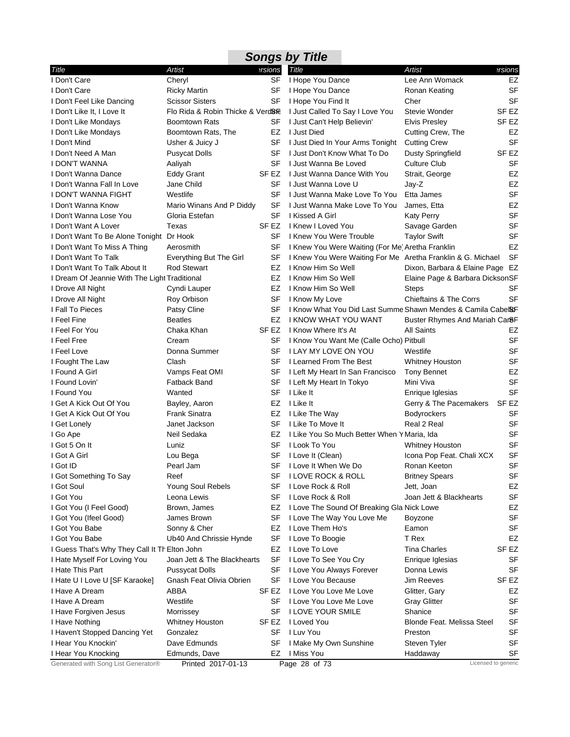## **Songs by Title**

| Title                                         | Artist                            | ersions          | Title                                                        | Artist                            | ersions   |
|-----------------------------------------------|-----------------------------------|------------------|--------------------------------------------------------------|-----------------------------------|-----------|
| I Don't Care                                  | Cheryl                            | SF               | I Hope You Dance                                             | Lee Ann Womack                    | EZ        |
| I Don't Care                                  | Ricky Martin                      | SF               | I Hope You Dance                                             | Ronan Keating                     | <b>SF</b> |
| I Don't Feel Like Dancing                     | <b>Scissor Sisters</b>            | SF               | I Hope You Find It                                           | Cher                              | <b>SF</b> |
| I Don't Like It, I Love It                    | Flo Rida & Robin Thicke & VerdBre |                  | I Just Called To Say I Love You                              | Stevie Wonder                     | SF EZ     |
| I Don't Like Mondays                          | Boomtown Rats                     | SF               | I Just Can't Help Believin'                                  | <b>Elvis Presley</b>              | SF EZ     |
| I Don't Like Mondays                          | Boomtown Rats, The                | EZ               | I Just Died                                                  | Cutting Crew, The                 | EZ        |
| I Don't Mind                                  | Usher & Juicy J                   | SF               | I Just Died In Your Arms Tonight                             | <b>Cutting Crew</b>               | <b>SF</b> |
| I Don't Need A Man                            | Pusycat Dolls                     | SF               | I Just Don't Know What To Do                                 | <b>Dusty Springfield</b>          | SF EZ     |
| <b>I DON'T WANNA</b>                          | Aaliyah                           | SF               | I Just Wanna Be Loved                                        | <b>Culture Club</b>               | SF        |
| I Don't Wanna Dance                           | <b>Eddy Grant</b>                 | SF EZ            | I Just Wanna Dance With You                                  | Strait, George                    | EZ        |
| I Don't Wanna Fall In Love                    | Jane Child                        | SF               | I Just Wanna Love U                                          | Jay-Z                             | <b>EZ</b> |
| I DON'T WANNA FIGHT                           | Westlife                          | SF               | I Just Wanna Make Love To You                                | Etta James                        | <b>SF</b> |
| I Don't Wanna Know                            | Mario Winans And P Diddy          | SF               | I Just Wanna Make Love To You                                | James, Etta                       | <b>EZ</b> |
| I Don't Wanna Lose You                        | Gloria Estefan                    | SF               | I Kissed A Girl                                              | <b>Katy Perry</b>                 | <b>SF</b> |
| I Don't Want A Lover                          | Texas                             | SF <sub>EZ</sub> | I Knew I Loved You                                           | Savage Garden                     | <b>SF</b> |
| I Don't Want To Be Alone Tonight Dr Hook      |                                   | SF               | I Knew You Were Trouble                                      | Taylor Swift                      | <b>SF</b> |
| I Don't Want To Miss A Thing                  | Aerosmith                         | SF               | I Knew You Were Waiting (For Me) Aretha Franklin             |                                   | EZ        |
| I Don't Want To Talk                          | Everything But The Girl           | SF               | I Knew You Were Waiting For Me Aretha Franklin & G. Michael  |                                   | <b>SF</b> |
| I Don't Want To Talk About It                 | <b>Rod Stewart</b>                | EZ               | I Know Him So Well                                           | Dixon, Barbara & Elaine Page EZ   |           |
| I Dream Of Jeannie With The Light Traditional |                                   | EZ               | I Know Him So Well                                           | Elaine Page & Barbara DicksonSF   |           |
| I Drove All Night                             | Cyndi Lauper                      | EZ               | I Know Him So Well                                           | <b>Steps</b>                      | SF        |
| I Drove All Night                             | Roy Orbison                       | SF               | I Know My Love                                               | <b>Chieftains &amp; The Corrs</b> | <b>SF</b> |
| I Fall To Pieces                              | Patsy Cline                       | SF               | I Know What You Did Last Summe Shawn Mendes & Camila Cabel&F |                                   |           |
| I Feel Fine                                   | <b>Beatles</b>                    | EZ               | <b>I KNOW WHAT YOU WANT</b>                                  | Buster Rhymes And Mariah Car8F    |           |
| I Feel For You                                | Chaka Khan                        | SF EZ            | I Know Where It's At                                         | All Saints                        | EZ        |
| I Feel Free                                   | Cream                             | SF               | I Know You Want Me (Calle Ocho) Pitbull                      |                                   | <b>SF</b> |
| I Feel Love                                   | Donna Summer                      | SF               | I LAY MY LOVE ON YOU                                         | Westlife                          | <b>SF</b> |
| I Fought The Law                              | Clash                             | SF               | I Learned From The Best                                      | <b>Whitney Houston</b>            | <b>SF</b> |
| I Found A Girl                                | Vamps Feat OMI                    | SF               | I Left My Heart In San Francisco                             | Tony Bennet                       | EZ        |
| I Found Lovin'                                | <b>Fatback Band</b>               | SF               | I Left My Heart In Tokyo                                     | Mini Viva                         | <b>SF</b> |
| I Found You                                   | Wanted                            | SF               | I Like It                                                    | Enrique Iglesias                  | <b>SF</b> |
| I Get A Kick Out Of You                       | Bayley, Aaron                     | EZ               | I Like It                                                    | Gerry & The Pacemakers            | SF EZ     |
| I Get A Kick Out Of You                       | Frank Sinatra                     | EZ               | I Like The Way                                               | <b>Bodyrockers</b>                | <b>SF</b> |
| I Get Lonely                                  | Janet Jackson                     | SF               | I Like To Move It                                            | Real 2 Real                       | <b>SF</b> |
| I Go Ape                                      | Neil Sedaka                       | EZ               | I Like You So Much Better When Y Maria, Ida                  |                                   | <b>SF</b> |
| I Got 5 On It                                 | Luniz                             | SF               | I Look To You                                                | Whitney Houston                   | <b>SF</b> |
| I Got A Girl                                  | Lou Bega                          | SF               | I Love It (Clean)                                            | Icona Pop Feat. Chali XCX         | <b>SF</b> |
| I Got ID                                      | Pearl Jam                         | SF               | I Love It When We Do                                         | Ronan Keeton                      | <b>SF</b> |
| I Got Something To Say                        | Reef                              | SF               | <b>I LOVE ROCK &amp; ROLL</b>                                | <b>Britney Spears</b>             | SF        |
| I Got Soul                                    | Young Soul Rebels                 | SF               | I Love Rock & Roll                                           | Jett, Joan                        | EZ        |
| I Got You                                     | Leona Lewis                       | SF               | I Love Rock & Roll                                           | Joan Jett & Blackhearts           | <b>SF</b> |
| I Got You (I Feel Good)                       | Brown, James                      | EZ               | I Love The Sound Of Breaking Gla Nick Lowe                   |                                   | EZ        |
| I Got You (Ifeel Good)                        | James Brown                       | SF               | I Love The Way You Love Me                                   | Boyzone                           | <b>SF</b> |
| I Got You Babe                                | Sonny & Cher                      | EZ               | I Love Them Ho's                                             | Eamon                             | <b>SF</b> |
| I Got You Babe                                | Ub40 And Chrissie Hynde           | SF               | I Love To Boogie                                             | T Rex                             | EZ        |
| I Guess That's Why They Call It Th Elton John |                                   | EZ               | I Love To Love                                               | Tina Charles                      | SF EZ     |
| I Hate Myself For Loving You                  | Joan Jett & The Blackhearts       | SF               | I Love To See You Cry                                        | Enrique Iglesias                  | SF        |
| I Hate This Part                              | <b>Pussycat Dolls</b>             | SF               | I Love You Always Forever                                    | Donna Lewis                       | <b>SF</b> |
| I Hate U I Love U [SF Karaoke]                | Gnash Feat Olivia Obrien          | SF               | I Love You Because                                           | <b>Jim Reeves</b>                 | SF EZ     |
| I Have A Dream                                | ABBA                              | SF EZ            | I Love You Love Me Love                                      | Glitter, Gary                     | EZ        |
| I Have A Dream                                | Westlife                          | SF               | I Love You Love Me Love                                      | <b>Gray Glitter</b>               | SF        |
| I Have Forgiven Jesus                         | Morrissey                         | SF               | I LOVE YOUR SMILE                                            | Shanice                           | <b>SF</b> |
| I Have Nothing                                | Whitney Houston                   | SF EZ            | I Loved You                                                  | Blonde Feat. Melissa Steel        | <b>SF</b> |
| I Haven't Stopped Dancing Yet                 | Gonzalez                          | SF               | I Luv You                                                    | Preston                           | <b>SF</b> |
| I Hear You Knockin'                           | Dave Edmunds                      | SF               | I Make My Own Sunshine                                       | Steven Tyler                      | <b>SF</b> |
| I Hear You Knocking                           | Edmunds, Dave                     | EZ               | I Miss You                                                   | Haddaway                          | SF        |
| Generated with Song List Generator®           | Printed 2017-01-13                |                  | Page 28 of 73                                                | Licensed to generic               |           |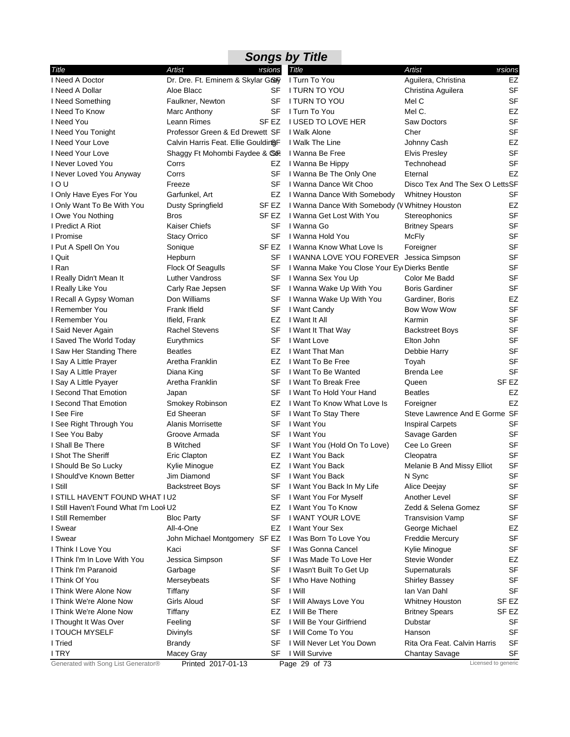| <b>Songs by Title</b>                  |                                     |           |                                                |                                 |           |  |  |
|----------------------------------------|-------------------------------------|-----------|------------------------------------------------|---------------------------------|-----------|--|--|
| Title                                  | Artist                              | ersions   | Title                                          | <b>Artist</b>                   | ersions   |  |  |
| I Need A Doctor                        | Dr. Dre. Ft. Eminem & Skylar Grey   |           | I Turn To You                                  | Aguilera, Christina             | EZ        |  |  |
| I Need A Dollar                        | Aloe Blacc                          | SF        | I TURN TO YOU                                  | Christina Aguilera              | <b>SF</b> |  |  |
| I Need Something                       | Faulkner, Newton                    | SF        | I TURN TO YOU                                  | Mel C                           | <b>SF</b> |  |  |
| I Need To Know                         | Marc Anthony                        | SF        | I Turn To You                                  | Mel C.                          | EZ        |  |  |
| I Need You                             | Leann Rimes                         | SF EZ     | <b>I USED TO LOVE HER</b>                      | Saw Doctors                     | <b>SF</b> |  |  |
| I Need You Tonight                     | Professor Green & Ed Drewett SF     |           | I Walk Alone                                   | Cher                            | <b>SF</b> |  |  |
| I Need Your Love                       | Calvin Harris Feat. Ellie GouldingF |           | I Walk The Line                                | Johnny Cash                     | <b>EZ</b> |  |  |
| I Need Your Love                       | Shaggy Ft Mohombi Faydee & CoR      |           | I Wanna Be Free                                | <b>Elvis Presley</b>            | <b>SF</b> |  |  |
| I Never Loved You                      | Corrs                               | EZ        | I Wanna Be Hippy                               | Technohead                      | <b>SF</b> |  |  |
| I Never Loved You Anyway               | Corrs                               | SF        | I Wanna Be The Only One                        | Eternal                         | <b>EZ</b> |  |  |
| 10U                                    | Freeze                              | SF        | I Wanna Dance Wit Choo                         | Disco Tex And The Sex O LettsSF |           |  |  |
| I Only Have Eyes For You               | Garfunkel, Art                      | EZ        | I Wanna Dance With Somebody                    | <b>Whitney Houston</b>          | SF        |  |  |
| I Only Want To Be With You             | <b>Dusty Springfield</b>            | SF EZ     | I Wanna Dance With Somebody (V Whitney Houston |                                 | EZ        |  |  |
| I Owe You Nothing                      | <b>Bros</b>                         | SF EZ     | I Wanna Get Lost With You                      | Stereophonics                   | <b>SF</b> |  |  |
| I Predict A Riot                       | <b>Kaiser Chiefs</b>                | SF        | I Wanna Go                                     | <b>Britney Spears</b>           | <b>SF</b> |  |  |
| I Promise                              | <b>Stacy Orrico</b>                 | SF        | I Wanna Hold You                               | McFly                           | <b>SF</b> |  |  |
| I Put A Spell On You                   | Sonique                             | SF EZ     | I Wanna Know What Love Is                      | Foreigner                       | <b>SF</b> |  |  |
| I Quit                                 | Hepburn                             | SF        | I WANNA LOVE YOU FOREVER                       | Jessica Simpson                 | <b>SF</b> |  |  |
| I Ran                                  | <b>Flock Of Seagulls</b>            | SF        | I Wanna Make You Close Your Ey Dierks Bentle   |                                 | SF        |  |  |
| I Really Didn't Mean It                | Luther Vandross                     | SF        | I Wanna Sex You Up                             | Color Me Badd                   | SF        |  |  |
| I Really Like You                      | Carly Rae Jepsen                    | SF        | I Wanna Wake Up With You                       | <b>Boris Gardiner</b>           | <b>SF</b> |  |  |
| I Recall A Gypsy Woman                 | Don Williams                        | SF        | I Wanna Wake Up With You                       | Gardiner, Boris                 | <b>EZ</b> |  |  |
| I Remember You                         | Frank Ifield                        | SF        | I Want Candy                                   | Bow Wow Wow                     | <b>SF</b> |  |  |
| I Remember You                         | Ifield, Frank                       | EZ        | I Want It All                                  | Karmin                          | <b>SF</b> |  |  |
| I Said Never Again                     | <b>Rachel Stevens</b>               | SF        | I Want It That Way                             | <b>Backstreet Boys</b>          | <b>SF</b> |  |  |
| I Saved The World Today                | Eurythmics                          | SF        | I Want Love                                    | Elton John                      | SF        |  |  |
| I Saw Her Standing There               | <b>Beatles</b>                      | EZ        | I Want That Man                                | Debbie Harry                    | SF        |  |  |
| I Say A Little Prayer                  | Aretha Franklin                     | EZ        | I Want To Be Free                              | Toyah                           | <b>SF</b> |  |  |
| I Say A Little Prayer                  | Diana King                          | <b>SF</b> | I Want To Be Wanted                            | Brenda Lee                      | <b>SF</b> |  |  |
| I Say A Little Pyayer                  | Aretha Franklin                     | SF        | I Want To Break Free                           | Queen                           | SF EZ     |  |  |
| I Second That Emotion                  | Japan                               | SF        | I Want To Hold Your Hand                       | <b>Beatles</b>                  | EZ        |  |  |
| I Second That Emotion                  | Smokey Robinson                     | EZ        | I Want To Know What Love Is                    | Foreigner                       | <b>EZ</b> |  |  |
| I See Fire                             | Ed Sheeran                          | SF        | I Want To Stay There                           | Steve Lawrence And E Gorme SF   |           |  |  |
| I See Right Through You                | Alanis Morrisette                   | SF        | I Want You                                     | <b>Inspiral Carpets</b>         | SF        |  |  |
| I See You Baby                         | Groove Armada                       | SF        | I Want You                                     | Savage Garden                   | SF        |  |  |
| I Shall Be There                       | <b>B</b> Witched                    | SF        | I Want You (Hold On To Love)                   | Cee Lo Green                    | SF        |  |  |
| I Shot The Sheriff                     | Eric Clapton                        | EZ        | I Want You Back                                | Cleopatra                       | <b>SF</b> |  |  |
| I Should Be So Lucky                   | Kylie Minogue                       |           | EZ I Want You Back                             | Melanie B And Missy Elliot      | SF        |  |  |
| I Should've Known Better               | Jim Diamond                         | SF        | I Want You Back                                | N Sync                          | SF        |  |  |
| I Still                                | <b>Backstreet Boys</b>              | SF        | I Want You Back In My Life                     | Alice Deejay                    | <b>SF</b> |  |  |
| I STILL HAVEN'T FOUND WHAT I U2        |                                     | SF        | I Want You For Myself                          | Another Level                   | SF        |  |  |
| I Still Haven't Found What I'm Lool U2 |                                     | EZ        | I Want You To Know                             | Zedd & Selena Gomez             | SF        |  |  |
| I Still Remember                       | <b>Bloc Party</b>                   | SF        | I WANT YOUR LOVE                               | Transvision Vamp                | SF        |  |  |
| I Swear                                | All-4-One                           | EZ        | I Want Your Sex                                | George Michael                  | EZ        |  |  |
| I Swear                                | John Michael Montgomery SF EZ       |           | I Was Born To Love You                         | <b>Freddie Mercury</b>          | <b>SF</b> |  |  |
| I Think I Love You                     | Kaci                                | SF        | I Was Gonna Cancel                             | Kylie Minogue                   | SF        |  |  |
| I Think I'm In Love With You           | Jessica Simpson                     | SF        | I Was Made To Love Her                         | Stevie Wonder                   | EZ        |  |  |
| I Think I'm Paranoid                   | Garbage                             | SF        | I Wasn't Built To Get Up                       | Supernaturals                   | <b>SF</b> |  |  |
| I Think Of You                         | Merseybeats                         | SF        | I Who Have Nothing                             | <b>Shirley Bassey</b>           | SF        |  |  |
| I Think Were Alone Now                 | Tiffany                             | SF        | I Will                                         | lan Van Dahl                    | SF        |  |  |
| I Think We're Alone Now                | Girls Aloud                         | SF        | I Will Always Love You                         | <b>Whitney Houston</b>          | SF EZ     |  |  |
| I Think We're Alone Now                | Tiffany                             | EZ        | I Will Be There                                | <b>Britney Spears</b>           | SF EZ     |  |  |
| I Thought It Was Over                  | Feeling                             | SF        | I Will Be Your Girlfriend                      | Dubstar                         | SF        |  |  |
| I TOUCH MYSELF                         | Divinyls                            | SF        | I Will Come To You                             | Hanson                          | SF        |  |  |
| I Tried                                | Brandy                              | SF        | I Will Never Let You Down                      | Rita Ora Feat. Calvin Harris    | <b>SF</b> |  |  |
| I TRY                                  | Macey Gray                          | SF        | I Will Survive                                 | <b>Chantay Savage</b>           | SF        |  |  |
| Generated with Song List Generator®    | Printed 2017-01-13                  |           | Page 29 of 73                                  | Licensed to generic             |           |  |  |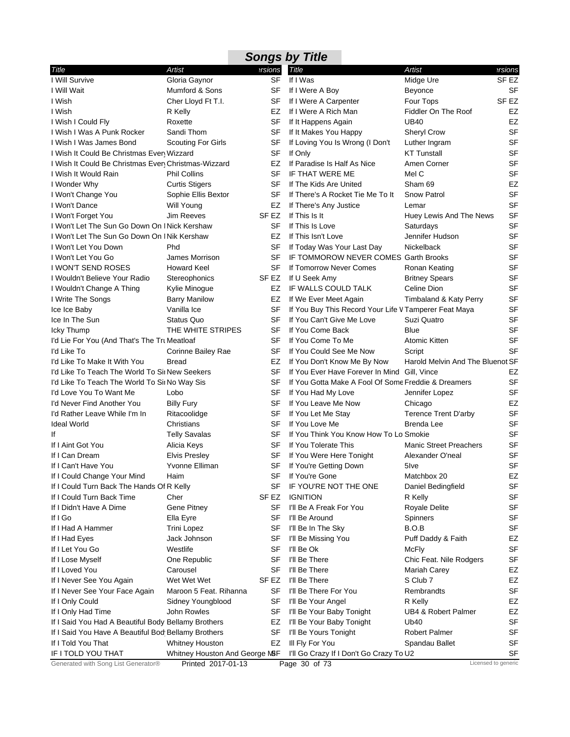|                                                      |                                |                  | <b>Songs by Title</b>                                 |                                  |                  |
|------------------------------------------------------|--------------------------------|------------------|-------------------------------------------------------|----------------------------------|------------------|
| Title                                                | <b>Artist</b>                  | ersions          | <b>Title</b>                                          | Artist                           | ersions?         |
| I Will Survive                                       | Gloria Gaynor                  | SF               | If I Was                                              | Midge Ure                        | SF EZ            |
| I Will Wait                                          | Mumford & Sons                 | SF               | If I Were A Boy                                       | Beyonce                          | <b>SF</b>        |
| I Wish                                               | Cher Lloyd Ft T.I.             | SF               | If I Were A Carpenter                                 | Four Tops                        | SF <sub>EZ</sub> |
| I Wish                                               | R Kelly                        | EZ               | If I Were A Rich Man                                  | Fiddler On The Roof              | EZ               |
| I Wish I Could Fly                                   | Roxette                        | SF               | If It Happens Again                                   | UB40                             | EZ               |
| I Wish I Was A Punk Rocker                           | Sandi Thom                     | SF               | If It Makes You Happy                                 | <b>Sheryl Crow</b>               | <b>SF</b>        |
| I Wish I Was James Bond                              | <b>Scouting For Girls</b>      | <b>SF</b>        | If Loving You Is Wrong (I Don't                       | Luther Ingram                    | <b>SF</b>        |
| I Wish It Could Be Christmas Even Wizzard            |                                | SF               | If Only                                               | <b>KT Tunstall</b>               | <b>SF</b>        |
| I Wish It Could Be Christmas Every Christmas-Wizzard |                                | EZ               | If Paradise Is Half As Nice                           | Amen Corner                      | <b>SF</b>        |
| I Wish It Would Rain                                 | <b>Phil Collins</b>            | <b>SF</b>        | IF THAT WERE ME                                       | Mel C                            | <b>SF</b>        |
| I Wonder Why                                         | <b>Curtis Stigers</b>          | SF               | If The Kids Are United                                | Sham 69                          | EZ               |
| I Won't Change You                                   | Sophie Ellis Bextor            | SF               | If There's A Rocket Tie Me To It                      | <b>Snow Patrol</b>               | <b>SF</b>        |
| I Won't Dance                                        | Will Young                     | EZ               | If There's Any Justice                                | Lemar                            | <b>SF</b>        |
| I Won't Forget You                                   | <b>Jim Reeves</b>              | SF EZ            | If This Is It                                         | Huey Lewis And The News          | SF               |
| I Won't Let The Sun Go Down On I Nick Kershaw        |                                | SF               | If This Is Love                                       | Saturdays                        | <b>SF</b>        |
| I Won't Let The Sun Go Down On I Nik Kershaw         |                                | EZ               | If This Isn't Love                                    | Jennifer Hudson                  | <b>SF</b>        |
| I Won't Let You Down                                 | Phd                            | SF               | If Today Was Your Last Day                            | Nickelback                       | <b>SF</b>        |
| I Won't Let You Go                                   | James Morrison                 | <b>SF</b>        | IF TOMMOROW NEVER COMES Garth Brooks                  |                                  | <b>SF</b>        |
| I WON'T SEND ROSES                                   | <b>Howard Keel</b>             | SF               | If Tomorrow Never Comes                               | Ronan Keating                    | <b>SF</b>        |
| I Wouldn't Believe Your Radio                        | Stereophonics                  | SF EZ            | If U Seek Amy                                         | <b>Britney Spears</b>            | <b>SF</b>        |
| I Wouldn't Change A Thing                            | Kylie Minogue                  | EZ               | IF WALLS COULD TALK                                   | Celine Dion                      | <b>SF</b>        |
| I Write The Songs                                    | <b>Barry Manilow</b>           | EZ               | If We Ever Meet Again                                 | Timbaland & Katy Perry           | <b>SF</b>        |
| Ice Ice Baby                                         | Vanilla Ice                    | SF               | If You Buy This Record Your Life V Tamperer Feat Maya |                                  | <b>SF</b>        |
| Ice In The Sun                                       | <b>Status Quo</b>              | SF               | If You Can't Give Me Love                             | Suzi Quatro                      | <b>SF</b>        |
| Icky Thump                                           | THE WHITE STRIPES              | SF               | If You Come Back                                      | <b>Blue</b>                      | <b>SF</b>        |
| I'd Lie For You (And That's The Tru Meatloaf         |                                | SF               | If You Come To Me                                     | Atomic Kitten                    | <b>SF</b>        |
| I'd Like To                                          | Corinne Bailey Rae             | SF               | If You Could See Me Now                               | Script                           | <b>SF</b>        |
| I'd Like To Make It With You                         | <b>Bread</b>                   | EZ               | If You Don't Know Me By Now                           | Harold Melvin And The Bluenot SF |                  |
| I'd Like To Teach The World To Sin New Seekers       |                                | SF               | If You Ever Have Forever In Mind Gill, Vince          |                                  | EZ               |
| I'd Like To Teach The World To Sii No Way Sis        |                                | SF               | If You Gotta Make A Fool Of Some Freddie & Dreamers   |                                  | <b>SF</b>        |
| I'd Love You To Want Me                              | Lobo                           | SF               | If You Had My Love                                    | Jennifer Lopez                   | <b>SF</b>        |
| I'd Never Find Another You                           | <b>Billy Fury</b>              | SF               | If You Leave Me Now                                   | Chicago                          | EZ               |
| I'd Rather Leave While I'm In                        | Ritacoolidge                   | <b>SF</b>        | If You Let Me Stay                                    | <b>Terence Trent D'arby</b>      | <b>SF</b>        |
| <b>Ideal World</b>                                   | Christians                     | SF               | If You Love Me                                        | <b>Brenda Lee</b>                | <b>SF</b>        |
| Ιf                                                   | <b>Telly Savalas</b>           | SF               | If You Think You Know How To Lo Smokie                |                                  | <b>SF</b>        |
| If I Aint Got You                                    | Alicia Keys                    | SF               | If You Tolerate This                                  | <b>Manic Street Preachers</b>    | <b>SF</b>        |
| If I Can Dream                                       | <b>Elvis Presley</b>           | SF               | If You Were Here Tonight                              | Alexander O'neal                 | <b>SF</b>        |
| If I Can't Have You                                  | Yvonne Elliman                 | SF               | If You're Getting Down                                | 5Ive                             | <b>SF</b>        |
| If I Could Change Your Mind                          | Haim                           | SF               | If You're Gone                                        | Matchbox 20                      | EZ               |
| If I Could Turn Back The Hands Of R Kelly            |                                | SF               | IF YOU'RE NOT THE ONE                                 | Daniel Bedingfield               | <b>SF</b>        |
| If I Could Turn Back Time                            | Cher                           | SF <sub>EZ</sub> | <b>IGNITION</b>                                       | R Kelly                          | <b>SF</b>        |
| If I Didn't Have A Dime                              | Gene Pitney                    | SF               | I'll Be A Freak For You                               | <b>Royale Delite</b>             | SF               |
| If I Go                                              | Ella Eyre                      | SF               | I'll Be Around                                        | Spinners                         | <b>SF</b>        |
| If I Had A Hammer                                    | Trini Lopez                    | SF               | I'll Be In The Sky                                    | B.O.B                            | <b>SF</b>        |
| If I Had Eyes                                        | Jack Johnson                   | SF               | I'll Be Missing You                                   | Puff Daddy & Faith               | EZ               |
| If I Let You Go                                      | Westlife                       | SF               | I'll Be Ok                                            | McFly                            | <b>SF</b>        |
| If I Lose Myself                                     | One Republic                   | SF               | I'll Be There                                         | Chic Feat. Nile Rodgers          | SF               |
| If I Loved You                                       | Carousel                       | SF               | I'll Be There                                         | Mariah Carey                     | EZ               |
| If I Never See You Again                             | Wet Wet Wet                    | SF EZ            | I'll Be There                                         | S Club 7                         | EZ               |
| If I Never See Your Face Again                       | Maroon 5 Feat. Rihanna         | SF               | I'll Be There For You                                 | Rembrandts                       | <b>SF</b>        |
| If I Only Could                                      | Sidney Youngblood              | SF               | I'll Be Your Angel                                    | R Kelly                          | EZ               |
| If I Only Had Time                                   | John Rowles                    | SF               | I'll Be Your Baby Tonight                             | UB4 & Robert Palmer              | EZ               |
| If I Said You Had A Beautiful Body Bellamy Brothers  |                                | EZ               | I'll Be Your Baby Tonight                             | Ub40                             | <b>SF</b>        |
| If I Said You Have A Beautiful Bod Bellamy Brothers  |                                | SF               | I'll Be Yours Tonight                                 | <b>Robert Palmer</b>             | <b>SF</b>        |
| If I Told You That                                   | Whitney Houston                | EZ               | III Fly For You                                       | Spandau Ballet                   | SF               |
| IF I TOLD YOU THAT                                   | Whitney Houston And George MSF |                  | I'll Go Crazy If I Don't Go Crazy To U2               |                                  | SF               |
| Generated with Song List Generator®                  | Printed 2017-01-13             |                  | Page 30 of 73                                         | Licensed to generic              |                  |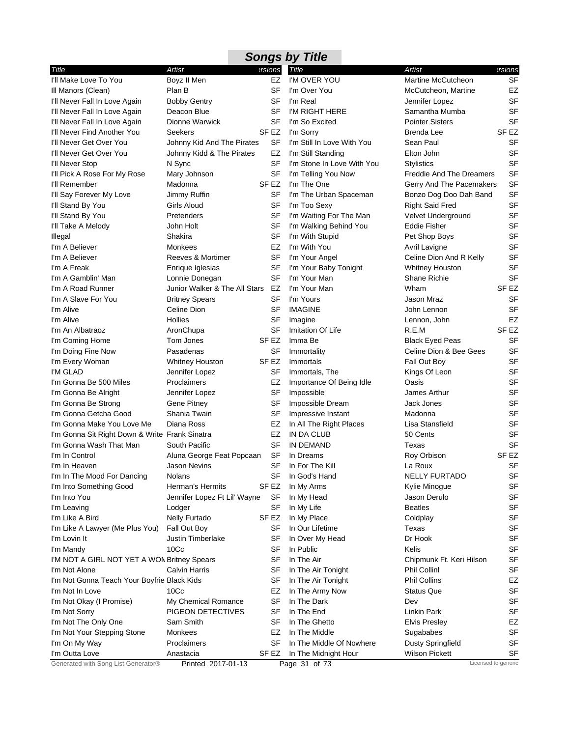| <b>Songs by Title</b>                          |                               |           |                            |                                 |                     |  |  |
|------------------------------------------------|-------------------------------|-----------|----------------------------|---------------------------------|---------------------|--|--|
| Title                                          | Artist                        | ersions   | <b>Title</b>               | Artist                          | ersions             |  |  |
| I'll Make Love To You                          | Boyz II Men                   | EZ        | I'M OVER YOU               | Martine McCutcheon              | <b>SF</b>           |  |  |
| III Manors (Clean)                             | Plan B                        | SF        | I'm Over You               | McCutcheon, Martine             | EZ                  |  |  |
| I'll Never Fall In Love Again                  | <b>Bobby Gentry</b>           | SF        | I'm Real                   | Jennifer Lopez                  | <b>SF</b>           |  |  |
| I'll Never Fall In Love Again                  | Deacon Blue                   | SF        | I'M RIGHT HERE             | Samantha Mumba                  | <b>SF</b>           |  |  |
| I'll Never Fall In Love Again                  | Dionne Warwick                | SF        | I'm So Excited             | <b>Pointer Sisters</b>          | <b>SF</b>           |  |  |
| I'll Never Find Another You                    | Seekers                       | SF EZ     | I'm Sorry                  | Brenda Lee                      | SF EZ               |  |  |
| I'll Never Get Over You                        | Johnny Kid And The Pirates    | SF        | I'm Still In Love With You | Sean Paul                       | <b>SF</b>           |  |  |
| I'll Never Get Over You                        | Johnny Kidd & The Pirates     | EZ        | I'm Still Standing         | Elton John                      | <b>SF</b>           |  |  |
| I'll Never Stop                                | N Sync                        | SF        | I'm Stone In Love With You | <b>Stylistics</b>               | <b>SF</b>           |  |  |
| I'll Pick A Rose For My Rose                   | Mary Johnson                  | <b>SF</b> | I'm Telling You Now        | <b>Freddie And The Dreamers</b> | <b>SF</b>           |  |  |
| I'll Remember                                  | Madonna                       | SF EZ     | I'm The One                | Gerry And The Pacemakers        | <b>SF</b>           |  |  |
| I'll Say Forever My Love                       | Jimmy Ruffin                  | SF        | I'm The Urban Spaceman     | Bonzo Dog Doo Dah Band          | <b>SF</b>           |  |  |
| I'll Stand By You                              | Girls Aloud                   | SF        | I'm Too Sexy               | <b>Right Said Fred</b>          | <b>SF</b>           |  |  |
| I'll Stand By You                              | Pretenders                    | <b>SF</b> | I'm Waiting For The Man    | Velvet Underground              | <b>SF</b>           |  |  |
| I'll Take A Melody                             | John Holt                     | SF        | I'm Walking Behind You     | Eddie Fisher                    | <b>SF</b>           |  |  |
| Illegal                                        | Shakira                       | SF        | I'm With Stupid            | Pet Shop Boys                   | <b>SF</b>           |  |  |
| I'm A Believer                                 | Monkees                       | EZ        | I'm With You               | Avril Lavigne                   | <b>SF</b>           |  |  |
| I'm A Believer                                 | Reeves & Mortimer             | SF        | I'm Your Angel             | Celine Dion And R Kelly         | <b>SF</b>           |  |  |
| I'm A Freak                                    | Enrique Iglesias              | SF        | I'm Your Baby Tonight      | <b>Whitney Houston</b>          | <b>SF</b>           |  |  |
| I'm A Gamblin' Man                             | Lonnie Donegan                | SF        | I'm Your Man               | <b>Shane Richie</b>             | <b>SF</b>           |  |  |
| I'm A Road Runner                              | Junior Walker & The All Stars | EZ        | I'm Your Man               | Wham                            | SF <sub>EZ</sub>    |  |  |
| I'm A Slave For You                            | <b>Britney Spears</b>         | SF        | I'm Yours                  | Jason Mraz                      | <b>SF</b>           |  |  |
| I'm Alive                                      | Celine Dion                   | SF        | <b>IMAGINE</b>             | John Lennon                     | <b>SF</b>           |  |  |
| I'm Alive                                      | <b>Hollies</b>                | SF        | Imagine                    | Lennon, John                    | EZ                  |  |  |
| I'm An Albatraoz                               | AronChupa                     | <b>SF</b> | Imitation Of Life          | R.E.M                           | SF <sub>EZ</sub>    |  |  |
| I'm Coming Home                                | Tom Jones                     | SF EZ     | Imma Be                    | <b>Black Eyed Peas</b>          | <b>SF</b>           |  |  |
| I'm Doing Fine Now                             | Pasadenas                     | SF        | Immortality                | Celine Dion & Bee Gees          | <b>SF</b>           |  |  |
| I'm Every Woman                                | Whitney Houston               | SF EZ     | Immortals                  | Fall Out Boy                    | <b>SF</b>           |  |  |
| I'M GLAD                                       | Jennifer Lopez                | SF        | Immortals, The             | Kings Of Leon                   | <b>SF</b>           |  |  |
| I'm Gonna Be 500 Miles                         | Proclaimers                   | EZ        | Importance Of Being Idle   | Oasis                           | <b>SF</b>           |  |  |
| I'm Gonna Be Alright                           | Jennifer Lopez                | SF        | Impossible                 | James Arthur                    | <b>SF</b>           |  |  |
| I'm Gonna Be Strong                            | Gene Pitney                   | SF        | Impossible Dream           | Jack Jones                      | <b>SF</b>           |  |  |
| I'm Gonna Getcha Good                          | Shania Twain                  | SF        | Impressive Instant         | Madonna                         | <b>SF</b>           |  |  |
| I'm Gonna Make You Love Me                     | Diana Ross                    | EZ        | In All The Right Places    | Lisa Stansfield                 | <b>SF</b>           |  |  |
| I'm Gonna Sit Right Down & Write Frank Sinatra |                               | EZ        | IN DA CLUB                 | 50 Cents                        | <b>SF</b>           |  |  |
| I'm Gonna Wash That Man                        | South Pacific                 | SF        | <b>IN DEMAND</b>           | Texas                           | SF                  |  |  |
| I'm In Control                                 | Aluna George Feat Popcaan     | <b>SF</b> | In Dreams                  | Roy Orbison                     | SF <sub>EZ</sub>    |  |  |
| I'm In Heaven                                  | Jason Nevins                  | SF        | In For The Kill            | La Roux                         | SF                  |  |  |
| I'm In The Mood For Dancing                    | <b>Nolans</b>                 | SF        | In God's Hand              | <b>NELLY FURTADO</b>            | <b>SF</b>           |  |  |
| I'm Into Something Good                        | Herman's Hermits              | SF EZ     | In My Arms                 | Kylie Minogue                   | <b>SF</b>           |  |  |
| I'm Into You                                   | Jennifer Lopez Ft Lil' Wayne  | SF        | In My Head                 | Jason Derulo                    | <b>SF</b>           |  |  |
| I'm Leaving                                    | Lodger                        | SF        | In My Life                 | <b>Beatles</b>                  | <b>SF</b>           |  |  |
| I'm Like A Bird                                | Nelly Furtado                 | SF EZ     | In My Place                | Coldplay                        | SF                  |  |  |
| I'm Like A Lawyer (Me Plus You)                | Fall Out Boy                  | SF        | In Our Lifetime            | Texas                           | <b>SF</b>           |  |  |
| I'm Lovin It                                   | Justin Timberlake             | SF        | In Over My Head            | Dr Hook                         | <b>SF</b>           |  |  |
| I'm Mandy                                      | 10Cc                          | SF        | In Public                  | Kelis                           | <b>SF</b>           |  |  |
| I'M NOT A GIRL NOT YET A WOM Britney Spears    |                               | SF        | In The Air                 | Chipmunk Ft. Keri Hilson        | <b>SF</b>           |  |  |
| I'm Not Alone                                  | Calvin Harris                 | <b>SF</b> | In The Air Tonight         | <b>Phil Collinl</b>             | <b>SF</b>           |  |  |
| I'm Not Gonna Teach Your Boyfrie Black Kids    |                               | SF        | In The Air Tonight         | <b>Phil Collins</b>             | EZ                  |  |  |
| I'm Not In Love                                | 10 <sub>CC</sub>              | EZ        | In The Army Now            | <b>Status Que</b>               | SF                  |  |  |
| I'm Not Okay (I Promise)                       | My Chemical Romance           | SF        | In The Dark                | Dev                             | <b>SF</b>           |  |  |
| I'm Not Sorry                                  | PIGEON DETECTIVES             | SF        | In The End                 | Linkin Park                     | <b>SF</b>           |  |  |
| I'm Not The Only One                           | Sam Smith                     | SF        | In The Ghetto              | <b>Elvis Presley</b>            | EZ                  |  |  |
| I'm Not Your Stepping Stone                    | Monkees                       | EZ        | In The Middle              | Sugababes                       | <b>SF</b>           |  |  |
| I'm On My Way                                  | Proclaimers                   | <b>SF</b> | In The Middle Of Nowhere   | Dusty Springfield               | SF                  |  |  |
| I'm Outta Love                                 | Anastacia                     | SF EZ     | In The Midnight Hour       | <b>Wilson Pickett</b>           | SF                  |  |  |
| Generated with Song List Generator®            | Printed 2017-01-13            |           | Page 31 of 73              |                                 | Licensed to generic |  |  |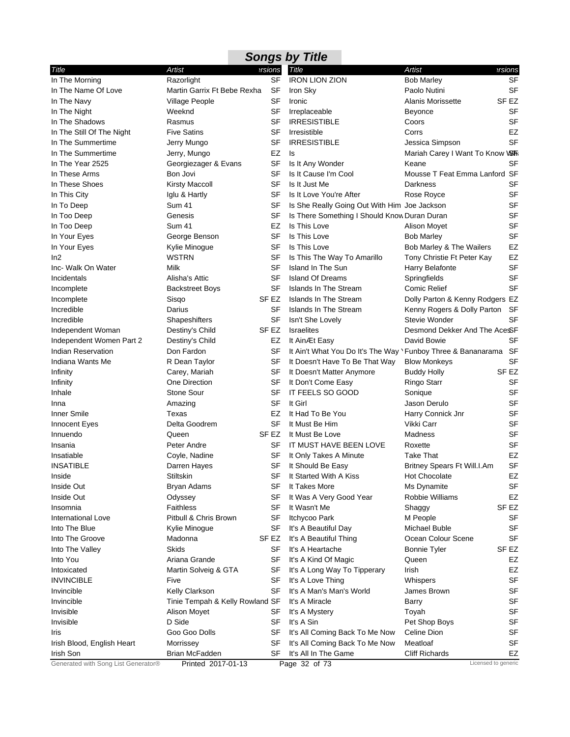| <b>Songs by Title</b>               |                                 |           |                                                              |                                 |           |  |
|-------------------------------------|---------------------------------|-----------|--------------------------------------------------------------|---------------------------------|-----------|--|
| Title                               | Artist                          | ersions   | <b>Title</b>                                                 | Artist                          | ersions   |  |
| In The Morning                      | Razorlight                      | <b>SF</b> | <b>IRON LION ZION</b>                                        | <b>Bob Marley</b>               | SF        |  |
| In The Name Of Love                 | Martin Garrix Ft Bebe Rexha     | <b>SF</b> | Iron Sky                                                     | Paolo Nutini                    | <b>SF</b> |  |
| In The Navy                         | <b>Village People</b>           | SF        | Ironic                                                       | <b>Alanis Morissette</b>        | SF EZ     |  |
| In The Night                        | Weeknd                          | SF        | Irreplaceable                                                | Beyonce                         | SF        |  |
| In The Shadows                      | Rasmus                          | SF        | <b>IRRESISTIBLE</b>                                          | Coors                           | <b>SF</b> |  |
| In The Still Of The Night           | <b>Five Satins</b>              | SF        | Irresistible                                                 | Corrs                           | <b>EZ</b> |  |
| In The Summertime                   | Jerry Mungo                     | <b>SF</b> | <b>IRRESISTIBLE</b>                                          | Jessica Simpson                 | <b>SF</b> |  |
| In The Summertime                   | Jerry, Mungo                    | EZ        | Is                                                           | Mariah Carey I Want To Know VSh |           |  |
| In The Year 2525                    | Georgiezager & Evans            | <b>SF</b> | Is It Any Wonder                                             | Keane                           | <b>SF</b> |  |
| In These Arms                       | Bon Jovi                        | SF        | Is It Cause I'm Cool                                         | Mousse T Feat Emma Lanford SF   |           |  |
| In These Shoes                      | <b>Kirsty Maccoll</b>           | SF        | Is It Just Me                                                | Darkness                        | <b>SF</b> |  |
| In This City                        | Iglu & Hartly                   | SF        | Is It Love You're After                                      | Rose Royce                      | SF        |  |
| In To Deep                          | Sum 41                          | SF        | Is She Really Going Out With Him Joe Jackson                 |                                 | <b>SF</b> |  |
| In Too Deep                         | Genesis                         | SF        | Is There Something I Should Know Duran Duran                 |                                 | <b>SF</b> |  |
| In Too Deep                         | Sum 41                          | EZ        | Is This Love                                                 | Alison Moyet                    | <b>SF</b> |  |
| In Your Eyes                        | George Benson                   | <b>SF</b> | Is This Love                                                 | <b>Bob Marley</b>               | <b>SF</b> |  |
| In Your Eyes                        | Kylie Minogue                   | SF        | Is This Love                                                 | Bob Marley & The Wailers        | EZ        |  |
| ln2                                 | <b>WSTRN</b>                    | SF        | Is This The Way To Amarillo                                  | Tony Christie Ft Peter Kay      | EZ        |  |
| Inc- Walk On Water                  | Milk                            | SF        | Island In The Sun                                            | Harry Belafonte                 | <b>SF</b> |  |
| Incidentals                         | Alisha's Attic                  | <b>SF</b> | <b>Island Of Dreams</b>                                      | Springfields                    | <b>SF</b> |  |
| Incomplete                          | <b>Backstreet Boys</b>          | <b>SF</b> | <b>Islands In The Stream</b>                                 | Comic Relief                    | SF        |  |
| Incomplete                          | Sisqo                           | SF EZ     | Islands In The Stream                                        | Dolly Parton & Kenny Rodgers EZ |           |  |
| Incredible                          | Darius                          | SF        | Islands In The Stream                                        | Kenny Rogers & Dolly Parton SF  |           |  |
| Incredible                          | Shapeshifters                   | <b>SF</b> | Isn't She Lovely                                             | Stevie Wonder                   | <b>SF</b> |  |
| Independent Woman                   | Destiny's Child                 | SF EZ     | <b>Israelites</b>                                            | Desmond Dekker And The AceSF    |           |  |
| Independent Women Part 2            | Destiny's Child                 | EZ        | It AinÆt Easy                                                | David Bowie                     | SF        |  |
| Indian Reservation                  | Don Fardon                      | SF        | It Ain't What You Do It's The Way \Funboy Three & Bananarama |                                 | <b>SF</b> |  |
| Indiana Wants Me                    | R Dean Taylor                   | SF        | It Doesn't Have To Be That Way                               | <b>Blow Monkeys</b>             | <b>SF</b> |  |
| Infinity                            | Carey, Mariah                   | SF        | It Doesn't Matter Anymore                                    | <b>Buddy Holly</b>              | SF EZ     |  |
| Infinity                            | One Direction                   | <b>SF</b> | It Don't Come Easy                                           | <b>Ringo Starr</b>              | <b>SF</b> |  |
| Inhale                              | Stone Sour                      | <b>SF</b> | IT FEELS SO GOOD                                             | Sonique                         | <b>SF</b> |  |
| Inna                                | Amazing                         | <b>SF</b> | It Girl                                                      | Jason Derulo                    | <b>SF</b> |  |
| Inner Smile                         | Texas                           | EZ        | It Had To Be You                                             | Harry Connick Jnr               | SF        |  |
| Innocent Eyes                       | Delta Goodrem                   | SF        | It Must Be Him                                               | Vikki Carr                      | SF        |  |
| Innuendo                            | Queen                           | SF EZ     | It Must Be Love                                              | Madness                         | <b>SF</b> |  |
| Insania                             | Peter Andre                     | SF        | IT MUST HAVE BEEN LOVE                                       | Roxette                         | SF        |  |
| Insatiable                          | Coyle, Nadine                   | SF        | It Only Takes A Minute                                       | <b>Take That</b>                | EZ        |  |
| <b>INSATIBLE</b>                    | Darren Hayes                    |           | SF It Should Be Easy                                         | Britney Spears Ft Will.I.Am     | <b>SF</b> |  |
| Inside                              | Stiltskin                       | SF        | It Started With A Kiss                                       | <b>Hot Chocolate</b>            | EZ        |  |
| Inside Out                          | Bryan Adams                     | SF        | It Takes More                                                | Ms Dynamite                     | SF        |  |
| Inside Out                          | Odyssey                         | <b>SF</b> | It Was A Very Good Year                                      | Robbie Williams                 | EZ        |  |
| Insomnia                            | <b>Faithless</b>                | SF        | It Wasn't Me                                                 | Shaggy                          | SF EZ     |  |
| International Love                  | Pitbull & Chris Brown           | SF        | Itchycoo Park                                                | M People                        | <b>SF</b> |  |
| Into The Blue                       | Kylie Minogue                   | SF        | It's A Beautiful Day                                         | Michael Buble                   | <b>SF</b> |  |
| Into The Groove                     | Madonna                         | SF EZ     | It's A Beautiful Thing                                       | Ocean Colour Scene              | <b>SF</b> |  |
| Into The Valley                     | Skids                           | SF        | It's A Heartache                                             | <b>Bonnie Tyler</b>             | SF EZ     |  |
| Into You                            | Ariana Grande                   | <b>SF</b> | It's A Kind Of Magic                                         | Queen                           | EZ        |  |
| Intoxicated                         | Martin Solveig & GTA            | SF        | It's A Long Way To Tipperary                                 | Irish                           | EZ        |  |
| <b>INVINCIBLE</b>                   | Five                            | <b>SF</b> | It's A Love Thing                                            | Whispers                        | <b>SF</b> |  |
| Invincible                          | Kelly Clarkson                  | SF        | It's A Man's Man's World                                     | James Brown                     | <b>SF</b> |  |
| Invincible                          | Tinie Tempah & Kelly Rowland SF |           | It's A Miracle                                               | Barry                           | <b>SF</b> |  |
| Invisible                           | Alison Moyet                    | SF        | It's A Mystery                                               | Toyah                           | <b>SF</b> |  |
| Invisible                           | D Side                          | SF        | It's A Sin                                                   | Pet Shop Boys                   | <b>SF</b> |  |
| Iris                                | Goo Goo Dolls                   | <b>SF</b> | It's All Coming Back To Me Now                               | Celine Dion                     | <b>SF</b> |  |
| Irish Blood, English Heart          | Morrissey                       | SF        | It's All Coming Back To Me Now                               | Meatloaf                        | SF        |  |
| Irish Son                           | Brian McFadden                  | SF        | It's All In The Game                                         | <b>Cliff Richards</b>           | EZ        |  |
| Generated with Song List Generator® | Printed 2017-01-13              |           | Page 32 of 73                                                | Licensed to generic             |           |  |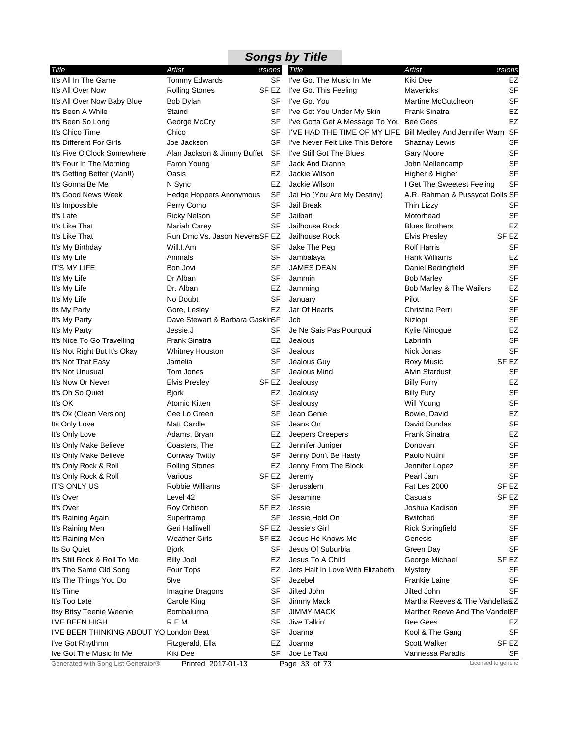|                                         |                                 |                  | <b>Songs by Title</b>                                         |                                 |                     |
|-----------------------------------------|---------------------------------|------------------|---------------------------------------------------------------|---------------------------------|---------------------|
| Title                                   | Artist                          | ersions          | Title                                                         | <b>Artist</b>                   | ersions             |
| It's All In The Game                    | Tommy Edwards                   | <b>SF</b>        | I've Got The Music In Me                                      | Kiki Dee                        | EZ                  |
| It's All Over Now                       | <b>Rolling Stones</b>           | SF EZ            | I've Got This Feeling                                         | <b>Mavericks</b>                | <b>SF</b>           |
| It's All Over Now Baby Blue             | Bob Dylan                       | SF               | I've Got You                                                  | Martine McCutcheon              | <b>SF</b>           |
| It's Been A While                       | Staind                          | SF               | I've Got You Under My Skin                                    | <b>Frank Sinatra</b>            | EZ                  |
| It's Been So Long                       | George McCry                    | SF               | I've Gotta Get A Message To You Bee Gees                      |                                 | EZ                  |
| It's Chico Time                         | Chico                           | SF               | I'VE HAD THE TIME OF MY LIFE Bill Medley And Jennifer Warn SF |                                 |                     |
| It's Different For Girls                | Joe Jackson                     | SF               | I've Never Felt Like This Before                              | Shaznay Lewis                   | <b>SF</b>           |
| It's Five O'Clock Somewhere             | Alan Jackson & Jimmy Buffet SF  |                  | I've Still Got The Blues                                      | Gary Moore                      | <b>SF</b>           |
| It's Four In The Morning                | Faron Young                     | SF               | Jack And Dianne                                               | John Mellencamp                 | <b>SF</b>           |
| It's Getting Better (Man!!)             | Oasis                           | EZ               | Jackie Wilson                                                 | Higher & Higher                 | <b>SF</b>           |
| It's Gonna Be Me                        | N Sync                          | EZ               | Jackie Wilson                                                 | I Get The Sweetest Feeling      | <b>SF</b>           |
| It's Good News Week                     | Hedge Hoppers Anonymous         | <b>SF</b>        | Jai Ho (You Are My Destiny)                                   | A.R. Rahman & Pussycat Dolls SF |                     |
| It's Impossible                         | Perry Como                      | SF               | Jail Break                                                    | Thin Lizzy                      | SF                  |
| It's Late                               | <b>Ricky Nelson</b>             | <b>SF</b>        | Jailbait                                                      | Motorhead                       | <b>SF</b>           |
| It's Like That                          | Mariah Carey                    | SF               | Jailhouse Rock                                                | <b>Blues Brothers</b>           | EZ                  |
| It's Like That                          | Run Dmc Vs. Jason NevensSF EZ   |                  | Jailhouse Rock                                                | <b>Elvis Presley</b>            | SF EZ               |
| It's My Birthday                        | Will.I.Am                       | SF               | Jake The Peg                                                  | <b>Rolf Harris</b>              | <b>SF</b>           |
| It's My Life                            | Animals                         | SF               | Jambalaya                                                     | <b>Hank Williams</b>            | EZ                  |
| <b>IT'S MY LIFE</b>                     | Bon Jovi                        | SF               | <b>JAMES DEAN</b>                                             | Daniel Bedingfield              | <b>SF</b>           |
| It's My Life                            | Dr Alban                        | SF               | Jammin                                                        | <b>Bob Marley</b>               | <b>SF</b>           |
| It's My Life                            | Dr. Alban                       | EZ               | Jamming                                                       | Bob Marley & The Wailers        | EZ                  |
| It's My Life                            | No Doubt                        | SF               | January                                                       | Pilot                           | <b>SF</b>           |
| Its My Party                            | Gore, Lesley                    | EZ               | Jar Of Hearts                                                 | Christina Perri                 | <b>SF</b>           |
| It's My Party                           | Dave Stewart & Barbara GaskinSF |                  | Jcb                                                           | Nizlopi                         | <b>SF</b>           |
| It's My Party                           | Jessie.J                        | <b>SF</b>        | Je Ne Sais Pas Pourquoi                                       | Kylie Minogue                   | EZ                  |
| It's Nice To Go Travelling              | <b>Frank Sinatra</b>            | EZ               | Jealous                                                       | Labrinth                        | <b>SF</b>           |
| It's Not Right But It's Okay            | <b>Whitney Houston</b>          | SF               | Jealous                                                       | Nick Jonas                      | <b>SF</b>           |
| It's Not That Easy                      | Jamelia                         | SF               | Jealous Guy                                                   | Roxy Music                      | SF EZ               |
| It's Not Unusual                        | Tom Jones                       | <b>SF</b>        | Jealous Mind                                                  | <b>Alvin Stardust</b>           | <b>SF</b>           |
| It's Now Or Never                       | <b>Elvis Presley</b>            | SF EZ            | Jealousy                                                      | <b>Billy Furry</b>              | <b>EZ</b>           |
| It's Oh So Quiet                        | <b>Bjork</b>                    | EZ               | Jealousy                                                      | <b>Billy Fury</b>               | <b>SF</b>           |
| It's OK                                 | Atomic Kitten                   | SF               | Jealousy                                                      | Will Young                      | <b>SF</b>           |
| It's Ok (Clean Version)                 | Cee Lo Green                    | SF               | Jean Genie                                                    | Bowie, David                    | EZ                  |
| Its Only Love                           | <b>Matt Cardle</b>              | SF               | Jeans On                                                      | David Dundas                    | <b>SF</b>           |
| It's Only Love                          | Adams, Bryan                    | EZ               | Jeepers Creepers                                              | <b>Frank Sinatra</b>            | EZ                  |
| It's Only Make Believe                  | Coasters, The                   | EZ               | Jennifer Juniper                                              | Donovan                         | <b>SF</b>           |
| It's Only Make Believe                  | <b>Conway Twitty</b>            | SF               | Jenny Don't Be Hasty                                          | Paolo Nutini                    | <b>SF</b>           |
| It's Only Rock & Roll                   | <b>Rolling Stones</b>           |                  | EZ Jenny From The Block                                       | Jennifer Lopez                  | SF                  |
| It's Only Rock & Roll                   | Various                         | SF EZ            | Jeremy                                                        | Pearl Jam                       | SF                  |
| <b>IT'S ONLY US</b>                     | Robbie Williams                 | <b>SF</b>        | Jerusalem                                                     | Fat Les 2000                    | SF EZ               |
| It's Over                               | Level 42                        | SF               | Jesamine                                                      | Casuals                         | SF EZ               |
| It's Over                               | Roy Orbison                     | SF EZ            | Jessie                                                        | Joshua Kadison                  | SF                  |
| It's Raining Again                      | Supertramp                      | SF               | Jessie Hold On                                                | <b>Bwitched</b>                 | <b>SF</b>           |
| It's Raining Men                        | Geri Halliwell                  | SF <sub>EZ</sub> | Jessie's Girl                                                 | <b>Rick Springfield</b>         | <b>SF</b>           |
| It's Raining Men                        | Weather Girls                   | SF EZ            | Jesus He Knows Me                                             | Genesis                         | SF                  |
| Its So Quiet                            | <b>Bjork</b>                    | SF               | Jesus Of Suburbia                                             | Green Day                       | <b>SF</b>           |
| It's Still Rock & Roll To Me            | <b>Billy Joel</b>               | EZ               | Jesus To A Child                                              | George Michael                  | SF EZ               |
| It's The Same Old Song                  | Four Tops                       | EZ               | Jets Half In Love With Elizabeth                              | <b>Mystery</b>                  | <b>SF</b>           |
| It's The Things You Do                  | 5lve                            | SF               | Jezebel                                                       | <b>Frankie Laine</b>            | SF                  |
| It's Time                               | Imagine Dragons                 | SF               | Jilted John                                                   | Jilted John                     | SF                  |
| It's Too Late                           | Carole King                     | SF               | Jimmy Mack                                                    | Martha Reeves & The Vandella EZ |                     |
| Itsy Bitsy Teenie Weenie                | Bombalurina                     | SF               | <b>JIMMY MACK</b>                                             | Marther Reeve And The VandelSF  |                     |
| I'VE BEEN HIGH                          | R.E.M                           | SF               | Jive Talkin'                                                  | <b>Bee Gees</b>                 | EZ                  |
| I'VE BEEN THINKING ABOUT YO London Beat |                                 | SF               | Joanna                                                        | Kool & The Gang                 | SF                  |
| I've Got Rhythmn                        | Fitzgerald, Ella                | EZ               | Joanna                                                        | <b>Scott Walker</b>             | SF EZ               |
| Ive Got The Music In Me                 | Kiki Dee                        | SF               | Joe Le Taxi                                                   | Vannessa Paradis                | SF                  |
| Generated with Song List Generator®     | Printed 2017-01-13              |                  | Page 33 of 73                                                 |                                 | Licensed to generic |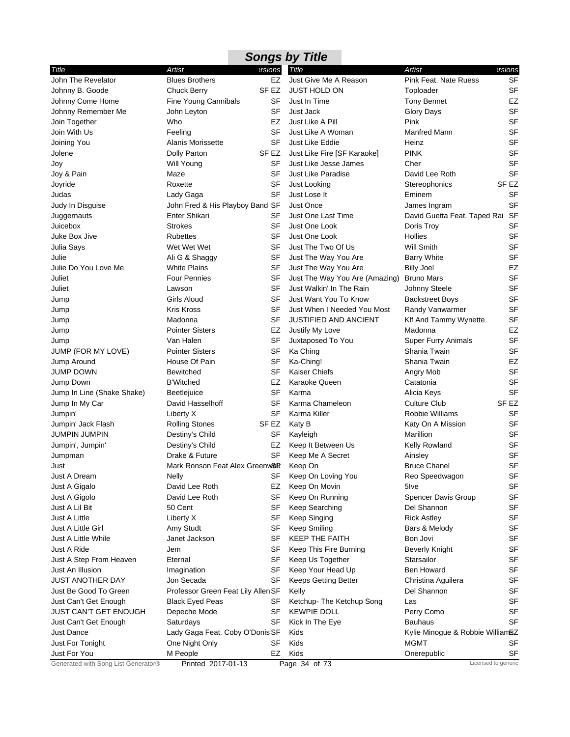|                                     |                                         |           | <b>Songs by Title</b>          |                                  |                     |
|-------------------------------------|-----------------------------------------|-----------|--------------------------------|----------------------------------|---------------------|
| Title                               | Artist                                  | ersions   | Title                          | <b>Artist</b>                    | ersions             |
| John The Revelator                  | <b>Blues Brothers</b>                   | <b>EZ</b> | Just Give Me A Reason          | Pink Feat. Nate Ruess            | <b>SF</b>           |
| Johnny B. Goode                     | <b>Chuck Berry</b>                      | SF EZ     | <b>JUST HOLD ON</b>            | Toploader                        | <b>SF</b>           |
| Johnny Come Home                    | Fine Young Cannibals                    | SF        | Just In Time                   | <b>Tony Bennet</b>               | EZ                  |
| Johnny Remember Me                  | John Leyton                             | SF        | Just Jack                      | <b>Glory Days</b>                | SF                  |
| Join Together                       | Who                                     | EZ        | Just Like A Pill               | Pink                             | <b>SF</b>           |
| Join With Us                        | Feeling                                 | <b>SF</b> | Just Like A Woman              | Manfred Mann                     | SF                  |
| Joining You                         | <b>Alanis Morissette</b>                | <b>SF</b> | Just Like Eddie                | Heinz                            | SF                  |
| Jolene                              | Dolly Parton                            | SF EZ     | Just Like Fire [SF Karaoke]    | <b>PINK</b>                      | SF                  |
| Joy                                 | Will Young                              | SF        | Just Like Jesse James          | Cher                             | SF                  |
| Joy & Pain                          | Maze                                    | <b>SF</b> | <b>Just Like Paradise</b>      | David Lee Roth                   | <b>SF</b>           |
| Joyride                             | Roxette                                 | SF        | Just Looking                   | Stereophonics                    | SF <sub>EZ</sub>    |
| Judas                               | Lady Gaga                               | SF        | Just Lose It                   | Eminem                           | <b>SF</b>           |
| Judy In Disguise                    | John Fred & His Playboy Band SF         |           | <b>Just Once</b>               | James Ingram                     | SF                  |
| Juggernauts                         | Enter Shikari                           | SF        | Just One Last Time             | David Guetta Feat. Taped Rai SF  |                     |
| Juicebox                            | <b>Strokes</b>                          | SF        | Just One Look                  | Doris Troy                       | <b>SF</b>           |
| Juke Box Jive                       | Rubettes                                | SF        | Just One Look                  | Hollies                          | <b>SF</b>           |
| Julia Says                          | Wet Wet Wet                             | <b>SF</b> | Just The Two Of Us             | Will Smith                       | <b>SF</b>           |
| Julie                               | Ali G & Shaggy                          | SF        | Just The Way You Are           | <b>Barry White</b>               | <b>SF</b>           |
| Julie Do You Love Me                | <b>White Plains</b>                     | SF        | Just The Way You Are           | <b>Billy Joel</b>                | EZ                  |
| Juliet                              | <b>Four Pennies</b>                     | SF        | Just The Way You Are (Amazing) | <b>Bruno Mars</b>                | <b>SF</b>           |
| Juliet                              | Lawson                                  | SF        | Just Walkin' In The Rain       | Johnny Steele                    | SF                  |
| Jump                                | Girls Aloud                             | SF        | Just Want You To Know          | <b>Backstreet Boys</b>           | <b>SF</b>           |
| Jump                                | Kris Kross                              | SF        | Just When I Needed You Most    | Randy Vanwarmer                  | <b>SF</b>           |
| Jump                                | Madonna                                 | SF        | <b>JUSTIFIED AND ANCIENT</b>   | Klf And Tammy Wynette            | <b>SF</b>           |
| Jump                                | <b>Pointer Sisters</b>                  | EZ        | Justify My Love                | Madonna                          | EZ                  |
| Jump                                | Van Halen                               | SF        | Juxtaposed To You              | Super Furry Animals              | SF                  |
| JUMP (FOR MY LOVE)                  | <b>Pointer Sisters</b>                  | SF        | Ka Ching                       | Shania Twain                     | <b>SF</b>           |
| Jump Around                         | House Of Pain                           | SF        | Ka-Ching!                      | Shania Twain                     | EZ                  |
| <b>JUMP DOWN</b>                    | <b>Bewitched</b>                        | <b>SF</b> | <b>Kaiser Chiefs</b>           | Angry Mob                        | SF                  |
| Jump Down                           | <b>B'Witched</b>                        | EZ        | Karaoke Queen                  | Catatonia                        | <b>SF</b>           |
| Jump In Line (Shake Shake)          | Beetlejuice                             | SF        | Karma                          | Alicia Keys                      | SF                  |
| Jump In My Car                      | David Hasselhoff                        | <b>SF</b> | Karma Chameleon                | <b>Culture Club</b>              | SF <sub>EZ</sub>    |
| Jumpin'                             | Liberty X                               | SF        | Karma Killer                   | Robbie Williams                  | <b>SF</b>           |
| Jumpin' Jack Flash                  | <b>Rolling Stones</b>                   | SF EZ     | Katy B                         | Katy On A Mission                | <b>SF</b>           |
| JUMPIN JUMPIN                       | Destiny's Child                         | SF        | Kayleigh                       | Marillion                        | <b>SF</b>           |
| Jumpin', Jumpin'                    | Destiny's Child                         | EZ        | Keep It Between Us             | Kelly Rowland                    | SF                  |
| Jumpman                             | Drake & Future                          | SF        | Keep Me A Secret               | Ainsley                          | SF                  |
| Just                                | Mark Ronson Feat Alex Greenwalk Keep On |           |                                | <b>Bruce Chanel</b>              | SF                  |
| Just A Dream                        | <b>Nelly</b>                            | SF        | Keep On Loving You             | Reo Speedwagon                   | <b>SF</b>           |
| Just A Gigalo                       | David Lee Roth                          | EZ        | Keep On Movin                  | 5lve                             | SF                  |
| Just A Gigolo                       | David Lee Roth                          | SF        | Keep On Running                | <b>Spencer Davis Group</b>       | SF                  |
| Just A Lil Bit                      | 50 Cent                                 | SF        | Keep Searching                 | Del Shannon                      | SF                  |
| Just A Little                       | Liberty X                               | SF        | Keep Singing                   | <b>Rick Astley</b>               | SF                  |
| Just A Little Girl                  | Amy Studt                               | <b>SF</b> | <b>Keep Smiling</b>            | Bars & Melody                    | <b>SF</b>           |
| Just A Little While                 | Janet Jackson                           | SF        | <b>KEEP THE FAITH</b>          | Bon Jovi                         | SF                  |
| Just A Ride                         | Jem                                     | <b>SF</b> | Keep This Fire Burning         | <b>Beverly Knight</b>            | SF                  |
| Just A Step From Heaven             | Eternal                                 | SF        | Keep Us Together               | Starsailor                       | SF                  |
| Just An Illusion                    | Imagination                             | SF        | Keep Your Head Up              | <b>Ben Howard</b>                | SF                  |
| JUST ANOTHER DAY                    | Jon Secada                              | SF        | <b>Keeps Getting Better</b>    | Christina Aguilera               | <b>SF</b>           |
| Just Be Good To Green               | Professor Green Feat Lily Allen SF      |           | Kelly                          | Del Shannon                      | <b>SF</b>           |
| Just Can't Get Enough               | <b>Black Eyed Peas</b>                  | SF        | Ketchup- The Ketchup Song      | Las                              | SF                  |
| JUST CAN'T GET ENOUGH               | Depeche Mode                            | SF        | <b>KEWPIE DOLL</b>             | Perry Como                       | SF                  |
| Just Can't Get Enough               | Saturdays                               | SF        | Kick In The Eye                | Bauhaus                          | <b>SF</b>           |
| Just Dance                          | Lady Gaga Feat. Coby O'Donis SF         |           | Kids                           | Kylie Minogue & Robbie WilliamSZ |                     |
| Just For Tonight                    | One Night Only                          | SF        | Kids                           | <b>MGMT</b>                      | SF                  |
| Just For You                        | M People                                | EZ        | Kids                           | Onerepublic                      | SF                  |
| Generated with Song List Generator® | Printed 2017-01-13                      |           | Page 34 of 73                  |                                  | Licensed to generic |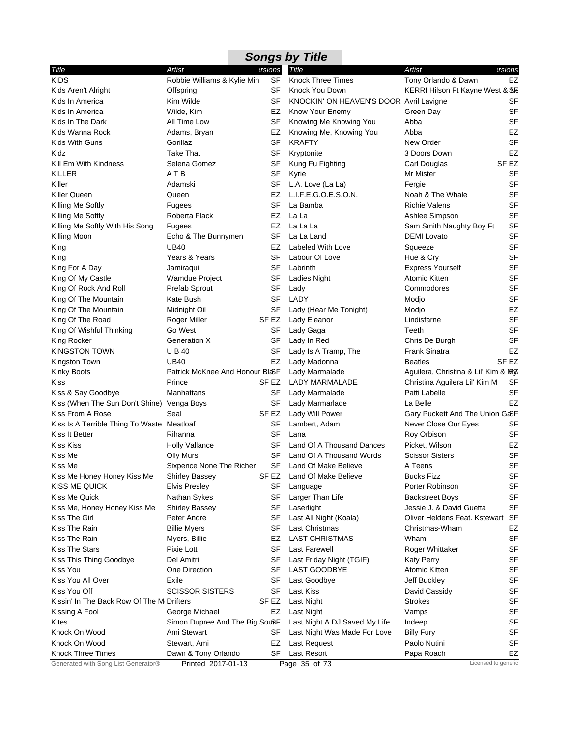| <b>Songs by Title</b>                      |                                 |                  |                                         |                                       |                  |  |
|--------------------------------------------|---------------------------------|------------------|-----------------------------------------|---------------------------------------|------------------|--|
| Title                                      | Artist                          | ersions          | Title                                   | Artist                                | ersions?         |  |
| <b>KIDS</b>                                | Robbie Williams & Kylie Min     | <b>SF</b>        | <b>Knock Three Times</b>                | Tony Orlando & Dawn                   | <b>EZ</b>        |  |
| Kids Aren't Alright                        | Offspring                       | <b>SF</b>        | Knock You Down                          | KERRI Hilson Ft Kayne West & SE       |                  |  |
| Kids In America                            | Kim Wilde                       | <b>SF</b>        | KNOCKIN' ON HEAVEN'S DOOR Avril Lavigne |                                       | <b>SF</b>        |  |
| Kids In America                            | Wilde, Kim                      | EZ               | Know Your Enemy                         | Green Day                             | <b>SF</b>        |  |
| Kids In The Dark                           | All Time Low                    | <b>SF</b>        | Knowing Me Knowing You                  | Abba                                  | <b>SF</b>        |  |
| Kids Wanna Rock                            | Adams, Bryan                    | EZ               | Knowing Me, Knowing You                 | Abba                                  | EZ               |  |
| Kids With Guns                             | Gorillaz                        | <b>SF</b>        | <b>KRAFTY</b>                           | New Order                             | <b>SF</b>        |  |
| Kidz                                       | <b>Take That</b>                | <b>SF</b>        | Kryptonite                              | 3 Doors Down                          | <b>EZ</b>        |  |
| Kill Em With Kindness                      | Selena Gomez                    | SF               | Kung Fu Fighting                        | Carl Douglas                          | SF <sub>EZ</sub> |  |
| KILLER                                     | ATB                             | <b>SF</b>        | Kyrie                                   | Mr Mister                             | <b>SF</b>        |  |
| Killer                                     | Adamski                         | SF               | L.A. Love (La La)                       | Fergie                                | <b>SF</b>        |  |
| Killer Queen                               | Queen                           | EZ               | L.I.F.E.G.O.E.S.O.N.                    | Noah & The Whale                      | <b>SF</b>        |  |
| Killing Me Softly                          | Fugees                          | SF               | La Bamba                                | <b>Richie Valens</b>                  | <b>SF</b>        |  |
| Killing Me Softly                          | Roberta Flack                   | EZ               | La La                                   | Ashlee Simpson                        | <b>SF</b>        |  |
| Killing Me Softly With His Song            | Fugees                          | EZ               | La La La                                | Sam Smith Naughty Boy Ft              | <b>SF</b>        |  |
|                                            | Echo & The Bunnymen             | <b>SF</b>        | La La Land                              | <b>DEMI</b> Lovato                    | <b>SF</b>        |  |
| Killing Moon                               | <b>UB40</b>                     | EZ               | Labeled With Love                       | Squeeze                               | <b>SF</b>        |  |
| King                                       | Years & Years                   | <b>SF</b>        | Labour Of Love                          | Hue & Cry                             | <b>SF</b>        |  |
| King                                       |                                 | SF               | Labrinth                                | <b>Express Yourself</b>               | <b>SF</b>        |  |
| King For A Day                             | Jamiraqui                       | <b>SF</b>        |                                         | Atomic Kitten                         | <b>SF</b>        |  |
| King Of My Castle                          | <b>Wamdue Project</b>           |                  | <b>Ladies Night</b>                     | Commodores                            |                  |  |
| King Of Rock And Roll                      | Prefab Sprout                   | SF               | Lady                                    |                                       | <b>SF</b>        |  |
| King Of The Mountain                       | Kate Bush                       | <b>SF</b>        | LADY                                    | Modjo                                 | <b>SF</b>        |  |
| King Of The Mountain                       | Midnight Oil                    | <b>SF</b>        | Lady (Hear Me Tonight)                  | Modjo                                 | <b>EZ</b>        |  |
| King Of The Road                           | Roger Miller                    | SF <sub>EZ</sub> | Lady Eleanor                            | Lindisfarne                           | <b>SF</b>        |  |
| King Of Wishful Thinking                   | Go West                         | SF               | Lady Gaga                               | Teeth                                 | <b>SF</b>        |  |
| King Rocker                                | <b>Generation X</b>             | SF               | Lady In Red                             | Chris De Burgh                        | <b>SF</b>        |  |
| KINGSTON TOWN                              | <b>UB40</b>                     | <b>SF</b>        | Lady Is A Tramp, The                    | <b>Frank Sinatra</b>                  | EZ               |  |
| Kingston Town                              | <b>UB40</b>                     | EZ               | Lady Madonna                            | <b>Beatles</b>                        | SF <sub>EZ</sub> |  |
| Kinky Boots                                | Patrick McKnee And Honour BloSF |                  | Lady Marmalade                          | Aguilera, Christina & Lil' Kim & MEZ: |                  |  |
| Kiss                                       | Prince                          | SF EZ            | <b>LADY MARMALADE</b>                   | Christina Aguilera Lil' Kim M         | SF               |  |
| Kiss & Say Goodbye                         | Manhattans                      | <b>SF</b>        | Lady Marmalade                          | Patti Labelle                         | <b>SF</b>        |  |
| Kiss (When The Sun Don't Shine) Venga Boys |                                 | <b>SF</b>        | Lady Marmarlade                         | La Belle                              | EZ               |  |
| Kiss From A Rose                           | Seal                            | SF <sub>EZ</sub> | Lady Will Power                         | Gary Puckett And The Union G&F        |                  |  |
| Kiss Is A Terrible Thing To Waste Meatloaf |                                 | SF               | Lambert, Adam                           | Never Close Our Eyes                  | SF               |  |
| Kiss It Better                             | Rihanna                         | <b>SF</b>        | Lana                                    | Roy Orbison                           | <b>SF</b>        |  |
| Kiss Kiss                                  | <b>Holly Vallance</b>           | SF               | Land Of A Thousand Dances               | Picket, Wilson                        | EZ               |  |
| Kiss Me                                    | <b>Olly Murs</b>                | <b>SF</b>        | Land Of A Thousand Words                | <b>Scissor Sisters</b>                | <b>SF</b>        |  |
| Kiss Me                                    | Sixpence None The Richer        | <b>SF</b>        | Land Of Make Believe                    | A Teens                               | <b>SF</b>        |  |
| Kiss Me Honey Honey Kiss Me                | <b>Shirley Bassey</b>           | SF EZ            | Land Of Make Believe                    | <b>Bucks Fizz</b>                     | <b>SF</b>        |  |
| KISS ME QUICK                              | <b>Elvis Presley</b>            | SF               | Language                                | Porter Robinson                       | <b>SF</b>        |  |
| Kiss Me Quick                              | Nathan Sykes                    | SF               | Larger Than Life                        | <b>Backstreet Boys</b>                | <b>SF</b>        |  |
| Kiss Me, Honey Honey Kiss Me               | <b>Shirley Bassey</b>           | <b>SF</b>        | Laserlight                              | Jessie J. & David Guetta              | <b>SF</b>        |  |
| Kiss The Girl                              | Peter Andre                     | <b>SF</b>        | Last All Night (Koala)                  | Oliver Heldens Feat. Kstewart SF      |                  |  |
| Kiss The Rain                              | <b>Billie Myers</b>             | SF               | Last Christmas                          | Christmas-Wham                        | EZ               |  |
| Kiss The Rain                              | Myers, Billie                   | EZ               | <b>LAST CHRISTMAS</b>                   | Wham                                  | <b>SF</b>        |  |
| Kiss The Stars                             | Pixie Lott                      | <b>SF</b>        | <b>Last Farewell</b>                    | Roger Whittaker                       | <b>SF</b>        |  |
| Kiss This Thing Goodbye                    | Del Amitri                      | SF               | Last Friday Night (TGIF)                | <b>Katy Perry</b>                     | <b>SF</b>        |  |
| Kiss You                                   | One Direction                   | <b>SF</b>        | LAST GOODBYE                            | <b>Atomic Kitten</b>                  | <b>SF</b>        |  |
| Kiss You All Over                          | Exile                           | SF               | Last Goodbye                            | Jeff Buckley                          | SF               |  |
| Kiss You Off                               | <b>SCISSOR SISTERS</b>          | <b>SF</b>        | Last Kiss                               | David Cassidy                         | <b>SF</b>        |  |
| Kissin' In The Back Row Of The M Drifters  |                                 | SF <sub>EZ</sub> | Last Night                              | <b>Strokes</b>                        | SF               |  |
| Kissing A Fool                             | George Michael                  | EZ               | Last Night                              | Vamps                                 | <b>SF</b>        |  |
| Kites                                      | Simon Dupree And The Big SouBF  |                  | Last Night A DJ Saved My Life           | Indeep                                | <b>SF</b>        |  |
| Knock On Wood                              | Ami Stewart                     | SF               | Last Night Was Made For Love            | <b>Billy Fury</b>                     | <b>SF</b>        |  |
| Knock On Wood                              | Stewart, Ami                    | EZ               | Last Request                            | Paolo Nutini                          | <b>SF</b>        |  |
| <b>Knock Three Times</b>                   | Dawn & Tony Orlando             | SF               | Last Resort                             | Papa Roach                            | EZ               |  |
| Generated with Song List Generator®        | Printed 2017-01-13              |                  | Page 35 of 73                           | Licensed to generic                   |                  |  |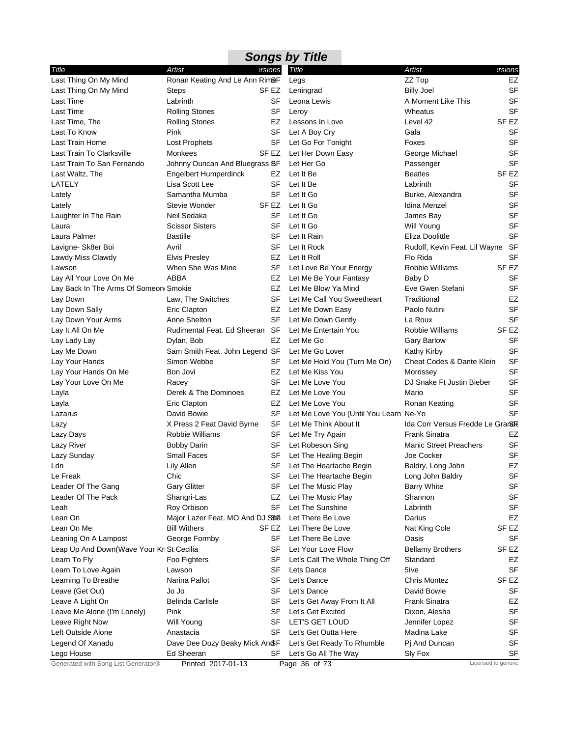| <b>Artist</b><br>Artist<br>ersions<br>Title<br>ersions<br>Title<br>Ronan Keating And Le Ann Rim&F<br>ZZ Top<br>EZ<br>Legs<br><b>SF</b><br>Last Thing On My Mind<br>Leningrad<br><b>Billy Joel</b><br>SF EZ<br>Steps<br><b>SF</b><br>Last Time<br>Labrinth<br>SF<br>A Moment Like This<br>Leona Lewis<br><b>SF</b><br>Last Time<br>SF<br><b>Rolling Stones</b><br>Leroy<br>Wheatus<br>SF EZ<br><b>Rolling Stones</b><br>EZ<br>Lessons In Love<br>Level 42<br><b>SF</b><br>Pink<br>SF<br>Let A Boy Cry<br>Gala<br>Last To Know<br><b>SF</b><br>Last Train Home<br><b>Lost Prophets</b><br>SF<br>Let Go For Tonight<br>Foxes<br><b>SF</b><br>Last Train To Clarksville<br>Monkees<br>Let Her Down Easy<br>SF EZ<br>George Michael<br><b>SF</b><br>Last Train To San Fernando<br>Let Her Go<br>Johnny Duncan And Bluegrass BF<br>Passenger<br>SF <sub>EZ</sub><br>Last Waltz, The<br><b>Engelbert Humperdinck</b><br>Let It Be<br><b>Beatles</b><br>EZ<br><b>SF</b><br>LATELY<br>Lisa Scott Lee<br>SF<br>Labrinth<br>Let It Be<br><b>SF</b><br>Samantha Mumba<br>SF<br>Let It Go<br>Lately<br>Burke, Alexandra<br><b>SF</b><br>Stevie Wonder<br>SF EZ<br>Let It Go<br>Idina Menzel<br>Lately<br><b>SF</b><br>SF<br>Let It Go<br>Laughter In The Rain<br>Neil Sedaka<br>James Bay<br><b>SF</b><br><b>Scissor Sisters</b><br>SF<br>Let It Go<br>Will Young<br>Laura<br><b>SF</b><br>Laura Palmer<br><b>Bastille</b><br>SF<br>Let It Rain<br>Eliza Doolittle<br>SF<br>Let It Rock<br>Rudolf, Kevin Feat. Lil Wayne SF<br>Lavigne- Sk8er Boi<br>Avril<br><b>SF</b><br><b>Elvis Presley</b><br>EZ<br>Let It Roll<br>Flo Rida<br>SF <sub>EZ</sub><br>When She Was Mine<br>SF<br>Robbie Williams<br>Lawson<br>Let Love Be Your Energy<br><b>SF</b><br>ABBA<br>Let Me Be Your Fantasy<br>Baby D<br>Lay All Your Love On Me<br>EZ<br>SF<br>Let Me Blow Ya Mind<br>Eve Gwen Stefani<br>Lay Back In The Arms Of Someon Smokie<br>EZ<br>EZ<br>Law, The Switches<br>SF<br>Let Me Call You Sweetheart<br>Traditional<br>Lay Down<br><b>SF</b><br>Eric Clapton<br>Let Me Down Easy<br>Paolo Nutini<br>Lay Down Sally<br>EZ<br><b>SF</b><br>Anne Shelton<br>SF<br>Let Me Down Gently<br>La Roux<br>Rudimental Feat. Ed Sheeran SF<br>SF <sub>EZ</sub><br>Let Me Entertain You<br><b>Robbie Williams</b><br>Lay It All On Me<br><b>SF</b><br>EZ<br>Let Me Go<br>Lay Lady Lay<br>Dylan, Bob<br><b>Gary Barlow</b><br><b>SF</b><br>Sam Smith Feat. John Legend SF<br>Let Me Go Lover<br>Lay Me Down<br>Kathy Kirby<br><b>SF</b><br>Simon Webbe<br>Let Me Hold You (Turn Me On)<br>Cheat Codes & Dante Klein<br>SF<br><b>SF</b><br>EZ<br>Let Me Kiss You<br>Lay Your Hands On Me<br>Bon Jovi<br>Morrissey<br><b>SF</b><br>Lay Your Love On Me<br>SF<br>Let Me Love You<br>DJ Snake Ft Justin Bieber<br>Racey<br><b>SF</b><br>EZ<br>Let Me Love You<br>Derek & The Dominoes<br>Mario<br><b>SF</b><br>Eric Clapton<br>EZ<br>Let Me Love You<br>Ronan Keating<br><b>SF</b><br>David Bowie<br>SF<br>Let Me Love You (Until You Learn Ne-Yo<br>SF<br>Ida Corr Versus Fredde Le Grana<br>X Press 2 Feat David Byrne<br>Let Me Think About It<br>Lazy<br>Robbie Williams<br>SF<br>Let Me Try Again<br><b>Frank Sinatra</b><br>EZ<br>Lazy Days<br><b>SF</b><br>Let Robeson Sing<br><b>Manic Street Preachers</b><br>Lazy River<br><b>Bobby Darin</b><br>SF<br><b>SF</b><br><b>Small Faces</b><br>SF<br>Let The Healing Begin<br>Lazy Sunday<br>Joe Cocker<br>EZ<br>Lily Allen<br>SF Let The Heartache Begin<br>Baldry, Long John<br>Ldn<br>Chic<br><b>SF</b><br>Le Freak<br>SF<br>Let The Heartache Begin<br>Long John Baldry<br><b>SF</b><br><b>Gary Glitter</b><br>SF<br>Leader Of The Gang<br>Let The Music Play<br><b>Barry White</b><br>Leader Of The Pack<br>Shangri-Las<br>Let The Music Play<br>Shannon<br><b>SF</b><br>EZ<br><b>SF</b><br>SF<br>Let The Sunshine<br>Roy Orbison<br>Labrinth<br>Leah<br>Let There Be Love<br>EZ<br>Lean On<br>Major Lazer Feat. MO And DJ SSB<br>Darius<br><b>Bill Withers</b><br>SF <sub>EZ</sub><br>Lean On Me<br>SF EZ<br>Let There Be Love<br>Nat King Cole |                             |  | <b>Songs by Title</b> |  |
|-------------------------------------------------------------------------------------------------------------------------------------------------------------------------------------------------------------------------------------------------------------------------------------------------------------------------------------------------------------------------------------------------------------------------------------------------------------------------------------------------------------------------------------------------------------------------------------------------------------------------------------------------------------------------------------------------------------------------------------------------------------------------------------------------------------------------------------------------------------------------------------------------------------------------------------------------------------------------------------------------------------------------------------------------------------------------------------------------------------------------------------------------------------------------------------------------------------------------------------------------------------------------------------------------------------------------------------------------------------------------------------------------------------------------------------------------------------------------------------------------------------------------------------------------------------------------------------------------------------------------------------------------------------------------------------------------------------------------------------------------------------------------------------------------------------------------------------------------------------------------------------------------------------------------------------------------------------------------------------------------------------------------------------------------------------------------------------------------------------------------------------------------------------------------------------------------------------------------------------------------------------------------------------------------------------------------------------------------------------------------------------------------------------------------------------------------------------------------------------------------------------------------------------------------------------------------------------------------------------------------------------------------------------------------------------------------------------------------------------------------------------------------------------------------------------------------------------------------------------------------------------------------------------------------------------------------------------------------------------------------------------------------------------------------------------------------------------------------------------------------------------------------------------------------------------------------------------------------------------------------------------------------------------------------------------------------------------------------------------------------------------------------------------------------------------------------------------------------------------------------------------------------------------------------------------------------------------------------------------------------------------------------------------------------------------------------------------------------------------------------------------------------------------------------------------------------------------------------------------------------------------------------------------------------------------------------------------------------------------------------------------------------------------------------------------------------|-----------------------------|--|-----------------------|--|
|                                                                                                                                                                                                                                                                                                                                                                                                                                                                                                                                                                                                                                                                                                                                                                                                                                                                                                                                                                                                                                                                                                                                                                                                                                                                                                                                                                                                                                                                                                                                                                                                                                                                                                                                                                                                                                                                                                                                                                                                                                                                                                                                                                                                                                                                                                                                                                                                                                                                                                                                                                                                                                                                                                                                                                                                                                                                                                                                                                                                                                                                                                                                                                                                                                                                                                                                                                                                                                                                                                                                                                                                                                                                                                                                                                                                                                                                                                                                                                                                                                                                         |                             |  |                       |  |
|                                                                                                                                                                                                                                                                                                                                                                                                                                                                                                                                                                                                                                                                                                                                                                                                                                                                                                                                                                                                                                                                                                                                                                                                                                                                                                                                                                                                                                                                                                                                                                                                                                                                                                                                                                                                                                                                                                                                                                                                                                                                                                                                                                                                                                                                                                                                                                                                                                                                                                                                                                                                                                                                                                                                                                                                                                                                                                                                                                                                                                                                                                                                                                                                                                                                                                                                                                                                                                                                                                                                                                                                                                                                                                                                                                                                                                                                                                                                                                                                                                                                         | Last Thing On My Mind       |  |                       |  |
|                                                                                                                                                                                                                                                                                                                                                                                                                                                                                                                                                                                                                                                                                                                                                                                                                                                                                                                                                                                                                                                                                                                                                                                                                                                                                                                                                                                                                                                                                                                                                                                                                                                                                                                                                                                                                                                                                                                                                                                                                                                                                                                                                                                                                                                                                                                                                                                                                                                                                                                                                                                                                                                                                                                                                                                                                                                                                                                                                                                                                                                                                                                                                                                                                                                                                                                                                                                                                                                                                                                                                                                                                                                                                                                                                                                                                                                                                                                                                                                                                                                                         |                             |  |                       |  |
|                                                                                                                                                                                                                                                                                                                                                                                                                                                                                                                                                                                                                                                                                                                                                                                                                                                                                                                                                                                                                                                                                                                                                                                                                                                                                                                                                                                                                                                                                                                                                                                                                                                                                                                                                                                                                                                                                                                                                                                                                                                                                                                                                                                                                                                                                                                                                                                                                                                                                                                                                                                                                                                                                                                                                                                                                                                                                                                                                                                                                                                                                                                                                                                                                                                                                                                                                                                                                                                                                                                                                                                                                                                                                                                                                                                                                                                                                                                                                                                                                                                                         |                             |  |                       |  |
|                                                                                                                                                                                                                                                                                                                                                                                                                                                                                                                                                                                                                                                                                                                                                                                                                                                                                                                                                                                                                                                                                                                                                                                                                                                                                                                                                                                                                                                                                                                                                                                                                                                                                                                                                                                                                                                                                                                                                                                                                                                                                                                                                                                                                                                                                                                                                                                                                                                                                                                                                                                                                                                                                                                                                                                                                                                                                                                                                                                                                                                                                                                                                                                                                                                                                                                                                                                                                                                                                                                                                                                                                                                                                                                                                                                                                                                                                                                                                                                                                                                                         |                             |  |                       |  |
|                                                                                                                                                                                                                                                                                                                                                                                                                                                                                                                                                                                                                                                                                                                                                                                                                                                                                                                                                                                                                                                                                                                                                                                                                                                                                                                                                                                                                                                                                                                                                                                                                                                                                                                                                                                                                                                                                                                                                                                                                                                                                                                                                                                                                                                                                                                                                                                                                                                                                                                                                                                                                                                                                                                                                                                                                                                                                                                                                                                                                                                                                                                                                                                                                                                                                                                                                                                                                                                                                                                                                                                                                                                                                                                                                                                                                                                                                                                                                                                                                                                                         | Last Time, The              |  |                       |  |
|                                                                                                                                                                                                                                                                                                                                                                                                                                                                                                                                                                                                                                                                                                                                                                                                                                                                                                                                                                                                                                                                                                                                                                                                                                                                                                                                                                                                                                                                                                                                                                                                                                                                                                                                                                                                                                                                                                                                                                                                                                                                                                                                                                                                                                                                                                                                                                                                                                                                                                                                                                                                                                                                                                                                                                                                                                                                                                                                                                                                                                                                                                                                                                                                                                                                                                                                                                                                                                                                                                                                                                                                                                                                                                                                                                                                                                                                                                                                                                                                                                                                         |                             |  |                       |  |
|                                                                                                                                                                                                                                                                                                                                                                                                                                                                                                                                                                                                                                                                                                                                                                                                                                                                                                                                                                                                                                                                                                                                                                                                                                                                                                                                                                                                                                                                                                                                                                                                                                                                                                                                                                                                                                                                                                                                                                                                                                                                                                                                                                                                                                                                                                                                                                                                                                                                                                                                                                                                                                                                                                                                                                                                                                                                                                                                                                                                                                                                                                                                                                                                                                                                                                                                                                                                                                                                                                                                                                                                                                                                                                                                                                                                                                                                                                                                                                                                                                                                         |                             |  |                       |  |
|                                                                                                                                                                                                                                                                                                                                                                                                                                                                                                                                                                                                                                                                                                                                                                                                                                                                                                                                                                                                                                                                                                                                                                                                                                                                                                                                                                                                                                                                                                                                                                                                                                                                                                                                                                                                                                                                                                                                                                                                                                                                                                                                                                                                                                                                                                                                                                                                                                                                                                                                                                                                                                                                                                                                                                                                                                                                                                                                                                                                                                                                                                                                                                                                                                                                                                                                                                                                                                                                                                                                                                                                                                                                                                                                                                                                                                                                                                                                                                                                                                                                         |                             |  |                       |  |
|                                                                                                                                                                                                                                                                                                                                                                                                                                                                                                                                                                                                                                                                                                                                                                                                                                                                                                                                                                                                                                                                                                                                                                                                                                                                                                                                                                                                                                                                                                                                                                                                                                                                                                                                                                                                                                                                                                                                                                                                                                                                                                                                                                                                                                                                                                                                                                                                                                                                                                                                                                                                                                                                                                                                                                                                                                                                                                                                                                                                                                                                                                                                                                                                                                                                                                                                                                                                                                                                                                                                                                                                                                                                                                                                                                                                                                                                                                                                                                                                                                                                         |                             |  |                       |  |
|                                                                                                                                                                                                                                                                                                                                                                                                                                                                                                                                                                                                                                                                                                                                                                                                                                                                                                                                                                                                                                                                                                                                                                                                                                                                                                                                                                                                                                                                                                                                                                                                                                                                                                                                                                                                                                                                                                                                                                                                                                                                                                                                                                                                                                                                                                                                                                                                                                                                                                                                                                                                                                                                                                                                                                                                                                                                                                                                                                                                                                                                                                                                                                                                                                                                                                                                                                                                                                                                                                                                                                                                                                                                                                                                                                                                                                                                                                                                                                                                                                                                         |                             |  |                       |  |
|                                                                                                                                                                                                                                                                                                                                                                                                                                                                                                                                                                                                                                                                                                                                                                                                                                                                                                                                                                                                                                                                                                                                                                                                                                                                                                                                                                                                                                                                                                                                                                                                                                                                                                                                                                                                                                                                                                                                                                                                                                                                                                                                                                                                                                                                                                                                                                                                                                                                                                                                                                                                                                                                                                                                                                                                                                                                                                                                                                                                                                                                                                                                                                                                                                                                                                                                                                                                                                                                                                                                                                                                                                                                                                                                                                                                                                                                                                                                                                                                                                                                         |                             |  |                       |  |
|                                                                                                                                                                                                                                                                                                                                                                                                                                                                                                                                                                                                                                                                                                                                                                                                                                                                                                                                                                                                                                                                                                                                                                                                                                                                                                                                                                                                                                                                                                                                                                                                                                                                                                                                                                                                                                                                                                                                                                                                                                                                                                                                                                                                                                                                                                                                                                                                                                                                                                                                                                                                                                                                                                                                                                                                                                                                                                                                                                                                                                                                                                                                                                                                                                                                                                                                                                                                                                                                                                                                                                                                                                                                                                                                                                                                                                                                                                                                                                                                                                                                         |                             |  |                       |  |
|                                                                                                                                                                                                                                                                                                                                                                                                                                                                                                                                                                                                                                                                                                                                                                                                                                                                                                                                                                                                                                                                                                                                                                                                                                                                                                                                                                                                                                                                                                                                                                                                                                                                                                                                                                                                                                                                                                                                                                                                                                                                                                                                                                                                                                                                                                                                                                                                                                                                                                                                                                                                                                                                                                                                                                                                                                                                                                                                                                                                                                                                                                                                                                                                                                                                                                                                                                                                                                                                                                                                                                                                                                                                                                                                                                                                                                                                                                                                                                                                                                                                         |                             |  |                       |  |
|                                                                                                                                                                                                                                                                                                                                                                                                                                                                                                                                                                                                                                                                                                                                                                                                                                                                                                                                                                                                                                                                                                                                                                                                                                                                                                                                                                                                                                                                                                                                                                                                                                                                                                                                                                                                                                                                                                                                                                                                                                                                                                                                                                                                                                                                                                                                                                                                                                                                                                                                                                                                                                                                                                                                                                                                                                                                                                                                                                                                                                                                                                                                                                                                                                                                                                                                                                                                                                                                                                                                                                                                                                                                                                                                                                                                                                                                                                                                                                                                                                                                         |                             |  |                       |  |
|                                                                                                                                                                                                                                                                                                                                                                                                                                                                                                                                                                                                                                                                                                                                                                                                                                                                                                                                                                                                                                                                                                                                                                                                                                                                                                                                                                                                                                                                                                                                                                                                                                                                                                                                                                                                                                                                                                                                                                                                                                                                                                                                                                                                                                                                                                                                                                                                                                                                                                                                                                                                                                                                                                                                                                                                                                                                                                                                                                                                                                                                                                                                                                                                                                                                                                                                                                                                                                                                                                                                                                                                                                                                                                                                                                                                                                                                                                                                                                                                                                                                         |                             |  |                       |  |
|                                                                                                                                                                                                                                                                                                                                                                                                                                                                                                                                                                                                                                                                                                                                                                                                                                                                                                                                                                                                                                                                                                                                                                                                                                                                                                                                                                                                                                                                                                                                                                                                                                                                                                                                                                                                                                                                                                                                                                                                                                                                                                                                                                                                                                                                                                                                                                                                                                                                                                                                                                                                                                                                                                                                                                                                                                                                                                                                                                                                                                                                                                                                                                                                                                                                                                                                                                                                                                                                                                                                                                                                                                                                                                                                                                                                                                                                                                                                                                                                                                                                         |                             |  |                       |  |
|                                                                                                                                                                                                                                                                                                                                                                                                                                                                                                                                                                                                                                                                                                                                                                                                                                                                                                                                                                                                                                                                                                                                                                                                                                                                                                                                                                                                                                                                                                                                                                                                                                                                                                                                                                                                                                                                                                                                                                                                                                                                                                                                                                                                                                                                                                                                                                                                                                                                                                                                                                                                                                                                                                                                                                                                                                                                                                                                                                                                                                                                                                                                                                                                                                                                                                                                                                                                                                                                                                                                                                                                                                                                                                                                                                                                                                                                                                                                                                                                                                                                         |                             |  |                       |  |
|                                                                                                                                                                                                                                                                                                                                                                                                                                                                                                                                                                                                                                                                                                                                                                                                                                                                                                                                                                                                                                                                                                                                                                                                                                                                                                                                                                                                                                                                                                                                                                                                                                                                                                                                                                                                                                                                                                                                                                                                                                                                                                                                                                                                                                                                                                                                                                                                                                                                                                                                                                                                                                                                                                                                                                                                                                                                                                                                                                                                                                                                                                                                                                                                                                                                                                                                                                                                                                                                                                                                                                                                                                                                                                                                                                                                                                                                                                                                                                                                                                                                         | Lawdy Miss Clawdy           |  |                       |  |
|                                                                                                                                                                                                                                                                                                                                                                                                                                                                                                                                                                                                                                                                                                                                                                                                                                                                                                                                                                                                                                                                                                                                                                                                                                                                                                                                                                                                                                                                                                                                                                                                                                                                                                                                                                                                                                                                                                                                                                                                                                                                                                                                                                                                                                                                                                                                                                                                                                                                                                                                                                                                                                                                                                                                                                                                                                                                                                                                                                                                                                                                                                                                                                                                                                                                                                                                                                                                                                                                                                                                                                                                                                                                                                                                                                                                                                                                                                                                                                                                                                                                         |                             |  |                       |  |
|                                                                                                                                                                                                                                                                                                                                                                                                                                                                                                                                                                                                                                                                                                                                                                                                                                                                                                                                                                                                                                                                                                                                                                                                                                                                                                                                                                                                                                                                                                                                                                                                                                                                                                                                                                                                                                                                                                                                                                                                                                                                                                                                                                                                                                                                                                                                                                                                                                                                                                                                                                                                                                                                                                                                                                                                                                                                                                                                                                                                                                                                                                                                                                                                                                                                                                                                                                                                                                                                                                                                                                                                                                                                                                                                                                                                                                                                                                                                                                                                                                                                         |                             |  |                       |  |
|                                                                                                                                                                                                                                                                                                                                                                                                                                                                                                                                                                                                                                                                                                                                                                                                                                                                                                                                                                                                                                                                                                                                                                                                                                                                                                                                                                                                                                                                                                                                                                                                                                                                                                                                                                                                                                                                                                                                                                                                                                                                                                                                                                                                                                                                                                                                                                                                                                                                                                                                                                                                                                                                                                                                                                                                                                                                                                                                                                                                                                                                                                                                                                                                                                                                                                                                                                                                                                                                                                                                                                                                                                                                                                                                                                                                                                                                                                                                                                                                                                                                         |                             |  |                       |  |
|                                                                                                                                                                                                                                                                                                                                                                                                                                                                                                                                                                                                                                                                                                                                                                                                                                                                                                                                                                                                                                                                                                                                                                                                                                                                                                                                                                                                                                                                                                                                                                                                                                                                                                                                                                                                                                                                                                                                                                                                                                                                                                                                                                                                                                                                                                                                                                                                                                                                                                                                                                                                                                                                                                                                                                                                                                                                                                                                                                                                                                                                                                                                                                                                                                                                                                                                                                                                                                                                                                                                                                                                                                                                                                                                                                                                                                                                                                                                                                                                                                                                         |                             |  |                       |  |
|                                                                                                                                                                                                                                                                                                                                                                                                                                                                                                                                                                                                                                                                                                                                                                                                                                                                                                                                                                                                                                                                                                                                                                                                                                                                                                                                                                                                                                                                                                                                                                                                                                                                                                                                                                                                                                                                                                                                                                                                                                                                                                                                                                                                                                                                                                                                                                                                                                                                                                                                                                                                                                                                                                                                                                                                                                                                                                                                                                                                                                                                                                                                                                                                                                                                                                                                                                                                                                                                                                                                                                                                                                                                                                                                                                                                                                                                                                                                                                                                                                                                         |                             |  |                       |  |
|                                                                                                                                                                                                                                                                                                                                                                                                                                                                                                                                                                                                                                                                                                                                                                                                                                                                                                                                                                                                                                                                                                                                                                                                                                                                                                                                                                                                                                                                                                                                                                                                                                                                                                                                                                                                                                                                                                                                                                                                                                                                                                                                                                                                                                                                                                                                                                                                                                                                                                                                                                                                                                                                                                                                                                                                                                                                                                                                                                                                                                                                                                                                                                                                                                                                                                                                                                                                                                                                                                                                                                                                                                                                                                                                                                                                                                                                                                                                                                                                                                                                         | Lay Down Your Arms          |  |                       |  |
|                                                                                                                                                                                                                                                                                                                                                                                                                                                                                                                                                                                                                                                                                                                                                                                                                                                                                                                                                                                                                                                                                                                                                                                                                                                                                                                                                                                                                                                                                                                                                                                                                                                                                                                                                                                                                                                                                                                                                                                                                                                                                                                                                                                                                                                                                                                                                                                                                                                                                                                                                                                                                                                                                                                                                                                                                                                                                                                                                                                                                                                                                                                                                                                                                                                                                                                                                                                                                                                                                                                                                                                                                                                                                                                                                                                                                                                                                                                                                                                                                                                                         |                             |  |                       |  |
|                                                                                                                                                                                                                                                                                                                                                                                                                                                                                                                                                                                                                                                                                                                                                                                                                                                                                                                                                                                                                                                                                                                                                                                                                                                                                                                                                                                                                                                                                                                                                                                                                                                                                                                                                                                                                                                                                                                                                                                                                                                                                                                                                                                                                                                                                                                                                                                                                                                                                                                                                                                                                                                                                                                                                                                                                                                                                                                                                                                                                                                                                                                                                                                                                                                                                                                                                                                                                                                                                                                                                                                                                                                                                                                                                                                                                                                                                                                                                                                                                                                                         |                             |  |                       |  |
|                                                                                                                                                                                                                                                                                                                                                                                                                                                                                                                                                                                                                                                                                                                                                                                                                                                                                                                                                                                                                                                                                                                                                                                                                                                                                                                                                                                                                                                                                                                                                                                                                                                                                                                                                                                                                                                                                                                                                                                                                                                                                                                                                                                                                                                                                                                                                                                                                                                                                                                                                                                                                                                                                                                                                                                                                                                                                                                                                                                                                                                                                                                                                                                                                                                                                                                                                                                                                                                                                                                                                                                                                                                                                                                                                                                                                                                                                                                                                                                                                                                                         |                             |  |                       |  |
|                                                                                                                                                                                                                                                                                                                                                                                                                                                                                                                                                                                                                                                                                                                                                                                                                                                                                                                                                                                                                                                                                                                                                                                                                                                                                                                                                                                                                                                                                                                                                                                                                                                                                                                                                                                                                                                                                                                                                                                                                                                                                                                                                                                                                                                                                                                                                                                                                                                                                                                                                                                                                                                                                                                                                                                                                                                                                                                                                                                                                                                                                                                                                                                                                                                                                                                                                                                                                                                                                                                                                                                                                                                                                                                                                                                                                                                                                                                                                                                                                                                                         | Lay Your Hands              |  |                       |  |
|                                                                                                                                                                                                                                                                                                                                                                                                                                                                                                                                                                                                                                                                                                                                                                                                                                                                                                                                                                                                                                                                                                                                                                                                                                                                                                                                                                                                                                                                                                                                                                                                                                                                                                                                                                                                                                                                                                                                                                                                                                                                                                                                                                                                                                                                                                                                                                                                                                                                                                                                                                                                                                                                                                                                                                                                                                                                                                                                                                                                                                                                                                                                                                                                                                                                                                                                                                                                                                                                                                                                                                                                                                                                                                                                                                                                                                                                                                                                                                                                                                                                         |                             |  |                       |  |
|                                                                                                                                                                                                                                                                                                                                                                                                                                                                                                                                                                                                                                                                                                                                                                                                                                                                                                                                                                                                                                                                                                                                                                                                                                                                                                                                                                                                                                                                                                                                                                                                                                                                                                                                                                                                                                                                                                                                                                                                                                                                                                                                                                                                                                                                                                                                                                                                                                                                                                                                                                                                                                                                                                                                                                                                                                                                                                                                                                                                                                                                                                                                                                                                                                                                                                                                                                                                                                                                                                                                                                                                                                                                                                                                                                                                                                                                                                                                                                                                                                                                         |                             |  |                       |  |
|                                                                                                                                                                                                                                                                                                                                                                                                                                                                                                                                                                                                                                                                                                                                                                                                                                                                                                                                                                                                                                                                                                                                                                                                                                                                                                                                                                                                                                                                                                                                                                                                                                                                                                                                                                                                                                                                                                                                                                                                                                                                                                                                                                                                                                                                                                                                                                                                                                                                                                                                                                                                                                                                                                                                                                                                                                                                                                                                                                                                                                                                                                                                                                                                                                                                                                                                                                                                                                                                                                                                                                                                                                                                                                                                                                                                                                                                                                                                                                                                                                                                         | Layla                       |  |                       |  |
|                                                                                                                                                                                                                                                                                                                                                                                                                                                                                                                                                                                                                                                                                                                                                                                                                                                                                                                                                                                                                                                                                                                                                                                                                                                                                                                                                                                                                                                                                                                                                                                                                                                                                                                                                                                                                                                                                                                                                                                                                                                                                                                                                                                                                                                                                                                                                                                                                                                                                                                                                                                                                                                                                                                                                                                                                                                                                                                                                                                                                                                                                                                                                                                                                                                                                                                                                                                                                                                                                                                                                                                                                                                                                                                                                                                                                                                                                                                                                                                                                                                                         | Layla                       |  |                       |  |
|                                                                                                                                                                                                                                                                                                                                                                                                                                                                                                                                                                                                                                                                                                                                                                                                                                                                                                                                                                                                                                                                                                                                                                                                                                                                                                                                                                                                                                                                                                                                                                                                                                                                                                                                                                                                                                                                                                                                                                                                                                                                                                                                                                                                                                                                                                                                                                                                                                                                                                                                                                                                                                                                                                                                                                                                                                                                                                                                                                                                                                                                                                                                                                                                                                                                                                                                                                                                                                                                                                                                                                                                                                                                                                                                                                                                                                                                                                                                                                                                                                                                         | Lazarus                     |  |                       |  |
|                                                                                                                                                                                                                                                                                                                                                                                                                                                                                                                                                                                                                                                                                                                                                                                                                                                                                                                                                                                                                                                                                                                                                                                                                                                                                                                                                                                                                                                                                                                                                                                                                                                                                                                                                                                                                                                                                                                                                                                                                                                                                                                                                                                                                                                                                                                                                                                                                                                                                                                                                                                                                                                                                                                                                                                                                                                                                                                                                                                                                                                                                                                                                                                                                                                                                                                                                                                                                                                                                                                                                                                                                                                                                                                                                                                                                                                                                                                                                                                                                                                                         |                             |  |                       |  |
|                                                                                                                                                                                                                                                                                                                                                                                                                                                                                                                                                                                                                                                                                                                                                                                                                                                                                                                                                                                                                                                                                                                                                                                                                                                                                                                                                                                                                                                                                                                                                                                                                                                                                                                                                                                                                                                                                                                                                                                                                                                                                                                                                                                                                                                                                                                                                                                                                                                                                                                                                                                                                                                                                                                                                                                                                                                                                                                                                                                                                                                                                                                                                                                                                                                                                                                                                                                                                                                                                                                                                                                                                                                                                                                                                                                                                                                                                                                                                                                                                                                                         |                             |  |                       |  |
|                                                                                                                                                                                                                                                                                                                                                                                                                                                                                                                                                                                                                                                                                                                                                                                                                                                                                                                                                                                                                                                                                                                                                                                                                                                                                                                                                                                                                                                                                                                                                                                                                                                                                                                                                                                                                                                                                                                                                                                                                                                                                                                                                                                                                                                                                                                                                                                                                                                                                                                                                                                                                                                                                                                                                                                                                                                                                                                                                                                                                                                                                                                                                                                                                                                                                                                                                                                                                                                                                                                                                                                                                                                                                                                                                                                                                                                                                                                                                                                                                                                                         |                             |  |                       |  |
|                                                                                                                                                                                                                                                                                                                                                                                                                                                                                                                                                                                                                                                                                                                                                                                                                                                                                                                                                                                                                                                                                                                                                                                                                                                                                                                                                                                                                                                                                                                                                                                                                                                                                                                                                                                                                                                                                                                                                                                                                                                                                                                                                                                                                                                                                                                                                                                                                                                                                                                                                                                                                                                                                                                                                                                                                                                                                                                                                                                                                                                                                                                                                                                                                                                                                                                                                                                                                                                                                                                                                                                                                                                                                                                                                                                                                                                                                                                                                                                                                                                                         |                             |  |                       |  |
|                                                                                                                                                                                                                                                                                                                                                                                                                                                                                                                                                                                                                                                                                                                                                                                                                                                                                                                                                                                                                                                                                                                                                                                                                                                                                                                                                                                                                                                                                                                                                                                                                                                                                                                                                                                                                                                                                                                                                                                                                                                                                                                                                                                                                                                                                                                                                                                                                                                                                                                                                                                                                                                                                                                                                                                                                                                                                                                                                                                                                                                                                                                                                                                                                                                                                                                                                                                                                                                                                                                                                                                                                                                                                                                                                                                                                                                                                                                                                                                                                                                                         |                             |  |                       |  |
|                                                                                                                                                                                                                                                                                                                                                                                                                                                                                                                                                                                                                                                                                                                                                                                                                                                                                                                                                                                                                                                                                                                                                                                                                                                                                                                                                                                                                                                                                                                                                                                                                                                                                                                                                                                                                                                                                                                                                                                                                                                                                                                                                                                                                                                                                                                                                                                                                                                                                                                                                                                                                                                                                                                                                                                                                                                                                                                                                                                                                                                                                                                                                                                                                                                                                                                                                                                                                                                                                                                                                                                                                                                                                                                                                                                                                                                                                                                                                                                                                                                                         |                             |  |                       |  |
|                                                                                                                                                                                                                                                                                                                                                                                                                                                                                                                                                                                                                                                                                                                                                                                                                                                                                                                                                                                                                                                                                                                                                                                                                                                                                                                                                                                                                                                                                                                                                                                                                                                                                                                                                                                                                                                                                                                                                                                                                                                                                                                                                                                                                                                                                                                                                                                                                                                                                                                                                                                                                                                                                                                                                                                                                                                                                                                                                                                                                                                                                                                                                                                                                                                                                                                                                                                                                                                                                                                                                                                                                                                                                                                                                                                                                                                                                                                                                                                                                                                                         |                             |  |                       |  |
|                                                                                                                                                                                                                                                                                                                                                                                                                                                                                                                                                                                                                                                                                                                                                                                                                                                                                                                                                                                                                                                                                                                                                                                                                                                                                                                                                                                                                                                                                                                                                                                                                                                                                                                                                                                                                                                                                                                                                                                                                                                                                                                                                                                                                                                                                                                                                                                                                                                                                                                                                                                                                                                                                                                                                                                                                                                                                                                                                                                                                                                                                                                                                                                                                                                                                                                                                                                                                                                                                                                                                                                                                                                                                                                                                                                                                                                                                                                                                                                                                                                                         |                             |  |                       |  |
|                                                                                                                                                                                                                                                                                                                                                                                                                                                                                                                                                                                                                                                                                                                                                                                                                                                                                                                                                                                                                                                                                                                                                                                                                                                                                                                                                                                                                                                                                                                                                                                                                                                                                                                                                                                                                                                                                                                                                                                                                                                                                                                                                                                                                                                                                                                                                                                                                                                                                                                                                                                                                                                                                                                                                                                                                                                                                                                                                                                                                                                                                                                                                                                                                                                                                                                                                                                                                                                                                                                                                                                                                                                                                                                                                                                                                                                                                                                                                                                                                                                                         |                             |  |                       |  |
|                                                                                                                                                                                                                                                                                                                                                                                                                                                                                                                                                                                                                                                                                                                                                                                                                                                                                                                                                                                                                                                                                                                                                                                                                                                                                                                                                                                                                                                                                                                                                                                                                                                                                                                                                                                                                                                                                                                                                                                                                                                                                                                                                                                                                                                                                                                                                                                                                                                                                                                                                                                                                                                                                                                                                                                                                                                                                                                                                                                                                                                                                                                                                                                                                                                                                                                                                                                                                                                                                                                                                                                                                                                                                                                                                                                                                                                                                                                                                                                                                                                                         |                             |  |                       |  |
|                                                                                                                                                                                                                                                                                                                                                                                                                                                                                                                                                                                                                                                                                                                                                                                                                                                                                                                                                                                                                                                                                                                                                                                                                                                                                                                                                                                                                                                                                                                                                                                                                                                                                                                                                                                                                                                                                                                                                                                                                                                                                                                                                                                                                                                                                                                                                                                                                                                                                                                                                                                                                                                                                                                                                                                                                                                                                                                                                                                                                                                                                                                                                                                                                                                                                                                                                                                                                                                                                                                                                                                                                                                                                                                                                                                                                                                                                                                                                                                                                                                                         |                             |  |                       |  |
| George Formby<br>SF<br>Let There Be Love<br>Oasis<br>SF                                                                                                                                                                                                                                                                                                                                                                                                                                                                                                                                                                                                                                                                                                                                                                                                                                                                                                                                                                                                                                                                                                                                                                                                                                                                                                                                                                                                                                                                                                                                                                                                                                                                                                                                                                                                                                                                                                                                                                                                                                                                                                                                                                                                                                                                                                                                                                                                                                                                                                                                                                                                                                                                                                                                                                                                                                                                                                                                                                                                                                                                                                                                                                                                                                                                                                                                                                                                                                                                                                                                                                                                                                                                                                                                                                                                                                                                                                                                                                                                                 | Leaning On A Lampost        |  |                       |  |
| Leap Up And Down(Wave Your Kn St Cecilia<br>SF<br>Let Your Love Flow<br>SF EZ<br><b>Bellamy Brothers</b>                                                                                                                                                                                                                                                                                                                                                                                                                                                                                                                                                                                                                                                                                                                                                                                                                                                                                                                                                                                                                                                                                                                                                                                                                                                                                                                                                                                                                                                                                                                                                                                                                                                                                                                                                                                                                                                                                                                                                                                                                                                                                                                                                                                                                                                                                                                                                                                                                                                                                                                                                                                                                                                                                                                                                                                                                                                                                                                                                                                                                                                                                                                                                                                                                                                                                                                                                                                                                                                                                                                                                                                                                                                                                                                                                                                                                                                                                                                                                                |                             |  |                       |  |
| Foo Fighters<br>SF<br>Let's Call The Whole Thing Off<br>Standard<br>EZ                                                                                                                                                                                                                                                                                                                                                                                                                                                                                                                                                                                                                                                                                                                                                                                                                                                                                                                                                                                                                                                                                                                                                                                                                                                                                                                                                                                                                                                                                                                                                                                                                                                                                                                                                                                                                                                                                                                                                                                                                                                                                                                                                                                                                                                                                                                                                                                                                                                                                                                                                                                                                                                                                                                                                                                                                                                                                                                                                                                                                                                                                                                                                                                                                                                                                                                                                                                                                                                                                                                                                                                                                                                                                                                                                                                                                                                                                                                                                                                                  | Learn To Fly                |  |                       |  |
| <b>SF</b><br>SF<br>Lets Dance<br>5Ive<br>Lawson                                                                                                                                                                                                                                                                                                                                                                                                                                                                                                                                                                                                                                                                                                                                                                                                                                                                                                                                                                                                                                                                                                                                                                                                                                                                                                                                                                                                                                                                                                                                                                                                                                                                                                                                                                                                                                                                                                                                                                                                                                                                                                                                                                                                                                                                                                                                                                                                                                                                                                                                                                                                                                                                                                                                                                                                                                                                                                                                                                                                                                                                                                                                                                                                                                                                                                                                                                                                                                                                                                                                                                                                                                                                                                                                                                                                                                                                                                                                                                                                                         | Learn To Love Again         |  |                       |  |
| SF<br>SF <sub>EZ</sub><br>Narina Pallot<br>Let's Dance<br>Chris Montez                                                                                                                                                                                                                                                                                                                                                                                                                                                                                                                                                                                                                                                                                                                                                                                                                                                                                                                                                                                                                                                                                                                                                                                                                                                                                                                                                                                                                                                                                                                                                                                                                                                                                                                                                                                                                                                                                                                                                                                                                                                                                                                                                                                                                                                                                                                                                                                                                                                                                                                                                                                                                                                                                                                                                                                                                                                                                                                                                                                                                                                                                                                                                                                                                                                                                                                                                                                                                                                                                                                                                                                                                                                                                                                                                                                                                                                                                                                                                                                                  | Learning To Breathe         |  |                       |  |
| SF<br>David Bowie<br>SF<br>Jo Jo<br>Let's Dance                                                                                                                                                                                                                                                                                                                                                                                                                                                                                                                                                                                                                                                                                                                                                                                                                                                                                                                                                                                                                                                                                                                                                                                                                                                                                                                                                                                                                                                                                                                                                                                                                                                                                                                                                                                                                                                                                                                                                                                                                                                                                                                                                                                                                                                                                                                                                                                                                                                                                                                                                                                                                                                                                                                                                                                                                                                                                                                                                                                                                                                                                                                                                                                                                                                                                                                                                                                                                                                                                                                                                                                                                                                                                                                                                                                                                                                                                                                                                                                                                         | Leave (Get Out)             |  |                       |  |
| SF<br>Frank Sinatra<br>EZ<br>Belinda Carlisle<br>Let's Get Away From It All                                                                                                                                                                                                                                                                                                                                                                                                                                                                                                                                                                                                                                                                                                                                                                                                                                                                                                                                                                                                                                                                                                                                                                                                                                                                                                                                                                                                                                                                                                                                                                                                                                                                                                                                                                                                                                                                                                                                                                                                                                                                                                                                                                                                                                                                                                                                                                                                                                                                                                                                                                                                                                                                                                                                                                                                                                                                                                                                                                                                                                                                                                                                                                                                                                                                                                                                                                                                                                                                                                                                                                                                                                                                                                                                                                                                                                                                                                                                                                                             | Leave A Light On            |  |                       |  |
| <b>SF</b><br>Pink<br>SF<br>Let's Get Excited<br>Dixon, Alesha                                                                                                                                                                                                                                                                                                                                                                                                                                                                                                                                                                                                                                                                                                                                                                                                                                                                                                                                                                                                                                                                                                                                                                                                                                                                                                                                                                                                                                                                                                                                                                                                                                                                                                                                                                                                                                                                                                                                                                                                                                                                                                                                                                                                                                                                                                                                                                                                                                                                                                                                                                                                                                                                                                                                                                                                                                                                                                                                                                                                                                                                                                                                                                                                                                                                                                                                                                                                                                                                                                                                                                                                                                                                                                                                                                                                                                                                                                                                                                                                           | Leave Me Alone (I'm Lonely) |  |                       |  |
| SF<br>Will Young<br>SF<br>LET'S GET LOUD<br>Jennifer Lopez                                                                                                                                                                                                                                                                                                                                                                                                                                                                                                                                                                                                                                                                                                                                                                                                                                                                                                                                                                                                                                                                                                                                                                                                                                                                                                                                                                                                                                                                                                                                                                                                                                                                                                                                                                                                                                                                                                                                                                                                                                                                                                                                                                                                                                                                                                                                                                                                                                                                                                                                                                                                                                                                                                                                                                                                                                                                                                                                                                                                                                                                                                                                                                                                                                                                                                                                                                                                                                                                                                                                                                                                                                                                                                                                                                                                                                                                                                                                                                                                              | Leave Right Now             |  |                       |  |
| SF<br><b>SF</b><br>Left Outside Alone<br>Anastacia<br>Let's Get Outta Here<br>Madina Lake                                                                                                                                                                                                                                                                                                                                                                                                                                                                                                                                                                                                                                                                                                                                                                                                                                                                                                                                                                                                                                                                                                                                                                                                                                                                                                                                                                                                                                                                                                                                                                                                                                                                                                                                                                                                                                                                                                                                                                                                                                                                                                                                                                                                                                                                                                                                                                                                                                                                                                                                                                                                                                                                                                                                                                                                                                                                                                                                                                                                                                                                                                                                                                                                                                                                                                                                                                                                                                                                                                                                                                                                                                                                                                                                                                                                                                                                                                                                                                               |                             |  |                       |  |
| SF<br>Dave Dee Dozy Beaky Mick An&F<br>Let's Get Ready To Rhumble<br>Pj And Duncan                                                                                                                                                                                                                                                                                                                                                                                                                                                                                                                                                                                                                                                                                                                                                                                                                                                                                                                                                                                                                                                                                                                                                                                                                                                                                                                                                                                                                                                                                                                                                                                                                                                                                                                                                                                                                                                                                                                                                                                                                                                                                                                                                                                                                                                                                                                                                                                                                                                                                                                                                                                                                                                                                                                                                                                                                                                                                                                                                                                                                                                                                                                                                                                                                                                                                                                                                                                                                                                                                                                                                                                                                                                                                                                                                                                                                                                                                                                                                                                      | Legend Of Xanadu            |  |                       |  |
| SF<br>Lego House<br>Ed Sheeran<br>SF<br>Let's Go All The Way<br>Sly Fox                                                                                                                                                                                                                                                                                                                                                                                                                                                                                                                                                                                                                                                                                                                                                                                                                                                                                                                                                                                                                                                                                                                                                                                                                                                                                                                                                                                                                                                                                                                                                                                                                                                                                                                                                                                                                                                                                                                                                                                                                                                                                                                                                                                                                                                                                                                                                                                                                                                                                                                                                                                                                                                                                                                                                                                                                                                                                                                                                                                                                                                                                                                                                                                                                                                                                                                                                                                                                                                                                                                                                                                                                                                                                                                                                                                                                                                                                                                                                                                                 |                             |  |                       |  |
| Generated with Song List Generator®<br>Licensed to generic<br>Printed 2017-01-13<br>Page 36 of 73                                                                                                                                                                                                                                                                                                                                                                                                                                                                                                                                                                                                                                                                                                                                                                                                                                                                                                                                                                                                                                                                                                                                                                                                                                                                                                                                                                                                                                                                                                                                                                                                                                                                                                                                                                                                                                                                                                                                                                                                                                                                                                                                                                                                                                                                                                                                                                                                                                                                                                                                                                                                                                                                                                                                                                                                                                                                                                                                                                                                                                                                                                                                                                                                                                                                                                                                                                                                                                                                                                                                                                                                                                                                                                                                                                                                                                                                                                                                                                       |                             |  |                       |  |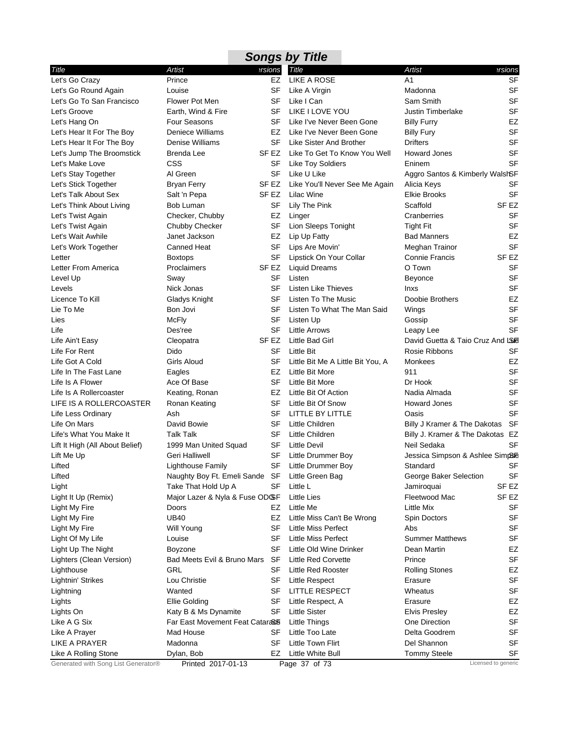| <b>Songs by Title</b><br>Artist<br>ersions<br>Title<br>Artist<br>ersions<br>Title                                                         |                        |
|-------------------------------------------------------------------------------------------------------------------------------------------|------------------------|
|                                                                                                                                           |                        |
| Let's Go Crazy<br><b>LIKE A ROSE</b><br>A1<br>EZ<br>Prince                                                                                | <b>SF</b>              |
| Let's Go Round Again<br>SF<br>Louise<br>Like A Virgin<br>Madonna                                                                          | <b>SF</b>              |
| Let's Go To San Francisco<br><b>Flower Pot Men</b><br>SF<br>Like I Can<br>Sam Smith                                                       | <b>SF</b>              |
| Earth, Wind & Fire<br>SF<br>LIKE I LOVE YOU<br><b>Justin Timberlake</b><br>Let's Groove                                                   | <b>SF</b>              |
| Four Seasons<br>Let's Hang On<br>SF<br>Like I've Never Been Gone<br><b>Billy Furry</b>                                                    | EZ                     |
| Deniece Williams<br>Let's Hear It For The Boy<br>EZ<br>Like I've Never Been Gone<br><b>Billy Fury</b>                                     | <b>SF</b>              |
| Let's Hear It For The Boy<br>Denise Williams<br>SF<br>Like Sister And Brother<br><b>Drifters</b>                                          | <b>SF</b>              |
| Like To Get To Know You Well<br><b>Howard Jones</b><br>Let's Jump The Broomstick<br>Brenda Lee<br>SF EZ                                   | <b>SF</b>              |
| CSS<br>Like Toy Soldiers<br>Eninem<br>Let's Make Love<br>SF                                                                               | <b>SF</b>              |
| Like U Like<br>Al Green<br>SF<br>Aggro Santos & Kimberly WalshSF<br>Let's Stay Together                                                   |                        |
| SF EZ<br>Like You'll Never See Me Again<br>Alicia Keys<br>Let's Stick Together<br><b>Bryan Ferry</b>                                      | SF                     |
| Let's Talk About Sex<br>SF EZ<br><b>Lilac Wine</b><br><b>Elkie Brooks</b><br>Salt 'n Pepa                                                 | <b>SF</b>              |
| SF <sub>EZ</sub><br>Let's Think About Living<br>Lily The Pink<br>Scaffold<br>Bob Luman<br>SF                                              |                        |
| Let's Twist Again<br>Checker, Chubby<br>EZ<br>Linger<br>Cranberries                                                                       | <b>SF</b>              |
| Chubby Checker<br>SF<br>Lion Sleeps Tonight<br>Let's Twist Again<br><b>Tight Fit</b>                                                      | <b>SF</b>              |
| Janet Jackson<br>Let's Wait Awhile<br>EZ<br>Lip Up Fatty<br><b>Bad Manners</b>                                                            | <b>EZ</b>              |
| Canned Heat<br>Let's Work Together<br>SF<br>Lips Are Movin'<br>Meghan Trainor                                                             | <b>SF</b>              |
| SF <sub>EZ</sub><br>SF<br>Lipstick On Your Collar<br><b>Connie Francis</b><br>Letter<br><b>Boxtops</b>                                    |                        |
| Proclaimers<br>O Town<br>Letter From America<br>SF EZ<br><b>Liquid Dreams</b>                                                             | <b>SF</b>              |
| Level Up<br>Sway<br>SF<br>Listen<br>Beyonce                                                                                               | SF                     |
| Levels<br>SF<br>Nick Jonas<br>Listen Like Thieves<br><b>Inxs</b>                                                                          | <b>SF</b>              |
| Licence To Kill<br>SF<br>Listen To The Music<br>Gladys Knight<br>Doobie Brothers                                                          | EZ                     |
| Lie To Me<br>SF<br>Listen To What The Man Said<br>Bon Jovi<br>Wings                                                                       | <b>SF</b>              |
| SF<br>Lies<br>McFly<br>Listen Up<br>Gossip                                                                                                | <b>SF</b>              |
| Life<br>SF<br><b>Little Arrows</b><br>Des'ree<br>Leapy Lee                                                                                | <b>SF</b>              |
| SF EZ<br>Little Bad Girl<br>David Guetta & Taio Cruz And LSF<br>Life Ain't Easy<br>Cleopatra                                              |                        |
| Life For Rent<br>Dido<br>SF<br><b>Little Bit</b><br>Rosie Ribbons                                                                         | SF                     |
| Life Got A Cold<br>Girls Aloud<br>SF<br>Little Bit Me A Little Bit You, A<br>Monkees                                                      | EZ                     |
| Life In The Fast Lane<br>EZ<br>Little Bit More<br>911<br>Eagles                                                                           | <b>SF</b>              |
| Life Is A Flower<br>Ace Of Base<br>SF<br>Little Bit More<br>Dr Hook                                                                       | <b>SF</b>              |
| Life Is A Rollercoaster<br>EZ<br>Little Bit Of Action<br>Keating, Ronan<br>Nadia Almada                                                   | <b>SF</b>              |
| LIFE IS A ROLLERCOASTER<br>Ronan Keating<br>SF<br>Little Bit Of Snow<br><b>Howard Jones</b>                                               | <b>SF</b>              |
| SF<br>LITTLE BY LITTLE<br>Life Less Ordinary<br>Ash<br>Oasis                                                                              | <b>SF</b>              |
| Life On Mars<br>David Bowie<br>Little Children<br>SF<br>Billy J Kramer & The Dakotas                                                      | SF                     |
| Life's What You Make It<br><b>Talk Talk</b><br>SF<br>Little Children<br>Billy J. Kramer & The Dakotas EZ                                  |                        |
| Lift It High (All About Belief)<br>1999 Man United Squad<br>SF<br><b>Little Devil</b><br>Neil Sedaka                                      | SF                     |
| SF<br>Little Drummer Boy<br>Jessica Simpson & Ashlee SimpSF<br>Lift Me Up<br>Geri Halliwell                                               |                        |
| SF Little Drummer Boy<br>Lighthouse Family<br>Lifted<br>Standard                                                                          | <b>SF</b>              |
| Naughty Boy Ft. Emeli Sande SF<br>Lifted<br>Little Green Bag<br>George Baker Selection                                                    | <b>SF</b>              |
| SF EZ<br>Light<br>Take That Hold Up A<br>SF<br>Little L<br>Jamiroquai                                                                     |                        |
| Fleetwood Mac<br>SF EZ<br>Light It Up (Remix)<br>Major Lazer & Nyla & Fuse ODGF<br>Little Lies                                            |                        |
| Little Me<br>Little Mix<br>Light My Fire<br>Doors<br>EZ                                                                                   | SF                     |
| <b>UB40</b><br>Light My Fire<br>EZ<br>Little Miss Can't Be Wrong<br>Spin Doctors                                                          | <b>SF</b><br><b>SF</b> |
| <b>Will Young</b><br>SF<br><b>Little Miss Perfect</b><br>Abs<br>Light My Fire<br><b>Little Miss Perfect</b>                               | <b>SF</b>              |
| Light Of My Life<br>Louise<br>SF<br><b>Summer Matthews</b><br>Little Old Wine Drinker<br>SF<br>Dean Martin                                | EZ                     |
| Light Up The Night<br><b>Boyzone</b><br>Bad Meets Evil & Bruno Mars<br>SF<br>Little Red Corvette<br>Prince                                | <b>SF</b>              |
| Lighters (Clean Version)<br>GRL<br>SF<br><b>Little Red Rooster</b><br><b>Rolling Stones</b>                                               | EZ                     |
| Lighthouse<br>Erasure                                                                                                                     | <b>SF</b>              |
| Lou Christie<br>Lightnin' Strikes<br>SF<br>Little Respect<br>Wanted<br><b>LITTLE RESPECT</b><br>Wheatus<br>Lightning<br>SF                | <b>SF</b>              |
|                                                                                                                                           |                        |
| Lights<br>Ellie Golding<br>SF<br>Little Respect, A<br>Erasure                                                                             | EZ<br><b>EZ</b>        |
| Katy B & Ms Dynamite<br><b>Little Sister</b><br>Lights On<br>SF<br><b>Elvis Presley</b><br>Like A G Six<br>Far East Movement Feat Catara& | <b>SF</b>              |
| <b>Little Things</b><br>One Direction<br>Mad House<br>Little Too Late<br>Delta Goodrem<br>SF                                              | <b>SF</b>              |
| Like A Prayer<br><b>LIKE A PRAYER</b><br>SF<br>Little Town Flirt<br>Del Shannon<br>Madonna                                                | SF                     |
| Little White Bull<br><b>Tommy Steele</b><br>Like A Rolling Stone<br>Dylan, Bob<br>EZ                                                      | SF                     |
| Generated with Song List Generator®<br>Licensed to generic<br>Printed 2017-01-13<br>Page 37 of 73                                         |                        |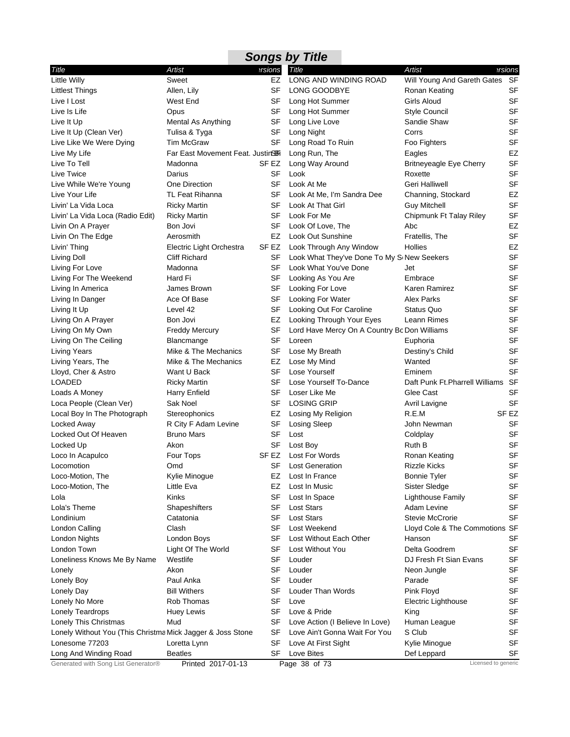|                                                            |                                   |           | <b>Songs by Title</b>                        |                                    |                  |
|------------------------------------------------------------|-----------------------------------|-----------|----------------------------------------------|------------------------------------|------------------|
| Title                                                      | Artist                            | ersions   | Title                                        | <b>Artist</b>                      | ersions          |
| <b>Little Willy</b>                                        | Sweet                             | EZ        | LONG AND WINDING ROAD                        | Will Young And Gareth Gates        | SF               |
| <b>Littlest Things</b>                                     | Allen, Lily                       | SF        | LONG GOODBYE                                 | Ronan Keating                      | <b>SF</b>        |
| Live I Lost                                                | West End                          | SF        | Long Hot Summer                              | <b>Girls Aloud</b>                 | <b>SF</b>        |
| Live Is Life                                               | Opus                              | SF        | Long Hot Summer                              | <b>Style Council</b>               | <b>SF</b>        |
| Live It Up                                                 | Mental As Anything                | SF        | Long Live Love                               | Sandie Shaw                        | <b>SF</b>        |
| Live It Up (Clean Ver)                                     | Tulisa & Tyga                     | SF        | Long Night                                   | Corrs                              | <b>SF</b>        |
| Live Like We Were Dying                                    | <b>Tim McGraw</b>                 | SF        | Long Road To Ruin                            | Foo Fighters                       | SF               |
| Live My Life                                               | Far East Movement Feat. Justin SH |           | Long Run, The                                | Eagles                             | EZ               |
| Live To Tell                                               | Madonna                           | SF EZ     | Long Way Around                              | <b>Britneyeagle Eye Cherry</b>     | <b>SF</b>        |
| Live Twice                                                 | Darius                            | <b>SF</b> | Look                                         | Roxette                            | <b>SF</b>        |
| Live While We're Young                                     | One Direction                     | <b>SF</b> | Look At Me                                   | Geri Halliwell                     | SF               |
| Live Your Life                                             | TL Feat Rihanna                   | SF        | Look At Me, I'm Sandra Dee                   | Channing, Stockard                 | EZ               |
| Livin' La Vida Loca                                        | <b>Ricky Martin</b>               | SF        | Look At That Girl                            | <b>Guy Mitchell</b>                | SF               |
| Livin' La Vida Loca (Radio Edit)                           | <b>Ricky Martin</b>               | SF        | Look For Me                                  | Chipmunk Ft Talay Riley            | <b>SF</b>        |
| Livin On A Prayer                                          | Bon Jovi                          | <b>SF</b> | Look Of Love, The                            | Abc                                | EZ               |
| Livin On The Edge                                          | Aerosmith                         | EZ        | Look Out Sunshine                            | Fratellis, The                     | <b>SF</b>        |
| Livin' Thing                                               | Electric Light Orchestra          | SF EZ     | Look Through Any Window                      | <b>Hollies</b>                     | EZ               |
| Living Doll                                                | <b>Cliff Richard</b>              | SF        | Look What They've Done To My SoNew Seekers   |                                    | <b>SF</b>        |
| Living For Love                                            | Madonna                           | SF        | Look What You've Done                        | Jet                                | <b>SF</b>        |
| Living For The Weekend                                     | Hard Fi                           | SF        | Looking As You Are                           | Embrace                            | <b>SF</b>        |
| Living In America                                          | James Brown                       | SF        | Looking For Love                             | Karen Ramirez                      | <b>SF</b>        |
| Living In Danger                                           | Ace Of Base                       | SF        | Looking For Water                            | <b>Alex Parks</b>                  | SF               |
| Living It Up                                               | Level 42                          | SF        | Looking Out For Caroline                     | Status Quo                         | SF               |
| Living On A Prayer                                         | Bon Jovi                          | EZ        | Looking Through Your Eyes                    | Leann Rimes                        | <b>SF</b>        |
| Living On My Own                                           | <b>Freddy Mercury</b>             | SF        | Lord Have Mercy On A Country Bc Don Williams |                                    | <b>SF</b>        |
| Living On The Ceiling                                      | Blancmange                        | <b>SF</b> | Loreen                                       | Euphoria                           | <b>SF</b>        |
| <b>Living Years</b>                                        | Mike & The Mechanics              | SF        | Lose My Breath                               | Destiny's Child                    | <b>SF</b>        |
| Living Years, The                                          | Mike & The Mechanics              | EZ        | Lose My Mind                                 | Wanted                             | <b>SF</b>        |
| Lloyd, Cher & Astro                                        | Want U Back                       | SF        | Lose Yourself                                | Eminem                             | <b>SF</b>        |
| LOADED                                                     | <b>Ricky Martin</b>               | <b>SF</b> | Lose Yourself To-Dance                       | Daft Punk Ft. Pharrell Williams SF |                  |
| Loads A Money                                              | <b>Harry Enfield</b>              | SF        | Loser Like Me                                | Glee Cast                          | <b>SF</b>        |
| Loca People (Clean Ver)                                    | Sak Noel                          | SF        | <b>LOSING GRIP</b>                           | Avril Lavigne                      | <b>SF</b>        |
| Local Boy In The Photograph                                | Stereophonics                     | EZ        | Losing My Religion                           | R.E.M                              | SF <sub>EZ</sub> |
| Locked Away                                                | R City F Adam Levine              | SF        | Losing Sleep                                 | John Newman                        | <b>SF</b>        |
| Locked Out Of Heaven                                       | <b>Bruno Mars</b>                 | SF        | Lost                                         | Coldplay                           | <b>SF</b>        |
| Locked Up                                                  | Akon                              | SF        | Lost Boy                                     | Ruth B                             | <b>SF</b>        |
| Loco In Acapulco                                           | Four Tops                         | SF EZ     | Lost For Words                               | Ronan Keating                      | <b>SF</b>        |
| Locomotion                                                 | Omd                               |           | SF Lost Generation                           | <b>Rizzle Kicks</b>                | SF               |
| Loco-Motion, The                                           | Kylie Minogue                     | EZ        | Lost In France                               | <b>Bonnie Tyler</b>                | SF               |
| Loco-Motion, The                                           | Little Eva                        | EZ        | Lost In Music                                | Sister Sledge                      | SF               |
| Lola                                                       | Kinks                             | <b>SF</b> | Lost In Space                                | <b>Lighthouse Family</b>           | SF               |
| Lola's Theme                                               | Shapeshifters                     | SF        | <b>Lost Stars</b>                            | Adam Levine                        | SF               |
| Londinium                                                  | Catatonia                         | SF        | <b>Lost Stars</b>                            | <b>Stevie McCrorie</b>             | SF               |
| London Calling                                             | Clash                             | SF        | Lost Weekend                                 | Lloyd Cole & The Commotions SF     |                  |
| London Nights                                              | London Boys                       | <b>SF</b> | Lost Without Each Other                      | Hanson                             | <b>SF</b>        |
| London Town                                                | Light Of The World                | SF        | Lost Without You                             | Delta Goodrem                      | <b>SF</b>        |
| Loneliness Knows Me By Name                                | Westlife                          | SF        | Louder                                       | DJ Fresh Ft Sian Evans             | SF               |
| Lonely                                                     | Akon                              | SF        | Louder                                       | Neon Jungle                        | <b>SF</b>        |
| Lonely Boy                                                 | Paul Anka                         | SF        | Louder                                       | Parade                             | SF               |
| Lonely Day                                                 | <b>Bill Withers</b>               | SF        | Louder Than Words                            | Pink Floyd                         | SF               |
| Lonely No More                                             | Rob Thomas                        | <b>SF</b> | Love                                         | Electric Lighthouse                | SF               |
| Lonely Teardrops                                           | <b>Huey Lewis</b>                 | SF        | Love & Pride                                 | King                               | <b>SF</b>        |
| Lonely This Christmas                                      | Mud                               | SF        | Love Action (I Believe In Love)              | Human League                       | <b>SF</b>        |
| Lonely Without You (This Christma Mick Jagger & Joss Stone |                                   | SF        | Love Ain't Gonna Wait For You                | S Club                             | SF               |
| Lonesome 77203                                             | Loretta Lynn                      | <b>SF</b> | Love At First Sight                          | Kylie Minogue                      | SF               |
| Long And Winding Road                                      | <b>Beatles</b>                    | SF        | Love Bites                                   | Def Leppard                        | SF               |
| Generated with Song List Generator®                        | Printed 2017-01-13                |           | Page 38 of 73                                | Licensed to generic                |                  |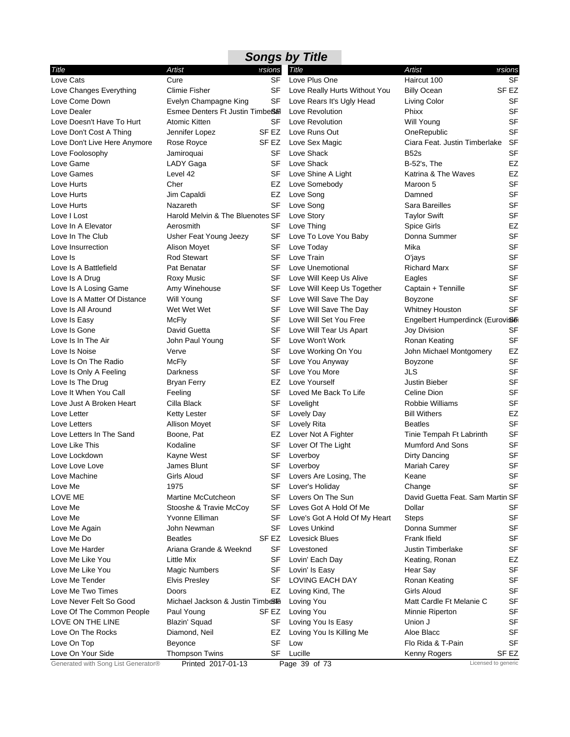| Title                        | <b>Artist</b>                                | ersions   | Title                         | Artist                           | ersions          |
|------------------------------|----------------------------------------------|-----------|-------------------------------|----------------------------------|------------------|
| Love Cats                    | Cure                                         | <b>SF</b> | Love Plus One                 | Haircut 100                      | <b>SF</b>        |
| Love Changes Everything      | <b>Climie Fisher</b>                         | SF        | Love Really Hurts Without You | <b>Billy Ocean</b>               | SF EZ            |
| Love Come Down               | Evelyn Champagne King                        | SF        | Love Rears It's Ugly Head     | Living Color                     | <b>SF</b>        |
| Love Dealer                  | Esmee Denters Ft Justin Timbe <sub>Ban</sub> |           | Love Revolution               | Phixx                            | <b>SF</b>        |
| Love Doesn't Have To Hurt    | Atomic Kitten                                | <b>SF</b> | Love Revolution               | <b>Will Young</b>                | <b>SF</b>        |
| Love Don't Cost A Thing      | Jennifer Lopez                               | SF EZ     | Love Runs Out                 | OneRepublic                      | <b>SF</b>        |
| Love Don't Live Here Anymore | Rose Royce                                   | SF EZ     | Love Sex Magic                | Ciara Feat. Justin Timberlake    | <b>SF</b>        |
| Love Foolosophy              | Jamiroquai                                   | SF        | Love Shack                    | <b>B52s</b>                      | <b>SF</b>        |
| Love Game                    | LADY Gaga                                    | SF        | Love Shack                    | <b>B-52's, The</b>               | <b>EZ</b>        |
| Love Games                   | Level 42                                     | SF        | Love Shine A Light            | Katrina & The Waves              | EZ               |
| Love Hurts                   | Cher                                         | EZ        | Love Somebody                 | Maroon 5                         | <b>SF</b>        |
| Love Hurts                   | Jim Capaldi                                  | EZ        | Love Song                     | Damned                           | <b>SF</b>        |
| Love Hurts                   | Nazareth                                     | SF        | Love Song                     | Sara Bareilles                   | SF               |
| Love I Lost                  | Harold Melvin & The Bluenotes SF             |           | Love Story                    | <b>Taylor Swift</b>              | <b>SF</b>        |
| Love In A Elevator           | Aerosmith                                    | SF        | Love Thing                    | <b>Spice Girls</b>               | EZ               |
| Love In The Club             | Usher Feat Young Jeezy                       | SF        | Love To Love You Baby         | Donna Summer                     | <b>SF</b>        |
| Love Insurrection            | Alison Moyet                                 | SF        | Love Today                    | Mika                             | <b>SF</b>        |
| Love Is                      | Rod Stewart                                  | <b>SF</b> | Love Train                    | O'jays                           | <b>SF</b>        |
| Love Is A Battlefield        | Pat Benatar                                  | <b>SF</b> | Love Unemotional              | <b>Richard Marx</b>              | <b>SF</b>        |
| Love Is A Drug               | Roxy Music                                   | SF        | Love Will Keep Us Alive       | Eagles                           | <b>SF</b>        |
| Love Is A Losing Game        | Amy Winehouse                                | SF        | Love Will Keep Us Together    | Captain + Tennille               | SF               |
| Love Is A Matter Of Distance | <b>Will Young</b>                            | SF        | Love Will Save The Day        | Boyzone                          | <b>SF</b>        |
| Love Is All Around           | Wet Wet Wet                                  | SF        | Love Will Save The Day        | Whitney Houston                  | <b>SF</b>        |
| Love Is Easy                 | <b>McFly</b>                                 | SF        | Love Will Set You Free        | Engelbert Humperdinck (EuroviSo) |                  |
| Love Is Gone                 | David Guetta                                 | <b>SF</b> | Love Will Tear Us Apart       | Joy Division                     | <b>SF</b>        |
| Love Is In The Air           | John Paul Young                              | SF        | Love Won't Work               | Ronan Keating                    | <b>SF</b>        |
| Love Is Noise                | Verve                                        | SF        | Love Working On You           | John Michael Montgomery          | EZ               |
| Love Is On The Radio         | <b>McFly</b>                                 | SF        | Love You Anyway               | Boyzone                          | <b>SF</b>        |
| Love Is Only A Feeling       | Darkness                                     | SF        | Love You More                 | <b>JLS</b>                       | <b>SF</b>        |
| Love Is The Drug             | <b>Bryan Ferry</b>                           | EZ        | Love Yourself                 | <b>Justin Bieber</b>             | SF               |
| Love It When You Call        | Feeling                                      | SF        | Loved Me Back To Life         | Celine Dion                      | <b>SF</b>        |
| Love Just A Broken Heart     | Cilla Black                                  | <b>SF</b> | Lovelight                     | Robbie Williams                  | <b>SF</b>        |
| Love Letter                  | <b>Ketty Lester</b>                          | SF        | Lovely Day                    | <b>Bill Withers</b>              | EZ               |
| Love Letters                 | <b>Allison Moyet</b>                         | SF        | Lovely Rita                   | <b>Beatles</b>                   | <b>SF</b>        |
| Love Letters In The Sand     | Boone, Pat                                   | EZ        | Lover Not A Fighter           | Tinie Tempah Ft Labrinth         | <b>SF</b>        |
| Love Like This               | Kodaline                                     | SF        | Lover Of The Light            | <b>Mumford And Sons</b>          | <b>SF</b>        |
| Love Lockdown                | Kayne West                                   | <b>SF</b> | Loverboy                      | Dirty Dancing                    | SF               |
| Love Love Love               | James Blunt                                  | SF        | Loverboy                      | Mariah Carey                     | <b>SF</b>        |
| Love Machine                 | Girls Aloud                                  | SF        | Lovers Are Losing, The        | Keane                            | <b>SF</b>        |
| Love Me                      | 1975                                         | SF        | Lover's Holiday               | Change                           | <b>SF</b>        |
| LOVE ME                      | Martine McCutcheon                           | SF        | Lovers On The Sun             | David Guetta Feat. Sam Martin SF |                  |
| Love Me                      | Stooshe & Travie McCoy                       | SF        | Loves Got A Hold Of Me        | Dollar                           | <b>SF</b>        |
| Love Me                      | Yvonne Elliman                               | <b>SF</b> | Love's Got A Hold Of My Heart | <b>Steps</b>                     | SF               |
| Love Me Again                | John Newman                                  | SF        | Loves Unkind                  | Donna Summer                     | <b>SF</b>        |
| Love Me Do                   | <b>Beatles</b>                               | SF EZ     | <b>Lovesick Blues</b>         | Frank Ifield                     | SF               |
| Love Me Harder               | Ariana Grande & Weeknd                       | SF        | Lovestoned                    | <b>Justin Timberlake</b>         | <b>SF</b>        |
| Love Me Like You             | Little Mix                                   | SF        | Lovin' Each Day               | Keating, Ronan                   | EZ               |
| Love Me Like You             |                                              | SF        | Lovin' Is Easy                |                                  | <b>SF</b>        |
|                              | <b>Magic Numbers</b>                         | SF        | LOVING EACH DAY               | Hear Say                         | <b>SF</b>        |
| Love Me Tender               | <b>Elvis Presley</b>                         |           |                               | Ronan Keating                    |                  |
| Love Me Two Times            | Doors                                        | EZ        | Loving Kind, The              | Girls Aloud                      | <b>SF</b>        |
| Love Never Felt So Good      | Michael Jackson & Justin Timbes              |           | Loving You                    | Matt Cardle Ft Melanie C         | SF               |
| Love Of The Common People    | Paul Young                                   | SF EZ     | Loving You                    | Minnie Riperton                  | <b>SF</b>        |
| LOVE ON THE LINE             | Blazin' Squad                                | SF        | Loving You Is Easy            | Union J                          | <b>SF</b>        |
| Love On The Rocks            | Diamond, Neil                                | EZ        | Loving You Is Killing Me      | Aloe Blacc                       | SF               |
| Love On Top                  | Beyonce                                      | <b>SF</b> | Low                           | Flo Rida & T-Pain                | <b>SF</b>        |
| Love On Your Side            | <b>Thompson Twins</b>                        | SF        | Lucille                       | Kenny Rogers                     | SF <sub>EZ</sub> |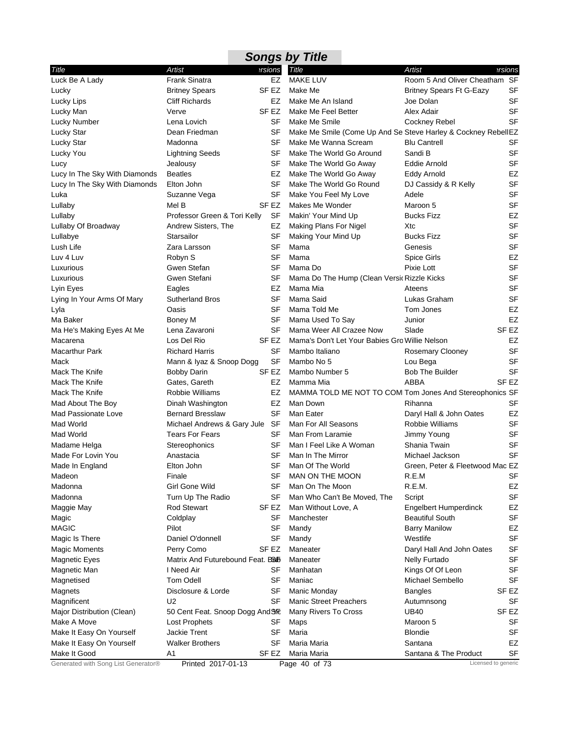|                                     |                                  |           | <b>Songs by Title</b>                                         |                                 |                     |
|-------------------------------------|----------------------------------|-----------|---------------------------------------------------------------|---------------------------------|---------------------|
| Title                               | Artist                           | ersions   | Title                                                         | Artist                          | ersions             |
| Luck Be A Lady                      | <b>Frank Sinatra</b>             | EZ        | <b>MAKE LUV</b>                                               | Room 5 And Oliver Cheatham SF   |                     |
| Lucky                               | <b>Britney Spears</b>            | SF EZ     | Make Me                                                       | <b>Britney Spears Ft G-Eazy</b> | <b>SF</b>           |
| Lucky Lips                          | <b>Cliff Richards</b>            | EZ        | Make Me An Island                                             | Joe Dolan                       | <b>SF</b>           |
| Lucky Man                           | Verve                            | SF EZ     | Make Me Feel Better                                           | Alex Adair                      | <b>SF</b>           |
| Lucky Number                        | Lena Lovich                      | SF        | Make Me Smile                                                 | Cockney Rebel                   | <b>SF</b>           |
| Lucky Star                          | Dean Friedman                    | SF        | Make Me Smile (Come Up And Se Steve Harley & Cockney RebellEZ |                                 |                     |
| <b>Lucky Star</b>                   | Madonna                          | SF        | Make Me Wanna Scream                                          | <b>Blu Cantrell</b>             | <b>SF</b>           |
| Lucky You                           | <b>Lightning Seeds</b>           | SF        | Make The World Go Around                                      | Sandi B                         | <b>SF</b>           |
| Lucy                                | Jealousy                         | SF        | Make The World Go Away                                        | Eddie Arnold                    | <b>SF</b>           |
| Lucy In The Sky With Diamonds       | <b>Beatles</b>                   | EZ        | Make The World Go Away                                        | Eddy Arnold                     | EZ                  |
| Lucy In The Sky With Diamonds       | Elton John                       | SF        | Make The World Go Round                                       | DJ Cassidy & R Kelly            | <b>SF</b>           |
| Luka                                | Suzanne Vega                     | SF        | Make You Feel My Love                                         | Adele                           | <b>SF</b>           |
| Lullaby                             | Mel B                            | SF EZ     | Makes Me Wonder                                               | Maroon 5                        | <b>SF</b>           |
| Lullaby                             | Professor Green & Tori Kelly     | SF        | Makin' Your Mind Up                                           | <b>Bucks Fizz</b>               | EZ                  |
| Lullaby Of Broadway                 | Andrew Sisters, The              | EZ        | Making Plans For Nigel                                        | Xtc                             | <b>SF</b>           |
| Lullabye                            | Starsailor                       | SF        | Making Your Mind Up                                           | <b>Bucks Fizz</b>               | <b>SF</b>           |
| Lush Life                           | Zara Larsson                     | SF        | Mama                                                          | Genesis                         | <b>SF</b>           |
| Luv 4 Luv                           | Robyn S                          | SF        | Mama                                                          | <b>Spice Girls</b>              | EZ                  |
| Luxurious                           | Gwen Stefan                      | SF        | Mama Do                                                       | Pixie Lott                      | <b>SF</b>           |
| Luxurious                           | Gwen Stefani                     | SF        | Mama Do The Hump (Clean Versic Rizzle Kicks                   |                                 | <b>SF</b>           |
| Lyin Eyes                           | Eagles                           | EZ        | Mama Mia                                                      | Ateens                          | <b>SF</b>           |
| Lying In Your Arms Of Mary          | <b>Sutherland Bros</b>           | <b>SF</b> | Mama Said                                                     | Lukas Graham                    | <b>SF</b>           |
| Lyla                                | Oasis                            | SF        | Mama Told Me                                                  | Tom Jones                       | EZ                  |
| Ma Baker                            | Boney M                          | SF        | Mama Used To Say                                              | Junior                          | EZ                  |
| Ma He's Making Eyes At Me           | Lena Zavaroni                    | <b>SF</b> | Mama Weer All Crazee Now                                      | Slade                           | SF <sub>EZ</sub>    |
| Macarena                            | Los Del Rio                      | SF EZ     | Mama's Don't Let Your Babies Gro Willie Nelson                |                                 | EZ                  |
| <b>Macarthur Park</b>               | <b>Richard Harris</b>            | SF        | Mambo Italiano                                                | Rosemary Clooney                | <b>SF</b>           |
| Mack                                | Mann & Iyaz & Snoop Dogg         | SF        | Mambo No 5                                                    | Lou Bega                        | <b>SF</b>           |
| Mack The Knife                      | <b>Bobby Darin</b>               | SF EZ     | Mambo Number 5                                                | <b>Bob The Builder</b>          | <b>SF</b>           |
| Mack The Knife                      | Gates, Gareth                    | EZ        | Mamma Mia                                                     | ABBA                            | SF <sub>EZ</sub>    |
| Mack The Knife                      | Robbie Williams                  | EZ        | MAMMA TOLD ME NOT TO COM Tom Jones And Stereophonics SF       |                                 |                     |
| Mad About The Boy                   | Dinah Washington                 | EZ        | Man Down                                                      | Rihanna                         | <b>SF</b>           |
| <b>Mad Passionate Love</b>          | <b>Bernard Bresslaw</b>          | SF        | Man Eater                                                     | Daryl Hall & John Oates         | EZ                  |
| Mad World                           | Michael Andrews & Gary Jule SF   |           | Man For All Seasons                                           | Robbie Williams                 | <b>SF</b>           |
| Mad World                           | <b>Tears For Fears</b>           | SF        | Man From Laramie                                              | Jimmy Young                     | <b>SF</b>           |
| Madame Helga                        | Stereophonics                    | SF        | Man I Feel Like A Woman                                       | Shania Twain                    | SF                  |
| Made For Lovin You                  | Anastacia                        | SF        | Man In The Mirror                                             | Michael Jackson                 | <b>SF</b>           |
| Made In England                     | Elton John                       |           | SF Man Of The World                                           | Green, Peter & Fleetwood Mac EZ |                     |
| Madeon                              | Finale                           | SF        | MAN ON THE MOON                                               | R.E.M                           | SF                  |
| Madonna                             | Girl Gone Wild                   | <b>SF</b> | Man On The Moon                                               | R.E.M.                          | EZ                  |
| Madonna                             | Turn Up The Radio                | SF        | Man Who Can't Be Moved, The                                   | Script                          | <b>SF</b>           |
| Maggie May                          | <b>Rod Stewart</b>               | SF EZ     | Man Without Love, A                                           | <b>Engelbert Humperdinck</b>    | EZ                  |
| Magic                               | Coldplay                         | SF        | Manchester                                                    | <b>Beautiful South</b>          | SF                  |
| <b>MAGIC</b>                        | Pilot                            | <b>SF</b> | Mandy                                                         | <b>Barry Manilow</b>            | EZ                  |
| Magic Is There                      | Daniel O'donnell                 | <b>SF</b> | Mandy                                                         | Westlife                        | <b>SF</b>           |
| <b>Magic Moments</b>                | Perry Como                       | SF EZ     | Maneater                                                      | Daryl Hall And John Oates       | <b>SF</b>           |
| <b>Magnetic Eyes</b>                | Matrix And Futurebound Feat. B&B |           | Maneater                                                      | <b>Nelly Furtado</b>            | <b>SF</b>           |
| Magnetic Man                        | I Need Air                       | SF        | Manhatan                                                      | Kings Of Of Leon                | <b>SF</b>           |
| Magnetised                          | <b>Tom Odell</b>                 | SF        | Maniac                                                        | Michael Sembello                | <b>SF</b>           |
| Magnets                             | Disclosure & Lorde               | <b>SF</b> | Manic Monday                                                  | <b>Bangles</b>                  | SF EZ               |
| Magnificent                         | U2                               | SF        | <b>Manic Street Preachers</b>                                 | Autumnsong                      | SF                  |
| Major Distribution (Clean)          | 50 Cent Feat. Snoop Dogg And She |           | Many Rivers To Cross                                          | <b>UB40</b>                     | SF EZ               |
| Make A Move                         | Lost Prophets                    | SF        | Maps                                                          | Maroon 5                        | SF                  |
| Make It Easy On Yourself            | Jackie Trent                     | SF        | Maria                                                         | <b>Blondie</b>                  | SF                  |
| Make It Easy On Yourself            | <b>Walker Brothers</b>           | <b>SF</b> | Maria Maria                                                   | Santana                         | EZ                  |
| Make It Good                        | A1                               | SF EZ     | Maria Maria                                                   | Santana & The Product           | SF                  |
| Generated with Song List Generator® | Printed 2017-01-13               |           | Page 40 of 73                                                 |                                 | Licensed to generic |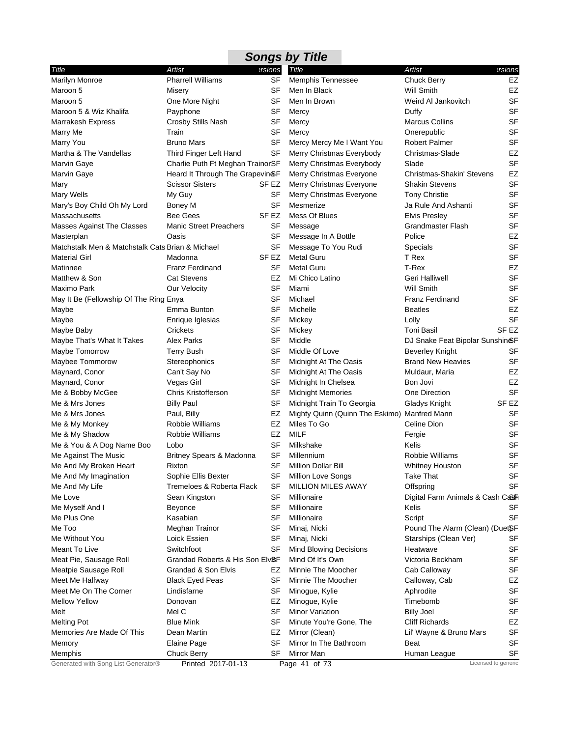|                                                  |                                   |                  | <b>Songs by Title</b>                           |                                  |                     |
|--------------------------------------------------|-----------------------------------|------------------|-------------------------------------------------|----------------------------------|---------------------|
| Title                                            | Artist                            | ersions          | Title                                           | <b>Artist</b>                    | ersions             |
| Marilyn Monroe                                   | <b>Pharrell Williams</b>          | <b>SF</b>        | <b>Memphis Tennessee</b>                        | <b>Chuck Berry</b>               | EZ                  |
| Maroon 5                                         | Misery                            | SF               | Men In Black                                    | Will Smith                       | EZ                  |
| Maroon 5                                         | One More Night                    | SF               | Men In Brown                                    | Weird AI Jankovitch              | <b>SF</b>           |
| Maroon 5 & Wiz Khalifa                           | Payphone                          | SF               | Mercy                                           | Duffy                            | <b>SF</b>           |
| Marrakesh Express                                | Crosby Stills Nash                | SF               | Mercy                                           | <b>Marcus Collins</b>            | <b>SF</b>           |
| Marry Me                                         | Train                             | SF               | Mercy                                           | Onerepublic                      | <b>SF</b>           |
| Marry You                                        | <b>Bruno Mars</b>                 | <b>SF</b>        | Mercy Mercy Me I Want You                       | Robert Palmer                    | <b>SF</b>           |
| Martha & The Vandellas                           | Third Finger Left Hand            | SF               | Merry Christmas Everybody                       | Christmas-Slade                  | EZ                  |
| Marvin Gaye                                      | Charlie Puth Ft Meghan TrainorSF  |                  | Merry Christmas Everybody                       | Slade                            | <b>SF</b>           |
| Marvin Gaye                                      | Heard It Through The Grapevin&F   |                  | Merry Christmas Everyone                        | Christmas-Shakin' Stevens        | EZ                  |
| Mary                                             | <b>Scissor Sisters</b>            | SF EZ            | Merry Christmas Everyone                        | <b>Shakin Stevens</b>            | <b>SF</b>           |
| Mary Wells                                       | My Guy                            | SF               | Merry Christmas Everyone                        | <b>Tony Christie</b>             | <b>SF</b>           |
| Mary's Boy Child Oh My Lord                      | Boney M                           | SF               | Mesmerize                                       | Ja Rule And Ashanti              | <b>SF</b>           |
| Massachusetts                                    | <b>Bee Gees</b>                   | SF <sub>EZ</sub> | Mess Of Blues                                   | <b>Elvis Presley</b>             | <b>SF</b>           |
| Masses Against The Classes                       | <b>Manic Street Preachers</b>     | SF               | Message                                         | <b>Grandmaster Flash</b>         | <b>SF</b>           |
| Masterplan                                       | Oasis                             | SF               | Message In A Bottle                             | Police                           | EZ                  |
| Matchstalk Men & Matchstalk Cats Brian & Michael |                                   | SF               | Message To You Rudi                             | Specials                         | <b>SF</b>           |
| <b>Material Girl</b>                             | Madonna                           | SF EZ            | <b>Metal Guru</b>                               | T Rex                            | <b>SF</b>           |
| Matinnee                                         | Franz Ferdinand                   | SF               | <b>Metal Guru</b>                               | T-Rex                            | EZ                  |
| Matthew & Son                                    | <b>Cat Stevens</b>                | EZ               | Mi Chico Latino                                 | Geri Halliwell                   | <b>SF</b>           |
| Maximo Park                                      | Our Velocity                      | SF               | Miami                                           | Will Smith                       | <b>SF</b>           |
| May It Be (Fellowship Of The Ring Enya           |                                   | SF               | Michael                                         | <b>Franz Ferdinand</b>           | <b>SF</b>           |
| Maybe                                            | Emma Bunton                       | SF               | Michelle                                        | <b>Beatles</b>                   | EZ<br><b>SF</b>     |
| Maybe                                            | Enrique Iglesias                  | SF               | Mickey                                          | Lolly                            |                     |
| Maybe Baby                                       | Crickets                          | SF               | Mickey                                          | <b>Toni Basil</b>                | SF <sub>EZ</sub>    |
| Maybe That's What It Takes                       | <b>Alex Parks</b>                 | SF               | Middle                                          | DJ Snake Feat Bipolar Sunshin&F  | <b>SF</b>           |
| Maybe Tomorrow                                   | Terry Bush                        | SF               | Middle Of Love                                  | Beverley Knight                  | SF                  |
| Maybee Tommorow                                  | Stereophonics                     | SF<br><b>SF</b>  | Midnight At The Oasis                           | <b>Brand New Heavies</b>         | EZ                  |
| Maynard, Conor                                   | Can't Say No                      | SF               | Midnight At The Oasis                           | Muldaur, Maria<br>Bon Jovi       | EZ                  |
| Maynard, Conor<br>Me & Bobby McGee               | Vegas Girl<br>Chris Kristofferson | SF               | Midnight In Chelsea<br><b>Midnight Memories</b> | One Direction                    | <b>SF</b>           |
| Me & Mrs Jones                                   | <b>Billy Paul</b>                 | SF               | Midnight Train To Georgia                       | Gladys Knight                    | SF <sub>EZ</sub>    |
| Me & Mrs Jones                                   | Paul, Billy                       | EZ               | Mighty Quinn (Quinn The Eskimo) Manfred Mann    |                                  | <b>SF</b>           |
| Me & My Monkey                                   | Robbie Williams                   | EZ               | Miles To Go                                     | Celine Dion                      | <b>SF</b>           |
| Me & My Shadow                                   | Robbie Williams                   | EZ               | MILF                                            | Fergie                           | <b>SF</b>           |
| Me & You & A Dog Name Boo                        | Lobo                              | SF               | Milkshake                                       | Kelis                            | <b>SF</b>           |
| Me Against The Music                             | Britney Spears & Madonna          | SF               | Millennium                                      | Robbie Williams                  | <b>SF</b>           |
| Me And My Broken Heart                           | Rixton                            | SF               | Million Dollar Bill                             | Whitney Houston                  | SF                  |
| Me And My Imagination                            | Sophie Ellis Bexter               | SF               | Million Love Songs                              | Take That                        | <b>SF</b>           |
| Me And My Life                                   | Tremeloes & Roberta Flack         | SF               | <b>MILLION MILES AWAY</b>                       | Offspring                        | <b>SF</b>           |
| Me Love                                          | Sean Kingston                     | SF               | Millionaire                                     | Digital Farm Animals & Cash Cash |                     |
| Me Myself And I                                  | Beyonce                           | SF               | Millionaire                                     | Kelis                            | SF                  |
| Me Plus One                                      | Kasabian                          | SF               | Millionaire                                     | Script                           | <b>SF</b>           |
| Me Too                                           | Meghan Trainor                    | SF               | Minaj, Nicki                                    | Pound The Alarm (Clean) (DuetSF  |                     |
| Me Without You                                   | Loick Essien                      | SF               | Minaj, Nicki                                    | Starships (Clean Ver)            | SF                  |
| Meant To Live                                    | Switchfoot                        | SF               | Mind Blowing Decisions                          | Heatwave                         | <b>SF</b>           |
| Meat Pie, Sausage Roll                           | Grandad Roberts & His Son Elv&F   |                  | Mind Of It's Own                                | Victoria Beckham                 | SF                  |
| Meatpie Sausage Roll                             | Grandad & Son Elvis               | EZ               | Minnie The Moocher                              | Cab Calloway                     | <b>SF</b>           |
| Meet Me Halfway                                  | <b>Black Eyed Peas</b>            | SF               | Minnie The Moocher                              | Calloway, Cab                    | EZ                  |
| Meet Me On The Corner                            | Lindisfarne                       | SF               | Minogue, Kylie                                  | Aphrodite                        | SF                  |
| <b>Mellow Yellow</b>                             | Donovan                           | EZ               | Minogue, Kylie                                  | Timebomb                         | <b>SF</b>           |
| Melt                                             | Mel C                             | SF               | <b>Minor Variation</b>                          | <b>Billy Joel</b>                | <b>SF</b>           |
| <b>Melting Pot</b>                               | <b>Blue Mink</b>                  | SF               | Minute You're Gone, The                         | <b>Cliff Richards</b>            | EZ                  |
| Memories Are Made Of This                        | Dean Martin                       | EZ               | Mirror (Clean)                                  | Lil' Wayne & Bruno Mars          | SF                  |
| Memory                                           | Elaine Page                       | SF               | Mirror In The Bathroom                          | Beat                             | SF                  |
| Memphis                                          | <b>Chuck Berry</b>                | SF               | Mirror Man                                      | Human League                     | <b>SF</b>           |
| Generated with Song List Generator®              | Printed 2017-01-13                |                  | Page 41 of 73                                   |                                  | Licensed to generic |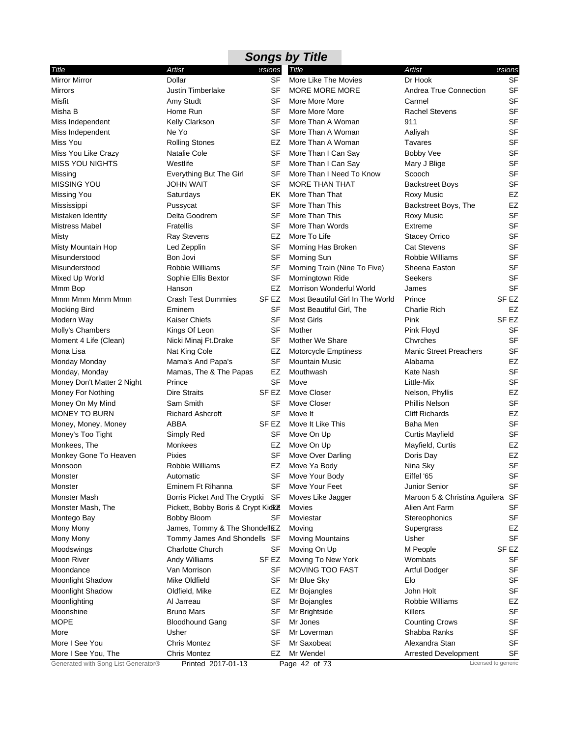|                                     |                                    |                  | <b>Songs by Title</b>            |                               |                                   |
|-------------------------------------|------------------------------------|------------------|----------------------------------|-------------------------------|-----------------------------------|
| Title                               | Artist                             | ersions          | <b>Title</b>                     | <b>Artist</b>                 | ersions                           |
| <b>Mirror Mirror</b>                | Dollar                             | SF               | More Like The Movies             | Dr Hook                       | <b>SF</b>                         |
| <b>Mirrors</b>                      | <b>Justin Timberlake</b>           | SF               | MORE MORE MORE                   | Andrea True Connection        | <b>SF</b>                         |
| Misfit                              | Amy Studt                          | SF               | More More More                   | Carmel                        | <b>SF</b>                         |
| Misha B                             | Home Run                           | SF               | More More More                   | <b>Rachel Stevens</b>         | <b>SF</b>                         |
| Miss Independent                    | Kelly Clarkson                     | SF               | More Than A Woman                | 911                           | <b>SF</b>                         |
| Miss Independent                    | Ne Yo                              | SF               | More Than A Woman                | Aaliyah                       | <b>SF</b>                         |
| Miss You                            | <b>Rolling Stones</b>              | EZ               | More Than A Woman                | <b>Tavares</b>                | <b>SF</b>                         |
| Miss You Like Crazy                 | Natalie Cole                       | SF               | More Than I Can Say              | Bobby Vee                     | <b>SF</b>                         |
| <b>MISS YOU NIGHTS</b>              | Westlife                           | SF               | More Than I Can Say              | Mary J Blige                  | <b>SF</b>                         |
| Missing                             | Everything But The Girl            | <b>SF</b>        | More Than I Need To Know         | Scooch                        | <b>SF</b>                         |
| <b>MISSING YOU</b>                  | <b>JOHN WAIT</b>                   | SF               | <b>MORE THAN THAT</b>            | <b>Backstreet Boys</b>        | <b>SF</b>                         |
| Missing You                         | Saturdays                          | EK               | More Than That                   | Roxy Music                    | EZ                                |
| Mississippi                         | Pussycat                           | SF               | More Than This                   | Backstreet Boys, The          | EZ                                |
| Mistaken Identity                   | Delta Goodrem                      | <b>SF</b>        | More Than This                   | <b>Roxy Music</b>             | <b>SF</b>                         |
| <b>Mistress Mabel</b>               | <b>Fratellis</b>                   | SF               | More Than Words                  | Extreme                       | <b>SF</b>                         |
| Misty                               | <b>Ray Stevens</b>                 | EZ               | More To Life                     | <b>Stacey Orrico</b>          | <b>SF</b>                         |
| Misty Mountain Hop                  | Led Zepplin                        | <b>SF</b>        | Morning Has Broken               | <b>Cat Stevens</b>            | <b>SF</b>                         |
| Misunderstood                       | Bon Jovi                           | SF               | Morning Sun                      | Robbie Williams               | <b>SF</b>                         |
| Misunderstood                       | Robbie Williams                    | SF               | Morning Train (Nine To Five)     | Sheena Easton                 | <b>SF</b>                         |
| Mixed Up World                      | Sophie Ellis Bextor                | SF               | Morningtown Ride                 | <b>Seekers</b>                | <b>SF</b>                         |
| Mmm Bop                             | Hanson                             | EZ               | Morrison Wonderful World         | James                         | <b>SF</b>                         |
| Mmm Mmm Mmm Mmm                     | <b>Crash Test Dummies</b>          | SF EZ            | Most Beautiful Girl In The World | Prince                        | SF <sub>EZ</sub>                  |
| <b>Mocking Bird</b>                 | Eminem                             | SF               | Most Beautiful Girl, The         | <b>Charlie Rich</b>           | EZ                                |
| Modern Way                          | <b>Kaiser Chiefs</b>               | SF               | <b>Most Girls</b>                | Pink                          | SF EZ                             |
| Molly's Chambers                    | Kings Of Leon                      | <b>SF</b>        | Mother                           | Pink Floyd                    | <b>SF</b>                         |
| Moment 4 Life (Clean)               | Nicki Minaj Ft.Drake               | SF               | Mother We Share                  | Chyrches                      | <b>SF</b>                         |
| Mona Lisa                           | Nat King Cole                      | EZ               | Motorcycle Emptiness             | <b>Manic Street Preachers</b> | <b>SF</b>                         |
| Monday Monday                       | Mama's And Papa's                  | SF               | <b>Mountain Music</b>            | Alabama                       | EZ                                |
| Monday, Monday                      | Mamas, The & The Papas             | EZ               | Mouthwash                        | Kate Nash                     | <b>SF</b>                         |
| Money Don't Matter 2 Night          | Prince                             | <b>SF</b>        | Move                             | Little-Mix                    | <b>SF</b>                         |
| Money For Nothing                   | <b>Dire Straits</b>                | SF EZ            | Move Closer                      | Nelson, Phyllis               | EZ                                |
| Money On My Mind                    | Sam Smith                          | <b>SF</b>        | Move Closer                      | Phillis Nelson                | <b>SF</b>                         |
| <b>MONEY TO BURN</b>                | <b>Richard Ashcroft</b>            | SF               | Move It                          | <b>Cliff Richards</b>         | EZ                                |
| Money, Money, Money                 | ABBA                               | SF EZ            | Move It Like This                | Baha Men                      | <b>SF</b>                         |
| Money's Too Tight                   | Simply Red                         | SF               | Move On Up                       | <b>Curtis Mayfield</b>        | <b>SF</b>                         |
| Monkees, The                        | Monkees                            | EZ               | Move On Up                       | Mayfield, Curtis              | EZ                                |
| Monkey Gone To Heaven               | Pixies                             | <b>SF</b>        | Move Over Darling                | Doris Day                     | EZ                                |
| Monsoon                             | Robbie Williams                    |                  | EZ Move Ya Body                  | Nina Sky                      | $\ensuremath{\mathsf{SF}}\xspace$ |
| Monster                             | Automatic                          | SF               | Move Your Body                   | Eiffel '65                    | <b>SF</b>                         |
| Monster                             | Eminem Ft Rihanna                  | <b>SF</b>        | Move Your Feet                   | Junior Senior                 | <b>SF</b>                         |
| <b>Monster Mash</b>                 | Borris Picket And The Cryptki SF   |                  | Moves Like Jagger                | Maroon 5 & Christina Aguilera | SF                                |
| Monster Mash, The                   | Pickett, Bobby Boris & Crypt Kidke |                  | Movies                           | Alien Ant Farm                | <b>SF</b>                         |
| Montego Bay                         | <b>Bobby Bloom</b>                 | SF               | Moviestar                        | Stereophonics                 | <b>SF</b>                         |
| Mony Mony                           | James, Tommy & The Shondell EZ     |                  | Moving                           | Supergrass                    | EZ                                |
| Mony Mony                           | Tommy James And Shondells SF       |                  | <b>Moving Mountains</b>          | Usher                         | <b>SF</b>                         |
| Moodswings                          | <b>Charlotte Church</b>            | SF               | Moving On Up                     | M People                      | SF EZ                             |
| Moon River                          | Andy Williams                      | SF <sub>EZ</sub> | Moving To New York               | Wombats                       | SF                                |
| Moondance                           | Van Morrison                       | SF               | MOVING TOO FAST                  | Artful Dodger                 | <b>SF</b>                         |
| Moonlight Shadow                    | Mike Oldfield                      | SF               | Mr Blue Sky                      | Elo                           | SF                                |
| Moonlight Shadow                    | Oldfield, Mike                     | EZ               | Mr Bojangles                     | John Holt                     | SF                                |
| Moonlighting                        | Al Jarreau                         | SF               | Mr Bojangles                     | Robbie Williams               | EZ                                |
| Moonshine                           | <b>Bruno Mars</b>                  | SF               | Mr Brightside                    | Killers                       | <b>SF</b>                         |
| <b>MOPE</b>                         | <b>Bloodhound Gang</b>             | SF               | Mr Jones                         | <b>Counting Crows</b>         | <b>SF</b>                         |
| More                                | Usher                              | SF               | Mr Loverman                      | Shabba Ranks                  | SF                                |
| More I See You                      | <b>Chris Montez</b>                | SF               | Mr Saxobeat                      | Alexandra Stan                | <b>SF</b>                         |
| More I See You, The                 | <b>Chris Montez</b>                | EZ               | Mr Wendel                        | <b>Arrested Development</b>   | SF                                |
| Generated with Song List Generator® | Printed 2017-01-13                 |                  | Page 42 of 73                    |                               | Licensed to generic               |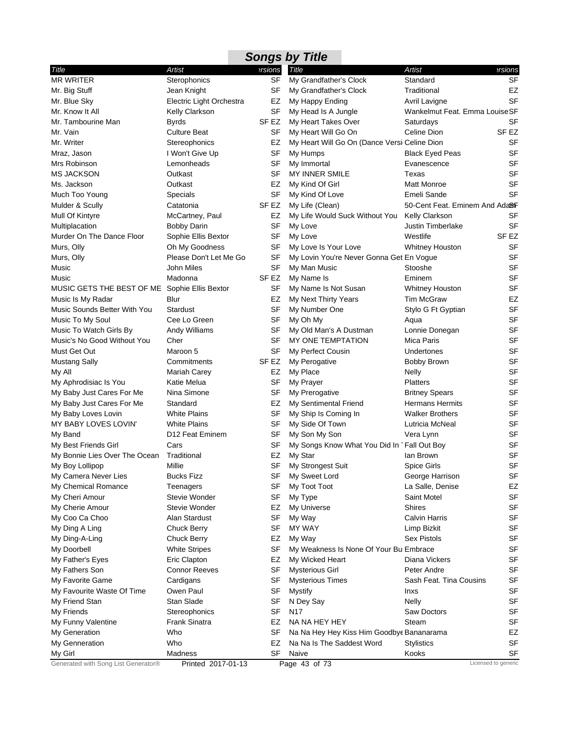| Artist<br>Artist<br>ersions<br>Title<br>Title<br><b>MR WRITER</b><br><b>SF</b><br>Sterophonics<br>My Grandfather's Clock<br>Standard<br>SF<br>Traditional<br>Mr. Big Stuff<br>Jean Knight<br>My Grandfather's Clock<br>Mr. Blue Sky<br>EZ<br>Electric Light Orchestra<br>My Happy Ending<br>Avril Lavigne<br>SF<br>Wankelmut Feat. Emma Louise SF<br>Mr. Know It All<br>Kelly Clarkson<br>My Head Is A Jungle<br>My Heart Takes Over<br>Mr. Tambourine Man<br><b>Byrds</b><br>SF EZ<br>Saturdays<br>My Heart Will Go On<br>Celine Dion<br>Mr. Vain<br><b>Culture Beat</b><br>SF<br>Mr. Writer<br>My Heart Will Go On (Dance Versi Celine Dion<br>Stereophonics<br>EZ<br>SF<br>Mraz, Jason<br>I Won't Give Up<br>My Humps<br><b>Black Eyed Peas</b><br>Mrs Robinson<br>Lemonheads<br>SF<br>My Immortal<br>Evanescence<br><b>SF</b><br><b>MS JACKSON</b><br>Outkast<br>MY INNER SMILE<br>Texas<br>Outkast<br>EZ<br><b>Matt Monroe</b><br>Ms. Jackson<br>My Kind Of Girl<br>SF<br>Emeli Sande<br>Much Too Young<br>Specials<br>My Kind Of Love<br>50-Cent Feat. Eminem And Ada <sup>8</sup> F<br>Mulder & Scully<br>Catatonia<br>SF EZ<br>My Life (Clean)<br>Mull Of Kintyre<br>McCartney, Paul<br>EZ<br>My Life Would Suck Without You<br><b>Kelly Clarkson</b><br>SF<br>My Love<br><b>Justin Timberlake</b><br>Multiplacation<br><b>Bobby Darin</b><br>Murder On The Dance Floor<br>SF<br>My Love<br>Westlife<br>Sophie Ellis Bextor<br>SF<br>Murs, Olly<br>Oh My Goodness<br>My Love Is Your Love<br><b>Whitney Houston</b><br>Murs, Olly<br>Please Don't Let Me Go<br><b>SF</b><br>My Lovin You're Never Gonna Get En Vogue<br>John Miles<br>Music<br>SF<br>My Man Music<br>Stooshe<br>SF <sub>EZ</sub><br>Music<br>Madonna<br>My Name Is<br>Eminem<br>MUSIC GETS THE BEST OF ME Sophie Ellis Bextor<br>SF<br>My Name Is Not Susan<br>Whitney Houston<br>Music Is My Radar<br>Tim McGraw<br>Blur<br>EZ<br>My Next Thirty Years<br><b>SF</b><br>Music Sounds Better With You<br><b>Stardust</b><br>My Number One<br>Stylo G Ft Gyptian<br>Music To My Soul<br>Cee Lo Green<br>SF<br>My Oh My<br>Aqua<br><b>SF</b><br>Music To Watch Girls By<br>Andy Williams<br>My Old Man's A Dustman<br>Lonnie Donegan<br>Music's No Good Without You<br>Cher<br>SF<br>MY ONE TEMPTATION<br>Mica Paris<br>SF<br>My Perfect Cousin<br>Must Get Out<br>Maroon 5<br>Undertones<br>Commitments<br><b>Mustang Sally</b><br>SF EZ<br>My Perogative<br><b>Bobby Brown</b><br>My Place<br>My All<br>Mariah Carey<br>EZ<br>Nelly<br>Katie Melua<br>SF<br>My Prayer<br><b>Platters</b><br>My Aphrodisiac Is You<br>Nina Simone<br>SF<br>My Baby Just Cares For Me<br>My Prerogative<br><b>Britney Spears</b><br><b>Hermans Hermits</b><br>My Baby Just Cares For Me<br>Standard<br>EZ<br>My Sentimental Friend<br><b>White Plains</b><br><b>SF</b><br><b>Walker Brothers</b><br>My Baby Loves Lovin<br>My Ship Is Coming In<br>MY BABY LOVES LOVIN'<br><b>White Plains</b><br>My Side Of Town<br>SF<br>Lutricia McNeal<br>D12 Feat Eminem<br>My Son My Son<br>My Band<br>SF<br>Vera Lynn<br>My Songs Know What You Did In 1Fall Out Boy<br>My Best Friends Girl<br>Cars<br>SF<br>My Bonnie Lies Over The Ocean<br>Traditional<br>EZ<br>My Star<br>lan Brown<br>Millie<br>SF My Strongest Suit<br>Spice Girls<br>My Boy Lollipop<br>My Camera Never Lies<br>Bucks Fizz<br>SF<br>My Sweet Lord<br>George Harrison<br>SF<br>My Toot Toot<br>My Chemical Romance<br>La Salle, Denise<br>Teenagers |  | <b>Songs by Title</b> |                  |
|------------------------------------------------------------------------------------------------------------------------------------------------------------------------------------------------------------------------------------------------------------------------------------------------------------------------------------------------------------------------------------------------------------------------------------------------------------------------------------------------------------------------------------------------------------------------------------------------------------------------------------------------------------------------------------------------------------------------------------------------------------------------------------------------------------------------------------------------------------------------------------------------------------------------------------------------------------------------------------------------------------------------------------------------------------------------------------------------------------------------------------------------------------------------------------------------------------------------------------------------------------------------------------------------------------------------------------------------------------------------------------------------------------------------------------------------------------------------------------------------------------------------------------------------------------------------------------------------------------------------------------------------------------------------------------------------------------------------------------------------------------------------------------------------------------------------------------------------------------------------------------------------------------------------------------------------------------------------------------------------------------------------------------------------------------------------------------------------------------------------------------------------------------------------------------------------------------------------------------------------------------------------------------------------------------------------------------------------------------------------------------------------------------------------------------------------------------------------------------------------------------------------------------------------------------------------------------------------------------------------------------------------------------------------------------------------------------------------------------------------------------------------------------------------------------------------------------------------------------------------------------------------------------------------------------------------------------------------------------------------------------------------------------------------------------------------------------------------------------------------------------------------------------------------------------------------------------------------------------------------------------------------------------------------------------------------------------------------------------------------------------------------------------------------------------------------------------------------|--|-----------------------|------------------|
|                                                                                                                                                                                                                                                                                                                                                                                                                                                                                                                                                                                                                                                                                                                                                                                                                                                                                                                                                                                                                                                                                                                                                                                                                                                                                                                                                                                                                                                                                                                                                                                                                                                                                                                                                                                                                                                                                                                                                                                                                                                                                                                                                                                                                                                                                                                                                                                                                                                                                                                                                                                                                                                                                                                                                                                                                                                                                                                                                                                                                                                                                                                                                                                                                                                                                                                                                                                                                                                                        |  |                       | ersions          |
|                                                                                                                                                                                                                                                                                                                                                                                                                                                                                                                                                                                                                                                                                                                                                                                                                                                                                                                                                                                                                                                                                                                                                                                                                                                                                                                                                                                                                                                                                                                                                                                                                                                                                                                                                                                                                                                                                                                                                                                                                                                                                                                                                                                                                                                                                                                                                                                                                                                                                                                                                                                                                                                                                                                                                                                                                                                                                                                                                                                                                                                                                                                                                                                                                                                                                                                                                                                                                                                                        |  |                       | <b>SF</b>        |
|                                                                                                                                                                                                                                                                                                                                                                                                                                                                                                                                                                                                                                                                                                                                                                                                                                                                                                                                                                                                                                                                                                                                                                                                                                                                                                                                                                                                                                                                                                                                                                                                                                                                                                                                                                                                                                                                                                                                                                                                                                                                                                                                                                                                                                                                                                                                                                                                                                                                                                                                                                                                                                                                                                                                                                                                                                                                                                                                                                                                                                                                                                                                                                                                                                                                                                                                                                                                                                                                        |  |                       | EZ               |
|                                                                                                                                                                                                                                                                                                                                                                                                                                                                                                                                                                                                                                                                                                                                                                                                                                                                                                                                                                                                                                                                                                                                                                                                                                                                                                                                                                                                                                                                                                                                                                                                                                                                                                                                                                                                                                                                                                                                                                                                                                                                                                                                                                                                                                                                                                                                                                                                                                                                                                                                                                                                                                                                                                                                                                                                                                                                                                                                                                                                                                                                                                                                                                                                                                                                                                                                                                                                                                                                        |  |                       | SF               |
|                                                                                                                                                                                                                                                                                                                                                                                                                                                                                                                                                                                                                                                                                                                                                                                                                                                                                                                                                                                                                                                                                                                                                                                                                                                                                                                                                                                                                                                                                                                                                                                                                                                                                                                                                                                                                                                                                                                                                                                                                                                                                                                                                                                                                                                                                                                                                                                                                                                                                                                                                                                                                                                                                                                                                                                                                                                                                                                                                                                                                                                                                                                                                                                                                                                                                                                                                                                                                                                                        |  |                       |                  |
|                                                                                                                                                                                                                                                                                                                                                                                                                                                                                                                                                                                                                                                                                                                                                                                                                                                                                                                                                                                                                                                                                                                                                                                                                                                                                                                                                                                                                                                                                                                                                                                                                                                                                                                                                                                                                                                                                                                                                                                                                                                                                                                                                                                                                                                                                                                                                                                                                                                                                                                                                                                                                                                                                                                                                                                                                                                                                                                                                                                                                                                                                                                                                                                                                                                                                                                                                                                                                                                                        |  |                       | SF               |
|                                                                                                                                                                                                                                                                                                                                                                                                                                                                                                                                                                                                                                                                                                                                                                                                                                                                                                                                                                                                                                                                                                                                                                                                                                                                                                                                                                                                                                                                                                                                                                                                                                                                                                                                                                                                                                                                                                                                                                                                                                                                                                                                                                                                                                                                                                                                                                                                                                                                                                                                                                                                                                                                                                                                                                                                                                                                                                                                                                                                                                                                                                                                                                                                                                                                                                                                                                                                                                                                        |  |                       | SF <sub>EZ</sub> |
|                                                                                                                                                                                                                                                                                                                                                                                                                                                                                                                                                                                                                                                                                                                                                                                                                                                                                                                                                                                                                                                                                                                                                                                                                                                                                                                                                                                                                                                                                                                                                                                                                                                                                                                                                                                                                                                                                                                                                                                                                                                                                                                                                                                                                                                                                                                                                                                                                                                                                                                                                                                                                                                                                                                                                                                                                                                                                                                                                                                                                                                                                                                                                                                                                                                                                                                                                                                                                                                                        |  |                       | <b>SF</b>        |
|                                                                                                                                                                                                                                                                                                                                                                                                                                                                                                                                                                                                                                                                                                                                                                                                                                                                                                                                                                                                                                                                                                                                                                                                                                                                                                                                                                                                                                                                                                                                                                                                                                                                                                                                                                                                                                                                                                                                                                                                                                                                                                                                                                                                                                                                                                                                                                                                                                                                                                                                                                                                                                                                                                                                                                                                                                                                                                                                                                                                                                                                                                                                                                                                                                                                                                                                                                                                                                                                        |  |                       | <b>SF</b>        |
|                                                                                                                                                                                                                                                                                                                                                                                                                                                                                                                                                                                                                                                                                                                                                                                                                                                                                                                                                                                                                                                                                                                                                                                                                                                                                                                                                                                                                                                                                                                                                                                                                                                                                                                                                                                                                                                                                                                                                                                                                                                                                                                                                                                                                                                                                                                                                                                                                                                                                                                                                                                                                                                                                                                                                                                                                                                                                                                                                                                                                                                                                                                                                                                                                                                                                                                                                                                                                                                                        |  |                       | <b>SF</b>        |
|                                                                                                                                                                                                                                                                                                                                                                                                                                                                                                                                                                                                                                                                                                                                                                                                                                                                                                                                                                                                                                                                                                                                                                                                                                                                                                                                                                                                                                                                                                                                                                                                                                                                                                                                                                                                                                                                                                                                                                                                                                                                                                                                                                                                                                                                                                                                                                                                                                                                                                                                                                                                                                                                                                                                                                                                                                                                                                                                                                                                                                                                                                                                                                                                                                                                                                                                                                                                                                                                        |  |                       | <b>SF</b>        |
|                                                                                                                                                                                                                                                                                                                                                                                                                                                                                                                                                                                                                                                                                                                                                                                                                                                                                                                                                                                                                                                                                                                                                                                                                                                                                                                                                                                                                                                                                                                                                                                                                                                                                                                                                                                                                                                                                                                                                                                                                                                                                                                                                                                                                                                                                                                                                                                                                                                                                                                                                                                                                                                                                                                                                                                                                                                                                                                                                                                                                                                                                                                                                                                                                                                                                                                                                                                                                                                                        |  |                       | SF               |
|                                                                                                                                                                                                                                                                                                                                                                                                                                                                                                                                                                                                                                                                                                                                                                                                                                                                                                                                                                                                                                                                                                                                                                                                                                                                                                                                                                                                                                                                                                                                                                                                                                                                                                                                                                                                                                                                                                                                                                                                                                                                                                                                                                                                                                                                                                                                                                                                                                                                                                                                                                                                                                                                                                                                                                                                                                                                                                                                                                                                                                                                                                                                                                                                                                                                                                                                                                                                                                                                        |  |                       | SF               |
|                                                                                                                                                                                                                                                                                                                                                                                                                                                                                                                                                                                                                                                                                                                                                                                                                                                                                                                                                                                                                                                                                                                                                                                                                                                                                                                                                                                                                                                                                                                                                                                                                                                                                                                                                                                                                                                                                                                                                                                                                                                                                                                                                                                                                                                                                                                                                                                                                                                                                                                                                                                                                                                                                                                                                                                                                                                                                                                                                                                                                                                                                                                                                                                                                                                                                                                                                                                                                                                                        |  |                       |                  |
|                                                                                                                                                                                                                                                                                                                                                                                                                                                                                                                                                                                                                                                                                                                                                                                                                                                                                                                                                                                                                                                                                                                                                                                                                                                                                                                                                                                                                                                                                                                                                                                                                                                                                                                                                                                                                                                                                                                                                                                                                                                                                                                                                                                                                                                                                                                                                                                                                                                                                                                                                                                                                                                                                                                                                                                                                                                                                                                                                                                                                                                                                                                                                                                                                                                                                                                                                                                                                                                                        |  |                       | <b>SF</b>        |
|                                                                                                                                                                                                                                                                                                                                                                                                                                                                                                                                                                                                                                                                                                                                                                                                                                                                                                                                                                                                                                                                                                                                                                                                                                                                                                                                                                                                                                                                                                                                                                                                                                                                                                                                                                                                                                                                                                                                                                                                                                                                                                                                                                                                                                                                                                                                                                                                                                                                                                                                                                                                                                                                                                                                                                                                                                                                                                                                                                                                                                                                                                                                                                                                                                                                                                                                                                                                                                                                        |  |                       | <b>SF</b>        |
|                                                                                                                                                                                                                                                                                                                                                                                                                                                                                                                                                                                                                                                                                                                                                                                                                                                                                                                                                                                                                                                                                                                                                                                                                                                                                                                                                                                                                                                                                                                                                                                                                                                                                                                                                                                                                                                                                                                                                                                                                                                                                                                                                                                                                                                                                                                                                                                                                                                                                                                                                                                                                                                                                                                                                                                                                                                                                                                                                                                                                                                                                                                                                                                                                                                                                                                                                                                                                                                                        |  |                       | SF EZ            |
|                                                                                                                                                                                                                                                                                                                                                                                                                                                                                                                                                                                                                                                                                                                                                                                                                                                                                                                                                                                                                                                                                                                                                                                                                                                                                                                                                                                                                                                                                                                                                                                                                                                                                                                                                                                                                                                                                                                                                                                                                                                                                                                                                                                                                                                                                                                                                                                                                                                                                                                                                                                                                                                                                                                                                                                                                                                                                                                                                                                                                                                                                                                                                                                                                                                                                                                                                                                                                                                                        |  |                       | <b>SF</b>        |
|                                                                                                                                                                                                                                                                                                                                                                                                                                                                                                                                                                                                                                                                                                                                                                                                                                                                                                                                                                                                                                                                                                                                                                                                                                                                                                                                                                                                                                                                                                                                                                                                                                                                                                                                                                                                                                                                                                                                                                                                                                                                                                                                                                                                                                                                                                                                                                                                                                                                                                                                                                                                                                                                                                                                                                                                                                                                                                                                                                                                                                                                                                                                                                                                                                                                                                                                                                                                                                                                        |  |                       | <b>SF</b>        |
|                                                                                                                                                                                                                                                                                                                                                                                                                                                                                                                                                                                                                                                                                                                                                                                                                                                                                                                                                                                                                                                                                                                                                                                                                                                                                                                                                                                                                                                                                                                                                                                                                                                                                                                                                                                                                                                                                                                                                                                                                                                                                                                                                                                                                                                                                                                                                                                                                                                                                                                                                                                                                                                                                                                                                                                                                                                                                                                                                                                                                                                                                                                                                                                                                                                                                                                                                                                                                                                                        |  |                       | SF               |
|                                                                                                                                                                                                                                                                                                                                                                                                                                                                                                                                                                                                                                                                                                                                                                                                                                                                                                                                                                                                                                                                                                                                                                                                                                                                                                                                                                                                                                                                                                                                                                                                                                                                                                                                                                                                                                                                                                                                                                                                                                                                                                                                                                                                                                                                                                                                                                                                                                                                                                                                                                                                                                                                                                                                                                                                                                                                                                                                                                                                                                                                                                                                                                                                                                                                                                                                                                                                                                                                        |  |                       | SF               |
|                                                                                                                                                                                                                                                                                                                                                                                                                                                                                                                                                                                                                                                                                                                                                                                                                                                                                                                                                                                                                                                                                                                                                                                                                                                                                                                                                                                                                                                                                                                                                                                                                                                                                                                                                                                                                                                                                                                                                                                                                                                                                                                                                                                                                                                                                                                                                                                                                                                                                                                                                                                                                                                                                                                                                                                                                                                                                                                                                                                                                                                                                                                                                                                                                                                                                                                                                                                                                                                                        |  |                       | <b>SF</b>        |
|                                                                                                                                                                                                                                                                                                                                                                                                                                                                                                                                                                                                                                                                                                                                                                                                                                                                                                                                                                                                                                                                                                                                                                                                                                                                                                                                                                                                                                                                                                                                                                                                                                                                                                                                                                                                                                                                                                                                                                                                                                                                                                                                                                                                                                                                                                                                                                                                                                                                                                                                                                                                                                                                                                                                                                                                                                                                                                                                                                                                                                                                                                                                                                                                                                                                                                                                                                                                                                                                        |  |                       | EZ               |
|                                                                                                                                                                                                                                                                                                                                                                                                                                                                                                                                                                                                                                                                                                                                                                                                                                                                                                                                                                                                                                                                                                                                                                                                                                                                                                                                                                                                                                                                                                                                                                                                                                                                                                                                                                                                                                                                                                                                                                                                                                                                                                                                                                                                                                                                                                                                                                                                                                                                                                                                                                                                                                                                                                                                                                                                                                                                                                                                                                                                                                                                                                                                                                                                                                                                                                                                                                                                                                                                        |  |                       | <b>SF</b>        |
|                                                                                                                                                                                                                                                                                                                                                                                                                                                                                                                                                                                                                                                                                                                                                                                                                                                                                                                                                                                                                                                                                                                                                                                                                                                                                                                                                                                                                                                                                                                                                                                                                                                                                                                                                                                                                                                                                                                                                                                                                                                                                                                                                                                                                                                                                                                                                                                                                                                                                                                                                                                                                                                                                                                                                                                                                                                                                                                                                                                                                                                                                                                                                                                                                                                                                                                                                                                                                                                                        |  |                       | <b>SF</b>        |
|                                                                                                                                                                                                                                                                                                                                                                                                                                                                                                                                                                                                                                                                                                                                                                                                                                                                                                                                                                                                                                                                                                                                                                                                                                                                                                                                                                                                                                                                                                                                                                                                                                                                                                                                                                                                                                                                                                                                                                                                                                                                                                                                                                                                                                                                                                                                                                                                                                                                                                                                                                                                                                                                                                                                                                                                                                                                                                                                                                                                                                                                                                                                                                                                                                                                                                                                                                                                                                                                        |  |                       | <b>SF</b>        |
|                                                                                                                                                                                                                                                                                                                                                                                                                                                                                                                                                                                                                                                                                                                                                                                                                                                                                                                                                                                                                                                                                                                                                                                                                                                                                                                                                                                                                                                                                                                                                                                                                                                                                                                                                                                                                                                                                                                                                                                                                                                                                                                                                                                                                                                                                                                                                                                                                                                                                                                                                                                                                                                                                                                                                                                                                                                                                                                                                                                                                                                                                                                                                                                                                                                                                                                                                                                                                                                                        |  |                       | <b>SF</b>        |
|                                                                                                                                                                                                                                                                                                                                                                                                                                                                                                                                                                                                                                                                                                                                                                                                                                                                                                                                                                                                                                                                                                                                                                                                                                                                                                                                                                                                                                                                                                                                                                                                                                                                                                                                                                                                                                                                                                                                                                                                                                                                                                                                                                                                                                                                                                                                                                                                                                                                                                                                                                                                                                                                                                                                                                                                                                                                                                                                                                                                                                                                                                                                                                                                                                                                                                                                                                                                                                                                        |  |                       | <b>SF</b>        |
|                                                                                                                                                                                                                                                                                                                                                                                                                                                                                                                                                                                                                                                                                                                                                                                                                                                                                                                                                                                                                                                                                                                                                                                                                                                                                                                                                                                                                                                                                                                                                                                                                                                                                                                                                                                                                                                                                                                                                                                                                                                                                                                                                                                                                                                                                                                                                                                                                                                                                                                                                                                                                                                                                                                                                                                                                                                                                                                                                                                                                                                                                                                                                                                                                                                                                                                                                                                                                                                                        |  |                       | <b>SF</b>        |
|                                                                                                                                                                                                                                                                                                                                                                                                                                                                                                                                                                                                                                                                                                                                                                                                                                                                                                                                                                                                                                                                                                                                                                                                                                                                                                                                                                                                                                                                                                                                                                                                                                                                                                                                                                                                                                                                                                                                                                                                                                                                                                                                                                                                                                                                                                                                                                                                                                                                                                                                                                                                                                                                                                                                                                                                                                                                                                                                                                                                                                                                                                                                                                                                                                                                                                                                                                                                                                                                        |  |                       | <b>SF</b>        |
|                                                                                                                                                                                                                                                                                                                                                                                                                                                                                                                                                                                                                                                                                                                                                                                                                                                                                                                                                                                                                                                                                                                                                                                                                                                                                                                                                                                                                                                                                                                                                                                                                                                                                                                                                                                                                                                                                                                                                                                                                                                                                                                                                                                                                                                                                                                                                                                                                                                                                                                                                                                                                                                                                                                                                                                                                                                                                                                                                                                                                                                                                                                                                                                                                                                                                                                                                                                                                                                                        |  |                       | <b>SF</b>        |
|                                                                                                                                                                                                                                                                                                                                                                                                                                                                                                                                                                                                                                                                                                                                                                                                                                                                                                                                                                                                                                                                                                                                                                                                                                                                                                                                                                                                                                                                                                                                                                                                                                                                                                                                                                                                                                                                                                                                                                                                                                                                                                                                                                                                                                                                                                                                                                                                                                                                                                                                                                                                                                                                                                                                                                                                                                                                                                                                                                                                                                                                                                                                                                                                                                                                                                                                                                                                                                                                        |  |                       | <b>SF</b>        |
|                                                                                                                                                                                                                                                                                                                                                                                                                                                                                                                                                                                                                                                                                                                                                                                                                                                                                                                                                                                                                                                                                                                                                                                                                                                                                                                                                                                                                                                                                                                                                                                                                                                                                                                                                                                                                                                                                                                                                                                                                                                                                                                                                                                                                                                                                                                                                                                                                                                                                                                                                                                                                                                                                                                                                                                                                                                                                                                                                                                                                                                                                                                                                                                                                                                                                                                                                                                                                                                                        |  |                       | <b>SF</b>        |
|                                                                                                                                                                                                                                                                                                                                                                                                                                                                                                                                                                                                                                                                                                                                                                                                                                                                                                                                                                                                                                                                                                                                                                                                                                                                                                                                                                                                                                                                                                                                                                                                                                                                                                                                                                                                                                                                                                                                                                                                                                                                                                                                                                                                                                                                                                                                                                                                                                                                                                                                                                                                                                                                                                                                                                                                                                                                                                                                                                                                                                                                                                                                                                                                                                                                                                                                                                                                                                                                        |  |                       | SF               |
|                                                                                                                                                                                                                                                                                                                                                                                                                                                                                                                                                                                                                                                                                                                                                                                                                                                                                                                                                                                                                                                                                                                                                                                                                                                                                                                                                                                                                                                                                                                                                                                                                                                                                                                                                                                                                                                                                                                                                                                                                                                                                                                                                                                                                                                                                                                                                                                                                                                                                                                                                                                                                                                                                                                                                                                                                                                                                                                                                                                                                                                                                                                                                                                                                                                                                                                                                                                                                                                                        |  |                       | SF               |
|                                                                                                                                                                                                                                                                                                                                                                                                                                                                                                                                                                                                                                                                                                                                                                                                                                                                                                                                                                                                                                                                                                                                                                                                                                                                                                                                                                                                                                                                                                                                                                                                                                                                                                                                                                                                                                                                                                                                                                                                                                                                                                                                                                                                                                                                                                                                                                                                                                                                                                                                                                                                                                                                                                                                                                                                                                                                                                                                                                                                                                                                                                                                                                                                                                                                                                                                                                                                                                                                        |  |                       | SF               |
|                                                                                                                                                                                                                                                                                                                                                                                                                                                                                                                                                                                                                                                                                                                                                                                                                                                                                                                                                                                                                                                                                                                                                                                                                                                                                                                                                                                                                                                                                                                                                                                                                                                                                                                                                                                                                                                                                                                                                                                                                                                                                                                                                                                                                                                                                                                                                                                                                                                                                                                                                                                                                                                                                                                                                                                                                                                                                                                                                                                                                                                                                                                                                                                                                                                                                                                                                                                                                                                                        |  |                       | <b>SF</b>        |
|                                                                                                                                                                                                                                                                                                                                                                                                                                                                                                                                                                                                                                                                                                                                                                                                                                                                                                                                                                                                                                                                                                                                                                                                                                                                                                                                                                                                                                                                                                                                                                                                                                                                                                                                                                                                                                                                                                                                                                                                                                                                                                                                                                                                                                                                                                                                                                                                                                                                                                                                                                                                                                                                                                                                                                                                                                                                                                                                                                                                                                                                                                                                                                                                                                                                                                                                                                                                                                                                        |  |                       | <b>SF</b>        |
|                                                                                                                                                                                                                                                                                                                                                                                                                                                                                                                                                                                                                                                                                                                                                                                                                                                                                                                                                                                                                                                                                                                                                                                                                                                                                                                                                                                                                                                                                                                                                                                                                                                                                                                                                                                                                                                                                                                                                                                                                                                                                                                                                                                                                                                                                                                                                                                                                                                                                                                                                                                                                                                                                                                                                                                                                                                                                                                                                                                                                                                                                                                                                                                                                                                                                                                                                                                                                                                                        |  |                       | <b>SF</b>        |
|                                                                                                                                                                                                                                                                                                                                                                                                                                                                                                                                                                                                                                                                                                                                                                                                                                                                                                                                                                                                                                                                                                                                                                                                                                                                                                                                                                                                                                                                                                                                                                                                                                                                                                                                                                                                                                                                                                                                                                                                                                                                                                                                                                                                                                                                                                                                                                                                                                                                                                                                                                                                                                                                                                                                                                                                                                                                                                                                                                                                                                                                                                                                                                                                                                                                                                                                                                                                                                                                        |  |                       | SF               |
|                                                                                                                                                                                                                                                                                                                                                                                                                                                                                                                                                                                                                                                                                                                                                                                                                                                                                                                                                                                                                                                                                                                                                                                                                                                                                                                                                                                                                                                                                                                                                                                                                                                                                                                                                                                                                                                                                                                                                                                                                                                                                                                                                                                                                                                                                                                                                                                                                                                                                                                                                                                                                                                                                                                                                                                                                                                                                                                                                                                                                                                                                                                                                                                                                                                                                                                                                                                                                                                                        |  |                       | EZ               |
| My Type<br><b>Saint Motel</b><br>My Cheri Amour<br>Stevie Wonder<br>SF                                                                                                                                                                                                                                                                                                                                                                                                                                                                                                                                                                                                                                                                                                                                                                                                                                                                                                                                                                                                                                                                                                                                                                                                                                                                                                                                                                                                                                                                                                                                                                                                                                                                                                                                                                                                                                                                                                                                                                                                                                                                                                                                                                                                                                                                                                                                                                                                                                                                                                                                                                                                                                                                                                                                                                                                                                                                                                                                                                                                                                                                                                                                                                                                                                                                                                                                                                                                 |  |                       | SF               |
| Shires<br>My Cherie Amour<br>Stevie Wonder<br>EZ<br>My Universe                                                                                                                                                                                                                                                                                                                                                                                                                                                                                                                                                                                                                                                                                                                                                                                                                                                                                                                                                                                                                                                                                                                                                                                                                                                                                                                                                                                                                                                                                                                                                                                                                                                                                                                                                                                                                                                                                                                                                                                                                                                                                                                                                                                                                                                                                                                                                                                                                                                                                                                                                                                                                                                                                                                                                                                                                                                                                                                                                                                                                                                                                                                                                                                                                                                                                                                                                                                                        |  |                       | SF               |
| <b>Calvin Harris</b><br>My Coo Ca Choo<br>Alan Stardust<br>SF<br>My Way                                                                                                                                                                                                                                                                                                                                                                                                                                                                                                                                                                                                                                                                                                                                                                                                                                                                                                                                                                                                                                                                                                                                                                                                                                                                                                                                                                                                                                                                                                                                                                                                                                                                                                                                                                                                                                                                                                                                                                                                                                                                                                                                                                                                                                                                                                                                                                                                                                                                                                                                                                                                                                                                                                                                                                                                                                                                                                                                                                                                                                                                                                                                                                                                                                                                                                                                                                                                |  |                       | SF               |
| My Ding A Ling<br>SF<br><b>MY WAY</b><br>Chuck Berry<br>Limp Bizkit                                                                                                                                                                                                                                                                                                                                                                                                                                                                                                                                                                                                                                                                                                                                                                                                                                                                                                                                                                                                                                                                                                                                                                                                                                                                                                                                                                                                                                                                                                                                                                                                                                                                                                                                                                                                                                                                                                                                                                                                                                                                                                                                                                                                                                                                                                                                                                                                                                                                                                                                                                                                                                                                                                                                                                                                                                                                                                                                                                                                                                                                                                                                                                                                                                                                                                                                                                                                    |  |                       | <b>SF</b>        |
| <b>Chuck Berry</b><br>EZ<br>My Way<br><b>Sex Pistols</b><br>My Ding-A-Ling                                                                                                                                                                                                                                                                                                                                                                                                                                                                                                                                                                                                                                                                                                                                                                                                                                                                                                                                                                                                                                                                                                                                                                                                                                                                                                                                                                                                                                                                                                                                                                                                                                                                                                                                                                                                                                                                                                                                                                                                                                                                                                                                                                                                                                                                                                                                                                                                                                                                                                                                                                                                                                                                                                                                                                                                                                                                                                                                                                                                                                                                                                                                                                                                                                                                                                                                                                                             |  |                       | <b>SF</b>        |
| SF<br>My Doorbell<br><b>White Stripes</b><br>My Weakness Is None Of Your Bu Embrace                                                                                                                                                                                                                                                                                                                                                                                                                                                                                                                                                                                                                                                                                                                                                                                                                                                                                                                                                                                                                                                                                                                                                                                                                                                                                                                                                                                                                                                                                                                                                                                                                                                                                                                                                                                                                                                                                                                                                                                                                                                                                                                                                                                                                                                                                                                                                                                                                                                                                                                                                                                                                                                                                                                                                                                                                                                                                                                                                                                                                                                                                                                                                                                                                                                                                                                                                                                    |  |                       | <b>SF</b>        |
| Diana Vickers<br>My Father's Eyes<br>Eric Clapton<br>EZ<br>My Wicked Heart                                                                                                                                                                                                                                                                                                                                                                                                                                                                                                                                                                                                                                                                                                                                                                                                                                                                                                                                                                                                                                                                                                                                                                                                                                                                                                                                                                                                                                                                                                                                                                                                                                                                                                                                                                                                                                                                                                                                                                                                                                                                                                                                                                                                                                                                                                                                                                                                                                                                                                                                                                                                                                                                                                                                                                                                                                                                                                                                                                                                                                                                                                                                                                                                                                                                                                                                                                                             |  |                       | <b>SF</b>        |
| <b>Connor Reeves</b><br><b>SF</b><br>Peter Andre<br>My Fathers Son<br><b>Mysterious Girl</b>                                                                                                                                                                                                                                                                                                                                                                                                                                                                                                                                                                                                                                                                                                                                                                                                                                                                                                                                                                                                                                                                                                                                                                                                                                                                                                                                                                                                                                                                                                                                                                                                                                                                                                                                                                                                                                                                                                                                                                                                                                                                                                                                                                                                                                                                                                                                                                                                                                                                                                                                                                                                                                                                                                                                                                                                                                                                                                                                                                                                                                                                                                                                                                                                                                                                                                                                                                           |  |                       | SF               |
| Sash Feat. Tina Cousins<br>My Favorite Game<br>Cardigans<br>SF<br><b>Mysterious Times</b>                                                                                                                                                                                                                                                                                                                                                                                                                                                                                                                                                                                                                                                                                                                                                                                                                                                                                                                                                                                                                                                                                                                                                                                                                                                                                                                                                                                                                                                                                                                                                                                                                                                                                                                                                                                                                                                                                                                                                                                                                                                                                                                                                                                                                                                                                                                                                                                                                                                                                                                                                                                                                                                                                                                                                                                                                                                                                                                                                                                                                                                                                                                                                                                                                                                                                                                                                                              |  |                       | SF               |
| My Favourite Waste Of Time<br>Owen Paul<br>SF<br>Mystify<br>Inxs                                                                                                                                                                                                                                                                                                                                                                                                                                                                                                                                                                                                                                                                                                                                                                                                                                                                                                                                                                                                                                                                                                                                                                                                                                                                                                                                                                                                                                                                                                                                                                                                                                                                                                                                                                                                                                                                                                                                                                                                                                                                                                                                                                                                                                                                                                                                                                                                                                                                                                                                                                                                                                                                                                                                                                                                                                                                                                                                                                                                                                                                                                                                                                                                                                                                                                                                                                                                       |  |                       | SF               |
| Stan Slade<br>My Friend Stan<br>SF<br>N Dey Say<br>Nelly                                                                                                                                                                                                                                                                                                                                                                                                                                                                                                                                                                                                                                                                                                                                                                                                                                                                                                                                                                                                                                                                                                                                                                                                                                                                                                                                                                                                                                                                                                                                                                                                                                                                                                                                                                                                                                                                                                                                                                                                                                                                                                                                                                                                                                                                                                                                                                                                                                                                                                                                                                                                                                                                                                                                                                                                                                                                                                                                                                                                                                                                                                                                                                                                                                                                                                                                                                                                               |  |                       | <b>SF</b>        |
| Stereophonics<br><b>SF</b><br>N <sub>17</sub><br>Saw Doctors<br>My Friends                                                                                                                                                                                                                                                                                                                                                                                                                                                                                                                                                                                                                                                                                                                                                                                                                                                                                                                                                                                                                                                                                                                                                                                                                                                                                                                                                                                                                                                                                                                                                                                                                                                                                                                                                                                                                                                                                                                                                                                                                                                                                                                                                                                                                                                                                                                                                                                                                                                                                                                                                                                                                                                                                                                                                                                                                                                                                                                                                                                                                                                                                                                                                                                                                                                                                                                                                                                             |  |                       | <b>SF</b>        |
| Frank Sinatra<br>EZ<br>My Funny Valentine<br>NA NA HEY HEY<br>Steam                                                                                                                                                                                                                                                                                                                                                                                                                                                                                                                                                                                                                                                                                                                                                                                                                                                                                                                                                                                                                                                                                                                                                                                                                                                                                                                                                                                                                                                                                                                                                                                                                                                                                                                                                                                                                                                                                                                                                                                                                                                                                                                                                                                                                                                                                                                                                                                                                                                                                                                                                                                                                                                                                                                                                                                                                                                                                                                                                                                                                                                                                                                                                                                                                                                                                                                                                                                                    |  |                       | <b>SF</b>        |
| Who<br>My Generation<br>SF<br>Na Na Hey Hey Kiss Him Goodbye Bananarama                                                                                                                                                                                                                                                                                                                                                                                                                                                                                                                                                                                                                                                                                                                                                                                                                                                                                                                                                                                                                                                                                                                                                                                                                                                                                                                                                                                                                                                                                                                                                                                                                                                                                                                                                                                                                                                                                                                                                                                                                                                                                                                                                                                                                                                                                                                                                                                                                                                                                                                                                                                                                                                                                                                                                                                                                                                                                                                                                                                                                                                                                                                                                                                                                                                                                                                                                                                                |  |                       | EZ               |
| Who<br>My Genneration<br>EZ<br>Na Na Is The Saddest Word<br><b>Stylistics</b>                                                                                                                                                                                                                                                                                                                                                                                                                                                                                                                                                                                                                                                                                                                                                                                                                                                                                                                                                                                                                                                                                                                                                                                                                                                                                                                                                                                                                                                                                                                                                                                                                                                                                                                                                                                                                                                                                                                                                                                                                                                                                                                                                                                                                                                                                                                                                                                                                                                                                                                                                                                                                                                                                                                                                                                                                                                                                                                                                                                                                                                                                                                                                                                                                                                                                                                                                                                          |  |                       | <b>SF</b>        |
| My Girl<br>SF<br>Naive<br>Kooks<br>Madness                                                                                                                                                                                                                                                                                                                                                                                                                                                                                                                                                                                                                                                                                                                                                                                                                                                                                                                                                                                                                                                                                                                                                                                                                                                                                                                                                                                                                                                                                                                                                                                                                                                                                                                                                                                                                                                                                                                                                                                                                                                                                                                                                                                                                                                                                                                                                                                                                                                                                                                                                                                                                                                                                                                                                                                                                                                                                                                                                                                                                                                                                                                                                                                                                                                                                                                                                                                                                             |  |                       | SF               |
| Generated with Song List Generator®<br>Licensed to generic<br>Printed 2017-01-13<br>Page 43 of 73                                                                                                                                                                                                                                                                                                                                                                                                                                                                                                                                                                                                                                                                                                                                                                                                                                                                                                                                                                                                                                                                                                                                                                                                                                                                                                                                                                                                                                                                                                                                                                                                                                                                                                                                                                                                                                                                                                                                                                                                                                                                                                                                                                                                                                                                                                                                                                                                                                                                                                                                                                                                                                                                                                                                                                                                                                                                                                                                                                                                                                                                                                                                                                                                                                                                                                                                                                      |  |                       |                  |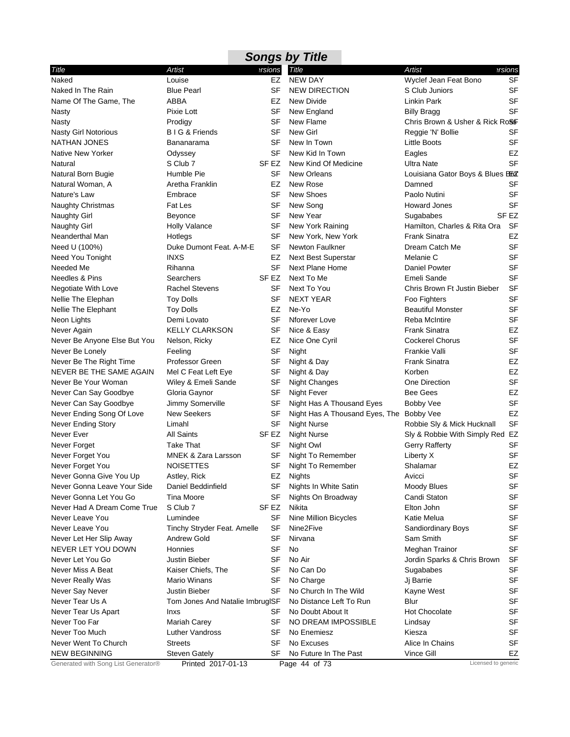| <b>Songs by Title</b>               |                                 |           |                                |                                  |                  |  |  |
|-------------------------------------|---------------------------------|-----------|--------------------------------|----------------------------------|------------------|--|--|
| Title                               | Artist                          | ersions   | Title                          | Artist                           | ersions          |  |  |
| Naked                               | Louise                          | EZ        | <b>NEW DAY</b>                 | Wyclef Jean Feat Bono            | <b>SF</b>        |  |  |
| Naked In The Rain                   | <b>Blue Pearl</b>               | SF        | <b>NEW DIRECTION</b>           | S Club Juniors                   | <b>SF</b>        |  |  |
| Name Of The Game, The               | ABBA                            | EZ        | New Divide                     | Linkin Park                      | <b>SF</b>        |  |  |
| Nasty                               | Pixie Lott                      | SF        | New England                    | <b>Billy Bragg</b>               | <b>SF</b>        |  |  |
| <b>Nasty</b>                        | Prodigy                         | SF        | New Flame                      | Chris Brown & Usher & Rick RoSF  |                  |  |  |
| <b>Nasty Girl Notorious</b>         | B I G & Friends                 | SF        | New Girl                       | Reggie 'N' Bollie                | SF               |  |  |
| <b>NATHAN JONES</b>                 | Bananarama                      | SF        | New In Town                    | Little Boots                     | <b>SF</b>        |  |  |
| <b>Native New Yorker</b>            | Odyssey                         | SF        | New Kid In Town                | Eagles                           | <b>EZ</b>        |  |  |
| Natural                             | S Club 7                        | SF EZ     | New Kind Of Medicine           | Ultra Nate                       | <b>SF</b>        |  |  |
| Natural Born Bugie                  | Humble Pie                      | SF        | <b>New Orleans</b>             | Louisiana Gator Boys & Blues BEZ |                  |  |  |
| Natural Woman, A                    | Aretha Franklin                 | EZ        | New Rose                       | Damned                           | SF               |  |  |
| Nature's Law                        | Embrace                         | SF        | <b>New Shoes</b>               | Paolo Nutini                     | <b>SF</b>        |  |  |
| <b>Naughty Christmas</b>            | Fat Les                         | SF        | New Song                       | <b>Howard Jones</b>              | SF               |  |  |
| <b>Naughty Girl</b>                 | <b>Beyonce</b>                  | <b>SF</b> | New Year                       | Sugababes                        | SF <sub>EZ</sub> |  |  |
| <b>Naughty Girl</b>                 | <b>Holly Valance</b>            | SF        | New York Raining               | Hamilton, Charles & Rita Ora     | SF               |  |  |
| Neanderthal Man                     | Hotlegs                         | SF        | New York, New York             | <b>Frank Sinatra</b>             | <b>EZ</b>        |  |  |
| Need U (100%)                       | Duke Dumont Feat, A-M-E         | SF        | Newton Faulkner                | Dream Catch Me                   | <b>SF</b>        |  |  |
| Need You Tonight                    | <b>INXS</b>                     | EZ        | <b>Next Best Superstar</b>     | Melanie C                        | <b>SF</b>        |  |  |
| Needed Me                           | Rihanna                         | SF        | Next Plane Home                | Daniel Powter                    | <b>SF</b>        |  |  |
| Needles & Pins                      | Searchers                       | SF EZ     | Next To Me                     | Emeli Sande                      | <b>SF</b>        |  |  |
| Negotiate With Love                 | <b>Rachel Stevens</b>           | SF        | Next To You                    | Chris Brown Ft Justin Bieber     | <b>SF</b>        |  |  |
| Nellie The Elephan                  | <b>Toy Dolls</b>                | SF        | <b>NEXT YEAR</b>               | Foo Fighters                     | <b>SF</b>        |  |  |
| <b>Nellie The Elephant</b>          | <b>Toy Dolls</b>                | EZ        | Ne-Yo                          | <b>Beautiful Monster</b>         | <b>SF</b>        |  |  |
| Neon Lights                         | Demi Lovato                     | SF        | Nforever Love                  | <b>Reba McIntire</b>             | <b>SF</b>        |  |  |
| Never Again                         | <b>KELLY CLARKSON</b>           | SF        | Nice & Easy                    | <b>Frank Sinatra</b>             | EZ               |  |  |
| Never Be Anyone Else But You        | Nelson, Ricky                   | EZ        | Nice One Cyril                 | <b>Cockerel Chorus</b>           | <b>SF</b>        |  |  |
| Never Be Lonely                     | Feeling                         | SF        | Night                          | Frankie Valli                    | <b>SF</b>        |  |  |
| Never Be The Right Time             | Professor Green                 | SF        | Night & Day                    | <b>Frank Sinatra</b>             | EZ               |  |  |
| NEVER BE THE SAME AGAIN             | Mel C Feat Left Eye             | SF        | Night & Day                    | Korben                           | EZ               |  |  |
| Never Be Your Woman                 | Wiley & Emeli Sande             | SF        | Night Changes                  | One Direction                    | <b>SF</b>        |  |  |
| Never Can Say Goodbye               | Gloria Gaynor                   | SF        | Night Fever                    | <b>Bee Gees</b>                  | EZ               |  |  |
| Never Can Say Goodbye               | Jimmy Somerville                | SF        | Night Has A Thousand Eyes      | Bobby Vee                        | SF               |  |  |
| Never Ending Song Of Love           | <b>New Seekers</b>              | SF        | Night Has A Thousand Eyes, The | <b>Bobby Vee</b>                 | <b>EZ</b>        |  |  |
| <b>Never Ending Story</b>           | Limahl                          | SF        | <b>Night Nurse</b>             | Robbie Sly & Mick Hucknall       | <b>SF</b>        |  |  |
| Never Ever                          | <b>All Saints</b>               | SF EZ     | <b>Night Nurse</b>             | Sly & Robbie With Simply Red EZ  |                  |  |  |
| Never Forget                        | <b>Take That</b>                | SF        | Night Owl                      | <b>Gerry Rafferty</b>            | SF               |  |  |
| Never Forget You                    | MNEK & Zara Larsson             | SF        | Night To Remember              | Liberty X                        | <b>SF</b>        |  |  |
| Never Forget You                    | <b>NOISETTES</b>                |           | SF Night To Remember           | Shalamar                         | EZ               |  |  |
| Never Gonna Give You Up             | Astley, Rick                    | EZ        | Nights                         | Avicci                           | SF               |  |  |
| Never Gonna Leave Your Side         | Daniel Beddinfield              | SF        | Nights In White Satin          | Moody Blues                      | <b>SF</b>        |  |  |
| Never Gonna Let You Go              | Tina Moore                      | SF        | Nights On Broadway             | Candi Staton                     | SF               |  |  |
| Never Had A Dream Come True         | S Club 7                        | SF EZ     | Nikita                         | Elton John                       | <b>SF</b>        |  |  |
| Never Leave You                     | Lumindee                        | SF        | Nine Million Bicycles          | Katie Melua                      | SF               |  |  |
| Never Leave You                     | Tinchy Stryder Feat. Amelle     | SF        | Nine2Five                      | <b>Sandiordinary Boys</b>        | <b>SF</b>        |  |  |
| Never Let Her Slip Away             | Andrew Gold                     | SF        | Nirvana                        | Sam Smith                        | <b>SF</b>        |  |  |
| NEVER LET YOU DOWN                  | Honnies                         | SF        | No                             | Meghan Trainor                   | <b>SF</b>        |  |  |
| Never Let You Go                    | Justin Bieber                   | SF        | No Air                         | Jordin Sparks & Chris Brown      | <b>SF</b>        |  |  |
| Never Miss A Beat                   | Kaiser Chiefs, The              | SF        | No Can Do                      | Sugababes                        | <b>SF</b>        |  |  |
| Never Really Was                    | <b>Mario Winans</b>             | SF        | No Charge                      | Jj Barrie                        | SF               |  |  |
| Never Say Never                     | Justin Bieber                   | SF        | No Church In The Wild          | Kayne West                       | SF               |  |  |
| Never Tear Us A                     | Tom Jones And Natalie ImbrugISF |           | No Distance Left To Run        | Blur                             | SF               |  |  |
| Never Tear Us Apart                 | Inxs                            | SF        | No Doubt About It              | <b>Hot Chocolate</b>             | <b>SF</b>        |  |  |
| Never Too Far                       | <b>Mariah Carey</b>             | SF        | NO DREAM IMPOSSIBLE            | Lindsay                          | <b>SF</b>        |  |  |
| Never Too Much                      | Luther Vandross                 | SF        | No Enemiesz                    | Kiesza                           | <b>SF</b>        |  |  |
| Never Went To Church                | <b>Streets</b>                  | SF        | No Excuses                     | Alice In Chains                  | <b>SF</b>        |  |  |
| <b>NEW BEGINNING</b>                | <b>Steven Gately</b>            | SF        | No Future In The Past          | Vince Gill                       | EZ               |  |  |
| Generated with Song List Generator® | Printed 2017-01-13              |           | Page 44 of 73                  | Licensed to generic              |                  |  |  |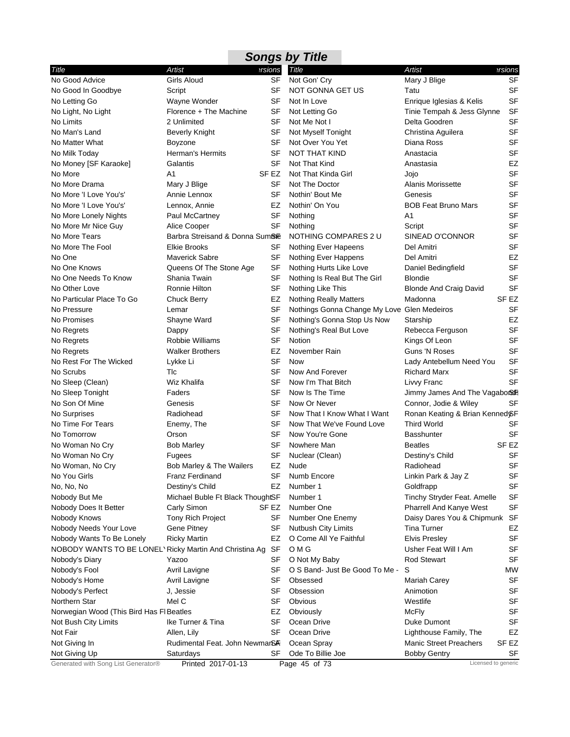| Artist<br>Artist<br>ersions<br>Title<br>ersions?<br><b>SF</b><br>Mary J Blige<br><b>SF</b><br>Girls Aloud<br>Not Gon' Cry<br><b>SF</b><br>SF<br>NOT GONNA GET US<br>Tatu<br>Script<br><b>SF</b><br>Wayne Wonder<br>SF<br>Not In Love<br>Enrique Iglesias & Kelis<br>SF<br>Florence + The Machine<br>SF<br>Not Letting Go<br>Tinie Tempah & Jess Glynne<br>SF<br>2 Unlimited<br>SF<br>Not Me Not I<br>Delta Goodren<br>SF<br>SF<br><b>Beverly Knight</b><br>Not Myself Tonight<br>Christina Aguilera<br><b>SF</b><br>SF<br>Not Over You Yet<br>Diana Ross<br>Boyzone<br><b>SF</b><br><b>Herman's Hermits</b><br>SF<br><b>NOT THAT KIND</b><br>Anastacia<br>Galantis<br>SF<br>Not That Kind<br>EZ<br>Anastasia<br><b>SF</b><br>SF EZ<br>Not That Kinda Girl<br>A1<br>Jojo<br><b>SF</b><br>SF<br>Not The Doctor<br>Alanis Morissette<br>Mary J Blige<br><b>SF</b><br><b>SF</b><br>Annie Lennox<br>Nothin' Bout Me<br>Genesis<br>SF<br>Nothin' On You<br><b>BOB Feat Bruno Mars</b><br>Lennox, Annie<br>EZ<br>SF<br>SF<br>Nothing<br>Paul McCartney<br>A1<br><b>SF</b><br>SF<br>Nothing<br>Alice Cooper<br>Script<br><b>SF</b><br>Barbra Streisand & Donna SumBie<br>NOTHING COMPARES 2 U<br>SINEAD O'CONNOR<br><b>SF</b><br><b>Elkie Brooks</b><br>SF<br>Nothing Ever Hapeens<br>Del Amitri<br>EZ<br>SF<br><b>Maverick Sabre</b><br>Nothing Ever Happens<br>Del Amitri<br><b>SF</b><br>SF<br>Queens Of The Stone Age<br>Nothing Hurts Like Love<br>Daniel Bedingfield<br><b>SF</b><br>SF<br>Shania Twain<br>Nothing Is Real But The Girl<br><b>Blondie</b><br>SF<br>SF<br>Nothing Like This<br>Ronnie Hilton<br><b>Blonde And Craig David</b><br>SF <sub>EZ</sub><br>EZ<br><b>Nothing Really Matters</b><br>Madonna<br><b>Chuck Berry</b><br><b>SF</b><br>SF<br>Nothings Gonna Change My Love Glen Medeiros<br>Lemar<br>No Promises<br>SF<br>Nothing's Gonna Stop Us Now<br>EZ<br>Shayne Ward<br>Starship<br><b>SF</b><br>SF<br>No Regrets<br>Nothing's Real But Love<br>Rebecca Ferguson<br>Dappy<br>SF<br><b>Robbie Williams</b><br>SF<br>Notion<br>Kings Of Leon<br><b>SF</b><br>EZ<br>November Rain<br><b>Guns 'N Roses</b><br>No Regrets<br><b>Walker Brothers</b><br>SF<br>No Rest For The Wicked<br>SF<br><b>Now</b><br>Lykke Li<br>Lady Antebellum Need You<br>SF<br><b>SF</b><br>Tlc<br><b>Richard Marx</b><br>Now And Forever<br><b>SF</b><br>Wiz Khalifa<br>SF<br>Now I'm That Bitch<br>No Sleep (Clean)<br>Livvy Franc<br>Faders<br>SF<br>Now Is The Time<br>No Sleep Tonight<br>Jimmy James And The Vagabor&<br>SF<br>SF<br>No Son Of Mine<br>Genesis<br>Now Or Never<br>Connor, Jodie & Wiley<br>No Surprises<br>Radiohead<br>SF<br>Now That I Know What I Want<br>Ronan Keating & Brian Kenned &F<br>No Time For Tears<br>SF<br>Enemy, The<br>Now That We've Found Love<br><b>Third World</b><br>SF<br><b>SF</b><br>SF<br>Now You're Gone<br>No Tomorrow<br>Orson<br><b>Basshunter</b><br>SF <sub>EZ</sub><br>No Woman No Cry<br><b>Bob Marley</b><br>SF<br>Nowhere Man<br><b>Beatles</b><br><b>SF</b><br>SF<br>No Woman No Cry<br>Nuclear (Clean)<br>Destiny's Child<br>Fugees<br>SF<br>Bob Marley & The Wailers<br>EZ<br>No Woman, No Cry<br>Nude<br>Radiohead<br><b>SF</b><br>No You Girls<br><b>Franz Ferdinand</b><br>SF<br>Numb Encore<br>Linkin Park & Jay Z<br>SF<br>No, No, No<br>Destiny's Child<br>EZ<br>Number 1<br>Goldfrapp<br>SF<br>Number 1<br>Nobody But Me<br>Michael Buble Ft Black ThoughtSF<br>Tinchy Stryder Feat. Amelle<br><b>SF</b><br>Nobody Does It Better<br>Carly Simon<br>Number One<br><b>Pharrell And Kanye West</b><br>SF EZ<br>Daisy Dares You & Chipmunk SF<br>Nobody Knows<br><b>Tony Rich Project</b><br>SF<br>Number One Enemy<br>EZ<br>SF<br>Nutbush City Limits<br><b>Tina Turner</b><br>Nobody Needs Your Love<br>Gene Pitney<br>Nobody Wants To Be Lonely<br><b>Ricky Martin</b><br>O Come All Ye Faithful<br><b>Elvis Presley</b><br><b>SF</b><br>EZ<br>O M G<br><b>SF</b><br>NOBODY WANTS TO BE LONEL Ricky Martin And Christina Ag<br>SF<br>Usher Feat Will I Am<br>SF<br>Nobody's Diary<br>Yazoo<br>SF<br>O Not My Baby<br><b>Rod Stewart</b><br>O S Band- Just Be Good To Me -<br><b>MW</b><br>Nobody's Fool<br>Avril Lavigne<br>SF<br>S<br>SF<br>Nobody's Home<br>Avril Lavigne<br>SF<br>Obsessed<br><b>Mariah Carey</b><br><b>SF</b><br>SF<br>Obsession<br>Nobody's Perfect<br>J, Jessie<br>Animotion<br>Mel C<br>Obvious<br><b>SF</b><br>Northern Star<br>SF<br>Westlife<br>Obviously<br><b>McFly</b><br><b>SF</b><br>Norwegian Wood (This Bird Has FI Beatles<br>EZ<br>SF<br>SF<br>Ike Turner & Tina<br>Ocean Drive<br>Duke Dumont<br>Not Bush City Limits | <b>Songs by Title</b>                                |             |    |             |                        |    |  |  |
|---------------------------------------------------------------------------------------------------------------------------------------------------------------------------------------------------------------------------------------------------------------------------------------------------------------------------------------------------------------------------------------------------------------------------------------------------------------------------------------------------------------------------------------------------------------------------------------------------------------------------------------------------------------------------------------------------------------------------------------------------------------------------------------------------------------------------------------------------------------------------------------------------------------------------------------------------------------------------------------------------------------------------------------------------------------------------------------------------------------------------------------------------------------------------------------------------------------------------------------------------------------------------------------------------------------------------------------------------------------------------------------------------------------------------------------------------------------------------------------------------------------------------------------------------------------------------------------------------------------------------------------------------------------------------------------------------------------------------------------------------------------------------------------------------------------------------------------------------------------------------------------------------------------------------------------------------------------------------------------------------------------------------------------------------------------------------------------------------------------------------------------------------------------------------------------------------------------------------------------------------------------------------------------------------------------------------------------------------------------------------------------------------------------------------------------------------------------------------------------------------------------------------------------------------------------------------------------------------------------------------------------------------------------------------------------------------------------------------------------------------------------------------------------------------------------------------------------------------------------------------------------------------------------------------------------------------------------------------------------------------------------------------------------------------------------------------------------------------------------------------------------------------------------------------------------------------------------------------------------------------------------------------------------------------------------------------------------------------------------------------------------------------------------------------------------------------------------------------------------------------------------------------------------------------------------------------------------------------------------------------------------------------------------------------------------------------------------------------------------------------------------------------------------------------------------------------------------------------------------------------------------------------------------------------------------------------------------------------------------------------------------------------------------------------------------------------------------------------------------------------------------------------------------------------------------------------------------------------------------------------------------------------------------------------------------------------------------------------------------------------------------------------------------------------------------------------------------------------------------------------------------------------------------------------------------------------------------------------------------------------|------------------------------------------------------|-------------|----|-------------|------------------------|----|--|--|
|                                                                                                                                                                                                                                                                                                                                                                                                                                                                                                                                                                                                                                                                                                                                                                                                                                                                                                                                                                                                                                                                                                                                                                                                                                                                                                                                                                                                                                                                                                                                                                                                                                                                                                                                                                                                                                                                                                                                                                                                                                                                                                                                                                                                                                                                                                                                                                                                                                                                                                                                                                                                                                                                                                                                                                                                                                                                                                                                                                                                                                                                                                                                                                                                                                                                                                                                                                                                                                                                                                                                                                                                                                                                                                                                                                                                                                                                                                                                                                                                                                                                                                                                                                                                                                                                                                                                                                                                                                                                                                                                                                                                                           | Title                                                |             |    |             |                        |    |  |  |
|                                                                                                                                                                                                                                                                                                                                                                                                                                                                                                                                                                                                                                                                                                                                                                                                                                                                                                                                                                                                                                                                                                                                                                                                                                                                                                                                                                                                                                                                                                                                                                                                                                                                                                                                                                                                                                                                                                                                                                                                                                                                                                                                                                                                                                                                                                                                                                                                                                                                                                                                                                                                                                                                                                                                                                                                                                                                                                                                                                                                                                                                                                                                                                                                                                                                                                                                                                                                                                                                                                                                                                                                                                                                                                                                                                                                                                                                                                                                                                                                                                                                                                                                                                                                                                                                                                                                                                                                                                                                                                                                                                                                                           | No Good Advice                                       |             |    |             |                        |    |  |  |
|                                                                                                                                                                                                                                                                                                                                                                                                                                                                                                                                                                                                                                                                                                                                                                                                                                                                                                                                                                                                                                                                                                                                                                                                                                                                                                                                                                                                                                                                                                                                                                                                                                                                                                                                                                                                                                                                                                                                                                                                                                                                                                                                                                                                                                                                                                                                                                                                                                                                                                                                                                                                                                                                                                                                                                                                                                                                                                                                                                                                                                                                                                                                                                                                                                                                                                                                                                                                                                                                                                                                                                                                                                                                                                                                                                                                                                                                                                                                                                                                                                                                                                                                                                                                                                                                                                                                                                                                                                                                                                                                                                                                                           | No Good In Goodbye                                   |             |    |             |                        |    |  |  |
|                                                                                                                                                                                                                                                                                                                                                                                                                                                                                                                                                                                                                                                                                                                                                                                                                                                                                                                                                                                                                                                                                                                                                                                                                                                                                                                                                                                                                                                                                                                                                                                                                                                                                                                                                                                                                                                                                                                                                                                                                                                                                                                                                                                                                                                                                                                                                                                                                                                                                                                                                                                                                                                                                                                                                                                                                                                                                                                                                                                                                                                                                                                                                                                                                                                                                                                                                                                                                                                                                                                                                                                                                                                                                                                                                                                                                                                                                                                                                                                                                                                                                                                                                                                                                                                                                                                                                                                                                                                                                                                                                                                                                           | No Letting Go                                        |             |    |             |                        |    |  |  |
|                                                                                                                                                                                                                                                                                                                                                                                                                                                                                                                                                                                                                                                                                                                                                                                                                                                                                                                                                                                                                                                                                                                                                                                                                                                                                                                                                                                                                                                                                                                                                                                                                                                                                                                                                                                                                                                                                                                                                                                                                                                                                                                                                                                                                                                                                                                                                                                                                                                                                                                                                                                                                                                                                                                                                                                                                                                                                                                                                                                                                                                                                                                                                                                                                                                                                                                                                                                                                                                                                                                                                                                                                                                                                                                                                                                                                                                                                                                                                                                                                                                                                                                                                                                                                                                                                                                                                                                                                                                                                                                                                                                                                           | No Light, No Light                                   |             |    |             |                        |    |  |  |
|                                                                                                                                                                                                                                                                                                                                                                                                                                                                                                                                                                                                                                                                                                                                                                                                                                                                                                                                                                                                                                                                                                                                                                                                                                                                                                                                                                                                                                                                                                                                                                                                                                                                                                                                                                                                                                                                                                                                                                                                                                                                                                                                                                                                                                                                                                                                                                                                                                                                                                                                                                                                                                                                                                                                                                                                                                                                                                                                                                                                                                                                                                                                                                                                                                                                                                                                                                                                                                                                                                                                                                                                                                                                                                                                                                                                                                                                                                                                                                                                                                                                                                                                                                                                                                                                                                                                                                                                                                                                                                                                                                                                                           | No Limits                                            |             |    |             |                        |    |  |  |
|                                                                                                                                                                                                                                                                                                                                                                                                                                                                                                                                                                                                                                                                                                                                                                                                                                                                                                                                                                                                                                                                                                                                                                                                                                                                                                                                                                                                                                                                                                                                                                                                                                                                                                                                                                                                                                                                                                                                                                                                                                                                                                                                                                                                                                                                                                                                                                                                                                                                                                                                                                                                                                                                                                                                                                                                                                                                                                                                                                                                                                                                                                                                                                                                                                                                                                                                                                                                                                                                                                                                                                                                                                                                                                                                                                                                                                                                                                                                                                                                                                                                                                                                                                                                                                                                                                                                                                                                                                                                                                                                                                                                                           | No Man's Land                                        |             |    |             |                        |    |  |  |
|                                                                                                                                                                                                                                                                                                                                                                                                                                                                                                                                                                                                                                                                                                                                                                                                                                                                                                                                                                                                                                                                                                                                                                                                                                                                                                                                                                                                                                                                                                                                                                                                                                                                                                                                                                                                                                                                                                                                                                                                                                                                                                                                                                                                                                                                                                                                                                                                                                                                                                                                                                                                                                                                                                                                                                                                                                                                                                                                                                                                                                                                                                                                                                                                                                                                                                                                                                                                                                                                                                                                                                                                                                                                                                                                                                                                                                                                                                                                                                                                                                                                                                                                                                                                                                                                                                                                                                                                                                                                                                                                                                                                                           | No Matter What                                       |             |    |             |                        |    |  |  |
|                                                                                                                                                                                                                                                                                                                                                                                                                                                                                                                                                                                                                                                                                                                                                                                                                                                                                                                                                                                                                                                                                                                                                                                                                                                                                                                                                                                                                                                                                                                                                                                                                                                                                                                                                                                                                                                                                                                                                                                                                                                                                                                                                                                                                                                                                                                                                                                                                                                                                                                                                                                                                                                                                                                                                                                                                                                                                                                                                                                                                                                                                                                                                                                                                                                                                                                                                                                                                                                                                                                                                                                                                                                                                                                                                                                                                                                                                                                                                                                                                                                                                                                                                                                                                                                                                                                                                                                                                                                                                                                                                                                                                           | No Milk Today                                        |             |    |             |                        |    |  |  |
|                                                                                                                                                                                                                                                                                                                                                                                                                                                                                                                                                                                                                                                                                                                                                                                                                                                                                                                                                                                                                                                                                                                                                                                                                                                                                                                                                                                                                                                                                                                                                                                                                                                                                                                                                                                                                                                                                                                                                                                                                                                                                                                                                                                                                                                                                                                                                                                                                                                                                                                                                                                                                                                                                                                                                                                                                                                                                                                                                                                                                                                                                                                                                                                                                                                                                                                                                                                                                                                                                                                                                                                                                                                                                                                                                                                                                                                                                                                                                                                                                                                                                                                                                                                                                                                                                                                                                                                                                                                                                                                                                                                                                           | No Money [SF Karaoke]                                |             |    |             |                        |    |  |  |
|                                                                                                                                                                                                                                                                                                                                                                                                                                                                                                                                                                                                                                                                                                                                                                                                                                                                                                                                                                                                                                                                                                                                                                                                                                                                                                                                                                                                                                                                                                                                                                                                                                                                                                                                                                                                                                                                                                                                                                                                                                                                                                                                                                                                                                                                                                                                                                                                                                                                                                                                                                                                                                                                                                                                                                                                                                                                                                                                                                                                                                                                                                                                                                                                                                                                                                                                                                                                                                                                                                                                                                                                                                                                                                                                                                                                                                                                                                                                                                                                                                                                                                                                                                                                                                                                                                                                                                                                                                                                                                                                                                                                                           | No More                                              |             |    |             |                        |    |  |  |
|                                                                                                                                                                                                                                                                                                                                                                                                                                                                                                                                                                                                                                                                                                                                                                                                                                                                                                                                                                                                                                                                                                                                                                                                                                                                                                                                                                                                                                                                                                                                                                                                                                                                                                                                                                                                                                                                                                                                                                                                                                                                                                                                                                                                                                                                                                                                                                                                                                                                                                                                                                                                                                                                                                                                                                                                                                                                                                                                                                                                                                                                                                                                                                                                                                                                                                                                                                                                                                                                                                                                                                                                                                                                                                                                                                                                                                                                                                                                                                                                                                                                                                                                                                                                                                                                                                                                                                                                                                                                                                                                                                                                                           | No More Drama                                        |             |    |             |                        |    |  |  |
|                                                                                                                                                                                                                                                                                                                                                                                                                                                                                                                                                                                                                                                                                                                                                                                                                                                                                                                                                                                                                                                                                                                                                                                                                                                                                                                                                                                                                                                                                                                                                                                                                                                                                                                                                                                                                                                                                                                                                                                                                                                                                                                                                                                                                                                                                                                                                                                                                                                                                                                                                                                                                                                                                                                                                                                                                                                                                                                                                                                                                                                                                                                                                                                                                                                                                                                                                                                                                                                                                                                                                                                                                                                                                                                                                                                                                                                                                                                                                                                                                                                                                                                                                                                                                                                                                                                                                                                                                                                                                                                                                                                                                           | No More 'I Love You's'                               |             |    |             |                        |    |  |  |
|                                                                                                                                                                                                                                                                                                                                                                                                                                                                                                                                                                                                                                                                                                                                                                                                                                                                                                                                                                                                                                                                                                                                                                                                                                                                                                                                                                                                                                                                                                                                                                                                                                                                                                                                                                                                                                                                                                                                                                                                                                                                                                                                                                                                                                                                                                                                                                                                                                                                                                                                                                                                                                                                                                                                                                                                                                                                                                                                                                                                                                                                                                                                                                                                                                                                                                                                                                                                                                                                                                                                                                                                                                                                                                                                                                                                                                                                                                                                                                                                                                                                                                                                                                                                                                                                                                                                                                                                                                                                                                                                                                                                                           | No More 'I Love You's'                               |             |    |             |                        |    |  |  |
|                                                                                                                                                                                                                                                                                                                                                                                                                                                                                                                                                                                                                                                                                                                                                                                                                                                                                                                                                                                                                                                                                                                                                                                                                                                                                                                                                                                                                                                                                                                                                                                                                                                                                                                                                                                                                                                                                                                                                                                                                                                                                                                                                                                                                                                                                                                                                                                                                                                                                                                                                                                                                                                                                                                                                                                                                                                                                                                                                                                                                                                                                                                                                                                                                                                                                                                                                                                                                                                                                                                                                                                                                                                                                                                                                                                                                                                                                                                                                                                                                                                                                                                                                                                                                                                                                                                                                                                                                                                                                                                                                                                                                           | No More Lonely Nights                                |             |    |             |                        |    |  |  |
|                                                                                                                                                                                                                                                                                                                                                                                                                                                                                                                                                                                                                                                                                                                                                                                                                                                                                                                                                                                                                                                                                                                                                                                                                                                                                                                                                                                                                                                                                                                                                                                                                                                                                                                                                                                                                                                                                                                                                                                                                                                                                                                                                                                                                                                                                                                                                                                                                                                                                                                                                                                                                                                                                                                                                                                                                                                                                                                                                                                                                                                                                                                                                                                                                                                                                                                                                                                                                                                                                                                                                                                                                                                                                                                                                                                                                                                                                                                                                                                                                                                                                                                                                                                                                                                                                                                                                                                                                                                                                                                                                                                                                           | No More Mr Nice Guy                                  |             |    |             |                        |    |  |  |
|                                                                                                                                                                                                                                                                                                                                                                                                                                                                                                                                                                                                                                                                                                                                                                                                                                                                                                                                                                                                                                                                                                                                                                                                                                                                                                                                                                                                                                                                                                                                                                                                                                                                                                                                                                                                                                                                                                                                                                                                                                                                                                                                                                                                                                                                                                                                                                                                                                                                                                                                                                                                                                                                                                                                                                                                                                                                                                                                                                                                                                                                                                                                                                                                                                                                                                                                                                                                                                                                                                                                                                                                                                                                                                                                                                                                                                                                                                                                                                                                                                                                                                                                                                                                                                                                                                                                                                                                                                                                                                                                                                                                                           | No More Tears                                        |             |    |             |                        |    |  |  |
|                                                                                                                                                                                                                                                                                                                                                                                                                                                                                                                                                                                                                                                                                                                                                                                                                                                                                                                                                                                                                                                                                                                                                                                                                                                                                                                                                                                                                                                                                                                                                                                                                                                                                                                                                                                                                                                                                                                                                                                                                                                                                                                                                                                                                                                                                                                                                                                                                                                                                                                                                                                                                                                                                                                                                                                                                                                                                                                                                                                                                                                                                                                                                                                                                                                                                                                                                                                                                                                                                                                                                                                                                                                                                                                                                                                                                                                                                                                                                                                                                                                                                                                                                                                                                                                                                                                                                                                                                                                                                                                                                                                                                           | No More The Fool                                     |             |    |             |                        |    |  |  |
|                                                                                                                                                                                                                                                                                                                                                                                                                                                                                                                                                                                                                                                                                                                                                                                                                                                                                                                                                                                                                                                                                                                                                                                                                                                                                                                                                                                                                                                                                                                                                                                                                                                                                                                                                                                                                                                                                                                                                                                                                                                                                                                                                                                                                                                                                                                                                                                                                                                                                                                                                                                                                                                                                                                                                                                                                                                                                                                                                                                                                                                                                                                                                                                                                                                                                                                                                                                                                                                                                                                                                                                                                                                                                                                                                                                                                                                                                                                                                                                                                                                                                                                                                                                                                                                                                                                                                                                                                                                                                                                                                                                                                           | No One                                               |             |    |             |                        |    |  |  |
|                                                                                                                                                                                                                                                                                                                                                                                                                                                                                                                                                                                                                                                                                                                                                                                                                                                                                                                                                                                                                                                                                                                                                                                                                                                                                                                                                                                                                                                                                                                                                                                                                                                                                                                                                                                                                                                                                                                                                                                                                                                                                                                                                                                                                                                                                                                                                                                                                                                                                                                                                                                                                                                                                                                                                                                                                                                                                                                                                                                                                                                                                                                                                                                                                                                                                                                                                                                                                                                                                                                                                                                                                                                                                                                                                                                                                                                                                                                                                                                                                                                                                                                                                                                                                                                                                                                                                                                                                                                                                                                                                                                                                           | No One Knows                                         |             |    |             |                        |    |  |  |
|                                                                                                                                                                                                                                                                                                                                                                                                                                                                                                                                                                                                                                                                                                                                                                                                                                                                                                                                                                                                                                                                                                                                                                                                                                                                                                                                                                                                                                                                                                                                                                                                                                                                                                                                                                                                                                                                                                                                                                                                                                                                                                                                                                                                                                                                                                                                                                                                                                                                                                                                                                                                                                                                                                                                                                                                                                                                                                                                                                                                                                                                                                                                                                                                                                                                                                                                                                                                                                                                                                                                                                                                                                                                                                                                                                                                                                                                                                                                                                                                                                                                                                                                                                                                                                                                                                                                                                                                                                                                                                                                                                                                                           | No One Needs To Know                                 |             |    |             |                        |    |  |  |
|                                                                                                                                                                                                                                                                                                                                                                                                                                                                                                                                                                                                                                                                                                                                                                                                                                                                                                                                                                                                                                                                                                                                                                                                                                                                                                                                                                                                                                                                                                                                                                                                                                                                                                                                                                                                                                                                                                                                                                                                                                                                                                                                                                                                                                                                                                                                                                                                                                                                                                                                                                                                                                                                                                                                                                                                                                                                                                                                                                                                                                                                                                                                                                                                                                                                                                                                                                                                                                                                                                                                                                                                                                                                                                                                                                                                                                                                                                                                                                                                                                                                                                                                                                                                                                                                                                                                                                                                                                                                                                                                                                                                                           | No Other Love                                        |             |    |             |                        |    |  |  |
|                                                                                                                                                                                                                                                                                                                                                                                                                                                                                                                                                                                                                                                                                                                                                                                                                                                                                                                                                                                                                                                                                                                                                                                                                                                                                                                                                                                                                                                                                                                                                                                                                                                                                                                                                                                                                                                                                                                                                                                                                                                                                                                                                                                                                                                                                                                                                                                                                                                                                                                                                                                                                                                                                                                                                                                                                                                                                                                                                                                                                                                                                                                                                                                                                                                                                                                                                                                                                                                                                                                                                                                                                                                                                                                                                                                                                                                                                                                                                                                                                                                                                                                                                                                                                                                                                                                                                                                                                                                                                                                                                                                                                           | No Particular Place To Go                            |             |    |             |                        |    |  |  |
|                                                                                                                                                                                                                                                                                                                                                                                                                                                                                                                                                                                                                                                                                                                                                                                                                                                                                                                                                                                                                                                                                                                                                                                                                                                                                                                                                                                                                                                                                                                                                                                                                                                                                                                                                                                                                                                                                                                                                                                                                                                                                                                                                                                                                                                                                                                                                                                                                                                                                                                                                                                                                                                                                                                                                                                                                                                                                                                                                                                                                                                                                                                                                                                                                                                                                                                                                                                                                                                                                                                                                                                                                                                                                                                                                                                                                                                                                                                                                                                                                                                                                                                                                                                                                                                                                                                                                                                                                                                                                                                                                                                                                           | No Pressure                                          |             |    |             |                        |    |  |  |
|                                                                                                                                                                                                                                                                                                                                                                                                                                                                                                                                                                                                                                                                                                                                                                                                                                                                                                                                                                                                                                                                                                                                                                                                                                                                                                                                                                                                                                                                                                                                                                                                                                                                                                                                                                                                                                                                                                                                                                                                                                                                                                                                                                                                                                                                                                                                                                                                                                                                                                                                                                                                                                                                                                                                                                                                                                                                                                                                                                                                                                                                                                                                                                                                                                                                                                                                                                                                                                                                                                                                                                                                                                                                                                                                                                                                                                                                                                                                                                                                                                                                                                                                                                                                                                                                                                                                                                                                                                                                                                                                                                                                                           |                                                      |             |    |             |                        |    |  |  |
|                                                                                                                                                                                                                                                                                                                                                                                                                                                                                                                                                                                                                                                                                                                                                                                                                                                                                                                                                                                                                                                                                                                                                                                                                                                                                                                                                                                                                                                                                                                                                                                                                                                                                                                                                                                                                                                                                                                                                                                                                                                                                                                                                                                                                                                                                                                                                                                                                                                                                                                                                                                                                                                                                                                                                                                                                                                                                                                                                                                                                                                                                                                                                                                                                                                                                                                                                                                                                                                                                                                                                                                                                                                                                                                                                                                                                                                                                                                                                                                                                                                                                                                                                                                                                                                                                                                                                                                                                                                                                                                                                                                                                           |                                                      |             |    |             |                        |    |  |  |
|                                                                                                                                                                                                                                                                                                                                                                                                                                                                                                                                                                                                                                                                                                                                                                                                                                                                                                                                                                                                                                                                                                                                                                                                                                                                                                                                                                                                                                                                                                                                                                                                                                                                                                                                                                                                                                                                                                                                                                                                                                                                                                                                                                                                                                                                                                                                                                                                                                                                                                                                                                                                                                                                                                                                                                                                                                                                                                                                                                                                                                                                                                                                                                                                                                                                                                                                                                                                                                                                                                                                                                                                                                                                                                                                                                                                                                                                                                                                                                                                                                                                                                                                                                                                                                                                                                                                                                                                                                                                                                                                                                                                                           | No Regrets                                           |             |    |             |                        |    |  |  |
|                                                                                                                                                                                                                                                                                                                                                                                                                                                                                                                                                                                                                                                                                                                                                                                                                                                                                                                                                                                                                                                                                                                                                                                                                                                                                                                                                                                                                                                                                                                                                                                                                                                                                                                                                                                                                                                                                                                                                                                                                                                                                                                                                                                                                                                                                                                                                                                                                                                                                                                                                                                                                                                                                                                                                                                                                                                                                                                                                                                                                                                                                                                                                                                                                                                                                                                                                                                                                                                                                                                                                                                                                                                                                                                                                                                                                                                                                                                                                                                                                                                                                                                                                                                                                                                                                                                                                                                                                                                                                                                                                                                                                           |                                                      |             |    |             |                        |    |  |  |
|                                                                                                                                                                                                                                                                                                                                                                                                                                                                                                                                                                                                                                                                                                                                                                                                                                                                                                                                                                                                                                                                                                                                                                                                                                                                                                                                                                                                                                                                                                                                                                                                                                                                                                                                                                                                                                                                                                                                                                                                                                                                                                                                                                                                                                                                                                                                                                                                                                                                                                                                                                                                                                                                                                                                                                                                                                                                                                                                                                                                                                                                                                                                                                                                                                                                                                                                                                                                                                                                                                                                                                                                                                                                                                                                                                                                                                                                                                                                                                                                                                                                                                                                                                                                                                                                                                                                                                                                                                                                                                                                                                                                                           |                                                      |             |    |             |                        |    |  |  |
|                                                                                                                                                                                                                                                                                                                                                                                                                                                                                                                                                                                                                                                                                                                                                                                                                                                                                                                                                                                                                                                                                                                                                                                                                                                                                                                                                                                                                                                                                                                                                                                                                                                                                                                                                                                                                                                                                                                                                                                                                                                                                                                                                                                                                                                                                                                                                                                                                                                                                                                                                                                                                                                                                                                                                                                                                                                                                                                                                                                                                                                                                                                                                                                                                                                                                                                                                                                                                                                                                                                                                                                                                                                                                                                                                                                                                                                                                                                                                                                                                                                                                                                                                                                                                                                                                                                                                                                                                                                                                                                                                                                                                           | No Scrubs                                            |             |    |             |                        |    |  |  |
|                                                                                                                                                                                                                                                                                                                                                                                                                                                                                                                                                                                                                                                                                                                                                                                                                                                                                                                                                                                                                                                                                                                                                                                                                                                                                                                                                                                                                                                                                                                                                                                                                                                                                                                                                                                                                                                                                                                                                                                                                                                                                                                                                                                                                                                                                                                                                                                                                                                                                                                                                                                                                                                                                                                                                                                                                                                                                                                                                                                                                                                                                                                                                                                                                                                                                                                                                                                                                                                                                                                                                                                                                                                                                                                                                                                                                                                                                                                                                                                                                                                                                                                                                                                                                                                                                                                                                                                                                                                                                                                                                                                                                           |                                                      |             |    |             |                        |    |  |  |
|                                                                                                                                                                                                                                                                                                                                                                                                                                                                                                                                                                                                                                                                                                                                                                                                                                                                                                                                                                                                                                                                                                                                                                                                                                                                                                                                                                                                                                                                                                                                                                                                                                                                                                                                                                                                                                                                                                                                                                                                                                                                                                                                                                                                                                                                                                                                                                                                                                                                                                                                                                                                                                                                                                                                                                                                                                                                                                                                                                                                                                                                                                                                                                                                                                                                                                                                                                                                                                                                                                                                                                                                                                                                                                                                                                                                                                                                                                                                                                                                                                                                                                                                                                                                                                                                                                                                                                                                                                                                                                                                                                                                                           |                                                      |             |    |             |                        |    |  |  |
|                                                                                                                                                                                                                                                                                                                                                                                                                                                                                                                                                                                                                                                                                                                                                                                                                                                                                                                                                                                                                                                                                                                                                                                                                                                                                                                                                                                                                                                                                                                                                                                                                                                                                                                                                                                                                                                                                                                                                                                                                                                                                                                                                                                                                                                                                                                                                                                                                                                                                                                                                                                                                                                                                                                                                                                                                                                                                                                                                                                                                                                                                                                                                                                                                                                                                                                                                                                                                                                                                                                                                                                                                                                                                                                                                                                                                                                                                                                                                                                                                                                                                                                                                                                                                                                                                                                                                                                                                                                                                                                                                                                                                           |                                                      |             |    |             |                        |    |  |  |
|                                                                                                                                                                                                                                                                                                                                                                                                                                                                                                                                                                                                                                                                                                                                                                                                                                                                                                                                                                                                                                                                                                                                                                                                                                                                                                                                                                                                                                                                                                                                                                                                                                                                                                                                                                                                                                                                                                                                                                                                                                                                                                                                                                                                                                                                                                                                                                                                                                                                                                                                                                                                                                                                                                                                                                                                                                                                                                                                                                                                                                                                                                                                                                                                                                                                                                                                                                                                                                                                                                                                                                                                                                                                                                                                                                                                                                                                                                                                                                                                                                                                                                                                                                                                                                                                                                                                                                                                                                                                                                                                                                                                                           |                                                      |             |    |             |                        |    |  |  |
|                                                                                                                                                                                                                                                                                                                                                                                                                                                                                                                                                                                                                                                                                                                                                                                                                                                                                                                                                                                                                                                                                                                                                                                                                                                                                                                                                                                                                                                                                                                                                                                                                                                                                                                                                                                                                                                                                                                                                                                                                                                                                                                                                                                                                                                                                                                                                                                                                                                                                                                                                                                                                                                                                                                                                                                                                                                                                                                                                                                                                                                                                                                                                                                                                                                                                                                                                                                                                                                                                                                                                                                                                                                                                                                                                                                                                                                                                                                                                                                                                                                                                                                                                                                                                                                                                                                                                                                                                                                                                                                                                                                                                           |                                                      |             |    |             |                        |    |  |  |
|                                                                                                                                                                                                                                                                                                                                                                                                                                                                                                                                                                                                                                                                                                                                                                                                                                                                                                                                                                                                                                                                                                                                                                                                                                                                                                                                                                                                                                                                                                                                                                                                                                                                                                                                                                                                                                                                                                                                                                                                                                                                                                                                                                                                                                                                                                                                                                                                                                                                                                                                                                                                                                                                                                                                                                                                                                                                                                                                                                                                                                                                                                                                                                                                                                                                                                                                                                                                                                                                                                                                                                                                                                                                                                                                                                                                                                                                                                                                                                                                                                                                                                                                                                                                                                                                                                                                                                                                                                                                                                                                                                                                                           |                                                      |             |    |             |                        |    |  |  |
|                                                                                                                                                                                                                                                                                                                                                                                                                                                                                                                                                                                                                                                                                                                                                                                                                                                                                                                                                                                                                                                                                                                                                                                                                                                                                                                                                                                                                                                                                                                                                                                                                                                                                                                                                                                                                                                                                                                                                                                                                                                                                                                                                                                                                                                                                                                                                                                                                                                                                                                                                                                                                                                                                                                                                                                                                                                                                                                                                                                                                                                                                                                                                                                                                                                                                                                                                                                                                                                                                                                                                                                                                                                                                                                                                                                                                                                                                                                                                                                                                                                                                                                                                                                                                                                                                                                                                                                                                                                                                                                                                                                                                           |                                                      |             |    |             |                        |    |  |  |
|                                                                                                                                                                                                                                                                                                                                                                                                                                                                                                                                                                                                                                                                                                                                                                                                                                                                                                                                                                                                                                                                                                                                                                                                                                                                                                                                                                                                                                                                                                                                                                                                                                                                                                                                                                                                                                                                                                                                                                                                                                                                                                                                                                                                                                                                                                                                                                                                                                                                                                                                                                                                                                                                                                                                                                                                                                                                                                                                                                                                                                                                                                                                                                                                                                                                                                                                                                                                                                                                                                                                                                                                                                                                                                                                                                                                                                                                                                                                                                                                                                                                                                                                                                                                                                                                                                                                                                                                                                                                                                                                                                                                                           |                                                      |             |    |             |                        |    |  |  |
|                                                                                                                                                                                                                                                                                                                                                                                                                                                                                                                                                                                                                                                                                                                                                                                                                                                                                                                                                                                                                                                                                                                                                                                                                                                                                                                                                                                                                                                                                                                                                                                                                                                                                                                                                                                                                                                                                                                                                                                                                                                                                                                                                                                                                                                                                                                                                                                                                                                                                                                                                                                                                                                                                                                                                                                                                                                                                                                                                                                                                                                                                                                                                                                                                                                                                                                                                                                                                                                                                                                                                                                                                                                                                                                                                                                                                                                                                                                                                                                                                                                                                                                                                                                                                                                                                                                                                                                                                                                                                                                                                                                                                           |                                                      |             |    |             |                        |    |  |  |
|                                                                                                                                                                                                                                                                                                                                                                                                                                                                                                                                                                                                                                                                                                                                                                                                                                                                                                                                                                                                                                                                                                                                                                                                                                                                                                                                                                                                                                                                                                                                                                                                                                                                                                                                                                                                                                                                                                                                                                                                                                                                                                                                                                                                                                                                                                                                                                                                                                                                                                                                                                                                                                                                                                                                                                                                                                                                                                                                                                                                                                                                                                                                                                                                                                                                                                                                                                                                                                                                                                                                                                                                                                                                                                                                                                                                                                                                                                                                                                                                                                                                                                                                                                                                                                                                                                                                                                                                                                                                                                                                                                                                                           |                                                      |             |    |             |                        |    |  |  |
|                                                                                                                                                                                                                                                                                                                                                                                                                                                                                                                                                                                                                                                                                                                                                                                                                                                                                                                                                                                                                                                                                                                                                                                                                                                                                                                                                                                                                                                                                                                                                                                                                                                                                                                                                                                                                                                                                                                                                                                                                                                                                                                                                                                                                                                                                                                                                                                                                                                                                                                                                                                                                                                                                                                                                                                                                                                                                                                                                                                                                                                                                                                                                                                                                                                                                                                                                                                                                                                                                                                                                                                                                                                                                                                                                                                                                                                                                                                                                                                                                                                                                                                                                                                                                                                                                                                                                                                                                                                                                                                                                                                                                           |                                                      |             |    |             |                        |    |  |  |
|                                                                                                                                                                                                                                                                                                                                                                                                                                                                                                                                                                                                                                                                                                                                                                                                                                                                                                                                                                                                                                                                                                                                                                                                                                                                                                                                                                                                                                                                                                                                                                                                                                                                                                                                                                                                                                                                                                                                                                                                                                                                                                                                                                                                                                                                                                                                                                                                                                                                                                                                                                                                                                                                                                                                                                                                                                                                                                                                                                                                                                                                                                                                                                                                                                                                                                                                                                                                                                                                                                                                                                                                                                                                                                                                                                                                                                                                                                                                                                                                                                                                                                                                                                                                                                                                                                                                                                                                                                                                                                                                                                                                                           |                                                      |             |    |             |                        |    |  |  |
|                                                                                                                                                                                                                                                                                                                                                                                                                                                                                                                                                                                                                                                                                                                                                                                                                                                                                                                                                                                                                                                                                                                                                                                                                                                                                                                                                                                                                                                                                                                                                                                                                                                                                                                                                                                                                                                                                                                                                                                                                                                                                                                                                                                                                                                                                                                                                                                                                                                                                                                                                                                                                                                                                                                                                                                                                                                                                                                                                                                                                                                                                                                                                                                                                                                                                                                                                                                                                                                                                                                                                                                                                                                                                                                                                                                                                                                                                                                                                                                                                                                                                                                                                                                                                                                                                                                                                                                                                                                                                                                                                                                                                           |                                                      |             |    |             |                        |    |  |  |
|                                                                                                                                                                                                                                                                                                                                                                                                                                                                                                                                                                                                                                                                                                                                                                                                                                                                                                                                                                                                                                                                                                                                                                                                                                                                                                                                                                                                                                                                                                                                                                                                                                                                                                                                                                                                                                                                                                                                                                                                                                                                                                                                                                                                                                                                                                                                                                                                                                                                                                                                                                                                                                                                                                                                                                                                                                                                                                                                                                                                                                                                                                                                                                                                                                                                                                                                                                                                                                                                                                                                                                                                                                                                                                                                                                                                                                                                                                                                                                                                                                                                                                                                                                                                                                                                                                                                                                                                                                                                                                                                                                                                                           |                                                      |             |    |             |                        |    |  |  |
|                                                                                                                                                                                                                                                                                                                                                                                                                                                                                                                                                                                                                                                                                                                                                                                                                                                                                                                                                                                                                                                                                                                                                                                                                                                                                                                                                                                                                                                                                                                                                                                                                                                                                                                                                                                                                                                                                                                                                                                                                                                                                                                                                                                                                                                                                                                                                                                                                                                                                                                                                                                                                                                                                                                                                                                                                                                                                                                                                                                                                                                                                                                                                                                                                                                                                                                                                                                                                                                                                                                                                                                                                                                                                                                                                                                                                                                                                                                                                                                                                                                                                                                                                                                                                                                                                                                                                                                                                                                                                                                                                                                                                           |                                                      |             |    |             |                        |    |  |  |
|                                                                                                                                                                                                                                                                                                                                                                                                                                                                                                                                                                                                                                                                                                                                                                                                                                                                                                                                                                                                                                                                                                                                                                                                                                                                                                                                                                                                                                                                                                                                                                                                                                                                                                                                                                                                                                                                                                                                                                                                                                                                                                                                                                                                                                                                                                                                                                                                                                                                                                                                                                                                                                                                                                                                                                                                                                                                                                                                                                                                                                                                                                                                                                                                                                                                                                                                                                                                                                                                                                                                                                                                                                                                                                                                                                                                                                                                                                                                                                                                                                                                                                                                                                                                                                                                                                                                                                                                                                                                                                                                                                                                                           |                                                      |             |    |             |                        |    |  |  |
|                                                                                                                                                                                                                                                                                                                                                                                                                                                                                                                                                                                                                                                                                                                                                                                                                                                                                                                                                                                                                                                                                                                                                                                                                                                                                                                                                                                                                                                                                                                                                                                                                                                                                                                                                                                                                                                                                                                                                                                                                                                                                                                                                                                                                                                                                                                                                                                                                                                                                                                                                                                                                                                                                                                                                                                                                                                                                                                                                                                                                                                                                                                                                                                                                                                                                                                                                                                                                                                                                                                                                                                                                                                                                                                                                                                                                                                                                                                                                                                                                                                                                                                                                                                                                                                                                                                                                                                                                                                                                                                                                                                                                           |                                                      |             |    |             |                        |    |  |  |
|                                                                                                                                                                                                                                                                                                                                                                                                                                                                                                                                                                                                                                                                                                                                                                                                                                                                                                                                                                                                                                                                                                                                                                                                                                                                                                                                                                                                                                                                                                                                                                                                                                                                                                                                                                                                                                                                                                                                                                                                                                                                                                                                                                                                                                                                                                                                                                                                                                                                                                                                                                                                                                                                                                                                                                                                                                                                                                                                                                                                                                                                                                                                                                                                                                                                                                                                                                                                                                                                                                                                                                                                                                                                                                                                                                                                                                                                                                                                                                                                                                                                                                                                                                                                                                                                                                                                                                                                                                                                                                                                                                                                                           |                                                      |             |    |             |                        |    |  |  |
|                                                                                                                                                                                                                                                                                                                                                                                                                                                                                                                                                                                                                                                                                                                                                                                                                                                                                                                                                                                                                                                                                                                                                                                                                                                                                                                                                                                                                                                                                                                                                                                                                                                                                                                                                                                                                                                                                                                                                                                                                                                                                                                                                                                                                                                                                                                                                                                                                                                                                                                                                                                                                                                                                                                                                                                                                                                                                                                                                                                                                                                                                                                                                                                                                                                                                                                                                                                                                                                                                                                                                                                                                                                                                                                                                                                                                                                                                                                                                                                                                                                                                                                                                                                                                                                                                                                                                                                                                                                                                                                                                                                                                           |                                                      |             |    |             |                        |    |  |  |
|                                                                                                                                                                                                                                                                                                                                                                                                                                                                                                                                                                                                                                                                                                                                                                                                                                                                                                                                                                                                                                                                                                                                                                                                                                                                                                                                                                                                                                                                                                                                                                                                                                                                                                                                                                                                                                                                                                                                                                                                                                                                                                                                                                                                                                                                                                                                                                                                                                                                                                                                                                                                                                                                                                                                                                                                                                                                                                                                                                                                                                                                                                                                                                                                                                                                                                                                                                                                                                                                                                                                                                                                                                                                                                                                                                                                                                                                                                                                                                                                                                                                                                                                                                                                                                                                                                                                                                                                                                                                                                                                                                                                                           |                                                      |             |    |             |                        |    |  |  |
|                                                                                                                                                                                                                                                                                                                                                                                                                                                                                                                                                                                                                                                                                                                                                                                                                                                                                                                                                                                                                                                                                                                                                                                                                                                                                                                                                                                                                                                                                                                                                                                                                                                                                                                                                                                                                                                                                                                                                                                                                                                                                                                                                                                                                                                                                                                                                                                                                                                                                                                                                                                                                                                                                                                                                                                                                                                                                                                                                                                                                                                                                                                                                                                                                                                                                                                                                                                                                                                                                                                                                                                                                                                                                                                                                                                                                                                                                                                                                                                                                                                                                                                                                                                                                                                                                                                                                                                                                                                                                                                                                                                                                           |                                                      |             |    |             |                        |    |  |  |
|                                                                                                                                                                                                                                                                                                                                                                                                                                                                                                                                                                                                                                                                                                                                                                                                                                                                                                                                                                                                                                                                                                                                                                                                                                                                                                                                                                                                                                                                                                                                                                                                                                                                                                                                                                                                                                                                                                                                                                                                                                                                                                                                                                                                                                                                                                                                                                                                                                                                                                                                                                                                                                                                                                                                                                                                                                                                                                                                                                                                                                                                                                                                                                                                                                                                                                                                                                                                                                                                                                                                                                                                                                                                                                                                                                                                                                                                                                                                                                                                                                                                                                                                                                                                                                                                                                                                                                                                                                                                                                                                                                                                                           |                                                      |             |    |             |                        |    |  |  |
|                                                                                                                                                                                                                                                                                                                                                                                                                                                                                                                                                                                                                                                                                                                                                                                                                                                                                                                                                                                                                                                                                                                                                                                                                                                                                                                                                                                                                                                                                                                                                                                                                                                                                                                                                                                                                                                                                                                                                                                                                                                                                                                                                                                                                                                                                                                                                                                                                                                                                                                                                                                                                                                                                                                                                                                                                                                                                                                                                                                                                                                                                                                                                                                                                                                                                                                                                                                                                                                                                                                                                                                                                                                                                                                                                                                                                                                                                                                                                                                                                                                                                                                                                                                                                                                                                                                                                                                                                                                                                                                                                                                                                           |                                                      |             |    |             |                        |    |  |  |
|                                                                                                                                                                                                                                                                                                                                                                                                                                                                                                                                                                                                                                                                                                                                                                                                                                                                                                                                                                                                                                                                                                                                                                                                                                                                                                                                                                                                                                                                                                                                                                                                                                                                                                                                                                                                                                                                                                                                                                                                                                                                                                                                                                                                                                                                                                                                                                                                                                                                                                                                                                                                                                                                                                                                                                                                                                                                                                                                                                                                                                                                                                                                                                                                                                                                                                                                                                                                                                                                                                                                                                                                                                                                                                                                                                                                                                                                                                                                                                                                                                                                                                                                                                                                                                                                                                                                                                                                                                                                                                                                                                                                                           |                                                      |             |    |             |                        |    |  |  |
|                                                                                                                                                                                                                                                                                                                                                                                                                                                                                                                                                                                                                                                                                                                                                                                                                                                                                                                                                                                                                                                                                                                                                                                                                                                                                                                                                                                                                                                                                                                                                                                                                                                                                                                                                                                                                                                                                                                                                                                                                                                                                                                                                                                                                                                                                                                                                                                                                                                                                                                                                                                                                                                                                                                                                                                                                                                                                                                                                                                                                                                                                                                                                                                                                                                                                                                                                                                                                                                                                                                                                                                                                                                                                                                                                                                                                                                                                                                                                                                                                                                                                                                                                                                                                                                                                                                                                                                                                                                                                                                                                                                                                           | Not Fair                                             | Allen, Lily | SF | Ocean Drive | Lighthouse Family, The | EZ |  |  |
| Manic Street Preachers<br>SF <sub>EZ</sub><br>Rudimental Feat. John NewmarSA<br>Ocean Spray                                                                                                                                                                                                                                                                                                                                                                                                                                                                                                                                                                                                                                                                                                                                                                                                                                                                                                                                                                                                                                                                                                                                                                                                                                                                                                                                                                                                                                                                                                                                                                                                                                                                                                                                                                                                                                                                                                                                                                                                                                                                                                                                                                                                                                                                                                                                                                                                                                                                                                                                                                                                                                                                                                                                                                                                                                                                                                                                                                                                                                                                                                                                                                                                                                                                                                                                                                                                                                                                                                                                                                                                                                                                                                                                                                                                                                                                                                                                                                                                                                                                                                                                                                                                                                                                                                                                                                                                                                                                                                                               | Not Giving In                                        |             |    |             |                        |    |  |  |
| Ode To Billie Joe<br><b>Bobby Gentry</b><br>Saturdays<br>SF<br>SF<br>Licensed to generic<br>Printed 2017-01-13<br>Page 45 of 73                                                                                                                                                                                                                                                                                                                                                                                                                                                                                                                                                                                                                                                                                                                                                                                                                                                                                                                                                                                                                                                                                                                                                                                                                                                                                                                                                                                                                                                                                                                                                                                                                                                                                                                                                                                                                                                                                                                                                                                                                                                                                                                                                                                                                                                                                                                                                                                                                                                                                                                                                                                                                                                                                                                                                                                                                                                                                                                                                                                                                                                                                                                                                                                                                                                                                                                                                                                                                                                                                                                                                                                                                                                                                                                                                                                                                                                                                                                                                                                                                                                                                                                                                                                                                                                                                                                                                                                                                                                                                           | Not Giving Up<br>Generated with Song List Generator® |             |    |             |                        |    |  |  |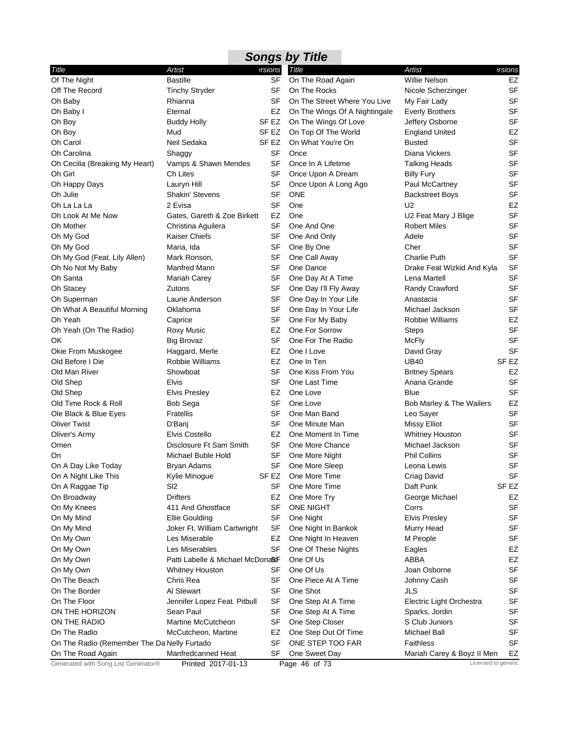|                                             |                                  |           | <b>Songs by Title</b>         |                            |                  |
|---------------------------------------------|----------------------------------|-----------|-------------------------------|----------------------------|------------------|
| Title                                       | Artist                           | ersions   | Title                         | Artist                     | ersions          |
| Of The Night                                | <b>Bastille</b>                  | SF        | On The Road Again             | <b>Willie Nelson</b>       | EZ               |
| Off The Record                              | <b>Tinchy Stryder</b>            | SF        | On The Rocks                  | Nicole Scherzinger         | <b>SF</b>        |
| Oh Baby                                     | Rhianna                          | SF        | On The Street Where You Live  | My Fair Lady               | <b>SF</b>        |
| Oh Baby I                                   | Eternal                          | EZ        | On The Wings Of A Nightingale | <b>Everly Brothers</b>     | <b>SF</b>        |
| Oh Boy                                      | <b>Buddy Holly</b>               | SF EZ     | On The Wings Of Love          | Jeffery Osborne            | <b>SF</b>        |
| Oh Boy                                      | Mud                              | SF EZ     | On Top Of The World           | <b>England United</b>      | EZ               |
| Oh Carol                                    | Neil Sedaka                      | SF EZ     | On What You're On             | <b>Busted</b>              | <b>SF</b>        |
| Oh Carolina                                 | Shaggy                           | <b>SF</b> | Once                          | Diana Vickers              | <b>SF</b>        |
| Oh Cecilia (Breaking My Heart)              | Vamps & Shawn Mendes             | SF        | Once In A Lifetime            | <b>Talking Heads</b>       | <b>SF</b>        |
| Oh Girl                                     | Ch Lites                         | SF        | Once Upon A Dream             | <b>Billy Fury</b>          | <b>SF</b>        |
| Oh Happy Days                               | Lauryn Hill                      | SF        | Once Upon A Long Ago          | Paul McCartney             | <b>SF</b>        |
| Oh Julie                                    | Shakin' Stevens                  | SF        | <b>ONE</b>                    | <b>Backstreet Boys</b>     | SF               |
| Oh La La La                                 | 2 Evisa                          | SF        | One                           | U <sub>2</sub>             | EZ               |
| Oh Look At Me Now                           | Gates, Gareth & Zoe Birkett      | EZ        | One                           | U2 Feat Mary J Blige       | SF               |
| Oh Mother                                   | Christina Aguilera               | SF        | One And One                   | <b>Robert Miles</b>        | <b>SF</b>        |
| Oh My God                                   | Kaiser Chiefs                    | SF        | One And Only                  | Adele                      | <b>SF</b>        |
| Oh My God                                   | Maria, Ida                       | SF        | One By One                    | Cher                       | <b>SF</b>        |
| Oh My God (Feat. Lily Allen)                | Mark Ronson,                     | SF        | One Call Away                 | <b>Charlie Puth</b>        | <b>SF</b>        |
| Oh No Not My Baby                           | Manfred Mann                     | SF        | One Dance                     | Drake Feat Wizkid And Kyla | <b>SF</b>        |
| Oh Santa                                    | <b>Mariah Carey</b>              | SF        | One Day At A Time             | Lena Martell               | <b>SF</b>        |
| Oh Stacey                                   | Zutons                           | SF        | One Day I'll Fly Away         | Randy Crawford             | <b>SF</b>        |
| Oh Superman                                 | Laurie Anderson                  | SF        | One Day In Your Life          | Anastacia                  | <b>SF</b>        |
| Oh What A Beautiful Morning                 | Oklahoma                         | SF        | One Day In Your Life          | Michael Jackson            | <b>SF</b>        |
| Oh Yeah                                     | Caprice                          | SF        | One For My Baby               | Robbie Williams            | EZ               |
| Oh Yeah (On The Radio)                      | <b>Roxy Music</b>                | EZ        | One For Sorrow                | <b>Steps</b>               | <b>SF</b>        |
| OK                                          | <b>Big Brovaz</b>                | SF        | One For The Radio             | <b>McFly</b>               | <b>SF</b>        |
| Okie From Muskogee                          | Haggard, Merle                   | EZ        | One I Love                    | David Gray                 | SF               |
| Old Before I Die                            | Robbie Williams                  | EZ        | One In Ten                    | <b>UB40</b>                | SF <sub>EZ</sub> |
| Old Man River                               | Showboat                         | <b>SF</b> | One Kiss From You             | <b>Britney Spears</b>      | EZ               |
| Old Shep                                    | <b>Elvis</b>                     | SF        | One Last Time                 | Ariana Grande              | <b>SF</b>        |
| Old Shep                                    | <b>Elvis Presley</b>             | EZ        | One Love                      | <b>Blue</b>                | <b>SF</b>        |
| Old Time Rock & Roll                        | Bob Sega                         | SF        | One Love                      | Bob Marley & The Wailers   | EZ               |
| Ole Black & Blue Eyes                       | <b>Fratellis</b>                 | SF        | One Man Band                  | Leo Sayer                  | <b>SF</b>        |
| <b>Oliver Twist</b>                         | D'Banj                           | SF        | One Minute Man                | <b>Missy Elliot</b>        | <b>SF</b>        |
| Oliver's Army                               | Elvis Costello                   | EZ        | One Moment In Time            | <b>Whitney Houston</b>     | <b>SF</b>        |
| Omen                                        | Disclosure Ft Sam Smith          | SF        | One More Chance               | Michael Jackson            | <b>SF</b>        |
| On                                          | Michael Buble Hold               | SF        | One More Night                | Phil Collins               | <b>SF</b>        |
| On A Day Like Today                         | <b>Bryan Adams</b>               |           | SF One More Sleep             | Leona Lewis                | SF               |
| On A Night Like This                        | Kylie Minogue                    | SF EZ     | One More Time                 | Criag David                | SF               |
| On A Raggae Tip                             | SI <sub>2</sub>                  | SF        | One More Time                 | Daft Punk                  | SF <sub>EZ</sub> |
| On Broadway                                 | <b>Drifters</b>                  | EZ        | One More Try                  | George Michael             | EZ               |
| On My Knees                                 | 411 And Ghostface                | SF        | <b>ONE NIGHT</b>              | Corrs                      | <b>SF</b>        |
| On My Mind                                  | <b>Ellie Goulding</b>            | SF        | One Night                     | <b>Elvis Presley</b>       | SF               |
| On My Mind                                  | Joker Ft. William Cartwright     | SF        | One Night In Bankok           | Murry Head                 | <b>SF</b>        |
| On My Own                                   | Les Miserable                    | EZ        | One Night In Heaven           | M People                   | <b>SF</b>        |
| On My Own                                   | Les Miserables                   | SF        | One Of These Nights           | Eagles                     | EZ               |
| On My Own                                   | Patti Labelle & Michael McDona&F |           | One Of Us                     | ABBA                       | EZ               |
| On My Own                                   | Whitney Houston                  | SF        | One Of Us                     | Joan Osborne               | <b>SF</b>        |
| On The Beach                                | Chris Rea                        | SF        | One Piece At A Time           | Johnny Cash                | <b>SF</b>        |
| On The Border                               | Al Stewart                       | SF        | One Shot                      | JLS                        | SF               |
| On The Floor                                | Jennifer Lopez Feat. Pitbull     | SF        | One Step At A Time            | Electric Light Orchestra   | <b>SF</b>        |
| ON THE HORIZON                              | Sean Paul                        | SF        | One Step At A Time            | Sparks, Jordin             | <b>SF</b>        |
| ON THE RADIO                                | Martine McCutcheon               | SF        | One Step Closer               | S Club Juniors             | SF               |
| On The Radio                                | McCutcheon, Martine              | EZ        | One Step Out Of Time          | <b>Michael Ball</b>        | SF               |
| On The Radio (Remember The Da Nelly Furtado |                                  | SF        | ONE STEP TOO FAR              | <b>Faithless</b>           | <b>SF</b>        |
| On The Road Again                           | Manfredcanned Heat               | SF        | One Sweet Day                 | Mariah Carey & Boyz II Men | EZ               |
| Generated with Song List Generator®         | Printed 2017-01-13               |           | Page 46 of 73                 | Licensed to generic        |                  |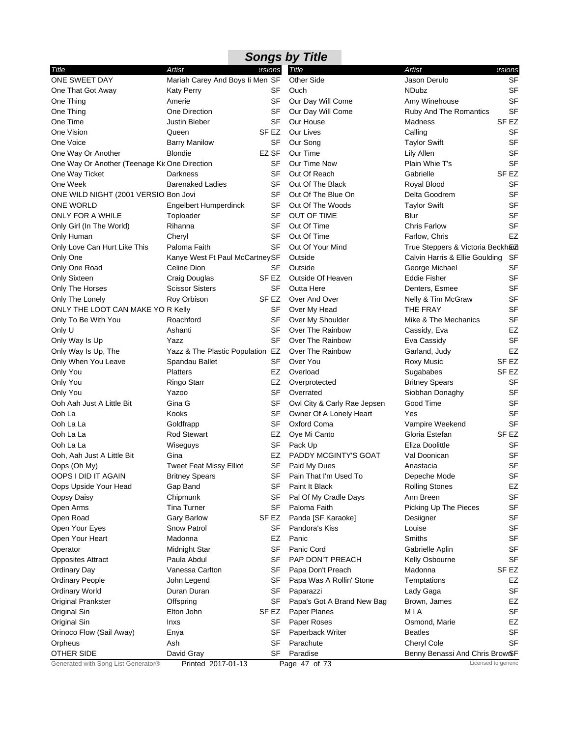| <b>Songs by Title</b>                         |                                  |                  |                             |                                  |                  |  |  |
|-----------------------------------------------|----------------------------------|------------------|-----------------------------|----------------------------------|------------------|--|--|
| Title                                         | Artist                           | ersions          | Title                       | Artist                           | ersions          |  |  |
| ONE SWEET DAY                                 | Mariah Carey And Boys Ii Men SF  |                  | <b>Other Side</b>           | Jason Derulo                     | <b>SF</b>        |  |  |
| One That Got Away                             | <b>Katy Perry</b>                | SF               | Ouch                        | NDubz                            | SF               |  |  |
| One Thing                                     | Amerie                           | SF               | Our Day Will Come           | Amy Winehouse                    | <b>SF</b>        |  |  |
| One Thing                                     | One Direction                    | SF               | Our Day Will Come           | Ruby And The Romantics           | <b>SF</b>        |  |  |
| One Time                                      | Justin Bieber                    | SF               | Our House                   | Madness                          | SF EZ            |  |  |
| One Vision                                    | Queen                            | SF EZ            | Our Lives                   | Calling                          | SF               |  |  |
| One Voice                                     | <b>Barry Manilow</b>             | SF               | Our Song                    | <b>Taylor Swift</b>              | SF               |  |  |
| One Way Or Another                            | <b>Blondie</b>                   | EZ SF            | Our Time                    | Lily Allen                       | <b>SF</b>        |  |  |
| One Way Or Another (Teenage Kit One Direction |                                  | SF               | Our Time Now                | Plain Whie T's                   | SF               |  |  |
| One Way Ticket                                | Darkness                         | SF               | Out Of Reach                | Gabrielle                        | SF <sub>EZ</sub> |  |  |
| One Week                                      | <b>Barenaked Ladies</b>          | SF               | Out Of The Black            | Royal Blood                      | SF               |  |  |
| ONE WILD NIGHT (2001 VERSIO Bon Jovi          |                                  | SF               | Out Of The Blue On          | Delta Goodrem                    | <b>SF</b>        |  |  |
| <b>ONE WORLD</b>                              | Engelbert Humperdinck            | SF               | Out Of The Woods            | <b>Taylor Swift</b>              | SF               |  |  |
| ONLY FOR A WHILE                              | Toploader                        | <b>SF</b>        | OUT OF TIME                 | Blur                             | <b>SF</b>        |  |  |
| Only Girl (In The World)                      | Rihanna                          | SF               | Out Of Time                 | <b>Chris Farlow</b>              | <b>SF</b>        |  |  |
| Only Human                                    | Cheryl                           | <b>SF</b>        | Out Of Time                 | Farlow, Chris                    | EZ               |  |  |
| Only Love Can Hurt Like This                  | Paloma Faith                     | SF               | Out Of Your Mind            | True Steppers & Victoria Beckhaz |                  |  |  |
| Only One                                      | Kanye West Ft Paul McCartneySF   |                  | Outside                     | Calvin Harris & Ellie Goulding   | SF               |  |  |
| Only One Road                                 | Celine Dion                      | SF               | Outside                     | George Michael                   | <b>SF</b>        |  |  |
| Only Sixteen                                  | Craig Douglas                    | SF EZ            | Outside Of Heaven           | <b>Eddie Fisher</b>              | SF               |  |  |
| Only The Horses                               | <b>Scissor Sisters</b>           | SF               | Outta Here                  | Denters, Esmee                   | <b>SF</b>        |  |  |
| Only The Lonely                               | Roy Orbison                      | SF <sub>EZ</sub> | Over And Over               | Nelly & Tim McGraw               | <b>SF</b>        |  |  |
| ONLY THE LOOT CAN MAKE YO'R Kelly             |                                  | SF               | Over My Head                | THE FRAY                         | SF               |  |  |
| Only To Be With You                           | Roachford                        | SF               | Over My Shoulder            | Mike & The Mechanics             | <b>SF</b>        |  |  |
| Only U                                        | Ashanti                          | SF               | Over The Rainbow            | Cassidy, Eva                     | EZ               |  |  |
| Only Way Is Up                                | Yazz                             | SF               | Over The Rainbow            | Eva Cassidy                      | SF               |  |  |
| Only Way Is Up, The                           | Yazz & The Plastic Population EZ |                  | Over The Rainbow            | Garland, Judy                    | EZ               |  |  |
| Only When You Leave                           | Spandau Ballet                   | SF               | Over You                    | <b>Roxy Music</b>                | SF <sub>EZ</sub> |  |  |
| Only You                                      | <b>Platters</b>                  | EZ               | Overload                    | Sugababes                        | SF <sub>EZ</sub> |  |  |
| Only You                                      | Ringo Starr                      | EZ               | Overprotected               | <b>Britney Spears</b>            | <b>SF</b>        |  |  |
| Only You                                      | Yazoo                            | SF               | Overrated                   | Siobhan Donaghy                  | <b>SF</b>        |  |  |
| Ooh Aah Just A Little Bit                     | Gina G                           | SF               | Owl City & Carly Rae Jepsen | Good Time                        | <b>SF</b>        |  |  |
| Ooh La                                        | Kooks                            | <b>SF</b>        | Owner Of A Lonely Heart     | Yes                              | SF               |  |  |
| Ooh La La                                     | Goldfrapp                        | SF               | Oxford Coma                 | Vampire Weekend                  | <b>SF</b>        |  |  |
| Ooh La La                                     | <b>Rod Stewart</b>               | EZ               | Oye Mi Canto                | Gloria Estefan                   | SF EZ            |  |  |
| Ooh La La                                     | Wiseguys                         | SF               | Pack Up                     | Eliza Doolittle                  | <b>SF</b>        |  |  |
| Ooh, Aah Just A Little Bit                    | Gina                             | EZ               | PADDY MCGINTY'S GOAT        | Val Doonican                     | <b>SF</b>        |  |  |
| Oops (Oh My)                                  | <b>Tweet Feat Missy Elliot</b>   | SF               | Paid My Dues                | Anastacia                        | SF               |  |  |
| OOPS I DID IT AGAIN                           | <b>Britney Spears</b>            | SF               | Pain That I'm Used To       | Depeche Mode                     | SF               |  |  |
| Oops Upside Your Head                         | Gap Band                         | SF               | Paint It Black              | <b>Rolling Stones</b>            | EZ               |  |  |
| Oopsy Daisy                                   | Chipmunk                         | SF               | Pal Of My Cradle Days       | Ann Breen                        | <b>SF</b>        |  |  |
| Open Arms                                     | <b>Tina Turner</b>               | SF               | Paloma Faith                | Picking Up The Pieces            | <b>SF</b>        |  |  |
| Open Road                                     | <b>Gary Barlow</b>               | SF EZ            | Panda [SF Karaoke]          | Desiigner                        | <b>SF</b>        |  |  |
| Open Your Eyes                                | Snow Patrol                      | SF               | Pandora's Kiss              | Louise                           | <b>SF</b>        |  |  |
| Open Your Heart                               | Madonna                          | EZ               | Panic                       | Smiths                           | <b>SF</b>        |  |  |
| Operator                                      | Midnight Star                    | <b>SF</b>        | Panic Cord                  | Gabrielle Aplin                  | <b>SF</b>        |  |  |
| <b>Opposites Attract</b>                      | Paula Abdul                      | SF               | PAP DON'T PREACH            | Kelly Osbourne                   | <b>SF</b>        |  |  |
| <b>Ordinary Day</b>                           | Vanessa Carlton                  | <b>SF</b>        | Papa Don't Preach           | Madonna                          | SF EZ            |  |  |
| <b>Ordinary People</b>                        | John Legend                      | SF               | Papa Was A Rollin' Stone    | Temptations                      | EZ               |  |  |
| <b>Ordinary World</b>                         | Duran Duran                      | SF               | Paparazzi                   | Lady Gaga                        | <b>SF</b>        |  |  |
| Original Prankster                            | Offspring                        | SF               | Papa's Got A Brand New Bag  | Brown, James                     | EZ               |  |  |
| Original Sin                                  | Elton John                       | SF EZ            | Paper Planes                | MIA                              | <b>SF</b>        |  |  |
| Original Sin                                  | Inxs                             | SF               | Paper Roses                 | Osmond, Marie                    | EZ               |  |  |
| Orinoco Flow (Sail Away)                      | Enya                             | SF               | Paperback Writer            | <b>Beatles</b>                   | <b>SF</b>        |  |  |
| Orpheus                                       | Ash                              | SF               | Parachute                   | Cheryl Cole                      | <b>SF</b>        |  |  |
| OTHER SIDE                                    | David Gray                       | SF               | Paradise                    | Benny Benassi And Chris BrowSF   |                  |  |  |
| Generated with Song List Generator®           | Printed 2017-01-13               |                  | Page 47 of 73               | Licensed to generic              |                  |  |  |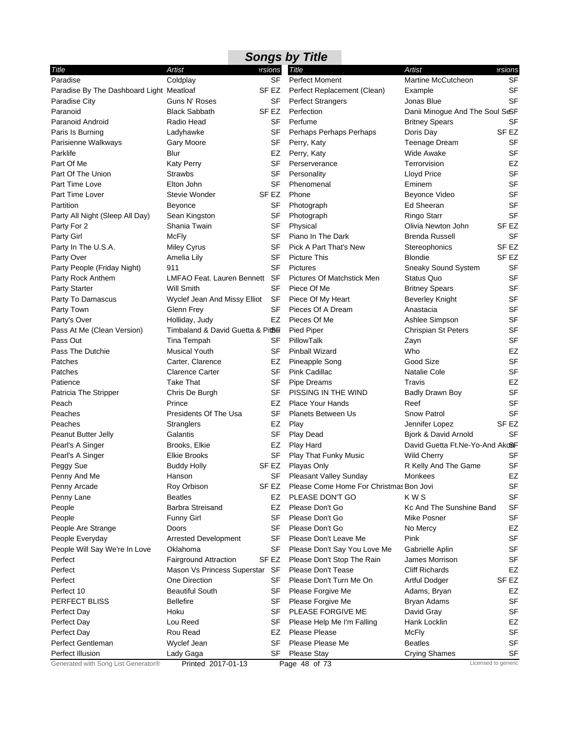|                                          |                                    |                  | <b>Songs by Title</b>                   |                                 |                     |
|------------------------------------------|------------------------------------|------------------|-----------------------------------------|---------------------------------|---------------------|
| Title                                    | Artist                             | ersions          | <b>Title</b>                            | Artist                          | ersions             |
| Paradise                                 | Coldplay                           | SF               | <b>Perfect Moment</b>                   | Martine McCutcheon              | <b>SF</b>           |
| Paradise By The Dashboard Light Meatloaf |                                    | SF EZ            | Perfect Replacement (Clean)             | Example                         | <b>SF</b>           |
| Paradise City                            | Guns N' Roses                      | SF               | <b>Perfect Strangers</b>                | Jonas Blue                      | <b>SF</b>           |
| Paranoid                                 | <b>Black Sabbath</b>               | SF EZ            | Perfection                              | Danii Minogue And The Soul SeSF |                     |
| Paranoid Android                         | Radio Head                         | SF               | Perfume                                 | <b>Britney Spears</b>           | SF                  |
| Paris Is Burning                         | Ladyhawke                          | SF               | Perhaps Perhaps Perhaps                 | Doris Day                       | SF EZ               |
| Parisienne Walkways                      | Gary Moore                         | SF               | Perry, Katy                             | <b>Teenage Dream</b>            | <b>SF</b>           |
| Parklife                                 | Blur                               | EZ               | Perry, Katy                             | <b>Wide Awake</b>               | <b>SF</b>           |
| Part Of Me                               | <b>Katy Perry</b>                  | SF               | Perserverance                           | Terrorvision                    | EZ                  |
| Part Of The Union                        | <b>Strawbs</b>                     | <b>SF</b>        | Personality                             | <b>Lloyd Price</b>              | <b>SF</b>           |
| Part Time Love                           | Elton John                         | SF               | Phenomenal                              | Eminem                          | <b>SF</b>           |
| Part Time Lover                          | Stevie Wonder                      | SF EZ            | Phone                                   | Beyonce Video                   | <b>SF</b>           |
| Partition                                | Beyonce                            | SF               | Photograph                              | Ed Sheeran                      | <b>SF</b>           |
| Party All Night (Sleep All Day)          | Sean Kingston                      | <b>SF</b>        | Photograph                              | Ringo Starr                     | <b>SF</b>           |
| Party For 2                              | Shania Twain                       | SF               | Physical                                | Olivia Newton John              | SF EZ               |
| Party Girl                               | <b>McFly</b>                       | SF               | Piano In The Dark                       | <b>Brenda Russell</b>           | <b>SF</b>           |
| Party In The U.S.A.                      | <b>Miley Cyrus</b>                 | SF               | Pick A Part That's New                  | Stereophonics                   | SF <sub>EZ</sub>    |
| Party Over                               | Amelia Lily                        | SF               | <b>Picture This</b>                     | <b>Blondie</b>                  | SF <sub>EZ</sub>    |
| Party People (Friday Night)              | 911                                | SF               | <b>Pictures</b>                         | Sneaky Sound System             | <b>SF</b>           |
| Party Rock Anthem                        | LMFAO Feat. Lauren Bennett SF      |                  | Pictures Of Matchstick Men              | <b>Status Quo</b>               | <b>SF</b>           |
| <b>Party Starter</b>                     | Will Smith                         | SF               | Piece Of Me                             | <b>Britney Spears</b>           | <b>SF</b>           |
| Party To Damascus                        | Wyclef Jean And Missy Elliot       | SF               | Piece Of My Heart                       | <b>Beverley Knight</b>          | <b>SF</b>           |
| Party Town                               | Glenn Frey                         | SF               | Pieces Of A Dream                       | Anastacia                       | <b>SF</b>           |
| Party's Over                             | Holliday, Judy                     | EZ               | Pieces Of Me                            | Ashlee Simpson                  | <b>SF</b>           |
| Pass At Me (Clean Version)               | Timbaland & David Guetta & Pit8fil |                  | Pied Piper                              | <b>Chrispian St Peters</b>      | <b>SF</b>           |
| Pass Out                                 | Tina Tempah                        | SF               | PillowTalk                              | Zayn                            | <b>SF</b>           |
| Pass The Dutchie                         | <b>Musical Youth</b>               | <b>SF</b>        | Pinball Wizard                          | Who                             | EZ                  |
| Patches                                  | Carter, Clarence                   | EZ               | Pineapple Song                          | Good Size                       | <b>SF</b>           |
| Patches                                  | <b>Clarence Carter</b>             | <b>SF</b>        | Pink Cadillac                           | <b>Natalie Cole</b>             | <b>SF</b>           |
| Patience                                 | Take That                          | SF               | <b>Pipe Dreams</b>                      | Travis                          | EZ                  |
| Patricia The Stripper                    | Chris De Burgh                     | SF               | PISSING IN THE WIND                     | <b>Badly Drawn Boy</b>          | <b>SF</b>           |
| Peach                                    | Prince                             | EZ               | <b>Place Your Hands</b>                 | Reef                            | <b>SF</b>           |
| Peaches                                  | Presidents Of The Usa              | SF               | <b>Planets Between Us</b>               | Snow Patrol                     | <b>SF</b>           |
| Peaches                                  | Stranglers                         | EZ               | Play                                    | Jennifer Lopez                  | SF EZ               |
| Peanut Butter Jelly                      | Galantis                           | SF               | Play Dead                               | Bjork & David Arnold            | SF                  |
| Pearl's A Singer                         | Brooks, Elkie                      | EZ               | Play Hard                               | David Guetta Ft.Ne-Yo-And AkoBF |                     |
| Pearl's A Singer                         | Elkie Brooks                       | SF               | Play That Funky Music                   | <b>Wild Cherry</b>              | SF                  |
| Peggy Sue                                | <b>Buddy Holly</b>                 |                  | SF EZ Playas Only                       | R Kelly And The Game            | SF                  |
| Penny And Me                             | Hanson                             | SF               | Pleasant Valley Sunday                  | Monkees                         | EZ                  |
| Penny Arcade                             | Roy Orbison                        | SF <sub>EZ</sub> | Please Come Home For Christmas Bon Jovi |                                 | SF                  |
| Penny Lane                               | <b>Beatles</b>                     | EZ               | PLEASE DON'T GO                         | KWS                             | <b>SF</b>           |
| People                                   | Barbra Streisand                   | EZ               | Please Don't Go                         | Kc And The Sunshine Band        | <b>SF</b>           |
| People                                   | <b>Funny Girl</b>                  | SF               | Please Don't Go                         | Mike Posner                     | <b>SF</b>           |
| People Are Strange                       | Doors                              | SF               | Please Don't Go                         | No Mercy                        | EZ                  |
| People Everyday                          | <b>Arrested Development</b>        | SF               | Please Don't Leave Me                   | Pink                            | <b>SF</b>           |
| People Will Say We're In Love            | Oklahoma                           | SF               | Please Don't Say You Love Me            | Gabrielle Aplin                 | <b>SF</b>           |
| Perfect                                  | <b>Fairground Attraction</b>       | SF EZ            | Please Don't Stop The Rain              | James Morrison                  | <b>SF</b>           |
| Perfect                                  | Mason Vs Princess Superstar SF     |                  | Please Don't Tease                      | <b>Cliff Richards</b>           | EZ                  |
| Perfect                                  | One Direction                      | SF               | Please Don't Turn Me On                 | Artful Dodger                   | SF EZ               |
| Perfect 10                               | <b>Beautiful South</b>             | SF               | Please Forgive Me                       | Adams, Bryan                    | EZ                  |
| PERFECT BLISS                            | <b>Bellefire</b>                   | SF               | Please Forgive Me                       | Bryan Adams                     | <b>SF</b>           |
| Perfect Day                              | Hoku                               | SF               | PLEASE FORGIVE ME                       | David Gray                      | <b>SF</b>           |
| Perfect Day                              | Lou Reed                           | SF               | Please Help Me I'm Falling              | Hank Locklin                    | EZ                  |
| Perfect Day                              | Rou Read                           | EZ               | Please Please                           | <b>McFly</b>                    | SF                  |
| Perfect Gentleman                        | Wyclef Jean                        | <b>SF</b>        | Please Please Me                        | <b>Beatles</b>                  | <b>SF</b>           |
| Perfect Illusion                         | Lady Gaga                          | SF               | <b>Please Stay</b>                      | <b>Crying Shames</b>            | SF                  |
| Generated with Song List Generator®      | Printed 2017-01-13                 |                  | Page 48 of 73                           |                                 | Licensed to generic |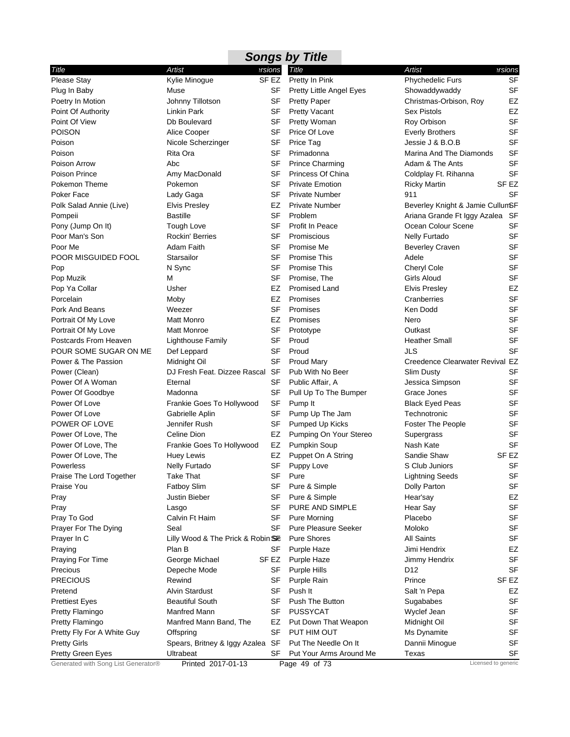|                            |                                   |                 | <b>Songs by Title</b>       |                                  |                  |
|----------------------------|-----------------------------------|-----------------|-----------------------------|----------------------------------|------------------|
| Title                      | Artist                            | ersions         | <b>Title</b>                | Artist                           | ersions          |
| Please Stay                | Kylie Minogue                     | SF EZ           | Pretty In Pink              | Phychedelic Furs                 | SF               |
| Plug In Baby               | Muse                              | SF              | Pretty Little Angel Eyes    | Showaddywaddy                    | <b>SF</b>        |
| Poetry In Motion           | Johnny Tillotson                  | SF              | <b>Pretty Paper</b>         | Christmas-Orbison, Roy           | EZ               |
| Point Of Authority         | Linkin Park                       | SF              | <b>Pretty Vacant</b>        | <b>Sex Pistols</b>               | EZ               |
| Point Of View              | Db Boulevard                      | SF              | Pretty Woman                | Roy Orbison                      | <b>SF</b>        |
| <b>POISON</b>              | Alice Cooper                      | SF              | Price Of Love               | <b>Everly Brothers</b>           | <b>SF</b>        |
| Poison                     | Nicole Scherzinger                | SF              | Price Tag                   | Jessie J & B.O.B                 | <b>SF</b>        |
| Poison                     | Rita Ora                          | SF              | Primadonna                  | Marina And The Diamonds          | <b>SF</b>        |
| Poison Arrow               | Abc                               | <b>SF</b>       | <b>Prince Charming</b>      | Adam & The Ants                  | <b>SF</b>        |
| Poison Prince              | Amy MacDonald                     | SF              | Princess Of China           | Coldplay Ft. Rihanna             | <b>SF</b>        |
| Pokemon Theme              | Pokemon                           | <b>SF</b>       | <b>Private Emotion</b>      | <b>Ricky Martin</b>              | SF <sub>EZ</sub> |
| Poker Face                 | Lady Gaga                         | SF              | <b>Private Number</b>       | 911                              | <b>SF</b>        |
| Polk Salad Annie (Live)    | <b>Elvis Presley</b>              | EZ              | <b>Private Number</b>       | Beverley Knight & Jamie CullumSF |                  |
| Pompeii                    | <b>Bastille</b>                   | SF              | Problem                     | Ariana Grande Ft Iggy Azalea SF  |                  |
| Pony (Jump On It)          | <b>Tough Love</b>                 | <b>SF</b>       | Profit In Peace             | Ocean Colour Scene               | <b>SF</b>        |
| Poor Man's Son             | Rockin' Berries                   | SF              | Promiscious                 | Nelly Furtado                    | <b>SF</b>        |
| Poor Me                    | Adam Faith                        | SF              | Promise Me                  | <b>Beverley Craven</b>           | <b>SF</b>        |
| POOR MISGUIDED FOOL        | Starsailor                        | SF              | <b>Promise This</b>         | Adele                            | <b>SF</b>        |
| Pop                        | N Sync                            | SF              | <b>Promise This</b>         | Cheryl Cole                      | <b>SF</b>        |
| Pop Muzik                  | М                                 | SF              | Promise, The                | Girls Aloud                      | <b>SF</b>        |
| Pop Ya Collar              | Usher                             | EZ              | Promised Land               | <b>Elvis Presley</b>             | EZ               |
|                            |                                   |                 |                             |                                  | <b>SF</b>        |
| Porcelain                  | Moby                              | EZ              | Promises                    | Cranberries                      |                  |
| Pork And Beans             | Weezer                            | <b>SF</b>       | Promises                    | Ken Dodd                         | <b>SF</b>        |
| Portrait Of My Love        | <b>Matt Monro</b>                 | EZ              | Promises                    | Nero                             | <b>SF</b>        |
| Portrait Of My Love        | Matt Monroe                       | SF              | Prototype                   | Outkast                          | <b>SF</b>        |
| Postcards From Heaven      | Lighthouse Family                 | SF              | Proud                       | <b>Heather Small</b>             | <b>SF</b>        |
| POUR SOME SUGAR ON ME      | Def Leppard                       | SF              | Proud                       | JLS                              | <b>SF</b>        |
| Power & The Passion        | Midnight Oil                      | <b>SF</b>       | <b>Proud Mary</b>           | Creedence Clearwater Revival EZ  |                  |
| Power (Clean)              | DJ Fresh Feat. Dizzee Rascal SF   |                 | Pub With No Beer            | <b>Slim Dusty</b>                | <b>SF</b>        |
| Power Of A Woman           | Eternal                           | <b>SF</b>       | Public Affair, A            | Jessica Simpson                  | <b>SF</b>        |
| Power Of Goodbye           | Madonna                           | <b>SF</b>       | Pull Up To The Bumper       | Grace Jones                      | <b>SF</b>        |
| Power Of Love              | Frankie Goes To Hollywood         | <b>SF</b>       | Pump It                     | <b>Black Eyed Peas</b>           | <b>SF</b>        |
| Power Of Love              | Gabrielle Aplin                   | SF              | Pump Up The Jam             | Technotronic                     | <b>SF</b>        |
| POWER OF LOVE              | Jennifer Rush                     | SF              | Pumped Up Kicks             | Foster The People                | <b>SF</b>        |
| Power Of Love, The         | Celine Dion                       | EZ              | Pumping On Your Stereo      | Supergrass                       | <b>SF</b>        |
| Power Of Love, The         | Frankie Goes To Hollywood         | EZ              | Pumpkin Soup                | Nash Kate                        | <b>SF</b>        |
| Power Of Love, The         | Huey Lewis                        | EZ              | Puppet On A String          | Sandie Shaw                      | SF <sub>EZ</sub> |
| <b>Powerless</b>           | Nelly Furtado                     | <b>SF</b>       | Puppy Love                  | S Club Juniors                   | SF               |
| Praise The Lord Together   | Take That                         | <b>SF</b>       | Pure                        | <b>Lightning Seeds</b>           | <b>SF</b>        |
| Praise You                 | Fatboy Slim                       | SF              | Pure & Simple               | Dolly Parton                     | <b>SF</b>        |
| Pray                       | Justin Bieber                     | SF              | Pure & Simple               | Hear'say                         | EZ               |
| Pray                       | Lasgo                             | SF              | PURE AND SIMPLE             | Hear Say                         | <b>SF</b>        |
| Pray To God                | Calvin Ft Haim                    | SF              | <b>Pure Morning</b>         | Placebo                          | <b>SF</b>        |
| Prayer For The Dying       | Seal                              | SF              | <b>Pure Pleasure Seeker</b> | Moloko                           | <b>SF</b>        |
| Prayer In C                | Lilly Wood & The Prick & Robin SE |                 | <b>Pure Shores</b>          | <b>All Saints</b>                | <b>SF</b>        |
| Praying                    | Plan B                            | SF              | Purple Haze                 | Jimi Hendrix                     | EZ               |
| Praying For Time           | George Michael                    | SF EZ           | Purple Haze                 | Jimmy Hendrix                    | <b>SF</b>        |
| Precious                   | Depeche Mode                      | SF              | Purple Hills                | D <sub>12</sub>                  | <b>SF</b>        |
| <b>PRECIOUS</b>            | Rewind                            | SF              | Purple Rain                 | Prince                           | SF EZ            |
| Pretend                    | Alvin Stardust                    | SF              | Push It                     | Salt 'n Pepa                     | EZ               |
| <b>Prettiest Eyes</b>      | <b>Beautiful South</b>            | SF              | Push The Button             | Sugababes                        | <b>SF</b>        |
| <b>Pretty Flamingo</b>     | Manfred Mann                      | SF              | <b>PUSSYCAT</b>             | Wyclef Jean                      | <b>SF</b>        |
|                            | Manfred Mann Band, The            |                 |                             |                                  | SF               |
| <b>Pretty Flamingo</b>     |                                   | EZ<br><b>SF</b> | Put Down That Weapon        | Midnight Oil                     |                  |
| Pretty Fly For A White Guy | Offspring                         |                 | PUT HIM OUT                 | Ms Dynamite                      | <b>SF</b>        |
| <b>Pretty Girls</b>        | Spears, Britney & Iggy Azalea SF  |                 | Put The Needle On It        | Dannii Minogue                   | SF               |
| Pretty Green Eyes          | Ultrabeat                         | SF              | Put Your Arms Around Me     | Texas                            | SF               |

Generated with Song List Generator® Printed 2017-01-13 Page 49 of 73 Licensed to generic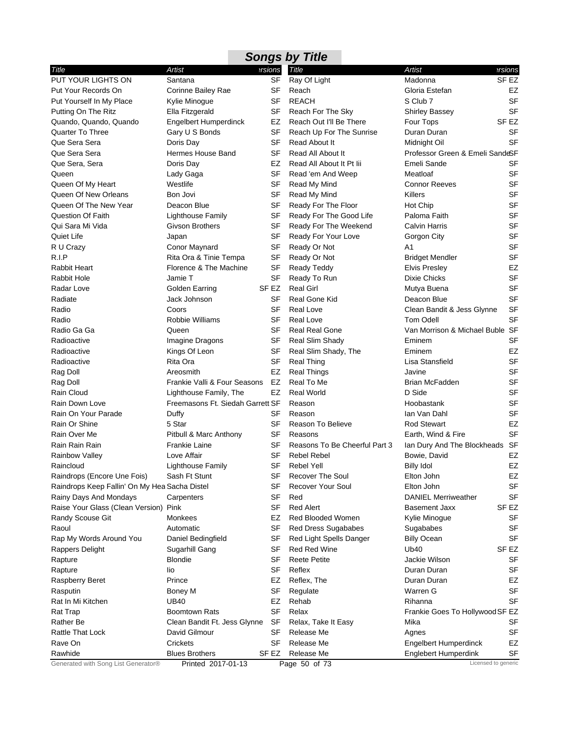|                                               | <b>Songs by Title</b>            |           |                               |                                 |                     |  |  |  |
|-----------------------------------------------|----------------------------------|-----------|-------------------------------|---------------------------------|---------------------|--|--|--|
| Title                                         | Artist                           | ersions   | <b>Title</b>                  | Artist                          | ersions             |  |  |  |
| PUT YOUR LIGHTS ON                            | Santana                          | SF        | Ray Of Light                  | Madonna                         | SF <sub>EZ</sub>    |  |  |  |
| Put Your Records On                           | Corinne Bailey Rae               | <b>SF</b> | Reach                         | Gloria Estefan                  | EZ                  |  |  |  |
| Put Yourself In My Place                      | Kylie Minogue                    | SF        | <b>REACH</b>                  | S Club 7                        | <b>SF</b>           |  |  |  |
| Putting On The Ritz                           | Ella Fitzgerald                  | SF        | Reach For The Sky             | <b>Shirley Bassey</b>           | <b>SF</b>           |  |  |  |
| Quando, Quando, Quando                        | <b>Engelbert Humperdinck</b>     | EZ        | Reach Out I'll Be There       | Four Tops                       | SF EZ               |  |  |  |
| <b>Quarter To Three</b>                       | Gary U S Bonds                   | SF        | Reach Up For The Sunrise      | Duran Duran                     | <b>SF</b>           |  |  |  |
| Que Sera Sera                                 | Doris Day                        | SF        | Read About It                 | Midnight Oil                    | <b>SF</b>           |  |  |  |
| Que Sera Sera                                 | Hermes House Band                | <b>SF</b> | Read All About It             | Professor Green & Emeli SandeSF |                     |  |  |  |
| Que Sera, Sera                                | Doris Day                        | EZ        | Read All About It Pt Iii      | <b>Emeli Sande</b>              | SF                  |  |  |  |
| Queen                                         | Lady Gaga                        | SF        | Read 'em And Weep             | Meatloaf                        | <b>SF</b>           |  |  |  |
| Queen Of My Heart                             | Westlife                         | <b>SF</b> | Read My Mind                  | <b>Connor Reeves</b>            | <b>SF</b>           |  |  |  |
| Queen Of New Orleans                          | Bon Jovi                         | SF        | Read My Mind                  | Killers                         | <b>SF</b>           |  |  |  |
| Queen Of The New Year                         | Deacon Blue                      | SF        | Ready For The Floor           | Hot Chip                        | <b>SF</b>           |  |  |  |
| <b>Question Of Faith</b>                      | <b>Lighthouse Family</b>         | SF        | Ready For The Good Life       | Paloma Faith                    | <b>SF</b>           |  |  |  |
| Qui Sara Mi Vida                              | Givson Brothers                  | SF        | Ready For The Weekend         | <b>Calvin Harris</b>            | <b>SF</b>           |  |  |  |
| Quiet Life                                    | Japan                            | SF        | Ready For Your Love           | Gorgon City                     | <b>SF</b>           |  |  |  |
| R U Crazy                                     | Conor Maynard                    | SF        | Ready Or Not                  | A1                              | <b>SF</b>           |  |  |  |
| R.I.P                                         | Rita Ora & Tinie Tempa           | SF        | Ready Or Not                  | <b>Bridget Mendler</b>          | <b>SF</b>           |  |  |  |
| Rabbit Heart                                  | Florence & The Machine           | SF        | <b>Ready Teddy</b>            | <b>Elvis Presley</b>            | EZ                  |  |  |  |
| <b>Rabbit Hole</b>                            | Jamie T                          | SF        | Ready To Run                  | <b>Dixie Chicks</b>             | <b>SF</b>           |  |  |  |
| Radar Love                                    | Golden Earring                   | SF EZ     | <b>Real Girl</b>              | Mutya Buena                     | <b>SF</b>           |  |  |  |
| Radiate                                       | Jack Johnson                     | SF        | Real Gone Kid                 | Deacon Blue                     | <b>SF</b>           |  |  |  |
| Radio                                         | Coors                            | <b>SF</b> | Real Love                     | Clean Bandit & Jess Glynne      | <b>SF</b>           |  |  |  |
| Radio                                         | Robbie Williams                  | <b>SF</b> | Real Love                     | <b>Tom Odell</b>                | <b>SF</b>           |  |  |  |
| Radio Ga Ga                                   | Queen                            | SF        | <b>Real Real Gone</b>         | Van Morrison & Michael Buble SF |                     |  |  |  |
| Radioactive                                   | Imagine Dragons                  | SF        | Real Slim Shady               | Eminem                          | <b>SF</b>           |  |  |  |
| Radioactive                                   | Kings Of Leon                    | SF        | Real Slim Shady, The          | Eminem                          | EZ                  |  |  |  |
| Radioactive                                   | Rita Ora                         | SF        | <b>Real Thing</b>             | Lisa Stansfield                 | <b>SF</b>           |  |  |  |
| Rag Doll                                      | Areosmith                        | EZ        | <b>Real Things</b>            | Javine                          | <b>SF</b>           |  |  |  |
| Rag Doll                                      | Frankie Valli & Four Seasons     | EZ        | Real To Me                    | Brian McFadden                  | <b>SF</b>           |  |  |  |
| Rain Cloud                                    | Lighthouse Family, The           | EZ        | <b>Real World</b>             | D Side                          | <b>SF</b>           |  |  |  |
| Rain Down Love                                | Freemasons Ft. Siedah Garrett SF |           | Reason                        | Hoobastank                      | <b>SF</b>           |  |  |  |
| Rain On Your Parade                           | Duffy                            | SF        | Reason                        | lan Van Dahl                    | <b>SF</b>           |  |  |  |
| Rain Or Shine                                 | 5 Star                           | <b>SF</b> | Reason To Believe             | <b>Rod Stewart</b>              | EZ                  |  |  |  |
| Rain Over Me                                  | Pitbull & Marc Anthony           | SF        | Reasons                       | Earth, Wind & Fire              | <b>SF</b>           |  |  |  |
| Rain Rain Rain                                | <b>Frankie Laine</b>             | SF        | Reasons To Be Cheerful Part 3 | lan Dury And The Blockheads SF  |                     |  |  |  |
| <b>Rainbow Valley</b>                         | Love Affair                      | SF        | <b>Rebel Rebel</b>            | Bowie, David                    | EZ                  |  |  |  |
| Raincloud                                     | <b>Lighthouse Family</b>         | SF        | <b>Rebel Yell</b>             | <b>Billy Idol</b>               | EZ                  |  |  |  |
| Raindrops (Encore Une Fois)                   | Sash Ft Stunt                    | SF        | <b>Recover The Soul</b>       | Elton John                      | EZ                  |  |  |  |
| Raindrops Keep Fallin' On My Hea Sacha Distel |                                  | SF        | <b>Recover Your Soul</b>      | Elton John                      | SF                  |  |  |  |
| Rainy Days And Mondays                        | Carpenters                       | <b>SF</b> | Red                           | <b>DANIEL Merriweather</b>      | SF                  |  |  |  |
| Raise Your Glass (Clean Version) Pink         |                                  | SF        | <b>Red Alert</b>              | <b>Basement Jaxx</b>            | SF EZ               |  |  |  |
| Randy Scouse Git                              | Monkees                          | EZ        | Red Blooded Women             | Kylie Minogue                   | SF                  |  |  |  |
| Raoul                                         | Automatic                        | SF        | Red Dress Sugababes           | Sugababes                       | SF                  |  |  |  |
| Rap My Words Around You                       | Daniel Bedingfield               | SF        | Red Light Spells Danger       | <b>Billy Ocean</b>              | <b>SF</b>           |  |  |  |
| Rappers Delight                               | Sugarhill Gang                   | SF        | Red Red Wine                  | Ub40                            | SF <sub>EZ</sub>    |  |  |  |
| Rapture                                       | <b>Blondie</b>                   | SF        | <b>Reete Petite</b>           | Jackie Wilson                   | SF                  |  |  |  |
| Rapture                                       | lio                              | SF        | Reflex                        | Duran Duran                     | <b>SF</b>           |  |  |  |
| Raspberry Beret                               | Prince                           | EZ        | Reflex, The                   | Duran Duran                     | EZ                  |  |  |  |
| Rasputin                                      | Boney M                          | SF        | Regulate                      | Warren G                        | SF                  |  |  |  |
| Rat In Mi Kitchen                             | <b>UB40</b>                      | EZ        | Rehab                         | Rihanna                         | SF                  |  |  |  |
| Rat Trap                                      | <b>Boomtown Rats</b>             | SF        | Relax                         | Frankie Goes To Hollywood SF EZ |                     |  |  |  |
| Rather Be                                     | Clean Bandit Ft. Jess Glynne     | <b>SF</b> | Relax, Take It Easy           | Mika                            | SF                  |  |  |  |
| Rattle That Lock                              | David Gilmour                    | SF        | Release Me                    | Agnes                           | <b>SF</b>           |  |  |  |
| Rave On                                       | Crickets                         | SF        | Release Me                    | Engelbert Humperdinck           | EZ                  |  |  |  |
| Rawhide                                       | <b>Blues Brothers</b>            | SF EZ     | Release Me                    | Englebert Humperdink            | SF                  |  |  |  |
| Generated with Song List Generator®           | Printed 2017-01-13               |           | Page 50 of 73                 |                                 | Licensed to generic |  |  |  |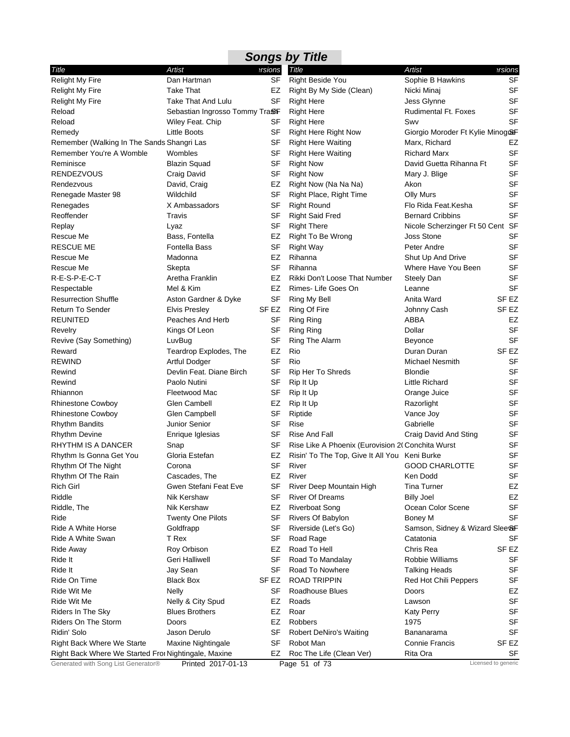| Title                                                | Artist                         | ersions         | Title                                             | Artist                           | ersions                |
|------------------------------------------------------|--------------------------------|-----------------|---------------------------------------------------|----------------------------------|------------------------|
| <b>Relight My Fire</b>                               | Dan Hartman                    | SF              | <b>Right Beside You</b>                           | Sophie B Hawkins                 | <b>SF</b>              |
| <b>Relight My Fire</b>                               | <b>Take That</b>               | EZ              | Right By My Side (Clean)                          | Nicki Minaj                      | <b>SF</b>              |
| <b>Relight My Fire</b>                               | <b>Take That And Lulu</b>      | <b>SF</b>       | <b>Right Here</b>                                 | Jess Glynne                      | <b>SF</b>              |
| Reload                                               | Sebastian Ingrosso Tommy TraSF |                 | <b>Right Here</b>                                 | <b>Rudimental Ft. Foxes</b>      | <b>SF</b>              |
| Reload                                               | Wiley Feat. Chip               | SF              | <b>Right Here</b>                                 | Swy                              | <b>SF</b>              |
| Remedy                                               | Little Boots                   | SF              | <b>Right Here Right Now</b>                       | Giorgio Moroder Ft Kylie Minog&F |                        |
| Remember (Walking In The Sands Shangri Las           |                                | <b>SF</b>       | <b>Right Here Waiting</b>                         | Marx, Richard                    | EZ                     |
| Remember You're A Womble                             | Wombles                        | SF              | <b>Right Here Waiting</b>                         | <b>Richard Marx</b>              | <b>SF</b>              |
| Reminisce                                            | <b>Blazin Squad</b>            | SF              | <b>Right Now</b>                                  | David Guetta Rihanna Ft          | <b>SF</b>              |
| RENDEZVOUS                                           | Craig David                    | SF              | <b>Right Now</b>                                  | Mary J. Blige                    | SF                     |
| Rendezvous                                           | David, Craig                   | EZ              | Right Now (Na Na Na)                              | Akon                             | <b>SF</b>              |
| Renegade Master 98                                   | Wildchild                      | SF              | Right Place, Right Time                           | Olly Murs                        | <b>SF</b>              |
| Renegades                                            | X Ambassadors                  | SF              | <b>Right Round</b>                                | Flo Rida Feat.Kesha              | <b>SF</b>              |
| Reoffender                                           | Travis                         | SF              | <b>Right Said Fred</b>                            | <b>Bernard Cribbins</b>          | SF                     |
| Replay                                               | Lyaz                           | SF              | <b>Right There</b>                                | Nicole Scherzinger Ft 50 Cent SF |                        |
| Rescue Me                                            | Bass, Fontella                 | EZ              | Right To Be Wrong                                 | <b>Joss Stone</b>                | <b>SF</b>              |
| <b>RESCUE ME</b>                                     | Fontella Bass                  | SF              | <b>Right Way</b>                                  | Peter Andre                      | <b>SF</b>              |
| Rescue Me                                            | Madonna                        | EZ              | Rihanna                                           | Shut Up And Drive                | SF                     |
| Rescue Me                                            | Skepta                         | SF              | Rihanna                                           | Where Have You Been              | <b>SF</b>              |
| R-E-S-P-E-C-T                                        | Aretha Franklin                | EZ              | Rikki Don't Loose That Number                     | Steely Dan                       | SF                     |
| Respectable                                          | Mel & Kim                      | EZ              | Rimes-Life Goes On                                | Leanne                           | <b>SF</b>              |
| <b>Resurrection Shuffle</b>                          | Aston Gardner & Dyke           | <b>SF</b>       |                                                   | Anita Ward                       | SF <sub>EZ</sub>       |
| Return To Sender                                     | <b>Elvis Presley</b>           | SF EZ           | Ring My Bell                                      |                                  | SF EZ                  |
| REUNITED                                             | Peaches And Herb               | SF              | Ring Of Fire                                      | Johnny Cash<br>ABBA              | EZ                     |
|                                                      |                                | SF              | <b>Ring Ring</b>                                  | Dollar                           | SF                     |
| Revelry                                              | Kings Of Leon                  | <b>SF</b>       | <b>Ring Ring</b><br>Ring The Alarm                |                                  | <b>SF</b>              |
| Revive (Say Something)                               | LuvBug                         | EZ              | Rio                                               | <b>Beyonce</b><br>Duran Duran    | SF <sub>EZ</sub>       |
| Reward<br><b>REWIND</b>                              | Teardrop Explodes, The         | <b>SF</b>       | Rio                                               |                                  | <b>SF</b>              |
|                                                      | <b>Artful Dodger</b>           |                 |                                                   | <b>Michael Nesmith</b>           | <b>SF</b>              |
| Rewind                                               | Devlin Feat. Diane Birch       | SF              | Rip Her To Shreds                                 | <b>Blondie</b>                   |                        |
| Rewind                                               | Paolo Nutini                   | SF              | Rip It Up                                         | Little Richard                   | <b>SF</b><br><b>SF</b> |
| Rhiannon                                             | Fleetwood Mac                  | SF              | Rip It Up                                         | Orange Juice                     | <b>SF</b>              |
| <b>Rhinestone Cowboy</b>                             | Glen Cambell                   | EZ              | Rip It Up                                         | Razorlight                       |                        |
| <b>Rhinestone Cowboy</b>                             | Glen Campbell                  | <b>SF</b>       | Riptide                                           | Vance Joy                        | <b>SF</b><br><b>SF</b> |
| <b>Rhythm Bandits</b>                                | Junior Senior                  | SF              | Rise                                              | Gabrielle                        |                        |
| Rhythm Devine                                        | Enrique Iglesias               | <b>SF</b>       | Rise And Fall                                     | Craig David And Sting            | SF                     |
| RHYTHM IS A DANCER                                   | Snap                           | SF              | Rise Like A Phoenix (Eurovision 2( Conchita Wurst |                                  | <b>SF</b>              |
| Rhythm Is Gonna Get You                              | Gloria Estefan                 | EZ<br><b>SF</b> | Risin' To The Top, Give It All You Keni Burke     | <b>GOOD CHARLOTTE</b>            | <b>SF</b><br>SF        |
| Rhythm Of The Night                                  | Corona                         |                 | River                                             |                                  |                        |
| Rhythm Of The Rain                                   | Cascades, The                  | EZ              | River                                             | Ken Dodd                         | SF                     |
| <b>Rich Girl</b>                                     | Gwen Stefani Feat Eve          | SF<br><b>SF</b> | River Deep Mountain High                          | <b>Tina Turner</b>               | EZ                     |
| Riddle                                               | Nik Kershaw                    |                 | <b>River Of Dreams</b>                            | <b>Billy Joel</b>                | EZ                     |
| Riddle, The                                          | Nik Kershaw                    | EZ              | <b>Riverboat Song</b>                             | Ocean Color Scene                | <b>SF</b>              |
| Ride                                                 | <b>Twenty One Pilots</b>       | SF              | Rivers Of Babylon                                 | <b>Boney M</b>                   | <b>SF</b>              |
| Ride A White Horse                                   | Goldfrapp                      | SF              | Riverside (Let's Go)                              | Samson, Sidney & Wizard Slee&F   |                        |
| Ride A White Swan                                    | T Rex                          | SF              | Road Rage                                         | Catatonia                        | SF                     |
| Ride Away                                            | Roy Orbison                    | EZ              | Road To Hell                                      | Chris Rea                        | SF <sub>EZ</sub>       |
| Ride It                                              | Geri Halliwell                 | SF              | Road To Mandalay                                  | Robbie Williams                  | <b>SF</b>              |
| Ride It                                              | Jay Sean                       | <b>SF</b>       | Road To Nowhere                                   | <b>Talking Heads</b>             | <b>SF</b>              |
| Ride On Time                                         | <b>Black Box</b>               | SF EZ           | <b>ROAD TRIPPIN</b>                               | Red Hot Chili Peppers            | SF                     |
| Ride Wit Me                                          | Nelly                          | SF              | Roadhouse Blues                                   | Doors                            | EZ                     |
| Ride Wit Me                                          | Nelly & City Spud              | EZ              | Roads                                             | Lawson                           | <b>SF</b>              |
| Riders In The Sky                                    | <b>Blues Brothers</b>          | EZ              | Roar                                              | <b>Katy Perry</b>                | <b>SF</b>              |
| Riders On The Storm                                  | Doors                          | EZ              | Robbers                                           | 1975                             | <b>SF</b>              |
| Ridin' Solo                                          | Jason Derulo                   | <b>SF</b>       | <b>Robert DeNiro's Waiting</b>                    | Bananarama                       | <b>SF</b>              |
| <b>Right Back Where We Starte</b>                    | Maxine Nightingale             | SF              | Robot Man                                         | <b>Connie Francis</b>            | SF <sub>EZ</sub>       |
| Right Back Where We Started Fror Nightingale, Maxine |                                | EZ              | Roc The Life (Clean Ver)                          | Rita Ora                         | SF                     |
| Generated with Song List Generator®                  | Printed 2017-01-13             |                 | Page 51 of 73                                     |                                  | Licensed to generic    |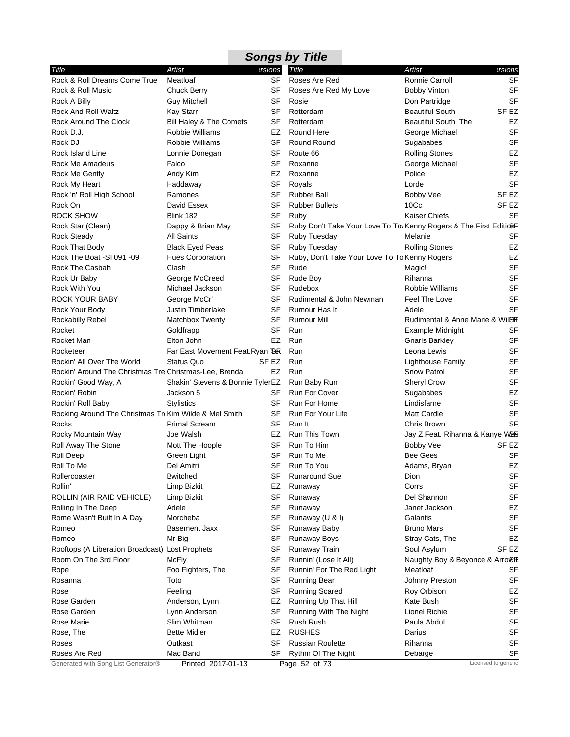|                                                        |                                  |           | <b>Songs by Title</b>                                             |                                 |           |
|--------------------------------------------------------|----------------------------------|-----------|-------------------------------------------------------------------|---------------------------------|-----------|
| Title                                                  | Artist                           | ersions   | <b>Title</b>                                                      | Artist                          | ersions   |
| Rock & Roll Dreams Come True                           | Meatloaf                         | <b>SF</b> | Roses Are Red                                                     | Ronnie Carroll                  | <b>SF</b> |
| Rock & Roll Music                                      | <b>Chuck Berry</b>               | SF        | Roses Are Red My Love                                             | <b>Bobby Vinton</b>             | <b>SF</b> |
| Rock A Billy                                           | <b>Guy Mitchell</b>              | SF        | Rosie                                                             | Don Partridge                   | <b>SF</b> |
| Rock And Roll Waltz                                    | <b>Kay Starr</b>                 | SF        | Rotterdam                                                         | <b>Beautiful South</b>          | SF EZ     |
| Rock Around The Clock                                  | Bill Haley & The Comets          | SF        | Rotterdam                                                         | Beautiful South, The            | EZ        |
| Rock D.J.                                              | Robbie Williams                  | EZ        | Round Here                                                        | George Michael                  | <b>SF</b> |
| Rock DJ                                                | Robbie Williams                  | SF        | Round Round                                                       | Sugababes                       | <b>SF</b> |
| Rock Island Line                                       | Lonnie Donegan                   | SF        | Route 66                                                          | <b>Rolling Stones</b>           | EZ        |
| Rock Me Amadeus                                        | Falco                            | SF        | Roxanne                                                           | George Michael                  | <b>SF</b> |
| Rock Me Gently                                         | Andy Kim                         | EZ        | Roxanne                                                           | Police                          | <b>EZ</b> |
| Rock My Heart                                          | Haddaway                         | SF        | Royals                                                            | Lorde                           | <b>SF</b> |
| Rock 'n' Roll High School                              | Ramones                          | <b>SF</b> | <b>Rubber Ball</b>                                                | Bobby Vee                       | SF EZ     |
| Rock On                                                | David Essex                      | SF        | <b>Rubber Bullets</b>                                             | 10 <sub>CC</sub>                | SF EZ     |
| <b>ROCK SHOW</b>                                       | Blink 182                        | <b>SF</b> | Ruby                                                              | <b>Kaiser Chiefs</b>            | <b>SF</b> |
| Rock Star (Clean)                                      | Dappy & Brian May                | SF        | Ruby Don't Take Your Love To To Kenny Rogers & The First EditioSF |                                 |           |
| <b>Rock Steady</b>                                     | <b>All Saints</b>                | SF        | Ruby Tuesday                                                      | Melanie                         | <b>SF</b> |
| Rock That Body                                         | <b>Black Eyed Peas</b>           | SF        | Ruby Tuesday                                                      | <b>Rolling Stones</b>           | <b>EZ</b> |
| Rock The Boat -Sf 091 -09                              | Hues Corporation                 | SF        | Ruby, Don't Take Your Love To To Kenny Rogers                     |                                 | EZ        |
| <b>Rock The Casbah</b>                                 | Clash                            | SF        | Rude                                                              | Magic!                          | <b>SF</b> |
| Rock Ur Baby                                           | George McCreed                   | SF        | Rude Boy                                                          | Rihanna                         | <b>SF</b> |
| <b>Rock With You</b>                                   | Michael Jackson                  | SF        | Rudebox                                                           | Robbie Williams                 | <b>SF</b> |
| <b>ROCK YOUR BABY</b>                                  | George McCr'                     | <b>SF</b> | Rudimental & John Newman                                          | Feel The Love                   | <b>SF</b> |
| Rock Your Body                                         | <b>Justin Timberlake</b>         | SF        | Rumour Has It                                                     | Adele                           | <b>SF</b> |
| <b>Rockabilly Rebel</b>                                | Matchbox Twenty                  | SF        | <b>Rumour Mill</b>                                                | Rudimental & Anne Marie & WilBH |           |
| Rocket                                                 | Goldfrapp                        | <b>SF</b> | Run                                                               | Example Midnight                | <b>SF</b> |
| Rocket Man                                             | Elton John                       | EZ        | Run                                                               | <b>Gnarls Barkley</b>           | <b>SF</b> |
| Rocketeer                                              | Far East Movement Feat. Ryan Bor |           | Run                                                               | Leona Lewis                     | <b>SF</b> |
| Rockin' All Over The World                             | <b>Status Quo</b>                | SF EZ     | Run                                                               | Lighthouse Family               | <b>SF</b> |
| Rockin' Around The Christmas Tre Christmas-Lee, Brenda |                                  | EZ        | Run                                                               | Snow Patrol                     | <b>SF</b> |
| Rockin' Good Way, A                                    | Shakin' Stevens & Bonnie TylerEZ |           | Run Baby Run                                                      | <b>Sheryl Crow</b>              | <b>SF</b> |
| Rockin' Robin                                          | Jackson 5                        | SF        | Run For Cover                                                     | Sugababes                       | EZ        |
| Rockin' Roll Baby                                      | <b>Stylistics</b>                | SF        | Run For Home                                                      | Lindisfarne                     | <b>SF</b> |
| Rocking Around The Christmas Tre Kim Wilde & Mel Smith |                                  | SF        | Run For Your Life                                                 | <b>Matt Cardle</b>              | <b>SF</b> |
| Rocks                                                  | <b>Primal Scream</b>             | SF        | Run It                                                            | Chris Brown                     | <b>SF</b> |
| Rocky Mountain Way                                     | Joe Walsh                        | EZ        | Run This Town                                                     | Jay Z Feat. Rihanna & Kanye W&S |           |
| Roll Away The Stone                                    | Mott The Hoople                  | SF        | Run To Him                                                        | Bobby Vee                       | SF EZ     |
| Roll Deep                                              | Green Light                      | SF        | Run To Me                                                         | Bee Gees                        | <b>SF</b> |
| Roll To Me                                             | Del Amitri                       |           | SF Run To You                                                     | Adams, Bryan                    | EZ        |
| Rollercoaster                                          | <b>Bwitched</b>                  | SF        | <b>Runaround Sue</b>                                              | Dion                            | <b>SF</b> |
| Rollin'                                                | Limp Bizkit                      | EZ        | Runaway                                                           | Corrs                           | <b>SF</b> |
| ROLLIN (AIR RAID VEHICLE)                              | Limp Bizkit                      | SF        | Runaway                                                           | Del Shannon                     | <b>SF</b> |
| Rolling In The Deep                                    | Adele                            | SF        | Runaway                                                           | Janet Jackson                   | EZ        |
| Rome Wasn't Built In A Day                             | Morcheba                         | SF        | Runaway (U & I)                                                   | Galantis                        | <b>SF</b> |
| Romeo                                                  | <b>Basement Jaxx</b>             | <b>SF</b> | Runaway Baby                                                      | <b>Bruno Mars</b>               | <b>SF</b> |
| Romeo                                                  | Mr Big                           | SF        | Runaway Boys                                                      | Stray Cats, The                 | EZ        |
| Rooftops (A Liberation Broadcast) Lost Prophets        |                                  | <b>SF</b> | Runaway Train                                                     | Soul Asylum                     | SF EZ     |
| Room On The 3rd Floor                                  | McFly                            | SF        | Runnin' (Lose It All)                                             | Naughty Boy & Beyonce & Arro SE |           |
| Rope                                                   | Foo Fighters, The                | <b>SF</b> | Runnin' For The Red Light                                         | Meatloaf                        | SF        |
| Rosanna                                                | Toto                             | SF        | Running Bear                                                      | Johnny Preston                  | <b>SF</b> |
| Rose                                                   | Feeling                          | <b>SF</b> | <b>Running Scared</b>                                             | Roy Orbison                     | EZ        |
| Rose Garden                                            | Anderson, Lynn                   | EZ        | Running Up That Hill                                              | Kate Bush                       | <b>SF</b> |
| Rose Garden                                            | Lynn Anderson                    | SF        | Running With The Night                                            | <b>Lionel Richie</b>            | <b>SF</b> |
| Rose Marie                                             | Slim Whitman                     | SF        | Rush Rush                                                         | Paula Abdul                     | <b>SF</b> |
|                                                        | <b>Bette Midler</b>              |           | <b>RUSHES</b>                                                     | Darius                          | <b>SF</b> |
| Rose, The<br>Roses                                     | Outkast                          | EZ<br>SF  |                                                                   | Rihanna                         | <b>SF</b> |
| Roses Are Red                                          | Mac Band                         | SF        | <b>Russian Roulette</b><br>Rythm Of The Night                     | Debarge                         | SF        |
|                                                        |                                  |           |                                                                   |                                 |           |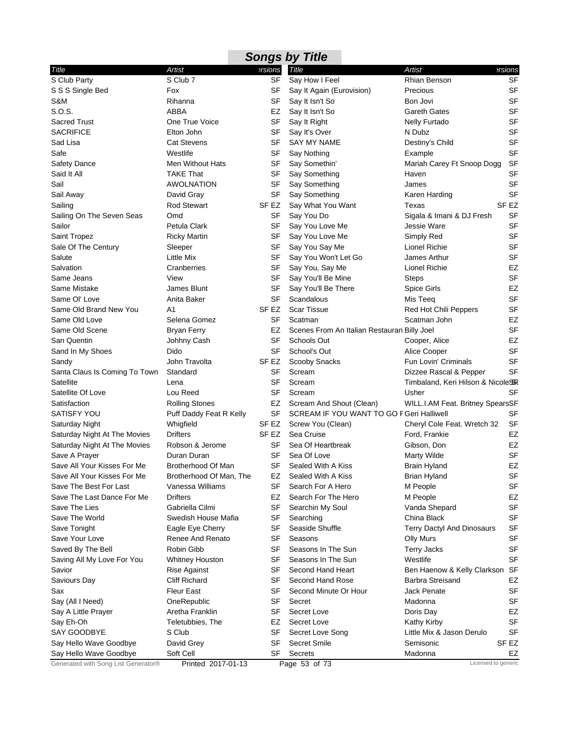|                                     |                         |           | <b>Songs by Title</b>                       |                                   |                  |
|-------------------------------------|-------------------------|-----------|---------------------------------------------|-----------------------------------|------------------|
| Title                               | Artist                  | ersions   | Title                                       | Artist                            | ersions          |
| S Club Party                        | S Club 7                | <b>SF</b> | Say How I Feel                              | Rhian Benson                      | <b>SF</b>        |
| S S S Single Bed                    | Fox                     | SF        | Say It Again (Eurovision)                   | Precious                          | <b>SF</b>        |
| S&M                                 | Rihanna                 | SF        | Say It Isn't So                             | Bon Jovi                          | <b>SF</b>        |
| S.O.S.                              | <b>ABBA</b>             | EZ        | Say It Isn't So                             | <b>Gareth Gates</b>               | <b>SF</b>        |
| <b>Sacred Trust</b>                 | One True Voice          | SF        | Say It Right                                | <b>Nelly Furtado</b>              | SF               |
| <b>SACRIFICE</b>                    | Elton John              | SF        | Say It's Over                               | N Dubz                            | <b>SF</b>        |
| Sad Lisa                            | <b>Cat Stevens</b>      | <b>SF</b> | <b>SAY MY NAME</b>                          | Destiny's Child                   | <b>SF</b>        |
| Safe                                | Westlife                | <b>SF</b> | Say Nothing                                 | Example                           | <b>SF</b>        |
| Safety Dance                        | Men Without Hats        | SF        | Say Somethin'                               | Mariah Carey Ft Snoop Dogg        | <b>SF</b>        |
| Said It All                         | <b>TAKE That</b>        | SF        | Say Something                               | Haven                             | <b>SF</b>        |
| Sail                                | <b>AWOLNATION</b>       | SF        | Say Something                               | James                             | <b>SF</b>        |
| Sail Away                           | David Gray              | SF        | Say Something                               | Karen Harding                     | <b>SF</b>        |
| Sailing                             | <b>Rod Stewart</b>      | SF EZ     | Say What You Want                           | Texas                             | SF EZ            |
| Sailing On The Seven Seas           | Omd                     | SF        | Say You Do                                  | Sigala & Imani & DJ Fresh         | <b>SF</b>        |
| Sailor                              | Petula Clark            | SF        | Say You Love Me                             | Jessie Ware                       | <b>SF</b>        |
| Saint Tropez                        | <b>Ricky Martin</b>     | SF        | Say You Love Me                             | Simply Red                        | <b>SF</b>        |
| Sale Of The Century                 | Sleeper                 | SF        | Say You Say Me                              | Lionel Richie                     | <b>SF</b>        |
| Salute                              | <b>Little Mix</b>       | SF        | Say You Won't Let Go                        | James Arthur                      | <b>SF</b>        |
| Salvation                           | Cranberries             | SF        | Say You, Say Me                             | Lionel Richie                     | EZ               |
| Same Jeans                          | View                    | SF        | Say You'll Be Mine                          | <b>Steps</b>                      | <b>SF</b>        |
| Same Mistake                        | James Blunt             | SF        | Say You'll Be There                         | Spice Girls                       | EZ               |
| Same OI' Love                       | Anita Baker             | SF        | Scandalous                                  | Mis Teeq                          | <b>SF</b>        |
| Same Old Brand New You              | A1                      | SF EZ     | <b>Scar Tissue</b>                          | Red Hot Chili Peppers             | <b>SF</b>        |
| Same Old Love                       | Selena Gomez            | SF        | Scatman                                     | Scatman John                      | EZ               |
| Same Old Scene                      | <b>Bryan Ferry</b>      | EZ        | Scenes From An Italian Restauran Billy Joel |                                   | <b>SF</b>        |
| San Quentin                         | Johhny Cash             | SF        | Schools Out                                 | Cooper, Alice                     | EZ               |
| Sand In My Shoes                    | Dido                    | <b>SF</b> | School's Out                                | Alice Cooper                      | <b>SF</b>        |
| Sandy                               | John Travolta           | SF EZ     | Scooby Snacks                               | Fun Lovin' Criminals              | SF               |
| Santa Claus Is Coming To Town       | Standard                | <b>SF</b> | Scream                                      | Dizzee Rascal & Pepper            | <b>SF</b>        |
| Satellite                           | Lena                    | <b>SF</b> | Scream                                      | Timbaland, Keri Hilson & NicoleSK |                  |
| Satellite Of Love                   | Lou Reed                | SF        | Scream                                      | Usher                             | <b>SF</b>        |
| Satisfaction                        | <b>Rolling Stones</b>   | EZ        | Scream And Shout (Clean)                    | WILL.I.AM Feat. Britney SpearsSF  |                  |
| <b>SATISFY YOU</b>                  | Puff Daddy Feat R Kelly | SF        | SCREAM IF YOU WANT TO GO F Geri Halliwell   |                                   | SF               |
| Saturday Night                      | Whigfield               | SF EZ     | Screw You (Clean)                           | Cheryl Cole Feat. Wretch 32       | <b>SF</b>        |
| Saturday Night At The Movies        | <b>Drifters</b>         | SF EZ     | Sea Cruise                                  | Ford, Frankie                     | EZ               |
| Saturday Night At The Movies        | Robson & Jerome         | SF        | Sea Of Heartbreak                           | Gibson, Don                       | EZ               |
| Save A Prayer                       | Duran Duran             | <b>SF</b> | Sea Of Love                                 | <b>Marty Wilde</b>                | <b>SF</b>        |
| Save All Your Kisses For Me         | Brotherhood Of Man      |           | SF Sealed With A Kiss                       | <b>Brain Hyland</b>               | EZ               |
| Save All Your Kisses For Me         | Brotherhood Of Man, The | EZ        | Sealed With A Kiss                          | <b>Brian Hyland</b>               | SF               |
| Save The Best For Last              | Vanessa Williams        | SF        | Search For A Hero                           | M People                          | <b>SF</b>        |
| Save The Last Dance For Me          | <b>Drifters</b>         | EZ        | Search For The Hero                         | M People                          | EZ               |
| Save The Lies                       | Gabriella Cilmi         | SF        | Searchin My Soul                            | Vanda Shepard                     | <b>SF</b>        |
| Save The World                      | Swedish House Mafia     | <b>SF</b> | Searching                                   | China Black                       | SF               |
| Save Tonight                        | Eagle Eye Cherry        | SF        | Seaside Shuffle                             | <b>Terry Dactyl And Dinosaurs</b> | <b>SF</b>        |
| Save Your Love                      | <b>Renee And Renato</b> | SF        | Seasons                                     | Olly Murs                         | <b>SF</b>        |
| Saved By The Bell                   | Robin Gibb              | SF        | Seasons In The Sun                          | <b>Terry Jacks</b>                | SF               |
| Saving All My Love For You          | Whitney Houston         | SF        | Seasons In The Sun                          | Westlife                          | <b>SF</b>        |
| Savior                              | <b>Rise Against</b>     | SF        | Second Hand Heart                           | Ben Haenow & Kelly Clarkson       | SF               |
| Saviours Day                        | <b>Cliff Richard</b>    | SF        | Second Hand Rose                            | <b>Barbra Streisand</b>           | EZ               |
| Sax                                 | <b>Fleur East</b>       | SF        | Second Minute Or Hour                       | Jack Penate                       | <b>SF</b>        |
| Say (All I Need)                    | OneRepublic             | SF        | Secret                                      | Madonna                           | <b>SF</b>        |
| Say A Little Prayer                 | Aretha Franklin         | SF        | Secret Love                                 | Doris Day                         | EZ               |
| Say Eh-Oh                           | Teletubbies, The        | EZ        | Secret Love                                 | Kathy Kirby                       | <b>SF</b>        |
| SAY GOODBYE                         | S Club                  | SF        | Secret Love Song                            | Little Mix & Jason Derulo         | <b>SF</b>        |
| Say Hello Wave Goodbye              | David Grey              | SF        | <b>Secret Smile</b>                         | Semisonic                         | SF <sub>EZ</sub> |
| Say Hello Wave Goodbye              | Soft Cell               | SF        | Secrets                                     | Madonna                           | EZ               |
| Generated with Song List Generator® | Printed 2017-01-13      |           | Page 53 of 73                               | Licensed to generic               |                  |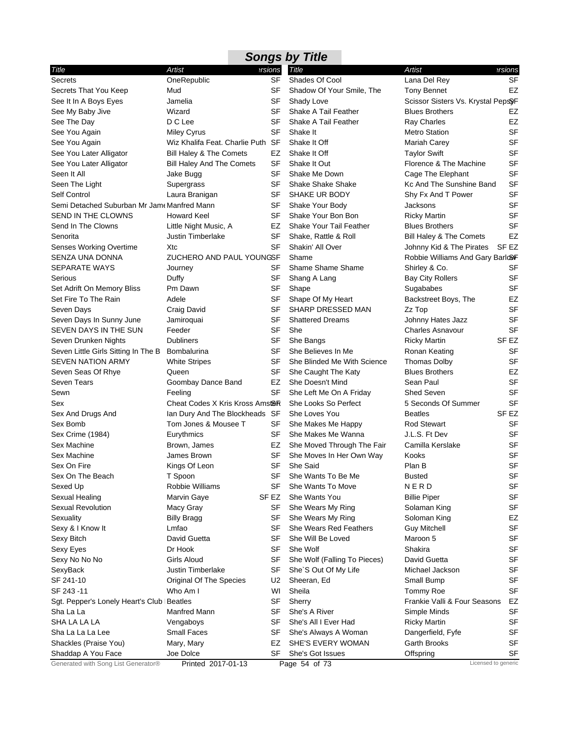| <b>Songs by Title</b>                       |                                   |           |                              |                                    |                  |  |
|---------------------------------------------|-----------------------------------|-----------|------------------------------|------------------------------------|------------------|--|
| Title                                       | Artist                            | ersions   | <b>Title</b>                 | <b>Artist</b>                      | ersions?         |  |
| <b>Secrets</b>                              | OneRepublic                       | SF        | Shades Of Cool               | Lana Del Rey                       | <b>SF</b>        |  |
| Secrets That You Keep                       | Mud                               | SF        | Shadow Of Your Smile, The    | <b>Tony Bennet</b>                 | EZ               |  |
| See It In A Boys Eyes                       | Jamelia                           | SF        | Shady Love                   | Scissor Sisters Vs. Krystal PepsyF |                  |  |
| See My Baby Jive                            | Wizard                            | SF        | Shake A Tail Feather         | <b>Blues Brothers</b>              | EZ               |  |
| See The Day                                 | D C Lee                           | SF        | Shake A Tail Feather         | <b>Ray Charles</b>                 | EZ               |  |
| See You Again                               | <b>Miley Cyrus</b>                | SF        | Shake It                     | <b>Metro Station</b>               | <b>SF</b>        |  |
| See You Again                               | Wiz Khalifa Feat. Charlie Puth SF |           | Shake It Off                 | Mariah Carey                       | SF               |  |
| See You Later Alligator                     | Bill Haley & The Comets           | EZ        | Shake It Off                 | <b>Taylor Swift</b>                | SF               |  |
| See You Later Alligator                     | <b>Bill Haley And The Comets</b>  | SF        | Shake It Out                 | Florence & The Machine             | SF               |  |
| Seen It All                                 | Jake Bugg                         | <b>SF</b> | Shake Me Down                | Cage The Elephant                  | <b>SF</b>        |  |
| Seen The Light                              | Supergrass                        | SF        | <b>Shake Shake Shake</b>     | Kc And The Sunshine Band           | SF               |  |
| Self Control                                | Laura Branigan                    | SF        | SHAKE UR BODY                | Shy Fx And T Power                 | SF               |  |
| Semi Detached Suburban Mr Jam Manfred Mann  |                                   | SF        | Shake Your Body              | Jacksons                           | <b>SF</b>        |  |
| SEND IN THE CLOWNS                          | <b>Howard Keel</b>                | <b>SF</b> | Shake Your Bon Bon           | <b>Ricky Martin</b>                | SF               |  |
| Send In The Clowns                          | Little Night Music, A             | EZ        | Shake Your Tail Feather      | <b>Blues Brothers</b>              | <b>SF</b>        |  |
| Senorita                                    | <b>Justin Timberlake</b>          | SF        | Shake, Rattle & Roll         | Bill Haley & The Comets            | EZ               |  |
| <b>Senses Working Overtime</b>              | Xtc                               | <b>SF</b> | Shakin' All Over             | Johnny Kid & The Pirates           | SF <sub>EZ</sub> |  |
| SENZA UNA DONNA                             | ZUCHERO AND PAUL YOUNGSF          |           | Shame                        | Robbie Williams And Gary BarlooF   |                  |  |
| <b>SEPARATE WAYS</b>                        | Journey                           | SF        | Shame Shame Shame            | Shirley & Co.                      | SF               |  |
| Serious                                     | Duffy                             | SF        | Shang A Lang                 | <b>Bay City Rollers</b>            | <b>SF</b>        |  |
| Set Adrift On Memory Bliss                  | Pm Dawn                           | SF        | Shape                        | Sugababes                          | SF               |  |
| Set Fire To The Rain                        | Adele                             | SF        | Shape Of My Heart            | Backstreet Boys, The               | EZ               |  |
| Seven Days                                  | Craig David                       | SF        | SHARP DRESSED MAN            | Zz Top                             | <b>SF</b>        |  |
| Seven Days In Sunny June                    | Jamiroquai                        | SF        | <b>Shattered Dreams</b>      | Johnny Hates Jazz                  | <b>SF</b>        |  |
| SEVEN DAYS IN THE SUN                       | Feeder                            | <b>SF</b> | She                          | <b>Charles Asnavour</b>            | <b>SF</b>        |  |
| Seven Drunken Nights                        | <b>Dubliners</b>                  | SF        | She Bangs                    | <b>Ricky Martin</b>                | SF <sub>EZ</sub> |  |
| Seven Little Girls Sitting In The B         | <b>Bombalurina</b>                | <b>SF</b> | She Believes In Me           | Ronan Keating                      | <b>SF</b>        |  |
| <b>SEVEN NATION ARMY</b>                    | <b>White Stripes</b>              | SF        | She Blinded Me With Science  | Thomas Dolby                       | SF               |  |
| Seven Seas Of Rhye                          | Queen                             | <b>SF</b> | She Caught The Katy          | <b>Blues Brothers</b>              | EZ               |  |
| <b>Seven Tears</b>                          | Goombay Dance Band                | EZ        | She Doesn't Mind             | Sean Paul                          | <b>SF</b>        |  |
| Sewn                                        | Feeling                           | <b>SF</b> | She Left Me On A Friday      | <b>Shed Seven</b>                  | <b>SF</b>        |  |
| Sex                                         | Cheat Codes X Kris Kross Amstor   |           | She Looks So Perfect         | 5 Seconds Of Summer                | <b>SF</b>        |  |
| Sex And Drugs And                           | Ian Dury And The Blockheads SF    |           | She Loves You                | <b>Beatles</b>                     | SF <sub>EZ</sub> |  |
| Sex Bomb                                    | Tom Jones & Mousee T              | SF        | She Makes Me Happy           | <b>Rod Stewart</b>                 | SF               |  |
| Sex Crime (1984)                            | Eurythmics                        | SF        | She Makes Me Wanna           | J.L.S. Ft Dev                      | <b>SF</b>        |  |
| Sex Machine                                 | Brown, James                      | EZ        | She Moved Through The Fair   | Camilla Kerslake                   | <b>SF</b>        |  |
| Sex Machine                                 | James Brown                       | SF        | She Moves In Her Own Way     | Kooks                              | <b>SF</b>        |  |
| Sex On Fire                                 | Kings Of Leon                     | <b>SF</b> | She Said                     | Plan B                             | SF               |  |
| Sex On The Beach                            | T Spoon                           | SF        | She Wants To Be Me           | <b>Busted</b>                      | <b>SF</b>        |  |
| Sexed Up                                    | Robbie Williams                   | <b>SF</b> | She Wants To Move            | <b>NERD</b>                        | SF               |  |
| Sexual Healing                              | Marvin Gaye                       | SF EZ     | She Wants You                | <b>Billie Piper</b>                | <b>SF</b>        |  |
| Sexual Revolution                           | Macy Gray                         | SF        | She Wears My Ring            | Solaman King                       | SF               |  |
| Sexuality                                   | <b>Billy Bragg</b>                | SF        | She Wears My Ring            | Soloman King                       | EZ               |  |
| Sexy & I Know It                            | Lmfao                             | <b>SF</b> | She Wears Red Feathers       | <b>Guy Mitchell</b>                | <b>SF</b>        |  |
| Sexy Bitch                                  | David Guetta                      | SF        | She Will Be Loved            | Maroon 5                           | <b>SF</b>        |  |
| Sexy Eyes                                   | Dr Hook                           | SF        | She Wolf                     | Shakira                            | <b>SF</b>        |  |
| Sexy No No No                               | Girls Aloud                       | SF        | She Wolf (Falling To Pieces) | David Guetta                       | <b>SF</b>        |  |
| SexyBack                                    | <b>Justin Timberlake</b>          | SF        | She'S Out Of My Life         | Michael Jackson                    | SF               |  |
| SF 241-10                                   | Original Of The Species           | U2        | Sheeran, Ed                  | Small Bump                         | <b>SF</b>        |  |
| SF 243-11                                   | Who Am I                          | WI        | Sheila                       | Tommy Roe                          | SF               |  |
| Sgt. Pepper's Lonely Heart's Club   Beatles |                                   | SF        | Sherry                       | Frankie Valli & Four Seasons       | EZ               |  |
| Sha La La                                   | Manfred Mann                      | SF        | She's A River                | Simple Minds                       | <b>SF</b>        |  |
| SHA LA LA LA                                | Vengaboys                         | SF        | She's All I Ever Had         | <b>Ricky Martin</b>                | SF               |  |
| Sha La La La Lee                            | Small Faces                       | SF        | She's Always A Woman         | Dangerfield, Fyfe                  | <b>SF</b>        |  |
| Shackles (Praise You)                       | Mary, Mary                        | EZ        | SHE'S EVERY WOMAN            | Garth Brooks                       | SF               |  |
| Shaddap A You Face                          | Joe Dolce                         | SF        | She's Got Issues             | Offspring                          | SF               |  |
| Generated with Song List Generator®         | Printed 2017-01-13                |           | Page 54 of 73                | Licensed to generic                |                  |  |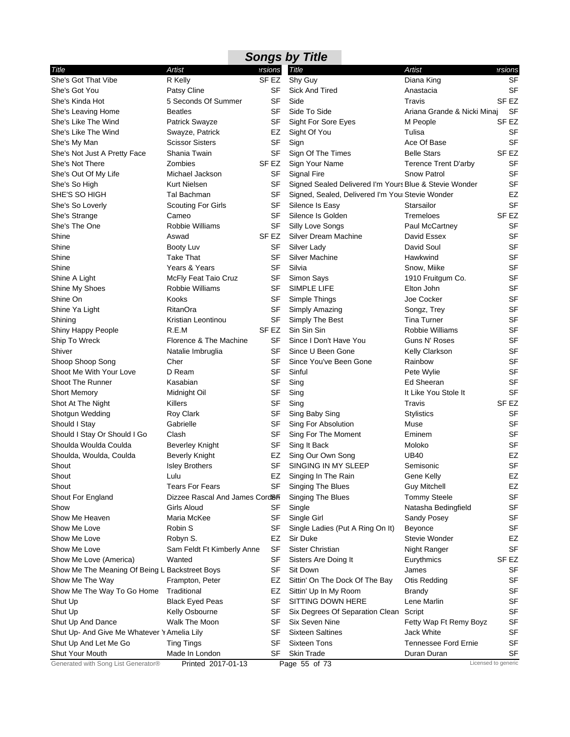|                                                |                                            |                  | <b>Songs by Title</b>                                  |                             |                     |
|------------------------------------------------|--------------------------------------------|------------------|--------------------------------------------------------|-----------------------------|---------------------|
| Title                                          | Artist                                     | ersions          | <b>Title</b>                                           | <b>Artist</b>               | ersions             |
| She's Got That Vibe                            | R Kelly                                    | SF <sub>EZ</sub> | Shy Guy                                                | Diana King                  | <b>SF</b>           |
| She's Got You                                  | Patsy Cline                                | SF               | Sick And Tired                                         | Anastacia                   | <b>SF</b>           |
| She's Kinda Hot                                | 5 Seconds Of Summer                        | <b>SF</b>        | Side                                                   | Travis                      | SF <sub>EZ</sub>    |
| She's Leaving Home                             | <b>Beatles</b>                             | SF               | Side To Side                                           | Ariana Grande & Nicki Minaj | SF                  |
| She's Like The Wind                            | <b>Patrick Swayze</b>                      | SF               | Sight For Sore Eyes                                    | M People                    | SF EZ               |
| She's Like The Wind                            | Swayze, Patrick                            | EZ               | Sight Of You                                           | Tulisa                      | <b>SF</b>           |
| She's My Man                                   | <b>Scissor Sisters</b>                     | <b>SF</b>        | Sign                                                   | Ace Of Base                 | <b>SF</b>           |
| She's Not Just A Pretty Face                   | Shania Twain                               | SF               | Sign Of The Times                                      | <b>Belle Stars</b>          | SF EZ               |
| She's Not There                                | Zombies                                    | SF EZ            | Sign Your Name                                         | Terence Trent D'arby        | <b>SF</b>           |
| She's Out Of My Life                           | Michael Jackson                            | <b>SF</b>        | Signal Fire                                            | <b>Snow Patrol</b>          | <b>SF</b>           |
| She's So High                                  | Kurt Nielsen                               | SF               | Signed Sealed Delivered I'm Yours Blue & Stevie Wonder |                             | <b>SF</b>           |
| SHE'S SO HIGH                                  | Tal Bachman                                | SF               | Signed, Sealed, Delivered I'm You Stevie Wonder        |                             | EZ                  |
| She's So Loverly                               | <b>Scouting For Girls</b>                  | SF               | Silence Is Easy                                        | Starsailor                  | <b>SF</b>           |
| She's Strange                                  | Cameo                                      | SF               | Silence Is Golden                                      | Tremeloes                   | SF <sub>EZ</sub>    |
| She's The One                                  | Robbie Williams                            | SF               | Silly Love Songs                                       | Paul McCartney              | <b>SF</b>           |
| Shine                                          | Aswad                                      | SF EZ            | <b>Silver Dream Machine</b>                            | David Essex                 | <b>SF</b>           |
| Shine                                          | Booty Luv                                  | SF               | Silver Lady                                            | David Soul                  | <b>SF</b>           |
| Shine                                          | <b>Take That</b>                           | <b>SF</b>        | <b>Silver Machine</b>                                  | Hawkwind                    | <b>SF</b>           |
| Shine                                          | Years & Years                              | SF               | Silvia                                                 | Snow, Miike                 | <b>SF</b>           |
| Shine A Light                                  | McFly Feat Taio Cruz                       | SF               | Simon Says                                             | 1910 Fruitgum Co.           | <b>SF</b>           |
| Shine My Shoes                                 | Robbie Williams                            | SF               | SIMPLE LIFE                                            | Elton John                  | <b>SF</b>           |
| Shine On                                       | Kooks                                      | SF               | Simple Things                                          | Joe Cocker                  | <b>SF</b>           |
| Shine Ya Light                                 | RitanOra                                   | SF               | Simply Amazing                                         | Songz, Trey                 | <b>SF</b>           |
| Shining                                        | Kristian Leontinou                         | SF               | Simply The Best                                        | Tina Turner                 | <b>SF</b>           |
| Shiny Happy People                             | R.E.M                                      | SF <sub>EZ</sub> | Sin Sin Sin                                            | Robbie Williams             | <b>SF</b>           |
| Ship To Wreck                                  | Florence & The Machine                     | SF               | Since I Don't Have You                                 | Guns N' Roses               | <b>SF</b>           |
| Shiver                                         | Natalie Imbruglia                          | <b>SF</b>        | Since U Been Gone                                      | Kelly Clarkson              | <b>SF</b>           |
| Shoop Shoop Song                               | Cher                                       | SF               | Since You've Been Gone                                 | Rainbow                     | SF                  |
| Shoot Me With Your Love                        | D Ream                                     | <b>SF</b>        | Sinful                                                 | Pete Wylie                  | SF                  |
| <b>Shoot The Runner</b>                        | Kasabian                                   | SF               | Sing                                                   | Ed Sheeran                  | <b>SF</b>           |
| <b>Short Memory</b>                            | Midnight Oil                               | SF               | Sing                                                   | It Like You Stole It        | <b>SF</b>           |
| Shot At The Night                              | Killers                                    | <b>SF</b>        | Sing                                                   | Travis                      | SF <sub>EZ</sub>    |
| Shotgun Wedding                                | Roy Clark                                  | SF               | Sing Baby Sing                                         | Stylistics                  | <b>SF</b>           |
| Should I Stay                                  | Gabrielle                                  | SF               | Sing For Absolution                                    | Muse                        | <b>SF</b>           |
| Should I Stay Or Should I Go                   | Clash                                      | SF               | Sing For The Moment                                    | Eminem                      | <b>SF</b>           |
| Shoulda Woulda Coulda                          | <b>Beverley Knight</b>                     | SF               | Sing It Back                                           | Moloko                      | <b>SF</b>           |
| Shoulda, Woulda, Coulda                        | Beverly Knight                             | EZ               | Sing Our Own Song                                      | <b>UB40</b>                 | EZ                  |
| Shout                                          | <b>Isley Brothers</b>                      | <b>SF</b>        | SINGING IN MY SLEEP                                    | Semisonic                   | SF                  |
| Shout                                          | Lulu                                       | EZ               | Singing In The Rain                                    | Gene Kelly                  | EZ                  |
| Shout                                          | Tears For Fears                            | <b>SF</b>        | <b>Singing The Blues</b>                               | <b>Guy Mitchell</b>         | EZ                  |
| Shout For England                              | Dizzee Rascal And James Cord <sup>86</sup> |                  | Singing The Blues                                      | <b>Tommy Steele</b>         | <b>SF</b>           |
| Show                                           | Girls Aloud                                | SF               | Single                                                 | Natasha Bedingfield         | <b>SF</b>           |
| Show Me Heaven                                 | Maria McKee                                | SF               | Single Girl                                            | Sandy Posey                 | SF                  |
| Show Me Love                                   | Robin S                                    | SF               | Single Ladies (Put A Ring On It)                       | Beyonce                     | <b>SF</b>           |
| Show Me Love                                   | Robyn S.                                   | EZ               | Sir Duke                                               | Stevie Wonder               | EZ                  |
| Show Me Love                                   | Sam Feldt Ft Kimberly Anne                 | SF               | Sister Christian                                       | Night Ranger                | <b>SF</b>           |
| Show Me Love (America)                         | Wanted                                     | SF               | Sisters Are Doing It                                   | Eurythmics                  | SF <sub>EZ</sub>    |
| Show Me The Meaning Of Being L Backstreet Boys |                                            | SF               | Sit Down                                               | James                       | SF                  |
| Show Me The Way                                | Frampton, Peter                            | EZ               | Sittin' On The Dock Of The Bay                         | Otis Redding                | SF                  |
| Show Me The Way To Go Home                     | Traditional                                | EZ               | Sittin' Up In My Room                                  | Brandy                      | SF                  |
| Shut Up                                        | <b>Black Eyed Peas</b>                     | SF               | SITTING DOWN HERE                                      | Lene Marlin                 | SF                  |
| Shut Up                                        | Kelly Osbourne                             | SF               | Six Degrees Of Separation Clean                        | Script                      | <b>SF</b>           |
| Shut Up And Dance                              | Walk The Moon                              | SF               | Six Seven Nine                                         | Fetty Wap Ft Remy Boyz      | SF                  |
| Shut Up- And Give Me Whatever Y Amelia Lily    |                                            | SF               | <b>Sixteen Saltines</b>                                | Jack White                  | SF                  |
| Shut Up And Let Me Go                          | <b>Ting Tings</b>                          | SF               | <b>Sixteen Tons</b>                                    | Tennessee Ford Ernie        | SF                  |
| Shut Your Mouth                                | Made In London                             | SF               | <b>Skin Trade</b>                                      | Duran Duran                 | SF                  |
| Generated with Song List Generator®            | Printed 2017-01-13                         |                  | Page 55 of 73                                          |                             | Licensed to generic |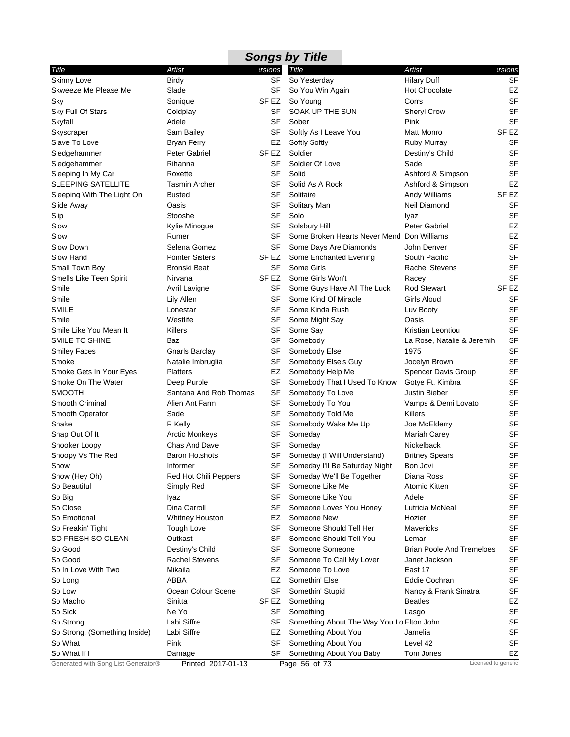|                                     |                        |                  | <b>Songs by Title</b>                      |                                  |                  |
|-------------------------------------|------------------------|------------------|--------------------------------------------|----------------------------------|------------------|
| Title                               | Artist                 | ersions          | <b>Title</b>                               | <b>Artist</b>                    | ersions          |
| <b>Skinny Love</b>                  | <b>Birdy</b>           | SF               | So Yesterday                               | <b>Hilary Duff</b>               | <b>SF</b>        |
| Skweeze Me Please Me                | Slade                  | SF               | So You Win Again                           | <b>Hot Chocolate</b>             | EZ               |
| Sky                                 | Sonique                | SF <sub>EZ</sub> | So Young                                   | Corrs                            | <b>SF</b>        |
| Sky Full Of Stars                   | Coldplay               | SF               | SOAK UP THE SUN                            | <b>Sheryl Crow</b>               | <b>SF</b>        |
| Skyfall                             | Adele                  | SF               | Sober                                      | Pink                             | <b>SF</b>        |
| Skyscraper                          | Sam Bailey             | SF               | Softly As I Leave You                      | Matt Monro                       | SF <sub>EZ</sub> |
| Slave To Love                       | <b>Bryan Ferry</b>     | EZ               | <b>Softly Softly</b>                       | Ruby Murray                      | <b>SF</b>        |
| Sledgehammer                        | <b>Peter Gabriel</b>   | SF EZ            | Soldier                                    | Destiny's Child                  | <b>SF</b>        |
| Sledgehammer                        | Rihanna                | SF               | Soldier Of Love                            | Sade                             | <b>SF</b>        |
| Sleeping In My Car                  | Roxette                | <b>SF</b>        | Solid                                      | Ashford & Simpson                | <b>SF</b>        |
| <b>SLEEPING SATELLITE</b>           | <b>Tasmin Archer</b>   | SF               | Solid As A Rock                            | Ashford & Simpson                | EZ               |
| Sleeping With The Light On          | <b>Busted</b>          | SF               | Solitaire                                  | Andy Williams                    | SF <sub>EZ</sub> |
| Slide Away                          | Oasis                  | SF               | Solitary Man                               | Neil Diamond                     | SF               |
| Slip                                | Stooshe                | <b>SF</b>        | Solo                                       | Iyaz                             | <b>SF</b>        |
| Slow                                | Kylie Minogue          | SF               | Solsbury Hill                              | Peter Gabriel                    | EZ               |
| Slow                                | Rumer                  | SF               | Some Broken Hearts Never Mend Don Williams |                                  | EZ               |
| Slow Down                           | Selena Gomez           | <b>SF</b>        | Some Days Are Diamonds                     | John Denver                      | <b>SF</b>        |
| Slow Hand                           | <b>Pointer Sisters</b> | SF EZ            | Some Enchanted Evening                     | South Pacific                    | <b>SF</b>        |
| Small Town Boy                      | <b>Bronski Beat</b>    | SF               | Some Girls                                 | <b>Rachel Stevens</b>            | <b>SF</b>        |
| Smells Like Teen Spirit             | Nirvana                | SF EZ            | Some Girls Won't                           | Racey                            | <b>SF</b>        |
| Smile                               | Avril Lavigne          | SF               | Some Guys Have All The Luck                | <b>Rod Stewart</b>               | SF <sub>EZ</sub> |
| Smile                               | Lily Allen             | SF               | Some Kind Of Miracle                       | Girls Aloud                      | <b>SF</b>        |
| <b>SMILE</b>                        | Lonestar               | SF               | Some Kinda Rush                            | Luv Booty                        | <b>SF</b>        |
| Smile                               | Westlife               | SF               | Some Might Say                             | Oasis                            | <b>SF</b>        |
| Smile Like You Mean It              | Killers                | <b>SF</b>        | Some Say                                   | Kristian Leontiou                | <b>SF</b>        |
| SMILE TO SHINE                      | Baz                    | SF               | Somebody                                   | La Rose, Natalie & Jeremih       | <b>SF</b>        |
| <b>Smiley Faces</b>                 | Gnarls Barclay         | SF               | Somebody Else                              | 1975                             | <b>SF</b>        |
| Smoke                               | Natalie Imbruglia      | SF               | Somebody Else's Guy                        | Jocelyn Brown                    | <b>SF</b>        |
| Smoke Gets In Your Eyes             | <b>Platters</b>        | EZ               | Somebody Help Me                           | <b>Spencer Davis Group</b>       | <b>SF</b>        |
| Smoke On The Water                  | Deep Purple            | SF               | Somebody That I Used To Know               | Gotye Ft. Kimbra                 | <b>SF</b>        |
| <b>SMOOTH</b>                       | Santana And Rob Thomas | <b>SF</b>        | Somebody To Love                           | Justin Bieber                    | <b>SF</b>        |
| Smooth Criminal                     | Alien Ant Farm         | SF               | Somebody To You                            | Vamps & Demi Lovato              | <b>SF</b>        |
| Smooth Operator                     | Sade                   | SF               | Somebody Told Me                           | Killers                          | <b>SF</b>        |
| Snake                               | R Kelly                | SF               | Somebody Wake Me Up                        | Joe McElderry                    | <b>SF</b>        |
| Snap Out Of It                      | <b>Arctic Monkeys</b>  | SF               | Someday                                    | <b>Mariah Carey</b>              | <b>SF</b>        |
| Snooker Loopy                       | Chas And Dave          | SF               | Someday                                    | Nickelback                       | <b>SF</b>        |
| Snoopy Vs The Red                   | <b>Baron Hotshots</b>  | SF               | Someday (I Will Understand)                | <b>Britney Spears</b>            | <b>SF</b>        |
| Snow                                | Informer               | SF               | Someday I'll Be Saturday Night             | Bon Jovi                         | <b>SF</b>        |
| Snow (Hey Oh)                       | Red Hot Chili Peppers  | SF               | Someday We'll Be Together                  | Diana Ross                       | <b>SF</b>        |
| So Beautiful                        | Simply Red             | <b>SF</b>        | Someone Like Me                            | Atomic Kitten                    | <b>SF</b>        |
| So Big                              | Iyaz                   | SF               | Someone Like You                           | Adele                            | <b>SF</b>        |
| So Close                            | Dina Carroll           | SF               | Someone Loves You Honey                    | Lutricia McNeal                  | <b>SF</b>        |
| So Emotional                        | <b>Whitney Houston</b> | EZ               | Someone New                                | Hozier                           | SF               |
| So Freakin' Tight                   | Tough Love             | <b>SF</b>        | Someone Should Tell Her                    | Mavericks                        | <b>SF</b>        |
| SO FRESH SO CLEAN                   | Outkast                | SF               | Someone Should Tell You                    | Lemar                            | <b>SF</b>        |
| So Good                             | Destiny's Child        | SF               | Someone Someone                            | <b>Brian Poole And Tremeloes</b> | <b>SF</b>        |
| So Good                             | <b>Rachel Stevens</b>  | SF               | Someone To Call My Lover                   | Janet Jackson                    | <b>SF</b>        |
| So In Love With Two                 | Mikaila                | EZ               | Someone To Love                            | East 17                          | <b>SF</b>        |
| So Long                             | ABBA                   | EZ               | Somethin' Else                             | Eddie Cochran                    | SF               |
| So Low                              | Ocean Colour Scene     | SF               | Somethin' Stupid                           | Nancy & Frank Sinatra            | SF               |
| So Macho                            | Sinitta                | SF EZ            | Something                                  | <b>Beatles</b>                   | EZ               |
| So Sick                             | Ne Yo                  | SF               | Something                                  | Lasgo                            | <b>SF</b>        |
| So Strong                           | Labi Siffre            | SF               | Something About The Way You Lo Elton John  |                                  | <b>SF</b>        |
| So Strong, (Something Inside)       | Labi Siffre            | EZ               | Something About You                        | Jamelia                          | SF               |
| So What                             | Pink                   | SF               | Something About You                        | Level 42                         | SF               |
| So What If I                        | Damage                 | SF               | Something About You Baby                   | Tom Jones                        | EZ               |
| Generated with Song List Generator® | Printed 2017-01-13     |                  | Page 56 of 73                              | Licensed to generic              |                  |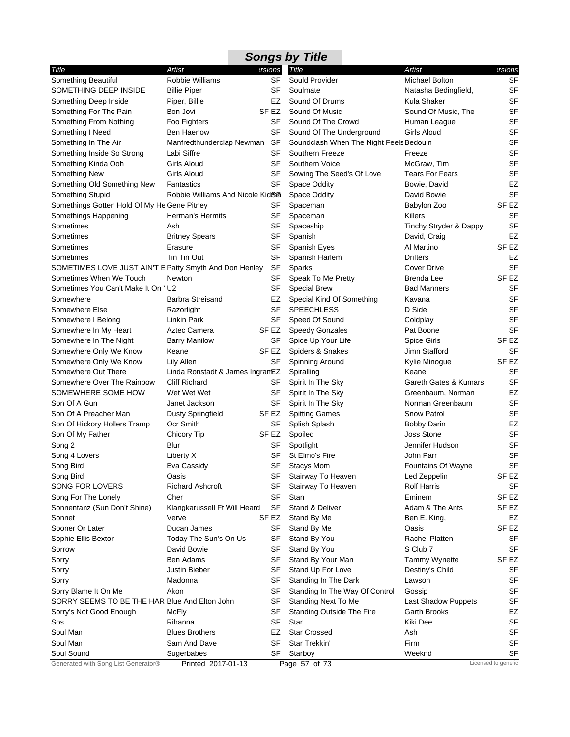|                                                        |                                   |           | <b>Songs by Title</b>                   |                        |                     |
|--------------------------------------------------------|-----------------------------------|-----------|-----------------------------------------|------------------------|---------------------|
| Title                                                  | Artist                            | ersions   | <b>Title</b>                            | Artist                 | ersions             |
| Something Beautiful                                    | Robbie Williams                   | SF        | Sould Provider                          | Michael Bolton         | SF                  |
| SOMETHING DEEP INSIDE                                  | <b>Billie Piper</b>               | SF        | Soulmate                                | Natasha Bedingfield,   | <b>SF</b>           |
| Something Deep Inside                                  | Piper, Billie                     | EZ        | Sound Of Drums                          | Kula Shaker            | <b>SF</b>           |
| Something For The Pain                                 | Bon Jovi                          | SF EZ     | Sound Of Music                          | Sound Of Music, The    | <b>SF</b>           |
| Something From Nothing                                 | Foo Fighters                      | SF        | Sound Of The Crowd                      | Human League           | <b>SF</b>           |
| Something I Need                                       | Ben Haenow                        | SF        | Sound Of The Underground                | Girls Aloud            | <b>SF</b>           |
| Something In The Air                                   | Manfredthunderclap Newman SF      |           | Soundclash When The Night Feels Bedouin |                        | <b>SF</b>           |
| Something Inside So Strong                             | Labi Siffre                       | SF        | Southern Freeze                         | Freeze                 | <b>SF</b>           |
| Something Kinda Ooh                                    | Girls Aloud                       | <b>SF</b> | Southern Voice                          | McGraw, Tim            | <b>SF</b>           |
| Something New                                          | Girls Aloud                       | SF        | Sowing The Seed's Of Love               | <b>Tears For Fears</b> | <b>SF</b>           |
| Something Old Something New                            | Fantastics                        | <b>SF</b> | Space Oddity                            | Bowie, David           | EZ                  |
| Something Stupid                                       | Robbie Williams And Nicole KidBia |           | Space Oddity                            | David Bowie            | <b>SF</b>           |
| Somethings Gotten Hold Of My He Gene Pitney            |                                   | SF        | Spaceman                                | Babylon Zoo            | SF EZ               |
| Somethings Happening                                   | Herman's Hermits                  | SF        | Spaceman                                | Killers                | SF                  |
| Sometimes                                              | Ash                               | SF        | Spaceship                               | Tinchy Stryder & Dappy | SF                  |
| Sometimes                                              | <b>Britney Spears</b>             | SF        | Spanish                                 | David, Craig           | EZ                  |
| Sometimes                                              | Erasure                           | SF        | Spanish Eyes                            | Al Martino             | SF <sub>EZ</sub>    |
| Sometimes                                              | Tin Tin Out                       | SF        | Spanish Harlem                          | Drifters               | EZ                  |
| SOMETIMES LOVE JUST AIN'T E Patty Smyth And Don Henley |                                   | SF        | Sparks                                  | <b>Cover Drive</b>     | <b>SF</b>           |
| Sometimes When We Touch                                | Newton                            | SF        | Speak To Me Pretty                      | Brenda Lee             | SF EZ               |
| Sometimes You Can't Make It On 'U2                     |                                   | SF        | <b>Special Brew</b>                     | <b>Bad Manners</b>     | SF                  |
| Somewhere                                              | <b>Barbra Streisand</b>           | EZ        | Special Kind Of Something               | Kavana                 | <b>SF</b>           |
| Somewhere Else                                         | Razorlight                        | <b>SF</b> | <b>SPEECHLESS</b>                       | D Side                 | <b>SF</b>           |
| Somewhere I Belong                                     | Linkin Park                       | SF        | Speed Of Sound                          | Coldplay               | <b>SF</b>           |
| Somewhere In My Heart                                  | Aztec Camera                      | SF EZ     | <b>Speedy Gonzales</b>                  | Pat Boone              | <b>SF</b>           |
| Somewhere In The Night                                 | <b>Barry Manilow</b>              | <b>SF</b> | Spice Up Your Life                      | Spice Girls            | SF <sub>EZ</sub>    |
| Somewhere Only We Know                                 | Keane                             | SF EZ     | Spiders & Snakes                        | Jimn Stafford          | <b>SF</b>           |
| Somewhere Only We Know                                 | Lily Allen                        | SF        | Spinning Around                         | Kylie Minogue          | SF EZ               |
| Somewhere Out There                                    | Linda Ronstadt & James IngramEZ   |           | Spiralling                              | Keane                  | SF                  |
| Somewhere Over The Rainbow                             | <b>Cliff Richard</b>              | SF        | Spirit In The Sky                       | Gareth Gates & Kumars  | <b>SF</b>           |
| SOMEWHERE SOME HOW                                     | Wet Wet Wet                       | SF        | Spirit In The Sky                       | Greenbaum, Norman      | EZ                  |
| Son Of A Gun                                           | Janet Jackson                     | SF        | Spirit In The Sky                       | Norman Greenbaum       | <b>SF</b>           |
| Son Of A Preacher Man                                  | <b>Dusty Springfield</b>          | SF EZ     | <b>Spitting Games</b>                   | Snow Patrol            | <b>SF</b>           |
| Son Of Hickory Hollers Tramp                           | Ocr Smith                         | SF        | Splish Splash                           | <b>Bobby Darin</b>     | EZ                  |
| Son Of My Father                                       | Chicory Tip                       | SF EZ     | Spoiled                                 | <b>Joss Stone</b>      | <b>SF</b>           |
| Song 2                                                 | Blur                              | SF        | Spotlight                               | Jennifer Hudson        | SF                  |
| Song 4 Lovers                                          | Liberty X                         | SF        | St Elmo's Fire                          | John Parr              | <b>SF</b>           |
| Song Bird                                              | Eva Cassidy                       | SF        | <b>Stacys Mom</b>                       | Fountains Of Wayne     | SF                  |
| Song Bird                                              | Oasis                             | SF        | Stairway To Heaven                      | Led Zeppelin           | SF EZ               |
| SONG FOR LOVERS                                        | <b>Richard Ashcroft</b>           | SF        | Stairway To Heaven                      | <b>Rolf Harris</b>     | SF                  |
| Song For The Lonely                                    | Cher                              | <b>SF</b> | Stan                                    | Eminem                 | SF EZ               |
| Sonnentanz (Sun Don't Shine)                           | Klangkarussell Ft Will Heard      | SF        | Stand & Deliver                         | Adam & The Ants        | SF EZ               |
| Sonnet                                                 | Verve                             | SF EZ     | Stand By Me                             | Ben E. King,           | EZ                  |
| Sooner Or Later                                        | Ducan James                       | SF        | Stand By Me                             | Oasis                  | SF EZ               |
| Sophie Ellis Bextor                                    | Today The Sun's On Us             | <b>SF</b> | Stand By You                            | Rachel Platten         | SF                  |
| Sorrow                                                 | David Bowie                       | SF        | Stand By You                            | S Club 7               | <b>SF</b>           |
| Sorry                                                  | <b>Ben Adams</b>                  | SF        | Stand By Your Man                       | <b>Tammy Wynette</b>   | SF EZ               |
| Sorry                                                  | Justin Bieber                     | SF        | Stand Up For Love                       | Destiny's Child        | SF                  |
| Sorry                                                  | Madonna                           | SF        | Standing In The Dark                    | Lawson                 | <b>SF</b>           |
| Sorry Blame It On Me                                   | Akon                              | SF        | Standing In The Way Of Control          | Gossip                 | SF                  |
| SORRY SEEMS TO BE THE HAR Blue And Elton John          |                                   | SF        | <b>Standing Next To Me</b>              | Last Shadow Puppets    | SF                  |
| Sorry's Not Good Enough                                | <b>McFly</b>                      | SF        | <b>Standing Outside The Fire</b>        | Garth Brooks           | EZ                  |
| Sos                                                    | Rihanna                           | <b>SF</b> | Star                                    | Kiki Dee               | SF                  |
| Soul Man                                               | <b>Blues Brothers</b>             | EZ        | <b>Star Crossed</b>                     | Ash                    | <b>SF</b>           |
| Soul Man                                               | Sam And Dave                      | SF        | Star Trekkin'                           | Firm                   | SF                  |
| Soul Sound                                             | Sugerbabes                        | SF        | Starboy                                 | Weeknd                 | <b>SF</b>           |
| Generated with Song List Generator®                    | Printed 2017-01-13                |           | Page 57 of 73                           |                        | Licensed to generic |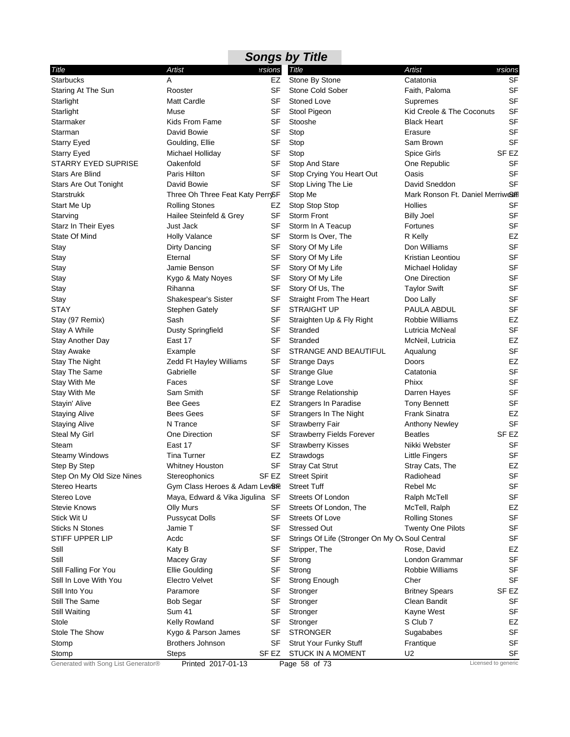|                                              |                                    |             | <b>Songs by Title</b>                           |                                      |                     |
|----------------------------------------------|------------------------------------|-------------|-------------------------------------------------|--------------------------------------|---------------------|
| Title                                        | Artist                             | ersions     | Title                                           | <b>Artist</b>                        | ersions?            |
| <b>Starbucks</b>                             | A                                  | EZ          | Stone By Stone                                  | Catatonia                            | <b>SF</b>           |
| Staring At The Sun                           | Rooster                            | <b>SF</b>   | Stone Cold Sober                                | Faith, Paloma                        | <b>SF</b>           |
| Starlight                                    | <b>Matt Cardle</b>                 | SF          | <b>Stoned Love</b>                              | Supremes                             | <b>SF</b>           |
| Starlight                                    | Muse                               | SF          | Stool Pigeon                                    | Kid Creole & The Coconuts            | SF                  |
| Starmaker                                    | Kids From Fame                     | SF          | Stooshe                                         | <b>Black Heart</b>                   | SF                  |
| Starman                                      | David Bowie                        | SF          | Stop                                            | Erasure                              | SF                  |
| <b>Starry Eyed</b>                           | Goulding, Ellie                    | <b>SF</b>   | Stop                                            | Sam Brown                            | <b>SF</b>           |
| <b>Starry Eyed</b>                           | Michael Holliday                   | SF          | Stop                                            | <b>Spice Girls</b>                   | SF EZ               |
| STARRY EYED SUPRISE                          | Oakenfold                          | SF          | Stop And Stare                                  | One Republic                         | <b>SF</b>           |
| <b>Stars Are Blind</b>                       | Paris Hilton                       | <b>SF</b>   | Stop Crying You Heart Out                       | Oasis                                | <b>SF</b>           |
| <b>Stars Are Out Tonight</b>                 | David Bowie                        | SF          | Stop Living The Lie                             | David Sneddon                        | SF                  |
| <b>Starstrukk</b>                            | Three Oh Three Feat Katy PerrySF   |             | Stop Me                                         | Mark Ronson Ft. Daniel Merriwes Hill |                     |
| Start Me Up                                  | <b>Rolling Stones</b>              | EZ          | Stop Stop Stop                                  | Hollies                              | SF                  |
| Starving                                     | Hailee Steinfeld & Grey            | <b>SF</b>   | <b>Storm Front</b>                              | <b>Billy Joel</b>                    | <b>SF</b>           |
| Starz In Their Eyes                          | Just Jack                          | SF          | Storm In A Teacup                               | Fortunes                             | SF                  |
| State Of Mind                                | <b>Holly Valance</b>               | SF          | Storm Is Over, The                              | R Kelly                              | EZ                  |
| Stay                                         | Dirty Dancing                      | <b>SF</b>   | Story Of My Life                                | Don Williams                         | <b>SF</b>           |
| Stay                                         | Eternal                            | SF          | Story Of My Life                                | Kristian Leontiou                    | <b>SF</b>           |
| Stay                                         | Jamie Benson                       | SF          | Story Of My Life                                | Michael Holiday                      | SF                  |
| Stay                                         | Kygo & Maty Noyes                  | <b>SF</b>   | Story Of My Life                                | One Direction                        | SF                  |
| Stay                                         | Rihanna                            | SF          | Story Of Us, The                                | <b>Taylor Swift</b>                  | <b>SF</b>           |
| Stay                                         | Shakespear's Sister                | <b>SF</b>   | <b>Straight From The Heart</b>                  | Doo Lally                            | <b>SF</b>           |
| <b>STAY</b>                                  | <b>Stephen Gately</b>              | SF          | <b>STRAIGHT UP</b>                              | PAULA ABDUL                          | <b>SF</b>           |
| Stay (97 Remix)                              | Sash                               | SF          | Straighten Up & Fly Right                       | Robbie Williams                      | EZ                  |
| Stay A While                                 | Dusty Springfield                  | <b>SF</b>   | Stranded                                        | Lutricia McNeal                      | <b>SF</b>           |
| Stay Another Day                             | East 17                            | SF          | Stranded                                        | McNeil, Lutricia                     | EZ                  |
| Stay Awake                                   | Example                            | SF          | STRANGE AND BEAUTIFUL                           | Aqualung                             | <b>SF</b>           |
| Stay The Night                               | Zedd Ft Hayley Williams            | SF          | <b>Strange Days</b>                             | Doors                                | EZ                  |
| Stay The Same                                | Gabrielle                          | SF          | <b>Strange Glue</b>                             | Catatonia                            | <b>SF</b>           |
| Stay With Me                                 | Faces                              | SF          | Strange Love                                    | Phixx                                | <b>SF</b>           |
| Stay With Me                                 | Sam Smith                          | SF          | <b>Strange Relationship</b>                     | Darren Hayes                         | <b>SF</b>           |
| Stayin' Alive                                | <b>Bee Gees</b>                    | EZ          | Strangers In Paradise                           | <b>Tony Bennett</b>                  | <b>SF</b>           |
| <b>Staying Alive</b>                         | <b>Bees Gees</b>                   | <b>SF</b>   | Strangers In The Night                          | <b>Frank Sinatra</b>                 | EZ                  |
| <b>Staying Alive</b>                         | N Trance                           | SF          | Strawberry Fair                                 | <b>Anthony Newley</b>                | SF                  |
| Steal My Girl                                | One Direction                      | SF          | <b>Strawberry Fields Forever</b>                | <b>Beatles</b>                       | SF EZ               |
| Steam                                        | East 17                            | SF          | <b>Strawberry Kisses</b>                        | Nikki Webster                        | SF                  |
| Steamy Windows                               | <b>Tina Turner</b>                 | EZ          | Strawdogs                                       | Little Fingers                       | SF                  |
| Step By Step                                 | Whitney Houston                    |             | SF Stray Cat Strut                              | Stray Cats, The                      | EZ                  |
| Step On My Old Size Nines                    | Stereophonics                      | SF EZ       | <b>Street Spirit</b>                            | Radiohead                            | <b>SF</b>           |
| Stereo Hearts                                | Gym Class Heroes & Adam Lev&TE     |             | <b>Street Tuff</b>                              | Rebel Mc                             | <b>SF</b>           |
| Stereo Love                                  | Maya, Edward & Vika Jigulina SF    |             | Streets Of London                               | Ralph McTell                         | SF                  |
| Stevie Knows                                 | Olly Murs                          | SF          | Streets Of London, The                          | McTell, Ralph                        | EZ                  |
| Stick Wit U                                  | <b>Pussycat Dolls</b>              | SF          | <b>Streets Of Love</b>                          | <b>Rolling Stones</b>                | SF                  |
| Sticks N Stones                              | Jamie T                            | SF          | <b>Stressed Out</b>                             | <b>Twenty One Pilots</b>             | <b>SF</b>           |
| STIFF UPPER LIP                              | Acdc                               | SF          | Strings Of Life (Stronger On My Ov Soul Central |                                      | SF                  |
| Still                                        | Katy B                             | SF          | Stripper, The                                   | Rose, David                          | EZ                  |
| Still                                        | Macey Gray                         | SF          | Strong                                          | London Grammar                       | <b>SF</b>           |
| Still Falling For You                        | <b>Ellie Goulding</b>              | <b>SF</b>   | Strong                                          | Robbie Williams                      | SF                  |
| Still In Love With You                       | Electro Velvet                     | SF          | Strong Enough                                   | Cher                                 | SF                  |
| Still Into You                               | Paramore                           | SF          | Stronger                                        | <b>Britney Spears</b>                | SF EZ               |
| <b>Still The Same</b>                        | <b>Bob Segar</b>                   | SF          | Stronger                                        | Clean Bandit                         | SF                  |
| Still Waiting                                | <b>Sum 41</b>                      | SF          | Stronger                                        | Kayne West                           | <b>SF</b>           |
| Stole                                        | Kelly Rowland                      | SF          |                                                 | S Club 7                             | EZ                  |
| Stole The Show                               |                                    | SF          | Stronger<br><b>STRONGER</b>                     |                                      | <b>SF</b>           |
|                                              | Kygo & Parson James                |             |                                                 | Sugababes                            | <b>SF</b>           |
| Stomp                                        | <b>Brothers Johnson</b>            | SF<br>SF EZ | Strut Your Funky Stuff                          | Frantique<br>U2                      | SF                  |
| Stomp<br>Generated with Song List Generator® | <b>Steps</b><br>Printed 2017-01-13 |             | <b>STUCK IN A MOMENT</b><br>Page 58 of 73       |                                      | Licensed to generic |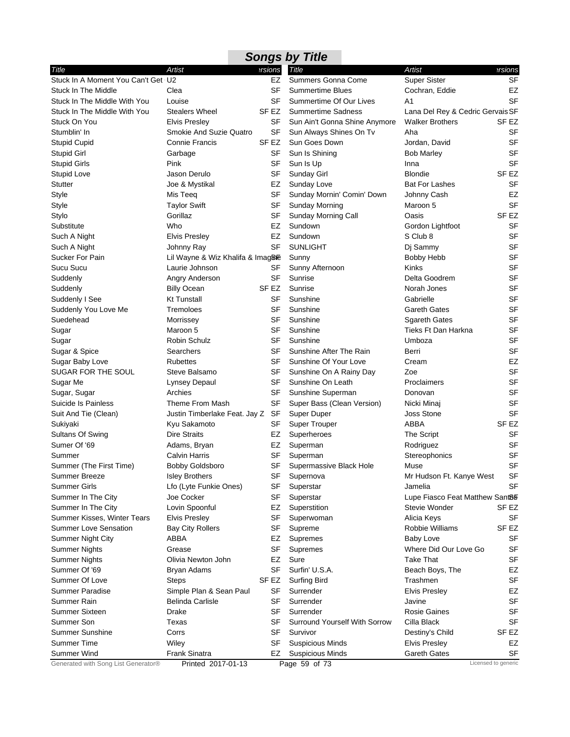|                                     |                                 |           | <b>Songs by Title</b>         |                                  |                     |
|-------------------------------------|---------------------------------|-----------|-------------------------------|----------------------------------|---------------------|
| Title                               | Artist                          | ersions   | Title                         | Artist                           | ersions?            |
| Stuck In A Moment You Can't Get U2  |                                 | <b>EZ</b> | Summers Gonna Come            | <b>Super Sister</b>              | <b>SF</b>           |
| Stuck In The Middle                 | Clea                            | <b>SF</b> | <b>Summertime Blues</b>       | Cochran, Eddie                   | EZ                  |
| Stuck In The Middle With You        | Louise                          | SF        | Summertime Of Our Lives       | A <sub>1</sub>                   | <b>SF</b>           |
| Stuck In The Middle With You        | <b>Stealers Wheel</b>           | SF EZ     | <b>Summertime Sadness</b>     | Lana Del Rey & Cedric Gervais SF |                     |
| Stuck On You                        | <b>Elvis Presley</b>            | SF        | Sun Ain't Gonna Shine Anymore | <b>Walker Brothers</b>           | SF EZ               |
| Stumblin' In                        | Smokie And Suzie Quatro         | SF        | Sun Always Shines On Tv       | Aha                              | SF                  |
| <b>Stupid Cupid</b>                 | <b>Connie Francis</b>           | SF EZ     | Sun Goes Down                 | Jordan, David                    | <b>SF</b>           |
| <b>Stupid Girl</b>                  | Garbage                         | SF        | Sun Is Shining                | <b>Bob Marley</b>                | <b>SF</b>           |
| <b>Stupid Girls</b>                 | Pink                            | SF        | Sun Is Up                     | Inna                             | <b>SF</b>           |
| <b>Stupid Love</b>                  | Jason Derulo                    | SF        | Sunday Girl                   | <b>Blondie</b>                   | SF <sub>EZ</sub>    |
| <b>Stutter</b>                      | Joe & Mystikal                  | EZ        | Sunday Love                   | <b>Bat For Lashes</b>            | <b>SF</b>           |
| Style                               | Mis Teeq                        | SF        | Sunday Mornin' Comin' Down    | Johnny Cash                      | EZ                  |
| Style                               | <b>Taylor Swift</b>             | SF        | Sunday Morning                | Maroon 5                         | <b>SF</b>           |
| Stylo                               | Gorillaz                        | SF        | Sunday Morning Call           | Oasis                            | SF <sub>EZ</sub>    |
| Substitute                          | Who                             | EZ        | Sundown                       | Gordon Lightfoot                 | <b>SF</b>           |
| Such A Night                        | <b>Elvis Presley</b>            | EZ        | Sundown                       | S Club 8                         | <b>SF</b>           |
| Such A Night                        | Johnny Ray                      | SF        | <b>SUNLIGHT</b>               | Dj Sammy                         | <b>SF</b>           |
| Sucker For Pain                     | Lil Wayne & Wiz Khalifa & Imag& |           | Sunny                         | <b>Bobby Hebb</b>                | <b>SF</b>           |
| Sucu Sucu                           | Laurie Johnson                  | SF        | Sunny Afternoon               | Kinks                            | <b>SF</b>           |
| Suddenly                            | Angry Anderson                  | SF        | Sunrise                       | Delta Goodrem                    | <b>SF</b>           |
| Suddenly                            | <b>Billy Ocean</b>              | SF EZ     | Sunrise                       | Norah Jones                      | <b>SF</b>           |
| Suddenly I See                      | <b>Kt Tunstall</b>              | <b>SF</b> | Sunshine                      | Gabrielle                        | SF                  |
|                                     | Tremoloes                       |           |                               |                                  | SF                  |
| Suddenly You Love Me                |                                 | SF        | Sunshine                      | <b>Gareth Gates</b>              | <b>SF</b>           |
| Suedehead                           | Morrissey                       | SF        | Sunshine                      | <b>Sgareth Gates</b>             |                     |
| Sugar                               | Maroon 5                        | <b>SF</b> | Sunshine                      | Tieks Ft Dan Harkna              | <b>SF</b>           |
| Sugar                               | <b>Robin Schulz</b>             | SF        | Sunshine                      | Umboza                           | <b>SF</b>           |
| Sugar & Spice                       | Searchers                       | SF        | Sunshine After The Rain       | Berri                            | <b>SF</b>           |
| Sugar Baby Love                     | <b>Rubettes</b>                 | SF        | Sunshine Of Your Love         | Cream                            | EZ                  |
| SUGAR FOR THE SOUL                  | Steve Balsamo                   | SF        | Sunshine On A Rainy Day       | Zoe                              | <b>SF</b>           |
| Sugar Me                            | <b>Lynsey Depaul</b>            | SF        | Sunshine On Leath             | Proclaimers                      | SF                  |
| Sugar, Sugar                        | Archies                         | SF        | Sunshine Superman             | Donovan                          | <b>SF</b>           |
| Suicide Is Painless                 | Theme From Mash                 | SF        | Super Bass (Clean Version)    | Nicki Minaj                      | <b>SF</b>           |
| Suit And Tie (Clean)                | Justin Timberlake Feat. Jay Z   | SF        | Super Duper                   | <b>Joss Stone</b>                | <b>SF</b>           |
| Sukiyaki                            | Kyu Sakamoto                    | SF        | <b>Super Trouper</b>          | ABBA                             | SF EZ               |
| Sultans Of Swing                    | <b>Dire Straits</b>             | EZ        | Superheroes                   | The Script                       | SF                  |
| Sumer Of '69                        | Adams, Bryan                    | EZ        | Superman                      | Rodriguez                        | <b>SF</b>           |
| Summer                              | Calvin Harris                   | SF        | Superman                      | Stereophonics                    | SF                  |
| Summer (The First Time)             | <b>Bobby Goldsboro</b>          | <b>SF</b> | Supermassive Black Hole       | Muse                             | SF                  |
| Summer Breeze                       | <b>Isley Brothers</b>           | SF        | Supernova                     | Mr Hudson Ft. Kanye West         | SF                  |
| <b>Summer Girls</b>                 | Lfo (Lyte Funkie Ones)          | SF        | Superstar                     | Jamelia                          | <b>SF</b>           |
| Summer In The City                  | Joe Cocker                      | SF        | Superstar                     | Lupe Fiasco Feat Matthew Sant&   |                     |
| Summer In The City                  | Lovin Spoonful                  | EZ        | Superstition                  | Stevie Wonder                    | SF EZ               |
| Summer Kisses, Winter Tears         | <b>Elvis Presley</b>            | SF        | Superwoman                    | Alicia Keys                      | SF                  |
| <b>Summer Love Sensation</b>        | <b>Bay City Rollers</b>         | SF        | Supreme                       | Robbie Williams                  | SF EZ               |
| <b>Summer Night City</b>            | ABBA                            | EZ        | Supremes                      | <b>Baby Love</b>                 | SF                  |
| <b>Summer Nights</b>                | Grease                          | SF        | Supremes                      | Where Did Our Love Go            | <b>SF</b>           |
| <b>Summer Nights</b>                | Olivia Newton John              | EZ        | Sure                          | <b>Take That</b>                 | <b>SF</b>           |
| Summer Of '69                       | Bryan Adams                     | SF        | Surfin' U.S.A.                | Beach Boys, The                  | EZ                  |
| Summer Of Love                      | <b>Steps</b>                    | SF EZ     | <b>Surfing Bird</b>           | Trashmen                         | <b>SF</b>           |
| <b>Summer Paradise</b>              | Simple Plan & Sean Paul         | SF        | Surrender                     | <b>Elvis Presley</b>             | EZ                  |
| Summer Rain                         | <b>Belinda Carlisle</b>         | SF        | Surrender                     | Javine                           | SF                  |
| <b>Summer Sixteen</b>               | Drake                           | SF        | Surrender                     | <b>Rosie Gaines</b>              | <b>SF</b>           |
| Summer Son                          | Texas                           | SF        | Surround Yourself With Sorrow | Cilla Black                      | <b>SF</b>           |
|                                     |                                 |           |                               |                                  |                     |
| <b>Summer Sunshine</b>              | Corrs                           | SF        | Survivor                      | Destiny's Child                  | SF EZ               |
| <b>Summer Time</b>                  | Wiley                           | SF        | <b>Suspicious Minds</b>       | <b>Elvis Presley</b>             | EZ                  |
| Summer Wind                         | Frank Sinatra                   | EZ        | <b>Suspicious Minds</b>       | <b>Gareth Gates</b>              | SF                  |
| Generated with Song List Generator® | Printed 2017-01-13              |           | Page 59 of 73                 |                                  | Licensed to generic |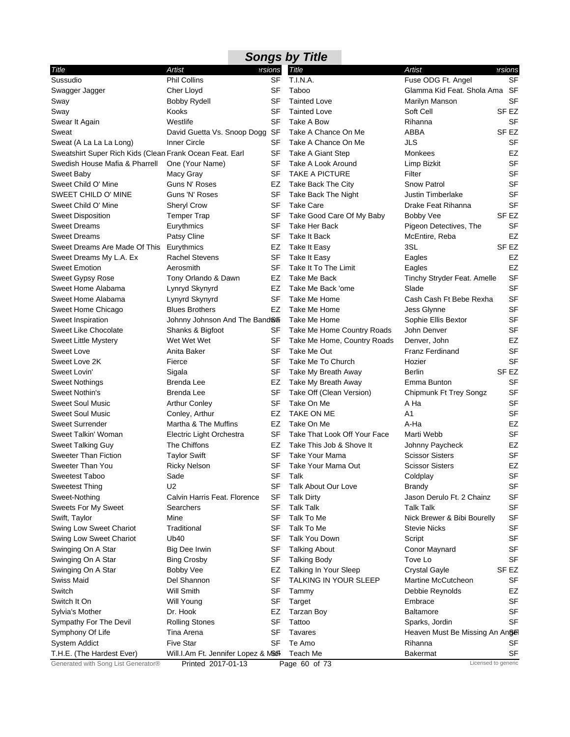#### *Title Artist Versions* Sussudio Phil Collins SF Swagger Jagger Cher Lloyd SF Sway Bobby Rydell SF Sway Kooks SF Swear It Again **SEP Westlife** SF Sweat **David Guetta Vs. Snoop Dogg SF** Sweat (A La La La Long) Inner Circle SF Sweatshirt Super Rich Kids (Clean Frank Ocean Feat. Earl SF Swedish House Mafia & Pharrell One (Your Name) SF Sweet Baby **Macy Gray** Macy Gray SF Sweet Child O' Mine Guns N' Roses EZ SWEET CHILD O' MINE Guns 'N' Roses SF Sweet Child O' Mine Sheryl Crow SF Sweet Disposition Temper Trap SF Sweet Dreams **Eurythmics** Eurythmics SF Sweet Dreams **Patsy Cline** SF Sweet Dreams Are Made Of This Eurythmics EZ Sweet Dreams My L.A. Ex Rachel Stevens SF Sweet Emotion **Aerosmith** Aerosmith Sweet Gypsy Rose Tony Orlando & Dawn EZ Sweet Home Alabama Lynryd Skynyrd EZ Sweet Home Alabama<br>
Lynyrd Skynyrd Sweet Home Chicago Blues Brothers EZ Sweet Inspiration **State Inspiration** Johnny Johnson And The Band ® Fake Me Home Sweet Like Chocolate Shanks & Bigfoot SF Sweet Little Mystery **Wet Wet Wet Wet Wet SF** Sweet Love **Anita Baker** SF Sweet Love 2K Fierce **SF** Fierce Sweet Lovin' Sigala SIGNA SIGNAL SERVICE SERVICE SERVICE SERVICE SERVICE SERVICE SERVICE SERVICE SERVICE SERVICE SERVICE SERVICE SERVICE SERVICE SERVICE SERVICE SERVICE SERVICE SERVICE SERVICE SERVICE SERVICE SERVICE SERVI Sweet Nothings **Brenda Lee EZ** Sweet Nothin's **Brenda Lee** SF Sweet Soul Music **Arthur Conley** SF Sweet Soul Music Conley, Arthur EZ Sweet Surrender Martha & The Muffins EZ Sweet Talkin' Woman Electric Light Orchestra SF Sweet Talking Guy The Chiffons EZ Sweeter Than Fiction Taylor Swift SF Sweeter Than You **Ricky Nelson** SF Sweetest Taboo Sade Services SF Sweetest Thing U2 U2 SF Sweet-Nothing Calvin Harris Feat. Florence SF Sweets For My Sweet Searchers SES Swift, Taylor Mine Mine SF Swing Low Sweet Chariot Traditional SF Swing Low Sweet Chariot Ub40 Ub40 Swinging On A Star **Big Dee Irwin** SF Swinging On A Star **Bing Crosby** SF Swinging On A Star **Bobby Vee EZ** Swiss Maid **Del Shannon** SF Switch Will Smith SF Switch It On Will Young SF Sylvia's Mother **Dr. Hook Dr. Hook** EZ Sympathy For The Devil Rolling Stones SF Symphony Of Life Tina Arena SF System Addict **Five Star** Five Star SF T.H.E. (The Hardest Ever) Will.I.Am Ft. Jennifer Lopez & M&F Teach Me Taboo Glamma Kid Feat. Shola Ama SF Tainted Love **Marilyn Manson** SF Tainted Love Soft Cell Soft Cell SF EZ Take A Bow **Rihanna** SF Take A Chance On Me ABBA SF EZ Take A Chance On Me JLS SF Take A Giant Step **Monkees** Monkees **EZ** Take A Look Around Limp Bizkit SF TAKE A PICTURE Filter Filter SF Take Back The City Snow Patrol SF Take Back The Night **Justin Timberlake** SF Take Care **Drake Feat Rihanna** SF Take Good Care Of My Baby Bobby Vee SF EZ Take Her Back **Pigeon Detectives, The** SF Take It Back **McEntire**, Reba EZ Take It Easy 3SL SF EZ Take It Easy **Eagles** Eagles **EX** Take It To The Limit **Eagles** EZ Take Me Back Tinchy Stryder Feat. Amelle SF Take Me Back 'ome Slade Slade SF Take Me Home Cash Cash Ft Bebe Rexha SF Take Me Home **SE** Jess Glynne SF Sophie Ellis Bextor SF Take Me Home Country Roads John Denver SF Take Me Home, Country Roads Denver, John EZ Take Me Out **Franz Ferdinand** SF Take Me To Church **Hozier** Hozier SF Take My Breath Away Berlin Berlin SF EZ Take My Breath Away Emma Bunton SF Take Off (Clean Version) Chipmunk Ft Trey Songz SF Take On Me A Ha A Ha TAKE ON ME A1 Take On Me **A-Ha** A-Ha **EZ** Take That Look Off Your Face Marti Webb SF Take This Job & Shove It Johnny Paycheck EZ Take Your Mama Scissor Sisters SF Take Your Mama Out Scissor Sisters FZ Talk Coldplay Coldplay SF Talk About Our Love Brandy Brandy SF Talk Dirty Jason Derulo Ft. 2 Chainz SF Talk Talk Talk Talk SF Talk To Me **Nick Brewer & Bibi Bourelly** SF Talk To Me Stevie Nicks SF Talk You Down Script Script Script SF Talking About **Conor Maynard** SF Talking Body **Tove Lo** Tove Lo SF Talking In Your Sleep Crystal Gayle SF EZ TALKING IN YOUR SLEEP Martine McCutcheon SF Tammy **Debbie Reynolds** EZ Target **Embrace** Embrace SF Tarzan Boy **Baltamore** SF Tattoo Sparks, Jordin SF Tavares **Heaven Must Be Missing An Angel** States Te Amo Rihanna SF Bakermat SF *Songs by Title Title Artist Versions* T.I.N.A. Fuse ODG Ft. Angel SF

Generated with Song List Generator® Printed 2017-01-13 Page 60 of 73 Licensed to generic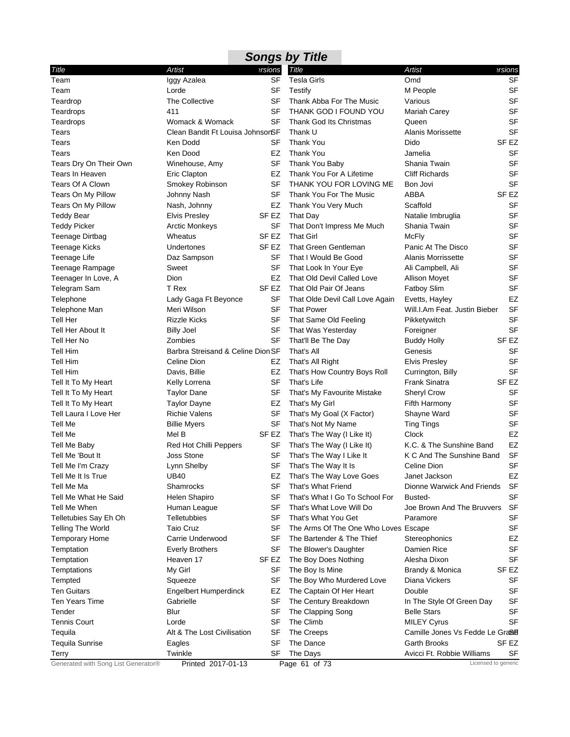|                                     |                                   |                  | <b>Songs by Title</b>                |                                 |                  |
|-------------------------------------|-----------------------------------|------------------|--------------------------------------|---------------------------------|------------------|
| Title                               | Artist                            | ersions          | Title                                | <b>Artist</b>                   | ersions          |
| Team                                | Iggy Azalea                       | SF               | <b>Tesla Girls</b>                   | Omd                             | <b>SF</b>        |
| Team                                | Lorde                             | SF               | Testify                              | M People                        | <b>SF</b>        |
| Teardrop                            | The Collective                    | SF               | Thank Abba For The Music             | Various                         | <b>SF</b>        |
| Teardrops                           | 411                               | <b>SF</b>        | THANK GOD I FOUND YOU                | Mariah Carey                    | <b>SF</b>        |
| Teardrops                           | Womack & Womack                   | SF               | Thank God Its Christmas              | Queen                           | <b>SF</b>        |
| Tears                               | Clean Bandit Ft Louisa JohnsonSF  |                  | Thank U                              | Alanis Morissette               | <b>SF</b>        |
| Tears                               | Ken Dodd                          | SF               | <b>Thank You</b>                     | Dido                            | SF <sub>EZ</sub> |
| Tears                               | Ken Dood                          | EZ               | <b>Thank You</b>                     | Jamelia                         | <b>SF</b>        |
| Tears Dry On Their Own              | Winehouse, Amy                    | SF               | Thank You Baby                       | Shania Twain                    | <b>SF</b>        |
| Tears In Heaven                     | <b>Eric Clapton</b>               | EZ               | Thank You For A Lifetime             | <b>Cliff Richards</b>           | <b>SF</b>        |
| Tears Of A Clown                    | Smokey Robinson                   | SF               | THANK YOU FOR LOVING ME              | Bon Jovi                        | <b>SF</b>        |
| Tears On My Pillow                  | Johnny Nash                       | <b>SF</b>        | Thank You For The Music              | ABBA                            | SF <sub>EZ</sub> |
| Tears On My Pillow                  | Nash, Johnny                      | EZ               | Thank You Very Much                  | Scaffold                        | SF               |
| Teddy Bear                          | <b>Elvis Presley</b>              | SF EZ            | That Day                             | Natalie Imbruglia               | <b>SF</b>        |
| <b>Teddy Picker</b>                 | <b>Arctic Monkeys</b>             | SF               | That Don't Impress Me Much           | Shania Twain                    | <b>SF</b>        |
| Teenage Dirtbag                     | Wheatus                           | SF EZ            | <b>That Girl</b>                     | <b>McFly</b>                    | <b>SF</b>        |
| <b>Teenage Kicks</b>                | Undertones                        | SF <sub>EZ</sub> | That Green Gentleman                 | Panic At The Disco              | <b>SF</b>        |
| Teenage Life                        | Daz Sampson                       | SF               | That I Would Be Good                 | Alanis Morrissette              | <b>SF</b>        |
| <b>Teenage Rampage</b>              | Sweet                             | SF               | That Look In Your Eye                | Ali Campbell, Ali               | <b>SF</b>        |
| Teenager In Love, A                 | <b>Dion</b>                       | EZ               | That Old Devil Called Love           | <b>Allison Movet</b>            | <b>SF</b>        |
| Telegram Sam                        | T Rex                             | SF EZ            | That Old Pair Of Jeans               | <b>Fatboy Slim</b>              | <b>SF</b>        |
| Telephone                           | Lady Gaga Ft Beyonce              | SF               | That Olde Devil Call Love Again      | Evetts, Hayley                  | EZ               |
| Telephone Man                       | Meri Wilson                       | SF               | <b>That Power</b>                    | Will.I.Am Feat. Justin Bieber   | <b>SF</b>        |
| Tell Her                            | <b>Rizzle Kicks</b>               | SF               | That Same Old Feeling                | Pikketywitch                    | <b>SF</b>        |
| Tell Her About It                   | <b>Billy Joel</b>                 | SF               | That Was Yesterday                   | Foreigner                       | <b>SF</b>        |
| Tell Her No                         | Zombies                           | SF               | That'll Be The Day                   | <b>Buddy Holly</b>              | SF EZ            |
| <b>Tell Him</b>                     | Barbra Streisand & Celine Dion SF |                  | That's All                           | Genesis                         | <b>SF</b>        |
| <b>Tell Him</b>                     | Celine Dion                       | EZ               | That's All Right                     | <b>Elvis Presley</b>            | SF               |
| <b>Tell Him</b>                     | Davis, Billie                     | EZ               | That's How Country Boys Roll         | Currington, Billy               | <b>SF</b>        |
| Tell It To My Heart                 | Kelly Lorrena                     | SF               | That's Life                          | <b>Frank Sinatra</b>            | SF <sub>EZ</sub> |
| Tell It To My Heart                 | <b>Taylor Dane</b>                | SF               | That's My Favourite Mistake          | Sheryl Crow                     | <b>SF</b>        |
| Tell It To My Heart                 | <b>Taylor Dayne</b>               | EZ               | That's My Girl                       | Fifth Harmony                   | <b>SF</b>        |
| Tell Laura I Love Her               | <b>Richie Valens</b>              | SF               | That's My Goal (X Factor)            | Shayne Ward                     | <b>SF</b>        |
| Tell Me                             | <b>Billie Myers</b>               | SF               | That's Not My Name                   | <b>Ting Tings</b>               | <b>SF</b>        |
| Tell Me                             | Mel B                             | SF EZ            | That's The Way (I Like It)           | Clock                           | EZ               |
| Tell Me Baby                        | Red Hot Chilli Peppers            | SF               | That's The Way (I Like It)           | K.C. & The Sunshine Band        | EZ               |
| Tell Me 'Bout It                    | <b>Joss Stone</b>                 | SF               | That's The Way I Like It             | K C And The Sunshine Band       | <b>SF</b>        |
| Tell Me I'm Crazy                   | Lynn Shelby                       | SF               | That's The Way It Is                 | Celine Dion                     | SF               |
| Tell Me It Is True                  | <b>UB40</b>                       | EZ               | That's The Way Love Goes             | Janet Jackson                   | EZ               |
| Tell Me Ma                          | Shamrocks                         | SF               | That's What Friend                   | Dionne Warwick And Friends      | SF               |
| Tell Me What He Said                | Helen Shapiro                     | SF               | That's What I Go To School For       | Busted-                         | <b>SF</b>        |
| Tell Me When                        | Human League                      | SF               | That's What Love Will Do             | Joe Brown And The Bruvvers      | <b>SF</b>        |
| Telletubies Say Eh Oh               | Telletubbies                      | SF               | That's What You Get                  | Paramore                        | <b>SF</b>        |
| <b>Telling The World</b>            | <b>Taio Cruz</b>                  | <b>SF</b>        | The Arms Of The One Who Loves Escape |                                 | <b>SF</b>        |
| <b>Temporary Home</b>               | Carrie Underwood                  | SF               | The Bartender & The Thief            | Stereophonics                   | EZ               |
| Temptation                          | <b>Everly Brothers</b>            | SF               | The Blower's Daughter                | Damien Rice                     | <b>SF</b>        |
| Temptation                          | Heaven 17                         | SF <sub>EZ</sub> | The Boy Does Nothing                 | Alesha Dixon                    | <b>SF</b>        |
| Temptations                         | My Girl                           | SF               | The Boy Is Mine                      | Brandy & Monica                 | SF <sub>EZ</sub> |
| Tempted                             | Squeeze                           | SF               | The Boy Who Murdered Love            | Diana Vickers                   | SF               |
| <b>Ten Guitars</b>                  | <b>Engelbert Humperdinck</b>      | EZ               | The Captain Of Her Heart             | Double                          | <b>SF</b>        |
| Ten Years Time                      | Gabrielle                         | SF               | The Century Breakdown                | In The Style Of Green Day       | <b>SF</b>        |
| Tender                              | Blur                              | <b>SF</b>        | The Clapping Song                    | <b>Belle Stars</b>              | <b>SF</b>        |
| <b>Tennis Court</b>                 | Lorde                             | <b>SF</b>        | The Climb                            | <b>MILEY Cyrus</b>              | <b>SF</b>        |
| Tequila                             | Alt & The Lost Civilisation       | SF               | The Creeps                           | Camille Jones Vs Fedde Le Graßl |                  |
| <b>Tequila Sunrise</b>              | Eagles                            | <b>SF</b>        | The Dance                            | Garth Brooks                    | SF EZ            |
| Terry                               | Twinkle                           | SF               | The Days                             | Avicci Ft. Robbie Williams      | SF               |
| Generated with Song List Generator® | Printed 2017-01-13                |                  | Page 61 of 73                        | Licensed to generic             |                  |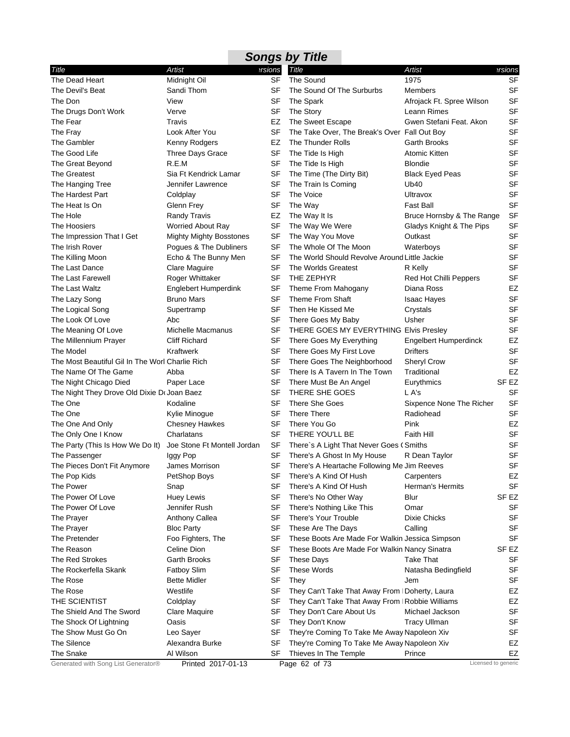|                                                 |                                |           | <b>Songs by Title</b>                            |                              |                  |
|-------------------------------------------------|--------------------------------|-----------|--------------------------------------------------|------------------------------|------------------|
| Title                                           | Artist                         | ersions   | <b>Title</b>                                     | Artist                       | ersions?         |
| The Dead Heart                                  | Midnight Oil                   | SF        | The Sound                                        | 1975                         | <b>SF</b>        |
| The Devil's Beat                                | Sandi Thom                     | SF        | The Sound Of The Surburbs                        | Members                      | <b>SF</b>        |
| The Don                                         | View                           | SF        | The Spark                                        | Afrojack Ft. Spree Wilson    | <b>SF</b>        |
| The Drugs Don't Work                            | Verve                          | SF        | The Story                                        | Leann Rimes                  | <b>SF</b>        |
| The Fear                                        | Travis                         | EZ        | The Sweet Escape                                 | Gwen Stefani Feat. Akon      | SF               |
| The Fray                                        | Look After You                 | SF        | The Take Over, The Break's Over Fall Out Boy     |                              | SF               |
| The Gambler                                     | Kenny Rodgers                  | EZ        | The Thunder Rolls                                | Garth Brooks                 | SF               |
| The Good Life                                   | Three Days Grace               | SF        | The Tide Is High                                 | Atomic Kitten                | SF               |
| The Great Beyond                                | R.E.M                          | SF        | The Tide Is High                                 | <b>Blondie</b>               | <b>SF</b>        |
| The Greatest                                    | Sia Ft Kendrick Lamar          | <b>SF</b> | The Time (The Dirty Bit)                         | <b>Black Eyed Peas</b>       | <b>SF</b>        |
| The Hanging Tree                                | Jennifer Lawrence              | SF        | The Train Is Coming                              | Ub40                         | <b>SF</b>        |
| The Hardest Part                                | Coldplay                       | <b>SF</b> | The Voice                                        | Ultravox                     | <b>SF</b>        |
| The Heat Is On                                  | Glenn Frey                     | SF        | The Way                                          | Fast Ball                    | <b>SF</b>        |
| The Hole                                        | <b>Randy Travis</b>            | EZ        | The Way It Is                                    | Bruce Hornsby & The Range    | SF               |
| The Hoosiers                                    | <b>Worried About Ray</b>       | SF        | The Way We Were                                  | Gladys Knight & The Pips     | SF               |
| The Impression That I Get                       | <b>Mighty Mighty Bosstones</b> | <b>SF</b> | The Way You Move                                 | Outkast                      | <b>SF</b>        |
| The Irish Rover                                 | Pogues & The Dubliners         | SF        | The Whole Of The Moon                            | Waterboys                    | <b>SF</b>        |
| The Killing Moon                                | Echo & The Bunny Men           | SF        | The World Should Revolve Around Little Jackie    |                              | <b>SF</b>        |
| The Last Dance                                  | Clare Maguire                  | SF        | The Worlds Greatest                              | R Kelly                      | <b>SF</b>        |
| The Last Farewell                               | Roger Whittaker                | SF        | THE ZEPHYR                                       | Red Hot Chilli Peppers       | <b>SF</b>        |
| The Last Waltz                                  | Englebert Humperdink           | SF        | Theme From Mahogany                              | Diana Ross                   | EZ               |
| The Lazy Song                                   | <b>Bruno Mars</b>              | SF        | Theme From Shaft                                 | <b>Isaac Hayes</b>           | SF               |
| The Logical Song                                | Supertramp                     | SF        | Then He Kissed Me                                | Crystals                     | SF               |
| The Look Of Love                                | Abc                            | SF        | There Goes My Baby                               | Usher                        | <b>SF</b>        |
| The Meaning Of Love                             | Michelle Macmanus              | <b>SF</b> | THERE GOES MY EVERYTHING Elvis Presley           |                              | <b>SF</b>        |
| The Millennium Prayer                           | <b>Cliff Richard</b>           | SF        | There Goes My Everything                         | <b>Engelbert Humperdinck</b> | EZ               |
| The Model                                       | Kraftwerk                      | SF        | There Goes My First Love                         | <b>Drifters</b>              | <b>SF</b>        |
| The Most Beautiful Gil In The Worl Charlie Rich |                                | SF        | There Goes The Neighborhood                      | <b>Sheryl Crow</b>           | <b>SF</b>        |
| The Name Of The Game                            | Abba                           | <b>SF</b> | There Is A Tavern In The Town                    | Traditional                  | EZ               |
| The Night Chicago Died                          | Paper Lace                     | SF        | There Must Be An Angel                           | Eurythmics                   | SF <sub>EZ</sub> |
| The Night They Drove Old Dixie Dr Joan Baez     |                                | SF        | THERE SHE GOES                                   | L A's                        | <b>SF</b>        |
| The One                                         | Kodaline                       | SF        | There She Goes                                   | Sixpence None The Richer     | <b>SF</b>        |
| The One                                         | Kylie Minogue                  | SF        | <b>There There</b>                               | Radiohead                    | <b>SF</b>        |
| The One And Only                                | <b>Chesney Hawkes</b>          | SF        | There You Go                                     | Pink                         | EZ               |
| The Only One I Know                             | Charlatans                     | SF        | THERE YOU'LL BE                                  | Faith Hill                   | <b>SF</b>        |
| The Party (This Is How We Do It)                | Joe Stone Ft Montell Jordan    | SF        | There's A Light That Never Goes (Smiths          |                              | <b>SF</b>        |
| The Passenger                                   | Iggy Pop                       | SF        | There's A Ghost In My House                      | R Dean Taylor                | SF               |
| The Pieces Don't Fit Anymore                    | James Morrison                 | SF        | There's A Heartache Following Me Jim Reeves      |                              | SF               |
| The Pop Kids                                    | PetShop Boys                   | SF        | There's A Kind Of Hush                           | Carpenters                   | EZ               |
| The Power                                       | Snap                           | <b>SF</b> | There's A Kind Of Hush                           | Herman's Hermits             | <b>SF</b>        |
| The Power Of Love                               | <b>Huey Lewis</b>              | SF        | There's No Other Way                             | Blur                         | SF EZ            |
| The Power Of Love                               | Jennifer Rush                  | SF        | There's Nothing Like This                        | Omar                         | SF               |
| The Prayer                                      | <b>Anthony Callea</b>          | SF        | There's Your Trouble                             | <b>Dixie Chicks</b>          | <b>SF</b>        |
| The Prayer                                      | <b>Bloc Party</b>              | <b>SF</b> | These Are The Days                               | Calling                      | <b>SF</b>        |
| The Pretender                                   | Foo Fighters, The              | SF        | These Boots Are Made For Walkin Jessica Simpson  |                              | SF               |
| The Reason                                      | Celine Dion                    | SF        | These Boots Are Made For Walkin Nancy Sinatra    |                              | SF EZ            |
| <b>The Red Strokes</b>                          | <b>Garth Brooks</b>            | SF        | <b>These Days</b>                                | Take That                    | SF               |
| The Rockerfella Skank                           | <b>Fatboy Slim</b>             | SF        | <b>These Words</b>                               | Natasha Bedingfield          | <b>SF</b>        |
| The Rose                                        | <b>Bette Midler</b>            | <b>SF</b> | They                                             | Jem                          | SF               |
| The Rose                                        | Westlife                       | <b>SF</b> | They Can't Take That Away From I Doherty, Laura  |                              | EZ               |
| THE SCIENTIST                                   | Coldplay                       | SF        | They Can't Take That Away From I Robbie Williams |                              | EZ               |
| The Shield And The Sword                        | Clare Maquire                  | SF        | They Don't Care About Us                         | Michael Jackson              | <b>SF</b>        |
| The Shock Of Lightning                          | Oasis                          | SF        | They Don't Know                                  | <b>Tracy Ullman</b>          | <b>SF</b>        |
| The Show Must Go On                             | Leo Sayer                      | SF        | They're Coming To Take Me Away Napoleon Xiv      |                              | <b>SF</b>        |
| <b>The Silence</b>                              | Alexandra Burke                | SF        | They're Coming To Take Me Away Napoleon Xiv      |                              | EZ               |
| The Snake                                       | Al Wilson                      | SF        | Thieves In The Temple                            | Prince                       | EZ               |
| Generated with Song List Generator®             | Printed 2017-01-13             |           | Page 62 of 73                                    | Licensed to generic          |                  |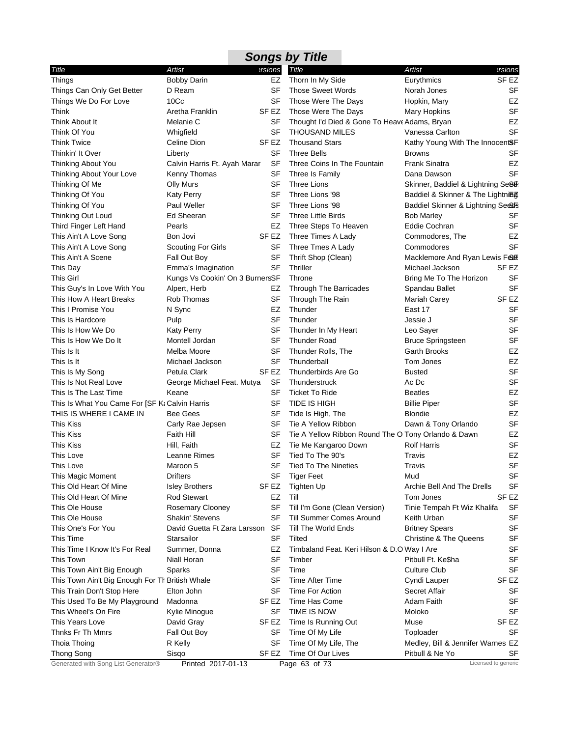| <b>Songs by Title</b>                                                     |                                     |                  |                                                     |                                    |                     |  |  |  |
|---------------------------------------------------------------------------|-------------------------------------|------------------|-----------------------------------------------------|------------------------------------|---------------------|--|--|--|
| Title                                                                     | Artist                              | ersions          | <b>Title</b>                                        | <b>Artist</b>                      | ersions             |  |  |  |
| <b>Things</b>                                                             | <b>Bobby Darin</b>                  | EZ               | Thorn In My Side                                    | Eurythmics                         | SF <sub>EZ</sub>    |  |  |  |
| Things Can Only Get Better                                                | D Ream                              | SF               | <b>Those Sweet Words</b>                            | Norah Jones                        | <b>SF</b>           |  |  |  |
| Things We Do For Love                                                     | 10 <sub>Cc</sub>                    | SF               | Those Were The Days                                 | Hopkin, Mary                       | <b>EZ</b>           |  |  |  |
| Think                                                                     | Aretha Franklin                     | SF EZ            | Those Were The Days                                 | Mary Hopkins                       | <b>SF</b>           |  |  |  |
| Think About It                                                            | Melanie C                           | SF               | Thought I'd Died & Gone To Heave Adams, Bryan       |                                    | EZ                  |  |  |  |
| Think Of You                                                              | Whigfield                           | <b>SF</b>        | <b>THOUSAND MILES</b>                               | Vanessa Carlton                    | <b>SF</b>           |  |  |  |
| <b>Think Twice</b>                                                        | Celine Dion                         | SF EZ            | <b>Thousand Stars</b>                               | Kathy Young With The InnocentSF    |                     |  |  |  |
| Thinkin' It Over                                                          | Liberty                             | <b>SF</b>        | <b>Three Bells</b>                                  | <b>Browns</b>                      | <b>SF</b>           |  |  |  |
| Thinking About You                                                        | Calvin Harris Ft. Ayah Marar        | SF               | Three Coins In The Fountain                         | Frank Sinatra                      | EZ                  |  |  |  |
| Thinking About Your Love                                                  | Kenny Thomas                        | SF               | Three Is Family                                     | Dana Dawson                        | <b>SF</b>           |  |  |  |
| Thinking Of Me                                                            | <b>Olly Murs</b>                    | SF               | <b>Three Lions</b>                                  | Skinner, Baddiel & Lightning Se86: |                     |  |  |  |
| Thinking Of You                                                           | Katy Perry                          | SF               | Three Lions '98                                     | Baddiel & Skinner & The Lightning  |                     |  |  |  |
| Thinking Of You                                                           | Paul Weller                         | SF               | Three Lions '98                                     | Baddiel Skinner & Lightning Se&S   |                     |  |  |  |
| Thinking Out Loud                                                         | Ed Sheeran                          | <b>SF</b>        | <b>Three Little Birds</b>                           | <b>Bob Marley</b>                  | SF                  |  |  |  |
| Third Finger Left Hand                                                    | Pearls                              | EZ               | Three Steps To Heaven                               | Eddie Cochran                      | <b>SF</b>           |  |  |  |
| This Ain't A Love Song                                                    | Bon Jovi                            | SF EZ            | Three Times A Lady                                  | Commodores, The                    | EZ                  |  |  |  |
| This Ain't A Love Song                                                    | <b>Scouting For Girls</b>           | SF               | Three Tmes A Lady                                   | Commodores                         | <b>SF</b>           |  |  |  |
| This Ain't A Scene                                                        | Fall Out Boy                        | SF               | Thrift Shop (Clean)                                 | Macklemore And Ryan Lewis Feart    |                     |  |  |  |
| This Day                                                                  | Emma's Imagination                  | SF               | Thriller                                            | Michael Jackson                    | SF EZ               |  |  |  |
| This Girl                                                                 | Kungs Vs Cookin' On 3 BurnersSF     |                  | Throne                                              | Bring Me To The Horizon            | SF                  |  |  |  |
| This Guy's In Love With You                                               | Alpert, Herb                        | EZ               | <b>Through The Barricades</b>                       | Spandau Ballet                     | <b>SF</b>           |  |  |  |
| This How A Heart Breaks                                                   | Rob Thomas                          | SF               | Through The Rain                                    | Mariah Carey                       | SF EZ               |  |  |  |
| This I Promise You                                                        | N Sync                              | EZ               | Thunder                                             | East 17                            | <b>SF</b>           |  |  |  |
| This Is Hardcore                                                          | Pulp                                | <b>SF</b>        | Thunder                                             | Jessie J                           | <b>SF</b>           |  |  |  |
| This Is How We Do                                                         | <b>Katy Perry</b>                   | SF               | Thunder In My Heart                                 | Leo Sayer                          | <b>SF</b>           |  |  |  |
| This Is How We Do It                                                      | Montell Jordan                      | SF               | <b>Thunder Road</b>                                 | <b>Bruce Springsteen</b>           | SF                  |  |  |  |
| This Is It                                                                | Melba Moore                         | SF               | Thunder Rolls, The                                  | Garth Brooks                       | EZ                  |  |  |  |
| This Is It                                                                | Michael Jackson                     | <b>SF</b>        | Thunderball                                         | Tom Jones                          | EZ                  |  |  |  |
|                                                                           | Petula Clark                        | SF <sub>EZ</sub> | Thunderbirds Are Go                                 | <b>Busted</b>                      | <b>SF</b>           |  |  |  |
| This Is My Song<br>This Is Not Real Love                                  |                                     | SF               | Thunderstruck                                       | Ac Dc                              | <b>SF</b>           |  |  |  |
| This Is The Last Time                                                     | George Michael Feat. Mutya<br>Keane | SF               | <b>Ticket To Ride</b>                               | <b>Beatles</b>                     | EZ                  |  |  |  |
|                                                                           |                                     | <b>SF</b>        |                                                     |                                    | <b>SF</b>           |  |  |  |
| This Is What You Came For [SF K: Calvin Harris<br>THIS IS WHERE I CAME IN |                                     |                  | TIDE IS HIGH                                        | <b>Billie Piper</b>                |                     |  |  |  |
|                                                                           | <b>Bee Gees</b>                     | <b>SF</b>        | Tide Is High, The                                   | <b>Blondie</b>                     | EZ                  |  |  |  |
| <b>This Kiss</b>                                                          | Carly Rae Jepsen                    | SF               | Tie A Yellow Ribbon                                 | Dawn & Tony Orlando                | <b>SF</b>           |  |  |  |
| This Kiss                                                                 | <b>Faith Hill</b>                   | SF               | Tie A Yellow Ribbon Round The O Tony Orlando & Dawn |                                    | EZ                  |  |  |  |
| This Kiss                                                                 | Hill, Faith                         | EZ               | Tie Me Kangaroo Down                                | <b>Rolf Harris</b>                 | <b>SF</b>           |  |  |  |
| This Love                                                                 | Leanne Rimes                        | <b>SF</b>        | Tied To The 90's                                    | Travis                             | <b>EZ</b>           |  |  |  |
| This Love                                                                 | Maroon 5                            |                  | SF Tied To The Nineties                             | Travis                             | SF                  |  |  |  |
| This Magic Moment                                                         | <b>Drifters</b>                     | SF               | <b>Tiger Feet</b>                                   | Mud                                | <b>SF</b>           |  |  |  |
| This Old Heart Of Mine                                                    | <b>Isley Brothers</b>               | SF EZ            | <b>Tighten Up</b>                                   | Archie Bell And The Drells         | <b>SF</b>           |  |  |  |
| This Old Heart Of Mine                                                    | <b>Rod Stewart</b>                  | EZ               | Till                                                | Tom Jones                          | SF EZ               |  |  |  |
| This Ole House                                                            | <b>Rosemary Clooney</b>             | <b>SF</b>        | Till I'm Gone (Clean Version)                       | Tinie Tempah Ft Wiz Khalifa        | SF                  |  |  |  |
| This Ole House                                                            | Shakin' Stevens                     | SF               | Till Summer Comes Around                            | Keith Urban                        | SF                  |  |  |  |
| This One's For You                                                        | David Guetta Ft Zara Larsson        | SF               | Till The World Ends                                 | <b>Britney Spears</b>              | <b>SF</b>           |  |  |  |
| This Time                                                                 | Starsailor                          | SF               | Tilted                                              | <b>Christine &amp; The Queens</b>  | <b>SF</b>           |  |  |  |
| This Time I Know It's For Real                                            | Summer, Donna                       | EZ               | Timbaland Feat. Keri Hilson & D.O Way I Are         |                                    | <b>SF</b>           |  |  |  |
| <b>This Town</b>                                                          | Niall Horan                         | <b>SF</b>        | Timber                                              | Pitbull Ft. Ke\$ha                 | <b>SF</b>           |  |  |  |
| This Town Ain't Big Enough                                                | Sparks                              | SF               | Time                                                | <b>Culture Club</b>                | <b>SF</b>           |  |  |  |
| This Town Ain't Big Enough For Th British Whale                           |                                     | <b>SF</b>        | Time After Time                                     | Cyndi Lauper                       | SF <sub>EZ</sub>    |  |  |  |
| This Train Don't Stop Here                                                | Elton John                          | SF               | Time For Action                                     | <b>Secret Affair</b>               | SF                  |  |  |  |
| This Used To Be My Playground                                             | Madonna                             | SF EZ            | Time Has Come                                       | Adam Faith                         | SF                  |  |  |  |
| This Wheel's On Fire                                                      | Kylie Minogue                       | SF               | TIME IS NOW                                         | Moloko                             | <b>SF</b>           |  |  |  |
| This Years Love                                                           | David Gray                          | SF EZ            | Time Is Running Out                                 | Muse                               | SF EZ               |  |  |  |
| Thnks Fr Th Mmrs                                                          | Fall Out Boy                        | <b>SF</b>        | Time Of My Life                                     | Toploader                          | <b>SF</b>           |  |  |  |
| Thoia Thoing                                                              | R Kelly                             | <b>SF</b>        | Time Of My Life, The                                | Medley, Bill & Jennifer Warnes EZ  |                     |  |  |  |
| <b>Thong Song</b>                                                         | Sisqo                               | SF EZ            | Time Of Our Lives                                   | Pitbull & Ne Yo                    | SF                  |  |  |  |
| Generated with Song List Generator®                                       | Printed 2017-01-13                  |                  | Page 63 of 73                                       |                                    | Licensed to generic |  |  |  |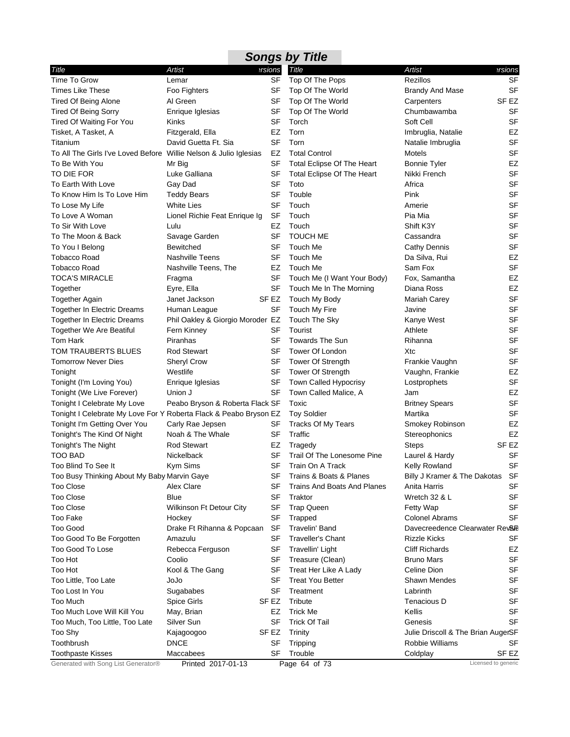| <b>Artist</b><br>Artist<br>ersions<br>Title<br>Title<br>ersions<br>Time To Grow<br><b>SF</b><br><b>Rezillos</b><br>Top Of The Pops<br>SF<br>Lemar<br><b>SF</b><br><b>Times Like These</b><br>Foo Fighters<br>SF<br>Top Of The World<br><b>Brandy And Mase</b><br>SF <sub>EZ</sub><br>Al Green<br>SF<br><b>Tired Of Being Alone</b><br>Top Of The World<br>Carpenters<br>SF<br><b>Tired Of Being Sorry</b><br>Enrique Iglesias<br>SF<br>Top Of The World<br>Chumbawamba<br>SF<br>Soft Cell<br>SF<br><b>Tired Of Waiting For You</b><br>Kinks<br>Torch<br>EZ<br>Tisket, A Tasket, A<br>Fitzgerald, Ella<br>EZ<br>Torn<br>Imbruglia, Natalie<br><b>SF</b><br><b>SF</b><br>David Guetta Ft. Sia<br>Torn<br>Titanium<br>Natalie Imbruglia<br><b>SF</b><br>To All The Girls I've Loved Before Willie Nelson & Julio Iglesias<br>EZ<br><b>Total Control</b><br>Motels<br><b>EZ</b><br>To Be With You<br>SF<br>Mr Big<br>Total Eclipse Of The Heart<br><b>Bonnie Tyler</b><br>TO DIE FOR<br><b>SF</b><br><b>SF</b><br>Luke Galliana<br>Nikki French<br>Total Eclipse Of The Heart<br><b>SF</b><br>To Earth With Love<br>Gay Dad<br>SF<br>Toto<br>Africa<br><b>SF</b><br>To Know Him Is To Love Him<br>SF<br>Touble<br>Pink<br><b>Teddy Bears</b><br><b>SF</b><br><b>White Lies</b><br>SF<br>Touch<br>To Lose My Life<br>Amerie<br><b>SF</b><br>To Love A Woman<br>SF<br>Pia Mia<br>Lionel Richie Feat Enrique Ig<br>Touch<br><b>SF</b><br>To Sir With Love<br>EZ<br>Touch<br>Shift K3Y<br>Lulu<br><b>SF</b><br>To The Moon & Back<br>SF<br><b>TOUCH ME</b><br>Savage Garden<br>Cassandra<br><b>SF</b><br>SF<br>Touch Me<br>To You I Belong<br><b>Bewitched</b><br>Cathy Dennis<br><b>Tobacco Road</b><br><b>Nashville Teens</b><br>SF<br>Touch Me<br>Da Silva, Rui<br>EZ<br><b>SF</b><br>Touch Me<br>Sam Fox<br><b>Tobacco Road</b><br>Nashville Teens, The<br>EZ<br><b>TOCA'S MIRACLE</b><br>SF<br>Fox, Samantha<br>EZ<br>Touch Me (I Want Your Body)<br>Fragma<br>Diana Ross<br>EZ<br>Together<br>Eyre, Ella<br>SF<br>Touch Me In The Morning<br><b>SF</b><br>SF EZ<br>Touch My Body<br><b>Together Again</b><br>Janet Jackson<br>Mariah Carey<br><b>SF</b><br>SF<br>Touch My Fire<br><b>Together In Electric Dreams</b><br>Human League<br>Javine<br><b>SF</b><br>Touch The Sky<br><b>Together In Electric Dreams</b><br>Phil Oakley & Giorgio Moroder EZ<br>Kanye West<br><b>SF</b><br><b>SF</b><br>Fern Kinney<br>Tourist<br>Athlete<br>Together We Are Beatiful<br><b>SF</b><br>Tom Hark<br>Piranhas<br>SF<br><b>Towards The Sun</b><br>Rihanna<br><b>SF</b><br>TOM TRAUBERTS BLUES<br><b>Rod Stewart</b><br>SF<br>Tower Of London<br>Xtc<br><b>SF</b><br><b>Tomorrow Never Dies</b><br><b>Tower Of Strength</b><br><b>Sheryl Crow</b><br>SF<br>Frankie Vaughn<br><b>SF</b><br><b>EZ</b><br>Westlife<br><b>Tower Of Strength</b><br>Tonight<br>Vaughn, Frankie<br><b>SF</b><br>SF<br>Town Called Hypocrisy<br>Tonight (I'm Loving You)<br>Enrique Iglesias<br>Lostprophets<br>SF<br>Town Called Malice, A<br>EZ<br>Tonight (We Live Forever)<br>Union J<br>Jam<br><b>SF</b><br>Tonight I Celebrate My Love<br>Peabo Bryson & Roberta Flack SF<br>Toxic<br><b>Britney Spears</b><br><b>SF</b><br>Tonight I Celebrate My Love For Y Roberta Flack & Peabo Bryson EZ<br><b>Toy Soldier</b><br>Martika<br>EZ<br>Tonight I'm Getting Over You<br>Carly Rae Jepsen<br>SF<br><b>Tracks Of My Tears</b><br>Smokey Robinson<br>Tonight's The Kind Of Night<br>Noah & The Whale<br>Traffic<br>EZ<br>SF<br>Stereophonics<br>SF <sub>EZ</sub><br>Tonight's The Night<br><b>Rod Stewart</b><br>EZ<br>Tragedy<br><b>Steps</b><br><b>SF</b><br>SF<br>Trail Of The Lonesome Pine<br>Laurel & Hardy<br>TOO BAD<br>Nickelback<br>SF<br>SF<br>Too Blind To See It<br>Kym Sims<br>Train On A Track<br>Kelly Rowland<br>SF<br>Too Busy Thinking About My Baby Marvin Gaye<br>SF<br>Trains & Boats & Planes<br>Billy J Kramer & The Dakotas<br>SF<br>SF<br><b>Too Close</b><br>Alex Clare<br>Trains And Boats And Planes<br>Anita Harris<br><b>Too Close</b><br>Blue<br>SF<br>Wretch 32 & L<br>SF<br>Traktor<br><b>Too Close</b><br>SF<br>Wilkinson Ft Detour City<br>SF<br><b>Trap Queen</b><br>Fetty Wap<br>Too Fake<br>SF<br><b>Colonel Abrams</b><br>SF<br>Hockey<br>Trapped<br>Too Good<br>SF<br>Travelin' Band<br>Drake Ft Rihanna & Popcaan<br>Davecreedence Clearwater Rev&<br>SF<br><b>Traveller's Chant</b><br><b>Rizzle Kicks</b><br>SF<br>Too Good To Be Forgotten<br>Amazulu<br>Too Good To Lose<br>SF<br><b>Travellin' Light</b><br><b>Cliff Richards</b><br>EZ<br>Rebecca Ferguson<br>Too Hot<br>SF<br>Treasure (Clean)<br>SF<br>Coolio<br><b>Bruno Mars</b><br><b>SF</b><br>Too Hot<br>SF<br>Celine Dion<br>Kool & The Gang<br>Treat Her Like A Lady<br><b>Treat You Better</b><br><b>Shawn Mendes</b><br>Too Little, Too Late<br>JoJo<br>SF<br>SF<br>Too Lost In You<br>SF<br>Treatment<br>Labrinth<br>SF<br>Sugababes<br>Too Much<br>Tribute<br>Tenacious D<br>SF<br>Spice Girls<br>SF EZ<br>Too Much Love Will Kill You<br>EZ<br><b>Trick Me</b><br>Kellis<br>SF<br>May, Brian<br>Silver Sun<br>SF<br><b>Trick Of Tail</b><br>SF<br>Too Much, Too Little, Too Late<br>Genesis<br>SF EZ<br>Too Shy<br>Kajagoogoo<br>Trinity<br>Julie Driscoll & The Brian AugerSF<br>Toothbrush<br><b>DNCE</b><br>SF<br>Tripping<br>Robbie Williams<br>SF<br>Maccabees<br>SF<br>Trouble<br>SF EZ<br><b>Toothpaste Kisses</b><br>Coldplay<br>Generated with Song List Generator®<br>Licensed to generic<br>Page 64 of 73<br>Printed 2017-01-13 |  | <b>Songs by Title</b> |  |
|-------------------------------------------------------------------------------------------------------------------------------------------------------------------------------------------------------------------------------------------------------------------------------------------------------------------------------------------------------------------------------------------------------------------------------------------------------------------------------------------------------------------------------------------------------------------------------------------------------------------------------------------------------------------------------------------------------------------------------------------------------------------------------------------------------------------------------------------------------------------------------------------------------------------------------------------------------------------------------------------------------------------------------------------------------------------------------------------------------------------------------------------------------------------------------------------------------------------------------------------------------------------------------------------------------------------------------------------------------------------------------------------------------------------------------------------------------------------------------------------------------------------------------------------------------------------------------------------------------------------------------------------------------------------------------------------------------------------------------------------------------------------------------------------------------------------------------------------------------------------------------------------------------------------------------------------------------------------------------------------------------------------------------------------------------------------------------------------------------------------------------------------------------------------------------------------------------------------------------------------------------------------------------------------------------------------------------------------------------------------------------------------------------------------------------------------------------------------------------------------------------------------------------------------------------------------------------------------------------------------------------------------------------------------------------------------------------------------------------------------------------------------------------------------------------------------------------------------------------------------------------------------------------------------------------------------------------------------------------------------------------------------------------------------------------------------------------------------------------------------------------------------------------------------------------------------------------------------------------------------------------------------------------------------------------------------------------------------------------------------------------------------------------------------------------------------------------------------------------------------------------------------------------------------------------------------------------------------------------------------------------------------------------------------------------------------------------------------------------------------------------------------------------------------------------------------------------------------------------------------------------------------------------------------------------------------------------------------------------------------------------------------------------------------------------------------------------------------------------------------------------------------------------------------------------------------------------------------------------------------------------------------------------------------------------------------------------------------------------------------------------------------------------------------------------------------------------------------------------------------------------------------------------------------------------------------------------------------------------------------------------------------------------------------------------------------------------------------------------------------------------------------------------------------------------------------------------------------------------------------------------------------------------------------------------------------------------------------------------------------------------------------------------------------------------------------------------------------------------------------------------------------------------------------------------------------------------------------------------------------------------------------------------------------------------------------------------------------------------------------------------------------------------------------------------------------------------------------------------------------------------------------------|--|-----------------------|--|
|                                                                                                                                                                                                                                                                                                                                                                                                                                                                                                                                                                                                                                                                                                                                                                                                                                                                                                                                                                                                                                                                                                                                                                                                                                                                                                                                                                                                                                                                                                                                                                                                                                                                                                                                                                                                                                                                                                                                                                                                                                                                                                                                                                                                                                                                                                                                                                                                                                                                                                                                                                                                                                                                                                                                                                                                                                                                                                                                                                                                                                                                                                                                                                                                                                                                                                                                                                                                                                                                                                                                                                                                                                                                                                                                                                                                                                                                                                                                                                                                                                                                                                                                                                                                                                                                                                                                                                                                                                                                                                                                                                                                                                                                                                                                                                                                                                                                                                                                                                                                                                                                                                                                                                                                                                                                                                                                                                                                                                                                                                                         |  |                       |  |
|                                                                                                                                                                                                                                                                                                                                                                                                                                                                                                                                                                                                                                                                                                                                                                                                                                                                                                                                                                                                                                                                                                                                                                                                                                                                                                                                                                                                                                                                                                                                                                                                                                                                                                                                                                                                                                                                                                                                                                                                                                                                                                                                                                                                                                                                                                                                                                                                                                                                                                                                                                                                                                                                                                                                                                                                                                                                                                                                                                                                                                                                                                                                                                                                                                                                                                                                                                                                                                                                                                                                                                                                                                                                                                                                                                                                                                                                                                                                                                                                                                                                                                                                                                                                                                                                                                                                                                                                                                                                                                                                                                                                                                                                                                                                                                                                                                                                                                                                                                                                                                                                                                                                                                                                                                                                                                                                                                                                                                                                                                                         |  |                       |  |
|                                                                                                                                                                                                                                                                                                                                                                                                                                                                                                                                                                                                                                                                                                                                                                                                                                                                                                                                                                                                                                                                                                                                                                                                                                                                                                                                                                                                                                                                                                                                                                                                                                                                                                                                                                                                                                                                                                                                                                                                                                                                                                                                                                                                                                                                                                                                                                                                                                                                                                                                                                                                                                                                                                                                                                                                                                                                                                                                                                                                                                                                                                                                                                                                                                                                                                                                                                                                                                                                                                                                                                                                                                                                                                                                                                                                                                                                                                                                                                                                                                                                                                                                                                                                                                                                                                                                                                                                                                                                                                                                                                                                                                                                                                                                                                                                                                                                                                                                                                                                                                                                                                                                                                                                                                                                                                                                                                                                                                                                                                                         |  |                       |  |
|                                                                                                                                                                                                                                                                                                                                                                                                                                                                                                                                                                                                                                                                                                                                                                                                                                                                                                                                                                                                                                                                                                                                                                                                                                                                                                                                                                                                                                                                                                                                                                                                                                                                                                                                                                                                                                                                                                                                                                                                                                                                                                                                                                                                                                                                                                                                                                                                                                                                                                                                                                                                                                                                                                                                                                                                                                                                                                                                                                                                                                                                                                                                                                                                                                                                                                                                                                                                                                                                                                                                                                                                                                                                                                                                                                                                                                                                                                                                                                                                                                                                                                                                                                                                                                                                                                                                                                                                                                                                                                                                                                                                                                                                                                                                                                                                                                                                                                                                                                                                                                                                                                                                                                                                                                                                                                                                                                                                                                                                                                                         |  |                       |  |
|                                                                                                                                                                                                                                                                                                                                                                                                                                                                                                                                                                                                                                                                                                                                                                                                                                                                                                                                                                                                                                                                                                                                                                                                                                                                                                                                                                                                                                                                                                                                                                                                                                                                                                                                                                                                                                                                                                                                                                                                                                                                                                                                                                                                                                                                                                                                                                                                                                                                                                                                                                                                                                                                                                                                                                                                                                                                                                                                                                                                                                                                                                                                                                                                                                                                                                                                                                                                                                                                                                                                                                                                                                                                                                                                                                                                                                                                                                                                                                                                                                                                                                                                                                                                                                                                                                                                                                                                                                                                                                                                                                                                                                                                                                                                                                                                                                                                                                                                                                                                                                                                                                                                                                                                                                                                                                                                                                                                                                                                                                                         |  |                       |  |
|                                                                                                                                                                                                                                                                                                                                                                                                                                                                                                                                                                                                                                                                                                                                                                                                                                                                                                                                                                                                                                                                                                                                                                                                                                                                                                                                                                                                                                                                                                                                                                                                                                                                                                                                                                                                                                                                                                                                                                                                                                                                                                                                                                                                                                                                                                                                                                                                                                                                                                                                                                                                                                                                                                                                                                                                                                                                                                                                                                                                                                                                                                                                                                                                                                                                                                                                                                                                                                                                                                                                                                                                                                                                                                                                                                                                                                                                                                                                                                                                                                                                                                                                                                                                                                                                                                                                                                                                                                                                                                                                                                                                                                                                                                                                                                                                                                                                                                                                                                                                                                                                                                                                                                                                                                                                                                                                                                                                                                                                                                                         |  |                       |  |
|                                                                                                                                                                                                                                                                                                                                                                                                                                                                                                                                                                                                                                                                                                                                                                                                                                                                                                                                                                                                                                                                                                                                                                                                                                                                                                                                                                                                                                                                                                                                                                                                                                                                                                                                                                                                                                                                                                                                                                                                                                                                                                                                                                                                                                                                                                                                                                                                                                                                                                                                                                                                                                                                                                                                                                                                                                                                                                                                                                                                                                                                                                                                                                                                                                                                                                                                                                                                                                                                                                                                                                                                                                                                                                                                                                                                                                                                                                                                                                                                                                                                                                                                                                                                                                                                                                                                                                                                                                                                                                                                                                                                                                                                                                                                                                                                                                                                                                                                                                                                                                                                                                                                                                                                                                                                                                                                                                                                                                                                                                                         |  |                       |  |
|                                                                                                                                                                                                                                                                                                                                                                                                                                                                                                                                                                                                                                                                                                                                                                                                                                                                                                                                                                                                                                                                                                                                                                                                                                                                                                                                                                                                                                                                                                                                                                                                                                                                                                                                                                                                                                                                                                                                                                                                                                                                                                                                                                                                                                                                                                                                                                                                                                                                                                                                                                                                                                                                                                                                                                                                                                                                                                                                                                                                                                                                                                                                                                                                                                                                                                                                                                                                                                                                                                                                                                                                                                                                                                                                                                                                                                                                                                                                                                                                                                                                                                                                                                                                                                                                                                                                                                                                                                                                                                                                                                                                                                                                                                                                                                                                                                                                                                                                                                                                                                                                                                                                                                                                                                                                                                                                                                                                                                                                                                                         |  |                       |  |
|                                                                                                                                                                                                                                                                                                                                                                                                                                                                                                                                                                                                                                                                                                                                                                                                                                                                                                                                                                                                                                                                                                                                                                                                                                                                                                                                                                                                                                                                                                                                                                                                                                                                                                                                                                                                                                                                                                                                                                                                                                                                                                                                                                                                                                                                                                                                                                                                                                                                                                                                                                                                                                                                                                                                                                                                                                                                                                                                                                                                                                                                                                                                                                                                                                                                                                                                                                                                                                                                                                                                                                                                                                                                                                                                                                                                                                                                                                                                                                                                                                                                                                                                                                                                                                                                                                                                                                                                                                                                                                                                                                                                                                                                                                                                                                                                                                                                                                                                                                                                                                                                                                                                                                                                                                                                                                                                                                                                                                                                                                                         |  |                       |  |
|                                                                                                                                                                                                                                                                                                                                                                                                                                                                                                                                                                                                                                                                                                                                                                                                                                                                                                                                                                                                                                                                                                                                                                                                                                                                                                                                                                                                                                                                                                                                                                                                                                                                                                                                                                                                                                                                                                                                                                                                                                                                                                                                                                                                                                                                                                                                                                                                                                                                                                                                                                                                                                                                                                                                                                                                                                                                                                                                                                                                                                                                                                                                                                                                                                                                                                                                                                                                                                                                                                                                                                                                                                                                                                                                                                                                                                                                                                                                                                                                                                                                                                                                                                                                                                                                                                                                                                                                                                                                                                                                                                                                                                                                                                                                                                                                                                                                                                                                                                                                                                                                                                                                                                                                                                                                                                                                                                                                                                                                                                                         |  |                       |  |
|                                                                                                                                                                                                                                                                                                                                                                                                                                                                                                                                                                                                                                                                                                                                                                                                                                                                                                                                                                                                                                                                                                                                                                                                                                                                                                                                                                                                                                                                                                                                                                                                                                                                                                                                                                                                                                                                                                                                                                                                                                                                                                                                                                                                                                                                                                                                                                                                                                                                                                                                                                                                                                                                                                                                                                                                                                                                                                                                                                                                                                                                                                                                                                                                                                                                                                                                                                                                                                                                                                                                                                                                                                                                                                                                                                                                                                                                                                                                                                                                                                                                                                                                                                                                                                                                                                                                                                                                                                                                                                                                                                                                                                                                                                                                                                                                                                                                                                                                                                                                                                                                                                                                                                                                                                                                                                                                                                                                                                                                                                                         |  |                       |  |
|                                                                                                                                                                                                                                                                                                                                                                                                                                                                                                                                                                                                                                                                                                                                                                                                                                                                                                                                                                                                                                                                                                                                                                                                                                                                                                                                                                                                                                                                                                                                                                                                                                                                                                                                                                                                                                                                                                                                                                                                                                                                                                                                                                                                                                                                                                                                                                                                                                                                                                                                                                                                                                                                                                                                                                                                                                                                                                                                                                                                                                                                                                                                                                                                                                                                                                                                                                                                                                                                                                                                                                                                                                                                                                                                                                                                                                                                                                                                                                                                                                                                                                                                                                                                                                                                                                                                                                                                                                                                                                                                                                                                                                                                                                                                                                                                                                                                                                                                                                                                                                                                                                                                                                                                                                                                                                                                                                                                                                                                                                                         |  |                       |  |
|                                                                                                                                                                                                                                                                                                                                                                                                                                                                                                                                                                                                                                                                                                                                                                                                                                                                                                                                                                                                                                                                                                                                                                                                                                                                                                                                                                                                                                                                                                                                                                                                                                                                                                                                                                                                                                                                                                                                                                                                                                                                                                                                                                                                                                                                                                                                                                                                                                                                                                                                                                                                                                                                                                                                                                                                                                                                                                                                                                                                                                                                                                                                                                                                                                                                                                                                                                                                                                                                                                                                                                                                                                                                                                                                                                                                                                                                                                                                                                                                                                                                                                                                                                                                                                                                                                                                                                                                                                                                                                                                                                                                                                                                                                                                                                                                                                                                                                                                                                                                                                                                                                                                                                                                                                                                                                                                                                                                                                                                                                                         |  |                       |  |
|                                                                                                                                                                                                                                                                                                                                                                                                                                                                                                                                                                                                                                                                                                                                                                                                                                                                                                                                                                                                                                                                                                                                                                                                                                                                                                                                                                                                                                                                                                                                                                                                                                                                                                                                                                                                                                                                                                                                                                                                                                                                                                                                                                                                                                                                                                                                                                                                                                                                                                                                                                                                                                                                                                                                                                                                                                                                                                                                                                                                                                                                                                                                                                                                                                                                                                                                                                                                                                                                                                                                                                                                                                                                                                                                                                                                                                                                                                                                                                                                                                                                                                                                                                                                                                                                                                                                                                                                                                                                                                                                                                                                                                                                                                                                                                                                                                                                                                                                                                                                                                                                                                                                                                                                                                                                                                                                                                                                                                                                                                                         |  |                       |  |
|                                                                                                                                                                                                                                                                                                                                                                                                                                                                                                                                                                                                                                                                                                                                                                                                                                                                                                                                                                                                                                                                                                                                                                                                                                                                                                                                                                                                                                                                                                                                                                                                                                                                                                                                                                                                                                                                                                                                                                                                                                                                                                                                                                                                                                                                                                                                                                                                                                                                                                                                                                                                                                                                                                                                                                                                                                                                                                                                                                                                                                                                                                                                                                                                                                                                                                                                                                                                                                                                                                                                                                                                                                                                                                                                                                                                                                                                                                                                                                                                                                                                                                                                                                                                                                                                                                                                                                                                                                                                                                                                                                                                                                                                                                                                                                                                                                                                                                                                                                                                                                                                                                                                                                                                                                                                                                                                                                                                                                                                                                                         |  |                       |  |
|                                                                                                                                                                                                                                                                                                                                                                                                                                                                                                                                                                                                                                                                                                                                                                                                                                                                                                                                                                                                                                                                                                                                                                                                                                                                                                                                                                                                                                                                                                                                                                                                                                                                                                                                                                                                                                                                                                                                                                                                                                                                                                                                                                                                                                                                                                                                                                                                                                                                                                                                                                                                                                                                                                                                                                                                                                                                                                                                                                                                                                                                                                                                                                                                                                                                                                                                                                                                                                                                                                                                                                                                                                                                                                                                                                                                                                                                                                                                                                                                                                                                                                                                                                                                                                                                                                                                                                                                                                                                                                                                                                                                                                                                                                                                                                                                                                                                                                                                                                                                                                                                                                                                                                                                                                                                                                                                                                                                                                                                                                                         |  |                       |  |
|                                                                                                                                                                                                                                                                                                                                                                                                                                                                                                                                                                                                                                                                                                                                                                                                                                                                                                                                                                                                                                                                                                                                                                                                                                                                                                                                                                                                                                                                                                                                                                                                                                                                                                                                                                                                                                                                                                                                                                                                                                                                                                                                                                                                                                                                                                                                                                                                                                                                                                                                                                                                                                                                                                                                                                                                                                                                                                                                                                                                                                                                                                                                                                                                                                                                                                                                                                                                                                                                                                                                                                                                                                                                                                                                                                                                                                                                                                                                                                                                                                                                                                                                                                                                                                                                                                                                                                                                                                                                                                                                                                                                                                                                                                                                                                                                                                                                                                                                                                                                                                                                                                                                                                                                                                                                                                                                                                                                                                                                                                                         |  |                       |  |
|                                                                                                                                                                                                                                                                                                                                                                                                                                                                                                                                                                                                                                                                                                                                                                                                                                                                                                                                                                                                                                                                                                                                                                                                                                                                                                                                                                                                                                                                                                                                                                                                                                                                                                                                                                                                                                                                                                                                                                                                                                                                                                                                                                                                                                                                                                                                                                                                                                                                                                                                                                                                                                                                                                                                                                                                                                                                                                                                                                                                                                                                                                                                                                                                                                                                                                                                                                                                                                                                                                                                                                                                                                                                                                                                                                                                                                                                                                                                                                                                                                                                                                                                                                                                                                                                                                                                                                                                                                                                                                                                                                                                                                                                                                                                                                                                                                                                                                                                                                                                                                                                                                                                                                                                                                                                                                                                                                                                                                                                                                                         |  |                       |  |
|                                                                                                                                                                                                                                                                                                                                                                                                                                                                                                                                                                                                                                                                                                                                                                                                                                                                                                                                                                                                                                                                                                                                                                                                                                                                                                                                                                                                                                                                                                                                                                                                                                                                                                                                                                                                                                                                                                                                                                                                                                                                                                                                                                                                                                                                                                                                                                                                                                                                                                                                                                                                                                                                                                                                                                                                                                                                                                                                                                                                                                                                                                                                                                                                                                                                                                                                                                                                                                                                                                                                                                                                                                                                                                                                                                                                                                                                                                                                                                                                                                                                                                                                                                                                                                                                                                                                                                                                                                                                                                                                                                                                                                                                                                                                                                                                                                                                                                                                                                                                                                                                                                                                                                                                                                                                                                                                                                                                                                                                                                                         |  |                       |  |
|                                                                                                                                                                                                                                                                                                                                                                                                                                                                                                                                                                                                                                                                                                                                                                                                                                                                                                                                                                                                                                                                                                                                                                                                                                                                                                                                                                                                                                                                                                                                                                                                                                                                                                                                                                                                                                                                                                                                                                                                                                                                                                                                                                                                                                                                                                                                                                                                                                                                                                                                                                                                                                                                                                                                                                                                                                                                                                                                                                                                                                                                                                                                                                                                                                                                                                                                                                                                                                                                                                                                                                                                                                                                                                                                                                                                                                                                                                                                                                                                                                                                                                                                                                                                                                                                                                                                                                                                                                                                                                                                                                                                                                                                                                                                                                                                                                                                                                                                                                                                                                                                                                                                                                                                                                                                                                                                                                                                                                                                                                                         |  |                       |  |
|                                                                                                                                                                                                                                                                                                                                                                                                                                                                                                                                                                                                                                                                                                                                                                                                                                                                                                                                                                                                                                                                                                                                                                                                                                                                                                                                                                                                                                                                                                                                                                                                                                                                                                                                                                                                                                                                                                                                                                                                                                                                                                                                                                                                                                                                                                                                                                                                                                                                                                                                                                                                                                                                                                                                                                                                                                                                                                                                                                                                                                                                                                                                                                                                                                                                                                                                                                                                                                                                                                                                                                                                                                                                                                                                                                                                                                                                                                                                                                                                                                                                                                                                                                                                                                                                                                                                                                                                                                                                                                                                                                                                                                                                                                                                                                                                                                                                                                                                                                                                                                                                                                                                                                                                                                                                                                                                                                                                                                                                                                                         |  |                       |  |
|                                                                                                                                                                                                                                                                                                                                                                                                                                                                                                                                                                                                                                                                                                                                                                                                                                                                                                                                                                                                                                                                                                                                                                                                                                                                                                                                                                                                                                                                                                                                                                                                                                                                                                                                                                                                                                                                                                                                                                                                                                                                                                                                                                                                                                                                                                                                                                                                                                                                                                                                                                                                                                                                                                                                                                                                                                                                                                                                                                                                                                                                                                                                                                                                                                                                                                                                                                                                                                                                                                                                                                                                                                                                                                                                                                                                                                                                                                                                                                                                                                                                                                                                                                                                                                                                                                                                                                                                                                                                                                                                                                                                                                                                                                                                                                                                                                                                                                                                                                                                                                                                                                                                                                                                                                                                                                                                                                                                                                                                                                                         |  |                       |  |
|                                                                                                                                                                                                                                                                                                                                                                                                                                                                                                                                                                                                                                                                                                                                                                                                                                                                                                                                                                                                                                                                                                                                                                                                                                                                                                                                                                                                                                                                                                                                                                                                                                                                                                                                                                                                                                                                                                                                                                                                                                                                                                                                                                                                                                                                                                                                                                                                                                                                                                                                                                                                                                                                                                                                                                                                                                                                                                                                                                                                                                                                                                                                                                                                                                                                                                                                                                                                                                                                                                                                                                                                                                                                                                                                                                                                                                                                                                                                                                                                                                                                                                                                                                                                                                                                                                                                                                                                                                                                                                                                                                                                                                                                                                                                                                                                                                                                                                                                                                                                                                                                                                                                                                                                                                                                                                                                                                                                                                                                                                                         |  |                       |  |
|                                                                                                                                                                                                                                                                                                                                                                                                                                                                                                                                                                                                                                                                                                                                                                                                                                                                                                                                                                                                                                                                                                                                                                                                                                                                                                                                                                                                                                                                                                                                                                                                                                                                                                                                                                                                                                                                                                                                                                                                                                                                                                                                                                                                                                                                                                                                                                                                                                                                                                                                                                                                                                                                                                                                                                                                                                                                                                                                                                                                                                                                                                                                                                                                                                                                                                                                                                                                                                                                                                                                                                                                                                                                                                                                                                                                                                                                                                                                                                                                                                                                                                                                                                                                                                                                                                                                                                                                                                                                                                                                                                                                                                                                                                                                                                                                                                                                                                                                                                                                                                                                                                                                                                                                                                                                                                                                                                                                                                                                                                                         |  |                       |  |
|                                                                                                                                                                                                                                                                                                                                                                                                                                                                                                                                                                                                                                                                                                                                                                                                                                                                                                                                                                                                                                                                                                                                                                                                                                                                                                                                                                                                                                                                                                                                                                                                                                                                                                                                                                                                                                                                                                                                                                                                                                                                                                                                                                                                                                                                                                                                                                                                                                                                                                                                                                                                                                                                                                                                                                                                                                                                                                                                                                                                                                                                                                                                                                                                                                                                                                                                                                                                                                                                                                                                                                                                                                                                                                                                                                                                                                                                                                                                                                                                                                                                                                                                                                                                                                                                                                                                                                                                                                                                                                                                                                                                                                                                                                                                                                                                                                                                                                                                                                                                                                                                                                                                                                                                                                                                                                                                                                                                                                                                                                                         |  |                       |  |
|                                                                                                                                                                                                                                                                                                                                                                                                                                                                                                                                                                                                                                                                                                                                                                                                                                                                                                                                                                                                                                                                                                                                                                                                                                                                                                                                                                                                                                                                                                                                                                                                                                                                                                                                                                                                                                                                                                                                                                                                                                                                                                                                                                                                                                                                                                                                                                                                                                                                                                                                                                                                                                                                                                                                                                                                                                                                                                                                                                                                                                                                                                                                                                                                                                                                                                                                                                                                                                                                                                                                                                                                                                                                                                                                                                                                                                                                                                                                                                                                                                                                                                                                                                                                                                                                                                                                                                                                                                                                                                                                                                                                                                                                                                                                                                                                                                                                                                                                                                                                                                                                                                                                                                                                                                                                                                                                                                                                                                                                                                                         |  |                       |  |
|                                                                                                                                                                                                                                                                                                                                                                                                                                                                                                                                                                                                                                                                                                                                                                                                                                                                                                                                                                                                                                                                                                                                                                                                                                                                                                                                                                                                                                                                                                                                                                                                                                                                                                                                                                                                                                                                                                                                                                                                                                                                                                                                                                                                                                                                                                                                                                                                                                                                                                                                                                                                                                                                                                                                                                                                                                                                                                                                                                                                                                                                                                                                                                                                                                                                                                                                                                                                                                                                                                                                                                                                                                                                                                                                                                                                                                                                                                                                                                                                                                                                                                                                                                                                                                                                                                                                                                                                                                                                                                                                                                                                                                                                                                                                                                                                                                                                                                                                                                                                                                                                                                                                                                                                                                                                                                                                                                                                                                                                                                                         |  |                       |  |
|                                                                                                                                                                                                                                                                                                                                                                                                                                                                                                                                                                                                                                                                                                                                                                                                                                                                                                                                                                                                                                                                                                                                                                                                                                                                                                                                                                                                                                                                                                                                                                                                                                                                                                                                                                                                                                                                                                                                                                                                                                                                                                                                                                                                                                                                                                                                                                                                                                                                                                                                                                                                                                                                                                                                                                                                                                                                                                                                                                                                                                                                                                                                                                                                                                                                                                                                                                                                                                                                                                                                                                                                                                                                                                                                                                                                                                                                                                                                                                                                                                                                                                                                                                                                                                                                                                                                                                                                                                                                                                                                                                                                                                                                                                                                                                                                                                                                                                                                                                                                                                                                                                                                                                                                                                                                                                                                                                                                                                                                                                                         |  |                       |  |
|                                                                                                                                                                                                                                                                                                                                                                                                                                                                                                                                                                                                                                                                                                                                                                                                                                                                                                                                                                                                                                                                                                                                                                                                                                                                                                                                                                                                                                                                                                                                                                                                                                                                                                                                                                                                                                                                                                                                                                                                                                                                                                                                                                                                                                                                                                                                                                                                                                                                                                                                                                                                                                                                                                                                                                                                                                                                                                                                                                                                                                                                                                                                                                                                                                                                                                                                                                                                                                                                                                                                                                                                                                                                                                                                                                                                                                                                                                                                                                                                                                                                                                                                                                                                                                                                                                                                                                                                                                                                                                                                                                                                                                                                                                                                                                                                                                                                                                                                                                                                                                                                                                                                                                                                                                                                                                                                                                                                                                                                                                                         |  |                       |  |
|                                                                                                                                                                                                                                                                                                                                                                                                                                                                                                                                                                                                                                                                                                                                                                                                                                                                                                                                                                                                                                                                                                                                                                                                                                                                                                                                                                                                                                                                                                                                                                                                                                                                                                                                                                                                                                                                                                                                                                                                                                                                                                                                                                                                                                                                                                                                                                                                                                                                                                                                                                                                                                                                                                                                                                                                                                                                                                                                                                                                                                                                                                                                                                                                                                                                                                                                                                                                                                                                                                                                                                                                                                                                                                                                                                                                                                                                                                                                                                                                                                                                                                                                                                                                                                                                                                                                                                                                                                                                                                                                                                                                                                                                                                                                                                                                                                                                                                                                                                                                                                                                                                                                                                                                                                                                                                                                                                                                                                                                                                                         |  |                       |  |
|                                                                                                                                                                                                                                                                                                                                                                                                                                                                                                                                                                                                                                                                                                                                                                                                                                                                                                                                                                                                                                                                                                                                                                                                                                                                                                                                                                                                                                                                                                                                                                                                                                                                                                                                                                                                                                                                                                                                                                                                                                                                                                                                                                                                                                                                                                                                                                                                                                                                                                                                                                                                                                                                                                                                                                                                                                                                                                                                                                                                                                                                                                                                                                                                                                                                                                                                                                                                                                                                                                                                                                                                                                                                                                                                                                                                                                                                                                                                                                                                                                                                                                                                                                                                                                                                                                                                                                                                                                                                                                                                                                                                                                                                                                                                                                                                                                                                                                                                                                                                                                                                                                                                                                                                                                                                                                                                                                                                                                                                                                                         |  |                       |  |
|                                                                                                                                                                                                                                                                                                                                                                                                                                                                                                                                                                                                                                                                                                                                                                                                                                                                                                                                                                                                                                                                                                                                                                                                                                                                                                                                                                                                                                                                                                                                                                                                                                                                                                                                                                                                                                                                                                                                                                                                                                                                                                                                                                                                                                                                                                                                                                                                                                                                                                                                                                                                                                                                                                                                                                                                                                                                                                                                                                                                                                                                                                                                                                                                                                                                                                                                                                                                                                                                                                                                                                                                                                                                                                                                                                                                                                                                                                                                                                                                                                                                                                                                                                                                                                                                                                                                                                                                                                                                                                                                                                                                                                                                                                                                                                                                                                                                                                                                                                                                                                                                                                                                                                                                                                                                                                                                                                                                                                                                                                                         |  |                       |  |
|                                                                                                                                                                                                                                                                                                                                                                                                                                                                                                                                                                                                                                                                                                                                                                                                                                                                                                                                                                                                                                                                                                                                                                                                                                                                                                                                                                                                                                                                                                                                                                                                                                                                                                                                                                                                                                                                                                                                                                                                                                                                                                                                                                                                                                                                                                                                                                                                                                                                                                                                                                                                                                                                                                                                                                                                                                                                                                                                                                                                                                                                                                                                                                                                                                                                                                                                                                                                                                                                                                                                                                                                                                                                                                                                                                                                                                                                                                                                                                                                                                                                                                                                                                                                                                                                                                                                                                                                                                                                                                                                                                                                                                                                                                                                                                                                                                                                                                                                                                                                                                                                                                                                                                                                                                                                                                                                                                                                                                                                                                                         |  |                       |  |
|                                                                                                                                                                                                                                                                                                                                                                                                                                                                                                                                                                                                                                                                                                                                                                                                                                                                                                                                                                                                                                                                                                                                                                                                                                                                                                                                                                                                                                                                                                                                                                                                                                                                                                                                                                                                                                                                                                                                                                                                                                                                                                                                                                                                                                                                                                                                                                                                                                                                                                                                                                                                                                                                                                                                                                                                                                                                                                                                                                                                                                                                                                                                                                                                                                                                                                                                                                                                                                                                                                                                                                                                                                                                                                                                                                                                                                                                                                                                                                                                                                                                                                                                                                                                                                                                                                                                                                                                                                                                                                                                                                                                                                                                                                                                                                                                                                                                                                                                                                                                                                                                                                                                                                                                                                                                                                                                                                                                                                                                                                                         |  |                       |  |
|                                                                                                                                                                                                                                                                                                                                                                                                                                                                                                                                                                                                                                                                                                                                                                                                                                                                                                                                                                                                                                                                                                                                                                                                                                                                                                                                                                                                                                                                                                                                                                                                                                                                                                                                                                                                                                                                                                                                                                                                                                                                                                                                                                                                                                                                                                                                                                                                                                                                                                                                                                                                                                                                                                                                                                                                                                                                                                                                                                                                                                                                                                                                                                                                                                                                                                                                                                                                                                                                                                                                                                                                                                                                                                                                                                                                                                                                                                                                                                                                                                                                                                                                                                                                                                                                                                                                                                                                                                                                                                                                                                                                                                                                                                                                                                                                                                                                                                                                                                                                                                                                                                                                                                                                                                                                                                                                                                                                                                                                                                                         |  |                       |  |
|                                                                                                                                                                                                                                                                                                                                                                                                                                                                                                                                                                                                                                                                                                                                                                                                                                                                                                                                                                                                                                                                                                                                                                                                                                                                                                                                                                                                                                                                                                                                                                                                                                                                                                                                                                                                                                                                                                                                                                                                                                                                                                                                                                                                                                                                                                                                                                                                                                                                                                                                                                                                                                                                                                                                                                                                                                                                                                                                                                                                                                                                                                                                                                                                                                                                                                                                                                                                                                                                                                                                                                                                                                                                                                                                                                                                                                                                                                                                                                                                                                                                                                                                                                                                                                                                                                                                                                                                                                                                                                                                                                                                                                                                                                                                                                                                                                                                                                                                                                                                                                                                                                                                                                                                                                                                                                                                                                                                                                                                                                                         |  |                       |  |
|                                                                                                                                                                                                                                                                                                                                                                                                                                                                                                                                                                                                                                                                                                                                                                                                                                                                                                                                                                                                                                                                                                                                                                                                                                                                                                                                                                                                                                                                                                                                                                                                                                                                                                                                                                                                                                                                                                                                                                                                                                                                                                                                                                                                                                                                                                                                                                                                                                                                                                                                                                                                                                                                                                                                                                                                                                                                                                                                                                                                                                                                                                                                                                                                                                                                                                                                                                                                                                                                                                                                                                                                                                                                                                                                                                                                                                                                                                                                                                                                                                                                                                                                                                                                                                                                                                                                                                                                                                                                                                                                                                                                                                                                                                                                                                                                                                                                                                                                                                                                                                                                                                                                                                                                                                                                                                                                                                                                                                                                                                                         |  |                       |  |
|                                                                                                                                                                                                                                                                                                                                                                                                                                                                                                                                                                                                                                                                                                                                                                                                                                                                                                                                                                                                                                                                                                                                                                                                                                                                                                                                                                                                                                                                                                                                                                                                                                                                                                                                                                                                                                                                                                                                                                                                                                                                                                                                                                                                                                                                                                                                                                                                                                                                                                                                                                                                                                                                                                                                                                                                                                                                                                                                                                                                                                                                                                                                                                                                                                                                                                                                                                                                                                                                                                                                                                                                                                                                                                                                                                                                                                                                                                                                                                                                                                                                                                                                                                                                                                                                                                                                                                                                                                                                                                                                                                                                                                                                                                                                                                                                                                                                                                                                                                                                                                                                                                                                                                                                                                                                                                                                                                                                                                                                                                                         |  |                       |  |
|                                                                                                                                                                                                                                                                                                                                                                                                                                                                                                                                                                                                                                                                                                                                                                                                                                                                                                                                                                                                                                                                                                                                                                                                                                                                                                                                                                                                                                                                                                                                                                                                                                                                                                                                                                                                                                                                                                                                                                                                                                                                                                                                                                                                                                                                                                                                                                                                                                                                                                                                                                                                                                                                                                                                                                                                                                                                                                                                                                                                                                                                                                                                                                                                                                                                                                                                                                                                                                                                                                                                                                                                                                                                                                                                                                                                                                                                                                                                                                                                                                                                                                                                                                                                                                                                                                                                                                                                                                                                                                                                                                                                                                                                                                                                                                                                                                                                                                                                                                                                                                                                                                                                                                                                                                                                                                                                                                                                                                                                                                                         |  |                       |  |
|                                                                                                                                                                                                                                                                                                                                                                                                                                                                                                                                                                                                                                                                                                                                                                                                                                                                                                                                                                                                                                                                                                                                                                                                                                                                                                                                                                                                                                                                                                                                                                                                                                                                                                                                                                                                                                                                                                                                                                                                                                                                                                                                                                                                                                                                                                                                                                                                                                                                                                                                                                                                                                                                                                                                                                                                                                                                                                                                                                                                                                                                                                                                                                                                                                                                                                                                                                                                                                                                                                                                                                                                                                                                                                                                                                                                                                                                                                                                                                                                                                                                                                                                                                                                                                                                                                                                                                                                                                                                                                                                                                                                                                                                                                                                                                                                                                                                                                                                                                                                                                                                                                                                                                                                                                                                                                                                                                                                                                                                                                                         |  |                       |  |
|                                                                                                                                                                                                                                                                                                                                                                                                                                                                                                                                                                                                                                                                                                                                                                                                                                                                                                                                                                                                                                                                                                                                                                                                                                                                                                                                                                                                                                                                                                                                                                                                                                                                                                                                                                                                                                                                                                                                                                                                                                                                                                                                                                                                                                                                                                                                                                                                                                                                                                                                                                                                                                                                                                                                                                                                                                                                                                                                                                                                                                                                                                                                                                                                                                                                                                                                                                                                                                                                                                                                                                                                                                                                                                                                                                                                                                                                                                                                                                                                                                                                                                                                                                                                                                                                                                                                                                                                                                                                                                                                                                                                                                                                                                                                                                                                                                                                                                                                                                                                                                                                                                                                                                                                                                                                                                                                                                                                                                                                                                                         |  |                       |  |
|                                                                                                                                                                                                                                                                                                                                                                                                                                                                                                                                                                                                                                                                                                                                                                                                                                                                                                                                                                                                                                                                                                                                                                                                                                                                                                                                                                                                                                                                                                                                                                                                                                                                                                                                                                                                                                                                                                                                                                                                                                                                                                                                                                                                                                                                                                                                                                                                                                                                                                                                                                                                                                                                                                                                                                                                                                                                                                                                                                                                                                                                                                                                                                                                                                                                                                                                                                                                                                                                                                                                                                                                                                                                                                                                                                                                                                                                                                                                                                                                                                                                                                                                                                                                                                                                                                                                                                                                                                                                                                                                                                                                                                                                                                                                                                                                                                                                                                                                                                                                                                                                                                                                                                                                                                                                                                                                                                                                                                                                                                                         |  |                       |  |
|                                                                                                                                                                                                                                                                                                                                                                                                                                                                                                                                                                                                                                                                                                                                                                                                                                                                                                                                                                                                                                                                                                                                                                                                                                                                                                                                                                                                                                                                                                                                                                                                                                                                                                                                                                                                                                                                                                                                                                                                                                                                                                                                                                                                                                                                                                                                                                                                                                                                                                                                                                                                                                                                                                                                                                                                                                                                                                                                                                                                                                                                                                                                                                                                                                                                                                                                                                                                                                                                                                                                                                                                                                                                                                                                                                                                                                                                                                                                                                                                                                                                                                                                                                                                                                                                                                                                                                                                                                                                                                                                                                                                                                                                                                                                                                                                                                                                                                                                                                                                                                                                                                                                                                                                                                                                                                                                                                                                                                                                                                                         |  |                       |  |
|                                                                                                                                                                                                                                                                                                                                                                                                                                                                                                                                                                                                                                                                                                                                                                                                                                                                                                                                                                                                                                                                                                                                                                                                                                                                                                                                                                                                                                                                                                                                                                                                                                                                                                                                                                                                                                                                                                                                                                                                                                                                                                                                                                                                                                                                                                                                                                                                                                                                                                                                                                                                                                                                                                                                                                                                                                                                                                                                                                                                                                                                                                                                                                                                                                                                                                                                                                                                                                                                                                                                                                                                                                                                                                                                                                                                                                                                                                                                                                                                                                                                                                                                                                                                                                                                                                                                                                                                                                                                                                                                                                                                                                                                                                                                                                                                                                                                                                                                                                                                                                                                                                                                                                                                                                                                                                                                                                                                                                                                                                                         |  |                       |  |
|                                                                                                                                                                                                                                                                                                                                                                                                                                                                                                                                                                                                                                                                                                                                                                                                                                                                                                                                                                                                                                                                                                                                                                                                                                                                                                                                                                                                                                                                                                                                                                                                                                                                                                                                                                                                                                                                                                                                                                                                                                                                                                                                                                                                                                                                                                                                                                                                                                                                                                                                                                                                                                                                                                                                                                                                                                                                                                                                                                                                                                                                                                                                                                                                                                                                                                                                                                                                                                                                                                                                                                                                                                                                                                                                                                                                                                                                                                                                                                                                                                                                                                                                                                                                                                                                                                                                                                                                                                                                                                                                                                                                                                                                                                                                                                                                                                                                                                                                                                                                                                                                                                                                                                                                                                                                                                                                                                                                                                                                                                                         |  |                       |  |
|                                                                                                                                                                                                                                                                                                                                                                                                                                                                                                                                                                                                                                                                                                                                                                                                                                                                                                                                                                                                                                                                                                                                                                                                                                                                                                                                                                                                                                                                                                                                                                                                                                                                                                                                                                                                                                                                                                                                                                                                                                                                                                                                                                                                                                                                                                                                                                                                                                                                                                                                                                                                                                                                                                                                                                                                                                                                                                                                                                                                                                                                                                                                                                                                                                                                                                                                                                                                                                                                                                                                                                                                                                                                                                                                                                                                                                                                                                                                                                                                                                                                                                                                                                                                                                                                                                                                                                                                                                                                                                                                                                                                                                                                                                                                                                                                                                                                                                                                                                                                                                                                                                                                                                                                                                                                                                                                                                                                                                                                                                                         |  |                       |  |
|                                                                                                                                                                                                                                                                                                                                                                                                                                                                                                                                                                                                                                                                                                                                                                                                                                                                                                                                                                                                                                                                                                                                                                                                                                                                                                                                                                                                                                                                                                                                                                                                                                                                                                                                                                                                                                                                                                                                                                                                                                                                                                                                                                                                                                                                                                                                                                                                                                                                                                                                                                                                                                                                                                                                                                                                                                                                                                                                                                                                                                                                                                                                                                                                                                                                                                                                                                                                                                                                                                                                                                                                                                                                                                                                                                                                                                                                                                                                                                                                                                                                                                                                                                                                                                                                                                                                                                                                                                                                                                                                                                                                                                                                                                                                                                                                                                                                                                                                                                                                                                                                                                                                                                                                                                                                                                                                                                                                                                                                                                                         |  |                       |  |
|                                                                                                                                                                                                                                                                                                                                                                                                                                                                                                                                                                                                                                                                                                                                                                                                                                                                                                                                                                                                                                                                                                                                                                                                                                                                                                                                                                                                                                                                                                                                                                                                                                                                                                                                                                                                                                                                                                                                                                                                                                                                                                                                                                                                                                                                                                                                                                                                                                                                                                                                                                                                                                                                                                                                                                                                                                                                                                                                                                                                                                                                                                                                                                                                                                                                                                                                                                                                                                                                                                                                                                                                                                                                                                                                                                                                                                                                                                                                                                                                                                                                                                                                                                                                                                                                                                                                                                                                                                                                                                                                                                                                                                                                                                                                                                                                                                                                                                                                                                                                                                                                                                                                                                                                                                                                                                                                                                                                                                                                                                                         |  |                       |  |
|                                                                                                                                                                                                                                                                                                                                                                                                                                                                                                                                                                                                                                                                                                                                                                                                                                                                                                                                                                                                                                                                                                                                                                                                                                                                                                                                                                                                                                                                                                                                                                                                                                                                                                                                                                                                                                                                                                                                                                                                                                                                                                                                                                                                                                                                                                                                                                                                                                                                                                                                                                                                                                                                                                                                                                                                                                                                                                                                                                                                                                                                                                                                                                                                                                                                                                                                                                                                                                                                                                                                                                                                                                                                                                                                                                                                                                                                                                                                                                                                                                                                                                                                                                                                                                                                                                                                                                                                                                                                                                                                                                                                                                                                                                                                                                                                                                                                                                                                                                                                                                                                                                                                                                                                                                                                                                                                                                                                                                                                                                                         |  |                       |  |
|                                                                                                                                                                                                                                                                                                                                                                                                                                                                                                                                                                                                                                                                                                                                                                                                                                                                                                                                                                                                                                                                                                                                                                                                                                                                                                                                                                                                                                                                                                                                                                                                                                                                                                                                                                                                                                                                                                                                                                                                                                                                                                                                                                                                                                                                                                                                                                                                                                                                                                                                                                                                                                                                                                                                                                                                                                                                                                                                                                                                                                                                                                                                                                                                                                                                                                                                                                                                                                                                                                                                                                                                                                                                                                                                                                                                                                                                                                                                                                                                                                                                                                                                                                                                                                                                                                                                                                                                                                                                                                                                                                                                                                                                                                                                                                                                                                                                                                                                                                                                                                                                                                                                                                                                                                                                                                                                                                                                                                                                                                                         |  |                       |  |
|                                                                                                                                                                                                                                                                                                                                                                                                                                                                                                                                                                                                                                                                                                                                                                                                                                                                                                                                                                                                                                                                                                                                                                                                                                                                                                                                                                                                                                                                                                                                                                                                                                                                                                                                                                                                                                                                                                                                                                                                                                                                                                                                                                                                                                                                                                                                                                                                                                                                                                                                                                                                                                                                                                                                                                                                                                                                                                                                                                                                                                                                                                                                                                                                                                                                                                                                                                                                                                                                                                                                                                                                                                                                                                                                                                                                                                                                                                                                                                                                                                                                                                                                                                                                                                                                                                                                                                                                                                                                                                                                                                                                                                                                                                                                                                                                                                                                                                                                                                                                                                                                                                                                                                                                                                                                                                                                                                                                                                                                                                                         |  |                       |  |
|                                                                                                                                                                                                                                                                                                                                                                                                                                                                                                                                                                                                                                                                                                                                                                                                                                                                                                                                                                                                                                                                                                                                                                                                                                                                                                                                                                                                                                                                                                                                                                                                                                                                                                                                                                                                                                                                                                                                                                                                                                                                                                                                                                                                                                                                                                                                                                                                                                                                                                                                                                                                                                                                                                                                                                                                                                                                                                                                                                                                                                                                                                                                                                                                                                                                                                                                                                                                                                                                                                                                                                                                                                                                                                                                                                                                                                                                                                                                                                                                                                                                                                                                                                                                                                                                                                                                                                                                                                                                                                                                                                                                                                                                                                                                                                                                                                                                                                                                                                                                                                                                                                                                                                                                                                                                                                                                                                                                                                                                                                                         |  |                       |  |
|                                                                                                                                                                                                                                                                                                                                                                                                                                                                                                                                                                                                                                                                                                                                                                                                                                                                                                                                                                                                                                                                                                                                                                                                                                                                                                                                                                                                                                                                                                                                                                                                                                                                                                                                                                                                                                                                                                                                                                                                                                                                                                                                                                                                                                                                                                                                                                                                                                                                                                                                                                                                                                                                                                                                                                                                                                                                                                                                                                                                                                                                                                                                                                                                                                                                                                                                                                                                                                                                                                                                                                                                                                                                                                                                                                                                                                                                                                                                                                                                                                                                                                                                                                                                                                                                                                                                                                                                                                                                                                                                                                                                                                                                                                                                                                                                                                                                                                                                                                                                                                                                                                                                                                                                                                                                                                                                                                                                                                                                                                                         |  |                       |  |
|                                                                                                                                                                                                                                                                                                                                                                                                                                                                                                                                                                                                                                                                                                                                                                                                                                                                                                                                                                                                                                                                                                                                                                                                                                                                                                                                                                                                                                                                                                                                                                                                                                                                                                                                                                                                                                                                                                                                                                                                                                                                                                                                                                                                                                                                                                                                                                                                                                                                                                                                                                                                                                                                                                                                                                                                                                                                                                                                                                                                                                                                                                                                                                                                                                                                                                                                                                                                                                                                                                                                                                                                                                                                                                                                                                                                                                                                                                                                                                                                                                                                                                                                                                                                                                                                                                                                                                                                                                                                                                                                                                                                                                                                                                                                                                                                                                                                                                                                                                                                                                                                                                                                                                                                                                                                                                                                                                                                                                                                                                                         |  |                       |  |
|                                                                                                                                                                                                                                                                                                                                                                                                                                                                                                                                                                                                                                                                                                                                                                                                                                                                                                                                                                                                                                                                                                                                                                                                                                                                                                                                                                                                                                                                                                                                                                                                                                                                                                                                                                                                                                                                                                                                                                                                                                                                                                                                                                                                                                                                                                                                                                                                                                                                                                                                                                                                                                                                                                                                                                                                                                                                                                                                                                                                                                                                                                                                                                                                                                                                                                                                                                                                                                                                                                                                                                                                                                                                                                                                                                                                                                                                                                                                                                                                                                                                                                                                                                                                                                                                                                                                                                                                                                                                                                                                                                                                                                                                                                                                                                                                                                                                                                                                                                                                                                                                                                                                                                                                                                                                                                                                                                                                                                                                                                                         |  |                       |  |
|                                                                                                                                                                                                                                                                                                                                                                                                                                                                                                                                                                                                                                                                                                                                                                                                                                                                                                                                                                                                                                                                                                                                                                                                                                                                                                                                                                                                                                                                                                                                                                                                                                                                                                                                                                                                                                                                                                                                                                                                                                                                                                                                                                                                                                                                                                                                                                                                                                                                                                                                                                                                                                                                                                                                                                                                                                                                                                                                                                                                                                                                                                                                                                                                                                                                                                                                                                                                                                                                                                                                                                                                                                                                                                                                                                                                                                                                                                                                                                                                                                                                                                                                                                                                                                                                                                                                                                                                                                                                                                                                                                                                                                                                                                                                                                                                                                                                                                                                                                                                                                                                                                                                                                                                                                                                                                                                                                                                                                                                                                                         |  |                       |  |
|                                                                                                                                                                                                                                                                                                                                                                                                                                                                                                                                                                                                                                                                                                                                                                                                                                                                                                                                                                                                                                                                                                                                                                                                                                                                                                                                                                                                                                                                                                                                                                                                                                                                                                                                                                                                                                                                                                                                                                                                                                                                                                                                                                                                                                                                                                                                                                                                                                                                                                                                                                                                                                                                                                                                                                                                                                                                                                                                                                                                                                                                                                                                                                                                                                                                                                                                                                                                                                                                                                                                                                                                                                                                                                                                                                                                                                                                                                                                                                                                                                                                                                                                                                                                                                                                                                                                                                                                                                                                                                                                                                                                                                                                                                                                                                                                                                                                                                                                                                                                                                                                                                                                                                                                                                                                                                                                                                                                                                                                                                                         |  |                       |  |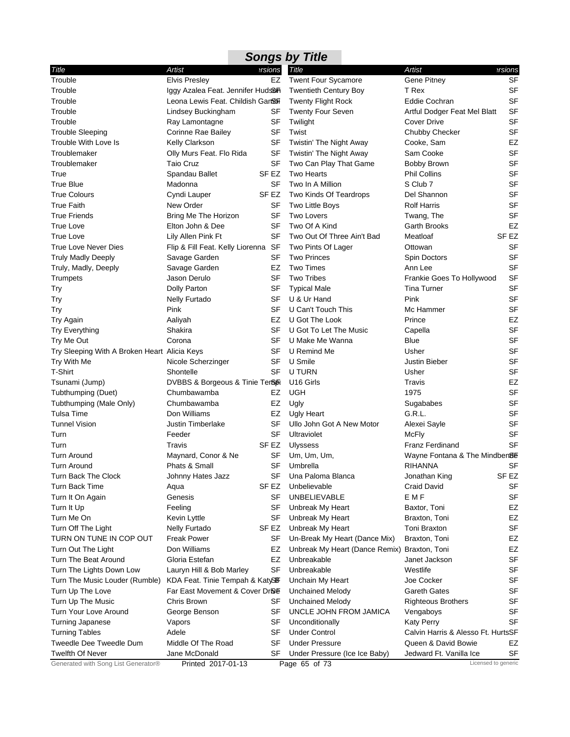| Title                                        | <b>Artist</b>                       | <b>ersions</b> | Title                                        | Artist                             | ersions          |
|----------------------------------------------|-------------------------------------|----------------|----------------------------------------------|------------------------------------|------------------|
| Trouble                                      | <b>Elvis Presley</b>                | EZ             | <b>Twent Four Sycamore</b>                   | Gene Pitney                        | SF               |
| Trouble                                      | Iggy Azalea Feat. Jennifer Hudson   |                | <b>Twentieth Century Boy</b>                 | T Rex                              | SF               |
| Trouble                                      | Leona Lewis Feat. Childish Gan&fi   |                | <b>Twenty Flight Rock</b>                    | Eddie Cochran                      | <b>SF</b>        |
| Trouble                                      | Lindsey Buckingham                  | SF             | <b>Twenty Four Seven</b>                     | Artful Dodger Feat Mel Blatt       | <b>SF</b>        |
| Trouble                                      | Ray Lamontagne                      | SF             | Twilight                                     | <b>Cover Drive</b>                 | <b>SF</b>        |
| <b>Trouble Sleeping</b>                      | Corinne Rae Bailey                  | <b>SF</b>      | Twist                                        | Chubby Checker                     | <b>SF</b>        |
| Trouble With Love Is                         | Kelly Clarkson                      | SF             | Twistin' The Night Away                      | Cooke, Sam                         | EZ               |
| Troublemaker                                 | Olly Murs Feat. Flo Rida            | SF             | Twistin' The Night Away                      | Sam Cooke                          | <b>SF</b>        |
| Troublemaker                                 | Taio Cruz                           | SF             | Two Can Play That Game                       | Bobby Brown                        | SF               |
|                                              |                                     | SF EZ          | <b>Two Hearts</b>                            |                                    | <b>SF</b>        |
| True                                         | Spandau Ballet                      |                |                                              | <b>Phil Collins</b><br>S Club 7    |                  |
| <b>True Blue</b>                             | Madonna                             | SF             | Two In A Million                             |                                    | SF               |
| <b>True Colours</b>                          | Cyndi Lauper                        | SF EZ          | Two Kinds Of Teardrops                       | Del Shannon                        | <b>SF</b>        |
| <b>True Faith</b>                            | New Order                           | SF             | Two Little Boys                              | <b>Rolf Harris</b>                 | <b>SF</b>        |
| <b>True Friends</b>                          | Bring Me The Horizon                | SF             | <b>Two Lovers</b>                            | Twang, The                         | <b>SF</b>        |
| <b>True Love</b>                             | Elton John & Dee                    | SF             | Two Of A Kind                                | Garth Brooks                       | EZ               |
| True Love                                    | Lily Allen Pink Ft                  | SF             | Two Out Of Three Ain't Bad                   | Meatloaf                           | SF EZ            |
| True Love Never Dies                         | Flip & Fill Feat. Kelly Liorenna SF |                | Two Pints Of Lager                           | Ottowan                            | SF               |
| <b>Truly Madly Deeply</b>                    | Savage Garden                       | SF             | <b>Two Princes</b>                           | Spin Doctors                       | <b>SF</b>        |
| Truly, Madly, Deeply                         | Savage Garden                       | EZ             | <b>Two Times</b>                             | Ann Lee                            | <b>SF</b>        |
| Trumpets                                     | Jason Derulo                        | SF             | <b>Two Tribes</b>                            | Frankie Goes To Hollywood          | <b>SF</b>        |
| Try                                          | Dolly Parton                        | SF             | <b>Typical Male</b>                          | <b>Tina Turner</b>                 | <b>SF</b>        |
| Try                                          | <b>Nelly Furtado</b>                | SF             | U & Ur Hand                                  | Pink                               | <b>SF</b>        |
| Try                                          | Pink                                | SF             | U Can't Touch This                           | Mc Hammer                          | <b>SF</b>        |
| Try Again                                    | Aaliyah                             | EZ             | U Got The Look                               | Prince                             | EZ               |
| <b>Try Everything</b>                        | Shakira                             | SF             | U Got To Let The Music                       | Capella                            | <b>SF</b>        |
| Try Me Out                                   | Corona                              | SF             | U Make Me Wanna                              | Blue                               | <b>SF</b>        |
| Try Sleeping With A Broken Heart Alicia Keys |                                     | <b>SF</b>      | U Remind Me                                  | Usher                              | <b>SF</b>        |
| Try With Me                                  | Nicole Scherzinger                  | SF             | U Smile                                      | Justin Bieber                      | <b>SF</b>        |
| T-Shirt                                      | Shontelle                           | <b>SF</b>      | U TURN                                       | Usher                              | <b>SF</b>        |
| Tsunami (Jump)                               | DVBBS & Borgeous & Tinie TerSoR     |                | U <sub>16</sub> Girls                        | Travis                             | EZ               |
| Tubthumping (Duet)                           | Chumbawamba                         | EZ             | <b>UGH</b>                                   | 1975                               | <b>SF</b>        |
| Tubthumping (Male Only)                      | Chumbawamba                         | EZ             | Ugly                                         | Sugababes                          | SF               |
| Tulsa Time                                   | Don Williams                        | EZ             | Ugly Heart                                   | G.R.L.                             | <b>SF</b>        |
| <b>Tunnel Vision</b>                         | <b>Justin Timberlake</b>            | SF             | Ullo John Got A New Motor                    | Alexei Sayle                       | <b>SF</b>        |
| Turn                                         | Feeder                              | SF             | Ultraviolet                                  | <b>McFly</b>                       | <b>SF</b>        |
| Turn                                         | Travis                              | SF EZ          | <b>Ulyssess</b>                              | <b>Franz Ferdinand</b>             | <b>SF</b>        |
| <b>Turn Around</b>                           | Maynard, Conor & Ne                 | SF             | Um, Um, Um,                                  | Wayne Fontana & The Mindben8E      |                  |
| Turn Around                                  | Phats & Small                       | <b>SF</b>      | Umbrella                                     | RIHANNA                            | SF               |
| Turn Back The Clock                          | Johnny Hates Jazz                   | SF             | Una Paloma Blanca                            | Jonathan King                      | SF <sub>EZ</sub> |
| Turn Back Time                               | Aqua                                | SF EZ          | Unbelievable                                 | Craid David                        | SF               |
| Turn It On Again                             | Genesis                             | SF             | <b>UNBELIEVABLE</b>                          | E M F                              | SF               |
| Turn It Up                                   | Feeling                             | SF             | Unbreak My Heart                             | Baxtor, Toni                       | EZ               |
| Turn Me On                                   | Kevin Lyttle                        | <b>SF</b>      | Unbreak My Heart                             | Braxton, Toni                      | EZ               |
| Turn Off The Light                           | <b>Nelly Furtado</b>                | SF EZ          | Unbreak My Heart                             | Toni Braxton                       | SF               |
| TURN ON TUNE IN COP OUT                      | <b>Freak Power</b>                  | SF             | Un-Break My Heart (Dance Mix)                | Braxton, Toni                      | EZ               |
| Turn Out The Light                           | Don Williams                        | EZ             | Unbreak My Heart (Dance Remix) Braxton, Toni |                                    | EZ               |
| Turn The Beat Around                         | Gloria Estefan                      | EZ             | Unbreakable                                  | Janet Jackson                      | SF               |
|                                              |                                     | SF             | Unbreakable                                  |                                    | SF               |
| Turn The Lights Down Low                     | Lauryn Hill & Bob Marley            |                |                                              | Westlife                           |                  |
| Turn The Music Louder (Rumble)               | KDA Feat. Tinie Tempah & KatySEF    |                | Unchain My Heart                             | Joe Cocker                         | SF               |
| Turn Up The Love                             | Far East Movement & Cover Drise     |                | <b>Unchained Melody</b>                      | Gareth Gates                       | SF               |
| Turn Up The Music                            | Chris Brown                         | SF             | Unchained Melody                             | <b>Righteous Brothers</b>          | SF               |
| Turn Your Love Around                        | George Benson                       | SF             | UNCLE JOHN FROM JAMICA                       | Vengaboys                          | <b>SF</b>        |
| <b>Turning Japanese</b>                      | Vapors                              | SF             | Unconditionally                              | <b>Katy Perry</b>                  | SF               |
| <b>Turning Tables</b>                        | Adele                               | SF             | <b>Under Control</b>                         | Calvin Harris & Alesso Ft. HurtsSF |                  |
| Tweedle Dee Tweedle Dum                      | Middle Of The Road                  | SF             | <b>Under Pressure</b>                        | Queen & David Bowie                | EZ               |
| <b>Twelfth Of Never</b>                      | Jane McDonald                       | SF             | Under Pressure (Ice Ice Baby)                | Jedward Ft. Vanilla Ice            | SF               |
| Generated with Song List Generator®          | Printed 2017-01-13                  |                | Page 65 of 73                                | Licensed to generic                |                  |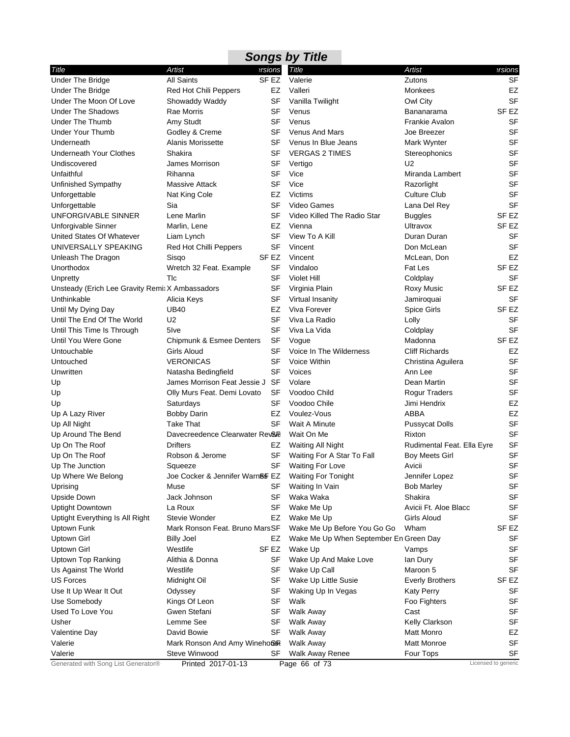|                                                 |                                 |                  | <b>Songs by Title</b>                  |                            |                     |
|-------------------------------------------------|---------------------------------|------------------|----------------------------------------|----------------------------|---------------------|
| Title                                           | Artist                          | ersions          | Title                                  | Artist                     | ersions?            |
| <b>Under The Bridge</b>                         | <b>All Saints</b>               | SF <sub>EZ</sub> | Valerie                                | Zutons                     | <b>SF</b>           |
| <b>Under The Bridge</b>                         | Red Hot Chili Peppers           | EZ               | Valleri                                | <b>Monkees</b>             | EZ                  |
| Under The Moon Of Love                          | Showaddy Waddy                  | <b>SF</b>        | Vanilla Twilight                       | Owl City                   | SF                  |
| <b>Under The Shadows</b>                        | <b>Rae Morris</b>               | SF               | Venus                                  | Bananarama                 | SF <sub>EZ</sub>    |
| <b>Under The Thumb</b>                          | Amy Studt                       | <b>SF</b>        | Venus                                  | <b>Frankie Avalon</b>      | <b>SF</b>           |
| <b>Under Your Thumb</b>                         | Godley & Creme                  | SF               | <b>Venus And Mars</b>                  | Joe Breezer                | <b>SF</b>           |
| Underneath                                      | <b>Alanis Morissette</b>        | <b>SF</b>        | Venus In Blue Jeans                    | Mark Wynter                | SF                  |
| <b>Underneath Your Clothes</b>                  | Shakira                         | SF               | <b>VERGAS 2 TIMES</b>                  | Stereophonics              | <b>SF</b>           |
| Undiscovered                                    | <b>James Morrison</b>           | SF               | Vertigo                                | U <sub>2</sub>             | <b>SF</b>           |
| Unfaithful                                      | Rihanna                         | <b>SF</b>        | Vice                                   | Miranda Lambert            | <b>SF</b>           |
| Unfinished Sympathy                             | Massive Attack                  | <b>SF</b>        | Vice                                   | Razorlight                 | <b>SF</b>           |
| Unforgettable                                   | Nat King Cole                   | EZ               | Victims                                | <b>Culture Club</b>        | <b>SF</b>           |
| Unforgettable                                   | Sia                             | SF               | Video Games                            | Lana Del Rey               | <b>SF</b>           |
| UNFORGIVABLE SINNER                             | Lene Marlin                     | SF               | Video Killed The Radio Star            | <b>Buggles</b>             | SF <sub>EZ</sub>    |
| Unforgivable Sinner                             | Marlin, Lene                    | EZ               | Vienna                                 | Ultravox                   | SF <sub>EZ</sub>    |
| United States Of Whatever                       | Liam Lynch                      | <b>SF</b>        | View To A Kill                         | Duran Duran                | <b>SF</b>           |
| UNIVERSALLY SPEAKING                            | Red Hot Chilli Peppers          | <b>SF</b>        | Vincent                                | Don McLean                 | <b>SF</b>           |
| Unleash The Dragon                              | Sisgo                           | SF <sub>EZ</sub> | Vincent                                | McLean, Don                | EZ                  |
| Unorthodox                                      | Wretch 32 Feat. Example         | SF               | Vindaloo                               | Fat Les                    | SF <sub>EZ</sub>    |
| Unpretty                                        | Tlc                             | <b>SF</b>        | Violet Hill                            | Coldplay                   | <b>SF</b>           |
| Unsteady (Erich Lee Gravity Remix X Ambassadors |                                 | SF               | Virginia Plain                         | Roxy Music                 | SF <sub>EZ</sub>    |
| Unthinkable                                     | Alicia Keys                     | <b>SF</b>        | Virtual Insanity                       | Jamiroquai                 | <b>SF</b>           |
| Until My Dying Day                              | <b>UB40</b>                     | EZ               | Viva Forever                           | Spice Girls                | SF <sub>EZ</sub>    |
| Until The End Of The World                      | U <sub>2</sub>                  | <b>SF</b>        | Viva La Radio                          | Lolly                      | SF                  |
| Until This Time Is Through                      | 5 <sub>lve</sub>                | <b>SF</b>        | Viva La Vida                           | Coldplay                   | <b>SF</b>           |
| Until You Were Gone                             | Chipmunk & Esmee Denters        | <b>SF</b>        | Vogue                                  | Madonna                    | SF <sub>EZ</sub>    |
| Untouchable                                     | Girls Aloud                     | <b>SF</b>        | Voice In The Wilderness                | <b>Cliff Richards</b>      | EZ                  |
| Untouched                                       | <b>VERONICAS</b>                | SF               | Voice Within                           | Christina Aguilera         | <b>SF</b>           |
| Unwritten                                       | Natasha Bedingfield             | SF               | Voices                                 | Ann Lee                    | <b>SF</b>           |
| Up                                              | James Morrison Feat Jessie J SF |                  | Volare                                 | Dean Martin                | SF                  |
| Up                                              | Olly Murs Feat. Demi Lovato     | SF               | Voodoo Child                           | <b>Rogur Traders</b>       | <b>SF</b>           |
| Up                                              | Saturdays                       | SF               | Voodoo Chile                           | Jimi Hendrix               | EZ                  |
| Up A Lazy River                                 | <b>Bobby Darin</b>              | <b>EZ</b>        | Voulez-Vous                            | <b>ABBA</b>                | EZ                  |
| Up All Night                                    | <b>Take That</b>                | SF               | Wait A Minute                          | <b>Pussycat Dolls</b>      | <b>SF</b>           |
| Up Around The Bend                              | Davecreedence Clearwater Rev&   |                  | Wait On Me                             | Rixton                     | <b>SF</b>           |
| Up On The Roof                                  | <b>Drifters</b>                 | EZ               | Waiting All Night                      | Rudimental Feat. Ella Eyre | <b>SF</b>           |
| Up On The Roof                                  | Robson & Jerome                 | <b>SF</b>        | Waiting For A Star To Fall             | <b>Boy Meets Girl</b>      | <b>SF</b>           |
| Up The Junction                                 | Squeeze                         | <b>SF</b>        | <b>Waiting For Love</b>                | Avicii                     | <b>SF</b>           |
| Up Where We Belong                              | Joe Cocker & Jennifer Warn&F EZ |                  | <b>Waiting For Tonight</b>             | Jennifer Lopez             | <b>SF</b>           |
| Uprising                                        | Muse                            | SF               | Waiting In Vain                        | <b>Bob Marley</b>          | SF                  |
| Upside Down                                     | Jack Johnson                    | SF               | Waka Waka                              | Shakira                    | SF                  |
| <b>Uptight Downtown</b>                         | La Roux                         | SF               | Wake Me Up                             | Avicii Ft. Aloe Blacc      | SF                  |
| Uptight Everything Is All Right                 | Stevie Wonder                   | EZ               | Wake Me Up                             | <b>Girls Aloud</b>         | <b>SF</b>           |
| Uptown Funk                                     | Mark Ronson Feat. Bruno MarsSF  |                  | Wake Me Up Before You Go Go            | Wham                       | SF EZ               |
| Uptown Girl                                     | <b>Billy Joel</b>               | EZ               | Wake Me Up When September En Green Day |                            | SF                  |
| <b>Uptown Girl</b>                              | Westlife                        | SF EZ            | Wake Up                                | Vamps                      | SF                  |
| <b>Uptown Top Ranking</b>                       | Alithia & Donna                 | SF               | Wake Up And Make Love                  | lan Dury                   | SF                  |
| Us Against The World                            | Westlife                        | SF               | Wake Up Call                           | Maroon 5                   | <b>SF</b>           |
| <b>US Forces</b>                                | Midnight Oil                    | SF               | Wake Up Little Susie                   | <b>Everly Brothers</b>     | SF <sub>EZ</sub>    |
| Use It Up Wear It Out                           | Odyssey                         | SF               | Waking Up In Vegas                     | <b>Katy Perry</b>          | <b>SF</b>           |
| Use Somebody                                    | Kings Of Leon                   | SF               | Walk                                   | Foo Fighters               | SF                  |
| Used To Love You                                | Gwen Stefani                    | <b>SF</b>        | <b>Walk Away</b>                       | Cast                       | <b>SF</b>           |
| Usher                                           | Lemme See                       | SF               | Walk Away                              | Kelly Clarkson             | SF                  |
| Valentine Day                                   | David Bowie                     | SF               | Walk Away                              | Matt Monro                 | EZ                  |
| Valerie                                         | Mark Ronson And Amy Wineho&R    |                  | <b>Walk Away</b>                       | Matt Monroe                | SF                  |
| Valerie                                         | Steve Winwood                   | SF               | Walk Away Renee                        | Four Tops                  | SF                  |
| Generated with Song List Generator®             | Printed 2017-01-13              |                  | Page 66 of 73                          |                            | Licensed to generic |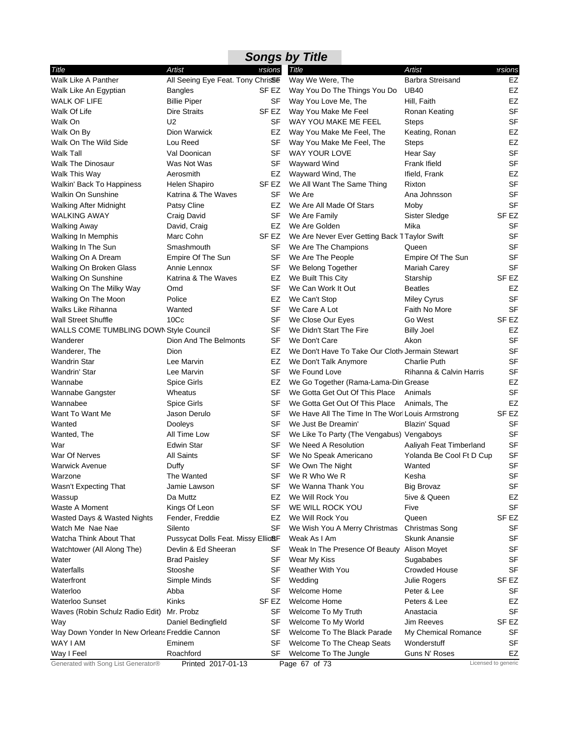|                                                  |                                               |           | <b>Songs by Title</b>                            |                          |                     |
|--------------------------------------------------|-----------------------------------------------|-----------|--------------------------------------------------|--------------------------|---------------------|
| Title                                            | Artist                                        | ersions   | Title                                            | <b>Artist</b>            | ersions             |
| Walk Like A Panther                              | All Seeing Eye Feat. Tony Chris <sup>96</sup> |           | Way We Were, The                                 | <b>Barbra Streisand</b>  | EZ                  |
| Walk Like An Egyptian                            | <b>Bangles</b>                                | SF EZ     | Way You Do The Things You Do                     | <b>UB40</b>              | EZ                  |
| <b>WALK OF LIFE</b>                              | <b>Billie Piper</b>                           | SF        | Way You Love Me, The                             | Hill, Faith              | <b>EZ</b>           |
| Walk Of Life                                     | <b>Dire Straits</b>                           | SF EZ     | Way You Make Me Feel                             | Ronan Keating            | <b>SF</b>           |
| Walk On                                          | U <sub>2</sub>                                | SF        | WAY YOU MAKE ME FEEL                             | <b>Steps</b>             | SF                  |
| Walk On By                                       | Dion Warwick                                  | EZ        | Way You Make Me Feel, The                        | Keating, Ronan           | EZ                  |
| Walk On The Wild Side                            | Lou Reed                                      | SF        | Way You Make Me Feel, The                        | <b>Steps</b>             | <b>EZ</b>           |
| Walk Tall                                        | Val Doonican                                  | SF        | WAY YOUR LOVE                                    | Hear Say                 | <b>SF</b>           |
| <b>Walk The Dinosaur</b>                         | Was Not Was                                   | SF        | Wayward Wind                                     | Frank Ifield             | <b>SF</b>           |
| Walk This Way                                    | Aerosmith                                     | EZ        | Wayward Wind, The                                | Ifield, Frank            | EZ                  |
| Walkin' Back To Happiness                        | Helen Shapiro                                 | SF EZ     | We All Want The Same Thing                       | Rixton                   | <b>SF</b>           |
| <b>Walkin On Sunshine</b>                        | Katrina & The Waves                           | SF        | We Are                                           | Ana Johnsson             | <b>SF</b>           |
| <b>Walking After Midnight</b>                    | Patsy Cline                                   | EZ        | We Are All Made Of Stars                         | Moby                     | <b>SF</b>           |
| <b>WALKING AWAY</b>                              | Craig David                                   | <b>SF</b> | We Are Family                                    | Sister Sledge            | SF <sub>EZ</sub>    |
| <b>Walking Away</b>                              | David, Craig                                  | EZ        | We Are Golden                                    | Mika                     | SF                  |
| Walking In Memphis                               | Marc Cohn                                     | SF EZ     | We Are Never Ever Getting Back TTaylor Swift     |                          | <b>SF</b>           |
| Walking In The Sun                               | Smashmouth                                    | SF        | We Are The Champions                             | Queen                    | <b>SF</b>           |
| Walking On A Dream                               | Empire Of The Sun                             | SF        | We Are The People                                | Empire Of The Sun        | <b>SF</b>           |
| Walking On Broken Glass                          | Annie Lennox                                  | SF        | We Belong Together                               | Mariah Carey             | SF                  |
| Walking On Sunshine                              | Katrina & The Waves                           | EZ        | We Built This City                               | Starship                 | SF EZ               |
| Walking On The Milky Way                         | Omd                                           | SF        | We Can Work It Out                               | <b>Beatles</b>           | EZ<br><b>SF</b>     |
| Walking On The Moon                              | Police                                        | EZ<br>SF  | We Can't Stop                                    | <b>Miley Cyrus</b>       | <b>SF</b>           |
| Walks Like Rihanna<br><b>Wall Street Shuffle</b> | Wanted<br>10 <sub>CC</sub>                    | SF        | We Care A Lot<br>We Close Our Eyes               | Faith No More<br>Go West | SF <sub>EZ</sub>    |
| WALLS COME TUMBLING DOWN Style Council           |                                               | SF        | We Didn't Start The Fire                         | <b>Billy Joel</b>        | EZ                  |
| Wanderer                                         | Dion And The Belmonts                         | SF        | We Don't Care                                    | Akon                     | <b>SF</b>           |
| Wanderer, The                                    | Dion                                          | EZ        | We Don't Have To Take Our Cloth Jermain Stewart  |                          | <b>SF</b>           |
| <b>Wandrin Star</b>                              | Lee Marvin                                    | EZ        | We Don't Talk Anymore                            | <b>Charlie Puth</b>      | <b>SF</b>           |
| Wandrin' Star                                    | Lee Marvin                                    | SF        | We Found Love                                    | Rihanna & Calvin Harris  | <b>SF</b>           |
| Wannabe                                          | Spice Girls                                   | EZ        | We Go Together (Rama-Lama-Din Grease             |                          | EZ                  |
| Wannabe Gangster                                 | Wheatus                                       | SF        | We Gotta Get Out Of This Place                   | Animals                  | <b>SF</b>           |
| Wannabee                                         | Spice Girls                                   | SF        | We Gotta Get Out Of This Place                   | Animals, The             | EZ                  |
| Want To Want Me                                  | Jason Derulo                                  | SF        | We Have All The Time In The Worl Louis Armstrong |                          | SF <sub>EZ</sub>    |
| Wanted                                           | Dooleys                                       | SF        | We Just Be Dreamin'                              | Blazin' Squad            | SF                  |
| Wanted, The                                      | All Time Low                                  | SF        | We Like To Party (The Vengabus) Vengaboys        |                          | SF                  |
| War                                              | <b>Edwin Star</b>                             | SF        | We Need A Resolution                             | Aaliyah Feat Timberland  | <b>SF</b>           |
| War Of Nerves                                    | <b>All Saints</b>                             | SF        | We No Speak Americano                            | Yolanda Be Cool Ft D Cup | <b>SF</b>           |
| <b>Warwick Avenue</b>                            | Duffy                                         |           | SF We Own The Night                              | Wanted                   | SF                  |
| Warzone                                          | The Wanted                                    | SF        | We R Who We R                                    | Kesha                    | SF                  |
| Wasn't Expecting That                            | Jamie Lawson                                  | SF        | We Wanna Thank You                               | <b>Big Brovaz</b>        | SF                  |
| Wassup                                           | Da Muttz                                      | EZ        | We Will Rock You                                 | 5ive & Queen             | EZ                  |
| Waste A Moment                                   | Kings Of Leon                                 | SF        | WE WILL ROCK YOU                                 | Five                     | SF                  |
| Wasted Days & Wasted Nights                      | Fender, Freddie                               | EZ        | We Will Rock You                                 | Queen                    | SF EZ               |
| Watch Me Nae Nae                                 | Silento                                       | SF        | We Wish You A Merry Christmas                    | <b>Christmas Song</b>    | SF                  |
| Watcha Think About That                          | Pussycat Dolls Feat. Missy Ellio&F            |           | Weak As I Am                                     | <b>Skunk Anansie</b>     | SF                  |
| Watchtower (All Along The)                       | Devlin & Ed Sheeran                           | SF        | Weak In The Presence Of Beauty Alison Moyet      |                          | SF                  |
| Water                                            | <b>Brad Paisley</b>                           | SF        | Wear My Kiss                                     | Sugababes                | <b>SF</b>           |
| Waterfalls                                       | Stooshe                                       | SF        | <b>Weather With You</b>                          | <b>Crowded House</b>     | <b>SF</b>           |
| Waterfront                                       | Simple Minds                                  | SF        | Wedding                                          | Julie Rogers             | SF EZ               |
| Waterloo                                         | Abba                                          | SF        | Welcome Home                                     | Peter & Lee              | SF                  |
| Waterloo Sunset                                  | Kinks                                         | SF EZ     | Welcome Home                                     | Peters & Lee             | EZ                  |
| Waves (Robin Schulz Radio Edit)                  | Mr. Probz                                     | SF        | Welcome To My Truth                              | Anastacia                | <b>SF</b>           |
| Way                                              | Daniel Bedingfield                            | SF        | Welcome To My World                              | <b>Jim Reeves</b>        | SF EZ               |
| Way Down Yonder In New Orleans Freddie Cannon    |                                               | SF        | Welcome To The Black Parade                      | My Chemical Romance      | SF                  |
| WAY I AM                                         | Eminem                                        | SF        | Welcome To The Cheap Seats                       | Wonderstuff              | <b>SF</b>           |
| Way I Feel                                       | Roachford                                     | SF        | Welcome To The Jungle                            | Guns N' Roses            | EZ                  |
| Generated with Song List Generator®              | Printed 2017-01-13                            |           | Page 67 of 73                                    |                          | Licensed to generic |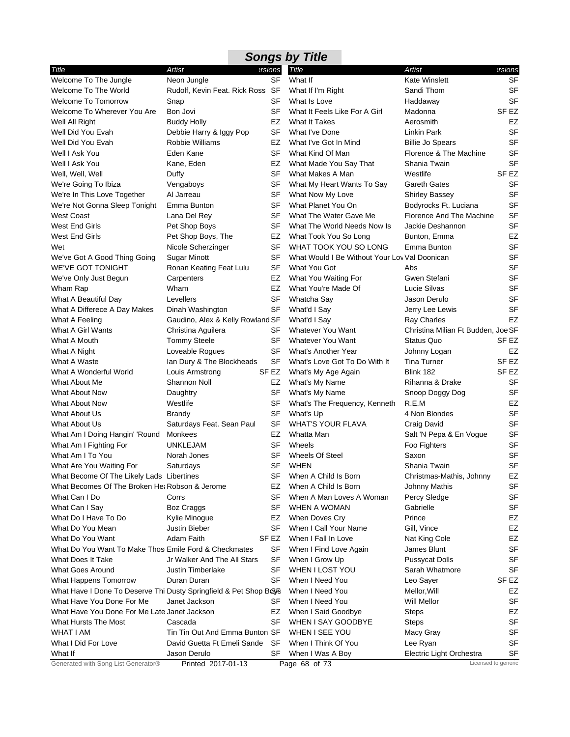|                                                                  |                                  |           | <b>Songs by Title</b>                         |                                    |                     |
|------------------------------------------------------------------|----------------------------------|-----------|-----------------------------------------------|------------------------------------|---------------------|
| Title                                                            | Artist                           | ersions   | <b>Title</b>                                  | Artist                             | ersions?            |
| Welcome To The Jungle                                            | Neon Jungle                      | SF        | What If                                       | <b>Kate Winslett</b>               | <b>SF</b>           |
| Welcome To The World                                             | Rudolf, Kevin Feat. Rick Ross SF |           | What If I'm Right                             | Sandi Thom                         | <b>SF</b>           |
| <b>Welcome To Tomorrow</b>                                       | Snap                             | SF        | What Is Love                                  | Haddaway                           | <b>SF</b>           |
| Welcome To Wherever You Are                                      | Bon Jovi                         | SF        | What It Feels Like For A Girl                 | Madonna                            | SF <sub>EZ</sub>    |
| Well All Right                                                   | <b>Buddy Holly</b>               | EZ        | What It Takes                                 | Aerosmith                          | EZ                  |
| Well Did You Evah                                                | Debbie Harry & Iggy Pop          | SF        | What I've Done                                | Linkin Park                        | <b>SF</b>           |
| Well Did You Evah                                                | Robbie Williams                  | EZ        | What I've Got In Mind                         | <b>Billie Jo Spears</b>            | <b>SF</b>           |
| Well I Ask You                                                   | Eden Kane                        | SF        | What Kind Of Man                              | Florence & The Machine             | SF                  |
| Well I Ask You                                                   | Kane, Eden                       | EZ        | What Made You Say That                        | Shania Twain                       | <b>SF</b>           |
| Well, Well, Well                                                 | Duffy                            | <b>SF</b> | What Makes A Man                              | Westlife                           | SF <sub>EZ</sub>    |
| We're Going To Ibiza                                             | Vengaboys                        | SF        | What My Heart Wants To Say                    | <b>Gareth Gates</b>                | <b>SF</b>           |
| We're In This Love Together                                      | Al Jarreau                       | SF        | What Now My Love                              | <b>Shirley Bassey</b>              | <b>SF</b>           |
| We're Not Gonna Sleep Tonight                                    | Emma Bunton                      | SF        | What Planet You On                            | Bodyrocks Ft. Luciana              | <b>SF</b>           |
| <b>West Coast</b>                                                | Lana Del Rey                     | SF        | What The Water Gave Me                        | Florence And The Machine           | <b>SF</b>           |
| West End Girls                                                   | Pet Shop Boys                    | SF        | What The World Needs Now Is                   | Jackie Deshannon                   | <b>SF</b>           |
| West End Girls                                                   | Pet Shop Boys, The               | EZ        | What Took You So Long                         | Bunton, Emma                       | EZ                  |
| Wet                                                              | Nicole Scherzinger               | SF        | WHAT TOOK YOU SO LONG                         | Emma Bunton                        | <b>SF</b>           |
| We've Got A Good Thing Going                                     | Sugar Minott                     | SF        | What Would I Be Without Your Lov Val Doonican |                                    | <b>SF</b>           |
| WE'VE GOT TONIGHT                                                | Ronan Keating Feat Lulu          | SF        | What You Got                                  | Abs                                | <b>SF</b>           |
| We've Only Just Begun                                            | Carpenters                       | EZ        | What You Waiting For                          | Gwen Stefani                       | <b>SF</b>           |
| Wham Rap                                                         | Wham                             | EZ        | What You're Made Of                           | Lucie Silvas                       | <b>SF</b>           |
| What A Beautiful Day                                             | Levellers                        | SF        | Whatcha Say                                   | Jason Derulo                       | <b>SF</b>           |
| What A Differece A Day Makes                                     | Dinah Washington                 | SF        | What'd I Say                                  | Jerry Lee Lewis                    | SF                  |
| What A Feeling                                                   | Gaudino, Alex & Kelly Rowland SF |           | What'd I Say                                  | <b>Ray Charles</b>                 | EZ                  |
| What A Girl Wants                                                | Christina Aguilera               | <b>SF</b> | Whatever You Want                             | Christina Milian Ft Budden, Joe SF |                     |
| What A Mouth                                                     | <b>Tommy Steele</b>              | SF        | <b>Whatever You Want</b>                      | <b>Status Quo</b>                  | SF EZ               |
| What A Night                                                     | Loveable Rogues                  | <b>SF</b> | What's Another Year                           | Johnny Logan                       | EZ                  |
| What A Waste                                                     | Ian Dury & The Blockheads        | SF        | What's Love Got To Do With It                 | Tina Turner                        | SF EZ               |
| What A Wonderful World                                           | Louis Armstrong                  | SF EZ     | What's My Age Again                           | Blink 182                          | SF EZ               |
| What About Me                                                    | Shannon Noll                     | EZ        | What's My Name                                | Rihanna & Drake                    | <b>SF</b>           |
| What About Now                                                   | Daughtry                         | SF        | What's My Name                                | Snoop Doggy Dog                    | <b>SF</b>           |
| What About Now                                                   | Westlife                         | SF        | What's The Frequency, Kenneth                 | R.E.M                              | EZ                  |
| What About Us                                                    | <b>Brandy</b>                    | SF        | What's Up                                     | 4 Non Blondes                      | <b>SF</b>           |
| What About Us                                                    | Saturdays Feat. Sean Paul        | SF        | <b>WHAT'S YOUR FLAVA</b>                      | Craig David                        | <b>SF</b>           |
| What Am I Doing Hangin' 'Round                                   | Monkees                          | EZ        | Whatta Man                                    | Salt 'N Pepa & En Vogue            | <b>SF</b>           |
| What Am I Fighting For                                           | UNKLEJAM                         | SF        | Wheels                                        | Foo Fighters                       | <b>SF</b>           |
| What Am I To You                                                 | Norah Jones                      | SF        | Wheels Of Steel                               | Saxon                              | <b>SF</b>           |
| What Are You Waiting For                                         | Saturdays                        |           | SF WHEN                                       | Shania Twain                       | SF                  |
| What Become Of The Likely Lads Libertines                        |                                  | SF        | When A Child Is Born                          | Christmas-Mathis, Johnny           | EZ                  |
| What Becomes Of The Broken He: Robson & Jerome                   |                                  | EZ        | When A Child Is Born                          | <b>Johnny Mathis</b>               | SF                  |
| What Can I Do                                                    | Corrs                            | SF        | When A Man Loves A Woman                      | Percy Sledge                       | SF                  |
| What Can I Say                                                   | Boz Craggs                       | SF        | WHEN A WOMAN                                  | Gabrielle                          | SF                  |
| What Do I Have To Do                                             | Kylie Minogue                    | EZ        | When Doves Cry                                | Prince                             | EZ                  |
| What Do You Mean                                                 | Justin Bieber                    | SF        | When I Call Your Name                         | Gill, Vince                        | EZ                  |
| What Do You Want                                                 | Adam Faith                       | SF EZ     | When I Fall In Love                           | Nat King Cole                      | EZ                  |
| What Do You Want To Make Thos Emile Ford & Checkmates            |                                  | SF        | When I Find Love Again                        | James Blunt                        | <b>SF</b>           |
| <b>What Does It Take</b>                                         | Jr Walker And The All Stars      | SF        | When I Grow Up                                | <b>Pussycat Dolls</b>              | SF                  |
| <b>What Goes Around</b>                                          | Justin Timberlake                | SF        | WHEN I LOST YOU                               | Sarah Whatmore                     | <b>SF</b>           |
| What Happens Tomorrow                                            | Duran Duran                      | SF        | When I Need You                               | Leo Sayer                          | SF EZ               |
| What Have I Done To Deserve Thi Dusty Springfield & Pet Shop B&R |                                  |           | When I Need You                               | Mellor, Will                       | EZ                  |
| What Have You Done For Me                                        | Janet Jackson                    | SF        | When I Need You                               | Will Mellor                        | SF                  |
| What Have You Done For Me Late Janet Jackson                     |                                  | EZ        | When I Said Goodbye                           | Steps                              | EZ                  |
| What Hursts The Most                                             | Cascada                          | SF        | WHEN I SAY GOODBYE                            | Steps                              | <b>SF</b>           |
| WHAT I AM                                                        | Tin Tin Out And Emma Bunton SF   |           | WHEN I SEE YOU                                | Macy Gray                          | <b>SF</b>           |
| What I Did For Love                                              | David Guetta Ft Emeli Sande      | SF        | When I Think Of You                           | Lee Ryan                           | SF                  |
| What If                                                          | Jason Derulo                     | SF        | When I Was A Boy                              | Electric Light Orchestra           | SF                  |
| Generated with Song List Generator®                              | Printed 2017-01-13               |           | Page 68 of 73                                 |                                    | Licensed to generic |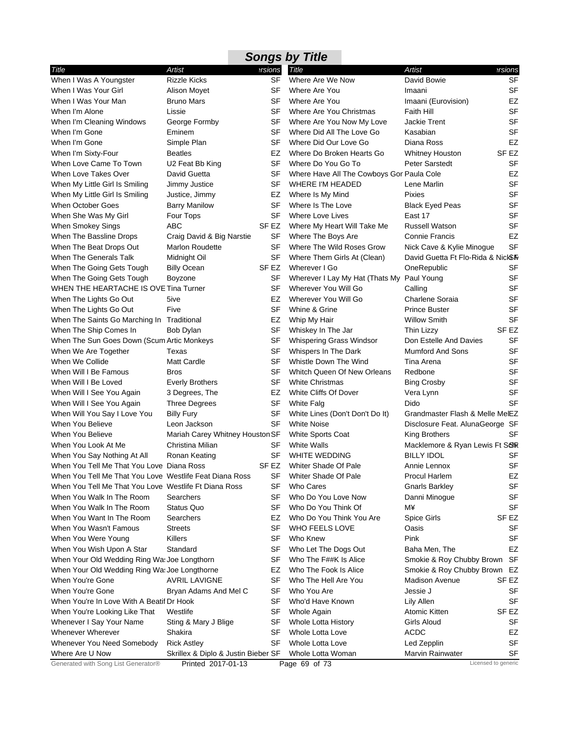|                                                         |                                     |           | <b>Songs by Title</b>                        |                                         |                  |
|---------------------------------------------------------|-------------------------------------|-----------|----------------------------------------------|-----------------------------------------|------------------|
| Title                                                   | Artist                              | ersions   | Title                                        | <b>Artist</b>                           | ersions?         |
| When I Was A Youngster                                  | <b>Rizzle Kicks</b>                 | <b>SF</b> | Where Are We Now                             | David Bowie                             | <b>SF</b>        |
| When I Was Your Girl                                    | <b>Alison Moyet</b>                 | SF        | Where Are You                                | Imaani                                  | <b>SF</b>        |
| When I Was Your Man                                     | <b>Bruno Mars</b>                   | SF        | Where Are You                                | Imaani (Eurovision)                     | EZ               |
| When I'm Alone                                          | Lissie                              | SF        | Where Are You Christmas                      | <b>Faith Hill</b>                       | <b>SF</b>        |
| When I'm Cleaning Windows                               | George Formby                       | SF        | Where Are You Now My Love                    | <b>Jackie Trent</b>                     | SF               |
| When I'm Gone                                           | Eminem                              | SF        | Where Did All The Love Go                    | Kasabian                                | <b>SF</b>        |
| When I'm Gone                                           | Simple Plan                         | SF        | Where Did Our Love Go                        | Diana Ross                              | <b>EZ</b>        |
| When I'm Sixty-Four                                     | <b>Beatles</b>                      | EZ        | Where Do Broken Hearts Go                    | <b>Whitney Houston</b>                  | SF EZ            |
| When Love Came To Town                                  | U2 Feat Bb King                     | SF        | Where Do You Go To                           | Peter Sarstedt                          | <b>SF</b>        |
| When Love Takes Over                                    | David Guetta                        | SF        | Where Have All The Cowboys Gor Paula Cole    |                                         | EZ               |
| When My Little Girl Is Smiling                          | Jimmy Justice                       | SF        | WHERE I'M HEADED                             | Lene Marlin                             | <b>SF</b>        |
| When My Little Girl Is Smiling                          | Justice, Jimmy                      | EZ        | Where Is My Mind                             | <b>Pixies</b>                           | <b>SF</b>        |
| When October Goes                                       | <b>Barry Manilow</b>                | SF        | Where Is The Love                            | <b>Black Eyed Peas</b>                  | <b>SF</b>        |
| When She Was My Girl                                    | Four Tops                           | <b>SF</b> | Where Love Lives                             | East 17                                 | <b>SF</b>        |
| When Smokey Sings                                       | ABC                                 | SF EZ     | Where My Heart Will Take Me                  | <b>Russell Watson</b>                   | <b>SF</b>        |
| When The Bassline Drops                                 | Craig David & Big Narstie           | SF        | Where The Boys Are                           | <b>Connie Francis</b>                   | <b>EZ</b>        |
| When The Beat Drops Out                                 | <b>Marlon Roudette</b>              | SF        | Where The Wild Roses Grow                    | Nick Cave & Kylie Minogue               | <b>SF</b>        |
| When The Generals Talk                                  | Midnight Oil                        | SF        | Where Them Girls At (Clean)                  | David Guetta Ft Flo-Rida & NickSIV      |                  |
| When The Going Gets Tough                               | <b>Billy Ocean</b>                  | SF EZ     | Wherever I Go                                | OneRepublic                             | SF               |
| When The Going Gets Tough                               | Boyzone                             | SF        | Wherever I Lay My Hat (Thats My   Paul Young |                                         | <b>SF</b>        |
| WHEN THE HEARTACHE IS OVE Tina Turner                   |                                     | SF        | Wherever You Will Go                         | Calling                                 | <b>SF</b>        |
| When The Lights Go Out                                  | 5ive                                | EZ        | Wherever You Will Go                         | Charlene Soraia                         | <b>SF</b>        |
| When The Lights Go Out                                  | Five                                | SF        | Whine & Grine                                | <b>Prince Buster</b>                    | <b>SF</b>        |
| When The Saints Go Marching In Traditional              |                                     | EZ        | Whip My Hair                                 | <b>Willow Smith</b>                     | <b>SF</b>        |
| When The Ship Comes In                                  | Bob Dylan                           | <b>SF</b> | Whiskey In The Jar                           | Thin Lizzy                              | SF <sub>EZ</sub> |
| When The Sun Goes Down (Scum Artic Monkeys              |                                     | SF        | Whispering Grass Windsor                     | Don Estelle And Davies                  | SF               |
| When We Are Together                                    | Texas                               | SF        | Whispers In The Dark                         | <b>Mumford And Sons</b>                 | <b>SF</b>        |
| When We Collide                                         | <b>Matt Cardle</b>                  | SF        | Whistle Down The Wind                        | Tina Arena                              | <b>SF</b>        |
| When Will I Be Famous                                   | <b>Bros</b>                         | <b>SF</b> | Whitch Queen Of New Orleans                  | Redbone                                 | <b>SF</b>        |
| When Will I Be Loved                                    | <b>Everly Brothers</b>              | SF        | <b>White Christmas</b>                       | <b>Bing Crosby</b>                      | <b>SF</b>        |
| When Will I See You Again                               | 3 Degrees, The                      | EZ        | White Cliffs Of Dover                        | Vera Lynn                               | <b>SF</b>        |
| When Will I See You Again                               | <b>Three Degrees</b>                | SF        | <b>White Falg</b>                            | Dido                                    | <b>SF</b>        |
| When Will You Say I Love You                            | <b>Billy Fury</b>                   | <b>SF</b> | White Lines (Don't Don't Do It)              | Grandmaster Flash & Melle MelEZ         |                  |
| When You Believe                                        | Leon Jackson                        | SF        | <b>White Noise</b>                           | Disclosure Feat. AlunaGeorge SF         |                  |
| When You Believe                                        | Mariah Carey Whitney Houston SF     |           | White Sports Coat                            | King Brothers                           | SF               |
| When You Look At Me                                     | Christina Milian                    | SF        | White Walls                                  | Macklemore & Ryan Lewis Ft SOR          |                  |
| When You Say Nothing At All                             | Ronan Keating                       | SF        | <b>WHITE WEDDING</b>                         | <b>BILLY IDOL</b>                       | SF               |
| When You Tell Me That You Love Diana Ross               |                                     |           | SF EZ Whiter Shade Of Pale                   | Annie Lennox                            | SF               |
| When You Tell Me That You Love Westlife Feat Diana Ross |                                     | SF        | Whiter Shade Of Pale                         | Procul Harlem                           | EZ               |
| When You Tell Me That You Love Westlife Ft Diana Ross   |                                     | SF        | Who Cares                                    | <b>Gnarls Barkley</b>                   | <b>SF</b>        |
| When You Walk In The Room                               | Searchers                           | SF        | Who Do You Love Now                          | Danni Minogue                           | SF               |
| When You Walk In The Room                               | Status Quo                          | SF        | Who Do You Think Of                          | М¥                                      | <b>SF</b>        |
| When You Want In The Room                               | Searchers                           | EZ        | Who Do You Think You Are                     | Spice Girls                             | SF EZ            |
| When You Wasn't Famous                                  | Streets                             | <b>SF</b> | WHO FEELS LOVE                               | Oasis                                   | <b>SF</b>        |
| When You Were Young                                     | Killers                             | SF        | Who Knew                                     | Pink                                    | <b>SF</b>        |
| When You Wish Upon A Star                               | Standard                            | SF        | Who Let The Dogs Out                         | Baha Men, The                           | EZ               |
|                                                         |                                     | SF        |                                              | Smokie & Roy Chubby Brown SF            |                  |
| When Your Old Wedding Ring Wa: Joe Longthorn            |                                     |           | Who The F##K Is Alice                        |                                         |                  |
| When Your Old Wedding Ring Wa: Joe Longthorne           |                                     | EZ        | Who The Fook Is Alice                        | Smokie & Roy Chubby Brown EZ            |                  |
| When You're Gone                                        | <b>AVRIL LAVIGNE</b>                | SF        | Who The Hell Are You                         | <b>Madison Avenue</b>                   | SF EZ            |
| When You're Gone                                        | Bryan Adams And Mel C               | <b>SF</b> | Who You Are                                  | Jessie J                                | SF               |
| When You're In Love With A Beatif Dr Hook               |                                     | SF        | Who'd Have Known                             | Lily Allen                              | <b>SF</b>        |
| When You're Looking Like That                           | Westlife                            | SF        | Whole Again                                  | Atomic Kitten                           | SF <sub>EZ</sub> |
| Whenever I Say Your Name                                | Sting & Mary J Blige                | SF        | Whole Lotta History                          | Girls Aloud                             | <b>SF</b>        |
| Whenever Wherever                                       | Shakira                             | SF        | Whole Lotta Love                             | <b>ACDC</b>                             | EZ               |
| Whenever You Need Somebody                              | <b>Rick Astley</b>                  | SF        | Whole Lotta Love                             | Led Zepplin                             | <b>SF</b>        |
| Where Are U Now                                         | Skrillex & Diplo & Justin Bieber SF |           | Whole Lotta Woman<br>Page 69 of 73           | Marvin Rainwater<br>Licensed to generic | SF               |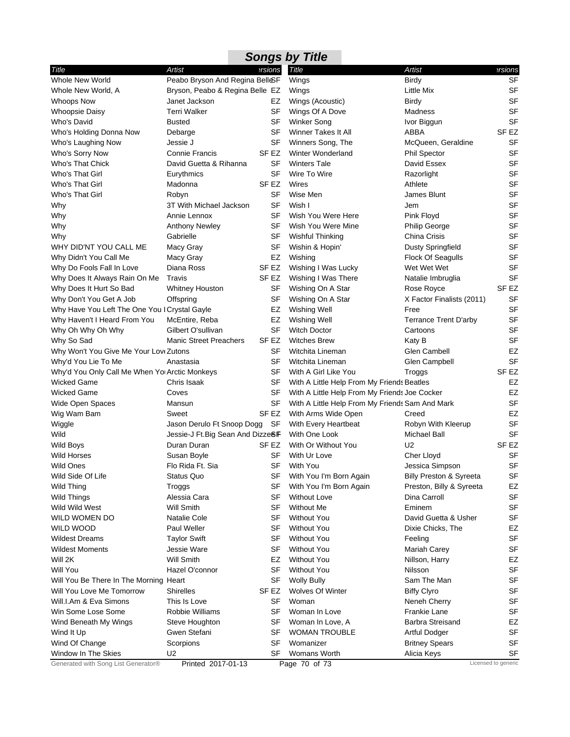|                                               |                                   |                  | <b>Songs by Title</b>                           |                                    |                     |
|-----------------------------------------------|-----------------------------------|------------------|-------------------------------------------------|------------------------------------|---------------------|
| Title                                         | Artist                            | <b>ersions</b>   | Title                                           | <b>Artist</b>                      | ersions             |
| Whole New World                               | Peabo Bryson And Regina BelleSF   |                  | Wings                                           | <b>Birdy</b>                       | SF                  |
| Whole New World, A                            | Bryson, Peabo & Regina Belle EZ   |                  | Wings                                           | Little Mix                         | <b>SF</b>           |
| <b>Whoops Now</b>                             | Janet Jackson                     | EZ               | Wings (Acoustic)                                | Birdy                              | <b>SF</b>           |
| <b>Whoopsie Daisy</b>                         | <b>Terri Walker</b>               | SF               | Wings Of A Dove                                 | Madness                            | <b>SF</b>           |
| Who's David                                   | <b>Busted</b>                     | SF               | <b>Winker Song</b>                              | Ivor Biggun                        | <b>SF</b>           |
| Who's Holding Donna Now                       | Debarge                           | SF               | Winner Takes It All                             | ABBA                               | SF EZ               |
| Who's Laughing Now                            | Jessie J                          | SF               | Winners Song, The                               | McQueen, Geraldine                 | SF                  |
| Who's Sorry Now                               | <b>Connie Francis</b>             | SF EZ            | <b>Winter Wonderland</b>                        | <b>Phil Spector</b>                | <b>SF</b>           |
| Who's That Chick                              | David Guetta & Rihanna            | <b>SF</b>        | <b>Winters Tale</b>                             | David Essex                        | <b>SF</b>           |
| Who's That Girl                               | Eurythmics                        | SF               | Wire To Wire                                    | Razorlight                         | <b>SF</b>           |
| Who's That Girl                               | Madonna                           | SF <sub>EZ</sub> | Wires                                           | Athlete                            | <b>SF</b>           |
| Who's That Girl                               | Robyn                             | SF               | Wise Men                                        | James Blunt                        | <b>SF</b>           |
| Why                                           | 3T With Michael Jackson           | <b>SF</b>        | Wish I                                          | Jem                                | <b>SF</b>           |
| Why                                           | Annie Lennox                      | SF               | Wish You Were Here                              | Pink Floyd                         | <b>SF</b>           |
| Why                                           | <b>Anthony Newley</b>             | <b>SF</b>        | Wish You Were Mine                              | <b>Philip George</b>               | <b>SF</b>           |
| Why                                           | Gabrielle                         | SF               | <b>Wishful Thinking</b>                         | China Crisis                       | <b>SF</b>           |
| WHY DID'NT YOU CALL ME                        | Macy Gray                         | SF               | Wishin & Hopin'                                 | <b>Dusty Springfield</b>           | <b>SF</b>           |
| Why Didn't You Call Me                        | Macy Gray                         | EZ               | Wishing                                         | Flock Of Seagulls                  | <b>SF</b>           |
| Why Do Fools Fall In Love                     | Diana Ross                        | SF EZ            | Wishing I Was Lucky                             | Wet Wet Wet                        | <b>SF</b>           |
| Why Does It Always Rain On Me                 | Travis                            | SF <sub>EZ</sub> | Wishing I Was There                             | Natalie Imbruglia                  | <b>SF</b>           |
| Why Does It Hurt So Bad                       | Whitney Houston                   | SF               | Wishing On A Star                               | Rose Royce                         | SF EZ               |
| Why Don't You Get A Job                       | Offspring                         | SF               | Wishing On A Star                               | X Factor Finalists (2011)          | SF                  |
| Why Have You Left The One You I Crystal Gayle |                                   | EZ               | Wishing Well                                    | Free                               | <b>SF</b>           |
| Why Haven't I Heard From You                  | McEntire, Reba                    | EZ               | Wishing Well                                    | Terrance Trent D'arby              | <b>SF</b>           |
| Why Oh Why Oh Why                             | Gilbert O'sullivan                | SF               | <b>Witch Doctor</b>                             | Cartoons                           | <b>SF</b>           |
| Why So Sad                                    | <b>Manic Street Preachers</b>     | SF <sub>EZ</sub> | <b>Witches Brew</b>                             | Katy B                             | <b>SF</b>           |
| Why Won't You Give Me Your LoveZutons         |                                   | SF               | Witchita Lineman                                | Glen Cambell                       | EZ                  |
| Why'd You Lie To Me                           | Anastasia                         | <b>SF</b>        | Witchita Lineman                                | Glen Campbell                      | <b>SF</b>           |
| Why'd You Only Call Me When Yo Arctic Monkeys |                                   | SF               | With A Girl Like You                            | Troggs                             | SF EZ               |
| <b>Wicked Game</b>                            | Chris Isaak                       | SF               | With A Little Help From My Friends Beatles      |                                    | EZ                  |
| Wicked Game                                   | Coves                             | SF               | With A Little Help From My Friends Joe Cocker   |                                    | EZ                  |
| Wide Open Spaces                              | Mansun                            | SF               | With A Little Help From My Friends Sam And Mark |                                    | <b>SF</b>           |
| Wig Wam Bam                                   | Sweet                             | SF EZ            | With Arms Wide Open                             | Creed                              | EZ                  |
| Wiggle                                        | Jason Derulo Ft Snoop Dogg        | SF               | With Every Heartbeat                            | Robyn With Kleerup                 | <b>SF</b>           |
| Wild                                          | Jessie-J Ft. Big Sean And Dizze&F |                  | With One Look                                   | Michael Ball                       | SF                  |
| Wild Boys                                     | Duran Duran                       | SF EZ            | With Or Without You                             | U <sub>2</sub>                     | SF <sub>EZ</sub>    |
| <b>Wild Horses</b>                            | Susan Boyle                       | SF               | With Ur Love                                    | Cher Lloyd                         | SF                  |
| Wild Ones                                     | Flo Rida Ft. Sia                  |                  | SF With You                                     | Jessica Simpson                    | SF                  |
| Wild Side Of Life                             | Status Quo                        | SF               | With You I'm Born Again                         | <b>Billy Preston &amp; Syreeta</b> | SF                  |
| Wild Thing                                    | Troggs                            | SF               | With You I'm Born Again                         | Preston, Billy & Syreeta           | EZ                  |
| Wild Things                                   | Alessia Cara                      | SF               | <b>Without Love</b>                             | Dina Carroll                       | SF                  |
| Wild Wild West                                | <b>Will Smith</b>                 | SF               | <b>Without Me</b>                               | Eminem                             | SF                  |
| WILD WOMEN DO                                 | <b>Natalie Cole</b>               | SF               | <b>Without You</b>                              | David Guetta & Usher               | <b>SF</b>           |
| WILD WOOD                                     | Paul Weller                       | SF               | <b>Without You</b>                              | Dixie Chicks, The                  | EZ                  |
| <b>Wildest Dreams</b>                         | <b>Taylor Swift</b>               | <b>SF</b>        | <b>Without You</b>                              | Feeling                            | <b>SF</b>           |
| <b>Wildest Moments</b>                        | Jessie Ware                       | SF               | <b>Without You</b>                              | Mariah Carey                       | <b>SF</b>           |
| Will 2K                                       | <b>Will Smith</b>                 | EZ               | <b>Without You</b>                              | Nillson, Harry                     | EZ                  |
| Will You                                      | Hazel O'connor                    | SF               | <b>Without You</b>                              | Nilsson                            | <b>SF</b>           |
| Will You Be There In The Morning              | Heart                             | SF               | <b>Wolly Bully</b>                              | Sam The Man                        | <b>SF</b>           |
| Will You Love Me Tomorrow                     | <b>Shirelles</b>                  | SF EZ            | Wolves Of Winter                                | <b>Biffy Clyro</b>                 | SF                  |
| Will.I.Am & Eva Simons                        | This Is Love                      | SF               | Woman                                           | Neneh Cherry                       | SF                  |
| Win Some Lose Some                            | Robbie Williams                   | SF               | Woman In Love                                   | Frankie Lane                       | SF                  |
| Wind Beneath My Wings                         | Steve Houghton                    | SF               | Woman In Love, A                                | <b>Barbra Streisand</b>            | EZ                  |
| Wind It Up                                    | Gwen Stefani                      | SF               | <b>WOMAN TROUBLE</b>                            | <b>Artful Dodger</b>               | <b>SF</b>           |
| Wind Of Change                                | Scorpions                         | SF               | Womanizer                                       | <b>Britney Spears</b>              | <b>SF</b>           |
| Window In The Skies                           | U <sub>2</sub>                    | SF               | <b>Womans Worth</b>                             | Alicia Keys                        | <b>SF</b>           |
| Generated with Song List Generator®           | Printed 2017-01-13                |                  | Page 70 of 73                                   |                                    | Licensed to generic |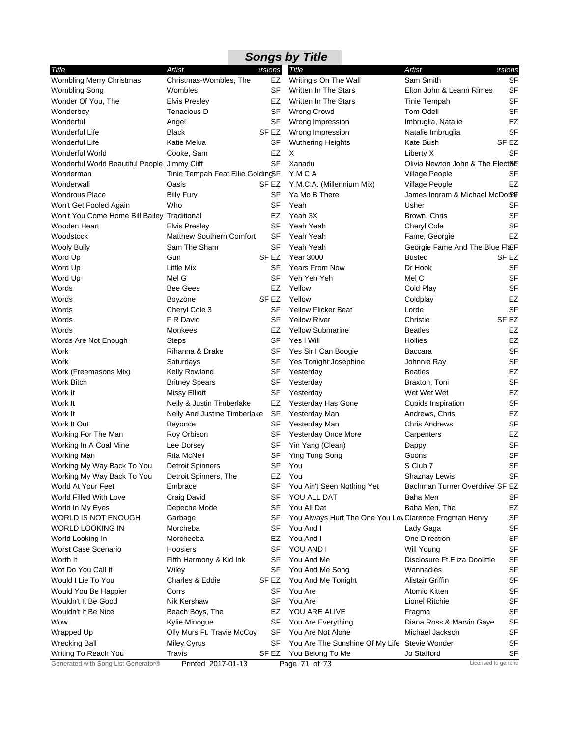|                                              |                                    |                  | <b>Songs by Title</b>                                  |                                  |                  |
|----------------------------------------------|------------------------------------|------------------|--------------------------------------------------------|----------------------------------|------------------|
| Title                                        | Artist                             | ersions          | Title                                                  | Artist                           | ersions?         |
| Wombling Merry Christmas                     | Christmas-Wombles, The             | EZ               | Writing's On The Wall                                  | Sam Smith                        | <b>SF</b>        |
| Wombling Song                                | Wombles                            | <b>SF</b>        | Written In The Stars                                   | Elton John & Leann Rimes         | <b>SF</b>        |
| Wonder Of You, The                           | <b>Elvis Presley</b>               | EZ               | Written In The Stars                                   | Tinie Tempah                     | <b>SF</b>        |
| Wonderboy                                    | Tenacious D                        | <b>SF</b>        | Wrong Crowd                                            | <b>Tom Odell</b>                 | SF               |
| Wonderful                                    | Angel                              | SF               | Wrong Impression                                       | Imbruglia, Natalie               | EZ               |
| Wonderful Life                               | <b>Black</b>                       | SF EZ            | Wrong Impression                                       | Natalie Imbruglia                | <b>SF</b>        |
| Wonderful Life                               | Katie Melua                        | SF               | <b>Wuthering Heights</b>                               | Kate Bush                        | SF <sub>EZ</sub> |
| Wonderful World                              | Cooke, Sam                         | EZ               | X                                                      | Liberty X                        | SF               |
| Wonderful World Beautiful People Jimmy Cliff |                                    | <b>SF</b>        | Xanadu                                                 | Olivia Newton John & The Elect8E |                  |
| Wonderman                                    | Tinie Tempah Feat. Ellie GoldingSF |                  | YMCA                                                   | Village People                   | <b>SF</b>        |
| Wonderwall                                   | Oasis                              | SF EZ            | Y.M.C.A. (Millennium Mix)                              | Village People                   | EZ               |
| <b>Wondrous Place</b>                        | <b>Billy Fury</b>                  | SF               | Ya Mo B There                                          | James Ingram & Michael McDor     |                  |
| Won't Get Fooled Again                       | Who                                | SF               | Yeah                                                   | Usher                            | SF               |
| Won't You Come Home Bill Bailey Traditional  |                                    | EZ               | Yeah 3X                                                | Brown, Chris                     | <b>SF</b>        |
| Wooden Heart                                 | <b>Elvis Presley</b>               | <b>SF</b>        | Yeah Yeah                                              | Cheryl Cole                      | <b>SF</b>        |
| Woodstock                                    | Matthew Southern Comfort           | <b>SF</b>        | Yeah Yeah                                              | Fame, Georgie                    | EZ               |
| <b>Wooly Bully</b>                           | Sam The Sham                       | SF               | Yeah Yeah                                              | Georgie Fame And The Blue Fl&F   |                  |
| Word Up                                      | Gun                                | SF <sub>EZ</sub> | <b>Year 3000</b>                                       | <b>Busted</b>                    | SF <sub>EZ</sub> |
| Word Up                                      | Little Mix                         | SF               | <b>Years From Now</b>                                  | Dr Hook                          | <b>SF</b>        |
| Word Up                                      | Mel G                              | <b>SF</b>        | Yeh Yeh Yeh                                            | Mel C                            | <b>SF</b>        |
| Words                                        | <b>Bee Gees</b>                    | EZ               | Yellow                                                 | Cold Play                        | <b>SF</b>        |
| Words                                        | Boyzone                            | SF <sub>EZ</sub> | Yellow                                                 | Coldplay                         | EZ               |
| Words                                        | Cheryl Cole 3                      | SF               | <b>Yellow Flicker Beat</b>                             | Lorde                            | <b>SF</b>        |
| Words                                        | F R David                          | SF               | <b>Yellow River</b>                                    | Christie                         | SF EZ            |
| Words                                        | Monkees                            | EZ               | <b>Yellow Submarine</b>                                | <b>Beatles</b>                   | EZ               |
| Words Are Not Enough                         | <b>Steps</b>                       | SF               | Yes I Will                                             | Hollies                          | EZ               |
| Work                                         | Rihanna & Drake                    | SF               | Yes Sir I Can Boogie                                   | <b>Baccara</b>                   | <b>SF</b>        |
| Work                                         | Saturdays                          | SF               | Yes Tonight Josephine                                  | Johnnie Ray                      | SF               |
| Work (Freemasons Mix)                        | Kelly Rowland                      | SF               | Yesterday                                              | <b>Beatles</b>                   | EZ               |
| Work Bitch                                   | <b>Britney Spears</b>              | <b>SF</b>        | Yesterday                                              | Braxton, Toni                    | <b>SF</b>        |
| Work It                                      | <b>Missy Elliott</b>               | <b>SF</b>        | Yesterday                                              | Wet Wet Wet                      | EZ               |
| Work It                                      | Nelly & Justin Timberlake          | EZ               | Yesterday Has Gone                                     | <b>Cupids Inspiration</b>        | <b>SF</b>        |
| Work It                                      | Nelly And Justine Timberlake       | <b>SF</b>        | Yesterday Man                                          | Andrews, Chris                   | EZ               |
| Work It Out                                  | <b>Beyonce</b>                     | SF               | Yesterday Man                                          | <b>Chris Andrews</b>             | <b>SF</b>        |
| Working For The Man                          | Roy Orbison                        | <b>SF</b>        | Yesterday Once More                                    | Carpenters                       | EZ               |
| Working In A Coal Mine                       | Lee Dorsey                         | SF               | Yin Yang (Clean)                                       | Dappy                            | <b>SF</b>        |
| <b>Working Man</b>                           | <b>Rita McNeil</b>                 | <b>SF</b>        | Ying Tong Song                                         | Goons                            | <b>SF</b>        |
| Working My Way Back To You                   | Detroit Spinners                   | SF               | You                                                    | S Club 7                         | <b>SF</b>        |
| Working My Way Back To You                   | Detroit Spinners, The              | EZ               | You                                                    | Shaznay Lewis                    | SF               |
| World At Your Feet                           | Embrace                            | SF               |                                                        | Bachman Turner Overdrive SF EZ   |                  |
|                                              |                                    |                  | You Ain't Seen Nothing Yet                             |                                  |                  |
| World Filled With Love                       | Craig David                        | <b>SF</b>        | YOU ALL DAT                                            | Baha Men                         | SF               |
| World In My Eyes                             | Depeche Mode                       | SF               | You All Dat                                            | Baha Men, The                    | EZ               |
| WORLD IS NOT ENOUGH                          | Garbage                            | SF               | You Always Hurt The One You Lov Clarence Frogman Henry |                                  | SF               |
| WORLD LOOKING IN                             | Morcheba                           | SF               | You And I                                              | Lady Gaga                        | <b>SF</b>        |
| World Looking In                             | Morcheeba                          | EZ               | You And I                                              | One Direction                    | <b>SF</b>        |
| Worst Case Scenario                          | Hoosiers                           | SF               | YOU AND I                                              | <b>Will Young</b>                | SF               |
| Worth It                                     | Fifth Harmony & Kid Ink            | SF               | You And Me                                             | Disclosure Ft. Eliza Doolittle   | SF               |
| Wot Do You Call It                           | Wiley                              | SF               | You And Me Song                                        | Wannadies                        | SF               |
| Would I Lie To You                           | Charles & Eddie                    | SF EZ            | You And Me Tonight                                     | Alistair Griffin                 | SF               |
| Would You Be Happier                         | Corrs                              | SF               | You Are                                                | Atomic Kitten                    | SF               |
| Wouldn't It Be Good                          | Nik Kershaw                        | SF               | You Are                                                | Lionel Ritchie                   | SF               |
| Wouldn't It Be Nice                          | Beach Boys, The                    | EZ               | YOU ARE ALIVE                                          | Fragma                           | <b>SF</b>        |
| Wow                                          | Kylie Minogue                      | <b>SF</b>        | You Are Everything                                     | Diana Ross & Marvin Gaye         | SF               |
| Wrapped Up                                   | Olly Murs Ft. Travie McCoy         | <b>SF</b>        | You Are Not Alone                                      | Michael Jackson                  | SF               |
| <b>Wrecking Ball</b>                         | <b>Miley Cyrus</b>                 | SF               | You Are The Sunshine Of My Life Stevie Wonder          |                                  | <b>SF</b>        |
| Writing To Reach You                         | Travis                             | SF EZ            | You Belong To Me                                       |                                  | <b>SF</b>        |

à.

÷,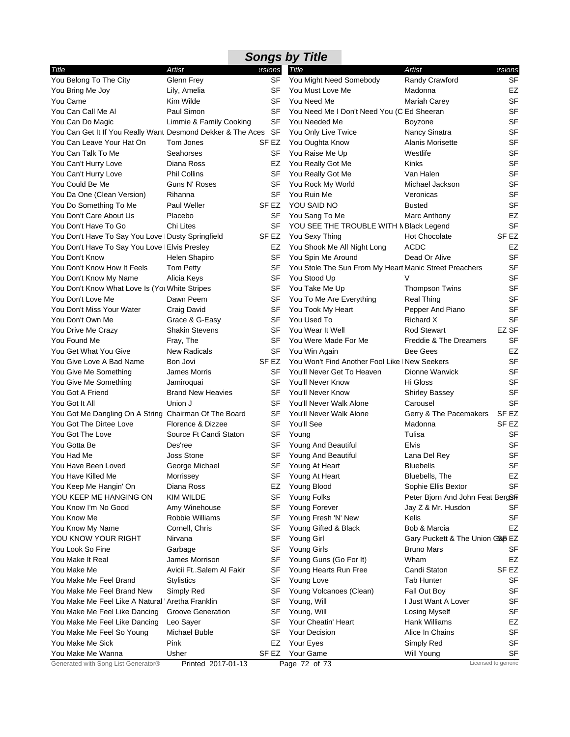| Title                                                       | Artist                   | ersions          | <b>Title</b>                                           | Artist                           | ersions             |
|-------------------------------------------------------------|--------------------------|------------------|--------------------------------------------------------|----------------------------------|---------------------|
| You Belong To The City                                      | Glenn Frey               | SF               | You Might Need Somebody                                | Randy Crawford                   | SF                  |
| You Bring Me Joy                                            | Lily, Amelia             | SF               | You Must Love Me                                       | Madonna                          | EZ                  |
| You Came                                                    | Kim Wilde                | SF               | You Need Me                                            | Mariah Carey                     | <b>SF</b>           |
| You Can Call Me Al                                          | Paul Simon               | SF               | You Need Me I Don't Need You (C Ed Sheeran             |                                  | <b>SF</b>           |
| You Can Do Magic                                            | Limmie & Family Cooking  | <b>SF</b>        | You Needed Me                                          | Boyzone                          | <b>SF</b>           |
| You Can Get It If You Really Want Desmond Dekker & The Aces |                          | SF               | You Only Live Twice                                    | Nancy Sinatra                    | <b>SF</b>           |
| You Can Leave Your Hat On                                   | Tom Jones                | SF EZ            | You Oughta Know                                        | Alanis Morisette                 | SF                  |
| You Can Talk To Me                                          | Seahorses                | SF               | You Raise Me Up                                        | Westlife                         | SF                  |
| You Can't Hurry Love                                        | Diana Ross               | EZ               | You Really Got Me                                      | Kinks                            | <b>SF</b>           |
| You Can't Hurry Love                                        | <b>Phil Collins</b>      | SF               | You Really Got Me                                      | Van Halen                        | SF                  |
| You Could Be Me                                             | Guns N' Roses            | SF               | You Rock My World                                      | Michael Jackson                  | <b>SF</b>           |
| You Da One (Clean Version)                                  | Rihanna                  | SF               | You Ruin Me                                            | Veronicas                        | SF                  |
| You Do Something To Me                                      | Paul Weller              | SF EZ            | YOU SAID NO                                            | <b>Busted</b>                    | <b>SF</b>           |
| You Don't Care About Us                                     | Placebo                  | SF               | You Sang To Me                                         | Marc Anthony                     | EZ                  |
| You Don't Have To Go                                        | Chi Lites                | SF               | YOU SEE THE TROUBLE WITH N Black Legend                |                                  | <b>SF</b>           |
| You Don't Have To Say You Love   Dusty Springfield          |                          | SF EZ            | You Sexy Thing                                         | <b>Hot Chocolate</b>             | SF EZ               |
| You Don't Have To Say You Love   Elvis Presley              |                          | EZ               | You Shook Me All Night Long                            | <b>ACDC</b>                      | EZ                  |
| You Don't Know                                              | Helen Shapiro            | SF               | You Spin Me Around                                     | Dead Or Alive                    | SF                  |
| You Don't Know How It Feels                                 | <b>Tom Petty</b>         | SF               | You Stole The Sun From My Heart Manic Street Preachers |                                  | <b>SF</b>           |
| You Don't Know My Name                                      | Alicia Keys              | SF               | You Stood Up                                           | $\vee$                           | <b>SF</b>           |
| You Don't Know What Love Is (You White Stripes              |                          | SF               | You Take Me Up                                         | <b>Thompson Twins</b>            | SF                  |
| You Don't Love Me                                           | Dawn Peem                | SF               | You To Me Are Everything                               | <b>Real Thing</b>                | SF                  |
| You Don't Miss Your Water                                   | Craig David              | SF               | You Took My Heart                                      | Pepper And Piano                 | SF                  |
| You Don't Own Me                                            | Grace & G-Easy           | SF               | You Used To                                            | Richard X                        | <b>SF</b>           |
| You Drive Me Crazy                                          | <b>Shakin Stevens</b>    | SF               | You Wear It Well                                       | <b>Rod Stewart</b>               | EZ SF               |
| You Found Me                                                | Fray, The                | <b>SF</b>        | You Were Made For Me                                   | Freddie & The Dreamers           | <b>SF</b>           |
| You Get What You Give                                       | <b>New Radicals</b>      | SF               | You Win Again                                          | <b>Bee Gees</b>                  | EZ                  |
| You Give Love A Bad Name                                    | Bon Jovi                 | SF <sub>EZ</sub> | You Won't Find Another Fool Like INew Seekers          |                                  | <b>SF</b>           |
| You Give Me Something                                       | James Morris             | SF               | You'll Never Get To Heaven                             | Dionne Warwick                   | SF                  |
| You Give Me Something                                       | Jamiroquai               | SF               | You'll Never Know                                      | Hi Gloss                         | SF                  |
| You Got A Friend                                            | <b>Brand New Heavies</b> | SF               | You'll Never Know                                      | <b>Shirley Bassey</b>            | SF                  |
| You Got It All                                              | Union J                  | SF               | You'll Never Walk Alone                                | Carousel                         | <b>SF</b>           |
| You Got Me Dangling On A String Chairman Of The Board       |                          | SF               | You'll Never Walk Alone                                | Gerry & The Pacemakers           | SF EZ               |
| You Got The Dirtee Love                                     | Florence & Dizzee        | SF               | You'll See                                             | Madonna                          | SF <sub>EZ</sub>    |
| You Got The Love                                            | Source Ft Candi Staton   | SF               | Young                                                  | Tulisa                           | <b>SF</b>           |
| You Gotta Be                                                | Des'ree                  | SF               | Young And Beautiful                                    | Elvis                            | SF                  |
| You Had Me                                                  | Joss Stone               | SF               | <b>Young And Beautiful</b>                             | Lana Del Rey                     | SF                  |
| You Have Been Loved                                         | George Michael           | SF               | Young At Heart                                         | <b>Bluebells</b>                 | SF                  |
| You Have Killed Me                                          | Morrissey                | <b>SF</b>        | Young At Heart                                         | Bluebells, The                   | EZ                  |
| You Keep Me Hangin' On                                      | Diana Ross               | EZ               | Young Blood                                            | Sophie Ellis Bextor              | SF                  |
| YOU KEEP ME HANGING ON                                      | KIM WILDE                | SF               | Young Folks                                            | Peter Bjorn And John Feat BergSF |                     |
| You Know I'm No Good                                        | Amy Winehouse            | SF               | Young Forever                                          | Jay Z & Mr. Husdon               | SF                  |
| You Know Me                                                 | Robbie Williams          | SF               | Young Fresh 'N' New                                    | Kelis                            | SF                  |
| You Know My Name                                            | Cornell, Chris           | SF               | Young Gifted & Black                                   | Bob & Marcia                     | EZ                  |
| YOU KNOW YOUR RIGHT                                         | Nirvana                  | SF               | Young Girl                                             | Gary Puckett & The Union G&p EZ  |                     |
| You Look So Fine                                            | Garbage                  | SF               | Young Girls                                            | <b>Bruno Mars</b>                | SF                  |
| You Make It Real                                            | James Morrison           | <b>SF</b>        | Young Guns (Go For It)                                 | Wham                             | EZ                  |
| You Make Me                                                 | Avicii FtSalem Al Fakir  | SF               | Young Hearts Run Free                                  | Candi Staton                     | SF EZ               |
| You Make Me Feel Brand                                      | Stylistics               | SF               | Young Love                                             | <b>Tab Hunter</b>                | SF                  |
| You Make Me Feel Brand New                                  | Simply Red               | SF               | Young Volcanoes (Clean)                                | Fall Out Boy                     | SF                  |
| You Make Me Feel Like A Natural 'Aretha Franklin            |                          | <b>SF</b>        | Young, Will                                            | I Just Want A Lover              | SF                  |
| You Make Me Feel Like Dancing                               | Groove Generation        | SF               | Young, Will                                            | Losing Myself                    | SF                  |
| You Make Me Feel Like Dancing                               | Leo Sayer                | SF               | Your Cheatin' Heart                                    | Hank Williams                    | EZ                  |
| You Make Me Feel So Young                                   | Michael Buble            | SF               | Your Decision                                          | Alice In Chains                  | SF                  |
| You Make Me Sick                                            | Pink                     | EZ               | Your Eyes                                              | Simply Red                       | SF                  |
| You Make Me Wanna                                           | Usher                    | SF EZ            | Your Game                                              | Will Young                       | SF                  |
| Generated with Song List Generator®                         | Printed 2017-01-13       |                  | Page 72 of 73                                          |                                  | Licensed to generic |